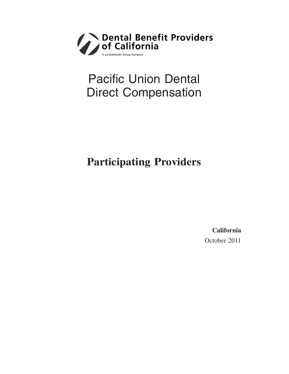

# Pacific Union Dental Direct Compensation

## **Participating Providers**

**California** October 2011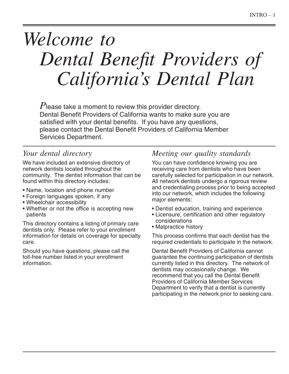# *Welcome to Dental Benefit Providers of California's Dental Plan*

*P*lease take a moment to review this provider directory. Dental Benefit Providers of California wants to make sure you are satisfied with your dental benefits. If you have any questions, please contact the Dental Benefit Providers of California Member Services Department.

### *Your dental directory*

We have included an extensive directory of network dentists located throughout the community. The dentist information that can be found within this directory includes:

- Name, location and phone number
- Foreign languages spoken, if any
- Wheelchair accessibility
- Whether or not the office is accepting new patients

This directory contains a listing of primary care dentists only. Please refer to your enrollment information for details on coverage for specialty care.

Should you have questions, please call the toll-free number listed in your enrollment information.

### *Meeting our quality standards*

You can have confidence knowing you are receiving care from dentists who have been carefully selected for participation in our network. All network dentists undergo a rigorous review and credentialing process prior to being accepted into our network, which includes the following major elements:

- Dentist education, training and experience
- Licensure, certification and other regulatory considerations
- Malpractice history

This process confirms that each dentist has the required credentials to participate in the network.

Dental Benefit Providers of California cannot guarantee the continuing participation of dentists currently listed in this directory. The network of dentists may occasionally change. We recommend that you call the Dental Benefit Providers of California Member Services Department to verify that a dentist is currently participating in the network prior to seeking care.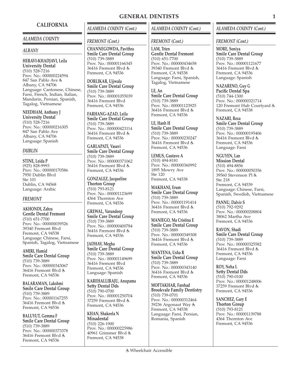### **CALIFORNIA**

### *ALAMEDA COUNTY*

### *ALBANY*

**HERAVI-KHADJAVI, Leila University Dental** (510) 528-7216 Prov. No.: 000000224594 847 San Pablo Ave Albany, CA 94706 Language: Cantonese, Chinese, Farsi, French, Indian, Italian, Mandarin, Persian, Spanish, Tagalog, Vietnamese

**NEEDHAM, Anthony J University Dental** (510) 528-7216 Prov. No.: 000000216305 847 San Pablo Ave Albany, CA 94706 Language: Spanish

### *DUBLIN*

**STINE, Leida P** (925) 828-9993 Prov. No.: 000000170586 7950 Dublin Blvd Ste 101 Dublin, CA 94568 Language: Arabic

### *FREMONT*

**AKHONDI, Zahra Gentle Dental Fremont** (510) 651-7700 Prov. No.: 000000039526 39340 Fremont Blvd Fremont, CA 94538 Language: Chinese, Farsi, Spanish, Tagalog, Vietnamese

**AMIRI, Hamid Smile Care Dental Group** (510) 739-3889 Prov. No.: 000000343067 36416 Fremont Blvd Fremont, CA 94536

**BALARAMAN, Lakshmi Smile Care Dental Group** (510) 739-3889 Prov. No.: 000001167255 36416 Fremont Blvd Fremont, CA 94536

**BALUYUT, Gemma F Smile Care Dental Group** (510) 739-3889 Prov. No.: 000000373378 36416 Fremont Blvd Fremont, CA 94536

### *ALAMEDA COUNTY (Cont.)*

### *FREMONT (Cont.)*

**CHANNEGOWDA, Pavithra Smile Care Dental Group** (510) 739-3889 Prov. No.: 000001166345 36416 Fremont Blvd Fremont, CA 94536

**DORLIKAR, Ujjwala Smile Care Dental Group** (510) 739-3889 Prov. No.: 000001055039 36416 Fremont Blvd Fremont, CA 94536

**FARHANG-AZAD, Leila Smile Care Dental Group** (510) 739-3889 Prov. No.: 000000423114 36416 Fremont Blvd Fremont, CA 94536

**GARLAPATI, Vasavi Smile Care Dental Group** (510) 739-3889 Prov. No.: 000000371062 36416 Fremont Blvd Fremont, CA 94536

**GONZALEZ, Jacqueline Thorton Group** (510) 793-8121 Prov. No.: 000001123699 4364 Thornton Ave Fremont, CA 94536

**GREWAL, Varundeep Smile Care Dental Group** (510) 739-3889 Prov. No.: 000000400784 36416 Fremont Blvd Fremont, CA 94536

**JADHAV, Megha Smile Care Dental Group** (510) 739-3889 Prov. No.: 000001149699 36416 Fremont Blvd Fremont, CA 94536 Language: Spanish

**KAREHALLIRAJU, Anupama Setty Dental Dds** (510) 790-0700 Prov. No.: 000001250704 37259 Fremont Blvd Fremont, CA 94536

**KHAN, Shakeela N Minadental** (510) 226-1900 Prov. No.: 000000225986 40961 Grimmer Blvd Fremont, CA 94538

### *ALAMEDA COUNTY (Cont.)*

### *FREMONT (Cont.)*

**LAM, Trien Gentle Dental Fremont** (510) 651-7700 Prov. No.: 000000434658 39340 Fremont Blvd Fremont, CA 94538 Language: Farsi, Spanish, Tagalog, Vietnamese

**LE, An Smile Care Dental Group** (510) 739-3889 Prov. No.: 000001123925 36416 Fremont Blvd & Fremont, CA 94536

**LE, Hanh H Smile Care Dental Group** (510) 739-3889 Prov. No.: 000000230247 36416 Fremont Blvd Fremont, CA 94536

**LEMUS, Gustavo A** (510) 494-8181 Prov. No.: 000000360992 1895 Mowry Ave Ste 120 Fremont, CA 94538

**MAKHANI, Erum Smile Care Dental Group** (510) 739-3889 Prov. No.: 000001191414 36416 Fremont Blvd Fremont, CA 94536

**MANIEGO, Ma Cristina E Smile Care Dental Group** (510) 739-3889 Prov. No.: 000000349308 36416 Fremont Blvd Fremont, CA 94536

**MANTENA, Usha R Smile Care Dental Group** (510) 739-3889 Prov. No.: 000000343140 36416 Fremont Blvd & Fremont, CA 94536

**MOFTAKHAR, Farshad Brookvale Family Dentistry** (510) 739-0701 Prov. No.: 000000312464 39236 Argonaut Way Fremont, CA 94538 Language: Farsi, Persian, Romania, Spanish

### *ALAMEDA COUNTY (Cont.)*

### *FREMONT (Cont.)*

**MORE, Soniya Smile Care Dental Group** (510) 739-3889 Prov. No.: 000001121677 36416 Fremont Blvd Fremont, CA 94536 Language: Spanish

**NAZARENO, Guy G Pacific Dental Spa** (510) 744-1300 Prov. No.: 000000321714 120 Fremont Hub Courtyard Fremont, CA 94538

### **NAZARI, Reza**

**Smile Care Dental Group** (510) 739-3889 Prov. No.: 000000195406 36416 Fremont Blvd Fremont, CA 94536 Language: Farsi

**NGUYEN, Lan Mission Dental** (510) 494-8856 Prov. No.: 000000050356 39560 Stevenson Pl Ste 218 Fremont, CA 94539 Language: Chinese, Farsi, Spanish, Swedish, Vietnamese

**PANNU, Dalvir S** (510) 792-9292 Prov. No.: 000000208804 38062 Martha Ave Fremont, CA 94536

**RAVON, Shadi Smile Care Dental Group** (510) 739-3889 Prov. No.: 000000325582 36416 Fremont Blvd Fremont, CA 94536 Language: Farsi

**ROY, Neha L Setty Dental Dds** (510) 790-0100 Prov. No.: 000001248006 37259 Fremont Blvd Fremont, CA 94536

**SANCHEZ, Gary E Thorton Group** (510) 793-8121 Prov. No.: 000001139788 4364 Thornton Ave Fremont, CA 94536

### **GENERAL DENTISTS 1**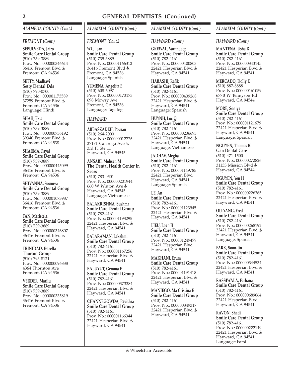### *ALAMEDA COUNTY (Cont.)*

### *FREMONT (Cont.)*

**SEPULVEDA, Jairo Smile Care Dental Group** (510) 739-3889 Prov. No.: 000000346614 36416 Fremont Blvd Fremont, CA 94536

**SETTY, Madhavi Setty Dental Dds** (510) 790-0700 Prov. No.: 000001173589 37259 Fremont Blvd Fremont, CA 94536 Language: Hindi

**SHAH, Ekta Smile Care Dental Group** (510) 739-3889 Prov. No.: 000000736192 39340 Fremont Blvd Fremont, CA 94538

**SHARMA, Payal Smile Care Dental Group** (510) 739-3889 Prov. No.: 000000445099 36416 Fremont Blvd & Fremont, CA 94536

**SHIVANNA, Soumya Smile Care Dental Group** (510) 739-3889 Prov. No.: 000001073987 36416 Fremont Blvd Fremont, CA 94536

**TAN, Maristela Smile Care Dental Group** (510) 739-3889 Prov. No.: 000000346807 36416 Fremont Blvd Fremont, CA 94536

**TRINIDAD, Estrella Thorton Group** (510) 793-8121 Prov. No.: 000000096838 4364 Thornton Ave Fremont, CA 94536

**VERDER, Marilu Smile Care Dental Group** (510) 739-3889 Prov. No.: 000000335819 36416 Fremont Blvd Fremont, CA 94536

### *ALAMEDA COUNTY (Cont.)*

### *FREMONT (Cont.)*

**WU, Jean Smile Care Dental Group** (510) 739-3889 Prov. No.: 000001166312 36416 Fremont Blvd Fremont, CA 94536 Language: Spanish

**YUMENA, Angelita F** (510) 608-6097 Prov. No.: 000000173173 698 Mowry Ave Fremont, CA 94536 Language: Tagalog

### *HAYWARD*

**ABBASZADEH, Pouran** (510) 264-2000 Prov. No.: 000000012776 27171 Calaroga Ave 3rd Fl Ste 11 Hayward, CA 94545

**ANSARI, Mohsen M The Dental Health Center In Sears** (510) 783-0501 Prov. No.: 000000201944 660 W Winton Ave Hayward, CA 94545 Language: Vietnamese

**BALAKRISHNA, Sushma Smile Care Dental Group** (510) 782-4161 Prov. No.: 000001193295 22421 Hesperian Blvd Hayward, CA 94541

**BALARAMAN, Lakshmi Smile Care Dental Group** (510) 782-4161 Prov. No.: 000001167256 22421 Hesperian Blvd Hayward, CA 94541

**BALUYUT, Gemma F Smile Care Dental Group** (510) 782-4161 Prov. No.: 000000373384 22421 Hesperian Blvd Hayward, CA 94541

**CHANNEGOWDA, Pavithra Smile Care Dental Group** (510) 782-4161 Prov. No.: 000001166344 22421 Hesperian Blvd Hayward, CA 94541

### *ALAMEDA COUNTY (Cont.)*

### *HAYWARD (Cont.)*

**GREWAL, Varundeep Smile Care Dental Group** (510) 782-4161 Prov. No.: 000000400803 22421 Hesperian Blvd Hayward, CA 94541

**HABASHI, Rafik Smile Care Dental Group** (510) 782-4161 Prov. No.: 000000439268 22421 Hesperian Blvd Hayward, CA 94541 Language: Spanish

**HUYNH, Loc Q Smile Care Dental Group** (510) 782-4161 Prov. No.: 000000236693 22421 Hesperian Blvd Hayward, CA 94541 Language: Vietnamese

**JADHAV, Megha Smile Care Dental Group** (510) 782-4161 Prov. No.: 000001149785 22421 Hesperian Blvd Hayward, CA 94541 Language: Spanish

**LE, An Smile Care Dental Group** (510) 782-4161 Prov. No.: 000001123945 22421 Hesperian Blvd Hayward, CA 94541

**LIEU, Loan H Smile Care Dental Group** (510) 782-4161 Prov. No.: 000001249479 22421 Hesperian Blvd Hayward, CA 94541

**MAKHANI, Erum Smile Care Dental Group** (510) 782-4161 Prov. No.: 000001191418 22421 Hesperian Blvd Hayward, CA 94541

**MANIEGO, Ma Cristina E Smile Care Dental Group** (510) 782-4161 Prov. No.: 000000349317 22421 Hesperian Blvd Hayward, CA 94541

### *ALAMEDA COUNTY (Cont.)*

### *HAYWARD (Cont.)*

**MANTENA, Usha R Smile Care Dental Group** (510) 782-4161 Prov. No.: 000000343145 22421 Hesperian Blvd Hayward, CA 94541

**MERCADO, Dolly E** (510) 887-8888 Prov. No.: 000000161059 677B W Tennyson Rd Hayward, CA 94544

**MORE, Soniya Smile Care Dental Group** (510) 782-4161 Prov. No.: 000001121679 22421 Hesperian Blvd Hayward, CA 94541 Language: Spanish

**NGUYEN, Thomas K Gan Dental Care** (510) 471-1500 Prov. No.: 000000272826 31133 Mission Blvd Hayward, CA 94544

**NGUYEN, Yen H Smile Care Dental Group** (510) 782-4161 Prov. No.: 000000226365 22421 Hesperian Blvd Hayward, CA 94541

**OU-YANG, Fred Smile Care Dental Group** (510) 782-4161 Prov. No.: 000000268192 22421 Hesperian Blvd Hayward, CA 94541 Language: Spanish

**PARK, Soon-Jin Smile Care Dental Group** (510) 782-4161 Prov. No.: 000000344534 22421 Hesperian Blvd Hayward, CA 94541

**RASSIWALA, Farhana Smile Care Dental Group** (510) 782-4161 Prov. No.: 000000689064 22421 Hesperian Blvd Hayward, CA 94541

**RAVON, Shadi Smile Care Dental Group** (510) 782-4161 Prov. No.: 000000222149 22421 Hesperian Blvd Hayward, CA 94541 Language: Farsi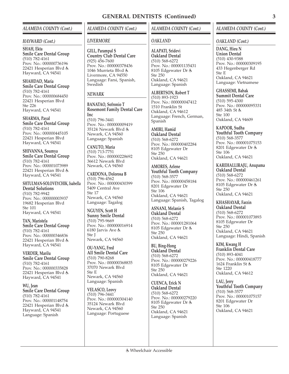### *ALAMEDA COUNTY (Cont.)*

### *HAYWARD (Cont.)*

**SHAH, Ekta Smile Care Dental Group** (510) 782-4161 Prov. No.: 000000736196 22421 Hesperian Blvd Hayward, CA 94541

**SHAHDAD, Maria Smile Care Dental Group** (510) 782-4161 Prov. No.: 000000684450 22421 Hesperian Blvd Ste 226 Hayward, CA 94541

**SHARMA, Payal Smile Care Dental Group** (510) 782-4161 Prov. No.: 000000445105 22421 Hesperian Blvd Hayward, CA 94541

**SHIVANNA, Soumya Smile Care Dental Group** (510) 782-4161 Prov. No.: 000001073989 22421 Hesperian Blvd Hayward, CA 94541

**SHTULMAN-SOLOVEYCHIK, Isabella Dental Solutions** (510) 782-9942 Prov. No.: 000000003937 19682 Hesperian Blvd Ste 101 Hayward, CA 94541

**TAN, Maristela Smile Care Dental Group** (510) 782-4161 Prov. No.: 000000346836 22421 Hesperian Blvd Hayward, CA 94541

**VERDER, Marilu Smile Care Dental Group** (510) 782-4161 Prov. No.: 000000335828 22421 Hesperian Blvd Hayward, CA 94541

**WU, Jean Smile Care Dental Group** (510) 782-4161 Prov. No.: 000001148754 22421 Hesperian Blvd Hayward, CA 94541 Language: Spanish

*ALAMEDA COUNTY (Cont.)*

### *LIVERMORE*

**GILL, Parampal S Country Club Dental Care** (925) 456-7600 Prov. No.: 000000378436 1046 Murrieta Blvd & Livermore, CA 94550 Language: Farsi, Spanish, Swedish

### *NEWARK*

**BANATAO, Sofronio T Rosemont Family Dental Care Inc**

(510) 796-3441 Prov. No.: 000000009419 35124 Newark Blvd Newark, CA 94560 Language: Spanish

**CANUTO, Maria** (510) 713-7751 Prov. No.: 000000228692 36612 Newark Blvd Newark, CA 94560

**CARDONA, Dolorosa B** (510) 796-4562 Prov. No.: 000000430399 5409 Central Ave Ste 17 Newark, CA 94560 Language: Tagalog

**NGUYEN, Scott H Sunny Smile Dental** (510) 795-9669 Prov. No.: 000000016914 6180 Jarvis Ave Ste J Newark, CA 94560

**OU-YANG, Fred All Smile Dental Care** (510) 790-8268 Prov. No.: 000000368835 37070 Newark Blvd Ste E Newark, CA 94560 Language: Spanish

**VELASCO, Leovy** (510) 796-3441 Prov. No.: 000000304140 35124 Newark Blvd Newark, CA 94560 Language: Portuguese

### *ALAMEDA COUNTY (Cont.)*

### *OAKLAND*

**ALAPATI, Sridevi Oakland Dental** (510) 568-6272 Prov. No.: 000001135431 8105 Edgewater Dr Ste 250 Oakland, CA 94621 Language: Spanish

**ALBERTSON, Robert T** (510) 893-1923 Prov. No.: 000000047412 1510 Franklin St Oakland, CA 94612 Language: French, German, Spanish

**AMIRI, Hamid Oakland Dental** (510) 568-6272 Prov. No.: 000000402284 8105 Edgewater Dr Ste 250 Oakland, CA 94621

**AMORES, Arlene Youthful Tooth Company** (510) 568-3577 Prov. No.: 000000458184 8201 Edgewater Dr Ste 106 Oakland, CA 94621 Language: Spanish, Tagalog

**ASNANI, Melanie S Oakland Dental** (510) 568-6272 Prov. No.: 000001281064 8105 Edgewater Dr Ste 250 Oakland, CA 94621

**BU, Bing-Hong Oakland Dental** (510) 568-6272 Prov. No.: 000000279226 8105 Edgewater Dr Ste 250 Oakland, CA 94621

**CUENCA, Erick N Oakland Dental** (510) 568-6272 Prov. No.: 000000279220 8105 Edgewater Dr Ste 250 Oakland, CA 94621 Language: Spanish

### *ALAMEDA COUNTY (Cont.)*

### *OAKLAND (Cont.)*

**DANG, Hieu N Union Dental** (510) 430-9388 Prov. No.: 000000309195 433 Hegenberger Rd Ste E Oakland, CA 94621 Language: Vietnamese

**GHASSEMI, Babak Summit Dental Care** (510) 595-4300 Prov. No.: 000000095331 485 34th St & Ste 100 Oakland, CA 94609

**KAPOOR, Sudha Youthful Tooth Company** (510) 568-3577 Prov. No.: 000001075153 8201 Edgewater Dr Ste 106 Oakland, CA 94621

**KAREHALLIRAJU, Anupama Oakland Dental** (510) 568-6272 Prov. No.: 000000461261 8105 Edgewater Dr Ste 250 Oakland, CA 94621

**KHASHAYAR, Farzin Oakland Dental** (510) 568-6272 Prov. No.: 000001073893 8105 Edgewater Dr Ste 250 Oakland, CA 94621 Language: Hindi, Spanish

**KIM, Kwang H Franklin Dental Care** (510) 893-4041 Prov. No.: 000000418777 1624 Franklin St & Ste 1220 Oakland, CA 94612

**LAU, Jerry Youthful Tooth Company** (510) 568-3577 Prov. No.: 000001075157 8201 Edgewater Dr Ste 106 Oakland, CA 94621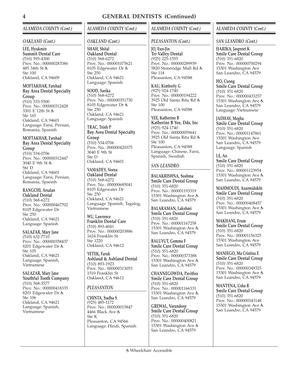### *ALAMEDA COUNTY (Cont.)*

### *OAKLAND (Cont.)*

**LEE, Hyukmin Summit Dental Care** (510) 595-4300 Prov. No.: 000000283386 485 34th St Ste 100 Oakland, CA 94609

**MOFTAKHAR, Farshad Bay Area Dental Specialty Group** (510) 533-5500 Prov. No.: 000000312428 3301 E 12th St 点 Ste 165 Oakland, CA 94601

Language: Farsi, Persian, Romania, Spanish

### **MOFTAKHAR, Farshad Bay Area Dental Specialty Group**

(510) 534-0706 Prov. No.: 000000312447 3040 E 9th St Ste D Oakland, CA 94601 Language: Farsi, Persian, Romania, Spanish

### **RANGCHI, Arsalan Oakland Dental** (510) 568-6272 Prov. No.: 000000467702 8105 Edgewater Dr

Ste 250 Oakland, CA 94621 Language: Spanish

### **SALAZAR, Mary Jane**

(510) 632-7710 Prov. No.: 000000358437 8201 Edgewater Dr Ste 105 Oakland, CA 94621 Language: Spanish, Vietnamese

### **SALAZAR, Mary Jane Youthful Tooth Company**

(510) 568-3577 Prov. No.: 000000418335 8201 Edgewater Dr Ste 106 Oakland, CA 94621 Language: Spanish, Vietnamese

### *ALAMEDA COUNTY (Cont.)*

### *OAKLAND (Cont.)*

**SHAH, Shital Oakland Dental** (510) 568-6272 Prov. No.: 000001075621 8105 Edgewater Dr Ste 250 Oakland, CA 94621 Language: Spanish

**SOOD, Sarika** (510) 568-6272 Prov. No.: 000000351730 8105 Edgewater Dr Ste 250 Oakland, CA 94621 Language: Spanish

**TRAC, Trinh P Bay Area Dental Specialty Group** (510) 534-0706 Prov. No.: 000000420375 3040 E 9th St Ste D Oakland, CA 94601

### **VAMADEV, Veena Oakland Dental** (510) 568-6272 Prov. No.: 000000685041 8105 Edgewater Dr Ste 250 Oakland, CA 94621 Language: Spanish, Tagalog, Vietnamese

**WU, Lawrence Franklin Dental Care** (510) 893-4041 Prov. No.: 000000203886 1624 Franklin St Ste 1220 Oakland, CA 94612

**YETEK, Faruk Ashland & Ashland Dental** (510) 893-1923 Prov. No.: 000000313053 1510 Franklin St Oakland, CA 94612

### *PLEASANTON*

**CHINTA, Sudha S** (925) 485-1172 Prov. No.: 000000015847 4466 Black Ave Ste K Pleasanton, CA 94566 Language: Hindi, Spanish

### *ALAMEDA COUNTY (Cont.)*

### *PLEASANTON (Cont.)*

**JO, Eun-Jin Tri-Valley Dental** (925) 225-1555 Prov. No.: 000000289939 5820 Stoneridge Mall Rd Ste 118 Pleasanton, CA 94588

**KAU, Kimberly G** (925) 924-1740 Prov. No.: 000000194222 3925 Old Santa Rita Rd Ste 100 Pleasanton, CA 94588

**YEE, Katherine B Katherine B Yee, Dds, Inc** (925) 924-1740 Prov. No.: 000000059641 3925 Old Santa Rita Rd Ste 100 Pleasanton, CA 94588 Language: Chinese, Farsi, Spanish, Swedish

### *SAN LEANDRO*

**BALAKRISHNA, Sushma Smile Care Dental Group** (510) 351-6820 Prov. No.: 000001193319 15301 Washington Ave San Leandro, CA 94579

**BALARAMAN, Lakshmi Smile Care Dental Group** (510) 351-6820 Prov. No.: 000001167258 15301 Washington Ave San Leandro, CA 94579

**BALUYUT, Gemma F Smile Care Dental Group** (510) 351-6820 Prov. No.: 000000373388 15301 Washington Ave San Leandro, CA 94579

**CHANNEGOWDA, Pavithra Smile Care Dental Group** (510) 351-6820 Prov. No.: 000001166331 15301 Washington Ave San Leandro, CA 94579

**GREWAL, Varundeep Smile Care Dental Group** (510) 351-6820 Prov. No.: 000000400821 15301 Washington Ave San Leandro, CA 94579

### *ALAMEDA COUNTY (Cont.)*

### *SAN LEANDRO (Cont.)*

**HARIKA, Jaspreet K Smile Care Dental Group** (510) 351-6820 Prov. No.: 000000700294 15301 Washington Ave San Leandro, CA 94579

**HO, Cuong Smile Care Dental Group** (510) 351-6820 Prov. No.: 000000433257 15301 Washington Ave San Leandro, CA 94579 Language: Vietnamese

### **JADHAV, Megha**

**Smile Care Dental Group** (510) 351-6820 Prov. No.: 000001147861 15301 Washington Ave San Leandro, CA 94579 Language: Spanish

**LE, An Smile Care Dental Group** (510) 351-6820 Prov. No.: 000001123954 15301 Washington Ave San Leandro, CA 94579

**MAHMOUDI, Azarmidokht Smile Care Dental Group** (510) 351-6820 Prov. No.: 000000408457 15301 Washington Ave San Leandro, CA 94579

**MAKHANI, Erum Smile Care Dental Group** (510) 351-6820 Prov. No.: 000001156325 15301 Washington Ave San Leandro, CA 94579

**MANIEGO, Ma Cristina E Smile Care Dental Group** (510) 351-6820 Prov. No.: 000000349325 15301 Washington Ave San Leandro, CA 94579

**MANTENA, Usha R Smile Care Dental Group** (510) 351-6820 Prov. No.: 000000343148 15301 Washington Ave San Leandro, CA 94579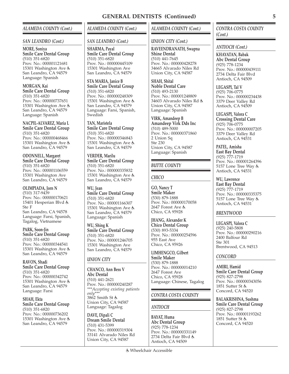### *ALAMEDA COUNTY (Cont.)*

### *SAN LEANDRO (Cont.)*

### **MORE, Soniya Smile Care Dental Group** (510) 351-6820 Prov. No.: 000001121681 15301 Washington Ave San Leandro, CA 94579 Language: Spanish

**MORGAN, Kai Smile Care Dental Group** (510) 351-6820 Prov. No.: 000000737651 15301 Washington Ave San Leandro, CA 94579 Language: Spanish

**NACPIL-ALVAREZ, Maria L Smile Care Dental Group** (510) 351-6820 Prov. No.: 000000468466 15301 Washington Ave San Leandro, CA 94579

**ODONNELL, Margaret Smile Care Dental Group** (510) 351-6820 Prov. No.: 000001106559 15301 Washington Ave San Leandro, CA 94579

**OLIMPIADA, Jorn N** (510) 317-9439 Prov. No.: 000000170621 15401 Hesperian Blvd Ste F San Leandro, CA 94578 Language: Farsi, Spanish, Tagalog, Vietnamese

**PARK, Soon-Jin Smile Care Dental Group** (510) 351-6820 Prov. No.: 000000344541 15301 Washington Ave San Leandro, CA 94579

**RAVON, Shadi Smile Care Dental Group** (510) 351-6820 Prov. No.: 000000342742 15301 Washington Ave San Leandro, CA 94579 Language: Farsi

**SHAH, Ekta Smile Care Dental Group** (510) 351-6820 Prov. No.: 000000736202 15301 Washington Ave San Leandro, CA 94579

### *ALAMEDA COUNTY (Cont.)*

### *SAN LEANDRO (Cont.)*

**SHARMA, Payal Smile Care Dental Group** (510) 351-6820 Prov. No.: 000000445109 15301 Washington Ave San Leandro, CA 94579

**STA MARIA, Janice B Smile Care Dental Group** (510) 351-6820 Prov. No.: 000000248309 15301 Washington Ave San Leandro, CA 94579 Language: Farsi, Spanish, Swedish

**TAN, Maristela Smile Care Dental Group** (510) 351-6820 Prov. No.: 000000346843 15301 Washington Ave San Leandro, CA 94579

**VERDER, Marilu Smile Care Dental Group** (510) 351-6820 Prov. No.: 000000335832 15301 Washington Ave San Leandro, CA 94579

**WU, Jean Smile Care Dental Group** (510) 351-6820 Prov. No.: 000001166307 15301 Washington Ave San Leandro, CA 94579 Language: Spanish

**WU, Shing K Smile Care Dental Group** (510) 351-6820 Prov. No.: 000001246705 15301 Washington Ave San Leandro, CA 94579

### *UNION CITY*

**CHANCO, Ann Bess V Abc Dental** (510) 441-2621 Prov. No.: 000000240287 *\*\*\*Accepting existing patients only\*\*\** 3862 Smith St Union City, CA 94587 Language: Tagalog

**DAVE, Dipali C Dream Smile Dental** (510) 431-5399 Prov. No.: 000000319304 33141 Alvarado Niles Rd Union City, CA 94587

### *UNION CITY (Cont.)*

**RAVEENDRANATH, Swapna Shine Dental** (510) 441-7645 Prov. No.: 000000428278 34665 Alvarado Niles Rd Union City, CA 94587

**SHAH, Shital Noble Dental Care** (510) 493-2130 Prov. No.: 000001248809 34603 Alvarado Niles Rd Union City, CA 94587 Language: Spanish

**VIRK, Amandeep B Amandeep Virk Dds Inc** (510) 489-5000 Prov. No.: 000000371860 2 Union Sq Ste 230 Union City, CA 94587 Language: Spanish

### *BUTTE COUNTY*

### *CHICO*

**GO, Nancy T Smile Maker** (530) 879-1888 Prov. No.: 000000170058 2647 Forest Ave Chico, CA 95928

**JHANG, Alexander K Chico Dental Group** (530) 893-5334 Prov. No.: 000000254596 955 East Ave Chico, CA 95926

**LIMHENGCO, Gilbert Smile Maker** (530) 879-1888 Prov. No.: 000000014210 2647 Forest Ave Chico, CA 95928 Language: Chinese, Tagalog

### *CONTRA COSTA COUNTY*

### *ANTIOCH*

**BAYAT, Huma Abc Dental Group** (925) 778-1234 Prov. No.: 000000331149 2734 Delta Fair Blvd Antioch, CA 94509

### *CONTRA COSTA COUNTY (Cont.)*

*ANTIOCH (Cont.)*

**KHAYATAN, Babak Abc Dental Group** (925) 778-1234 Prov. No.: 000000439111 2734 Delta Fair Blvd Antioch, CA 94509

**LEGASPI, Tal V** (925) 706-0775 Prov. No.: 000000234438 3379 Deer Valley Rd Antioch, CA 94509

**LEGASPI, Valora C Crossing Dental Care** (925) 706-0775 Prov. No.: 000000007205 3379 Deer Valley Rd Antioch, CA 94531

**PATEL, Amisha East Bay Dental** (925) 777-1719 Prov. No.: 000001264396 5157 Lone Tree Way Antioch, CA 94531

**WU, Lawrence East Bay Dental** (925) 777-1719 Prov. No.: 000000335375 5157 Lone Tree Way Antioch, CA 94531

### *BRENTWOOD*

**LEGASPI, Valora C** (925) 240-5808 Prov. No.: 000000290216 2400 Balfour Rd Ste 301 Brentwood, CA 94513

### *CONCORD*

**AMIRI, Hamid Smile Care Dental Group** (925) 827-2798 Prov. No.: 000000343056 1851 Sutter St Concord, CA 94520

**BALAKRISHNA, Sushma Smile Care Dental Group** (925) 827-2798 Prov. No.: 000001193262 1851 Sutter St Concord, CA 94520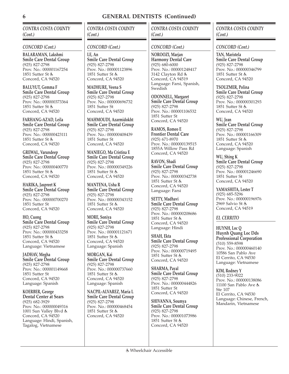*CONTRA COSTA COUNTY (Cont.)*

### *CONCORD (Cont.)*

**BALARAMAN, Lakshmi Smile Care Dental Group** (925) 827-2798 Prov. No.: 000001167254 1851 Sutter St Concord, CA 94520

**BALUYUT, Gemma F Smile Care Dental Group** (925) 827-2798 Prov. No.: 000000373364 1851 Sutter St Concord, CA 94520

**FARHANG-AZAD, Leila Smile Care Dental Group** (925) 827-2798 Prov. No.: 000000423111 1851 Sutter St Concord, CA 94520

**GREWAL, Varundeep Smile Care Dental Group** (925) 827-2798 Prov. No.: 000000400770 1851 Sutter St Concord, CA 94520

**HARIKA, Jaspreet K Smile Care Dental Group** (925) 827-2798 Prov. No.: 000000700270 1851 Sutter St Concord, CA 94520

**HO, Cuong Smile Care Dental Group** (925) 827-2798 Prov. No.: 000000433258 1851 Sutter St & Concord, CA 94520 Language: Vietnamese

**JADHAV, Megha Smile Care Dental Group** (925) 827-2798 Prov. No.: 000001149668 1851 Sutter St Concord, CA 94520 Language: Spanish

**KOERBER, George Dental Center at Sears** (925) 682-3929 Prov. No.: 000000049316 1001 Sun Valley Blvd Concord, CA 94520 Language: Hindi, Spanish, Tagalog, Vietnamese

*CONTRA COSTA COUNTY (Cont.)*

### *CONCORD (Cont.)*

**LE, An Smile Care Dental Group** (925) 827-2798 Prov. No.: 000001123896 1851 Sutter St & Concord, CA 94520

**MADHURE, Veena S Smile Care Dental Group** (925) 827-2798 Prov. No.: 000000696732 1851 Sutter St Concord, CA 94520

**MAHMOUDI, Azarmidokht Smile Care Dental Group** (925) 827-2798 Prov. No.: 000000408439 1851 Sutter St Concord, CA 94520

**MANIEGO, Ma Cristina E Smile Care Dental Group** (925) 827-2798 Prov. No.: 000000349226 1851 Sutter St Concord, CA 94520

**MANTENA, Usha R Smile Care Dental Group** (925) 827-2798 Prov. No.: 000000343152 1851 Sutter St Concord, CA 94520

**MORE, Soniya Smile Care Dental Group** (925) 827-2798 Prov. No.: 000001121671 1851 Sutter St & Concord, CA 94520 Language: Spanish

**MORGAN, Kai Smile Care Dental Group** (925) 827-2798 Prov. No.: 000000737660 1851 Sutter St & Concord, CA 94520 Language: Spanish

**NACPIL-ALVAREZ, Maria L Smile Care Dental Group** (925) 827-2798 Prov. No.: 000000468454 1851 Sutter St Concord, CA 94520

### *CONTRA COSTA COUNTY (Cont.)*

### *CONCORD (Cont.)*

**NOROOZI, Marjan Harmony Dental Care** (925) 680-6000 Prov. No.: 000001248417 3142 Clayton Rd Concord, CA 94519 Language: Farsi, Spanish, Swedish

**ODONNELL, Margaret Smile Care Dental Group** (925) 827-2798 Prov. No.: 000001106532 1851 Sutter St Concord, CA 94520

**RAMOS, Romeo E Frontier Dental Care** (925) 671-8970 Prov. No.: 000000139515 1855A Willow Pass Rd Concord, CA 94520

**RAVON, Shadi Smile Care Dental Group** (925) 827-2798 Prov. No.: 000000342738 1851 Sutter St Concord, CA 94520 Language: Farsi

**SETTY, Madhavi Smile Care Dental Group** (925) 827-2798 Prov. No.: 000000208686 1851 Sutter St Concord, CA 94520 Language: Hindi

**SHAH, Ekta Smile Care Dental Group** (925) 827-2798 Prov. No.: 000000719495 1851 Sutter St Concord, CA 94520

**SHARMA, Payal Smile Care Dental Group** (925) 827-2798 Prov. No.: 000000444826 1851 Sutter St Concord, CA 94520

**SHIVANNA, Soumya Smile Care Dental Group** (925) 827-2798 Prov. No.: 000001073986 1851 Sutter St & Concord, CA 94520

### *CONTRA COSTA COUNTY (Cont.)*

*CONCORD (Cont.)*

**TAN, Maristela Smile Care Dental Group** (925) 827-2798 Prov. No.: 000000346799 1851 Sutter St & Concord, CA 94520

**TSOUZMER, Polina Smile Care Dental Group** (925) 827-2798 Prov. No.: 000000301293 1851 Sutter St Concord, CA 94520

**WU, Jean Smile Care Dental Group** (925) 827-2798 Prov. No.: 000001166309 1851 Sutter St Concord, CA 94520 Language: Spanish

**WU, Shing K Smile Care Dental Group** (925) 827-2798 Prov. No.: 000001246690 1851 Sutter St Concord, CA 94520

**YAMASHITA, Lester T** (925) 685-5296 Prov. No.: 000000196976 2969 Salvio St Concord, CA 94519

### *EL CERRITO*

**HUYNH, Loc Q Huynh Quang Loc Dds Professional Corporation** (510) 559-8598 Prov. No.: 000000460140 10586 San Pablo Ave El Cerrito, CA 94530 Language: Vietnamese

**KIM, Rodney Y** (510) 233-9022 Prov. No.: 000000138086 11100 San Pablo Ave Ste 107 El Cerrito, CA 94530 Language: Chinese, French, Mandarin, Vietnamese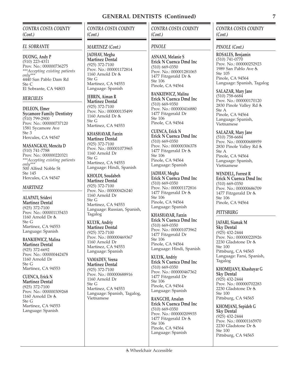### *CONTRA COSTA COUNTY (Cont.)*

### *EL SOBRANTE*

**DUONG, Andy P** (510) 223-4311 Prov. No.: 000000736275 *\*\*\*Accepting existing patients only\*\*\** 4440 San Pablo Dam Rd Ste C El Sobrante, CA 94803

### *HERCULES*

**DELEON, Elmer Sycamore Family Dentistry** (510) 799-2900 Prov. No.: 000000737120 1581 Sycamore Ave Ste 3 Hercules, CA 94547

**MASANGKAY, Mencita D** (510) 741-7788 Prov. No.: 000000220321 *\*\*\*Accepting existing patients only\*\*\** 500 Alfred Noble St Ste 145 Hercules, CA 94547

### *MARTINEZ*

**ALAPATI, Sridevi Martinez Dental** (925) 372-7100 Prov. No.: 000001135433 1160 Arnold Dr & Ste G Martinez, CA 94553 Language: Spanish

**BANKIEWICZ, Malina Martinez Dental** (925) 372-6692 Prov. No.: 000000442478 1160 Arnold Dr Ste G Martinez, CA 94553

**CUENCA, Erick N Martinez Dental** (925) 372-7100 Prov. No.: 000000309268 1160 Arnold Dr Ste G Martinez, CA 94553 Language: Spanish

*CONTRA COSTA COUNTY (Cont.)*

### *MARTINEZ (Cont.)*

**JADHAV, Megha Martinez Dental** (925) 372-7100 Prov. No.: 000001172814 1160 Arnold Dr Ste G Martinez, CA 94553 Language: Spanish

**JEBRIN, Aiman R Martinez Dental** (925) 372-7100 Prov. No.: 000000135499 1160 Arnold Dr & Ste G Martinez, CA 94553

**KHASHAYAR, Farzin Martinez Dental** (925) 372-7100 Prov. No.: 000001073965 1160 Arnold Dr Ste G Martinez, CA 94553 Language: Hindi, Spanish

**KHOLDI, Soudabeh Martinez Dental** (925) 372-7100 Prov. No.: 000000426240 1160 Arnold Dr Ste G Martinez, CA 94553 Language: Russian, Spanish, Tagalog

**KULYK, Andriy Martinez Dental** (925) 372-7100 Prov. No.: 000000469367 1160 Arnold Dr Martinez, CA 94553 Language: Spanish

**VAMADEV, Veena Martinez Dental** (925) 372-7100 Prov. No.: 000000688916 1160 Arnold Dr Ste G Martinez, CA 94553 Language: Spanish, Tagalog, Vietnamese

### *CONTRA COSTA COUNTY (Cont.)*

### *PINOLE*

**ASNANI, Melanie S Erick N Cuenca Dmd Inc** (510) 669-0350 Prov. No.: 000001281065 1477 Fitzgerald Dr & Ste 106 Pinole, CA 94564

**BANKIEWICZ, Malina Erick N Cuenca Dmd Inc** (510) 669-9350 Prov. No.: 000000416880 1477 Fitzgerald Dr Ste 106 Pinole, CA 94564

**CUENCA, Erick N Erick N Cuenca Dmd Inc** (510) 669-0350 Prov. No.: 000000306378 1477 Fitzgerald Dr & Ste 106 Pinole, CA 94564 Language: Spanish

**JADHAV, Megha Erick N Cuenca Dmd Inc** (510) 669-0350 Prov. No.: 000001172816 1477 Fitzgerald Dr & Ste 106 Pinole, CA 94564 Language: Spanish

**KHASHAYAR, Farzin Erick N Cuenca Dmd Inc** (510) 669-0350 Prov. No.: 000001073962 1477 Fitzgerald Dr Ste 106 Pinole, CA 94564 Language: Hindi, Spanish

**KULYK, Andriy Erick N Cuenca Dmd Inc** (510) 669-0350 Prov. No.: 000000467362 1477 Fitzgerald Dr Ste 106 Pinole, CA 94564 Language: Spanish

**RANGCHI, Arsalan Erick N Cuenca Dmd Inc** (510) 669-0350 Prov. No.: 000000209935 1477 Fitzgerald Dr & Ste 106 Pinole, CA 94564 Language: Spanish

### *CONTRA COSTA COUNTY (Cont.)*

### *PINOLE (Cont.)*

**ROSALES, Benjamin** (510) 741-0770 Prov. No.: 000000252923 1989 San Pablo Ave Ste 105 Pinole, CA 94564 Language: Spanish, Tagalog

**SALAZAR, Mary Jane** (510) 758-6684 Prov. No.: 000000170120 2830 Pinole Valley Rd Ste A

Pinole, CA 94564 Language: Spanish, Vietnamese

### **SALAZAR, Mary Jane** (510) 758-6684 Prov. No.: 000000688959 2830 Pinole Valley Rd Ste A Pinole, CA 94564 Language: Spanish, Vietnamese

**WENDELL, Forrest R Erick N Cuenca Dmd Inc** (510) 669-0350 Prov. No.: 000000686709 1477 Fitzgerald Dr & Ste 106 Pinole, CA 94564

### *PITTSBURG*

**JAFARI, Siamak M Sky Dental** (925) 432-2444 Prov. No.: 000000220926 2230 Gladstone Dr Ste 100 Pittsburg, CA 94565 Language: Farsi, Spanish, Tagalog

**KHOMEJANY, Khashayar G Sky Dental** (925) 432-2444 Prov. No.: 000000702283 2230 Gladstone Dr Ste 100 Pittsburg, CA 94565

**KHOMJANI, Sepideh G Sky Dental** (925) 432-2444 Prov. No.: 000001165970 2230 Gladstone Dr Ste 100 Pittsburg, CA 94565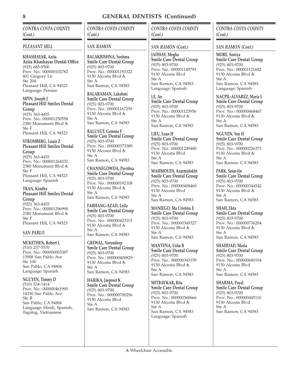*CONTRA COSTA COUNTY (Cont.)*

### *PLEASANT HILL*

**KHASHAYAR, Azita Azita Khashayar Dental Office** (925) 685-9500 Prov. No.: 000000102782 401 Gregory Ln Ste 204 Pleasant Hill, CA 94523 Language: Persian

**SIPIN, Joseph J Pleasant Hill Smiles Dental Group** (925) 363-4455

Prov. No.: 000001250558 2380 Monument Blvd Ste F Pleasant Hill, CA 94523

### **STROMBERG, Louis Z Pleasant Hill Smiles Dental Group**

(925) 363-4455 Prov. No.: 000001264332 2380 Monument Blvd Ste F Pleasant Hill, CA 94523 Language: Spanish

**TRAN, Kimthy Pleasant Hill Smiles Dental Group** (925) 363-4455 Prov. No.: 000001296998 2380 Monument Blvd Ste F Pleasant Hill, CA 94523

### *SAN PABLO*

**MCKETHEN, Robert L** (510) 237-5570 Prov. No.: 000000003387 13908 San Pablo Ave Ste 100 San Pablo, CA 94806 Language: Spanish

**NGUYEN, Timmy D** (510) 234-1414 Prov. No.: 000000461990 14330 San Pablo Ave Ste B San Pablo, CA 94806 Language: Hindi, Spanish, Tagalog, Vietnamese

*CONTRA COSTA COUNTY (Cont.)*

### *SAN RAMON*

**BALAKRISHNA, Sushma Smile Care Dental Group** (925) 803-9700 Prov. No.: 000001193322 9130 Alcosta Blvd Ste A San Ramon, CA 94583

**BALARAMAN, Lakshmi Smile Care Dental Group** (925) 803-9700 Prov. No.: 000001167259 9130 Alcosta Blvd Ste A San Ramon, CA 94583

**BALUYUT, Gemma F Smile Care Dental Group** (925) 803-9700 Prov. No.: 000000373389 9130 Alcosta Blvd Ste A San Ramon, CA 94583

**CHANNEGOWDA, Pavithra Smile Care Dental Group** (925) 803-9700 Prov. No.: 000000192108 9130 Alcosta Blvd Ste A San Ramon, CA 94583

**FARHANG-AZAD, Leila Smile Care Dental Group** (925) 803-9700 Prov. No.: 000000423115 9130 Alcosta Blvd Ste A San Ramon, CA 94583

**GREWAL, Varundeep Smile Care Dental Group** (925) 803-9700 Prov. No.: 000000400829 9130 Alcosta Blvd Ste A San Ramon, CA 94583

**HARIKA, Jaspreet K Smile Care Dental Group** (925) 803-9700 Prov. No.: 000000700296 9130 Alcosta Blvd Ste A San Ramon, CA 94583

*CONTRA COSTA COUNTY (Cont.)*

### *SAN RAMON (Cont.)*

**JADHAV, Megha Smile Care Dental Group** (925) 803-9700 Prov. No.: 000001149793 9130 Alcosta Blvd Ste A San Ramon, CA 94583 Language: Spanish

**LE, An Smile Care Dental Group** (925) 803-9700 Prov. No.: 000001123956 9130 Alcosta Blvd Ste A San Ramon, CA 94583

**LIEU, Loan H Smile Care Dental Group** (925) 803-9700 Prov. No.: 000001249480 9130 Alcosta Blvd Ste A San Ramon, CA 94583

**MAHMOUDI, Azarmidokht Smile Care Dental Group** (925) 803-9700 Prov. No.: 000000408460 9130 Alcosta Blvd Ste A San Ramon, CA 94583

**MANIEGO, Ma Cristina E Smile Care Dental Group** (925) 803-9700 Prov. No.: 000000349327 9130 Alcosta Blvd Ste A San Ramon, CA 94583

**MANTENA, Usha R Smile Care Dental Group** (925) 803-9700 Prov. No.: 000000343159 9130 Alcosta Blvd Ste A San Ramon, CA 94583

**MITBAVKAR, Rita Smile Care Dental Group** (925) 803-9700 Prov. No.: 000000360666 9130 Alcosta Blvd Ste A San Ramon, CA 94583 Language: Spanish

### *CONTRA COSTA COUNTY (Cont.)*

*SAN RAMON (Cont.)*

**MORE, Soniya Smile Care Dental Group** (925) 803-9700 Prov. No.: 000001121682 9130 Alcosta Blvd Ste A San Ramon, CA 94583 Language: Spanish

**NACPIL-ALVAREZ, Maria L Smile Care Dental Group** (925) 803-9700 Prov. No.: 000000468467 9130 Alcosta Blvd Ste A San Ramon, CA 94583

**NGUYEN, Yen H Smile Care Dental Group** (925) 803-9700 Prov. No.: 000000226373 9130 Alcosta Blvd Ste A San Ramon, CA 94583

**PARK, Soon-Jin Smile Care Dental Group** (925) 803-9700 Prov. No.: 000000344542 9130 Alcosta Blvd Ste A San Ramon, CA 94583

**SHAH, Ekta Smile Care Dental Group** (925) 803-9700 Prov. No.: 000000736204 9130 Alcosta Blvd Ste A San Ramon, CA 94583

**SHAHDAD, Maria Smile Care Dental Group** (925) 803-9700 Prov. No.: 000000680194 9130 Alcosta Blvd Ste A San Ramon, CA 94583

**SHARMA, Payal Smile Care Dental Group** (925) 803-9700 Prov. No.: 000000445110 9130 Alcosta Blvd Ste A San Ramon, CA 94583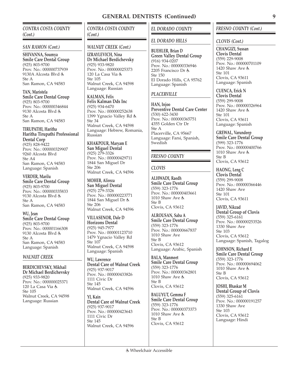### *CONTRA COSTA COUNTY (Cont.)*

### *SAN RAMON (Cont.)*

**SHIVANNA, Soumya Smile Care Dental Group** (925) 803-9700 Prov. No.: 000000737939 9130A Alcosta Blvd Ste A San Ramon, CA 94583

### **TAN, Maristela**

**Smile Care Dental Group** (925) 803-9700 Prov. No.: 000000346844 9130 Alcosta Blvd Ste A San Ramon, CA 94583

### **TIRUPATHI, Haritha**

**Haritha Tirupathi Professional Dental Corp** (925) 828-9422 Prov. No.: 000000329907 9260 Alcosta Blvd  $Sta \Delta 4$ San Ramon, CA 94583 Language: Spanish

### **VERDER, Marilu**

**Smile Care Dental Group** (925) 803-9700 Prov. No.: 000000335833 9130 Alcosta Blvd Ste A San Ramon, CA 94583

**WU, Jean Smile Care Dental Group** (925) 803-9700 Prov. No.: 000001166308 9130 Alcosta Blvd Ste A San Ramon, CA 94583 Language: Spanish

### *WALNUT CREEK*

**BERDICHEVSKY, Mikhail Dr Michael Berdichevsky** (925) 933-9820 Prov. No.: 000000025371 120 La Casa Via & Ste 105 Walnut Creek, CA 94598 Language: Russian

### *CONTRA COSTA COUNTY (Cont.)*

### *WALNUT CREEK (Cont.)*

**IZRAYLEVICH, Nina Dr Michael Berdichevsky** (925) 933-9820 Prov. No.: 000000025373 120 La Casa Via Ste 105 Walnut Creek, CA 94598 Language: Russian

### **KALMAN, Felix**

**Felix Kalman Dds Inc** (925) 934-6470 Prov. No.: 000000252638 1399 Ygnacio Valley Rd Ste 34 Walnut Creek, CA 94598 Language: Hebrew, Romania, Russian

**KHAKPOUR, Maryam E San Miguel Dental** (925) 279-3326 Prov. No.: 000000429711 1844 San Miguel Dr Ste 206 Walnut Creek, CA 94596

**MOHEB, Alireza San Miguel Dental** (925) 279-3326 Prov. No.: 000000223771 1844 San Miguel Dr Ste 206 Walnut Creek, CA 94596

**VILLASENOR, Dale D Horizons Dental** (925) 945-7977 Prov. No.: 000001123710 1479 Ygnacio Valley Rd Ste 107 Walnut Creek, CA 94598 Language: Spanish

**WU, Lawrence Dental Care of Walnut Creek** (925) 937-9017 Prov. No.: 000000433826 1111 Civic Dr Ste 145 Walnut Creek, CA 94596

**YI, Kain Dental Care of Walnut Creek** (925) 937-9017 Prov. No.: 000000423643 1111 Civic Dr Ste 145 Walnut Creek, CA 94596

### *EL DORADO COUNTY*

### *EL DORADO HILLS*

**BUEHLER, Brian D Green Valley Dental Group** (916) 934-0207 Prov. No.: 000000336946 2205 Francisco Dr Ste 150 El Dorado Hills, CA 95762 Language: Spanish

### *PLACERVILLE*

**HAN, Injoo Preventive Dental Care Center** (530) 622-3430 Prov. No.: 000000365751 4355 Golden Ctr Dr Ste A Placerville, CA 95667 Language: Farsi, Spanish, **Swedish** 

### *FRESNO COUNTY*

### *CLOVIS*

**ALHWADI, Raedh Smile Care Dental Group** (559) 323-1776 Prov. No.: 000000403661 1010 Shaw Ave Ste B Clovis, CA 93612

**ALROUSAN, Saba A Smile Care Dental Group** (559) 323-1776 Prov. No.: 000000667837 1010 Shaw Ave Ste B Clovis, CA 93612 Language: Arabic, Spanish

**BALA, Manmeet Smile Care Dental Group** (559) 323-1776 Prov. No.: 000000362801 1010 Shaw Ave Ste B Clovis, CA 93612

**BALUYUT, Gemma F Smile Care Dental Group** (559) 323-1776 Prov. No.: 000000373373 1010 Shaw Ave Ste B Clovis, CA 93612

### *FRESNO COUNTY (Cont.)*

### *CLOVIS (Cont.)*

**CHANGIZI, Sussan Clovis Dental** (559) 229-9008 Prov. No.: 000000701109 1420 Shaw Ave Ste 101 Clovis, CA 93611 Language: Spanish

### **CUENCA, Erick N**

**Clovis Dental** (559) 299-9008 Prov. No.: 000000326964 1420 Shaw Ave & Ste 101 Clovis, CA 93611 Language: Spanish

**GREWAL, Varundeep Smile Care Dental Group** (599) 323-1776 Prov. No.: 000000400766 1010 Shaw Ave Ste B Clovis, CA 93612

**HAONG, Leng C Clovis Dental** (559) 299-9008 Prov. No.: 000000366446 1420 Shaw Ave Ste 101 Clovis, CA 93611

**JAVID, Nikzad Dental Group of Clovis** (559) 325-6161 Prov. No.: 000000253526 1330 Shaw Ave Ste 103 Clovis, CA 93612 Language: Spanish, Tagalog

**JOHNSON, Richard E Smile Care Dental Group** (559) 323-1776 Prov. No.: 000000694062 1010 Shaw Ave & Ste B Clovis, CA 93612

**JOSHI, Bhaskar M Dental Group of Clovis** (559) 325-6161 Prov. No.: 000000191257 1330 Shaw Ave Ste 103 Clovis, CA 93612 Language: Hindi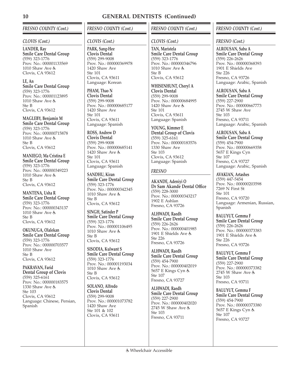### *FRESNO COUNTY (Cont.)*

### *CLOVIS (Cont.)*

**LANDER, Ray Smile Care Dental Group** (559) 323-1776 Prov. No.: 000001133569 1010 Shaw Ave Clovis, CA 93612

**LE, An Smile Care Dental Group** (559) 323-1776 Prov. No.: 000001123895 1010 Shaw Ave Ste B Clovis, CA 93612

**MAGLEBY, Benjamin M Smile Care Dental Group** (559) 323-1776 Prov. No.: 000000715878 1010 Shaw Ave Ste B Clovis, CA 93612

**MANIEGO, Ma Cristina E Smile Care Dental Group** (559) 323-1776 Prov. No.: 000000349223 1010 Shaw Ave Ste B Clovis, CA 93612

**MANTENA, Usha R Smile Care Dental Group** (559) 323-1776 Prov. No.: 000000343137 1010 Shaw Ave Ste B Clovis, CA 93612

**OKUNUGA, Olalekan Smile Care Dental Group** (559) 323-1776 Prov. No.: 000000703577 1010 Shaw Ave Ste B Clovis, CA 93612

**PAKRAVAN, Farid Dental Group of Clovis** (559) 325-6161 Prov. No.: 000000183575 1330 Shaw Ave Ste 103 Clovis, CA 93612 Language: Chinese, Persian, Spanish

### *FRESNO COUNTY (Cont.)*

### *CLOVIS (Cont.)*

**PARK, Sang-Hee Clovis Dental** (559) 299-9008 Prov. No.: 000000369978 1420 Shaw Ave Ste 101 Clovis, CA 93611 Language: Korean

**PHAM, Thao N Clovis Dental** (559) 299-9008 Prov. No.: 000000685177 1420 Shaw Ave Ste 101 Clovis, CA 93611 Language: Spanish

**ROSS, Andrew D Clovis Dental** (559) 299-9008 Prov. No.: 000000685141 1420 Shaw Ave & Ste 101 Clovis, CA 93611 Language: Spanish

**SANDHU, Kiran Smile Care Dental Group** (559) 323-1776 Prov. No.: 000000342345 1010 Shaw Ave Ste B Clovis, CA 93612

**SINGH, Satinder P Smile Care Dental Group** (559) 323-1776 Prov. No.: 000001106495 1010 Shaw Ave & Ste B Clovis, CA 93612

**SISODIA, Kulwant S Smile Care Dental Group** (559) 323-1776 Prov. No.: 000001193034 1010 Shaw Ave & Ste B Clovis, CA 93612

**SOLANO, Alfredo Clovis Dental** (559) 299-9008 Prov. No.: 000001073782 1420 Shaw Ave Ste 101 & 102 Clovis, CA 93611

### *FRESNO COUNTY (Cont.)*

### *CLOVIS (Cont.)*

**TAN, Maristela Smile Care Dental Group** (559) 323-1776 Prov. No.: 000000346796 1010 Shaw Ave Ste B Clovis, CA 93612

**WHISENHUNT, Cheryl A Clovis Dental** (559) 299-9008 Prov. No.: 000000684995 1420 Shaw Ave Ste 101 Clovis, CA 93611 Language: Spanish

**YOUNG, Kimmer E Dental Group of Clovis** (559) 325-6161 Prov. No.: 000000183576 1330 Shaw Ave Ste 103 Clovis, CA 93612 Language: Spanish

### *FRESNO*

**AKANDE, Adeniyi O Dr Sam Akande Dental Office** (559) 228-3000 Prov. No.: 000000343217 1902 E Ashlan Fresno, CA 93726

**ALHWADI, Raedh Smile Care Dental Group** (559) 226-2626 Prov. No.: 000000401985 1901 E Shields Ave Ste 226 Fresno, CA 93726

**ALHWADI, Raedh Smile Care Dental Group** (559) 454-7900 Prov. No.: 000000402019 5657 E Kings Cyn & Ste 107 Fresno, CA 93727

**ALHWADI, Raedh Smile Care Dental Group** (559) 227-2900 Prov. No.: 000000402020 2745 W Shaw Ave Ste 103 Fresno, CA 93711

### *FRESNO COUNTY (Cont.)*

### *FRESNO (Cont.)*

**ALROUSAN, Saba A Smile Care Dental Group** (559) 226-2626 Prov. No.: 000000368393 1901 E Shields Ave  $Sta 226$ Fresno, CA 93726 Language: Arabic, Spanish

**ALROUSAN, Saba A Smile Care Dental Group** (559) 227-2900 Prov. No.: 000000667773 2745 W Shaw Ave Ste 103 Fresno, CA 93711 Language: Arabic, Spanish

**ALROUSAN, Saba A Smile Care Dental Group** (559) 454-7900 Prov. No.: 000000669358 5657 E Kings Cyn Ste 107 Fresno, CA 93727 Language: Arabic, Spanish

**AVAKIAN, Artashes** (559) 447-5454 Prov. No.: 000000203598 7269 N First St Ste 101 Fresno, CA 93720 Language: Armenian, Russian, Spanish

**BALUYUT, Gemma F Smile Care Dental Group** (559) 226-2626 Prov. No.: 000000373383 1901 E Shields Ave Ste 226 Fresno, CA 93726

**BALUYUT, Gemma F Smile Care Dental Group** (559) 227-2900 Prov. No.: 000000373382 2745 W Shaw Ave Ste 103 Fresno, CA 93711

**BALUYUT, Gemma F Smile Care Dental Group** (559) 454-7900 Prov. No.: 000000373380 5657 E Kings Cyn Ste 107 Fresno, CA 93727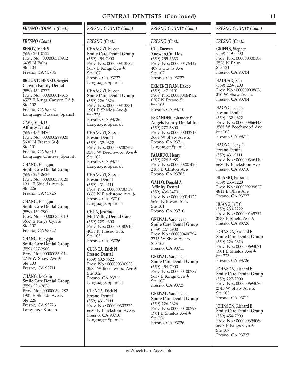### *FRESNO COUNTY (Cont.)*

### *FRESNO (Cont.)*

**BENOV, Mark S** (559) 261-0122 Prov. No.: 000000340912 6495 N Palm Ste 104 Fresno, CA 93704

**BROUNTCHENKO, Sergiei Canyon Family Dental** (559) 454-0777 Prov. No.: 000000017315 4577 E Kings Canyon Rd Ste 102 Fresno, CA 93702 Language: Russian, Spanish

### **CAVE, Mark D**

**Affinity Dental** (559) 436-3470 Prov. No.: 000000299020 5690 N Fresno St Ste 101 Fresno, CA 93710 Language: Chinese, Spanish

**CHANG, Hongqiu Smile Care Dental Group** (559) 226-2626 Prov. No.: 000000350120 1901 E Shields Ave Ste 226 Fresno, CA 93726

**CHANG, Hongqiu Smile Care Dental Group** (559) 454-7900 Prov. No.: 000000350110 5657 E Kings Cyn Ste 107 Fresno, CA 93727

**CHANG, Hongqiu Smile Care Dental Group** (559) 227-2900 Prov. No.: 000000350114 2745 W Shaw Ave Ste 103 Fresno, CA 93711

**CHANG, Kookjin Smile Care Dental Group** (559) 226-2626 Prov. No.: 000000394282 1901 E Shields Ave Ste 226 Fresno, CA 93726 Language: Korean

### *FRESNO COUNTY (Cont.)*

### *FRESNO (Cont.)*

**CHANGIZI, Sussan Smile Care Dental Group** (559) 454-7900 Prov. No.: 000000313582 5657 E Kings Cyn Ste 107 Fresno, CA 93727 Language: Spanish

**CHANGIZI, Sussan Smile Care Dental Group** (559) 226-2626 Prov. No.: 000000313331 1901 E Shields Ave Ste 226 Fresno, CA 93726 Language: Spanish

**CHANGIZI, Sussan Fresno Dental** (559) 432-0622 Prov. No.: 000000700762 3585 W Beechwood Ave Ste 102 Fresno, CA 93711 Language: Spanish

**CHANGIZI, Sussan Fresno Dental** (559) 431-9111 Prov. No.: 000000700759 6680 N Blackstone Ave Fresno, CA 93710 Language: Spanish

**CHUA, Josefina Mid Valley Dental Care** (559) 228-9300 Prov. No.: 000000180910 4035 N Fresno St Ste 105 Fresno, CA 93726

**CUENCA, Erick N Fresno Dental** (559) 432-0622 Prov. No.: 000000300938 3585 W Beechwood Ave Ste 102 Fresno, CA 93711 Language: Spanish

**CUENCA, Erick N Fresno Dental** (559) 431-9111 Prov. No.: 000000303372 6680 N Blackstone Ave Fresno, CA 93710 Language: Spanish

### *FRESNO COUNTY (Cont.)*

### *FRESNO (Cont.)*

**CUI, Xuewen Xuewen,Cui Dds** (559) 255-3333 Prov. No.: 000000175449 407 S Clovis Ave Ste 107 Fresno, CA 93727

**EKMEKCHYAN, Hakob** (559) 447-0101 Prov. No.: 000000464952 6307 N Fresno St Ste 105 Fresno, CA 93710

**ESKANDER, Eskander Y Angels Family Dental Inc** (559) 277-5800 Prov. No.: 000000033717 3664 W Shaw Ave Fresno, CA 93711 Language: Spanish

**FAJARDO, Henry** (559) 224-5988 Prov. No.: 000000207420 2100 E Clinton Ave Fresno, CA 93703

**GALLO, Donald A Affinity Dental** (559) 436-3470 Prov. No.: 000000014122 5690 N Fresno St Ste 101 Fresno, CA 93710

**GREWAL, Varundeep Smile Care Dental Group** (559) 227-2900 Prov. No.: 000000400794 2745 W Shaw Ave Ste 103 Fresno, CA 93711

**GREWAL, Varundeep Smile Care Dental Group** (559) 454-7900 Prov. No.: 000000400789 5657 E Kings Cyn Ste 107 Fresno, CA 93727

**GREWAL, Varundeep Smile Care Dental Group** (559) 226-2626 Prov. No.: 000000400798 1901 E Shields Ave Ste 226 Fresno, CA 93726

### *FRESNO COUNTY (Cont.)*

### *FRESNO (Cont.)*

**GRIFFIN, Stephen** (559) 449-0500 Prov. No.: 000000300186 5528 N Palm Ste 121 Fresno, CA 93704

**HADDAD, Raji** (559) 229-8200 Prov. No.: 000000008676 310 W Shaw Ave Fresno, CA 93704

**HAONG, Leng C Fresno Dental** (559) 432-0622 Prov. No.: 000000366448 3585 W Beechwood Ave Ste 102 Fresno, CA 93711

**HAONG, Leng C Fresno Dental** (559) 431-9111 Prov. No.: 000000366449 6680 N Blackstone Ave Fresno, CA 93710

**HILARIO, Eufracio** (559) 255-5228 Prov. No.: 000000299827 4811 E Olive Ave Fresno, CA 93727

**HUANG, Jeff C** (559) 230-2222 Prov. No.: 000000169754 3738 E Shield Ave Fresno, CA 93726

**JOHNSON, Richard E Smile Care Dental Group** (559) 226-2626 Prov. No.: 000000694071 1901 E Shields Ave Ste 226 Fresno, CA 93726

**JOHNSON, Richard E Smile Care Dental Group** (559) 227-2900 Prov. No.: 000000694070 2745 W Shaw Ave Ste 103 Fresno, CA 93711

**JOHNSON, Richard E Smile Care Dental Group** (559) 454-7900 Prov. No.: 000000694069 5657 E Kings Cyn Ste 107 Fresno, CA 93727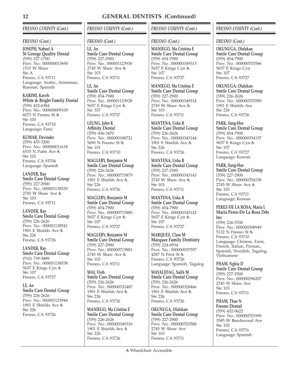### *FRESNO COUNTY (Cont.)*

### *FRESNO (Cont.)*

**JOSEPH, Nabeel A St George Quality Dental** (559) 227-1700 Prov. No.: 000000013690 1515 W Shaw  $Sta \Delta$ Fresno, CA 93711 Language: Arabic, Armenian, Russian, Spanish

**KARIMI, Kaveh White & Bright Family Dental** (559) 432-6384 Prov. No.: 000000009109 6073 N Fresno St Ste 103 Fresno, CA 93710 Language: Farsi

**KUMAR, Devinder** (559) 435-3200 Prov. No.: 000000011618 6535 N Palm Ave Ste 102 Fresno, CA 93704 Language: Spanish

**LANDER, Ray Smile Care Dental Group** (559) 227-2900 Prov. No.: 000001138539 2745 W Shaw Ave Ste 103 Fresno, CA 93711

**LANDER, Ray Smile Care Dental Group** (559) 226-2626 Prov. No.: 000001138541 1901 E Shields Ave Ste 226 Fresno, CA 93726

**LANDER, Ray Smile Care Dental Group** (510) 739-3889 Prov. No.: 000001138538 5657 E Kings Cyn & Ste 107 Fresno, CA 93727

**LE, An Smile Care Dental Group** (559) 226-2626 Prov. No.: 000001123944 1901 E Shields Ave Ste 226 Fresno, CA 93726

### *FRESNO COUNTY (Cont.)*

### *FRESNO (Cont.)*

**LE, An Smile Care Dental Group** (559) 227-2900 Prov. No.: 000001123930 2745 W Shaw Ave  $Sta$  103 Fresno, CA 93711

**LE, An Smile Care Dental Group** (559) 454-7900 Prov. No.: 000001123928 5657 E Kings Cyn & Ste 107 Fresno, CA 93727

**LEUNG, John K Affinity Dental** (559) 436-3470 Prov. No.: 000000188721 5690 N Fresno St Ste 101 Fresno, CA 93710

**MAGLEBY, Benjamin M Smile Care Dental Group** (559) 226-2626 Prov. No.: 000000715879 1901 E Shields Ave Ste 226 Fresno, CA 93726

**MAGLEBY, Benjamin M Smile Care Dental Group** (559) 454-7900 Prov. No.: 000000715880 5657 E Kings Cyn & Ste 107 Fresno, CA 93727

**MAGLEBY, Benjamin M Smile Care Dental Group** (559) 227-2900 Prov. No.: 000000715881 2745 W Shaw Ave Ste 103 Fresno, CA 93711

**MAI, Vinh Smile Care Dental Group** (559) 226-2626 Prov. No.: 000000332487 1901 E Shields Ave & Ste 226 Fresno, CA 93726

**MANIEGO, Ma Cristina E Smile Care Dental Group** (559) 226-2626 Prov. No.: 000000349316 1901 E Shields Ave Ste 226 Fresno, CA 93726

### *FRESNO COUNTY (Cont.)*

### *FRESNO (Cont.)*

**MANIEGO, Ma Cristina E Smile Care Dental Group** (559) 454-7900 Prov. No.: 000000349313 5657 E Kings Cyn Ste 107 Fresno, CA 93727

**MANIEGO, Ma Cristina E Smile Care Dental Group** (559) 227-2900 Prov. No.: 000000349314 2745 W Shaw Ave Ste 103 Fresno, CA 93711

**MANTENA, Usha R Smile Care Dental Group** (559) 226-2626 Prov. No.: 000000343144 1901 E Shields Ave Ste 226 Fresno, CA 93726

**MANTENA, Usha R Smile Care Dental Group** (559) 227-2900 Prov. No.: 000000343143 2745 W Shaw Ave Ste 103 Fresno, CA 93711

**MANTENA, Usha R Smile Care Dental Group** (559) 454-7900 Prov. No.: 000000343142 5657 E Kings Cyn & Ste 107 Fresno, CA 93727

**MARQUEZ, Claro M Marquez Family Dentistry** (559) 224-6934 Prov. No.: 000000037597 4287 N First St Fresno, CA 93726 Language: Spanish, Tagalog

**MAYALIDAG, Salih M Smile Care Dental Group** (559) 226-2626 Prov. No.: 000000328466 1901 E Shields Ave & Ste 226 Fresno, CA 93726

**OKUNUGA, Olalekan Smile Care Dental Group** (559) 227-2900 Prov. No.: 000000703588 2745 W Shaw Ave Ste 103 Fresno, CA 93711

### *FRESNO COUNTY (Cont.)*

### *FRESNO (Cont.)*

**OKUNUGA, Olalekan Smile Care Dental Group** (559) 454-7900 Prov. No.: 000000703586 5657 E Kings Cyn Ste 107 Fresno, CA 93727

**OKUNUGA, Olalekan Smile Care Dental Group** (559) 226-2626 Prov. No.: 000000703589 1901 E Shields Ave Ste 226 Fresno, CA 93726

**PARK, Sang-Hee Smile Care Dental Group** (559) 454-7900 Prov. No.: 000000354157 5657 E Kings Cyn Ste 107 Fresno, CA 93727 Language: Korean

**PARK, Sang-Hee Smile Care Dental Group** (559) 227-2900 Prov. No.: 000000354158 2745 W Shaw Ave Ste 103 Fresno, CA 93711 Language: Korean

### **PEREZ-DE LA ROSA, Maria L Maria Perez-De La Rosa Dds Inc**

(559) 226-5700 Prov. No.: 000000308949 5132 N Fresno St Fresno, CA 93710 Language: Chinese, Farsi, French, Italian, Persian, Spanish, Swedish, Tagalog, Vietnamese

**PHAM, Nghia D Smile Care Dental Group** (559) 227-2900 Prov. No.: 000000296207 2745 W Shaw Ave Ste 103 Fresno, CA 93711

**PHAM, Thao N Fresno Dental** (559) 432-0622 Prov. No.: 000000701999 3585 W Beechwood Ave Ste 102 Fresno, CA 93711 Language: Spanish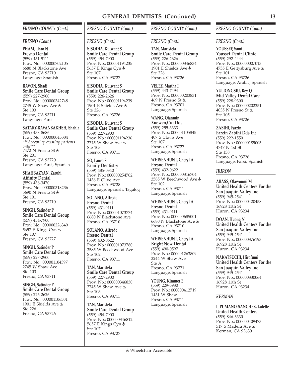### *FRESNO COUNTY (Cont.)*

### *FRESNO (Cont.)*

**PHAM, Thao N Fresno Dental** (559) 431-9111 Prov. No.: 000000702105 6680 N Blackstone Ave Fresno, CA 93710 Language: Spanish

**RAVON, Shadi Smile Care Dental Group** (559) 227-2900 Prov. No.: 000000342748 2745 W Shaw Ave Ste 103 Fresno, CA 93711 Language: Farsi

**SATARY-RAVANBAKHSH, Shahla** (559) 438-8686 Prov. No.: 000000045384 *\*\*\*Accepting existing patients only\*\*\** 7472 N Fresno St Ste 201 Fresno, CA 93720 Language: Farsi, Spanish

**SHAHBAZYAN, Zaruhi Affinity Dental** (559) 436-3470 Prov. No.: 000000318236 5690 N Fresno St Ste 101 Fresno, CA 93710

**SINGH, Satinder P Smile Care Dental Group** (559) 454-7900 Prov. No.: 000000226349 5657 E Kings Cyn Ste 107 Fresno, CA 93727

**SINGH, Satinder P Smile Care Dental Group** (559) 227-2900 Prov. No.: 000001104397 2745 W Shaw Ave Ste 103 Fresno, CA 93711

**SINGH, Satinder P Smile Care Dental Group** (559) 226-2626 Prov. No.: 000001106501 1901 E Shields Ave Ste 226 Fresno, CA 93726

### *FRESNO COUNTY (Cont.)*

### *FRESNO (Cont.)*

**SISODIA, Kulwant S Smile Care Dental Group** (559) 454-7900 Prov. No.: 000001194235 5657 E Kings Cyn Ste 107 Fresno, CA 93727

**SISODIA, Kulwant S Smile Care Dental Group** (559) 226-2626 Prov. No.: 000001194239 1901 E Shields Ave Ste 226 Fresno, CA 93726

**SISODIA, Kulwant S Smile Care Dental Group** (559) 227-2900 Prov. No.: 000001194236 2745 W Shaw Ave Ste 103 Fresno, CA 93711

**SO, Lauro S Family Dentistry** (559) 485-0340 Prov. No.: 000000254702 1436 E Olive Ave Fresno, CA 93728 Language: Spanish, Tagalog

**SOLANO, Alfredo Fresno Dental** (559) 431-9111 Prov. No.: 000001073774 6680 N Blackstone Ave Fresno, CA 93710

**SOLANO, Alfredo Fresno Dental** (559) 432-0622 Prov. No.: 000001073780 3585 W Beechwood Ave Ste 102 Fresno, CA 93711

**TAN, Maristela Smile Care Dental Group** (559) 227-2900 Prov. No.: 000000346830 2745 W Shaw Ave Ste 103 Fresno, CA 93711

**TAN, Maristela Smile Care Dental Group** (559) 454-7900 Prov. No.: 000000346812 5657 E Kings Cyn Ste 107 Fresno, CA 93727

### *FRESNO COUNTY (Cont.)*

### *FRESNO (Cont.)*

**TAN, Maristela Smile Care Dental Group** (559) 226-2626 Prov. No.: 000000346834 1901 E Shields Ave  $Sta 226$ Fresno, CA 93726

**VELEZ, Martha I** (559) 443-7494 Prov. No.: 000000203831 469 N Fresno St Fresno, CA 93701 Language: Spanish

**WANG, Qianmin Xuewen,Cui Dds**

(559) 255-3333 Prov. No.: 000001105845 407 S Clovis Ave Ste 107 Fresno, CA 93727 Language: Spanish

**WHISENHUNT, Cheryl A Fresno Dental** (559) 432-0622 Prov. No.: 000000316704 3585 W Beechwood Ave Ste 102 Fresno, CA 93711 Language: Spanish

**WHISENHUNT, Cheryl A Fresno Dental** (559) 431-9111 Prov. No.: 000000685001 6680 N Blackstone Ave Fresno, CA 93710 Language: Spanish

**WHISENHUNT, Cheryl A Bright Now Dental** (559) 490-0597 Prov. No.: 000001263809 3244 W Shaw Ave Ste A Fresno, CA 93771 Language: Spanish

**YOUNG, Kimmer E** (559) 229-5930 Prov. No.: 000000412719 1431 W Shaw Fresno, CA 93711 Language: Spanish

### *FRESNO COUNTY (Cont.)*

### *FRESNO (Cont.)*

**YOUSSEF, Sami I Youssef Dental Clinic** (559) 292-4444 Prov. No.: 000000007013 4755 E Gettysburg Ave Ste 101 Fresno, CA 93726 Language: Arabic, Spanish

**YULIONGSIU, Rey Q Mid Valley Dental Care** (559) 228-9300 Prov. No.: 000000202351 4035 N Fresno St Ste 105 Fresno, CA 93726

**ZABIHI, Farzin Farzin Zabihi Dds Inc** (559) 222-1550 Prov. No.: 000000189005 4747 N 1st St Ste 138 Fresno, CA 93726 Language: Farsi, Spanish

### *HURON*

**ABASS, Olawonmi M United Health Centers For the San Joaquin Valley Inc** (559) 945-2541 Prov. No.: 000000420458 16928 11th St Huron, CA 93234

**DOAN, Huong N United Health Centers For the San Joaquin Valley Inc** (559) 945-2541 Prov. No.: 000000376193 16928 11th St Huron, CA 93234

**NAKATSUCHI, Hirofumi United Health Centers For the San Joaquin Valley Inc** (559) 945-2541 Prov. No.: 000000330064 16928 11th St Huron, CA 93234

### *KERMAN*

**LIPUMANO-SANCHEZ, Lulette United Health Centers** (559) 846-6330 Prov. No.: 000000409473 517 S Madera Ave Kerman, CA 93630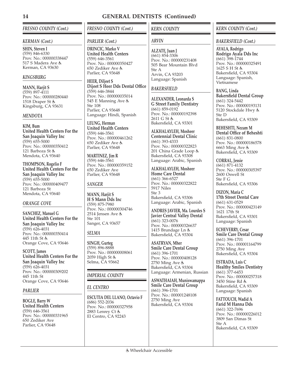### *FRESNO COUNTY (Cont.)*

### *KERMAN (Cont.)*

**SHIN, Steven I** (559) 846-6330 Prov. No.: 000000338447 517 S Madera Ave Kerman, CA 93630

### *KINGSBURG*

**MANN, Harjit S** (559) 897-4111 Prov. No.: 000000280440 1518 Draper St Kingsburg, CA 93631

### *MENDOTA*

**KIM, Bum United Health Centers For the San Joaquin Valley Inc** (559) 655-5000 Prov. No.: 000000350412 121 Barboza St & Mendota, CA 93640

**THOMPSON, Rogelio F United Health Centers For the San Joaquin Valley Inc** (559) 655-5000 Prov. No.: 000000409477 121 Barboza St Mendota, CA 93640

### *ORANGE COVE*

**SANCHEZ, Manuel G United Health Centers For the San Joaquin Valley Inc** (559) 626-4031 Prov. No.: 000000350414 445 11th St Orange Cove, CA 93646

**SCOTT, James United Health Centers For the San Joaquin Valley Inc** (559) 626-4031 Prov. No.: 000000309202 445 11th St Orange Cove, CA 93646

### *PARLIER*

**BOGLE, Barry W United Health Centers** (559) 646-3561 Prov. No.: 000000331965 650 Zediker Ave Parlier, CA 93648

### *FRESNO COUNTY (Cont.)*

### *PARLIER (Cont.)*

**DRINCIC, Marko V United Health Centers** (559) 646-3561 Prov. No.: 000000350427 650 Zediker Ave Parlier, CA 93648

**HEER, Diljeet S Dijeet S Heer Dds Dental Office** (559) 646-3844 Prov. No.: 000000035014 545 E Manning Ave Ste 108 Parlier, CA 93648 Language: Hindi, Spanish

**LEUNG, Herman United Health Centers** (559) 646-3561 Prov. No.: 000000461262 650 Zediker Ave Parlier, CA 93648

**MARTINEZ, Jim R** (559) 646-3561 Prov. No.: 000000359152 650 Zediker Ave Parlier, CA 93648

### *SANGER*

**MANN, Harjit S H S Mann Dds Inc** (559) 875-7980 Prov. No.: 000000304746 2514 Jensen Ave Ste 101 Sanger, CA 93657

### *SELMA*

**SINGH, Gurteg** (559) 896-8888 Prov. No.: 000000008061 2059 High St Selma, CA 93662

*IMPERIAL COUNTY*

### *EL CENTRO*

**ESCUTIA DEL LLANO, Octavio F** (686) 552-2036 Prov. No.: 000000327958 2883 Lenrey Ct & El Centro, CA 92243

### *KERN COUNTY*

### *ARVIN*

**ALZATE, Juan J** (661) 854-3306 Prov. No.: 000000231408 505 Bear Mountain Blvd Ste A Arvin, CA 93203 Language: Spanish

### *BAKERSFIELD*

**ALEXANDER, Leonarda S G Street Family Dentistry** (661) 859-0192 Prov. No.: 000000192398 2611 G St 点 Bakersfield, CA 93301

**ALKHALAYLEH, Mosheer Centennial Dental Clinic** (661) 393-4333 Prov. No.: 000000322823 201 China Grade Loop Bakersfield, CA 93308 Language: Arabic, Spanish

**ALKHALAYLEH, Mosheer Home Care Dental** (661) 366-6527 Prov. No.: 000000322822 5917 Niles Ste 3 Bakersfield, CA 93306 Language: Arabic, Spanish

**ANDRES JAVIER, Ma. Lourdes S Javier Central Valley Dental** (661) 323-0076 Prov. No.: 000000326637 1415 Brundage Ln & Bakersfield, CA 93304

**ASATRYAN, Mher Smile Care Dental Group** (661) 396-1701 Prov. No.: 000000408128 2750 Ming Ave Bakersfield, CA 93304 Language: Armenian, Russian

**ASWATHAIAH, Muniswamappa Smile Care Dental Group** (661) 396-1701 Prov. No.: 000001248108 2750 Ming Ave Bakersfield, CA 93304

### *KERN COUNTY (Cont.)*

### *BAKERSFIELD (Cont.)*

**AYALA, Rodrigo Rodrigo Ayala Dds Inc** (661) 398-1744 Prov. No.: 000000325491 1625 S H St Bakersfield, CA 93304 Language: Spanish, Vietnamese

**BANG, Linda Bakersfield Dental Group** (661) 324-5442 Prov. No.: 000000193131 5120 Stockdale Hwy Ste D Bakersfield, CA 93309

**BEHESHTI, Nezam M Dental Office of Beheshti** (661) 831-0800 Prov. No.: 000000186578 6663 Ming Ave Bakersfield, CA 93309

**CORRAL, Jessie** (661) 871-4132 Prov. No.: 000000305397 2600 Oswell St Ste F G Bakersfield, CA 93306

**DIZON, Maria C 17th Street Dental Care** (661) 631-0529 Prov. No.: 000000423149 1621 17th St Bakersfield, CA 93301 Language: Spanish

**ECHEVERRY, Cesar Smile Care Dental Group** (661) 396-1701 Prov. No.: 000001164799 2750 Ming Ave Bakersfield, CA 93304

**ESTRADA, Luis C Healthy Smiles Dentistry** (661) 377-6453 Prov. No.: 000000257318 3450 Stine Rd Bakersfield, CA 93309 Language: Spanish

**FATTOUCH, Wadid A Farid M Hanna Dds** (661) 322-7696 Prov. No.: 000000226012 3809 San Dimas St Ste A Bakersfield, CA 93309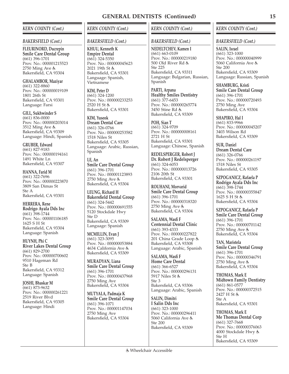### *KERN COUNTY (Cont.)*

### *BAKERSFIELD (Cont.)*

**FLEURINORD, Ducrepin Smile Care Dental Group** (661) 396-1701 Prov. No.: 000001215523 2750 Ming Ave Bakersfield, CA 93304

**GHALAMBOR, Maziyar** (661) 322-8860 Prov. No.: 000000019109 1801 26th St Bakersfield, CA 93301 Language: Farsi

**GILL, Sukhwinder S** (661) 836-0000 Prov. No.: 000000203014 3512 Ming Ave & Bakersfield, CA 93309 Language: Hindi, Spanish

**GRUBER, Edward** (661) 827-9183 Prov. No.: 000000194161 1491 White Ln Bakersfield, CA 93307

**HANNA, Farid M** (661) 322-7696 Prov. No.: 000000223870 3809 San Dimas St Ste A Bakersfield, CA 93301

**HERRERA, Rene Rodrigo Ayala Dds Inc** (661) 398-1744 Prov. No.: 000001106185 1625 S H St Bakersfield, CA 93304 Language: Spanish

**HUYNH, Phi C River Lakes Dental Group** (661) 829-2700 Prov. No.: 000000700602 9510 Hageman Rd Ste B Bakersfield, CA 93312 Language: Spanish

**JOSHI, Bhaskar M** (661) 873-9632 Prov. No.: 000000261221 2519 River Blvd Bakersfield, CA 93305 Language: Hindi

### *KERN COUNTY (Cont.)*

### *BAKERSFIELD (Cont.)*

**KHUU, Kenneth K Empire Dental**  $(66\overline{1})$  324-5350 Prov. No.: 000000045623 2021 19th St Bakersfield, CA 93301 Language: Spanish, Vietnamese

**KIM, Peter D** (661) 324-1200 Prov. No.: 000000233253 2520 H St 点 Bakersfield, CA 93301

**KIM, Yuseok Dream Dental Care** (661) 326-0766 Prov. No.: 000000253582 1518 Niles St Bakersfield, CA 93305 Language: Arabic, Russian, Spanish

**LE, An Smile Care Dental Group** (661) 396-1701 Prov. No.: 000001123893 2750 Ming Ave Bakersfield, CA 93304

**LEUNG, Richard H Bakersfield Dental Group** (661) 324-5442 Prov. No.: 000000691555 5120 Stockdale Hwy Ste D Bakersfield, CA 93309 Language: Spanish

**MCMILLIN, Evan J** (661) 323-3095 Prov. No.: 000000053884 4634 California Ave Bakersfield, CA 93309

**MURADYAN, Liana Smile Care Dental Group** (661) 396-1701 Prov. No.: 000000437968 2750 Ming Ave Bakersfield, CA 93304

**MUTYALA, Padmaja K Smile Care Dental Group** (661) 396-1071 Prov. No.: 000001147034 2750 Ming Ave Bakersfield, CA 93304

### *KERN COUNTY (Cont.)*

### *BAKERSFIELD (Cont.)*

**NEDELTCHEV, Kamen I** (661) 663-0109 Prov. No.: 000000219180 500 Old River Rd Ste 225 Bakersfield, CA 93311 Language: Bulgarian, Russian, Spanish

**PARTI, Arpana Healthy Smiles Dentistry** (661) 377-6453 Prov. No.: 000000265774 3450 Stine Rd Bakersfield, CA 93309

**POH, Sian T** (661) 324-9709 Prov. No.: 000000008161 2721 H St Bakersfield, CA 93301 Language: Chinese, Spanish

**REDELSPERGER, Robert J Dr. Robert J Redelsperger** (661) 324-6053 Prov. No.: 000000013726 2106 20th St Bakersfield, CA 93301

**ROUHANI, Morvarid Smile Care Dental Group** (661) 396-1701 Prov. No.: 000000318320 2750 Ming Ave Bakersfield, CA 93304

**SALAMA, Wasfi F Centennial Dental Clinic** (661) 393-4333 Prov. No.: 000000227822 201 China Grade Loop Bakersfield, CA 93308 Language: Arabic, Spanish

**SALAMA, Wasfi F Home Care Dental** (661) 366-6527 Prov. No.: 000000296131 5917 Niles St Ste 3 Bakersfield, CA 93306 Language: Arabic, Spanish

**SALIN, Dimitri I Salin Dds Inc** (661) 323-1000 Prov. No.: 000000296411 5060 California Ave Ste 200 Bakersfield, CA 93309

### *KERN COUNTY (Cont.)*

### *BAKERSFIELD (Cont.)*

**SALIN, Israel** (661) 323-1000 Prov. No.: 000000040999 5060 California Ave Ste 200 Bakersfield, CA 93309 Language: Russian, Spanish

**SHAMBURG, Kristi Smile Care Dental Group** (661) 396-1701 Prov. No.: 000000720493 2750 Ming Ave Bakersfield, CA 93304

**SHAPIRO, Hal I** (661) 833-9966 Prov. No.: 000000045207 3403 Wilson Rd Bakersfield, CA 93309

**SUR, Daniel Dream Dental Care** (661) 326-0766 Prov. No.: 000000261197 1518 Niles St Bakersfield, CA 93305

**SZPOGANICZ, Rafaela P Rodrigo Ayala Dds Inc** (661) 398-1744 Prov. No.: 000000355847 1625 S H St Bakersfield, CA 93304

**SZPOGANICZ, Rafaela P Smile Care Dental Group** (661) 396-1701 Prov. No.: 000000701142 2750 Ming Ave Bakersfield, CA 93304

**TAN, Maristela Smile Care Dental Group** (661) 396-1701 Prov. No.: 000000346791 2750 Ming Ave Bakersfield, CA 93304

**THOMAS, Mark E Midtown Family Dentistry** (661) 861-0577 Prov. No.: 000000372515 2427 H St 点 Ste A Bakersfield, CA 93301

**THOMAS, Mark E Me Thomas Dental Corp** (661) 327-7668 Prov. No.: 000000376063 4000 Stockdale Hwy Ste H Bakersfield, CA 93309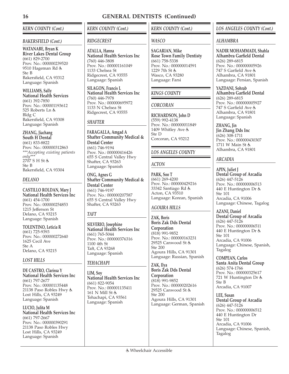### *KERN COUNTY (Cont.)*

### *BAKERSFIELD (Cont.)*

**WATANABE, Bryan K River Lakes Dental Group** (661) 829-2700 Prov. No.: 000000239520 9510 Hageman Rd Ste B Bakersfield, CA 93312 Language: Spanish

**WILLIAMS, Sally National Health Services** (661) 392-7850 Prov. No.: 000001193612 525 Roberts Ln & Bldg C Bakersfield, CA 93308 Language: Spanish

### **ZHANG, Jiachang**

**South H Dental** (661) 833-8822 Prov. No.: 000000312863 *\*\*\*Accepting existing patients only\*\*\** 2707 S H St よ Ste B Bakersfield, CA 93304

### *DELANO*

**CASTILLO ROLDAN, Mary J National Health Services Inc** (661) 454-1700 Prov. No.: 000000254853 1215 Jefferson St Delano, CA 93215 Language: Spanish

**TOLENTINO, Leticia R** (661) 725-9393 Prov. No.: 000000272640 1625 Cecil Ave Ste A Delano, CA 93215

### *LOST HILLS*

**DE CASTRO, Clarissa Y National Health Services Inc** (661) 797-2677 Prov. No.: 000001135448 21138 Paso Robles Hwy Lost Hills, CA 93249 Language: Spanish

**LUCIO, Julita M National Health Services Inc** (661) 797-2667 Prov. No.: 000000390291 21138 Paso Robles Hwy Lost Hills, CA 93249 Language: Spanish

*KERN COUNTY (Cont.)*

### *RIDGECREST*

**ATALLA, Hanna National Health Services Inc** (760) 446-3808 Prov. No.: 000001161049 1133 Chelsea St Ridgecrest, CA 93555 Language: Spanish

**SILAGON, Francis L National Health Services Inc** (760) 446-7978 Prov. No.: 000000695972 1133 N Chelsea St Ridgecrest, CA 93555

### *SHAFTER*

**FARAGALLA, Amgad A Shafter Community Medical & Dental Center** (661) 746-9194 Prov. No.: 000000416426 655 S Central Valley Hwy Shafter, CA 93263 Language: Spanish

**ONG, Agnes G Shafter Community Medical & Dental Center** (661) 746-9197 Prov. No.: 000000207587 655 S Central Valley Hwy Shafter, CA 93263

### *TAFT*

**SILVERIO, Josephine National Health Services Inc** (661) 765-5044 Prov. No.: 000000376316 1100 4th St Taft, CA 93268 Language: Spanish

### *TEHACHAPI*

**LIM, Soy National Health Services Inc** (661) 822-9054 Prov. No.: 000001135411 161 N Mill St & Tehachapi, CA 93561 Language: Spanish

### *KERN COUNTY (Cont.)*

### *WASCO*

**SAGARIAN, Mike Rose Town Family Dentisty** (661) 758-5338 Prov. No.: 000000014591 1229 7th St Wasco, CA 93280 Language: Farsi

### *KINGS COUNTY*

### *CORCORAN*

**RICHARDSON, John D** (559) 992-4138 Prov. No.: 000000011849 1409 Whitley Ave Ste D Corcoran, CA 93212

### *LOS ANGELES COUNTY*

### *ACTON*

**PARK, Soo T** (661) 269-4200 Prov. No.: 000000429216 33342 Santiago Rd Acton, CA 93510 Language: Korean, Spanish

### *AGOURA HILLS*

**ZAK, Boris Boris Zak Dds Dental Corporation** (818) 991-9852 Prov. No.: 000000163231 29525 Canwood St Ste 200 Agoura Hills, CA 91301 Language: Russian, Spanish

**ZAK, Ilya Boris Zak Dds Dental Corporation** (818) 991-9852 Prov. No.: 000000202616 29525 Canwood St Ste 200 Agoura Hills, CA 91301 Language: German, Spanish

### *LOS ANGELES COUNTY (Cont.)*

### *ALHAMBRA*

**NADIR MOHAMMADI, Shahla Alhambra Garfield Dental** (626) 289-6815 Prov. No.: 000000005926 747 S Garfield Ave Alhambra, CA 91801 Language: Persian, Spanish

**YAZDANI, Sohrab Alhambra Garfield Dental** (626) 289-6815 Prov. No.: 000000005927 747 S Garfield Ave Alhambra, CA 91801 Language: Spanish

**ZHANG, Jin Jin Zhang Dds Inc** (626) 308-1711 Prov. No.: 000000430307 1711 W Main St Alhambra, CA 91801

### *ARCADIA*

**APIN, Juliet J Dental Group of Arcadia** (626) 447-5126 Prov. No.: 000000006513 440 E Huntington Dr Ste 101 Arcadia, CA 91006 Language: Chinese, Tagalog

**AZANI, Daniel Dental Group of Arcadia** (626) 447-5126 Prov. No.: 000000006511 440 E Huntington Dr Ste 101 Arcadia, CA 91006 Language: Chinese, Spanish, Tagalog

**COMPEAN, Carlos Santa Anita Dental Group** (626) 574-1766 Prov. No.: 000000325617 721 W Huntington Dr Ste B Arcadia, CA 91007

**LEE, Susan Dental Group of Arcadia** (626) 447-5126 Prov. No.: 000000006512 440 E Huntington Dr Ste 101 Arcadia, CA 91006 Language: Chinese, Spanish, Tagalog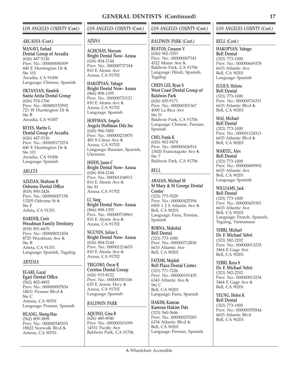### *ARCADIA (Cont.)*

**MANAVI, Farhad Dental Group of Arcadia** (626) 447-5126 Prov. No.: 000000006509 440 E Huntington Dr Ste 101 Arcadia, CA 91006 Language: Chinese, Spanish

**OKTANYAN, Hambik Santa Anita Dental Group** (626) 574-1766 Prov. No.: 000000333592 721 W Huntington Dr Ste B Arcadia, CA 91007

**REYES, Martin G Dental Group of Arcadia** (626) 447-5126 Prov. No.: 000000173274 440 E Huntington Dr Ste 101 Arcadia, CA 91006 Language: Spanish

### *ARLETA*

**AZIZIAN, Shahram B Osborne Dental Office** (818) 890-2426 Prov. No.: 000000007158 13205 Osborne St Ste F Arleta, CA 91331

**HARDER, Corie Woodman Family Dentistry** (818) 891-6670 Prov. No.: 000000021854 8725 Woodman Ave Ste B Arleta, CA 91331 Language: Spanish, Tagalog

### *ARTESIA*

**EGARI, Gazal Egari Dental Office** (562) 402-4492 Prov. No.: 000000007834 18011 Pioneer Blvd Ste C Artesia, CA 90701 Language: Persian, Spanish

**HUANG, Sheng-Hao** (562) 809-3899 Prov. No.: 000000345333 18822 Norwalk Blvd Artesia, CA 90701

### *LOS ANGELES COUNTY (Cont.)*

### *AZUSA*

**AGHCHAY, Maryam Bright Dental Now- Azusa** (626) 804-2144 Prov. No.: 000000737184 810 E Alosta Ave Azusa, CA 91702

**HAKOPYAN, Vahagn Bright Dental Now- Azusa** (866) 898-1355 Prov. No.: 000000721121 810 E Alosta Ave Azusa, CA 91702 Language: Spanish

**HOFFMAN, Angela Angela Hoffman Dds Inc** (626) 966-3400 Prov. No.: 000000233870 483 S Citrus Ave Azusa, CA 91702 Language: Russian, Spanish, Ukranian

**HSIEH, Jason C Bright Dental Now- Azusa** (626) 804-2144 Prov. No.: 000001104913 810 E Alosta Ave Ste 81 Azusa, CA 91702

**LI, Yang Bright Dental Now- Azusa** (866) 898-1355 Prov. No.: 000000718963 810 E Alosta Ave Azusa, CA 91702

**NGUYEN, Julian L Bright Dental Now- Azusa** (626) 804-2144 Prov. No.: 000001214653 810 E Alosta Ave Azusa, CA 91702

**TRIGOSO, Oscar R Cerritos Dental Group** (626) 915-8122 Prov. No.: 000000301106 635 E Arrow Hwy Azusa, CA 91702 Language: Spanish

### *BALDWIN PARK*

**AQUINO, Gina B** (626) 480-8540 Prov. No.: 000000301099 14531 Pacific Ave Baldwin Park, CA 91706

### *LOS ANGELES COUNTY (Cont.)*

### *BALDWIN PARK (Cont.)*

**BUSTOS, Corazon V** (626) 962-3353 Prov. No.: 000000007341 4322 Maine Ave Baldwin Park, CA 91706 Language: Hindi, Spanish, Tagalog

**CHEIN LEE, Ryan S West Coast Dental Group of Baldwin Park** (626) 430-9171 Prov. No.: 000000301367 4000 La Rica Ave Ste D Baldwin Park, CA 91706 Language: Chinese, Persian, Spanish

**CHO, Frank K** (626) 962-9474 Prov. No.: 000000436514 13020 Francisquito Ave Ste 7 Baldwin Park, CA 91706

### *BELL*

**ABAIAN, Michael M St Mary & St George Dental Center** (323) 773-5029 Prov. No.: 000000425394 6905 1 2 S Atlantic Ave Bell, CA 90201 Language: Farsi, Persian, Spanish

**BORNA, Mahshid Bell Dental** (323) 773-1000 Prov. No.: 000000712830 6633 Atlantic Ave Bell, CA 90201

**FATEMI, Mojdeh Bell Plaza Dental Center** (323) 771-7226 Prov. No.: 000000191435 6343 Atlantic Ave Ste C Bell, CA 90201 Language: Farsi, Spanish

**HAKIM, Kamran Kamran Hakim Dds** (323) 560-3646 Prov. No.: 000000255283 6334 Atlantic Blvd Bell, CA 90201 Language: Persian, Spanish

### *LOS ANGELES COUNTY (Cont.)*

*BELL (Cont.)*

**HAKOPYAN, Vahagn Bell Dental** (323) 773-1000 Prov. No.: 000000669378 6633 Atlantic Ave Bell, CA 90201 Language: Spanish

**JULIUS, Helene Bell Dental** (323) 773-1000 Prov. No.: 000000716311 6633 Atlantic Blvd Bell, CA 90201

### **MAI, Michael**

**Bell Dental** (323) 773-1000 Prov. No.: 000001124313 6633 Atlantic Blvd Bell, CA 90201

**MARTEL, Alex**

**Bell Dental** (323) 773-1000 Prov. No.: 000000689992 6633 Atlantic Ave Bell, CA 90201 Language: Spanish

**WILLIAMS, Jack Bell Dental**

(323) 773-1000 Prov. No.: 000000429301 6633 Atlantic Ave Bell, CA 90201 Language: French, Spanish, Tagalog, Vietnamese

**YEBRI, Michael Dr. F. Michael Yebri** (323) 582-2292 Prov. No.: 000000013235 3464 E Gage Ave Bell, CA 90201

**YEBRI, Roya S Dr. F. Michael Yebri** (323) 582-2292 Prov. No.: 000000013234 3464 E Gage Ave Bell, CA 90201

**YEUNG, Helen K Bell Dental** (323) 773-1000 Prov. No.: 000000355844 6633 Atlantic Blvd Bell, CA 90201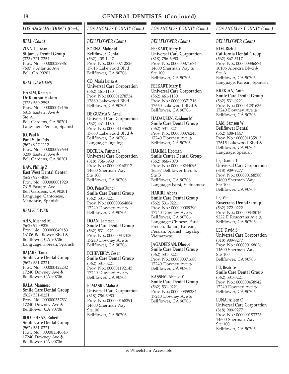### *BELL (Cont.)*

**ZINATI, Ladan St James Dental Group** (323) 771-7254 Prov. No.: 000000289861 7607 9 Atlantic Ave Bell, CA 90201

### *BELL GARDENS*

**HAKIM, Kamran Dr Kamran Hakim** (323) 560-2595 Prov. No.: 000000049156 6815 Eastern Ave Ste A1 Bell Gardens, CA 90201 Language: Persian, Spanish

**JO, Paul K Paul S. Jo Dds** (562) 927-1112 Prov. No.: 000000099633 8209 Eastern Ave Bell Gardens, CA 90201

**KAW, Phillip Z East West Dental Center** (562) 927-4080 Prov. No.: 000000001929 7615 Eastern Ave Bell Gardens, CA 90201 Language: Cantonese, Mandarin, Spanish

### *BELLFLOWER*

**AHN, Michael M** (562) 920-9220 Prov. No.: 000000049183 16106 Bellflower Blvd Bellflower, CA 90706 Language: Korean, Spanish

**BAJARS, Tania Smile Care Dental Group** (562) 531-0221 Prov. No.: 000000422232 17240 Downey Ave Bellflower, CA 90706

**BALA, Manmeet Smile Care Dental Group** (562) 531-0221 Prov. No.: 000000357531 17240 Downey Ave Bellflower, CA 90706

**BOOTEHSAZ, Robert Smile Care Dental Group** (562) 531-0221 Prov. No.: 000001140643 17240 Downey Ave Bellflower, CA 90706

### *LOS ANGELES COUNTY (Cont.)*

### *BELLFLOWER (Cont.)*

**BORNA, Mahshid Bellflower Dental** (562) 408-1447 Prov. No.: 000000712826 17615 Lakewood Blvd Bellflower, CA 90706

**CO, Maria Luisa A Universal Care Corporation** (562) 461-1180 Prov. No.: 000001278734 17660 Lakewood Blvd Bellflower, CA 90706

**DE GUZMAN, Arnel Universal Care Corporation** (562) 461-1180 Prov. No.: 000001135620 17660 Lakewood Blvd Bellflower, CA 90706 Language: Tagalog

**DECILLA, Patricia L Universal Care Corporation** (818) 756-6950 Prov. No.: 000000168117 14600 Sherman Way Ste 100 Bellflower, CA 90706

**DO, Peter(Dung) Smile Care Dental Group** (562) 531-0221 Prov. No.: 000000364884 17240 Downey Ave Bellflower, CA 90706

**DOAN, Lamman Smile Care Dental Group** (562) 531-0221 Prov. No.: 000000347030 17240 Downey Ave Bellflower, CA 90706

**ECHEVERRY, Cesar Smile Care Dental Group** (562) 531-0221 Prov. No.: 000001192145 17240 Downey Ave Bellflower, CA 90706

**ELMASRI, Maha A Universal Care Corporation** (818) 756-6950 Prov. No.: 000000168291 14600 Sherman Way Ste100 Bellflower, CA 90706

### *LOS ANGELES COUNTY (Cont.)*

### *BELLFLOWER (Cont.)*

**FEEKART, Mary E Universal Care Corporation** (818) 756-6950 Prov. No.: 000000371674 14600 Sherman Way Ste 100 Bellflower, CA 90706

**FEEKART, Mary E Universal Care Corporation** (562) 461-1180 Prov. No.: 000000371716 17660 Lakewood Blvd Bellflower, CA 90706

**HADADEEN, Zaidoon M Smile Care Dental Group** (562) 531-0221 Prov. No.: 000000376243 17240 Downey Ave Bellflower, CA 90706

**HAKIMI, Hooman Smile Center Dental Group** (562) 866-7073 Prov. No.: 000000244096 16537 Bellflower Blvd Ste B Bellflower, CA 90706 Language: Farsi, Vietnamese

**HARIRI, Abbas Smile Care Dental Group** (562) 531-0221 Prov. No.: 000000009390 17240 Downey Ave Bellflower, CA 90706 Language: Chinese, Farsi, French, Italian, Korean, Persian, Spanish, Tagalog, Vietnamese

**JAGADEESAN, Dheepa Smile Care Dental Group** (562) 531-0221 Prov. No.: 000000371688 17240 Downey Ave Bellflower, CA 90706

**KASSEM, Ahmed Y Smile Care Dental Group** (562) 531-0221 Prov. No.: 000000359284 17240 Downey Ave Bellflower, CÁ 90706

### *LOS ANGELES COUNTY (Cont.)*

### *BELLFLOWER (Cont.)*

**KIM, Rick T California Dental Group** (562) 867-5117 Prov. No.: 000000386874 10106 Alondra Blvd  $Sta \Delta$ Bellflower, CA 90706 Language: Korean, Spanish

**KREKIAN, Anifa Smile Care Dental Group** (562) 531-0221 Prov. No.: 000001281636 17240 Downey Ave Bellflower, CA 90706

**LAM, Samson W Bellflower Dental** (562) 408-1447 Prov. No.: 000001135812 17615 Lakewood Blvd Bellflower, CA 90706 Language: Spanish

**LE, Dianne T Universal Care Corporation** (818) 909-9277 Prov. No.: 000000168580 14600 Sherman Way Ste 100 Bellflower, CA 90706

**LE, Van Rosecrans Dental Group** (562) 272-0222 Prov. No.: 000000348016 9222 E Rosecrans Ave Bellflower, CA 90706

**LEE, David S Universal Care Corporation** (818) 909-9277 Prov. No.: 000000168626 14600 Sherman Way Ste 100 Bellflower, CA 90706

**LU, Beatrice Smile Care Dental Group** (562) 531-0221 Prov. No.: 000000458942 17240 Downey Ave Bellflower, CA 90706

**LUNA, Aileen C Universal Care Corporation** (818) 909-9277 Prov. No.: 000000183323 14600 Sherman Way Ste 100 Bellflower, CA 90706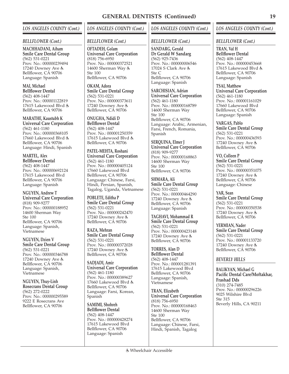### *BELLFLOWER (Cont.)*

**MACHHADANI, Aiham Smile Care Dental Group** (562) 531-0221 Prov. No.: 000000239494 17240 Downey Ave Bellflower, CA 90706 Language: Spanish

**MAI, Michael Bellflower Dental** (562) 408-1447 Prov. No.: 000001122819 17615 Lakewood Blvd Bellflower, CA 90706

**MARATHE, Kaustubh K Universal Care Corporation** (562) 461-1180 Prov. No.: 000000368105 17660 Lakewood Blvd Bellflower, CA 90706 Language: Hindi, Spanish

**MARTEL, Alex Bellflower Dental** (562) 408-1447 Prov. No.: 000000692124 17615 Lakewood Blvd Bellflower, CA 90706 Language: Spanish

**NGUYEN, Andrew T Universal Care Corporation** (818) 909-9277 Prov. No.: 000000188952 14600 Sherman Way Ste 100 Bellflower, CA 90706 Language: Spanish, Vietnamese

**NGUYEN, Dzien V Smile Care Dental Group** (562) 531-0221 Prov. No.: 000000346788 17240 Downey Ave Bellflower, CÁ 90706 Language: Spanish, Vietnamese

**NGUYEN, Thuy-Linh Rosecrans Dental Group** (562) 272-0222 Prov. No.: 000000295589 9222 E Rosecrans Ave Bellflower, CA 90706

### *LOS ANGELES COUNTY (Cont.)*

### *BELLFLOWER (Cont.)*

**OFTADEH, Golam Universal Care Corporation** (818) 756-6950 Prov. No.: 000000372521 14600 Sherman Way Ste 100 Bellflower, CA 90706

**OKAM, Adora Smile Care Dental Group** (562) 531-0221 Prov. No.: 000000373611 17240 Downey Ave Bellflower, CA 90706

**ONUGHA, Ndidi D Bellflower Dental** (562) 408-1447 Prov. No.: 000001250359 17615 Lakewood Blvd & Bellflower, CA 90706

**PATEL-MEHTA, Roshani Universal Care Corporation** (562) 461-1180 Prov. No.: 000000405124 17660 Lakewood Blvd Bellflower, CA 90706 Language: Chinese, Farsi, Hindi, Persian, Spanish, Tagalog, Uganda, Vietnamese

**POBLETE, Editha P Smile Care Dental Group** (562) 531-0221 Prov. No.: 000000242470 17240 Downey Ave & Bellflower, CA 90706

**RAZA, Mehran Smile Care Dental Group** (562) 531-0221 Prov. No.: 000000372028 17240 Downey Ave Bellflower, CA 90706

**SADJADI, Amir Universal Care Corporation** (562) 461-1180 Prov. No.: 000000389627 17660 Lakewood Blvd Bellflower, CA 90706 Language: Farsi, Korean, Spanish

**SAMIMI, Shohreh Bellflower Dental** (562) 408-1447 Prov. No.: 000000428274 17615 Lakewood Blvd Bellflower, CA 90706 Language: Spanish

### *LOS ANGELES COUNTY (Cont.)*

### *BELLFLOWER (Cont.)*

**SANDARG, Gerald Dr Gerald W Sandarg** (562) 925-7436 Prov. No.: 000000006546 17024 S Clark Ave  $Sta C$ Bellflower, CA 90706 Language: Spanish

**SARCHISIAN, Adrian Universal Care Corporation** (562) 461-1180 Prov. No.: 000000168789 14600 Sherman Way Ste 100 Bellflower, CA 90706 Language: Arabic, Armenian, Farsi, French, Romania, Spanish

**SERQUINA, Elmer J Universal Care Corporation** (818) 909-9277 Prov. No.: 000000168863 14600 Sherman Way Ste 100 Bellflower, CA 90706

**SHMARA, Ali Smile Care Dental Group** (562) 531-0221 Prov. No.: 000000464290 17240 Downey Ave Bellflower, CA 90706 Language: Spanish

**TAGHAVI, Mohammad R Smile Care Dental Group** (562) 531-0221 Prov. No.: 000000423148 17240 Downey Ave Bellflower, CA 90706

**TORRES, Alan D Bellflower Dental** (562) 408-1447 Prov. No.: 000001281391 17615 Lakewood Blvd Bellflower, CA 90706 Language: Spanish, Vietnamese

**TRAN, Elizabeth Universal Care Corporation** (818) 756-6950 Prov. No.: 000000168463 14600 Sherman Way Ste 100 Bellflower, CA 90706 Language: Chinese, Farsi, Hindi, Spanish, Tagalog

### *LOS ANGELES COUNTY (Cont.)*

### *BELLFLOWER (Cont.)*

**TRAN, Val H Bellflower Dental** (562) 408-1447 Prov. No.: 000000453668 17615 Lakewood Blvd Bellflower, CA 90706 Language: Spanish

**TSAI, Matthew Universal Care Corporation** (562) 461-1180 Prov. No.: 000001161029 17660 Lakewood Blvd Bellflower, CA 90706 Language: Spanish

**VARGAS, Pablo Smile Care Dental Group** (562) 531-0221 Prov. No.: 000000436593 17240 Downey Ave Bellflower, CA 90706

**VO, Colleen P Smile Care Dental Group** (562) 531-0221 Prov. No.: 000000351075 17240 Downey Ave Bellflower, CA 90706 Language: Chinese

**YAR, Sean Smile Care Dental Group** (562) 531-0221 Prov. No.: 000000350538 17240 Downey Ave Bellflower, CA 90706

**YERMIAN, Nader Smile Care Dental Group** (562) 531-0221 Prov. No.: 000001133720 17240 Downey Ave Bellflower, CA 90706

### *BEVERLY HILLS*

**BALIKYAN, Michael G Pacific Dental Care/Moftakhar, Frashad Dds** (310) 274-7485 Prov. No.: 000000296226 9025 Wilshire Blvd Ste 315 Beverly Hills, CA 90211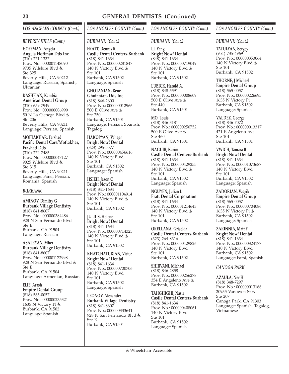### *LOS ANGELES COUNTY (Cont.)*

### *BEVERLY HILLS (Cont.)*

**HOFFMAN, Angela Angela Hoffman Dds Inc** (310) 271-1337 Prov. No.: 000001148090 9735 Wilshire Blvd  $Sta$  325 Beverly Hills, CA 90212 Language: Russian, Spanish, Ukranian

**KASHFIAN, Kambiz American Dental Group** (310) 659-7949 Prov. No.: 000000006999 50 N La Cienega Blvd Ste 206 Beverly Hills, CA 90211 Language: Persian, Spanish

### **MOFTAKHAR, Farshad Pacific Dental Care/Moftakhar, Frashad Dds** (310) 274-7485

Prov. No.: 000000047127 9025 Wilshire Blvd Ste 315 Beverly Hills, CA 90211 Language: Farsi, Persian, Romania, Spanish

### *BURBANK*

**AMINOV, Dimitry G Burbank Village Dentistry** (818) 841-8607 Prov. No.: 000000384486 928 N San Fernando Blvd Ste E Burbank, CA 91504 Language: Russian

**ASATRYAN, Mher Burbank Village Dentistry** (818) 841-8607 Prov. No.: 000001172998 928 N San Fernando Blvd Ste E Burbank, CA 91504 Language: Armenian, Russian

**ELIE, Arash Empire Dental Group** (818) 565-0057 Prov. No.: 000000235321 1635 N Victory Pl Burbank, CA 91502 Language: Spanish

### *LOS ANGELES COUNTY (Cont.)*

### *BURBANK (Cont.)*

**FRATT, Dennis R Castle Dental Centers-Burbank** (818) 841-1634 Prov. No.: 000000281847 140 N Victory Blvd Ste 101 Burbank, CA 91502 Language: Spanish

**GHOTANIAN, Rene Ghotanian, Dds Inc** (818) 846-2600 Prov. No.: 000000012966 500 E Olive Ave Ste 250 Burbank, CA 91501 Language: Persian, Spanish, Tagalog

**HAKOPYAN, Vahagn Bright Now! Dental** (323) 295-5577 Prov. No.: 000000456616 140 N Victory Blvd Ste 101 Burbank, CA 91502 Language: Spanish

**HSIEH, Jason C Bright Now! Dental** (818) 841-1634 Prov. No.: 000001104914 140 N Victory Blvd Ste 101 Burbank, CA 91502

**JULIUS, Helene Bright Now! Dental** (818) 841-1634 Prov. No.: 000000714325 140 N Victory Blvd Ste 101 Burbank, CA 91502

**KHATCHATURIAN, Victor Bright Now! Dental** (818) 841-1634 Prov. No.: 000000700706 140 N Victory Blvd Ste 101 Burbank, CA 91502 Language: Spanish

**LEONOV, Alexander Burbank Village Dentistry** (818) 841-8607 Prov. No.: 000000333641 928 N San Fernando Blvd Ste E Burbank, CA 91504

### *LOS ANGELES COUNTY (Cont.)*

### *BURBANK (Cont.)*

**LI, Yang Bright Now! Dental** (848) 841-1634 Prov. No.: 000000719049 140 N Victory Blvd Ste 101 Burbank, CA 91502

**LUBICK, Harold A.** (818) 848-5591 Prov. No.: 000000008609 500 E Olive Ave Ste 440 Burbank, CA 91501

**MO, Louis** (818) 846-3181 Prov. No.: 000000250752 500 E Olive Ave Ste 460 Burbank, CA 91501

**NAGUIB, Karim Castle Dental Centers-Burbank** (818) 841-1634 Prov. No.: 000000429255 140 N Victory Blvd Ste 101 Burbank, CA 91502 Language: Spanish

**NGUYEN, Julian L Fratt Dental Corporation** (818) 841-1634 Prov. No.: 000001214643 140 N Victory Blvd Ste 101 Burbank, CA 91502

**ORELLANA, Griselda Castle Dental Centers-Burbank** (323) 264-8316 Prov. No.: 000000429826 140 N Victory Blvd Ste 101 Burbank, CA 91502

**SHIRVANI, Michael** (818) 846-2858 Prov. No.: 000000256278 354 E Angeleno Ave Burbank, CA 91502

**TAHGHIGHI, Nasir Castle Dental Centers-Burbank** (818) 841-1634 Prov. No.: 000000408061 140 N Victory Blvd Ste 101 Burbank, CA 91502 Language: Spanish

### *LOS ANGELES COUNTY (Cont.)*

### *BURBANK (Cont.)*

**TATULYAN, Sergey** (951) 735-4969 Prov. No.: 000000353064  $140$  N Victory Blvd  $\dot{\mathbb{G}}$ Ste 101 Burbank, CA 91502

**THORNE, J Michael Empire Dental Group** (818) 565-0057 Prov. No.: 000000226695 1635 N Victory Pl Burbank, CA 91502 Language: Spanish

**VALDEZ, George** (818) 846-7072 Prov. No.: 000000013317 421 E Angeleno Ave Ste 101 Burbank, CA 91501

**VWICH, Tamara B Bright Now! Dental** (818) 841-1634 Prov. No.: 000001073687 140 N Victory Blvd Ste 101 Burbank, CA 91502 Language: Spanish

**ZADORIAN, Vagrik Empire Dental Group** (818) 565-0057 Prov. No.: 000000704086 1635 N Victory Pl Burbank, CA 91502 Language: Spanish

**ZARINNIA, Matt F Bright Now! Dental** (818) 841-1634 Prov. No.: 000000324177 140 N Victory Blvd Burbank, CA 91502 Language: Farsi, Spanish

### *CANOGA PARK*

**AZAULA, Ner H** (818) 348-7297 Prov. No.: 000000013166 20935 Vanowen St Ste 207 Canoga Park, CA 91303 Language: Spanish, Tagalog, Vietnamese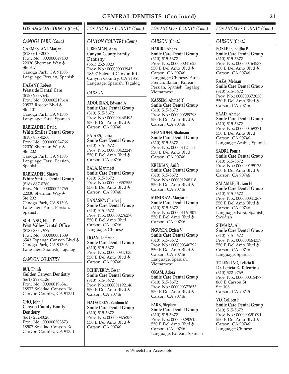### *CANOGA PARK (Cont.)*

**GARMESTANI, Marjan** (818) 610-2007 Prov. No.: 000000049430 22030 Sherman Way Ste 317 Canoga Park, CA 91303

Language: Persian, Spanish

### **HAZANY, Robert Westside Dental Care**

(818) 988-7645 Prov. No.: 000000219614 20832 Roscoe Blvd Ste 101 Canoga Park, CA 91306 Language: Farsi, Spanish

### **RABIZADEH, David**

**White Smiles Dental Group** (818) 887-0260 Prov. No.: 000000024766 22030 Sherman Way Ste 202 Canoga Park, CA 91303 Language: Farsi, Persian, Spanish

**RABIZADEH, Shawn White Smiles Dental Group** (818) 887-0260 Prov. No.: 000000024765 22030 Sherman Way Ste 202 Canoga Park, CA 91303 Language: Farsi, Persian, Spanish

**SCHLANG, Elliot P West Valley Dental Office** (818) 883-7979 Prov. No.: 000000001589 6543 Topanga Canyon Blvd Canoga Park, CA 91303 Language: Spanish, Tagalog

### *CANYON COUNTRY*

**BUI, Thinh Golden Canyon Dentistry** (661) 299-1126 Prov. No.: 000000196541 18832 Soledad Canyon Rd Canyon Country, CA 91351

**CHO, John J Canyon County Family Dentistry**  $(661)$  252-0020 Prov. No.: 000000308873 18507 Soledad Canyon Rd Canyon Country, CA 91351

### *LOS ANGELES COUNTY (Cont.)*

### *CANYON COUNTRY (Cont.)*

**LIBERMAN, Anna Canyon County Family Dentistry** (661) 252-0020 Prov. No.: 000000003945 18507 Soledad Canyon Rd Canyon Country, CA 91351 Language: Spanish, Tagalog

### *CARSON*

**ADOURIAN, Edward A Smile Care Dental Group** (310) 515-5672 Prov. No.: 000000468493 550 E Del Amo Blvd Carson, CA 90746

**BAJARS, Tania Smile Care Dental Group** (310) 515-5672 Prov. No.: 000000422249 550 E Del Amo Blvd Carson, CA 90746

**BALA, Manmeet Smile Care Dental Group** (310) 515-5672 Prov. No.: 000000357555 550 E Del Amo Blvd Carson, CA 90746

**BANASKY, Charles J Smile Care Dental Group** (310) 515-5672 Prov. No.: 000000276270 550 E Del Amo Blvd Carson, CA 90746 Language: Chinese

**DOAN, Lamman Smile Care Dental Group** (310) 515-5672 Prov. No.: 000000347035 550 E Del Amo Blvd Carson, CA 90746

**ECHEVERRY, Cesar Smile Care Dental Group** (310) 515-5672 Prov. No.: 000001192146 550 E Del Amo Blvd Carson, CA 90746

**HADADEEN, Zaidoon M Smile Care Dental Group** (310) 515-5672 Prov. No.: 000000376257 550 E Del Amo Blvd Carson, CA 90746

### *LOS ANGELES COUNTY (Cont.)*

### *CARSON (Cont.)*

**HARIRI, Abbas Smile Care Dental Group** (310) 515-5672 Prov. No.: 000000041623 550 E Del Amo Blvd Carson, CA 90746 Language: Chinese, Farsi, French, Italian, Korean, Persian, Spanish, Tagalog, Vietnamese

**KASSEM, Ahmed Y Smile Care Dental Group** (310) 515-5672 Prov. No.: 000000359298 550 E Del Amo Blvd Carson, CA 90746

**KHANIDEH, Shabnam Smile Care Dental Group** (310) 515-5672 Prov. No.: 000001124111 550 E Del Amo Blvd Carson, CA 90746

**KREKIAN, Anifa Smile Care Dental Group** (310) 515-5672 Prov. No.: 000001248118 550 E Del Amo Blvd Carson, CA 90746

**MENDOZA, Margarita Smile Care Dental Group** (310) 515-5672 Prov. No.: 000001164801 550 E Del Amo Blvd Carson, CA 90746

**NGUYEN, Dzien V Smile Care Dental Group** (310) 515-5672 Prov. No.: 000000346792 550 E Del Amo Blvd Carson, CA 90746 Language: Spanish, Vietnamese

**OKAM, Adora Smile Care Dental Group** (310) 515-5672 Prov. No.: 000000373653 550 E Del Amo Blvd Carson, CA 90746

**PARK, Stephen J Smile Care Dental Group** (310) 515-5672 Prov. No.: 000000290915 550 E Del Amo Blvd Carson, CA 90746 Language: Korean, Spanish

### *LOS ANGELES COUNTY (Cont.)*

### *CARSON (Cont.)*

**POBLETE, Editha P Smile Care Dental Group** (310) 515-5672 Prov. No.: 000000164537 550 E Del Amo Blvd Carson, CA 90746

**RAZA, Mehran Smile Care Dental Group** (310) 515-5672 Prov. No.: 000000372038 550 E Del Amo Blvd Carson, CA 90746

**SAAD, Ahmed Smile Care Dental Group** (310) 515-5672 Prov. No.: 000000469371 550 E Del Amo Blvd Carson, CA 90746 Language: Arabic, Spanish

**SADRI, Pouria Smile Care Dental Group** (310) 515-5672 Prov. No.: 000000195173 550 E Del Amo Blvd Carson, CA 90746

**SALAMEH, Husam H Smile Care Dental Group** (310) 515-5672 Prov. No.: 000000341267 550 E Del Amo Blvd Carson, CA 90746 Language: Farsi, Spanish, **Swedish** 

**SHMARA, Ali Smile Care Dental Group** (310) 515-5672 Prov. No.: 000000464359 550 E Del Amo Blvd Carson, CA 90746 Language: Spanish

**TOLENTINO, Leticia R Dr. Leticia R. Tolentino** (310) 522-9769 Prov. No.: 000000015477 860 E Carson St Ste 106 Carson, CA 90745

**VO, Colleen P Smile Care Dental Group** (310) 515-5672 Prov. No.: 000000351091 550 E Del Amo Blvd Carson, CA 90746 Language: Chinese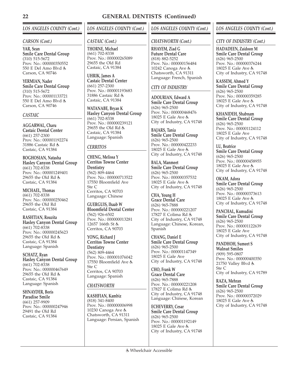### *CARSON (Cont.)*

**YAR, Sean Smile Care Dental Group** (310) 515-5672 Prov. No.: 000000350552 550 E Del Amo Blvd Carson, CA 90746

**YERMIAN, Nader Smile Care Dental Group** (310) 515-5672 Prov. No.: 000001133721 550 E Del Amo Blvd Carson, CA 90746

### *CASTAIC*

**AGGARWAL, Charu Castaic Dental Center** (661) 257-2300 Prov. No.: 000001192274 31886 Castaic Rd Castaic, CA 91384

**BOGHOSIAN, Natasha Hasley Canyon Dental Group** (661) 702-8338 Prov. No.: 000001249401 29655 the Old Rd Castaic, CA 91384

**MICHAEL, Thomas** (661) 702-8338 Prov. No.: 000000250462 29655 the Old Rd Castaic, CA 91384

**RASHTIAN, Rouzita Hasley Canyon Dental Group** (661) 702-8338 Prov. No.: 000000245623 29655 the Old Rd Castaic, CA 91384 Language: Spanish

**SCHATZ, Ryan Hasley Canyon Dental Group** (661) 702-8338 Prov. No.: 000000467649 29655 the Old Rd Castaic, CA 91384 Language: Spanish

**SHNAYDER, Boris Paradise Smile** (661) 257-9909 Prov. No.: 000000247946 29491 the Old Rd Castaic, CA 91384

### *LOS ANGELES COUNTY (Cont.)*

### *CASTAIC (Cont.)*

**THORNE, Michael** (661) 702-8338 Prov. No.: 000000265089 29655 the Old Rd Castaic, CA 91384

**UHRIK, James A Castaic Dental Center** (661) 257-2300 Prov. No.: 000001193683 31886 Castaic Rd Castaic, CA 91384

**WATANABE, Bryan K Hasley Canyon Dental Group** (661) 702-8338 Prov. No.: 000000239121 29655 the Old Rd Castaic, CA 91384 Language: Spanish

### *CERRITOS*

**CHENG, Melissa Y Cerritos Towne Center Dentistry** (562) 809-4464 Prov. No.: 000000713522 17550 Bloomfield Ave Ste C Cerritos, CA 90703 Language: Chinese

**GUERGUIS, Ihaab W Bloomfield Dental Center** (562) 926-6502 Prov. No.: 000000013281 12657 166th St Cerritos, CA 90703

**YONG, Richard J Cerritos Towne Center Dentistry** (562) 809-4464 Prov. No.: 000001076042 17550 Bloomfield Ave Ste C Cerritos, CA 90703 Language: Spanish

### *CHATSWORTH*

**KASHFIAN, Kambiz** (818) 341-8400 Prov. No.: 000000006998 10230 Canoga Ave Chatsworth, CA 91311 Language: Persian, Spanish

### *LOS ANGELES COUNTY (Cont.)*

### *CHATSWORTH (Cont.)*

**RHAYEM, Ziad G Future Dental Care** (818) 882-5252 Prov. No.: 000000156484 10242 Canoga Ave & Chatsworth, CA 91311 Language: French, Spanish

### *CITY OF INDUSTRY*

**ADOURIAN, Edward A Smile Care Dental Group** (626) 965-2500 Prov. No.: 000000468476 18025 E Gale Ave City of Industry, CA 91748

**BAJARS, Tania Smile Care Dental Group** (626) 965-2500 Prov. No.: 000000422233 18025 E Gale Ave City of Industry, CA 91748

**BALA, Manmeet Smile Care Dental Group** (626) 965-2500 Prov. No.: 000000357532 18025 E Gale Ave City of Industry, CA 91748

**CHA, Young H Grace Dental Care** (626) 965-7888 Prov. No.: 000000221207 17827 E Colima Rd City of Industry, CA 91748 Language: Chinese, Korean, Spanish

**CHANG, Daniel E Smile Care Dental Group** (626) 965-2500 Prov. No.: 000001147349 18025 E Gale Ave City of Industry, CA 91748

**CHO, Frank W Grace Dental Care** (626) 965-7888 Prov. No.: 000000221208 17827 E Colima Rd City of Industry, CA 91748 Language: Chinese, Korean

**ECHEVERRY, Cesar Smile Care Dental Group** (626) 965-2500 Prov. No.: 000001192149 18025 E Gale Ave City of Industry, CA 91748

### *LOS ANGELES COUNTY (Cont.)*

### *CITY OF INDUSTRY (Cont.)*

**HADADEEN, Zaidoon M Smile Care Dental Group** (626) 965-2500 Prov. No.: 000000376244 18025 E Gale Ave City of Industry, CA 91748

**KASSEM, Ahmed Y Smile Care Dental Group** (626) 965-2500 Prov. No.: 000000359285 18025 E Gale Ave City of Industry, CA 91748

**KHANIDEH, Shabnam Smile Care Dental Group** (626) 965-2500 Prov. No.: 000001124112 18025 E Gale Ave City of Industry, CA 91748

**LU, Beatrice Smile Care Dental Group** (626) 965-2500 Prov. No.: 000000458955 18025 E Gale Ave City of Industry, CA 91748

**OKAM, Adora Smile Care Dental Group** (626) 965-2500 Prov. No.: 000000373613 18025 E Gale Ave City of Industry, CA 91748

**PANCHAL, Kumudini Smile Care Dental Group** (626) 965-2500 Prov. No.: 000001122639 18025 E Gale Ave City of Industry, CA 91748

**PANDHOH, Sumeet S Walnut Smiles** (909) 595-0807 Prov. No.: 000000400350 21750 Valley Blvd Ste C City of Industry, CA 91789

**RAZA, Mehran Smile Care Dental Group** (626) 965-2500 Prov. No.: 000000372029 18025 E Gale Ave City of Industry, CA 91748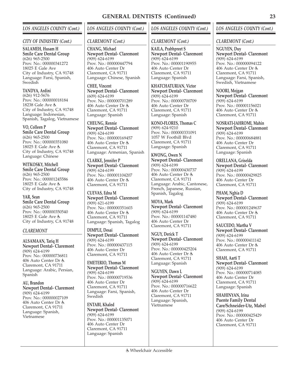### *CITY OF INDUSTRY (Cont.)*

**SALAMEH, Husam H Smile Care Dental Group** (626) 965-2500 Prov. No.: 000000341272 18025 E Gale Ave City of Industry, CA 91748 Language: Farsi, Spanish, Swedish

**TANDYA, Ardini** (626) 912-5676 Prov. No.: 000000018184 18238 Gale Ave City of Industry, CA 91748 Language: Indonesian, Spanish, Tagalog, Vietnamese

**VO, Colleen P Smile Care Dental Group** (626) 965-2500 Prov. No.: 000000351080 18025 E Gale Ave City of Industry, CA 91748 Language: Chinese

**WITKOSKY, Mitchell Smile Care Dental Group** (626) 965-2500 Prov. No.: 000001245586 18025 E Gale Ave City of Industry, CA 91748

**YAR, Sean Smile Care Dental Group** (626) 965-2500 Prov. No.: 000000350540 18025 E Gale Ave City of Industry, CA 91748

### *CLAREMONT*

**ALSAMAAN, Tariq H Newport Dental- Claremont** (909) 624-6199 Prov. No.: 000000736811 406 Auto Center Dr Claremont, CA 91711 Language: Arabic, Persian, Spanish

**AU, Brandon Newport Dental- Claremont** (909) 624-6199 Prov. No.: 000000027109 406 Auto Center Dr Claremont, CA 91711 Language: Spanish, Vietnamese

### *LOS ANGELES COUNTY (Cont.)*

### *CLAREMONT (Cont.)*

**CHANG, Michael Newport Dental- Claremont**  $(909)$ <sub>624-6199</sub> Prov. No.: 000000447794 406 Auto Center Dr Claremont, CA 91711 Language: Chinese, Spanish

**CHEE, Vincent Newport Dental- Claremont**  $(609)$ <sub>624-6199</sub> Prov. No.: 000000701289 406 Auto Center Dr Claremont, CA 91711 Language: Spanish

**CHEUNG, Rennie Newport Dental- Claremont** (909) 624-6199 Prov. No.: 000000169457 406 Auto Center Dr Claremont, CA 91711 Language: Armenian, Spanish

**CLARKE, Jennifer P Newport Dental- Claremont** (909) 624-6199 Prov. No.: 000001104207 406 Auto Center Dr Claremont, CA 91711

**CUEVAS, Edna M Newport Dental- Claremont** (909) 621-6199 Prov. No.: 000000351603 406 Auto Center Dr Claremont, CA 91711 Language: Spanish, Tagalog

**DIMPLE, Desai Newport Dental- Claremont** (909) 624-6199 Prov. No.: 000000437115 406 Auto Center Dr Claremont, CA 91711

**EMETERIO, Thomas M Newport Dental- Claremont** (909) 624-6199 Prov. No.: 000000719536 406 Auto Center Dr Claremont, CA 91711 Language: Farsi, Spanish, Swedish

**ENTABI, Khaled Newport Dental- Claremont** (909) 624-6199 Prov. No.: 000001135071 406 Auto Center Dr Claremont, CA 91711 Language: Spanish

### *LOS ANGELES COUNTY (Cont.)*

### *CLAREMONT (Cont.)*

**KAILA, Prabhpreet S Newport Dental- Claremont**  $(909)$ <sub>624-6199</sub> Prov. No.: 000001190955 406 Auto Center Dr Claremont, CA 91711 Language: Spanish

**KHATCHATURIAN, Victor Newport Dental- Claremont** (909) 624-6199 Prov. No.: 000000700709 406 Auto Center Dr Claremont, CA 91711 Language: Spanish

**KONO-FLORES, Thomas C** (909) 624-9210 Prov. No.: 000000331091 1057 W Foothill Blvd Claremont, CA 91711 Language: Spanish

**KWONG, Owen N Newport Dental- Claremont** (909) 624-6199 Prov. No.: 000000430737 406 Auto Center Dr Claremont, CA 91711 Language: Arabic, Cantonese, French, Japanese, Russian, Spanish, Tagalog

**MOYA, Mark Newport Dental- Claremont** (909) 624-6199 Prov. No.: 000001147480 406 Auto Center Dr Claremont, CA 91711

**NGUY, Derick T Newport Dental- Claremont** (909) 624-6199 Prov. No.: 000000425204 406 Auto Center Dr Claremont, CA 91711 Language: Spanish

**NGUYEN, Dawn L Newport Dental- Claremont** (909) 624-6199 Prov. No.: 000000716622 406 Auto Center Dr Claremont, CA 91711 Language: Spanish, Vietnamese

### *LOS ANGELES COUNTY (Cont.)*

### *CLAREMONT (Cont.)*

**NGUYEN, Duy Newport Dental- Claremont** (909) 624-6199 Prov. No.: 000000094122 406 Auto Center Dr Claremont, CA 91711 Language: Farsi, Spanish, Swedish, Vietnamese

**NOORI, Mojgan Newport Dental- Claremont** (909) 624-6199 Prov. No.: 000001156021 406 Auto Center Dr Claremont, CA 91711

**NOSRATI-JAHROMI, Mahin Newport Dental- Claremont** (909) 624-6199 Prov. No.: 000000684881 406 Auto Center Dr Claremont, CA 91711 Language: Spanish

**ORELLANA, Griselda Newport Dental- Claremont** (909) 624-6199 Prov. No.: 000000429825 406 Auto Center Dr Claremont, CA 91711

**PHAM, Nghia D Newport Dental- Claremont** (909) 624-6199 Prov. No.: 000001249637 406 Auto Center Dr Claremont, CA 91711

**SAUCEDO, Martha V Newport Dental- Claremont**  $(909)$  624-6199 Prov. No.: 000000411142 406 Auto Center Dr Claremont, CA 91711

**SHAH, Aarti T Newport Dental- Claremont** (909) 624-6199 Prov. No.: 000000714085 406 Auto Center Dr Claremont, CA 91711 Language: Spanish

**SHAHINYAN, Irina Puente Family Dental Care/Schneider-Utz, Mabel** (909) 624-6199 Prov. No.: 000000425429 406 Auto Center Dr Claremont, CA 91711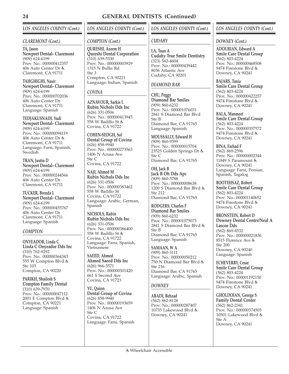### *LOS ANGELES COUNTY (Cont.)*

### *CLAREMONT (Cont.)*

**TA, Jason Newport Dental- Claremont**  $(909)$ <sub>624-6199</sub> Prov. No.: 000000412357 406 Auto Center Dr Claremont, CA 91711

**TAHGHIGHI, Nasir Newport Dental- Claremont** (909) 624-6199 Prov. No.: 000000702036 406 Auto Center Dr Claremont, CA 91711 Language: Spanish

**TEDJAKUSNADI, Yudi Newport Dental- Claremont**  $(909)$ <sub>624-6199</sub> Prov. No.: 000000094119 406 Auto Center Dr Claremont, CA 91711 Language: Farsi, Spanish, Swedish

**TRAN, Justin D Newport Dental- Claremont** (909) 624-6199 Prov. No.: 000000244566 406 Auto Center Dr Claremont, CA 91711

**TUCKER, Brenda L Newport Dental- Claremont** (909) 624-6199 Prov. No.: 000000455767 406 Auto Center Dr Claremont, CA 91711 Language: Spanish

### *COMPTON*

**ONYEADOR, Linda C Linda C Onyeador Dds Inc**  $(310)$  762-9292 Prov. No.: 000000364343 555 W Compton Blvd Ste 103 Compton, CA 90220

**PARIKH, Shailesh S Compton Family Dental** (310) 639-7970 Prov. No.: 000000047112 2001 E Compton Blvd Compton, CA 90221 Language: Spanish

### *LOS ANGELES COUNTY (Cont.)*

### *COMPTON (Cont.)*

**QURESHI, Azeem H Qureshi Dental Corporation** (310) 639-5330 Prov. No.: 000000003929 1315 N Bullis Rd  $Sta 3$ Compton, CA 90221 Language: Indian, Spanish

### *COVINA*

**AZNAVOUR, Sarkis L Rubin Nichols Dds Inc** (626) 331-0506 Prov. No.: 000000413945 558 W Badillo St Covina, CA 91722

**COHEN-SEDGH, Sol Dental Group of Covina** (626) 858-9940 Prov. No.: 000000273563 1406 N Azusa Ave Ste C Covina, CA 91722

**NAJI, Ahmed M Rubin Nichols Dds Inc** (626) 331-0506 Prov. No.: 000000383462 558 W Badillo St Covina, CA 91722 Language: Arabic, German, Spanish

**NICHOLS, Rubin Rubin Nichols Dds Inc** (626) 331-0506 Prov. No.: 000000386400 558 W Badillo St Covina, CA 91722 Language: Farsi, Spanish, Vietnamese

**SAEED, Ahmed Ahmed Saeed Dds Inc** (626) 966-3571 Prov. No.: 000000301420 661 S Second Ave Covina, CA 91723

**YU, Quinn Dental Group of Covina** (626) 858-9940 Prov. No.: 000000193659 1406 N Azusa Ave Ste C Covina, CA 91722 Language: Farsi, Spanish

### *LOS ANGELES COUNTY (Cont.)*

### *CUDAHY*

**LA, Tuan A Cudahy True Smile Dentistry** (323) 562-4604 Prov. No.: 000000439442 8036 Atlantic Ave Cudahy, CA 90201

### *DIAMOND BAR*

**CHU, Peggy Diamond Bar Smiles** (909) 860-6232 Prov. No.: 000001076031 2841 S Diamond Bar Blvd Ste B Diamond Bar, CA 91765 Language: Spanish

**MOUSSALLY, Edward H** (909) 860-9399 Prov. No.: 000000015704 23525 Golden Springs Dr Ste C Diamond Bar, CA 91765

**OH, Jack B Jack B Oh Dds Apc** (909) 860-5788 Prov. No.: 000000008638 1200 S Diamond Bar Blvd Ste 212 Diamond Bar, CA 91765

**RODGERS, Charles F Diamond Bar Smiles** (909) 860-6232 Prov. No.: 000001075073 2841 S Diamond Bar Blvd Ste B Diamond Bar, CA 91765 Language: Spanish

**SAMAAN, W A** (909) 860-3111 Prov. No.: 000000050212 750 N Diamond Bar Blvd Ste 216 Diamond Bar, CA 91765 Language: Arabic, Spanish

### *DOWNEY*

**ABADI, Behzad** (562) 862-8128 Prov. No.: 000000287407 10735 Lakewood Blvd Downey, CA 90241

### *LOS ANGELES COUNTY (Cont.)*

### *DOWNEY (Cont.)*

**ADOURIAN, Edward A Smile Care Dental Group** (562) 803-4224 Prov. No.: 000000468508 9474 Firestone Blvd Downey, CA 90241

**BAJARS, Tania Smile Care Dental Group** (562) 803-4224 Prov. No.: 000000422257 9474 Firestone Blvd Downey, CA 90241

**BALA, Manmeet Smile Care Dental Group** (562) 803-4224 Prov. No.: 000000357572 9474 Firestone Blvd Downey, CA 90241

**BINA, Farhad F** (562) 869-2596 Prov. No.: 000000002344 11849 S Paramount Downey, CA 90241 Language: Farsi, Persian, Spanish, Tagalog

**BOOTEHSAZ, Robert Smile Care Dental Group** (562) 803-4224 Prov. No.: 000001140652 9474 Firestone Blvd Downey, CA 90241

**BRONSTEIN, Robert D Downey Dental Center/Neal A Lascoe Dds** (562) 869-4532 Prov. No.: 000000021836 8515 Florence Ave Ste 200 Downey, CA 90240 Language: Spanish

**ECHEVERRY, Cesar Smile Care Dental Group** (562) 803-4224 Prov. No.: 000001192150 9474 Firestone Blvd Downey, CA 90241

**GHOLDOIAN, George S Family Dental Center** (562) 862-2341 Prov. No.: 000000374503 10501 Lakewood Blvd Ste A Downey, CA 90241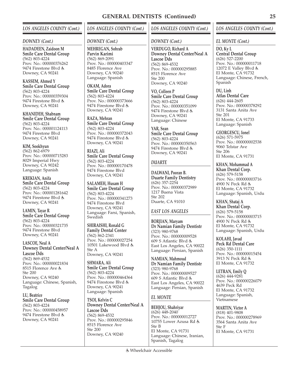### *DOWNEY (Cont.)*

**HADADEEN, Zaidoon M Smile Care Dental Group** (562) 803-4224 Prov. No.: 000000376262 9474 Firestone Blvd Downey, CA 90241

**KASSEM, Ahmed Y Smile Care Dental Group** (562) 803-4224 Prov. No.: 000000359304 9474 Firestone Blvd Downey, CA 90241

**KHANIDEH, Shabnam Smile Care Dental Group** (562) 803-4224 Prov. No.: 000001124113 9474 Firestone Blvd Downey, CA 90241

**KIM, Sookhyun** (562) 862-6979 Prov. No.: 000000715283 8029 Imperial Hwy Downey, CA 90242 Language: Spanish

**KREKIAN, Anifa Smile Care Dental Group** (562) 803-4224 Prov. No.: 000001281642 9474 Firestone Blvd Downey, CA 90241

**LAMIN, Tayar R Smile Care Dental Group** (562) 803-4224 Prov. No.: 000000321735 9474 Firestone Blvd Downey, CA 90241

**LASCOE, Neal A Downey Dental Center/Neal A Lascoe Dds** (562) 869-4532 Prov. No.: 000000021834 8515 Florence Ave Ste 200 Downey, CA 90240 Language: Chinese, Spanish, Tagalog

**LU, Beatrice Smile Care Dental Group** (562) 803-4224 Prov. No.: 000000458957 9474 Firestone Blvd Downey, CA 90241

### *LOS ANGELES COUNTY (Cont.)*

### *DOWNEY (Cont.)*

**MEHREGAN, Sohrab Parvin Karimi** (562) 869-2091 Prov. No.: 000000403347 8485 Florence Ave Downey, CA 90240 Language: Spanish

**OKAM, Adora Smile Care Dental Group** (562) 803-4224 Prov. No.: 000000373666 9474 Firestone Blvd Downey, CA 90241

**RAZA, Mehran Smile Care Dental Group** (562) 803-4224 Prov. No.: 000000372043 9474 Firestone Blvd Downey, CA 90241

**RIAZI, Ali Smile Care Dental Group** (562) 803-4224 Prov. No.: 000000170478 9474 Firestone Blvd Downey, CA 90241

**SALAMEH, Husam H Smile Care Dental Group** (562) 803-4224 Prov. No.: 000000341273 9474 Firestone Blvd Downey, CA 90241 Language: Farsi, Spanish, **Swedish** 

**SHIRAISHI, Ronald G Family Dental Center** (562) 862-2341 Prov. No.: 000000027254 10501 Lakewood Blvd Ste A Downey, CA 90241

**SHMARA, Ali Smile Care Dental Group** (562) 803-4224 Prov. No.: 000000464364 9474 Firestone Blvd Downey, CA 90241 Language: Spanish

**TSOI, Kelvin C Downey Dental Center/Neal A Lascoe Dds** (562) 869-4532 Prov. No.: 000000295846 8515 Florence Ave Ste 200 Downey, CA 90240

### *LOS ANGELES COUNTY (Cont.)*

### *DOWNEY (Cont.)*

**VERDUGO, Richard A Downey Dental Center/Neal A Lascoe Dds** (562) 869-4532 Prov. No.: 000000295885 8515 Florence Ave Ste 200 Downey, CA 90240

**VO, Colleen P Smile Care Dental Group** (562) 803-4224 Prov. No.: 000000351099 9474 Firestone Blvd Downey, CA 90241 Language: Chinese

**YAR, Sean Smile Care Dental Group** (562) 803-4224 Prov. No.: 000000350563 9474 Firestone Blvd Downey, CA 90241

### *DUARTE*

**DALWANI, Pooran B. Duarte Family Dentistry** (626) 357-2254 Prov. No.: 000000372989 1217 Buena Vista Ste 202 Duarte, CA 91010

### *EAST LOS ANGELES*

**BORJIAN, Maryam Dr Namian Family Dentistr** (323) 980-9768 Prov. No.: 000000009528 609 S Atlantic Blvd East Los Angeles, CA 90022 Language: Persian, Spanish

**NAMIAN, Mahmoud Dr Namian Family Dentistr** (323) 980-9768 Prov. No.: 000000009527 609 S Atlantic Blvd East Los Angeles, CA 90022 Language: Persian, Spanish

### *EL MONTE*

**BEHJOU, Shahriyar** (626) 448-2040 Prov. No.: 000000012727 10755 Lower Azusa Rd Ste B El Monte, CA 91731 Language: Chinese, Iranian, Spanish, Tagalog

### *LOS ANGELES COUNTY (Cont.)*

*EL MONTE (Cont.)*

**DO, Ky L Central Dental Group** (626) 527-2200 Prov. No.: 000000011718 12072 E Valley Blvd El Monte, CA 91732 Language: Chinese, French, Spanish

**DU, Linh Atlas Dental Care** (626) 444-2605 Prov. No.: 000000378292 3131 Santa Anita Ave Ste 201 El Monte, CA 91733 Language: Spanish

**GEORGESCU, Ionel** (626) 571-5975 Prov. No.: 000000002538 9060 Telstar Ave Ste 206 El Monte, CA 91731

**KHAN, Mohammad A Khan Dental Corp.** (626) 579-5158 Prov. No.: 000000003716 4900 N Peck Rd El Monte, CA 91732 Language: Spanish, Urdu

**KHAN, Shataj A Khan Dental Corp.** (626) 579-5158 Prov. No.: 000000003715 4900 N Peck Rd El Monte, CA 91732 Language: Spanish, Urdu

**KOLAHI, Javad Peck Rd Dental Care** (626) 350-1111 Prov. No.: 000000015454 3913 N Peck Rd El Monte, CA 91732

**LETRAN, Emily Q** (626) 444-9281 Prov. No.: 000000226079 4639 Peck Rd El Monte, CA 91732 Language: Spanish, Vietnamese

**MARTIN, Victor A** (818) 401-9808 Prov. No.: 000000278969 3564 Santa Anita Ave Ste F El Monte, CA 91731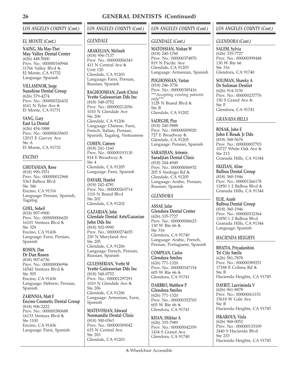### *EL MONTE (Cont.)*

**NAING, Ma May-Thet May Valley Dental Center** (626) 448-5000 Prov. No.: 000000160944 11766 Valley Blvd El Monte, CA 91732 Language: Spanish

**VILLASENOR, Jorge Sunshine Dental Group** (626) 579-4274 Prov. No.: 000000326432 4161 N Tyler Ave El Monte, CA 91731

### **YANG, Gary**

**East La Dental** (626) 454-1888 Prov. No.: 000000635603 12015 E Garvey Ave Ste A El Monte, CA 91732

### *ENCINO*

**GHOTANIAN, Rene** (818) 990-3551 Prov. No.: 000000012968 5363 Balboa Blvd Ste 346 Encino, CA 91316 Language: Persian, Spanish, Tagalog

**GOEL, Soheil** (818) 907-9900 Prov. No.: 000000006620 16101 Ventura Blvd Ste 329 Encino, CA 91436 Language: Farsi, Persian, Spanish

### **ROSEN, Dan**

**Dr Dan Rosen** (818) 907-6736 Prov. No.: 000000006996 16542 Ventura Blvd & Ste 505 Encino, CA 91436 Language: Hebrew, Persian, Spanish

**ZARINNIA, Matt F Encino Cosmetic Dental Group** (818) 906-2222 Prov. No.: 000000380688 16133 Ventura Blvd & Ste 1100 Encino, CA 91436 Language: Farsi, Spanish

### *LOS ANGELES COUNTY (Cont.)*

### *GLENDALE*

**ARAKELIAN, Melineh** (818) 956-7137 Prov. No.: 000000006343 411 N Central Ave Unit 120 Glendale, CA 91203 Language: Farsi, Persian, Russian, Spanish

**BAGHOOMIAN, Zareh (Chris) Yvette Gulesserian Dds Inc**

(818) 548-0752 Prov. No.: 000000212056 1010 N Glendale Ave Ste 206 Glendale, CA 91206 Language: Chinese, Farsi, French, Italian, Persian, Spanish, Tagalog, Vietnamese

**COHEN, Catreen** (818) 241-1160 Prov. No.: 000000193130 814 E Broadway Ste 4

Glendale, CA 91205 Language: Farsi, Spanish

**DAVARI, Hamlet** (818) 242-4781 Prov. No.: 000000265714 1110 N Brand Blvd Ste 202 Glendale, CA 91202

**GAZARIAN, John Glendale Dental Arts/Gazarian John Dds Inc** (818) 502-9990 Prov. No.: 000000274655 230 N Maryland Ave Ste 205 Glendale, CA 91206 Language: French, Persian, Russian, Spanish

**GULESSERIAN, Yvette M Yvette Gulesserian Dds Inc** (818) 548-0752 Prov. No.: 000001297291 1010 N Glendale Ave Ste 206 Glendale, CA 91206 Language: Armenian, Farsi, Spanish

**MATEVOSIAN, Edward Normandie Dental Clinic** (818) 500-0363 Prov. No.: 000000309042 633 N Central Ave Ste 203 Glendale, CA 91203

### *LOS ANGELES COUNTY (Cont.)*

### *GLENDALE (Cont.)*

**MATOSSIAN, Nishan W** (818) 240-1760 Prov. No.: 000000374870 819 N Pacific Ave Glendale, CA 91203 Language: Armenian, Spanish

**POGHOSSIAN, Vartan** (818) 246-3736 Prov. No.: 000000385416 *\*\*\*Accepting existing patients only\*\*\**  $1128$  N Brand Blvd  $\dot{\xi}$ Ste B Glendale, CA 91202

**SADEGHI, Pira** (818) 240-5888 Prov. No.: 000000009020 727 E Broadway Glendale, CA 91205 Language: Persian, Spanish

**SARADJIAN, Artemis Saradjian Dental Clinic** (818) 244-4949 Prov. No.: 000000006932 205 S Verdugo Rd Glendale, CA 91205 Language: Arabic, Persian, Russian, Spanish

### *GLENDORA*

**ASSAF, Jafar Glendora Dental Center** (626) 335-7727 Prov. No.: 000000006623 130 W Rte 66 Ste 316 Glendora, CA 91740 Language: Arabic, French, Persian, Portuguese, Spanish

**COMPEAN, Carlos Glendora Smiles** (626) 771-1320 Prov. No.: 000000347154 605 W Rte 66 Glendora, CA 91741

**DARBRO, Matthew P Glendora Smiles** (626) 771-1320 Prov. No.: 000000352765 605 W Rte 66 Glendora, CA 91741

**KHAN, Iftikhar A** (626) 335-7989 Prov. No.: 000000042359 1434 S Grand Ave Glendora, CA 91740

### *LOS ANGELES COUNTY (Cont.)*

### *GLENDORA (Cont.)*

**SALEM, Sylvia** (626) 335-7727 Prov. No.: 000000399448 130 W Rte 66 Ste 316 Glendora, CA 91740

**SOLIMAN, Shawky A Dr Soliman Dentist** (626) 914-3150 Prov. No.: 000000237776 150 S Grand Ave Ste F Glendora, CA 91741

### *GRANADA HILLS*

**BOSAK, John E John E Bosak Jr Dds** (818) 368-5676 Prov. No.: 000000007703 10727 White Oak Ave Ste 213 Granada Hills, CA 91344

**EKIZIAN, Aline Balboa Dental Group** (818) 360-1946 Prov. No.: 000001266178 11850 1 2 Balboa Blvd Granada Hills, CA 91344

**ELIE, Arash Balboa Dental Group** (818) 360-1946 Prov. No.: 000000332364 11850 1 2 Balboa Blvd Granada Hills, CA 91344 Language: Spanish

### *HACIENDA HEIGHTS*

**BHATIA, Priyadarshini Tri City Smile** (626) 581-7878 Prov. No.: 000000389251 17188 E Colima Rd Ste B Hacienda Heights, CA 91745

**DAYRIT, Luzviminda V** (626) 961-8878 Prov. No.: 000000411151 15618 W Gale Ave Ste B Hacienda Heights, CA 91745

**ISKAROUS, Viola** (626) 968-0052 Prov. No.: 000000133109 2440 S Hacienda Blvd Ste 233 Hacienda Heights, CA 91745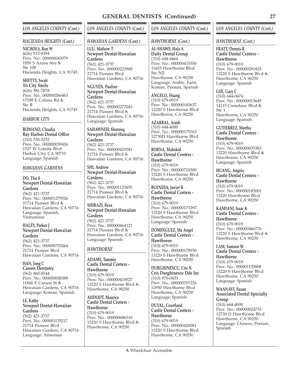### *HACIENDA HEIGHTS (Cont.)*

**NICHOLS, Ron W** (626) 912-9394 Prov. No.: 000000043079 1850 S Azusa Ave Ste 108 Hacienda Heights, CA 91745

**SHETTY, Swati Tri City Smile** (626) 581-7878 Prov. No.: 000000266463 17188 E Colima Rd Ste B Hacienda Heights, CA 91745

### *HARBOR CITY*

**ROMANO, Claudia Bay Harbor Dental Office** (310) 530-5252 Prov. No.: 000000039426 1537 W Lomita Blvd Harbor City, CA 90710 Language: Spanish

### *HAWAIIAN GARDENS*

**DO, Thu S Newport Dental-Hawaiian Gardens** (562) 421-3737 Prov. No.: 000001279526 21714 Pioneer Blvd Hawaiian Gardens, CA 90716 Language: Spanish, Vietnamese

### **HALEY, Parker J Newport Dental-Hawaiian Gardens**

(562) 421-3737 Prov. No.: 000000735264 21714 Pioneer Blvd Hawaiian Gardens, CA 90716

**HAN, Jong C Carson Dentistry** (562) 860-8544 Prov. No.: 000000008388 11846 E Carson St Hawaiian Gardens, CA 90716 Language: Korean, Spanish

**LE, Kathy Newport Dental-Hawaiian Gardens** (562) 421-3737 Prov. No.: 000001135217 21714 Pioneer Blvd Hawaiian Gardens, CA 90716 Language: Armenian

### *LOS ANGELES COUNTY (Cont.)*

### *HAWAIIAN GARDENS (Cont.)*

**LUU, Mathew T Newport Dental-Hawaiian Gardens** (562) 421-3737 Prov. No.: 000000223900 21714 Pioneer Blvd Hawaiian Gardens, CA 90716

**NGUYEN, Pauline Newport Dental-Hawaiian Gardens**

(562) 421-3737 Prov. No.: 000000277043 21714 Pioneer Blvd Hawaiian Gardens, CA 90716 Language: Spanish

**SAHAWNEH, Shorouq Newport Dental-Hawaiian Gardens** (562) 421-3737 Prov. No.: 000000429381 21714 Pioneer Blvd Hawaiian Gardens, CA 90716

**SHI, Andrew Newport Dental-Hawaiian Gardens** (562) 421-3737 Prov. No.: 000001123855 21714 Pioneer Blvd Hawaiian Gardens, CA 90716

**SHIRAZI, Reza Newport Dental-Hawaiian Gardens** (562) 421-3737 Prov. No.: 000000464121 21714 Pioneer Blvd Hawaiian Gardens, CA 90716 Language: Spanish

### *HAWTHORNE*

**ADAMS, Tammie Castle Dental Centers - Hawthorne** (310) 679-9019 Prov. No.: 000000418527 13220 S Hawthorne Blvd Hawthorne, CA 90250

**AHDOOT, Maurice Castle Dental Centers - Hawthorne** (310) 679-9019 Prov. No.: 000000686310 13220 S Hawthorne Blvd Hawthorne, CA 90250

### *LOS ANGELES COUNTY (Cont.)*

### *HAWTHORNE (Cont.)*

**AL-SHAWE, Hala A Daily Dental Group** (310) 644-4464 Prov. No.: 000000415350 11633 Hawthorne Blvd Ste 502 Hawthorne, CA 90250 Language: Arabic, Farsi, Korean, Persian, Spanish

**ANGELO, Huang** (310) 679-0919 Prov. No.: 000000183637 13220 S Hawthorne Blvd Hawthorne, CA 90250

**AZARBAL, Arash** (310) 644-4000 Prov. No.: 000000175763 12730D Hawthorne Blvd Hawthorne, CA 90250

**BORNA, Mahshid Castle Dental Centers - Hawthorne** (310) 679-9019 Prov. No.: 000000718309 13220 S Hawthorne Blvd Hawthorne, CA 90250

**BUENDIA, Javier R Castle Dental Centers - Hawthorne** (310) 679-9019 Prov. No.: 000000173297 13220 S Hawthorne Blvd Hawthorne, CA 90250 Language: Spanish

**DOMINGUEZ, Ma Angel Castle Dental Centers - Hawthorne** (310) 679-9019 Prov. No.: 000000178950 13220 S Hawthorne Blvd Hawthorne, CA 90250

**DURGHINESCU, Cris N Cris Durghinescu Dds Inc** (310) 970-0433 Prov. No.: 000000701226 12950 Hawthorne Blvd Hawthorne, CA 90250 Language: Spanish

**DUVAL, Courtland Castle Dental Centers - Hawthorne** (310) 679-9019 Prov. No.: 000000420081 13220 S Hawthorne Blvd Hawthorne, CA 90250

### *LOS ANGELES COUNTY (Cont.)*

*HAWTHORNE (Cont.)*

**FRATT, Dennis R Castle Dental Centers - Hawthorne** (310) 679-9019 Prov. No.: 000000281825 13220 S Hawthorne Blvd Hawthorne, CA 90250 Language: Spanish

**GEE, Gary C** (310) 644-0474 Prov. No.: 000000013645 14115 Crenshaw Blvd & Ste 1 Hawthorne, CA 90250 Language: Spanish

**GUTIERREZ, Martha Castle Dental Centers - Hawthorne** (310) 679-9019 Prov. No.: 000000035383 13220 Hawthorne Blvd Hawthorne, CA 90250 Language: Spanish

**HUANG, Angela Castle Dental Centers - Hawthorne**

(310) 679-9019 Prov. No.: 000000185001 13220 Hawthorne Blvd Hawthorne, CA 90250

**KASHANI, Isaac K Castle Dental Centers - Hawthorne** (310) 679-9019 Prov. No.: 000000466776 13220 S Hawthorne Blvd Hawthorne, CA 90250

**LAM, Samson W Castle Dental Centers - Hawthorne** (310) 679-9019 Prov. No.: 000001135808 13220 S Hawthorne Blvd Hawthorne, CA 90250 Language: Spanish

**MAANAVI, Susan Associated Dental Specialty Group** (310) 644-4000 Prov. No.: 000000024733 12730 D Hawthorne Blvd Hawthorne, CA 90250 Language: Chinese, Persian, Spanish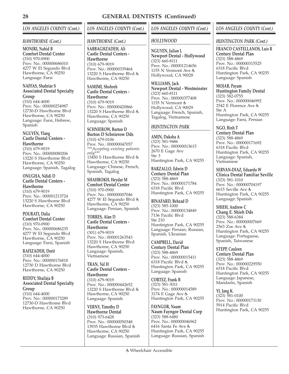### *HAWTHORNE (Cont.)*

**MONIRI, Nahid B Comfort Dental Center** (310) 970-0900 Prov. No.: 000000686010 4277 W El Segundo Blvd Hawthorne, CA 90250 Language: Farsi

### **NAFFAS, Shahriar S Associated Dental Specialty Group**

 $(310)$  644-4000 Prov. No.: 000000254987 12730-D Hawthorne Blvd Hawthorne, CA 90250 Language: Farsi, Hebrew, Spanish

### **NGUYEN, Ylang Castle Dental Centers - Hawthorne**

(310) 679-9019 Prov. No.: 000000080206 13220 S Hawthorne Blvd Hawthorne, CA 90250 Language: Spanish, Tagalog

**ONUGHA, Ndidi D Castle Dental Centers - Hawthorne** (310) 679-9019 Prov. No.: 000001213724 13220 S Hawthorne Blvd Hawthorne, CA 90250

**POURATI, Dalia Comfort Dental Center** (310) 970-0900 Prov. No.: 000000686235 4277 W El Segundo Blvd Hawthorne, CA 90250 Language: Farsi, Spanish

**RAFIZADEH, Dorit** (310) 644-4000 Prov. No.: 000000176818 12730 D Hawthorne Blvd Hawthorne, CA 90250

**REDDY, Shailaja B Associated Dental Specialty Group**

(310) 644-4000 Prov. No.: 000000173289 12730-D Hawthome Blvd Hawthorne, CA 90250

### *LOS ANGELES COUNTY (Cont.)*

### *HAWTHORNE (Cont.)*

**SABBAGHZADEH, Ali Castle Dental Centers - Hawthorne** (310) 679-9019 Prov. No.: 000000339464 13220 S Hawthorne Blvd & Hawthorne, CA 90250

**SAMIMI, Shohreh Castle Dental Centers -**

**Hawthorne** (310) 679-9019 Prov. No.: 000000420866 13220 S Hawthorne Blvd Hawthorne, CA 90250 Language: Spanish

**SCHNIEROW, Burton D Burton D Schnierow Dds** (310) 679-0106 Prov. No.: 000000047057 *\*\*\*Accepting existing patients only\*\*\** 13450 S Hawthorne Blvd Hawthorne, CA 90250 Language: Chinese, French, Spanish, Tagalog

**SHAHROKH, Heydar M Comfort Dental Center** (310) 970-0900 Prov. No.: 000000007046 4277 W El Segundo Blvd Hawthorne, CA 90250 Language: Persian, Spanish

**TORRES, Alan D Castle Dental Centers -**

**Hawthorne** (301) 679-9019 Prov. No.: 000001263543 13220 S Hawthorne Blvd Hawthorne, CA 90250 Language: Spanish, Vietnamese

**TRAN, Val H Castle Dental Centers - Hawthorne** (310) 679-9019 Prov. No.: 000000442652 13220 S Hawthorne Blvd Hawthorne, CA 90250 Language: Spanish

**VERNY, Timothy D Hawthorne Dental** (310) 973-6428 Prov. No.: 000000050348 13935 Hawthorne Blvd Hawthorne, CA 90250 Language: Russian, Spanish

### *LOS ANGELES COUNTY (Cont.)*

### *HOLLYWOOD*

**NGUYEN, Julian L Newport Dental - Hollywood** (323) 660-8111 Prov. No.: 000001214656 1155 N Vermont Ave Hollywood, CA 90028

**WILLIAMS, Jack Newport Dental - Westminster** (323) 660-8111 Prov. No.: 000000377408 1155 N Vermont Hollywood, CA 90029 Language: French, Spanish, Tagalog, Vietnamese

### *HUNTINGTON PARK*

**AMIN, Daksha A** (323) 581-9486 Prov. No.: 000000013615 2670 E Gage Ave Ste 3 Huntington Park, CA 90255

**BARZALLO, Edwin D Century Dental Plan** (323) 588-4869 Prov. No.: 000000171784 6318 Pacific Blvd Huntington Park, CA 90255

**BINAFARD, Behzad D** (323) 585-1000 Prov. No.: 000000134849 7136 Pacific Blvd Ste 210 Huntington Park, CA 90255 Language: Persian, Russian, Spanish, Ukranian

**CAMPBELL, David Century Dental Plan** (323) 588-4869 Prov. No.: 000000015411 6318 Pacific Blvd Huntington Park, CA 90255 Language: Spanish

**CORTEZ, Frank B** (323) 581-3011 Prov. No.: 000000014589 3174 E Gage Ave & Huntington Park, CA 90255

**FAYNGOR, Naum Naum Fayngor Dental Corp** (323) 588-6480 Prov. No.: 000000046962 6416 Santa Fe Ave Huntington Park, CA 90255 Language: Russian, Spanish

### *LOS ANGELES COUNTY (Cont.)*

### *HUNTINGTON PARK (Cont.)*

**FRANCO CASTELLANOS, Luis R Century Dental Plan** (323) 588-4869 Prov. No.: 000000315525 6318 Pacific Blvd Huntington Park, CA 90255 Language: Spanish

**MOJAB, Payam Huntington Family Dental** (323) 582-0755 Prov. No.: 000000046992 2542 E Florence Ave Ste A Huntington Park, CA 90255 Language: Farsi, Persian

**NGO, Binh T Century Dental Plan** (323) 588-4869 Prov. No.: 000000171692 6318 Pacific Blvd Huntington Park, CA 90255 Language: Spanish, Vietnamese

**SERVAN-DIAZ, Eduardo W Clinica Dental Familiar Seville** (323) 581-1010 Prov. No.: 000000704197 6615 Seville Ave Huntington Park, CA 90255 Language: Spanish

**SHIEH, Andrew C Chang E. Shieh Dds** (323) 588-6384 Prov. No.: 000000007669 2563 Zoe Ave Huntington Park, CA 90255 Language: Portuguese, Spanish, Taiwanese

**STEPP, Cauleen Century Dental Plan** (323) 588-4869 Prov. No.: 000000229550 6318 Pacific Blvd Huntington Park, CA 90255 Language: Japanese, Mandarin, Spanish

**YI, Jang K.** (323) 581-0100 Prov. No.: 000000171130 5914 Pacific Blvd Huntington Park, CA 90255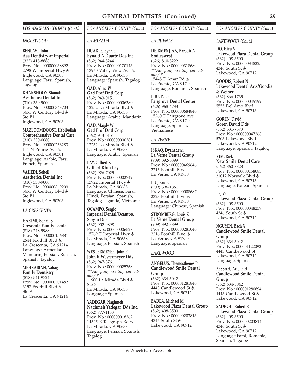### *INGLEWOOD*

**BENLAVI, John Aaa Dentistry at Imperial** (323) 418-8888 Prov. No.: 000000038892 2798 W Imperial Hwy Inglewood, CA 90303 Language: Farsi, Spanish, Tagalog

**KHAKSHOOY, Siamak Aesthetica Dental Inc** (310) 330-9000 Prov. No.: 000000343703 3451 W Century Blvd Ste B1 Inglewood, CA 90303

**MAZLOOMDOOST, Habibollah Comprehensive Dental Care** (310) 330-0080 Prov. No.: 000000266283 141 N Prairie Ave Inglewood, CA 90301 Language: Arabic, Farsi, French, Spanish

**VAHEDI, Soheil Aesthetica Dental Inc** (310) 330-9000 Prov. No.: 000000349209 3451 W Century Blvd Ste B1 Inglewood, CA 90303

### *LA CRESCENTA*

**HAKIMI, Sohail S Crescenta Family Dental** (818) 248-9988 Prov. No.: 000000156881 2644 Foothill Blvd La Crescenta, CA 91214 Language: Armenian, Mandarin, Persian, Russian, Spanish, Tagalog

**MEHRABIAN, Vahag Family Dentistry** (818) 541-9724 Prov. No.: 000000301482 3157 Foothill Blvd & Ste A La Crescenta, CA 91214

### *LOS ANGELES COUNTY (Cont.)*

### *LA MIRADA*

**DUARTE, Eynald Eynald A Duarte Dds Inc** (562) 944-8244 Prov. No.: 000000170143 13960 Valley View Ave La Mirada, CA 90638 Language: Spanish, Tagalog

**GAD, Alina W Gad Prof Dntl Corp** (562) 943-0151 Prov. No.: 000000006380 12252 La Mirada Blvd La Mirada, CA 90638 Language: Arabic, Mandarin

**GAD, Magdy W Gad Prof Dntl Corp** (562) 943-0151 Prov. No.: 000000006381 12252 La Mirada Blvd La Mirada, CA 90638 Language: Arabic, Spanish

### **LAY, Gilbert K Gilbert Khin Lay**

(562) 926-7025 Prov. No.: 000000002749 13922 Imperial Hwy La Mirada, CA 90638 Language: Chinese, Farsi, Hindi, Persian, Spanish, Tagalog, Uganda, Vietnamese

**OCAMPO, Sergio Imperial Dental/Ocampo, Sergio Dds** (562) 902-9898 Prov. No.: 000000006528 15769 E Imperial Hwy La Mirada, CA 90638

Language: Persian, Spanish **WESTERMEYER, John R John R Westermeyer Dds** (562) 947-3761 Prov. No.: 000000025768 *\*\*\*Accepting existing patients only\*\*\** 11900 La Mirada Blvd & Ste 7 La Mirada, CA 90638 Language: Spanish

**YADEGAR, Naghmeh Naghmeh Yadegar, Dds Inc.** (562) 777-1188 Prov. No.: 000000018362 14545 E Telegraph Rd La Mirada, CA 90638 Language: Persian, Spanish, Tagalog

### *LOS ANGELES COUNTY (Cont.)*

### *LA PUENTE*

**DEIRMENJIAN, Barouir A Smileswest** (626) 810-8222 Prov. No.: 000000318689 *\*\*\*Accepting existing patients only\*\*\** 15448 E Amar Rd La Puente, CA 91744 Language: Romania, Spanish

**LUU, Peter Fairgrove Dental Center** (626) 968-4733 Prov. No.: 000000684846 15260 E Fairgrove Ave La Puente, CA 91744 Language: Spanish, Vietnamese

### *LA VERNE*

**ISKAQ, Dyanadewi La Verne Dental Group** (909) 392-3899 Prov. No.: 000000469646 2216 Foothill Blvd La Verne, CA 91750

**LIU, Paul C** (909) 596-1861 Prov. No.: 000000008687 2323 Foothill Blvd La Verne, CA 91750 Language: Chinese, Spanish

**STROMBERG, Louis Z La Verne Dental Group** (909) 392-3899 Prov. No.: 000000281046 2216 Foothill Blvd La Verne, CA 91750 Language: Spanish

### *LAKEWOOD*

**ANGELUS, Themosthenes P Candlewood Smile Dental Group** (562) 634-5042 Prov. No.: 000001281846 4443 Candlewood St Lakewood, CA 90712

**BADEA, Michael M Lakewood Plaza Dental Group** (562) 408-3500 Prov. No.: 000000203813 4346 South St & Lakewood, CA 90712

### *LOS ANGELES COUNTY (Cont.)*

### *LAKEWOOD (Cont.)*

**DO, Hieu V Lakewood Plaza Dental Group** (562) 408-3500 Prov. No.: 000000348225 4346 South St Lakewood, CA 90712

**GOODIS, Robert N Lakewood Dental Arts/Goodis & Weiner** (562) 866-1735 Prov. No.: 000000045199 5555 Del Amo Blvd Lakewood, CA 90713

### **GOREN, David**

**Goren David Dds** (562) 531-7373 Prov. No.: 000000047268 5203 Lakewood Blvd Lakewood, CA 90712 Language: Spanish, Tagalog

**KIM, Rick T New Smile Dental Care** (562) 860-8828 Prov. No.: 000000158083 21012 Norwalk Blvd Lakewood, CA 90715 Language: Korean, Spanish

**LE, Van Lakewood Plaza Dental Group** (562) 408-3500 Prov. No.: 000000348239 4346 South St Lakewood, CA 90712

**NGUYEN, Bach X Candlewood Smile Dental Group** (562) 634-5042

Prov. No.: 000001122092 4443 Candlewood St Lakewood, CA 90712 Language: Spanish

**PESSAH, Ariella H Candlewood Smile Dental Group** (562) 634-5042 Prov. No.: 000001280894 4443 Candlewood St Lakewood, CA 90712

**SADIGHI, Robert R Lakewood Plaza Dental Group** (562) 408-3500 Prov. No.: 000000203814 4346 South St Lakewood, CA 90712 Language: Farsi, Romania, Spanish, Tagalog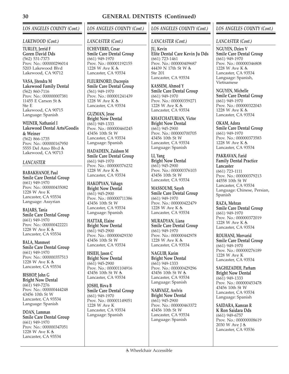### *LOS ANGELES COUNTY (Cont.)*

### *LAKEWOOD (Cont.)*

**TURLEY, Jerrid F Goren David Dds** (562) 531-7373 Prov. No.: 000000296014 5203 Lakewood Blvd Lakewood, CA 90712

**VASA, Jitendra M Lakewood Family Dental** (562) 860-7116 Prov. No.: 000000007381 11455 E Carson St Ste E Lakewood, CA 90715 Language: Spanish

**WEINER, Nathaniel I Lakewood Dental Arts/Goodis & Weiner** (562) 866-1735 Prov. No.: 000000167950 5555 Del Amo Blvd Lakewood, CA 90713

### *LANCASTER*

**BABAKHANOF, Paul Smile Care Dental Group** (661) 949-1970 Prov. No.: 000000435082 1228 W Ave K Lancaster, CA 93534 Language: Assyrian

**BAJARS, Tania Smile Care Dental Group** (661) 949-1970 Prov. No.: 000000422221 1228 W Ave K Lancaster, CA 93534

**BALA, Manmeet Smile Care Dental Group** (661) 949-1970 Prov. No.: 000000357513 1228 W Ave K Lancaster, CA 93534

**BISHOP, John G Bright Now Dental** (661) 949-7276 Prov. No.: 000000444248 43456 10th St W Lancaster, CA 93534 Language: Spanish

**DOAN, Lamman Smile Care Dental Group** (661) 949-1970 Prov. No.: 000000347051 1228 W Ave K Lancaster, CA 93534

### *LOS ANGELES COUNTY (Cont.)*

### *LANCASTER (Cont.)*

**ECHEVERRY, Cesar Smile Care Dental Group** (661) 949-1970 Prov. No.: 000001192155 1228 W Ave K Lancaster, CA 93534

**FLEURINORD, Ducrepin Smile Care Dental Group** (561) 949-1970 Prov. No.: 000001241439 1228 W Ave K Lancaster, CA 93534

**GUZMAN, Jesse Bright Now Dental** (661) 949-1333 Prov. No.: 000000460245 43456 10th St W Lancaster, CA 93534 Language: Spanish

**HADADEEN, Zaidoon M Smile Care Dental Group** (661) 949-1970 Prov. No.: 000000376232 1228 W Ave K & Lancaster, CA 93534

**HAKOPYAN, Vahagn Bright Now Dental** (661) 945-2900 Prov. No.: 000000711386 43456 10th St W Lancaster, CA 93534 Language: Spanish

**HATTAR, Elaine Bright Now Dental** (661) 945-2900 Prov. No.: 000000429330 43456 10th St W Lancaster, CA 93534

**HSIEH, Jason C Bright Now Dental** (661) 945-2900 Prov. No.: 000001104916 43456 10th St W Lancaster, CA 93534

**JOSHI, Birva B Smile Care Dental Group** (661) 949-1970 Prov. No.: 000001149051 1228 W Ave K Lancaster, CA 93534 Language: Spanish

### *LOS ANGELES COUNTY (Cont.)*

### *LANCASTER (Cont.)*

**JU, Kevin Elite Dental Care Kevin Ju Dds** (661) 723-1461 Prov. No.: 000000409687 44439 N 17th St W Ste 201 Lancaster, CA 93534

**KASSEM, Ahmed Y Smile Care Dental Group** (661) 949-1970 Prov. No.: 000000359271 1228 W Ave K Lancaster, CA 93534

**KHATCHATURIAN, Victor Bright Now Dental** (661) 945-2900 Prov. No.: 000000700705 43456 10th St W Lancaster, CA 93534 Language: Spanish

**LI, Yang Bright Now Dental** (661) 945-2900 Prov. No.: 000000376103 43456 10th St W Lancaster, CA 93534

**MASSOUMI, Sayeh Smile Care Dental Group** (661) 949-1970 Prov. No.: 000000422479 1228 W Ave K Lancaster, CA 93534

**MURADYAN, Liana Smile Care Dental Group** (661) 949-1970 Prov. No.: 000000442978 1228 W Ave K Lancaster, CA 93534

**NAGUIB, Karim Bright Now Dental** (661) 949-1333 Prov. No.: 000000429296 43456 10th St W Lancaster, CA 93534 Language: Spanish

**NARVAEZ, Arelvis Bright Now Dental** (661) 945-2900 Prov. No.: 000000463372 43456 10th St W Lancaster, CA 93534 Language: Spanish

### *LOS ANGELES COUNTY (Cont.)*

### *LANCASTER (Cont.)*

**NGUYEN, Dzien V Smile Care Dental Group** (661) 949-1970 Prov. No.: 000000346808 1228 W Ave K Lancaster, CA 93534 Language: Spanish, Vietnamese

**NGUYEN, Michelle Smile Care Dental Group** (661) 949-1970 Prov. No.: 000000322043 1228 W Ave K Lancaster, CA 93534

**OKAM, Adora Smile Care Dental Group** (661) 949-1970 Prov. No.: 000000373583 1228 W Ave K Lancaster, CA 93534

**PAKRAVAN, Farid Family Dental Practice Lancaster** (661) 723-1111 Prov. No.: 000000379213 44558 10th St W Lancaster, CA 93534 Language: Chinese, Persian, Spanish

**RAZA, Mehran Smile Care Dental Group** (661) 949-1970 Prov. No.: 000000372019 1228 W Ave K Lancaster, CA 93534

**ROUHANI, Morvarid Smile Care Dental Group** (661) 949-1970 Prov. No.: 000000276189 1228 W Ave K Lancaster, CA 93534

**SAGHIZADEH, Parham Bright Now Dental** (661) 949-1333 Prov. No.: 000000453478 43456 10th St W Lancaster, CA 93534 Language: Spanish

**SAIDARA, Kamran R K Ron Saidara Dds** (661) 949-6757 Prov. No.: 000000008619 2030 W Ave J Lancaster, CA 93536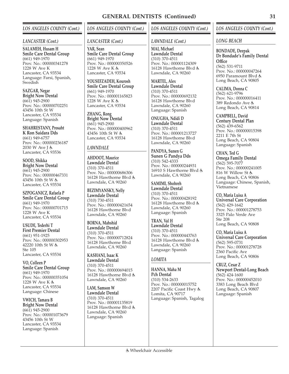### *LANCASTER (Cont.)*

**SALAMEH, Husam H Smile Care Dental Group** (661) 949-1970 Prov. No.: 000000341278 1228 W Ave K Lancaster, CA 93534 Language: Farsi, Spanish, Swedish

**SAZGAR, Negar Bright Now Dental** (661) 945-2900 Prov. No.: 000000702251 43456 10th St W Lancaster, CA 93534 Language: Spanish

**SHAHRESTANY, Prosaht K Ron Saidara Dds** (661) 949-6757 Prov. No.: 000000236187 2030 W Ave J Lancaster, CA 93536

**SOOD, Shikka Bright Now Dental** (661) 945-2900 Prov. No.: 000000467331 43456 10th St W & Lancaster, CA 93534

**SZPOGANICZ, Rafaela P Smile Care Dental Group** (661) 949-1970 Prov. No.: 000000701715 1228 W Ave K Lancaster, CA 93534

**USUDE, Tederhi T First Premier Dental** (661) 951-1925 Prov. No.: 000000302953 42220 10th St W Ste 105 Lancaster, CA 93534

**VO, Colleen P Smile Care Dental Group** (661) 949-1970 Prov. No.: 000000351054 1228 W Ave K Lancaster, CA 93534 Language: Chinese

**VWICH, Tamara B Bright Now Dental** (661) 945-2900 Prov. No.: 000001073679 43456 10th St W Lancaster, CA 93534 Language: Spanish

### *LOS ANGELES COUNTY (Cont.)*

### *LANCASTER (Cont.)*

**YAR, Sean Smile Care Dental Group** (661) 949-1970 Prov. No.: 000000350526 1228 W Ave K Lancaster, CA 93534

**YOUSEFZADEH, Kourosh Smile Care Dental Group** (661) 949-1970 Prov. No.: 000001165823 1228 W Ave K Lancaster, CA 93534

**ZHANG, Rong Bright Now Dental** (661) 945-2900 Prov. No.: 000000400962 43456 10th St W Lancaster, CA 93534

### *LAWNDALE*

**AHDOOT, Maurice Lawndale Dental** (310) 370-4511 Prov. No.: 000000686306 16128 Hawthorne Blvd Lawndale, CA 90260

**BEZIMYANSKY, Nelly Lawndale Dental** (310) 730-4511 Prov. No.: 000000421654 16128 Hawthorne Blvd Lawndale, CA 90260

**BORNA, Mahshid Lawndale Dental** (310) 370-4511 Prov. No.: 000000712824 16128 Hawthorne Blvd Lawndale, CA 90260

**KASHANI, Isaac K Lawndale Dental** (310) 370-4511 Prov. No.: 000000694015 16128 Hawthorne Blvd Lawndale, CA 90260

**LAM, Samson W Lawndale Dental** (310) 370-4511 Prov. No.: 000001135819 16128 Hawthorne Blvd Lawndale, CA 90260 Language: Spanish

### *LOS ANGELES COUNTY (Cont.)*

### *LAWNDALE (Cont.)*

**MAI, Michael Lawndale Dental** (310) 370-4511 Prov. No.: 000001124309 16128 Hawthorne Blvd Lawndale, CA 90260

**MARTEL, Alex Lawndale Dental** (310) 370-4511 Prov. No.: 000000692132 16128 Hawthorne Blvd Lawndale, CA 90260 Language: Spanish

**ONUGHA, Ndidi D Lawndale Dental** (310) 370-4511 Prov. No.: 000001213727 16128 Hawthorne Blvd Lawndale, CA 90260

**PANDYA, Sunen G Sunen G Pandya Dds** (310) 542-4333 Prov. No.: 000000244931 16910 S Hawthorne Blvd Lawndale, CA 90260

**SAMIMI, Shohreh Lawndale Dental** (310) 370-4511 Prov. No.: 000000428192 16128 Hawthorne Blvd Lawndale, CA 90260 Language: Spanish

**TRAN, Val H Lawndale Dental** (310) 370-4511 Prov. No.: 000000443763 16128 Hawthorne Blvd Lawndale, CA 90260 Language: Spanish

### *LOMITA*

**HANNA, Maha M Pch Dental** (310) 534-2633 Prov. No.: 000000015752 2207 Pacific Coast Hwy Lomita, CA 90717 Language: Spanish, Tagalog

### *LOS ANGELES COUNTY (Cont.)*

### *LONG BEACH*

**BONDADE, Deepak Dr Bondade's Family Dental Office** (562) 531-9711 Prov. No.: 000000047264 6950 Paramount Blvd Long Beach, CA 90805

**CALIMA, Donna C** (562) 621-9796 Prov. No.: 000000016411 389 Redondo Ave Long Beach, CA 90814

**CAMPBELL, David Century Dental Plan** (562) 439-6562 Prov. No.: 000000015398 2211 E 7th St Long Beach, CA 90804 Language: Spanish

**CHAN, Ted G Omega Family Dental** (562) 595-7077 Prov. No.: 000000241005 816 W Willow St Long Beach, CA 90806 Language: Chinese, Spanish, Vietnamese

**CO, Maria Luisa A Universal Care Corporation** (562) 429-1642 Prov. No.: 000001278753 3325 Palo Verde Ave Ste 208 Long Beach, CA 90808

**CO, Maria Luisa A Universal Care Corporation** (562) 595-0731 Prov. No.: 000001278728 2360 Pacific Ave Long Beach, CA 90806

**CRUZ, Cesar Z Newport Dental-Long Beach** (562) 424-1600 Prov. No.: 000000452010 3383 Long Beach Blvd Long Beach, CA 90807 Language: Spanish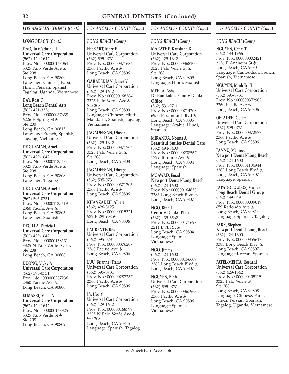### *LONG BEACH (Cont.)*

**DAO, Tu (Cathrine) T Universal Care Corporation** (562) 429-1642 Prov. No.: 000000168064 3325 Palo Verde Ave Ste 208 Long Beach, CA 90809 Language: Chinese, Farsi, Hindi, Persian, Spanish, Tagalog, Uganda, Vietnamese

**DAY, Ross D Long Beach Dental Arts** (562) 421-3336 Prov. No.: 000000037638 6226 E Spring St Ste 200 Long Beach, CA 90815 Language: French, Spanish, Tagalog, Vietnamese

**DE GUZMAN, Arnel Universal Care Corporation** (562) 429-1642 Prov. No.: 000001135631 3325 Palo Verde Ave Ste 208 Long Beach, CA 90808 Language: Tagalog

**DE GUZMAN, Arnel T Universal Care Corporation** (562) 595-0731 Prov. No.: 000001135619 2360 Pacific Ave Long Beach, CA 90806 Language: Spanish

**DECILLA, Patricia L Universal Care Corporation** (562) 429-1642 Prov. No.: 000000168131 3325 N Palo Verde Ave Ste 208 Long Beach, CA 90808

**DUONG, Vicky A Universal Care Corporation** (562) 595-0731 Prov. No.: 000000287236 2360 Pacific Ave Long Beach, CA 90806

**ELMASRI, Maha A Universal Care Corporation** (562) 429-1642 Prov. No.: 000000168325 3325 Palo Verde St Ste 208 Long Beach, CA 90809

### *LOS ANGELES COUNTY (Cont.)*

### *LONG BEACH (Cont.)*

**FEEKART, Mary E Universal Care Corporation** (562) 595-0731 Prov. No.: 000000371686 2360 Pacific Ave Long Beach, CA 90806

**GARABEDIAN, James V Universal Care Corporation** (562) 429-1642 Prov. No.: 000000168384 3325 Palo Verde Ave Ste 208 Long Beach, CA 90809 Language: Chinese, Hindi, Mandarin, Spanish, Tagalog, Vietnamese

**JAGADEESAN, Dheepa Universal Care Corporation** (562) 429-1642 Prov. No.: 000000371706 3325 Palo Verde St Ste 208 Long Beach, CA 90808

**JAGADEESAN, Dheepa Universal Care Corporation** (562) 595-0731 Prov. No.: 000000371705 2360 Pacific Ave Long Beach, CA 90806

**KHANZADEH, Albert** (562) 426-3125 Prov. No.: 000000015321 532 E 29th St Long Beach, CA 90806

**LAURENTE, Rex Universal Care Corporation** (562) 595-0731 Prov. No.: 000000376207 2360 Pacific Ave Long Beach, CA 90806

**LUU, Brianne (Tram) Universal Care Corporation** (562) 595-0731 Prov. No.: 000000287237 2360 Pacific Ave Long Beach, CA 90806

**LY, Hoa Y Universal Care Corporation** (562) 429-1642 Prov. No.: 000000168799 3325 N Palo Verde Ave Ste 208 Long Beach, CA 90815 Language: Spanish, Tagalog

### *LOS ANGELES COUNTY (Cont.)*

### *LONG BEACH (Cont.)*

**MARATHE, Kaustubh K Universal Care Corporation** (562) 429-1642 Prov. No.: 000000368100 3325 Palo Verde St Ste 208 Long Beach, CA 90809 Language: Hindi, Spanish

**MEHTA, Asha Dr Bondade's Family Dental Office** (562) 531-9711 Prov. No.: 000000714208 6950 Paramount Blvd Long Beach, CA 90805 Language: Arabic, Hindi, Spanish

**MIRANDA, Norma A Beautiful Smiles Dental Care** (562) 494-8400 Prov. No.: 000000238567 1729 Termino Ave Long Beach, CA 90804 Language: Spanish

**MOAWAD, Emad Newport Dental-Long Beach** (562) 424-1600 Prov. No.: 000000164858 3383 Long Beach Blvd Long Beach, CA 90807

**NGO, Binh T Century Dental Plan** (562) 439-6562 Prov. No.: 000000171698 2211 E 7th St Long Beach, CA 90804 Language: Spanish, Vietnamese

**NGO, Jimmy**  $(562)$  424-1600 Prov. No.: 000000156609 3383 Long Beach Blvd Long Beach, CA 90807

**NGUYEN, Binh T Universal Care Corporation** (562) 595-0731 Prov. No.: 000000367963 2360 Pacific Ave Long Beach, CA 90806 Language: Spanish, Vietnamese

### *LOS ANGELES COUNTY (Cont.)*

### *LONG BEACH (Cont.)*

**NGUYEN, Canai T** (562) 433-1966 Prov. No.: 000000002421 2136 E Anaheim St Long Beach, CA 90804 Language: Cambodian, French, Spanish, Vietnamese

**NGUYEN, Minh Tri H Universal Care Corporation** (562) 595-0731 Prov. No.: 000000372902 2360 Pacific Ave Long Beach, CA 90806

### **OFTADEH, Golam**

**Universal Care Corporation** (562) 595-0731 Prov. No.: 000000372577 2360 Pacific Ave Long Beach, CA 90806

**PANNU, Manreet Newport Dental-Long Beach** (562) 424-1600 Prov. No.: 000001104944 3383 Long Beach Blvd Long Beach, CA 90807 Language: Spanish

**PAPADOPOULOS, Michael Long Beach Dental Group** (562) 439-0494 Prov. No.: 000000039019 659 Redondo Ave Long Beach, CA 90814 Language: Spanish, Tagalog

**PARK, Stephen J Newport Dental-Long Beach** (562) 424-1600 Prov. No.: 000000355617 3383 Long Beach Blvd Long Beach, CA 90807 Language: Korean, Spanish

**PATEL-MEHTA, Roshani Universal Care Corporation** (562) 429-1642 Prov. No.: 000000405115 3325 Palo Verde St Ste 208 Long Beach, CA 90808 Language: Chinese, Farsi, Hindi, Persian, Spanish, Tagalog, Uganda, Vietnamese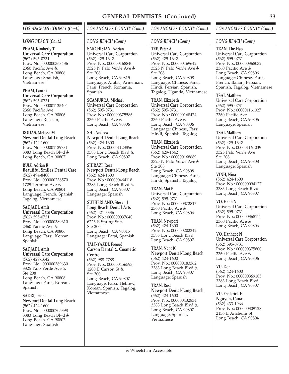### *LONG BEACH (Cont.)*

**PHAM, Kimberly T Universal Care Corporation** (562) 595-0731 Prov. No.: 000000368436 2360 Pacific Ave Long Beach, CA 90806 Language: Spanish, Vietnamese

**PHAM, Lanchi**

**Universal Care Corporation** (562) 595-0731 Prov. No.: 000001135404 2360 Pacific Ave Long Beach, CA 90806 Language: Russian, Vietnamese

**RODAS, Melissa M Newport Dental-Long Beach** (562) 424-1600 Prov. No.: 000001139781 3383 Long Beach Blvd Long Beach, CA 90807

**RUIZ, Adrian R Beautiful Smiles Dental Care** (562) 494-8400 Prov. No.: 000000238570 1729 Termino Ave Long Beach, CA 90804 Language: French, Spanish, Tagalog, Vietnamese

**SADJADI, Amir Universal Care Corporation** (562) 595-0731 Prov. No.: 000000389610 2360 Pacific Ave Long Beach, CA 90806 Language: Farsi, Korean, Spanish

**SADJADI, Amir Universal Care Corporation** (562) 429-1642 Prov. No.: 000000389630 3325 Palo Verde Ave Ste 208 Long Beach, CA 90808 Language: Farsi, Korean, Spanish

**SADRI, Iman Newport Dental-Long Beach** (562) 424-1600 Prov. No.: 000000705398 3383 Long Beach Blvd Long Beach, CA 90807 Language: Spanish

# *LOS ANGELES COUNTY (Cont.)*

### *LONG BEACH (Cont.)*

**SARCHISIAN, Adrian Universal Care Corporation** (562) 429-1642 Prov. No.: 000000168840 3325 N Palo Verde Ave Ste 208 Long Beach, CA 90815 Language: Arabic, Armenian, Farsi, French, Romania, Spanish

**SCAMURRA, Michael Universal Care Corporation** (562) 595-0731 Prov. No.: 000000375586 2360 Pacific Ave Long Beach, CA 90806

**SHI, Andrew Newport Dental-Long Beach** (562) 424-1600 Prov. No.: 000001123856 3383 Long Beach Blvd Long Beach, CA 90807

**SHIRAZI, Reza Newport Dental-Long Beach** (562) 424-1600 Prov. No.: 000000464118 3383 Long Beach Blvd Long Beach, CA 90807 Language: Spanish

**SUTHERLAND, Steven J Long Beach Dental Arts** (562) 421-3336 Prov. No.: 000000037640 6226 E Spring St Ste 200 Long Beach, CA 90815 Language: Farsi, Spanish

**TALE-YAZDI, Foroud Carson Dental & Cosmetic Centre**

(562) 988-7788 Prov. No.: 000000456593 1200 E Carson St Ste 300 Long Beach, CA 90807 Language: Farsi, Hebrew, Korean, Spanish, Tagalog, Vietnamese

# *LOS ANGELES COUNTY (Cont.)*

## *LONG BEACH (Cont.)*

**TEE, Peter A Universal Care Corporation** (562) 429-1642 Prov. No.: 000000169642 3325 N Palo Verde Ave Ste 208 Long Beach, CA 90808 Language: Chinese, Farsi, Hindi, Persian, Spanish, Tagalog, Uganda, Vietnamese

**TRAN, Elizabeth Universal Care Corporation** (562) 595-0731 Prov. No.: 000000168474 2360 Pacific Ave Long Beach, CA 90806 Language: Chinese, Farsi, Hindi, Spanish, Tagalog

**TRAN, Elizabeth Universal Care Corporation** (562) 429-1642 Prov. No.: 000000168689 3325 N Palo Verde Ave Ste 208 Long Beach, CA 90808 Language: Chinese, Farsi, Hindi, Spanish, Tagalog

**TRAN, Mai P Universal Care Corporation** (562) 595-0731 Prov. No.: 000000372817 2360 Pacific Ave Long Beach, CA 90806

**TRAN, Newport** (562) 424-1600 Prov. No.: 000000202342 3383 Long Beach Blvd Long Beach, CA 90807

**TRAN, Ngoc K Newport Dental-Long Beach** (562) 424-1600 Prov. No.: 000000183362 3383 Long Beach Blvd Long Beach, CA 90807 Language: Spanish

**TRAN, Rosa Newport Dental-Long Beach** (562) 424-1600 Prov. No.: 000000432834 3383 Long Beach Blvd Long Beach, CA 90807 Language: Spanish, Vietnamese

## *LOS ANGELES COUNTY (Cont.)*

### *LONG BEACH (Cont.)*

**TRAN, The-Hao Universal Care Corporation** (562) 595-0731 Prov. No.: 000000368032 2360 Pacific Ave Long Beach, CA 90806 Language: Chinese, Farsi, French, Italian, Persian, Spanish, Tagalog, Vietnamese

**TSAI, Matthew Universal Care Corporation** (562) 595-0731 Prov. No.: 000001161027 2360 Pacific Ave Long Beach, CA 90806 Language: Spanish

**TSAI, Matthew Universal Care Corporation** (562) 429-1642 Prov. No.: 000001161039 3325 Palo Verde Ave Ste 208 Long Beach, CA 90808 Language: Spanish

**VINH, Nina** (562) 424-1600 Prov. No.: 000000094127 3383 Long Beach Blvd Long Beach, CA 90807

**VO, Hanh N Universal Care Corporation** (562) 595-0731 Prov. No.: 000000368111 2360 Pacific Ave Long Beach, CA 90806

**VO, Hanhgoc N Universal Care Corporation** (562) 595-0731 Prov. No.: 000000375800 2360 Pacific Ave Long Beach, CA 90806

**VU, Don** (562) 424-1600 Prov. No.: 000000369185 3383 Long Beach Blvd Long Beach, CA 90807

**VU, Frederick H Nguyen, Canai** (562) 433-1966 Prov. No.: 000000309128 2136 E Anaheim St Long Beach, CA 90804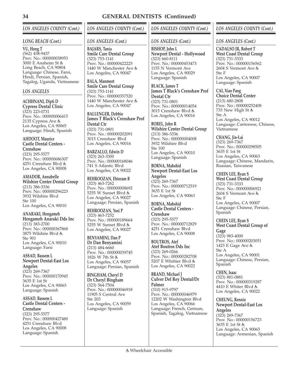### *LONG BEACH (Cont.)*

**VU, Hong T** (562) 438-9437 Prov. No.: 000000038953 3000 E Anaheim St Long Beach, CA 90804 Language: Chinese, Farsi, Hindi, Persian, Spanish, Tagalog, Uganda, Vietnamese

## *LOS ANGELES*

**ACHHNANI, Dipti D Cypress Dental Clinic** (323) 223-0731 Prov. No.: 000000006415 2135 Cypress Ave Los Angeles, CA 90065 Language: Hindi, Spanish

## **AHDOOT, Maurice Castle Dental Centers -**

**Crenshaw** (323) 295-5577 Prov. No.: 000000686307 4251 Crenshaw Blvd Los Angeles, CA 90008

**AMADOR, Annabelle Wilshire Center Dental Group** (213) 386-3336 Prov. No.: 000000296223 3932 Wilshire Blvd Ste 100 Los Angeles, CA 90010

**ANARAKI, Hengameh Hengameh Anaraki Dds Inc** (213) 383-2700 Prov. No.: 000000367868 3875 Wilshire Blvd Ste 901 Los Angeles, CA 90010 Language: Farsi

**ASSAD, Bassem L Newport Dental-East Los Angeles** (323) 269-7367 Prov. No.: 000000170945 3635 E 1st St Los Angeles, CA 90063 Language: Spanish

**ASSAD, Bassem L Castle Dental Centers - Crenshaw** (323) 295-5577 Prov. No.: 000000427480 4251 Crenshaw Blvd Los Angeles, CA 90008 Language: Spanish

# *LOS ANGELES COUNTY (Cont.)*

*LOS ANGELES (Cont.)*

**BAJARS, Tania Smile Care Dental Group** (323) 753-1141 Prov. No.: 000000422225 1440 W Manchester Ave Los Angeles, CA 90047

**BALA, Manmeet Smile Care Dental Group** (323) 753-1141 Prov. No.: 000000357520 1440 W Manchester Ave Los Angeles, CA 90047

**BALLENGER, Debbie James T Black's Crenshaw Prof Dental Ctr** (323) 731-0801 Prov. No.: 000000202091 3015 Crenshaw Blvd Los Angeles, CA 90016

**BARZALLO, Edwin D** (323) 263-3300 Prov. No.: 000000168046 741 S Atlantic Blvd Los Angeles, CA 90022

**BEHROOZAN, Ehteram B** (323) 463-7262 Prov. No.: 000000008692 5255 W Sunset Blvd Los Angeles, CA 90027 Language: Persian, Spanish

**BEHROOZAN, Yosi P** (323) 463-7252 Prov. No.: 000000189664 5255 W Sunset Blvd Los Angeles, CA 90027

**BENYAMINI, Dan P Dr Dan Benyamini** (213) 484-6660 Prov. No.: 000000039745 1826 W 7th St Los Angeles, CA 90057 Language: Persian, Spanish

**BINGHAM, Cheryl D Dr Cheryl Bingham** (323) 564-7504 Prov. No.: 000000046918 11905 S Central Ave Ste 203 Los Angeles, CA 90059 Language: Spanish

# *LOS ANGELES COUNTY (Cont.)*

## *LOS ANGELES (Cont.)*

**BISHOP, John L Newport Dental - Hollywood** (323) 660-8111 Prov. No.: 000000453473 1155 N Vermont Ave Los Angeles, CA 90029 Language: Spanish

**BLACK, James T James T Black's Crenshaw Prof Dental Ctr** (323) 731-0801 Prov. No.: 000000014054 3015 Crenshaw Blvd Los Angeles, CA 90016

**BOREL, John R Wilshire Center Dental Group** (213) 386-3336 Prov. No.: 000000004008 3932 Wilshire Blvd Ste 100 Los Angeles, CA 90010 Language: Spanish

**BORNA, Mahshid Newport Dental-East Los Angeles** (323) 269-7367 Prov. No.: 000000712519 3635 E 1st St Los Angeles, CA 90063

**BORNA, Mahshid Castle Dental Centers - Crenshaw** (323) 295-5577 Prov. No.: 000000712829 4251 Crenshaw Blvd Los Angeles, CA 90008

**BOUTROS, Atef Atef Boutros Dds Inc** (323) 269-0266 Prov. No.: 000000282708 5207 E Whittier Blvd Los Angeles, CA 90022

**BRAND, Michael J Culver Del Rey Dental/Dr Palmer** (310) 915-9797 Prov. No.: 000000046979 12202 W Washington Blvd Los Angeles, CA 90066 Language: French, German, Spanish, Tagalog, Vietnamese

# *LOS ANGELES COUNTY (Cont.)*

*LOS ANGELES (Cont.)*

**CADALSO JR, Robert T West Coast Dental Group** (323) 731-3333 Prov. No.: 000000156562 2604 S Vermont Ave Ste F Los Angeles, CA 90007 Language: Spanish

**CAI, Xiao Pang Choice Dental Center** (213) 680-2808 Prov. No.: 000000252408 733 New High St Ste A Los Angeles, CA 90012 Language: Cantonese, Chinese, Vietnamese

**CHANG, Jin-Lai** (323) 269-7367 Prov. No.: 000000298505 3635 E 1st St Los Angeles, CA 90063 Language: Chinese, Mandarin, Russian, Taiwanese

**CHEIN LEE, Ryan S West Coast Dental Group** (323) 731-3333 Prov. No.: 000000006921 2604 S Vermont Ave Ste F Los Angeles, CA 90007 Language: Chinese, Persian, Spanish

**CHEIN LEE, Ryan S West Coast Dental Group of Gage** (323) 983-4000 Prov. No.: 000000203051 1423 E Gage Ave Ste A Los Angeles, CA 90001 Language: Chinese, Persian, Spanish

**CHEN, Isaac** (323) 881-0881 Prov. No.: 000000319287 4410 E Whiter Blvd Los Angeles, CA 90022

**CHEUNG, Rennie Newport Dental-East Los Angeles** (323) 269-7367 Prov. No.: 000000156723 3635 E 1st St Los Angeles, CA 90063 Language: Armenian, Spanish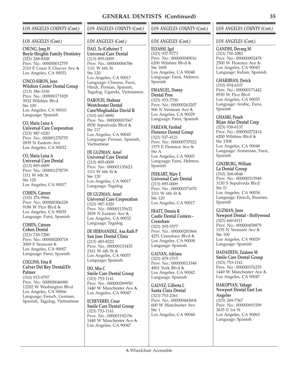### *LOS ANGELES (Cont.)*

**CHUNG, Jong H Boyle Heights Family Dentistry** (323) 268-8308 Prov. No.: 000000012755 2110 E Cesar E Chavez Ave Los Angeles, CA 90033

**CINCO-SIRON, June Wilshire Center Dental Group** (213) 386-3336 Prov. No.: 000000171828 3932 Wilshire Blvd Ste 100 Los Angeles, CA 90010 Language: Spanish

**CO, Maria Luisa A Universal Care Corporation** (323) 987-1020 Prov. No.: 000001278755 2839 N Eastern Ave Los Angeles, CA 90032

**CO, Maria Luisa A Universal Care Dental** (213) 895-0009 Prov. No.: 000001278739 1111 W 6th St Ste 120 Los Angeles, CA 90017

**COHEN, Catreen** (310) 276-9966 Prov. No.: 000000306228 9188 W Pico Blvd Los Angeles, CA 90035 Language: Farsi, Spanish

**COHEN, Catreen Cohen Dental** (323) 730-7200 Prov. No.: 000000200718 3009 S Vermont Los Angeles, CA 90007 Language: Farsi, Spanish

**COLLINS, Erna R Culver Del Rey Dental/Dr Palmer**

(310) 915-9797 Prov. No.: 000000046980 12202 W Washington Blvd Los Angeles, CA 90066 Language: French, German, Spanish, Tagalog, Vietnamese

# *LOS ANGELES COUNTY (Cont.)*

*LOS ANGELES (Cont.)*

**DAO, Tu (Cathrine) T Universal Care Dental** (213) 895-0009 Prov. No.: 000000006786 1111 W 6th St Ste 120 Los Angeles, CA 90017 Language: Chinese, Farsi, Hindi, Persian, Spanish, Tagalog, Uganda, Vietnamese

**DAROUEI, Shahnaz Westchester Dental Care/Moghaddas David R** (310) 641-8890 Prov. No.: 000000007067 8930 Sepulveda Blvd Ste 117 Los Angeles, CA 90045 Language: Persian, Spanish, Vietnamese

**DE GUZMAN, Arnel Universal Care Dental** (213) 895-0009 Prov. No.: 000001135623 1111 W 6th St & Ste 120 Los Angeles, CA 90017 Language: Tagalog

**DE GUZMAN, Arnel Universal Care Corporation** (323) 987-1020 Prov. No.: 000001135632 2839 N Eastern Ave Los Angeles, CA 90032 Language: Tagalog

**DE HERNANDEZ, Ana Ruth P San Jose Dental Clinic** (213) 483-8222 Prov. No.: 000000133435 2161 W 6th St Los Angeles, CA 90057 Language: Spanish

**DO, Min C Smile Care Dental Group** (323) 753-1141 Prov. No.: 000000289950 1440 W Manchester Ave Los Angeles, CA 90047

**ECHEVERRY, Cesar Smile Care Dental Group** (323) 753-1141 Prov. No.: 000001192156 1440 W Manchester Ave & Los Angeles, CA 90047

## *LOS ANGELES COUNTY (Cont.)*

### *LOS ANGELES (Cont.)*

**ELYASSI, Igal** (323) 937-5773 Prov. No.: 000000049016 6200 Wilshire Blvd Ste 1609 Los Angeles, CA 90048 Language: Farsi, Hebrew, Spanish

**EMANUEL, Donny Dental Pros** (323) 953-7700 Prov. No.: 000000263207 906 N Vermont Ave Los Angeles, CA 90029 Language: Farsi, Spanish

**FARZAM, Farshad Florence Dental Group** (323) 537-4121 Prov. No.: 000000737022 1575 E Florence Ave Ste A Los Angeles, CA 90001 Language: Farsi, Hebrew, Spanish

**FEEKART, Mary E Universal Care Dental** (213) 895-0009 Prov. No.: 000000371670 1111 W 6th St & Ste 120 Los Angeles, CA 90017

**FRATT, Dennis R Castle Dental Centers - Crenshaw** (323) 295-5577 Prov. No.: 000000281864 4251 Crenshaw Blvd Los Angeles, CA 90008 Language: Spanish

**GALVAN, Adriana** (323) 478-1515 Prov. No.: 000000013348 4901 York Blvd & Los Angeles, CA 90042 Language: Spanish

**GALVEZ, Gilberta L Santa Clara Dental** (323) 753-2361 Prov. No.: 000000443604 600 W Manchester Ave Ste 1 Los Angeles, CA 90044

## *LOS ANGELES COUNTY (Cont.)*

*LOS ANGELES (Cont.)*

**GANDHI, Devang M** (323) 750-2082 Prov. No.: 000000002478 2500 W Florence Ave Los Angeles, CA 90043 Language: Indian, Spanish

**GHARIBIAN, Derick** (310) 854-6107 Prov. No.: 000000171442 8530 W Pico Blvd Los Angeles, CA 90035 Language: Arabic, Farsi, Spanish

#### **GHASRI, Poneh Bijan Afar Dental Corp** (323) 938-6137 Prov. No.: 000000272414  $6200$  Wilshire Blvd $\dot{\mathbb{G}}$ Ste 1508 Los Angeles, CA 90048 Language: Armenian, Farsi,

Spanish **GINZBURG, William La Dental Group** (310) 268-0646 Prov. No.: 000000315948 3130 S Sepulveda Blvd

Ste D Los Angeles, CA 90034 Language: French, Russian, Spanish

**GUZMAN, Jesse Newport Dental - Hollywood** (323) 660-8111 Prov. No.: 000000458879 1155 N Vermont Ave Ste 100 Los Angeles, CA 90029 Language: Spanish

**HADADEEN, Zaidoon M Smile Care Dental Group** (323) 753-1141 Prov. No.: 000000376235 1440 W Manchester Ave & Los Angeles, CA 90047

**HAKOPYAN, Vahagn Newport Dental East Los Angeles** (323) 269-7367 Prov. No.: 000000691509 3635 E 1st St Los Angeles, CA 90063 Language: Spanish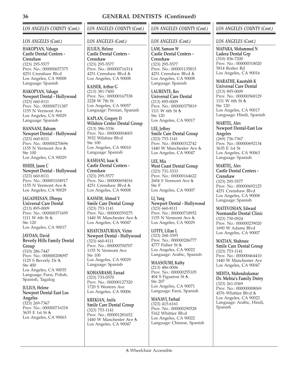# *LOS ANGELES COUNTY (Cont.)*

### *LOS ANGELES (Cont.)*

**HAKOPYAN, Vahagn Castle Dental Centers - Crenshaw** (323) 295-5577 Prov. No.: 000000657375 4251 Crenshaw Blvd Los Angeles, CA 90008 Language: Spanish

**HAKOPYAN, Vahagn Newport Dental - Hollywood** (323) 660-8111 Prov. No.: 000000711387 1155 N Vermont Ave Los Angeles, CA 90029 Language: Spanish

**HANNANI, Bahram Newport Dental - Hollywood** (323) 660-8111 Prov. No.: 000000270696 1155 N Vermont Ave Ste 100 Los Angeles, CA 90029

**HSIEH, Jason C Newport Dental - Hollywood** (323) 660-8111 Prov. No.: 000001104917 1155 N Vermont Ave Los Angeles, CA 90029

**JAGADEESAN, Dheepa Universal Care Dental** (213) 895-0009 Prov. No.: 000000371695 1111 W 6th St & Ste 120 Los Angeles, CA 90017

**JAVDAN, David Beverly Hills Family Dental Group** (310) 286-7447 Prov. No.: 000000208097 1125 S Beverly Dr Ste 400 Los Angeles, CA 90035 Language: Farsi, Polish, Spanish, Tagalog

#### **JULIUS, Helene Newport Dental East Los Angeles**

(323) 269-7367 Prov. No.: 000000716318 3635 E 1st St Los Angeles, CA 90063

# *LOS ANGELES COUNTY (Cont.)*

### *LOS ANGELES (Cont.)*

**JULIUS, Helene Castle Dental Centers - Crenshaw** (323) 295-5577 Prov. No.: 000000716314 4251 Crenshaw Blvd & Los Angeles, CA 90008

**KAISER, Arthur G** (213) 381-7400 Prov. No.: 000000167538 2228 W 7th St Los Angeles, CA 90057 Language: Persian, Spanish

**KAPLAN, Gregory D Wilshire Center Dental Group** (213) 386-3336 Prov. No.: 000000004003 3932 Wilshire Blvd Ste 100 Los Angeles, CA 90010 Language: Spanish

**KASHANI, Isaac K Castle Dental Centers - Crenshaw** (323) 295-5577 Prov. No.: 000000694016 4251 Crenshaw Blvd Los Angeles, CA 90008

**KASSEM, Ahmed Y Smile Care Dental Group** (323) 753-1141 Prov. No.: 000000359275 1440 W Manchester Ave & Los Angeles, CA 90047

**KHATCHATURIAN, Victor Newport Dental - Hollywood** (323) 660-8111 Prov. No.: 000000700707 1155 N Vermont Ave Ste 100 Los Angeles, CA 90029 Language: Spanish

**KOHANBASH, Farzad** (323) 733-0570 Prov. No.: 000000127320 1720 S Western Ave Los Angeles, CA 90006

**KREKIAN, Anifa Smile Care Dental Group** (323) 753-1141 Prov. No.: 000001281652 1440 W Manchester Ave Los Angeles, CA 90047

# *LOS ANGELES COUNTY (Cont.)*

## *LOS ANGELES (Cont.)*

**LAM, Samson W Castle Dental Centers - Crenshaw** (323) 295-5577 Prov. No.: 000001135815 4251 Crenshaw Blvd & Los Angeles, CA 90008 Language: Spanish

**LAURENTE, Rex Universal Care Dental** (213) 895-0009 Prov. No.: 000000375819 1111 W 6th St & Ste 120 Los Angeles, CA 90017

**LEE, Jeffrey Smile Care Dental Group** (323) 753-1141 Prov. No.: 000000312742 1440 W Manchester Ave Los Angeles, CA 90047

**LEE, Mia West Coast Dental Group** (323) 731-3333 Prov. No.: 000000164622 2604 S Vermont Ave Ste F Los Angeles, CA 90007

**LI, Yang Newport Dental - Hollywood** (323) 660-8111 Prov. No.: 000000718952 1155 N Vermont Ave Los Angeles, CA 90029

**LOTFY, Lilian L** (323) 268-3395 Prov. No.: 000000206777 4777 Fisher St & Los Angeles, CA 90022 Language: Arabic, Spanish

**MAASOUMI, Kathy** (213) 486-0006 Prov. No.: 000000255105 404 S Figueroa St Ste 207 Los Angeles, CA 90071 Language: Farsi, Spanish

**MANAVI, Farhad** (323) 415-6161 Prov. No.: 000000290528 5162 Whittier Blvd Los Angeles, CA 90022 Language: Chinese, Spanish

# *LOS ANGELES COUNTY (Cont.)*

*LOS ANGELES (Cont.)*

**MAPARA, Mohammed N Ladera Dental Grp** (310) 836-7200 Prov. No.: 000000318020 5814 Rodeo Rd Los Angeles, CA 90016

**MARATHE, Kaustubh K Universal Care Dental**

(213) 895-0009 Prov. No.: 000000368129 1111 W 6th St Ste 120 Los Angeles, CA 90017 Language: Hindi, Spanish

**MARTEL, Alex Newport Dental-East Los Angeles** (269) 736-7367 Prov. No.: 000000692134 3635 E 1st St Los Angeles, CA 90063 Language: Spanish

**MARTEL, Alex Castle Dental Centers - Crenshaw** (323) 295-5577 Prov. No.: 000000692125 4251 Crenshaw Blvd Los Angeles, CA 90008 Language: Spanish

**MATEVOSIAN, Edward Normandie Dental Clinic** (323) 730-0924 Prov. No.: 000000239020 1690 W Adams Blvd Los Angeles, CA 90007

**MATIAN, Shahrooz Smile Care Dental Group** (323) 753-1141 Prov. No.: 000000464410 1440 W Manchester Ave Los Angeles, CA 90047

**MEHTA, Mahendrakumar Dr. Mehta's Family Dntry** (323) 261-0369 Prov. No.: 000000008069 4576 Whittier Blvd & Los Angeles, CA 90022 Language: Arabic, Hindi, Spanish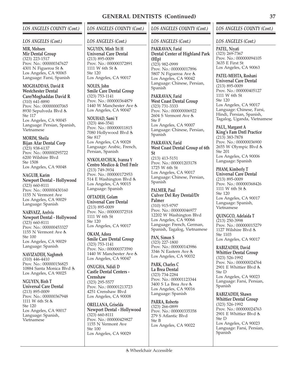### *LOS ANGELES (Cont.)*

**MIR, Mohsen Mir Dental Group** (323) 223-1517 Prov. No.: 000000347627 4301 N Figueroa St Los Angeles, CA 90065 Language: Farsi, Spanish

**MOGHADDAS, David R Westchester Dental**

**Care/Moghaddas David R** (310) 641-8890 Prov. No.: 000000007065 8930 Sepulveda Blvd Ste 117 Los Angeles, CA 90045 Language: Persian, Spanish, Vietnamese

### **MORIM, Sheila**

**Bijan Afar Dental Corp** (323) 938-6137 Prov. No.: 000000295722 6200 Wilshire Blvd Ste 1508 Los Angeles, CA 90048

**NAGUIB, Karim Newport Dental - Hollywood** (323) 660-8111 Prov. No.: 000000430160 1155 N Vermont Ave Los Angeles, CA 90029 Language: Spanish

**NARVAEZ, Arelvis Newport Dental - Hollywood** (323) 660-8111 Prov. No.: 000000453327 1155 N Vermont Ave Ste 100 Los Angeles, CA 90029 Language: Spanish

**NAVIZADEH, Naghmeh** (310) 446-4410 Prov. No.: 000000156825 10884 Santa Monica Blvd Los Angeles, CA 90025

**NGUYEN, Binh T Universal Care Dental** (213) 895-0009 Prov. No.: 000000367948 1111 W 6th St Ste 120 Los Angeles, CA 90017 Language: Spanish, Vietnamese

# *LOS ANGELES COUNTY (Cont.)*

#### *LOS ANGELES (Cont.)*

**NGUYEN, Minh Tri H Universal Care Dental** (213) 895-0009 Prov. No.: 000000372891 1111 W 6th St Ste 120 Los Angeles, CA 90017

**NOLES, John Smile Care Dental Group** (323) 753-1141 Prov. No.: 000000364879 1440 W Manchester Ave Los Angeles, CA 90047

**NOUHAD, Sami Y** (323) 466-3541 Prov. No.: 000000011815 7080 Hollywood Blvd Ste 817 Los Angeles, CA 90028 Language: Arabic, French, Persian, Spanish

**NYKOLAYCHUK, Ivanna Y Centro Medico & Dntl Fmlr** (213) 749-3934 Prov. No.: 000000172953 514 E Washington Blvd Los Angeles, CA 90015 Language: Spanish

**OFTADEH, Golam Universal Care Dental** (213) 895-0009 Prov. No.: 000000372518 1111 W 6th St Ste 120 Los Angeles, CA 90017

**OKAM, Adora Smile Care Dental Group** (323) 753-1141 Prov. No.: 000000373590 1440 W Manchester Ave & Los Angeles, CA 90047

**ONUGHA, Ndidi D Castle Dental Centers - Crenshaw** (323) 295-5577 Prov. No.: 000001213723 4251 Crenshaw Blvd Los Angeles, CA 90008

**ORELLANA, Griselda Newport Dental - Hollywood** (323) 660-8111 Prov. No.: 000000429827 1155 N Vermont Ave Ste 100 Los Angeles, CA 90029

## *LOS ANGELES COUNTY (Cont.)*

### *LOS ANGELES (Cont.)*

**PAKRAVAN, Farid Dental Center of Highland Park (Hlp)** (323) 982-0999 Prov. No.: 000000017896 5807 N Figueroa Ave Los Angeles, CA 90042 Language: Chinese, Persian, Spanish

**PAKRAVAN, Farid West Coast Dental Group** (323) 731-3333 Prov. No.: 000000006922 2604 S Vermont Ave Ste F Los Angeles, CA 90007 Language: Chinese, Persian, Spanish

**PAKRAVAN, Farid West Coast Dental Group of 6th St**

(213) 413-5151 Prov. No.: 000001203178 1725 W 6th St Los Angeles, CA 90017 Language: Chinese, Persian, Spanish

**PALMER, Paul Culver Del Rey Dental/Dr Palmer** (310) 915-9797 Prov. No.: 000000046977 12202 W Washington Blvd Los Angeles, CA 90066

Language: French, German,

Spanish, Tagalog, Vietnamese **PAN, Simon S** (323) 227-1800 Prov. No.: 000000143986 3346 N Eastern Ave Los Angeles, CA 90032

**PARK, Charles C La Brea Dental** (323) 734-2284 Prov. No.: 000001123344 3400 S La Brea Ave Los Angeles, CA 90016 Language: Spanish

**PARRA, Roberto** (323) 266-0899 Prov. No.: 000000335358 279 S Atlantic Blvd Ste B Los Angeles, CA 90022

## *LOS ANGELES COUNTY (Cont.)*

#### *LOS ANGELES (Cont.)*

**PATEL, Niyati** (323) 269-7367 Prov. No.: 000000094105 3635 E First St Los Angeles, CA 90063

**PATEL-MEHTA, Roshani Universal Care Dental** (213) 895-0009 Prov. No.: 000000405127 1111 W 6th St Ste 120 Los Angeles, CA 90017 Language: Chinese, Farsi, Hindi, Persian, Spanish, Tagalog, Uganda, Vietnamese

**PAUL, Margaret A King's Fam Dntl Practice** (213) 383-7878 Prov. No.: 000000036900 2655 W Olympic Blvd Ste 201 Los Angeles, CA 90006 Language: Spanish

**PHAM, Kimberly T Universal Care Dental** (213) 895-0009 Prov. No.: 000000368426 1111 W 6th St Ste 120 Los Angeles, CA 90017 Language: Spanish, Vietnamese

**QUINGCO, Adelaida T** (213) 250-3998 Prov. No.: 000000015279 1127 Wilshire Blvd & Ste 1103 Los Angeles, CA 90017

**RABIZADEH, David Whittier Dental Group** (323) 526-1992 Prov. No.: 000000024764 2901 E Whittier Blvd Ste D Los Angeles, CA 90023 Language: Farsi, Persian, Spanish

**RABIZADEH, Shawn Whittier Dental Group** (323) 526-1992 Prov. No.: 000000024763 2901 E Whittier Blvd Ste D Los Angeles, CA 90023 Language: Farsi, Persian, Spanish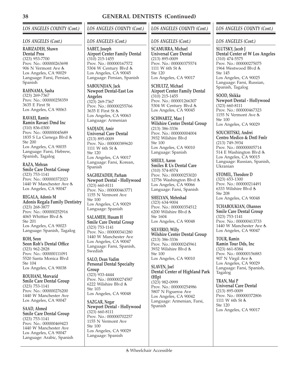### *LOS ANGELES (Cont.)*

# **RABIZADEH, Shawn**

**Dental Pros** (323) 953-7700 Prov. No.: 000000263698 906 N Vermont Ave Los Angeles, CA 90029 Language: Farsi, Persian, Spanish

**RAHNAMA, Sasha** (323) 269-7367 Prov. No.: 000000258359 3635 E First St Los Angeles, CA 90063

## **RAVAEI, Ramin**

**Ramin Ravaei Dmd Inc** (310) 836-0300 Prov. No.: 000000045689 1835 S La Cienega Blvd Ste 200 Los Angeles, CA 90035 Language: Farsi, Hebrew, Spanish, Tagalog

**RAZA, Mehran Smile Care Dental Group** (323) 753-1141 Prov. No.: 000000372023 1440 W Manchester Ave Los Angeles, CA 90047

**REGALA, Adonis M Adonis Regala Family Dentistry** (323) 268-3877 Prov. No.: 000000252916 4065 Whittier Blvd Ste 201 Los Angeles, CA 90023 Language: Spanish, Tagalog

**ROH, Seon Seon Roh's Dental Office** (323) 962-2828 Prov. No.: 000000111091 5520 Santa Monica Blvd Ste 104 Los Angeles, CA 90038

**ROUHANI, Morvarid Smile Care Dental Group** (323) 753-1141 Prov. No.: 000000276200 1440 W Manchester Ave Los Angeles, CA 90047

**SAAD, Ahmed Smile Care Dental Group** (323) 753-1141 Prov. No.: 000000469423 1440 W Manchester Ave Los Angeles, CA 90047 Language: Arabic, Spanish

# *LOS ANGELES COUNTY (Cont.)*

### *LOS ANGELES (Cont.)*

**SABET, Joseph Airport Center Family Dental**  $(310)$  215-1455 Prov. No.: 000000167572 5304 W Century Blvd Los Angeles, CA 90045 Language: Persian, Spanish

**SABOUNJIAN, Jack Newport Dental-East Los**

**Angeles** (323) 269-7367 Prov. No.: 000000255766 3635 E First St Los Angeles, CA 90063 Language: Armenian

**SADJADI, Amir Universal Care Dental** (213) 895-0009 Prov. No.: 000000389620 1111 W 6th St & Ste 120 Los Angeles, CA 90017 Language: Farsi, Korean, Spanish

**SAGHIZADEH, Parham Newport Dental - Hollywood** (323) 660-8111 Prov. No.: 000000463771 1155 N Vermont Ave Ste 100 Los Angeles, CA 90029 Language: Spanish

**SALAMEH, Husam H Smile Care Dental Group** (323) 753-1141 Prov. No.: 000000341280 1440 W Manchester Ave Los Angeles, CA 90047 Language: Farsi, Spanish, **Swedish** 

**SALO, Dean Vadim Personal Dental Specialty Group** (323) 933-4444 Prov. No.: 000000274587 6222 Wilshire Blvd Ste 103 Los Angeles, CA 90048

**SAZGAR, Negar Newport Dental - Hollywood** (323) 660-8111 Prov. No.: 000000702257 1155 N Vermont Ave Ste 100 Los Angeles, CA 90029 Language: Spanish

## *LOS ANGELES COUNTY (Cont.)*

### *LOS ANGELES (Cont.)*

**SCAMURRA, Michael Universal Care Dental** (213) 895-0009 Prov. No.: 000000375574 1111 W 6th St Ste 120 Los Angeles, CA 90017

**SCHULTZ, Michael Airport Center Family Dental** (310) 215-1455 Prov. No.: 000001266307 5304 W Century Blvd Los Angeles, CA 90045

**SCHWARTZ, Marc J Wilshire Center Dental Group** (213) 386-3336 Prov. No.: 000000004004 3932 Wilshire Blvd Ste 100 Los Angeles, CA 90010 Language: Spanish

**SHEILY, Aaron Smiles R Us Dental Care** (310) 574-8574 Prov. No.: 000000253020 12756 Washington Blvd Los Angeles, CA 90066 Language: Farsi, Spanish

**SHELYAN, Mehrshad** (323) 634-9004 Prov. No.: 000000354512 6200 Wilshire Blvd Ste 1604 Los Angeles, CA 90048

**SILVERIO, Willy Wilshire Center Dental Group** (213) 386-3336 Prov. No.: 000000245961 3932 Wilshire Blvd Ste 100 Los Angeles, CA 90010

**SLAVEN, Joel Dental Center of Highland Park (Hlp)** (323) 982-0999 Prov. No.: 000000254986 5807 N Figueroa Ave Los Angeles, CA 90042 Language: Armenian, Farsi, Spanish

## *LOS ANGELES COUNTY (Cont.)*

*LOS ANGELES (Cont.)*

**SLUTSKY, Jacob J Dental Center of W Los Angeles** (310) 474-5575 Prov. No.: 000000275075 1964 Westwood Blvd Ste 145 Los Angeles, CA 90025 Language: Farsi, Russian, Spanish, Tagalog

**SOOD, Shikka Newport Dental - Hollywood** (323) 660-8111 Prov. No.: 000000467323 1155 N Vermont Ave Ste 100 Los Angeles, CA 90029

**SOUCHITSKI, Andrei Centro Medico & Dntl Fmlr** (213) 749-3934 Prov. No.: 000000005714 514 E Washington Blvd Los Angeles, CA 90015 Language: Russian, Spanish, Ukranian

**STOMEL, Theodore D** (323) 653-1300 Prov. No.: 000000214491 6333 Wilshire Blvd Ste 208 Los Angeles, CA 90048

**TCHABOUKIAN, Ohannes Smile Care Dental Group** (323) 753-1141 Prov. No.: 000000413733 1440 W Manchester Ave Los Angeles, CA 90047

**TOUR, Ramin Ramin Tour Dds, Inc** (323) 661-8384 Prov. No.: 000000156883 907 N Virgil Ave Los Angeles, CA 90029 Language: Farsi, Spanish, Tagalog

**TRAN, Mai P Universal Care Dental** (213) 895-0009 Prov. No.: 000000372806 1111 W 6th St Ste 120 Los Angeles, CA 90017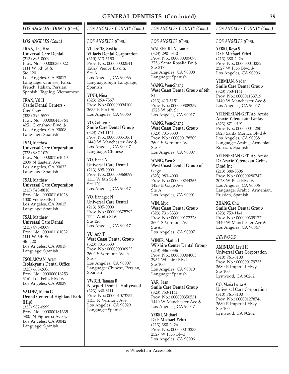### *LOS ANGELES (Cont.)*

**TRAN, The-Hao Universal Care Dental** (213) 895-0009 Prov. No.: 000000368022 1111 W 6th St & Ste 120 Los Angeles, CA 90017 Language: Chinese, Farsi, French, Italian, Persian, Spanish, Tagalog, Vietnamese

**TRAN, Val H Castle Dental Centers - Crenshaw**

(323) 295-5577 Prov. No.: 000000443764 4251 Crenshaw Blvd Los Angeles, CA 90008 Language: Spanish

### **TSAI, Matthew**

**Universal Care Corporation** (323) 987-1020 Prov. No.: 000001161040 2839 N Eastern Ave Los Angeles, CA 90032 Language: Spanish

**TSAI, Matthew Universal Care Corporation** (213) 748-8810 Prov. No.: 000001161028 1000 Venice Blvd Los Angeles, CA 90015 Language: Spanish

**TSAI, Matthew Universal Care Dental** (213) 895-0009 Prov. No.: 000001161032 1111 W 6th St Ste 120 Los Angeles, CA 90017 Language: Spanish

**TSOLAKYAN, Aram Tsolakyan's Dental Office** (323) 663-2606 Prov. No.: 000000016253 3161 Los Feliz Blvd Los Angeles, CA 90039

**VALDEZ, Mario G Dental Center of Highland Park (Hlp)** (323) 982-0999 Prov. No.: 000000181335 5807 N Figueroa Ave Los Angeles, CA 90042

Language: Spanish

# *LOS ANGELES COUNTY (Cont.)*

### *LOS ANGELES (Cont.)*

**VILLACIS, Saskia Villacis Dental Corporation** (310) 313-5150 Prov. No.: 000000002541 12027 Venice Blvd & Ste A Los Angeles, CA 90066 Language: Sign Language, Spanish

**VINH, Nina** (323) 269-7367 Prov. No.: 000000094100 3635 E First St Los Angeles, CA 90063

**VO, Colleen P Smile Care Dental Group** (323) 753-1141 Prov. No.: 000000351061 1440 W Manchester Ave Los Angeles, CA 90047 Language: Chinese

**VO, Hanh N Universal Care Dental** (213) 895-0009 Prov. No.: 000000368099 1111 W 6th St & Ste 120 Los Angeles, CA 90017

**VO, Hanhgoc N Universal Care Dental** (213) 895-0009 Prov. No.: 000000375792 1111 W 6th St & Ste 120 Los Angeles, CA 90017

**VU, Anh T West Coast Dental Group** (323) 731-3333 Prov. No.: 000000006923 2604 S Vermont Ave Ste F Los Angeles, CA 90007 Language: Chinese, Persian, Spanish

**VWICH, Tamara B Newport Dental - Hollywood** (323) 660-8111 Prov. No.: 000001073752 1155 N Vermont Ave Los Angeles, CA 90029 Language: Spanish

## Wheelchair Accessible

## *LOS ANGELES COUNTY (Cont.)*

### *LOS ANGELES (Cont.)*

**WALKER III, Nelson E** (323) 290-5340 Prov. No.: 000000009078 3756 Santa Rosalia Dr Ste 317 Los Angeles, CA 90008 Language: Spanish

**WANG, Wen-Sheng West Coast Dental Group of 6th St** (213) 413-5151 Prov. No.: 000000309259 1725 W 6th St Los Angeles, CA 90017

**WANG, Wen-Sheng West Coast Dental Group** (323) 731-3333 Prov. No.: 000000178509 2604 S Vermont Ave Ste F Los Angeles, CA 90007

**WANG, Wen-Sheng West Coast Dental Group of Gage** (323) 983-4000 Prov. No.: 000000244366 1423 E Gage Ave Ste A Los Angeles, CA 90001

**WIN, Myo West Coast Dental Group** (323) 731-3333 Prov. No.: 000000172328 2604 S Vermont Ave Ste #F Los Angeles, CA 90007

**WINER, Martin J Wilshire Center Dental Group** (213) 386-3336 Prov. No.: 000000004005 3932 Wilshire Blvd Ste 100 Los Angeles, CA 90010 Language: Spanish

**YAR, Sean Smile Care Dental Group** (323) 753-1141 Prov. No.: 000000350531 1440 W Manchester Ave Los Angeles, CA 90047

**YEBRI, Michael Dr F Michael Yebri** (213) 380-2426 Prov. No.: 000000013233 2527 W Pico Blvd Los Angeles, CA 90006

## *LOS ANGELES COUNTY (Cont.)*

#### *LOS ANGELES (Cont.)*

**YEBRI, Roya S Dr F Michael Yebri** (213) 380-2426 Prov. No.: 000000013232 2527 W Pico Blvd Los Angeles, CA 90006

**YERMIAN, Nader Smile Care Dental Group** (323) 753-1141 Prov. No.: 000001133719 1440 W Manchester Ave Los Angeles, CA 90047

**YETENEKIAN-GETTAS, Araxie Araxie Yetenekain-Gettas** (323) 871-9191 Prov. No.: 000000011280 5828 Santa Monica Blvd Los Angeles, CA 90038 Language: Arabic, Armenian, Russian, Spanish

**YETENEKIAN-GETTAS, Araxie Dr Araxie Yetenekan-Gettas Dmd Inc** (213) 380-5506 Prov. No.: 000000280747

2028 W Pico Blvd Los Angeles, CA 90006 Language: Arabic, Armenian, Russian, Spanish

**ZHANG, Chu Smile Care Dental Group** (323) 753-1141 Prov. No.: 000000309177 1440 W Manchester Ave Los Angeles, CA 90047

## *LYNWOOD*

**AMINIAN, Leyli H Universal Care Corporation** (310) 761-8100 Prov. No.: 000000179735 3680 E Imperial Hwy Ste 100 Lynwood, CA 90262

**CO, Maria Luisa A Universal Care Corporation** (310) 761-8100 Prov. No.: 000001278746 3680 E Imperial Hwy Ste 100 Lynwood, CA 90262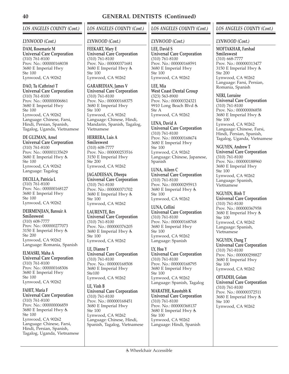# *LOS ANGELES COUNTY (Cont.)*

### *LYNWOOD (Cont.)*

**DAM, Rosemarie M Universal Care Corporation** (310) 761-8100 Prov. No.: 000000168038 3680 E Imperial Hwy Ste 100 Lynwood, CA 90262

**DAO, Tu (Cathrine) T Universal Care Corporation** (310) 761-8100 Prov. No.: 000000006861 3680 E Imperial Hwy Ste 100 Lynwood, CA 90262 Language: Chinese, Farsi, Hindi, Persian, Spanish, Tagalog, Uganda, Vietnamese

**DE GUZMAN, Arnel Universal Care Corporation** (310) 761-8100 Prov. No.: 000001135629 3680 E Imperial Hwy Ste 100 Lynwood, CA 90262 Language: Tagalog

**DECILLA, Patricia L** (310) 761-8100 Prov. No.: 000000168127 3680 E Imperial Hwy Ste 100 Lynwood, CA 90262

**DEIRMENJIAN, Barouir A Smileswest** (310) 608-7777 Prov. No.: 000000277073 3150 E Imperial Hwy Ste 200 Lynwood, CA 90262 Language: Romania, Spanish

**ELMASRI, Maha A Universal Care Corporation** (310) 761-8100 Prov. No.: 000000168306 3680 E Imperial Hwy Ste 100 Lynwood, CA 90262

**FAHIT, Maria F Universal Care Corporation** (310) 761-8100 Prov. No.: 000000006859 3680 E Imperial Hwy Ste 100 Lynwood, CA 90262 Language: Chinese, Farsi, Hindi, Persian, Spanish, Tagalog, Uganda, Vietnamese

# *LOS ANGELES COUNTY (Cont.)*

### *LYNWOOD (Cont.)*

**FEEKART, Mary E Universal Care Corporation** (310) 761-8100 Prov. No.: 000000371681 3680 E Imperial Hwy Ste 100 Lynwood, CA 90262

**GARABEDIAN, James V Universal Care Corporation** (310) 761-8100 Prov. No.: 000000168375 3680 E Imperial Hwy Ste 100 Lynwood, CA 90262 Language: Chinese, Hindi, Mandarin, Spanish, Tagalog, Vietnamese

**HERRERA, Luis A Smileswest** (310) 608-7777 Prov. No.: 000000253516 3150 E Imperial Hwy Ste 200 Lynwood, CA 90262

**JAGADEESAN, Dheepa Universal Care Corporation** (310) 761-8100 Prov. No.: 000000371702 3680 E Imperial Hwy Ste 100 Lynwood, CA 90262

**LAURENTE, Rex Universal Care Corporation** (310) 761-8100 Prov. No.: 000000376205 3680 E Imperial Hwy Ste 100 Lynwood, CA 90262

**LE, Dianne T Universal Care Corporation** (310) 761-8100 Prov. No.: 000000168508 3680 E Imperial Hwy Ste100 Lynwood, CA 90262

**LE, Vinh B Universal Care Corporation** (310) 761-8100 Prov. No.: 000000168451 3680 E Imperial Hwy Ste 100 Lynwood, CA 90262 Language: Chinese, Hindi, Spanish, Tagalog, Vietnamese

## *LOS ANGELES COUNTY (Cont.)*

### *LYNWOOD (Cont.)*

**LEE, David S Universal Care Corporation** (310) 761-8100 Prov. No.: 000000168591 3680 E Imperial Hwy Ste 100 Lynwood, CA 90262

**LEE, Mia West Coast Dental Group** (323) 563-8900 Prov. No.: 000000324321 9910 Long Beach Blvd Ste A Lynwood, CA 90262

**LENA, David A Universal Care Corporation** (310) 761-8100 Prov. No.: 000000168674 3680 E Imperial Hwy Ste 100 Lynwood, CA 90262 Language: Chinese, Japanese, Spanish

**LUNA, Aileen C Universal Care Corporation** (310) 761-8100 Prov. No.: 000000295913 3680 E Imperial Hwy Ste 100 Lynwood, CA 90262

**LUNA, Cellini Universal Care Corporation** (310) 761-8100 Prov. No.: 000000168768 3680 E Imperial Hwy Ste 100 Lynwood, CA 90262 Language: Spanish

**LY, Hoa Y Universal Care Corporation** (310) 761-8100 Prov. No.: 000000168795 3680 E Imperial Hwy Ste 100 Lynwood, CA 90262 Language: Spanish, Tagalog

**MARATHE, Kaustubh K Universal Care Corporation** (310) 761-8100 Prov. No.: 000000368137 3680 E Imperial Hwy Ste 100 Lynwood, CA 90262 Language: Hindi, Spanish

## *LOS ANGELES COUNTY (Cont.)*

### *LYNWOOD (Cont.)*

**MOFTAKHAR, Farshad Smileswest** (310) 668-7777 Prov. No.: 000000313477 3150 E Imperial Hwy Ste 200 Lynwood, CA 90262 Language: Farsi, Persian, Romania, Spanish

**NERI, Lorraine Universal Care Corporation** (310) 761-8100 Prov. No.: 000000006858 3680 E Imperial Hwy Ste 100 Lynwood, CA 90262 Language: Chinese, Farsi, Hindi, Persian, Spanish, Tagalog, Uganda, Vietnamese

**NGUYEN, Andrew T Universal Care Corporation** (310) 761-8100 Prov. No.: 000000188960 3680 E Imperial Hwy Ste 100 Lynwood, CA 90262 Language: Spanish, Vietnamese

**NGUYEN, Binh T Universal Care Corporation** (310) 761-8100 Prov. No.: 000000367958 3680 E Imperial Hwy Ste 100 Lynwood, CA 90262 Language: Spanish, Vietnamese

**NGUYEN, Dung T Universal Care Corporation** (310) 761-8100 Prov. No.: 000000298827 3680 E Imperial Hwy Ste 100 Lynwood, CA 90262

**OFTADEH, Golam Universal Care Corporation** (310) 761-8100 Prov. No.: 000000372511 3680 E Imperial Hwy Ste 100 Lynwood, CA 90262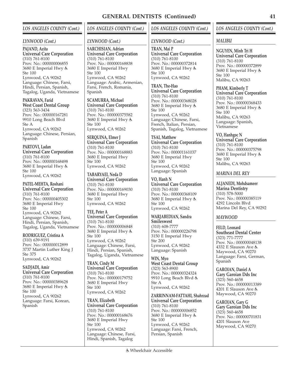### *LYNWOOD (Cont.)*

#### **PAJAND, Azita Universal Care Corporation** (310) 761-8100 Prov. No.: 000000006855

3680 E Imperial Hwy Ste 100 Lynwood, CA 90262 Language: Chinese, Farsi, Hindi, Persian, Spanish, Tagalog, Uganda, Vietnamese

## **PAKRAVAN, Farid West Coast Dental Group**

(323) 563-3434 Prov. No.: 000000167281 9910 Long Beach Blvd Ste A Lynwood, CA 90262 Language: Chinese, Persian, Spanish

## **PARTOVI, Ladan**

**Universal Care Corporation** (310) 761-8100 Prov. No.: 000000168498 3680 E Imperial Hwy Ste 100 Lynwood, CA 90262

#### **PATEL-MEHTA, Roshani Universal Care Corporation** (310) 761-8100 Prov. No.: 000000405302 3680 E Imperial Hwy Ste 100 Lynwood, CA 90262

Language: Chinese, Farsi, Hindi, Persian, Spanish, Tagalog, Uganda, Vietnamese

**RODRIGUEZ, Cristina A** (310) 639-9191 Prov. No.: 000000012899 3737 Martin Luther King J Ste 375 Lynwood, CA 90262

**SADJADI, Amir Universal Care Corporation** (310) 761-8100 Prov. No.: 000000389628 3680 E Imperial Hwy Ste 100 Lynwood, CA 90262 Language: Farsi, Korean, Spanish

# *LOS ANGELES COUNTY (Cont.)*

### *LYNWOOD (Cont.)*

**SARCHISIAN, Adrian Universal Care Corporation** (310) 761-8100 Prov. No.: 000000168838 3680 E Imperial Hwy Ste 100 Lynwood, CA 90262 Language: Arabic, Armenian, Farsi, French, Romania, Spanish

**SCAMURRA, Michael Universal Care Corporation** (310) 761-8100 Prov. No.: 000000375582 3680 E Imperial Hwy Ste 100 Lynwood, CA 90262

**SERQUINA, Elmer J Universal Care Corporation** (310) 761-8100 Prov. No.: 000000168883 3680 E Imperial Hwy Ste 100 Lynwood, CA 90262

**TABARYAEI, Neda D Universal Care Corporation** (310) 761-8100 Prov. No.: 000000169030 3680 E Imperial Hwy Ste 100 Lynwood, CA 90262

**TEE, Peter A Universal Care Corporation** (310) 761-8100 Prov. No.: 000000006848 3680 E Imperial Hwy Ste 100 Lynwood, CA 90262 Language: Chinese, Farsi, Hindi, Persian, Spanish, Tagalog, Uganda, Vietnamese

**TRAN, Cindy M Universal Care Corporation** (310) 761-8100 Prov. No.: 000000179752 3680 E Imperial Hwy Ste 100 Lynwood, CA 90262

**TRAN, Elizabeth Universal Care Corporation** (310) 761-8100 Prov. No.: 000000168676 3680 E Imperial Hwy Ste 100 Lynwood, CA 90262 Language: Chinese, Farsi, Hindi, Spanish, Tagalog

# *LOS ANGELES COUNTY (Cont.)*

## *LYNWOOD (Cont.)*

**TRAN, Mai P Universal Care Corporation** (310) 761-8100 Prov. No.: 000000372814 3680 E Imperial Hwy Ste 100 Lynwood, CA 90262

**TRAN, The-Hao Universal Care Corporation** (310) 761-8100 Prov. No.: 000000368028 3680 E Imperial Hwy Ste 100 Lynwood, CA 90262 Language: Chinese, Farsi, French, Italian, Persian, Spanish, Tagalog, Vietnamese

**TSAI, Matthew Universal Care Corporation** (310) 761-8100 Prov. No.: 000001161037 3680 E Imperial Hwy Ste 100 Lynwood, CA 90262 Language: Spanish

**VO, Hanh N Universal Care Corporation** (310) 761-8100 Prov. No.: 000000368109 3680 E Imperial Hwy Ste 100 Lynwood, CA 90262

**WARJABEDIAN, Sandra Smileswest** (310) 608-7777 Prov. No.: 000000226798 3150 E Imperial Hwy Ste 200 Lynwood, CA 90262 Language: Spanish

**WIN, Myo West Coast Dental Group** (323) 563-8900 Prov. No.: 000000324324 9910 Long Beach Blvd Ste A Lynwood, CA 90262

**ZARRINNAM-FATTAHI, Shahrzad Universal Care Corporation** (310) 761-8100 Prov. No.: 000000006852 3680 E Imperial Hwy Ste 100 Lynwood, CA 90262 Language: Farsi, French, Persian, Spanish

## *LOS ANGELES COUNTY (Cont.)*

## *MALIBU*

**NGUYEN, Minh Tri H Universal Care Corporation** (310) 761-8100 Prov. No.: 000000372899 3680 E Imperial Hwy Ste 100 Malibu, CA 90263

**PHAM, Kimberly T Universal Care Corporation** (310) 761-8100 Prov. No.: 000000368433 3680 E Imperial Hwy Ste 100 Malibu, CA 90263 Language: Spanish, Vietnamese

**VO, Hanhgoc N Universal Care Corporation** (310) 761-8100 Prov. No.: 000000375798 3680 E Imperial Hwy Ste 100 Malibu, CA 90263

### *MARINA DEL REY*

**ALJANEDI, Mohdsameer Marina Dentistry** (310) 578-5000 Prov. No.: 000000385119 4292 Lincoln Blvd Marina Del Rey, CA 90292

### *MAYWOOD*

**FELD, Leonard Southeast Dental Center** (323) 771-7777 Prov. No.: 000000048138 4332 E Slauson Ave Maywood, CA 90270 Language: Farsi, German, Spanish

**GAROIAN, Daniel A Gary Garoian Dds Inc** (323) 560-4658 Prov. No.: 000000013389 4201 E Slauson Ave Maywood, CA 90270

**GAROIAN, Gary G Gary Garoian Dds Inc** (323) 560-4658 Prov. No.: 000000701831 4201 Slauson Ave Maywood, CA 90270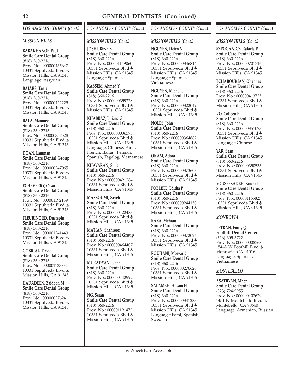## *LOS ANGELES COUNTY (Cont.)*

### *MISSION HILLS*

#### **BABAKHANOF, Paul Smile Care Dental Group** (818) 360-2216 Prov. No.: 000000435647

10331 Sepulveda Blvd Mission Hills, CA 91345 Language: Assyrian

**BAJARS, Tania Smile Care Dental Group** (818) 360-2216 Prov. No.: 000000422229 10331 Sepulveda Blvd Mission Hills, CA 91345

**BALA, Manmeet Smile Care Dental Group** (818) 360-2216 Prov. No.: 000000357528 10331 Sepulveda Blvd Mission Hills, CA 91345

**DOAN, Lamman Smile Care Dental Group** (818) 360-2216 Prov. No.: 000000347065 10331 Sepulveda Blvd Mission Hills, CA 91345

**ECHEVERRY, Cesar Smile Care Dental Group** (818) 360-2216 Prov. No.: 000001192159 10331 Sepulveda Blvd Mission Hills, CA 91345

**FLEURINORD, Ducrepin Smile Care Dental Group** (818) 360-2216 Prov. No.: 000001241443 10331 Sepulveda Blvd Mission Hills, CA 91345

**GOBRIAL, David Smile Care Dental Group** (818) 360-2216 Prov. No.: 000001133831 10331 Sepulveda Blvd Mission Hills, CA 91345

**HADADEEN, Zaidoon M Smile Care Dental Group** (818) 360-2216 Prov. No.: 000000376241 10331 Sepulveda Blvd Mission Hills, CA 91345

# *LOS ANGELES COUNTY (Cont.)*

### *MISSION HILLS (Cont.)*

**JOSHI, Birva B Smile Care Dental Group** (818) 360-2216 Prov. No.: 000001149060 10331 Sepulveda Blvd Mission Hills, CA 91345 Language: Spanish

**KASSEM, Ahmed Y Smile Care Dental Group** (818) 360-2216 Prov. No.: 000000359278 10331 Sepulveda Blvd Mission Hills, CA 91345

**KHABBAZ, Liliana G Smile Care Dental Group** (818) 360-2216 Prov. No.: 000000036573 10331 Sepulveda Blvd Mission Hills, CA 91345 Language: Chinese, Farsi, French, Italian, Persian, Spanish, Tagalog, Vietnamese

**KHAVARAN, Sima Smile Care Dental Group** (818) 360-2216 Prov. No.: 000000421284 10331 Sepulveda Blvd Mission Hills, CA 91345

**MASSOUMI, Sayeh Smile Care Dental Group** (818) 360-2216 Prov. No.: 000000422483 10331 Sepulveda Blvd Mission Hills, CA 91345

**MATIAN, Shahrooz Smile Care Dental Group** (818) 360-2216 Prov. No.: 000000464407 10331 Sepulveda Blvd Mission Hills, CA 91345

**MURADYAN, Liana Smile Care Dental Group** (818) 360-2216 Prov. No.: 000000442992 10331 Sepulveda Blvd Mission Hills, CA 91345

**NG, Seran Smile Care Dental Group** (818) 360-2216 Prov. No.: 000001191472 10331 Sepulveda Blvd Mission Hills, CA 91345

## *LOS ANGELES COUNTY (Cont.)*

### *MISSION HILLS (Cont.)*

**NGUYEN, Dzien V Smile Care Dental Group** (818) 360-2216 Prov. No.: 000000346814 10331 Sepulveda Blvd Mission Hills, CA 91345 Language: Spanish, Vietnamese

**NGUYEN, Michelle Smile Care Dental Group** (818) 360-2216 Prov. No.: 000000322049 10331 Sepulveda Blvd Mission Hills, CA 91345

**NOLES, John Smile Care Dental Group** (818) 360-2216 Prov. No.: 000000364882 10331 Sepulveda Blvd Mission Hills, CA 91345

**OKAM, Adora Smile Care Dental Group** (818) 360-2216 Prov. No.: 000000373607 10331 Sepulveda Blvd Mission Hills, CA 91345

**POBLETE, Editha P Smile Care Dental Group** (818) 360-2216 Prov. No.: 000000244150 10331 Sepulveda Blvd Mission Hills, CA 91345

**RAZA, Mehran Smile Care Dental Group** (818) 360-2216 Prov. No.: 000000372026 10331 Sepulveda Blvd Mission Hills, CA 91345

**ROUHANI, Morvarid Smile Care Dental Group** (818) 360-2216 Prov. No.: 000000270620 10331 Sepulveda Blvd Mission Hills, CA 91345

**SALAMEH, Husam H Smile Care Dental Group** (818) 360-2216 Prov. No.: 000000341283 10331 Sepulveda Blvd Mission Hills, CA 91345 Language: Farsi, Spanish, Swedish

## *LOS ANGELES COUNTY (Cont.)*

#### *MISSION HILLS (Cont.)*

**SZPOGANICZ, Rafaela P Smile Care Dental Group** (818) 360-2216 Prov. No.: 000000701716 10331 Sepulveda Blvd Mission Hills, CA 91345

**TCHABOUKIAN, Ohannes Smile Care Dental Group** (818) 360-2216 Prov. No.: 000000413735 10331 Sepulveda Blvd Mission Hills, CA 91345

**VO, Colleen P Smile Care Dental Group** (818) 360-2216 Prov. No.: 000000351073 10331 Sepulveda Blvd Mission Hills, CA 91345 Language: Chinese

**YAR, Sean Smile Care Dental Group** (818) 360-2216 Prov. No.: 000000350535 10331 Sepulveda Blvd Mission Hills, CA 91345

**YOUSEFZADEH, Kourosh Smile Care Dental Group** (818) 360-2216 Prov. No.: 000001165827 10331 Sepulveda Blvd Mission Hills, CA 91345

### *MONROVIA*

**LETRAN, Emily Q Foothill Dental Center** (626) 305-5722 Prov. No.: 000000008768 154-A W Foothill Blvd Monrovia, CA 91016 Language: Spanish, Vietnamese

### *MONTEBELLO*

**ASATRYAN, Mher Smile Care Dental Group** (323) 724-9955 Prov. No.: 000000407629 1451 N Montebello Blvd Montebello, CA 90640 Language: Armenian, Russian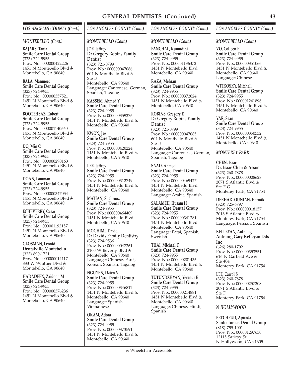#### *MONTEBELLO (Cont.)*

**BAJARS, Tania Smile Care Dental Group** (323) 724-9955 Prov. No.: 000000422226 1451 N Montebello Blvd Montebello, CA 90640

**BALA, Manmeet Smile Care Dental Group** (323) 724-9955 Prov. No.: 000000357521 1451 N Montebello Blvd Montebello, CA 90640

**BOOTEHSAZ, Robert Smile Care Dental Group** (323) 724-9955 Prov. No.: 000001140660 1451 N Montebello Blvd & Montebello, CA 90640

**DO, Min C Smile Care Dental Group** (323) 724-9955 Prov. No.: 000000290163 1451 N Montebello Blvd Montebello, CA 90640

**DOAN, Lamman Smile Care Dental Group** (323) 724-9955 Prov. No.: 000000347054 1451 N Montebello Blvd Montebello, CA 90640

**ECHEVERRY, Cesar Smile Care Dental Group** (323) 724-9955 Prov. No.: 000001192157 1451 N Montebello Blvd Montebello, CA 90640

**GLOSMAN, Leonid Dentalville-Montebello** (323) 890-1721 Prov. No.: 000000014117 833 W Whittier Blvd Montebello, CA 90640

**HADADEEN, Zaidoon M Smile Care Dental Group** (323) 724-9955 Prov. No.: 000000376236 1451 N Montebello Blvd Montebello, CA 90640

# *LOS ANGELES COUNTY (Cont.)*

*MONTEBELLO (Cont.)*

**JOE, Jeffrey Dr Gregory Robins Family Dentist** (323) 721-0799 Prov. No.: 000000047086 604 N Montbello Blvd Ste B Montebello, CA 90640 Language: Cantonese, German, Spanish, Tagalog

**KASSEM, Ahmed Y Smile Care Dental Group** (323) 724-9955 Prov. No.: 000000359276 1451 N Montebello Blvd Montebello, CA 90640

**KWON, Jae Smile Care Dental Group** (323) 724-9955 Prov. No.: 000000420224 1451 N Montebello Blvd Montebello, CA 90640

**LEE, Jeffrey Smile Care Dental Group** (323) 724-9955 Prov. No.: 000000312749 1451 N Montebello Blvd Montebello, CA 90640

**MATIAN, Shahrooz Smile Care Dental Group** (323) 724-9955 Prov. No.: 000000464409 1451 N Montebello Blvd Montebello, CA 90640

**MOGHIMI, David Dr Davids Family Dentistry** (323) 724-9536 Prov. No.: 000000047261 2100 W Beverly Blvd Montebello, CA 90640 Language: Chinese, Farsi, Korean, Spanish, Tagalog

**NGUYEN, Dzien V Smile Care Dental Group** (323) 724-9955 Prov. No.: 000000346811 1451 N Montebello Blvd Montebello, CA 90640 Language: Spanish, Vietnamese

**OKAM, Adora Smile Care Dental Group** (323) 724-9955 Prov. No.: 000000373591 1451 N Montebello Blvd Montebello, CA 90640

## *LOS ANGELES COUNTY (Cont.)*

#### *MONTEBELLO (Cont.)*

**PANCHAL, Kumudini Smile Care Dental Group** (323) 724-9955 Prov. No.: 000001136372 1451 N Montebello Blvd Montebello, CA 90640

**RAZA, Mehran Smile Care Dental Group** (323) 724-9955 Prov. No.: 000000372024 1451 N Montebello Blvd Montebello, CA 90640

**ROBINS, Gregory E Dr Gregory Robins Family Dentist** (323) 721-0799 Prov. No.: 000000047085 604 N Montbello Blvd Ste B Montebello, CA 90640 Language: Cantonese, German, Spanish, Tagalog

**SAAD, Ahmed Smile Care Dental Group** (323) 724-9955 Prov. No.: 000000469427 1451 N Montebello Blvd Montebello, CA 90640 Language: Arabic, Spanish

**SALAMEH, Husam H Smile Care Dental Group** (323) 724-9955 Prov. No.: 000000341281 1451 N Montebello Blvd Montebello, CA 90640 Language: Farsi, Spanish, Swedish

**THAI, Michael D Smile Care Dental Group** (323) 724-9955 Prov. No.: 000000201436 1451 N Montebello Blvd Montebello, CA 90640

**TUTUNDZHYAN, Yeranui E Smile Care Dental Group** (323) 724-9955 Prov. No.: 000000214881 1451 N Montebello Blvd Montebello, CA 90640 Language: Chinese, Hindi, Spanish

## *LOS ANGELES COUNTY (Cont.)*

#### *MONTEBELLO (Cont.)*

**VO, Colleen P Smile Care Dental Group** (323) 724-9955 Prov. No.: 000000351066 1451 N Montebello Blvd Montebello, CA 90640 Language: Chinese

**WITKOSKY, Mitchell Smile Care Dental Group** (323) 724-9955 Prov. No.: 000001241896 1451 N Montebello Blvd Montebello, CA 90640

**YAR, Sean Smile Care Dental Group** (323) 724-9955 Prov. No.: 000000350532 1451 N Montebello Blvd Montebello, CA 90640

### *MONTEREY PARK*

**CHEN, Isaac Dr. Isaac Chen & Assoc** (323) 260-7878 Prov. No.: 000000008628 2071 S Atlantic Blvd Ste F G Monterey Park, CA 91754

**DERHARTOUNIAN, Harmik** (323) 725-6797 Prov. No.: 000000018157 2016 S Atlantic Blvd Monterey Park, CA 91754 Language: Persian, Spanish

**KELLEYAN, Antranig Antranig Gary Kelleyan Dds Inc** (626) 280-1702 Prov. No.: 000000353551 616 N Garfield Ave Ste 404 Monterey Park, CA 91754

**LEE, Carrol S** (323) 260-7878 Prov. No.: 000000257208 2071 S Atlantic Blvd Ste F Monterey Park, CA 91754

### *N HOLLYWOOD*

**PETCHPUD, Apirada Santo Tomas Dental Group** (818) 759-1001 Prov. No.: 000001297650 12115 Saticoy St N Hollywood, CA 91605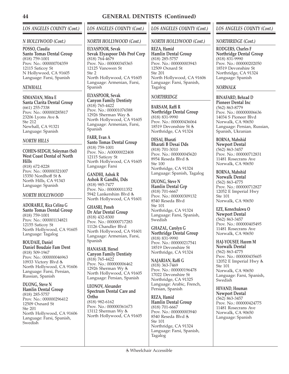### *N HOLLYWOOD (Cont.)*

**POSSO, Claudia Santo Tomas Dental Group** (818) 759-1001 Prov. No.: 000000704359 12115 Saticoy St N Hollywood, CA 91605 Language: Farsi, Spanish

### *NEWHALL*

**SIMANIAN, Mitra E Santa Clarita Dental Group** (661) 255-7338 Prov. No.: 000000285817 23206 Lyons Ave Ste 212 Newhall, CA 91321 Language: Spanish

## *NORTH HILLS*

**COHEN-SEDGH, Soleyman (Sol) West Coast Dental of North Hills** (818) 672-8228 Prov. No.: 000000321007 15350 Nordhoff St North Hills, CA 91343

# *NORTH HOLLYWOOD*

Language: Spanish

**ADORABLE, Rica Celina G Santo Tomas Dental Group** (818) 759-1001 Prov. No.: 000001134821 12155 Saticoy St North Hollywood, CA 91605 Language: Tagalog

**BOUDAIE, Daniel Daniel Boudaie Fam Dent** (818) 509-1967 Prov. No.: 000000046963 10933 Victory Blvd North Hollywood, CA 91606 Language: Farsi, Persian, Russian, Spanish

**DUONG, Steve N Hamlin Dental Group** (818) 285-5757 Prov. No.: 000000296412 12509 Oxnard St Ste 201 North Hollywood, CA 91606 Language: Farsi, Spanish, Swedish

## *LOS ANGELES COUNTY (Cont.)*

## *NORTH HOLLYWOOD (Cont.)*

**ELYASPOOR, Sevak Sevak Elyaspoor Dds Prof Corp** (818) 764-4679 Prov. No.: 000000345365 12125 Vanowen St  $Sta 2$ North Hollywood, CA 91605 Language: Armenian, Farsi, Spanish

**ELYASPOOR, Sevak Canyon Family Dentisty** (818) 765-4422 Prov. No.: 000001076588 12926 Sherman Way & North Hollywood, CA 91605 Language: Armenian, Farsi, Spanish

**FARR, Evan A Santo Tomas Dental Group** (818) 759-1001 Prov. No.: A00000022408 12115 Saticoy St North Hollywood, CA 91605 Language: Farsi

**GANDHI, Ashok R Ashok R Gandhi, Dds** (818) 985-7477 Prov. No.: 000000011352 5942 Lankershim Blvd North Hollywood, CA 91601

**GHASRI, Poneh Dr Afar Dental Group** (818) 432-8300 Prov. No.: 000000717283 11126 Chandler Blvd North Hollywood, CA 91601 Language: Armenian, Farsi, Spanish

**HANASAB, Hersel Canyon Family Dentisty** (818) 765-4422 Prov. No.: 000000006462 12926 Sherman Wy North Hollywood, CA 91605 Language: Persian, Spanish

**LEONOV, Alexander Spectrum Dental Care and Ortho**

(818) 982-6162 Prov. No.: 000000361673 13112 Sherman Wy North Hollywood, CA 91605

## *LOS ANGELES COUNTY (Cont.)*

## *NORTH HOLLYWOOD (Cont.)*

**REZA, Hamid Hamlin Dental Group** (818) 285-5757 Prov. No.: 000000003943 12509 Oxnard St Ste 201 North Hollywood, CA 91606 Language: Farsi, Spanish, Tagalog

# *NORTHRIDGE*

**BARSAM, Raffi R Northridge Dental Group** (818) 831-9990 Prov. No.: 000000436064 18519 Devonshire St Northridge, CA 91324

**DESAI, Bharati Bharati B Desai Dds** (818) 701-3010 Prov. No.: 000000045620 8954 Reseda Blvd Ste 100 Northridge, CA 91324 Language: Spanish, Tagalog

**DUONG, Steve N Hamlin Dental Grp** (818) 701-6667 Prov. No.: 000000309132 8540 Reseda Blvd Ste 101 Northridge, CA 91324 Language: Farsi, Spanish, Swedish

**GHAZAL, Carolyn G Northridge Dental Group** (818) 831-9990 Prov. No.: 000000217541 18519 Devonshire St Northridge, CA 91324

**NAJARIAN, Raffi G** (818) 363-7469 Prov. No.: 000000196478 17022 Devonshire St Northridge, CA 91325 Language: Arabic, French, Persian, Spanish

**REZA, Hamid Hamlin Dental Group** (818) 701-6667 Prov. No.: 000000003940 8540 Reseda Blvd Ste 101 Northridge, CA 91324 Language: Farsi, Spanish, Tagalog

## *LOS ANGELES COUNTY (Cont.)*

*NORTHRIDGE (Cont.)*

**RODGERS, Charles F Northridge Dental Group** (818) 831-9990 Prov. No.: 000000202050 18519 Devonshire St Northridge, CA 91324 Language: Spanish

## *NORWALK*

**BINAFARD, Behzad D Pioneer Dental Inc** (562) 863-8779 Prov. No.: 000000006636 14034 S Pioneer Blvd Norwalk, CA 90650 Language: Persian, Russian, Spanish, Ukranian

**BORNA, Mahshid Newport Dental** (562) 863-3457 Prov. No.: 000000712831 11481 Rosecrans Ave Norwalk, CA 90650

**BORNA, Mahshid Norwalk Dental** (562) 863-4775 Prov. No.: 000000712827 12052 E Imperial Hwy Ste 101 Norwalk, CA 90650

**EZE, Kenechukwu O Newport Dental** (562) 863-3457 Prov. No.: 000000405495 11481 Rosecrans Ave Norwalk, CA 90650

**HAJ-YOUSEF, Hazem M Norwalk Dental** (562) 863-4775 Prov. No.: 000000435605 12052 E Imperial Hwy Ste 101 Norwalk, CA 90650 Language: Farsi, Spanish, Swedish

**HIVAND, Houman Newport Dental**

(562) 863-3457 Prov. No.: 000000424775 11481 Rosecrans Ave Norwalk, CA 90650 Language: Spanish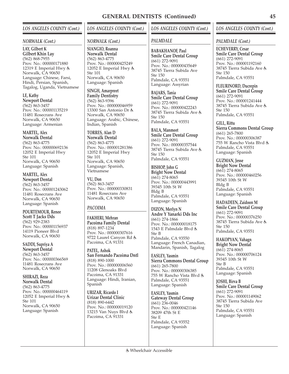#### *NORWALK (Cont.)*

**LAY, Gilbert K Gilbert Khin Lay** (562) 868-7955 Prov. No.: 000000171880 12319 E Imperial Hwy Norwalk, CA 90650 Language: Chinese, Farsi, Hindi, Persian, Spanish, Tagalog, Uganda, Vietnamese

**LE, Kathy Newport Dental** (562) 863-3457 Prov. No.: 000001135219 11481 Rosecrans Ave Norwalk, CA 90650 Language: Armenian

**MARTEL, Alex Norwalk Dental** (562) 863-4775 Prov. No.: 000000692136 12052 E Imperial Hwy Ste 101 Norwalk, CA 90650 Language: Spanish

**MARTEL, Alex Newport Dental** (562) 863-3457 Prov. No.: 000001243062 11481 Rosecrans Ave Norwalk, CA 90650 Language: Spanish

**POURTEMOUR, Renee Scott T Jacks Dds** (562) 929-2383 Prov. No.: 000001156937 14119 Pioneer Blvd Norwalk, CA 90650

**SADDI, Supriya A Newport Dental** (562) 863-3457 Prov. No.: 000000366569 11481 Rosecrans Ave Norwalk, CA 90650

**SHIRAZI, Reza Norwalk Dental** (562) 863-4775 Prov. No.: 000000464119 12052 E Imperial Hwy Ste 101 Norwalk, CA 90650 Language: Spanish

# *LOS ANGELES COUNTY (Cont.)*

### *NORWALK (Cont.)*

**SIANGIO, Roanna Norwalk Dental** (562) 863-4775 Prov. No.: 000000425249 12052 E Imperial Hwy Ste 101 Norwalk, CA 90650 Language: Spanish

**SINGH, Amarpreet Family Dentistry** (562) 863-9396 Prov. No.: 000000046959 13300 San Antonio Dr Norwalk, CA 90650 Language: Arabic, Chinese, Indian, Spanish

**TORRES, Alan D Norwalk Dental** (562) 863-4775 Prov. No.: 000001281386 12052 E Imperial Hwy Ste 101 Norwalk, CA 90650 Language: Spanish, Vietnamese

**VU, Don** (562) 863-3457 Prov. No.: 000000330831 11481 Rosecrans Ave Norwalk, CA 90650

## *PACOIMA*

**FAKHERI, Mehran Pacoima Family Dental** (818) 897-1234 Prov. No.: 000000307616 9722 Laurel Canyon Rd Pacoima, CA 91331

**PATEL, Ashok San Fernando Pacoima Dntl** (818) 890-1000 Prov. No.: 000000006560 11208 Glenoaks Blvd Pacoima, CA 91331 Language: Hindi, Iranian, Spanish

**URIZAR, Ricardo I Urizar Dental Clinic** (818) 890-6442 Prov. No.: 000000019120 13215 Van Nuys Blvd Pacoima, CA 91331

## *LOS ANGELES COUNTY (Cont.)*

## *PALMDALE*

**BABAKHANOF, Paul Smile Care Dental Group** (661) 272-9091 Prov. No.: 000000435649 38745 Tierra Subida Ave  $Sta 150$ Palmdale, CA 93551 Language: Assyrian

**BAJARS, Tania Smile Care Dental Group** (661) 272-9091 Prov. No.: 000000422243 38745 Tierra Subida Ave Ste 150 Palmdale, CA 93551

**BALA, Manmeet Smile Care Dental Group** (661) 272-9091 Prov. No.: 000000357544 38745 Tierra Subida Ave Ste 150 Palmdale, CA 93551

**BISHOP, John G Bright Now Dental** (661) 274-8065 Prov. No.: 000000443991 39345 10th St W Bldg B Palmdale, CA 93551 Language: Spanish

**DIZON, Merlyn N Andre Y Yanarki Dds Inc** (661) 274-1866 Prov. No.: 000000018175 1543 E Palmdale Blvd Ste B Palmdale, CA 93550 Language: French Canadian, Mandarin, Spanish, Tagalog

**EASLEY, Yasmin Sierra Commons Dental Group** (661) 265-7800 Prov. No.: 000000306385 755 W Rancho Vista Blvd Palmdale, CA 93551 Language: Spanish

**EASLEY, Yasmin Gateway Dental Group** (661) 236-0046 Prov. No.: 000000421146 38209 47th St E Ste E Palmdale, CA 93552 Language: Spanish

## *LOS ANGELES COUNTY (Cont.)*

#### *PALMDALE (Cont.)*

**ECHEVERRY, Cesar Smile Care Dental Group** (661) 272-9091 Prov. No.: 000001192160 38745 Tierra Subida Ave Ste 150 Palmdale, CA 93551

**FLEURINORD, Ducrepin Smile Care Dental Group** (661) 272-9091 Prov. No.: 000001241444 38745 Tierra Subida Ave Ste 150 Palmdale, CA 93551

**GILL, Rittu Sierra Commons Dental Group** (661) 265-7800 Prov. No.: 000000306387 755 W Rancho Vista Blvd Palmdale, CA 93551 Language: Spanish

**GUZMAN, Jesse Bright Now Dental** (661) 274-8065 Prov. No.: 000000460256 39345 10th St W Bldg B Palmdale, CA 93551 Language: Spanish

**HADADEEN, Zaidoon M Smile Care Dental Group** (661) 272-9091 Prov. No.: 000000376250 38745 Tierra Subida Ave Ste 150 Palmdale, CA 93551

**HAKOPYAN, Vahagn Bright Now Dental** (661) 274-8065 Prov. No.: 000000706124 39345 10th St W Ste B Palmdale, CA 93551 Language: Spanish

**JOSHI, Birva B Smile Care Dental Group** (661) 272-9091 Prov. No.: 000001149062 38745 Tierra Subida Ave Ste 150 Palmdale, CA 93551 Language: Spanish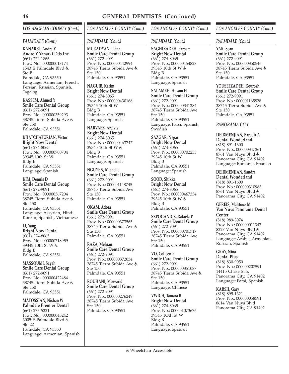# *LOS ANGELES COUNTY (Cont.)*

### *PALMDALE (Cont.)*

**KANARKI, Andre Y Andre Y Yanarki Dds Inc** (661) 274-1866 Prov. No.: 000000018174 1543 E Palmdale Blvd Ste B Palmdale, CA 93550 Language: Armenian, French, Persian, Russian, Spanish, Tagalog

**KASSEM, Ahmed Y Smile Care Dental Group** (661) 272-9091 Prov. No.: 000000359293 38745 Tierra Subida Ave Ste 150 Palmdale, CA 93551

**KHATCHATURIAN, Victor Bright Now Dental** (661) 274-8065 Prov. No.: 000000700704 39345 10th St W Bldg B Palmdale, CA 93551 Language: Spanish

**KIM, Dennis D Smile Care Dental Group** (661) 272-9091 Prov. No.: 000000367204 38745 Tierra Subida Ave Ste 150 Palmdale, CA 93551 Language: Assyrian, Hindi, Korean, Spanish, Vietnamese

**LI, Yang Bright Now Dental** (661) 274-8065 Prov. No.: 000000718959 39345 10th St W Bldg B Palmdale, CA 93551

**MASSOUMI, Sayeh Smile Care Dental Group** (661) 272-9091 Prov. No.: 000000422484 38745 Tierra Subida Ave Ste 150 Palmdale, CA 93551

**MATOSSIAN, Nishan W Palmdale Premier Dental** (661) 273-5221 Prov. No.: 000000045242 3005 E Palmdale Blvd Ste 22 Palmdale, CA 93550 Language: Armenian, Spanish

# *LOS ANGELES COUNTY (Cont.)*

### *PALMDALE (Cont.)*

**MURADYAN, Liana Smile Care Dental Group** (661) 272-9091 Prov. No.: 000000442994 38745 Tierra Subida Ave Ste 150 Palmdale, CA 93551

**NAGUIB, Karim Bright Now Dental** (661) 274-8065 Prov. No.: 000000430168 39345 10th St W Bldg B Palmdale, CA 93551 Language: Spanish

**NARVAEZ, Arelvis Bright Now Dental** (661) 274-8065 Prov. No.: 000000463747 39345 10th St W Bldg B Palmdale, CA 93551 Language: Spanish

**NGUYEN, Michelle Smile Care Dental Group** (661) 272-9091 Prov. No.: 000001148745 38745 Tierra Subida Ave Ste 150 Palmdale, CA 93551

**OKAM, Adora Smile Care Dental Group** (661) 272-9091 Prov. No.: 000000373565 38745 Tierra Subida Ave Ste 150 Palmdale, CA 93551

**RAZA, Mehran Smile Care Dental Group** (661) 272-9091 Prov. No.: 000000372034 38745 Tierra Subida Ave Ste 150 Palmdale, CA 93551

**ROUHANI, Morvarid Smile Care Dental Group** (661) 272-9091 Prov. No.: 000000276249 38745 Tierra Subida Ave Ste 150 Palmdale, CA 93551

## *LOS ANGELES COUNTY (Cont.)*

## *PALMDALE (Cont.)*

**SAGHIZADEH, Parham Bright Now Dental** (661) 274-8065 Prov. No.: 000000454828 39345 10th St W Bldg B Palmdale, CA 93551 Language: Spanish

**SALAMEH, Husam H Smile Care Dental Group** (661) 272-9091 Prov. No.: 000000341284 38745 Tierra Subida Ave Ste 150 Palmdale, CA 93551 Language: Farsi, Spanish, Swedish

**SAZGAR, Negar Bright Now Dental** (661) 274-8065 Prov. No.: 000000702255 39345 10th St W Bldg B Palmdale, CA 93551 Language: Spanish

**SOOD, Shikka Bright Now Dental** (661) 274-8065 Prov. No.: 000000467334 39345 10th St W Bldg B Palmdale, CA 93551

**SZPOGANICZ, Rafaela P Smile Care Dental Group** (661) 272-9091 Prov. No.: 000000701717 38745 Tierra Subida Ave Ste 150 Palmdale, CA 93551

**VO, Colleen P Smile Care Dental Group** (661) 272-9091 Prov. No.: 000000351087 38745 Tierra Subida Ave Ste 150 Palmdale, CA 93551 Language: Chinese

**VWICH, Tamara B Bright Now Dental** (661) 274-8065 Prov. No.: 000001073676 39345 1Oth St W Bldg B Palmdale, CA 93551 Language: Spanish

## *LOS ANGELES COUNTY (Cont.)*

### *PALMDALE (Cont.)*

**YAR, Sean Smile Care Dental Group** (661) 272-9091 Prov. No.: 000000350546 38745 Tierra Subida Ave Ste 150 Palmdale, CA 93551

**YOUSEFZADEH, Kourosh Smile Care Dental Group** (661) 272-9091 Prov. No.: 000001165828 38745 Tierra Subida Ave Ste 150 Palmdale, CA 93551

## *PANORAMA CITY*

**DEIRMENJIAN, Barouir A Dental Wonderland** (818) 891-1600 Prov. No.: 000000347361 8761 Van Nuys Blvd Panorama City, CA 91402 Language: Romania, Spanish

**DEIRMENJIAN, Sandra Dental Wonderland** (818) 891-1600 Prov. No.: 000000310983 8761 Van Nuys Blvd Panorama City, CA 91402

**GEREIS, Mahfouz M Van Nuys Panorama Dental Center** (818) 989-3074 Prov. No.: 000000011347 8227 Van Nuys Blvd Panorama City, CA 91402 Language: Arabic, Armenian, Russian, Spanish

**GRAY, Nina Dental Plus** (818) 830-9050 Prov. No.: 000000207591 14415 Chase St & Panorama City, CA 91402 Language: Farsi, Spanish

**KARSH, Gary** (818) 895-1321 Prov. No.: 000000058591 8614 Van Nuys Blvd Panorama City, CA 91402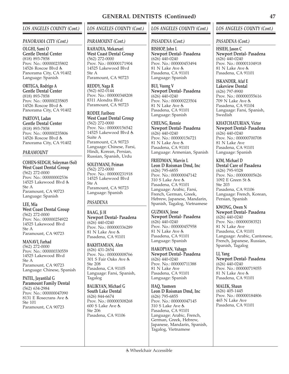### *PANORAMA CITY (Cont.)*

**OLGHI, Sami O Gentle Dental Center** (818) 893-7858 Prov. No.: 000000235802 14526 Roscoe Blvd & Panorama City, CA 91402 Language: Spanish

**ORTEGA, Rodrigo A Gentle Dental Center** (818) 893-7858 Prov. No.: 000000235805 14526 Roscoe Blvd & Panorama City, CA 91402

**PARTOVI, Ladan Gentle Dental Center** (818) 893-7858 Prov. No.: 000000235806 14526 Roscoe Blvd & Panorama City, CA 91402

### *PARAMOUNT*

**COHEN-SEDGH, Soleyman (Sol) West Coast Dental Group** (562) 272-0000 Prov. No.: 000000002536 14525 Lakewood Blvd Ste A Paramount, CA 90723 Language: Spanish

**LEE, Mia West Coast Dental Group** (562) 272-0000 Prov. No.: 000000254922 14525 Lakewood Blvd Ste A Paramount, CA 90723

**MANAVI, Farhad** (562) 272-0000 Prov. No.: 000000330559 14525 Lakewood Blvd Ste A Paramount, CA 90723 Language: Chinese, Spanish

**PATEL, Jayantilal G Paramount Family Dental** (562) 634-2984 Prov. No.: 000000047090 8131 E Rosecrans Ave Ste 101 Paramount, CA 90723

# *LOS ANGELES COUNTY (Cont.)*

### *PARAMOUNT (Cont.)*

**RAHADIA, Mekarsari West Coast Dental Group** (562) 272-0000 Prov. No.: 000000171904 14525 Lakewood Blvd  $Sta \Delta$ Paramount, CA 90723

**REDDY, Naga R** (562) 602-0144 Prov. No.: 000000348208 8311 Alondra Blvd Paramount, CA 90723

**RODEF, Fariborz West Coast Dental Group** (562) 272-0000 Prov. No.: 000000156542 14525 Lakewood Blvd Suite A Paramount, CA 90723 Language: Chinese, Farsi, Hindi, Korean, Persian, Russian, Spanish, Urdu

**SOLEYMANI, Peiman** (562) 272-0000 Prov. No.: 000000231918 14525 Lakewood Blvd Ste A Paramount, CA 90723 Language: Spanish

## *PASADENA*

**BAAG, Ji H Newport Dental- Pasadena** (626) 440-0240 Prov. No.: 000000336289 81 N Lake Ave Pasadena, CA 91101

**BAKHTAMIAN, Alen** (626) 431-2654 Prov. No.: 000000008766 301 S Fair Oaks Ave Ste 208 Pasadena, CA 91105 Language: Farsi, Spanish, Tagalog

**BALIKYAN, Michael G South Lake Dental** (626) 844-6674 Prov. No.: 000000308268 600 S Lake Ave Ste 206 Pasadena, CA 91106

# *LOS ANGELES COUNTY (Cont.)*

## *PASADENA (Cont.)*

**BISHOP, John L Newport Dental- Pasadena**  $(626)$  440-0240 Prov. No.: 000000453494 81 N Lake Ave Pasadena, CA 91101 Language: Spanish

**BUI, Vuong V Newport Dental- Pasadena** (626) 440-0240 Prov. No.: 000000223504 81 N Lake Ave Pasadena, CA 91101 Language: Spanish

**CHEUNG, Rennie Newport Dental- Pasadena** (626) 440-0240 Prov. No.: 000000156721 81 N Lake Ave Pasadena, CA 91101 Language: Armenian, Spanish

**FRIEDMAN, Marvin L Leon D Roisman Dmd, Inc** (626) 795-6855 Prov. No.: 000000047142 310 S Lake Ave Pasadena, CA 91101 Language: Arabic, Farsi, French, German, Greek, Hebrew, Japanese, Mandarin, Spanish, Tagalog, Vietnamese

**GUZMAN, Jesse Newport Dental- Pasadena** (626) 440-0240 Prov. No.: 000000457958 81 N Lake Ave Pasadena, CA 91101 Language: Spanish

**HAKOPYAN, Vahagn Newport Dental- Pasadena** (626) 440-0240 Prov. No.: 000000711388 81 N Lake Ave Pasadena, CA 91101 Language: Spanish

**HAQ, Yasmeen Leon D Roisman Dmd, Inc** (626) 795-6855 Prov. No.: 000000047145 310 S Lake Ave Pasadena, CA 91101 Language: Arabic, French, German, Greek, Hebrew, Japanese, Mandarin, Spanish, Tagalog, Vietnamese

## *LOS ANGELES COUNTY (Cont.)*

*PASADENA (Cont.)*

**HSIEH, Jason C Newport Dental- Pasadena**  $(626)$  440-0240 Prov. No.: 000001104918 81 N Lake Ave Pasadena, CA 91101

**ISKANDER, Afaf E Lakeview Dental** (626) 797-8900 Prov. No.: 000000355616 709 N Lake Ave Pasadena, CA 91104 Language: Farsi, Spanish, **Swedish** 

**KHATCHATURIAN, Victor Newport Dental- Pasadena** (626) 440-0240 Prov. No.: 000000700708 81 N Lake Ave Pasadena, CA 91101 Language: Spanish

**KIM, Michael D Dental Care of Pasadena** (626) 795-9328 Prov. No.: 000000005626 1092 E Green St Ste 203 Pasadena, CA 91106 Language: French, Korean, Persian, Spanish

**KWONG, Owen N Newport Dental- Pasadena** (626) 440-0240 Prov. No.: 000000383521 81 N Lake Ave Pasadena, CA 91101 Language: Arabic, Cantonese, French, Japanese, Russian, Spanish, Tagalog

**LI, Yang Newport Dental- Pasadena**  $(626)$  440-0240 Prov. No.: 000000719055 81 N Lake Ave Pasadena, CA 91101

**MALEK, Shaun** (626) 405-1445 Prov. No.: 000000184806 465 N Lake Ave Pasadena, CA 91101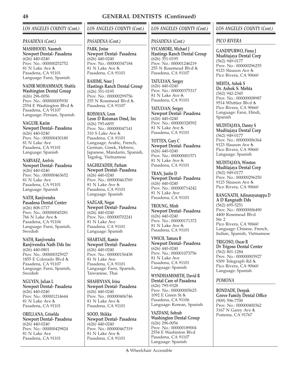## *LOS ANGELES COUNTY (Cont.)*

### *PASADENA (Cont.)*

**MASHHOOD, Naomeh Newport Dental- Pasadena**  $(626)$  440-0240 Prov. No.: 000000252752 81 N Lake Ave Pasadena, CA 91101 Language: Farsi, Spanish

**NADIR MOHAMMADI, Shahla Washington Dental Group** (626) 296-0056 Prov. No.: 000000005930 2554 E Washington Blvd Pasadena, CA 91107 Language: Persian, Spanish

**NAGUIB, Karim Newport Dental- Pasadena** (626) 440-0240 Prov. No.: 000000430180 81 N Lake Ave Pasadena, CA 91101 Language: Spanish

**NARVAEZ, Arelvis Newport Dental- Pasadena** (626) 440-0240 Prov. No.: 000000463652 81 N Lake Ave Pasadena, CA 91101 Language: Spanish

**NATH, Ranjivendra Pasadena Dental Center** (626) 808-1717 Prov. No.: 000000045281  $766$  N Lake Ave  $\dot{\mathbf{z}}$ Pasadena, CA 91104 Language: Farsi, Spanish, Swedish

**NATH, Ranjivendra Ranjivendra Nath Dds Inc** (626) 440-0801 Prov. No.: 000000325927 1855 E Colorado Blvd Pasadena, CA 91107 Language: Farsi, Spanish, Swedish

**NGUYEN, Julian L Newport Dental- Pasadena** (626) 440-0240 Prov. No.: 000001214644 81 N Lake Ave Pasadena, CA 91101

**ORELLANA, Griselda Newport Dental- Pasadena** (626) 440-0240 Prov. No.: 000000429824 81 N Lake Ave Pasadena, CA 91101

# *LOS ANGELES COUNTY (Cont.)*

### *PASADENA (Cont.)*

**PARK, Jintae Newport Dental- Pasadena**  $(626)$  440-0240 Prov. No.: 000000347184 81 N Lake Ave Pasadena, CA 91101

**RAHIMI, Noor J Hastings Ranch Dental Group** (626) 351-0195 Prov. No.: 000000299756 255 N Rosemead Blvd Pasadena, CA 91107

**ROISMAN, Leon Leon D Roisman Dmd, Inc** (626) 795-6855 Prov. No.: 000000047141 310 S Lake Ave Pasadena, CA 91101 Language: Arabic, French, German, Greek, Hebrew, Japanese, Mandarin, Spanish, Tagalog, Vietnamese

**SAGHIZADEH, Parham Newport Dental- Pasadena** (626) 440-0240 Prov. No.: 000000463769 81 N Lake Ave Pasadena, CA 91101 Language: Spanish

**SAZGAR, Negar Newport Dental- Pasadena** (626) 440-0240 Prov. No.: 000000702241 81 N Lake Ave Pasadena, CA 91101 Language: Spanish

**SHABTAIE, Ramin Newport Dental- Pasadena** (626) 440-0240 Prov. No.: 000000156438 81 N Lake Ave Pasadena, CA 91101 Language: Farsi, Spanish, Taiwanese, Thai

**SHAHINYAN, Irina Newport Dental- Pasadena** (626) 440-0240 Prov. No.: 000000406746 81 N Lake Ave Pasadena, CA 91101

**SOOD, Shikka Newport Dental- Pasadena**  $(626)$  440-0240 Prov. No.: 000000467319 81 N Lake Ave Pasadena, CA 91101

## *LOS ANGELES COUNTY (Cont.)*

### *PASADENA (Cont.)*

**SYCAMORE, Michael J Hastings Ranch Dental Group** (626) 351-0195 Prov. No.: 000001246219 255 N Rosemead Blvd Pasadena, CA 91107

**TATULYAN, Sergey** (626) 440-0240 Prov. No.: 000000375317 81 N Lake Ave Pasadena, CA 91101

**TATULYAN, Sergey Newport Dental- Pasadena** (626) 440-0240 Prov. No.: 000000328592 81 N Lake Ave Pasadena, CA 91101

**TOTTEN, Gary C Newport Dental- Pasadena** (626) 440-0240 Prov. No.: 000000001571 81 N Lake Ave Pasadena, CA 91101

**TRAN, Justin D Newport Dental- Pasadena**  $(626)$  440-0240 Prov. No.: 000000714242 81 N Lake Ave Pasadena, CA 91101

**TROUNG, Minh Newport Dental- Pasadena** (626) 440-0240 Prov. No.: 000000171372 81 N Lake Ave Pasadena, CA 91101

**VWICH, Tamara B Newport Dental- Pasadena** (626) 440-0240 Prov. No.: 000001073756 81 N Lake Ave Pasadena, CA 91101 Language: Spanish

**WYNDHAMSMITH, David R Dental Care of Pasadena** (626) 795-9328 Prov. No.: 000000005625 1092 E Green St Pasadena, CA 91106 Language: Korean, Spanish

**YAZDANI, Sohrab Washington Dental Group** (626) 296-0056 Prov. No.: 000000189004 2554 E Washinton Blvd Pasadena, CA 91107 Language: Spanish

Wheelchair Accessible

## *LOS ANGELES COUNTY (Cont.)*

### *PICO RIVERA*

**GANDIPURWO, Fiona J Muditajaya Dental Corp** (562) 949-0177 Prov. No.: 000000296255 9123 Slauson Ave Pico Rivera, CA 90660

**MEHTA, Ashok S Dr. Ashok S. Mehta** (562) 942-2345 Prov. No.: 000000008987 9514 Whittier Blvd Pico Rivera, CA 90660 Language: Farsi, Hindi, Spanish

**MUDITAJAYA, Danny S Muditajaya Dental Corp** (562) 949-0177 Prov. No.: 000000006364 9123 Slauson Ave Pico Rivera, CA 90660 Language: Spanish

**MUDITAJAYA, Winston Muditajaya Dental Corp** (562) 949-0177 Prov. No.: 000000296250 9123 Slauson Ave Pico Rivera, CA 90660

**RANGNATH, Adinarayanappa D A D Rangnath Dds** (562) 695-5251 Prov. No.: 000000006490 4400 Rosemead Blvd Ste 2 Pico Rivera, CA 90660 Language: Chinese, French, Indian, Spanish, Vietnamese

**TRIGOSO, Oscar R Dr Trigoso Dental Center** (562) 801-1284 Prov. No.: 000000003927 9309 Telegraph Rd Pico Rivera, CA 90660 Language: Spanish

### *POMONA*

**BONDADE, Deepak Grove Family Dental Office** (909) 596-7700 Prov. No.: 000000400362 3167 N Garey Ave Pomona, CA 91767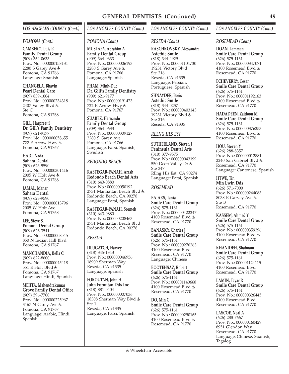#### *POMONA (Cont.)*

**CAMBERO, Luis R Family Dental Group** (909) 364-0633 Prov. No.: 000000158131 2280 S Garey Ave Pomona, CÁ 91766 Language: Spanish

**CHANGELA, Bhavin Pearl Dental Care** (909) 839-1004 Prov. No.: 000000234318 2407 Valley Blvd Ste C Pomona, CA 91768

**GILL, Harpreet S Dr. Gill's Family Dentistry** (909) 621-9177 Prov. No.: 000000058655 722 E Arrow Hwy Pomona, CA 91767

**HADI, Nada Sahara Dental** (909) 623-9590 Prov. No.: 000000301416 2005 W Holt Ave Pomona, CA 91768

**JAMAL, Manar Sahara Dental** (909) 623-9590 Prov. No.: 000000013796 2005 W Holt Ave Pomona, CA 91768

**LEE, Steve S. Pomona Dental Group** (909) 626-3541 Prov. No.: 000000008545 850 N Indian Hill Blvd Pomona, CA 91767

**MANCHANDIA, Bella C** (909) 622-8600 Prov. No.: 000000045418 551 E Holt Blvd Pomona, CA 91767 Language: Hindi, Spanish

**MEHTA, Mahendrakumar Grove Family Dental Office** (909) 596-7700 Prov. No.: 000000225967 3167 N Garey Ave Pomona, CA 91767 Language: Arabic, Hindi, Spanish

# *LOS ANGELES COUNTY (Cont.)*

#### *POMONA (Cont.)*

**MUSTAFA, Abrahim A Family Dental Group** (909) 364-0633 Prov. No.: 000000006193 2280 S Garey Ave Pomona, CA 91766 Language: Spanish

**PHAM, Minh-Duc Dr. Gill's Family Dentistry** (909) 621-9177 Prov. No.: 000000191473 722 E Arrow Hwy Pomona, CA 91767

**SUAREZ, Hernando Family Dental Group** (909) 364-0633 Prov. No.: 000000309127 2280 S Garey Ave Pomona, CA 91766 Language: Farsi, Spanish, **Swedish** 

## *REDONDO BEACH*

**RASTEGAR-PANAH, Arash Redondo Beach Dental Arts** (310) 643-0880 Prov. No.: 000000050192 2731 Manhattan Beach Blvd Redondo Beach, CA 90278 Language: Farsi, Spanish

**RASTEGAR-PANAH, Sormeh** (310) 643-0880 Prov. No.: 000000208463 2731 Manhattan Beach Blvd Redondo Beach, CA 90278

## *RESEDA*

**DLUGATCH, Harvey** (818) 345-1343 Prov. No.: 000000046956 18909 Sherman Way Reseda, CA 91335 Language: Spanish

**FOROUTAN, John H John Foroutan Dds Inc** (818) 881-0404 Prov. No.: 000000007036 18308 Sherman Way Blvd Ste 1 Reseda, CA 91335 Language: Farsi, Spanish

## *LOS ANGELES COUNTY (Cont.)*

### *RESEDA (Cont.)*

**RASCHKOVSKY, Alessandra Astethic Smile** (818) 344-4929 Prov. No.: 000001104730 19231 Victory Blvd Ste 216 Reseda, CA 91335 Language: Persian, Portuguese, Spanish

**SHNAYDER, Boris Astethic Smile** (818) 344-0257 Prov. No.: 000000403143 19231 Victory Blvd Ste 216 Reseda, CA 91335

## *RLLNG HLS EST*

**SUTHERLAND, Steven J Peninsula Dental Arts** (310) 377-9575 Prov. No.: 000000043199 550 Deep Valley Dr Ste 347 Rllng Hls Est, CA 90274 Language: Farsi, Spanish

### *ROSEMEAD*

**BAJARS, Tania Smile Care Dental Group** (626) 575-1161 Prov. No.: 000000422247 4100 Rosemead Blvd & Rosemead, CA 91770

**BANASKY, Charles J Smile Care Dental Group** (626) 575-1161 Prov. No.: 000000276263 4100 Rosemead Blvd Rosemead, CA 91770 Language: Chinese

**BOOTEHSAZ, Robert Smile Care Dental Group** (626) 575-1161 Prov. No.: 000001140668 4100 Rosemead Blvd & Rosemead, CA 91770

**DO, Min C Smile Care Dental Group** (626) 575-1161 Prov. No.: 000000290165 4100 Rosemead Blvd Rosemead, CA 91770

### *LOS ANGELES COUNTY (Cont.)*

#### *ROSEMEAD (Cont.)*

**DOAN, Lamman Smile Care Dental Group** (626) 575-1161 Prov. No.: 000000347071 4100 Rosemead Blvd Rosemead, CA 91770

**ECHEVERRY, Cesar Smile Care Dental Group** (626) 575-1161 Prov. No.: 000001192163 4100 Rosemead Blvd Rosemead, CA 91770

**HADADEEN, Zaidoon M Smile Care Dental Group** (626) 575-1161 Prov. No.: 000000376253 4100 Rosemead Blvd Rosemead, CA 91770

**HOU, Steven Y** (626) 288-8357 Prov. No.: 000000012881 2240 San Gabriel Blvd Rosemead, CA 91770 Language: Cantonese, Spanish

**HTWE, Tin Min Lwin Dds** (626) 571-7000 Prov. No.: 000000244083 8038 E Garvey Ave Ste B Rosemead, CA 91770

**KASSEM, Ahmed Y Smile Care Dental Group** (626) 575-1161 Prov. No.: 000000359296 4100 Rosemead Blvd Rosemead, CA 91770

**KHANIDEH, Shabnam Smile Care Dental Group** (626) 575-1161 Prov. No.: 000001124115 4100 Rosemead Blvd Rosemead, CA 91770

**LAMIN, Tayar R Smile Care Dental Group** (626) 575-1161 Prov. No.: 000000326445 4100 Rosemead Blvd Rosemead, CA 91770

**LASCOE, Neal A** (626) 288-7667 Prov. No.: 000000160429 8951 Glendon Way Rosemead, CA 91770 Language: Chinese, Spanish, Tagalog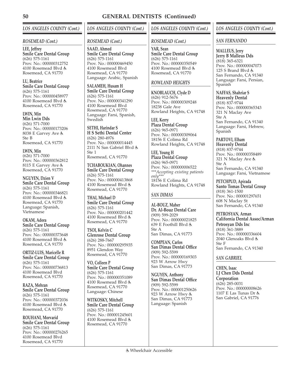# *LOS ANGELES COUNTY (Cont.)*

### *ROSEMEAD (Cont.)*

**LEE, Jeffrey Smile Care Dental Group** (626) 575-1161 Prov. No.: 000000312752 4100 Rosemead Blvd Rosemead, CA 91770

**LU, Beatrice Smile Care Dental Group** (626) 575-1161 Prov. No.: 000000458977 4100 Rosemead Blvd Rosemead, CA 91770

**LWIN, Min Min Lwin Dds** (626) 571-7000 Prov. No.: 000000173206 8038 E Garvey Ave Ste B Rosemead, CA 91770

**LWIN, Min** (626) 571-7000 Prov. No.: 000000362812 8115 E Garvey Ave Rosemead, CA 91770

**NGUYEN, Dzien V Smile Care Dental Group** (626) 575-1161 Prov. No.: 000000346821 4100 Rosemead Blvd Rosemead, CA 91770 Language: Spanish, Vietnamese

**OKAM, Adora Smile Care Dental Group** (626) 575-1161 Prov. No.: 000000373648 4100 Rosemead Blvd Rosemead, CA 91770

**ORTIZ-LUIS, Maricelle R Smile Care Dental Group** (626) 575-1161 Prov. No.: 000000736813 4100 Rosemead Blvd Rosemead, CA 91770

**RAZA, Mehran Smile Care Dental Group** (626) 575-1161 Prov. No.: 000000372036 4100 Rosemead Blvd Rosemead, CA 91770

**ROUHANI, Morvarid Smile Care Dental Group** (626) 575-1161 Prov. No.: 000000276265 4100 Rosemead Blvd Rosemead, CA 91770

# *LOS ANGELES COUNTY (Cont.)*

### *ROSEMEAD (Cont.)*

**SAAD, Ahmed Smile Care Dental Group** (626) 575-1161 Prov. No.: 000000469450 4100 Rosemead Blvd Rosemead, CA 91770 Language: Arabic, Spanish

**SALAMEH, Husam H Smile Care Dental Group** (626) 575-1161 Prov. No.: 000000341290 4100 Rosemead Blvd Rosemead, CA 91770 Language: Farsi, Spanish, **Swedish** 

**SETHI, Harindar S H S Sethi Dental Center** (626) 280-4976 Prov. No.: 000000014445 2111 N San Gabriel Blvd Ste 1 Rosemead, CA 91770

**TCHABOUKIAN, Ohannes Smile Care Dental Group** (626) 575-1161 Prov. No.: 000000413868 4100 Rosemead Blvd Rosemead, CA 91770

**THAI, Michael D Smile Care Dental Group** (626) 575-1161 Prov. No.: 000000201442 4100 Rosemead Blvd & Rosemead, CA 91770

**TSOI, Kelvin C Glenrose Dental Group** (626) 288-7667 Prov. No.: 000000295935 8951 Glendon Way Rosemead, CA 91770

**VO, Colleen P Smile Care Dental Group** (626) 575-1161 Prov. No.: 000000351089 4100 Rosemead Blvd Rosemead, CA 91770 Language: Chinese

**WITKOSKY, Mitchell Smile Care Dental Group** (626) 575-1161 Prov. No.: 000001245601 4100 Rosemead Blvd Rosemead, CA 91770

## *LOS ANGELES COUNTY (Cont.)*

#### *ROSEMEAD (Cont.)*

**YAR, Sean Smile Care Dental Group** (626) 575-1161 Prov. No.: 000000350549 4100 Rosemead Blvd Rosemead, CA 91770

## *ROWLAND HEIGHTS*

**KNOBLAUCH, Clyde D** (626) 912-5676 Prov. No.: 000000309248 18238 Gale Ave Rowland Heights, CA 91748

**LEE, Kerry Plaza Dental Group** (626) 965-0971 Prov. No.: 000000309064 18156 E Colima Rd Rowland Heights, CA 91748

**LEE, Young H Plaza Dental Group** (626) 965-0971 Prov. No.: 000000006522 *\*\*\*Accepting existing patients only\*\*\** 18156 E Colima Rd Rowland Heights, CA 91748

### *SAN DIMAS*

**AL-BOUZ, Maher Dr. Al-Bouz Dental Care** (909) 599-2029 Prov. No.: 000000021825 639 E Foothill Blvd Ste A San Dimas, CA 91773

**COMPEAN, Carlos San Dimas Dental Office** (909) 592-5599 Prov. No.: 000000169303 923 W Arrow Hwy San Dimas, CA 91773

**NGUYEN, Anthony San Dimas Dental Office** (909) 592-5599 Prov. No.: 000001250626 923 W Arrow Hwy San Dimas, CA 91773 Language: Spanish

## *LOS ANGELES COUNTY (Cont.)*

### *SAN FERNANDO*

**MALLEUS, Jerry Jerry B Malleus Dds** (818) 365-6321 Prov. No.: 000000047073 125 S Brand Blvd San Fernando, CA 91340 Language: Farsi, Persian, Spanish

**NAFFAS, Shahriar S Heavenly Dental** (818) 837-9744 Prov. No.: 000000365343

321 N Maclay Ave Ste A San Fernando, CA 91340 Language: Farsi, Hebrew, Spanish

**PARTOVI, Elham Heavenly Dental** (818) 837-9744 Prov. No.: 000000358489 321 N Maclay Ave Ste A San Fernando, CA 91340 Language: Farsi, Vietnamese

**PETCHPUD, Apirada Santo Tomas Dental Group** (818) 361-1500 Prov. No.: 000001297651 608 N Maclay St San Fernando, CA 91340

**PETROSYAN, Arman California Dental Assoc/Arman Petrosyan Dds Inc** (818) 361-3889 Prov. No.: 000000336604 2040 Glenoaks Blvd Ste F San Fernando, CA 91340

*SAN GABRIEL*

**CHEN, Isaac I.J Chen Dds Dental Corporation** (626) 285-0031 Prov. No.: 000000008626 1107 E Las Tunas Dr San Gabriel, CA 91776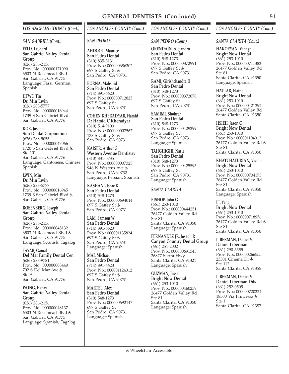### *SAN GABRIEL (Cont.)*

**FELD, Leonard San Gabriel Valley Dental Group** (626) 286-2156 Prov. No.: 000000171090 6503 N Rosemead Blvd San Gabriel, CA 91775 Language: Farsi, German, Spanish

**HTWE, Tin Dr. Min Lwin** (626) 288-5777 Prov. No.: 000000016944 1739 S San Gabriel Blvd San Gabriel, CA 91776

**KOR, Joseph Sun Dental Corporation** (626) 288-9055 Prov. No.: 000000047066 1720 S San Gabriel Blvd Ste 101 San Gabriel, CA 91776 Language: Cantonese, Chinese, Spanish

**LWIN, Min Dr. Min Lwin** (626) 288-5777 Prov. No.: 000000016945 1739 S San Gabriel Blvd San Gabriel, CA 91776

**ROSENBERG, Joseph San Gabriel Valley Dental Group** (626) 286-2156 Prov. No.: 000000048132 6503 N Rosemead Blvd San Gabriel, CA 91775 Language: Spanish, Tagalog

**TAYAB, Gamal Del Mar Family Dental Cen** (626) 287-9781 Prov. No.: 000000008440 702 S Del Mar Ave Ste A San Gabriel, CA 91776

#### **WONG, Henry San Gabriel Valley Dental Group**

(626) 286-2156 Prov. No.: 000000048137 6503 N Rosemead Blvd San Gabriel, CA 91775 Language: Spanish, Tagalog

# *LOS ANGELES COUNTY (Cont.)*

## *SAN PEDRO*

**AHDOOT, Maurice San Pedro Dental** (310) 835-3131 Prov. No.: 000000686302 697 S Gaffey St San Pedro, CA 90731

**BORNA, Mahshid San Pedro Dental** (714) 891-6623 Prov. No.: 000000712825 697 S Gaffey St San Pedro, CA 90731

**COHEN KHERADYAR, Hamid Dr Hamid C Kheradyar** (310) 514-9100 Prov. No.: 000000007567 138 S Gaffey St San Pedro, CA 90731

**KAISER, Arthur G Western Avenue Dentistry** (310) 831-0735 Prov. No.: 000000007325 946 N Western Ave San Pedro, CA 90732 Language: Persian, Spanish

**KASHANI, Isaac K San Pedro Dental** (310) 548-1273 Prov. No.: 000000694014 697 S Gaffey St San Pedro, CA 90731

**LAM, Samson W San Pedro Dental** (714) 891-6623 Prov. No.: 000001135824 697 S Gaffey St San Pedro, CA 90731 Language: Spanish

**MAI, Michael San Pedro Dental** (714) 891-6623 Prov. No.: 000001124312 697 S Gaffey St San Pedro, CA 90731

**MARTEL, Alex San Pedro Dental** (310) 548-1273 Prov. No.: 000000692147 697 S Gaffey St San Pedro, CA 90731 Language: Spanish

# *LOS ANGELES COUNTY (Cont.)*

# *SAN PEDRO (Cont.)*

**ORENDAIN, Alejandro San Pedro Dental** (310) 548-1273 Prov. No.: 000000372991 697 S Gaffey St San Pedro, CA 90731

**RAMI, Girishchandra H San Pedro Dental** (310) 548-1273 Prov. No.: 000000372078 697 S Gaffey St San Pedro, CA 90731

**SAMIMI, Shohreh San Pedro Dental** (310) 548-1273 Prov. No.: 000000429299 697 S Gaffey St San Pedro, CA 90731 Language: Spanish

**TAHGHIGHI, Nasir San Pedro Dental** (310) 548-1273 Prov. No.: 000000425595 697 S Gaffey St San Pedro, CA 90731 Language: Spanish

## *SANTA CLARITA*

**BISHOP, John G** (661) 253-1010 Prov. No.: 000000444251 26477 Golden Valley Rd Ste 81 Santa Clarita, CA 91350 Language: Spanish

**FERNANDEZ JR, Joseph R Canyon Country Dental Group** (661) 251-2002 Prov. No.: 000000691543 26877 Sierra Hwy Santa Clarita, CA 91321 Language: Spanish

**GUZMAN, Jesse Bright Now Dental** (661) 253-1010 Prov. No.: 000000460259 26477 Golden Valley Rd Ste 81 Santa Clarita, CA 91350 Language: Spanish

## *LOS ANGELES COUNTY (Cont.)*

### *SANTA CLARITA (Cont.)*

**HAKOPYAN, Vahagn Bright Now Dental** (661) 253-1010 Prov. No.: 000000711383 26477 Golden Valley Rd Ste 81 Santa Clarita, CA 91350 Language: Spanish

**HATTAR, Elaine Bright Now Dental** (661) 253-1010 Prov. No.: 000000421392 26477 Golden Valley Rd Santa Clarita, CA 91350

**HSIEH, Jason C Bright Now Dental** (661) 253-1010 Prov. No.: 000001104912 26477 Golden Valley Rd Ste 81 Santa Clarita, CA 91350

**KHATCHATURIAN, Victor Bright Now Dental** (661) 253-1010 Prov. No.: 000000704173 26477 Golden Valley Rd Ste 81 Santa Clarita, CA 91350 Language: Spanish

**LI, Yang Bright Now Dental** (661) 253-1010 Prov. No.: 000000718956 26477 Golden Valley Rd Ste 81 Santa Clarita, CA 91350

**LIBERMAN, Daniel V Daniel Liberman** (661) 290-3355 Prov. No.: 000000266555 23501 Cinema Dr Ste 112 Santa Clarita, CA 91355

**LIBERMAN, Daniel V Daniel Liberman Dds** (661) 252-0505 Prov. No.: 000000720224 18500 Via Princessa  $Ste 1$ Santa Clarita, CA 91387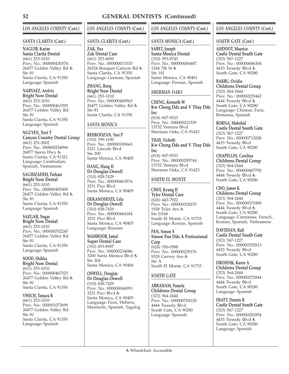## *SANTA CLARITA (Cont.)*

**NAGUIB, Karim Santa Clarita Dental** (661) 253-1010 Prov. No.: 000000430374 26477 Golden Valley Rd Ste 81 Santa Clarita, CA 91350 Language: Spanish

**NARVAEZ, Arelvis Bright Now Dental** (661) 253-1010 Prov. No.: 000000463395 26477 Golden Valley Rd Ste 81 Santa Clarita, CA 91350 Language: Spanish

**NGUYEN, Terri T Canyon Country Dental Group** (661) 251-2002 Prov. No.: 000000234996 26877 Sierra Hwy Santa Clarita, CÁ 91321 Language: Cambodian, Spanish, Vietnamese

# **SAGHIZADEH, Parham**

**Bright Now Dental** (661) 253-1010 Prov. No.: 000000455490 26477 Golden Valley Rd Ste 81 Santa Clarita, CA 91350 Language: Spanish

**SAZGAR, Negar Bright Now Dental** (661) 253-1010 Prov. No.: 000000702245 26477 Golden Valley Rd Ste 81 Santa Clarita, CA 91350 Language: Spanish

**SOOD, Shikka Bright Now Dental** (611) 253-1010 Prov. No.: 000000467325 26477 Golden Valley Rd Ste 81 Santa Clarita, CA 91350

**VWICH, Tamara B** (661) 253-1010 Prov. No.: 000001073699 26477 Golden Valley Rd Ste 81 Santa Clarita, CA 91350 Language: Spanish

# *LOS ANGELES COUNTY (Cont.)*

## *SANTA CLARITA (Cont.)*

**ZAK, Ilya Zak Dental Care** (661) 253-4000 Prov. No.: 000000013333 26324 Bouquet Canyon Rd Santa Clarita, CA 91350 Language: German, Spanish

**ZHANG, Rong Bright Now Dental** (661) 253-1010 Prov. No.: 000000400963 26477 Golden Valley Rd Ste 81 Santa Clarita, CA 91350

## *SANTA MONICA*

**BEHROOZAN, Yosi P** (310) 399-1100 Prov. No.: 000000189663 2221 Lincoln Blvd Ste 200 Santa Monica, CA 90405

**DANG, Hung H Dr Douglas Oswell** (310) 828-7429 Prov. No.: 000000463574 3231 Pico Blvd Santa Monica, CA 90405

**DEKANOSIDZE, Lela Dr Douglas Oswell** (310) 828-7429 Prov. No.: 000000464184 3231 Pico Blvd Santa Monica, CA 90405 Language: Russian

**MAHBOOB, Jamal Super Dental Care** (310) 453-8907 Prov. No.: 000000234086 3200 Santa Monica Blvd Ste 204 Santa Monica, CA 90404

**OSWELL, Douglas Dr Douglas Oswell** (310) 828-7429 Prov. No.: 000000046993 3231 Pico Blvd Santa Monica, CA 90405 Language: Farsi, Hebrew, Mandarin, Spanish, Tagalog

# *LOS ANGELES COUNTY (Cont.)*

## *SANTA MONICA (Cont.)*

**SABET, Joseph Santa Monica Dental** (310) 393-0743 Prov. No.: 000000004487 1244 7th St Ste 101 Santa Monica, CA 90401 Language: Persian, Spanish

## *SHERMAN OAKS*

**CHENG, Kenneth W Kw Cheng Dds and V Thay Dds Inc** (818) 907-9533 Prov. No.: 000000221339 13732 Ventura Blvd Sherman Oaks, CA 91423

**THAY, Vicheth Kw Cheng Dds and V Thay Dds Inc** (818) 907-9533 Prov. No.: 000000295744 13732 Ventura Blvd Sherman Oaks, CA 91423

## *SOUTH EL MONTE*

**CHOI, Kyung H Tyler Dental Care** (626) 443-7922 Prov. No.: 000000318270 1928 Tyler Ave Ste D168 South El Monte, CA 91733 Language: Korean, Spanish

**PAN, Simon S Simon Pan Dds A Professional Corp** (626) 350-0588 Prov. No.: 000000239176 9328 Garvey Ave Ste A South El Monte, CA 91733

# *SOUTH GATE*

**ABRAHAM, Pamela Childrens Dental Group** (323) 564-2444 Prov. No.: 000000704120 4444 Tweedy Blvd South Gate, CA 90280 Language: Spanish

# *LOS ANGELES COUNTY (Cont.)*

## *SOUTH GATE (Cont.)*

**AHDOOT, Maurice Castle Dental South Gate** (323) 567-1227 Prov. No.: 000000686304 4433 Tweedy Blvd South Gate, CA 90280

**BARBU, Ovidiu Childrens Dental Group** (323) 564-2444 Prov. No.: 000000229442 4444 Tweedy Blvd South Gate, CA 90280 Language: Chinese, Farsi, Romania, Spanish

**BORNA, Mahshid Castle Dental South Gate** (323) 567-1227 Prov. No.: 000000712828 4433 Tweedy Blvd South Gate, CA 90280

**CHAPELLIN, Carolina Childrens Dental Group** (323) 564-2444 Prov. No.: 000000407792 4444 Tweedy Blvd & South Gate, CA 90280

**CHO, James K Childrens Dental Group** (323) 564-2444 Prov. No.: 000000371800 4444 Tweedy Blvd & South Gate, CA 90280 Language: Cantonese, French, Korean, Spanish, Vietnamese

**DAVIDIAN, Rafi Castle Dental South Gate** (323) 567-1227 Prov. No.: 000000352813 4433 Tweedy Blvd South Gate, CA 90280

**DROSDIK, Karen A Childrens Dental Group** (323) 564-2444 Prov. No.: 000000272844 4444 Tweedy Blvd South Gate, CA 90280 Language: Spanish

**FRATT, Dennis R Castle Dental South Gate** (323) 567-1227 Prov. No.: 000000281854 4433 Tweedy Blvd South Gate, CA 90280 Language: Spanish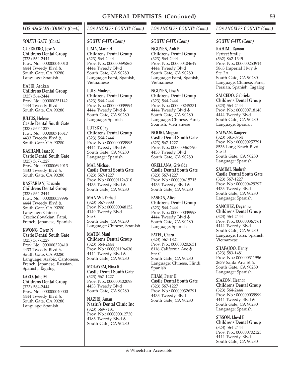#### *SOUTH GATE (Cont.)*

**GUERRERO, Jose N Childrens Dental Group** (323) 564-2444 Prov. No.: 000000040010 4444 Tweedy Blvd South Gate, CA 90280 Language: Spanish

**HAERI, Ashkan Childrens Dental Group** (323) 564-2444 Prov. No.: 000000351142 4444 Tweedy Blvd South Gate, CA 90280

**JULIUS, Helene Castle Dental South Gate** (323) 567-1227 Prov. No.: 000000716317 4433 Tweedy Blvd South Gate, CA 90280

**KASHANI, Isaac K Castle Dental South Gate** (323) 567-1227 Prov. No.: 000000694013 4433 Tweedy Blvd South Gate, CA 90280

**KASPARIAN, Eduardo Childrens Dental Group** (323) 564-2444 Prov. No.: 000000039996 4444 Tweedy Blvd & South Gate, CA 90280 Language: Chinese, Czechoslovakian, Farsi, French, Japanese, Spanish

**KWONG, Owen N Castle Dental South Gate** (323) 567-1227 Prov. No.: 000000320410 4433 Tweedy Blvd South Gate, CA 90280 Language: Arabic, Cantonese, French, Japanese, Russian, Spanish, Tagalog

**LAZO, Julie M Childrens Dental Group** (323) 564-2444 Prov. No.: 000000040000 4444 Tweedy Blvd South Gate, CA 90280 Language: Spanish

# *LOS ANGELES COUNTY (Cont.)*

#### *SOUTH GATE (Cont.)*

**LIMA, Maria H Childrens Dental Group** (323) 564-2444 Prov. No.: 000000395863 4444 Tweedy Blvd South Gate, CA 90280 Language: Farsi, Spanish, Vietnamese

**LUIS, Modesto Childrens Dental Group** (323) 564-2444 Prov. No.: 000000039994 4444 Tweedy Blvd South Gate, CA 90280 Language: Spanish

**LUTSKY, Jay Childrens Dental Group** (323) 564-2444 Prov. No.: 000000039995 4444 Tweedy Blvd & South Gate, CA 90280 Language: Spanish

**MAI, Michael Castle Dental South Gate** (323) 567-1227 Prov. No.: 000001124310 4433 Tweedy Blvd South Gate, CA 90280

**MANAVI, Farhad** (323) 567-3333 Prov. No.: 000000048152 4149 Tweedy Blvd Ste G South Gate, CA 90280 Language: Chinese, Spanish

**MATIN, Mani Childrens Dental Group** (323) 564-2444 Prov. No.: 000001194636 4444 Tweedy Blvd & South Gate, CA 90280

**MOLAYEM, Nina R Castle Dental South Gate** (323) 567-1227 Prov. No.: 000000402098 4433 Tweedy Blvd South Gate, CA 90280

**NAZIRI, Aman Naziri's Dental Clinic Inc** (323) 569-7131 Prov. No.: 000000012730 4186 Tweedy Blvd South Gate, CA 90280

## *LOS ANGELES COUNTY (Cont.)*

### *SOUTH GATE (Cont.)*

**NGUYEN, Anh P Childrens Dental Group** (323) 564-2444 Prov. No.: 000000404649 4444 Tweedy Blvd South Gate, CA 90280 Language: Farsi, Spanish, Vietnamese

**NGUYEN, Lisa V Childrens Dental Group** (323) 564-2444 Prov. No.: 000000245331 4444 Tweedy Blvd & South Gate, CA 90280 Language: Chinese, Farsi, Spanish, Vietnamese

**NOORI, Mojgan Castle Dental South Gate** (323) 567-1227 Prov. No.: 000000367790 4433 Tweedy Blvd South Gate, CA 90280

**ORELLANA, Griselda Castle Dental South Gate** (323) 567-1227 Prov. No.: 000000415715 4433 Tweedy Blvd South Gate, CA 90280

**PASION, Alice Childrens Dental Group** (323) 564-2444 Prov. No.: 000000039998 4444 Tweedy Blvd & South Gate, CA 90280 Language: Spanish

**PATEL, Charu** (323) 567-1821 Prov. No.: 000000202631 8116 California Ave Ste C South Gate, CA 90280 Language: Chinese, Hindi, Spanish

**PHAM, Peter H Castle Dental South Gate** (323) 567-1227 Prov. No.: 000000326291 4433 Tweedy Blvd South Gate, CA 90280

## *LOS ANGELES COUNTY (Cont.)*

#### *SOUTH GATE (Cont.)*

**RAHIMI, Ramon Perfect Smile** (562) 862-1345 Prov. No.: 000000253914 5863 Imperial Hwy Ste 2A South Gate, CA 90280 Language: Chinese, Farsi, Persian, Spanish, Tagalog

**SALCEDO, Gabriela Childrens Dental Group** (323) 564-2444 Prov. No.: 000000718148 4444 Tweedy Blvd South Gate, CA 90280 Language: Spanish

**SALWAN, Ranjeev** (323) 581-0754 Prov. No.: 000000257791 8536 Long Beach Blvd Ste B South Gate, CA 90280 Language: Spanish

**SAMIMI, Shohreh Castle Dental South Gate** (323) 567-1227 Prov. No.: 000000429297 4433 Tweedy Blvd South Gate, CA 90280 Language: Spanish

**SANCHEZ, Deyanira Childrens Dental Group** (323) 564-2444 Prov. No.: 000000367761 4444 Tweedy Blvd South Gate, CA 90280 Language: Farsi, Spanish, Vietnamese

**SHAFAJOO, Henry** (323) 583-1481 Prov. No.: 000000311996 2639 Santa Ana St South Gate, CA 90280 Language: Spanish

**SIAZON, Eleanor Childrens Dental Group** (323) 564-2444 Prov. No.: 000000039999 4444 Tweedy Blvd South Gate, CA 90280 Language: Spanish

**SISSON, Lloyd E Childrens Dental Group** (323) 564-2444 Prov. No.: 000000702125 4444 Tweedy Blvd South Gate, CA 90280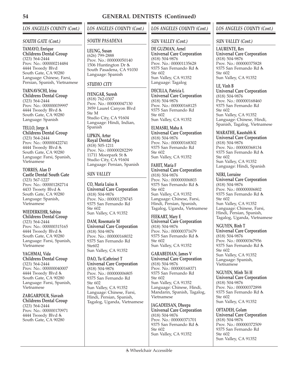### *SOUTH GATE (Cont.)*

**TAMAYO, Enrique Childrens Dental Group** (323) 564-2444 Prov. No.: 000000214484 4444 Tweedy Blvd South Gate, CA 90280 Language: Chinese, Farsi, Persian, Spanish, Vietnamese

**TARNAVSCHI, Irina Childrens Dental Group** (323) 564-2444 Prov. No.: 000000039997 4444 Tweedy Blvd South Gate, CA 90280 Language: Spanish

**TELLO, Jorge A Childrens Dental Group** (323) 564-2444 Prov. No.: 000000422741

4444 Tweedy Blvd South Gate, CA 90280 Language: Farsi, Spanish, Vietnamese

**TORRES, Alan D Castle Dental South Gate** (323) 567-1227 Prov. No.: 000001282714 4433 Tweety Blvd South Gate, CA 90280 Language: Spanish, Vietnamese

**WIEDERKEHR, Sabina Childrens Dental Group** (323) 564-2444 Prov. No.: 000000315165 4444 Tweedy Blvd South Gate, CA 90280 Language: Farsi, Spanish, Vietnamese

**YAGHMAI, Vida Childrens Dental Group** (323) 564-2444 Prov. No.: 000000040007 4444 Tweedy Blvd South Gate, CA 90280 Language: Farsi, Spanish, Vietnamese

**ZARGARPOUR, Siavash Childrens Dental Group** (323) 564-2444 Prov. No.: 000000170971 4444 Tweedy Blvd South Gate, CA 90280

# *LOS ANGELES COUNTY (Cont.)*

### *SOUTH PASADENA*

**LEUNG, Susan** (626) 799-2888 Prov. No.: 000000050140 1506 Huntington Dr & South Pasadena, CA 91030 Language: Spanish

## *STUDIO CITY*

**IYENGAR, Suresh** (818) 762-0307 Prov. No.: 000000047130 3959 Laurel Canyon Blvd Ste M Studio City, CA 91604 Language: Hindi, Indian, Spanish

**LIPKIN, Artur Royal Dental Spa** (818) 505-1211 Prov. No.: 000000282299 11711 Moorpark St Studio City, CA 91604 Language: Persian, Spanish

# *SUN VALLEY*

**CO, Maria Luisa A Universal Care Corporation** (818) 504-9876 Prov. No.: 000001278745 9375 San Fernando Rd Ste 602 Sun Valley, CA 91352

**DAM, Rosemarie M Universal Care Corporation** (818) 504-9876 Prov. No.: 000000168032 9375 San Fernando Rd Ste602 Sun Valley, CA 91352

**DAO, Tu (Cathrine) T Universal Care Corporation** (818) 504-9876 Prov. No.: 000000006805 9375 San Fernando Rd Ste 602 Sun Valley, CA 91352 Language: Chinese, Farsi, Hindi, Persian, Spanish, Tagalog, Uganda, Vietnamese

# *LOS ANGELES COUNTY (Cont.)*

## *SUN VALLEY (Cont.)*

**DE GUZMAN, Arnel Universal Care Corporation** (818) 504-9876 Prov. No.: 000001135628 9375 San Fernando Rd  $Sta 602$ Sun Valley, CA 91352 Language: Tagalog

**DECILLA, Patricia L Universal Care Corporation** (818) 504-9876 Prov. No.: 000000168125 9375 San Fernando Rd Ste 602 Sun Valley, CA 91352

**ELMASRI, Maha A Universal Care Corporation** (818) 504-9876 Prov. No.: 000000168302 9375 San Fernando Rd Ste 602 Sun Valley, CA 91352

**FAHIT, Maria F Universal Care Corporation** (818) 504-9876 Prov. No.: 000000006803 9375 San Fernando Rd Ste 602 Sun Valley, CA 91352 Language: Chinese, Farsi, Hindi, Persian, Spanish, Tagalog, Uganda, Vietnamese

**FEEKART, Mary E Universal Care Corporation** (818) 504-9876 Prov. No.: 000000371679 9375 San Fernando Rd Ste 602 Sun Valley, CA 91352

**GARABEDIAN, James V Universal Care Corporation** (818) 504-9876 Prov. No.: 000000168371 9375 San Fernando Rd Ste 602 Sun Valley, CA 91352 Language: Chinese, Hindi, Mandarin, Spanish, Tagalog, Vietnamese

**JAGADEESAN, Dheepa Universal Care Corporation** (818) 504-9876 Prov. No.: 000000371701 9375 San Fernando Rd Ste 602 Sun Valley, CA 91352

# *LOS ANGELES COUNTY (Cont.)*

### *SUN VALLEY (Cont.)*

**LAURENTE, Rex Universal Care Corporation** (818) 504-9876 Prov. No.: 000000375828 9375 San Fernando Rd Ste 602 Sun Valley, CA 91352

**LE, Vinh B Universal Care Corporation** (818) 504-9876 Prov. No.: 000000168460 9375 San Fernando Rd Ste 602 Sun Valley, CA 91352 Language: Chinese, Hindi, Spanish, Tagalog, Vietnamese

**MARATHE, Kaustubh K Universal Care Corporation** (818) 504-9876 Prov. No.: 000000368134 9375 San Fernando Rd Ste 602 Sun Valley, CA 91352 Language: Hindi, Spanish

# **NERI, Lorraine**

**Universal Care Corporation** (818) 504-9876 Prov. No.: 000000006802 9375 San Fernando Rd Ste 602 Sun Valley, CA 91352 Language: Chinese, Farsi, Hindi, Persian, Spanish, Tagalog, Uganda, Vietnamese

**NGUYEN, Binh T Universal Care Corporation** (818) 504-9876 Prov. No.: 000000367956 9375 San Fernando Rd Ste 602 Sun Valley, CA 91352 Language: Spanish, Vietnamese

**NGUYEN, Minh Tri H Universal Care Corporation** (818) 504-9876 Prov. No.: 000000372898 9375 San Fernando Rd Ste 602 Sun Valley, CA 91352

**OFTADEH, Golam Universal Care Corporation** (818) 504-9876 Prov. No.: 000000372509 9375 San Fernando Rd Ste 602 Sun Valley, CA 91352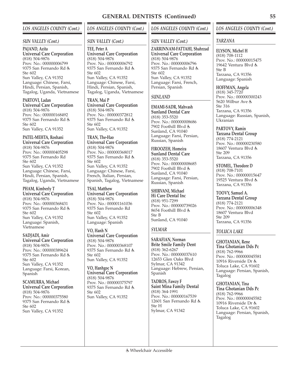### *SUN VALLEY (Cont.)*

#### **PAJAND, Azita Universal Care Corporation** (818) 504-9876 Prov. No.: 000000006799 9375 San Fernando Rd Ste 602 Sun Valley, CA 91352 Language: Chinese, Farsi, Hindi, Persian, Spanish, Tagalog, Uganda, Vietnamese

**PARTOVI, Ladan Universal Care Corporation** (818) 504-9876 Prov. No.: 000000168492 9375 San Fernando Rd Ste 602 Sun Valley, CA 91352

**PATEL-MEHTA, Roshani Universal Care Corporation** (818) 504-9876 Prov. No.: 000000405298 9375 San Fernando Rd Ste 602 Sun Valley, CA 91352 Language: Chinese, Farsi, Hindi, Persian, Spanish, Tagalog, Uganda, Vietnamese

**PHAM, Kimberly T Universal Care Corporation** (818) 504-9876 Prov. No.: 000000368431 9375 San Fernando Rd Ste 602 Sun Valley, CA 91352 Language: Spanish, Vietnamese

**SADJADI, Amir Universal Care Corporation** (818) 504-9876 Prov. No.: 000000389624 9375 San Fernando Rd Ste 602 Sun Valley, CA 91352 Language: Farsi, Korean, Spanish

**SCAMURRA, Michael Universal Care Corporation** (818) 504-9876 Prov. No.: 000000375580 9375 San Fernando Rd Ste 602 Sun Valley, CA 91352

# *LOS ANGELES COUNTY (Cont.)*

### *SUN VALLEY (Cont.)*

**TEE, Peter A Universal Care Corporation** (818) 504-9876 Prov. No.: 000000006792 9375 San Fernando Rd Ste 602 Sun Valley, CA 91352 Language: Chinese, Farsi, Hindi, Persian, Spanish, Tagalog, Uganda, Vietnamese

**TRAN, Mai P Universal Care Corporation** (818) 504-9876 Prov. No.: 000000372812 9375 San Fernando Rd Ste 602 Sun Valley, CA 91352

**TRAN, The-Hao Universal Care Corporation** (818) 504-9876 Prov. No.: 000000368017 9375 San Fernando Rd Ste 602 Sun Valley, CA 91352 Language: Chinese, Farsi, French, Italian, Persian, Spanish, Tagalog, Vietnamese

**TSAI, Matthew Universal Care Corporation** (818) 504-9876 Prov. No.: 000001161036 9375 San Fernando Rd Ste 602 Sun Valley, CA 91352 Language: Spanish

**VO, Hanh N Universal Care Corporation** (818) 504-9876 Prov. No.: 000000368107 9375 San Fernando Rd Ste 602 Sun Valley, CA 91352

**VO, Hanhgoc N Universal Care Corporation** (818) 504-9876 Prov. No.: 000000375797 9375 San Fernando Rd Ste 602 Sun Valley, CA 91352

# *LOS ANGELES COUNTY (Cont.)*

## *SUN VALLEY (Cont.)*

**ZARRINNAM-FATTAHI, Shahrzad Universal Care Corporation** (818) 504-9876 Prov. No.: 000000006796 9375 San Fernando Rd Ste 602 Sun Valley, CA 91352 Language: Farsi, French, Persian, Spanish

## *SUNLAND*

**EMAMI-SADR, Mahvash Sunland Dental Care** (818) 353-5520 Prov. No.: 000000008686 7902 Foothill Blvd Sunland, CA 91040 Language: Farsi, Persian, Russian, Spanish

**FIROOZEH, Homeira Sunland Dental Care** (818) 353-5520 Prov. No.: 000000008685 7902 Foothill Blvd Sunland, CA 91040 Language: Farsi, Persian, Russian, Spanish

**SHIRVANI, Michael Hi Care Dental Inc** (818) 951-7299 Prov. No.: 000000739026 8654 Foothill Blvd Ste B Sunland, CA 91040

# *SYLMAR*

**SARAFIAN, Norman Brite Smile Family Dent** (818) 362-6267 Prov. No.: 000000037610 12653 Glen Oaks Blvd Sylmar, CA 91342 Language: Hebrew, Persian, Spanish

**TADROS, Fawzy F Saint Mina Family Dental** (818) 364-1991 Prov. No.: 000000167539 12601 San Fernando Rd Ste H Sylmar, CA 91342

## *LOS ANGELES COUNTY (Cont.)*

## *TARZANA*

**ELYSON, Michel H** (818) 708-1112 Prov. No.: 000000015475 19642 Ventura Blvd & Ste B Tarzana, CA 91356 Language: Spanish

### **HOFFMAN, Angela**

(818) 345-7720 Prov. No.: 000000300243 5620 Wilbur Ave Ste 316 Tarzana, CA 91356 Language: Russian, Spanish, Ukranian

**PARTOVY, Ramin Tarzana Dental Group** (818) 774-2121 Prov. No.: 000000230580 18607 Ventura Blvd Ste 209 Tarzana, CA 91356

**STOMEL, Theodore D** (818) 708-7101 Prov. No.: 000000015647 19525 Ventura Blvd & Tarzana, CA 91356

**TOOVY, Samuel A. Tarzana Dental Group** (818) 774-2121 Prov. No.: 000000006348 18607 Ventura Blvd Ste 209 Tarzana, CA 91356

## *TOLUCA LAKE*

**GHOTANIAN, Rene Tina Ghotanian Dds Pc** (818) 762-9966 Prov. No.: 000000045581 10916 Riverside Dr Toluca Lake, CA 91602 Language: Persian, Spanish, Tagalog

**GHOTANIAN, Tina Tina Ghotanian Dds Pc** (818) 762-9966 Prov. No.: 000000045582 10916 Riverside Dr Toluca Lake, CA 91602 Language: Persian, Spanish, Tagalog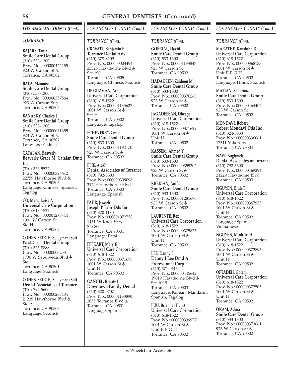# *LOS ANGELES COUNTY (Cont.)*

### *TORRANCE*

**BAJARS, Tania Smile Care Dental Group** (310) 533-1300 Prov. No.: 000000422255 923 W Carson St Torrance, CA 90502

**BALA, Manmeet Smile Care Dental Group** (310) 533-1300 Prov. No.: 000000357564 923 W Carson St Torrance, CA 90502

**BANASKY, Charles J Smile Care Dental Group** (310) 533-1300 Prov. No.: 000000041655 923 W Carson St Torrance, CA 90502 Language: Chinese

**CATALAN, Beaverly Beaverly Grace M. Catalan Dmd Inc** (310) 373-9522 Prov. No.: 000000326612

22759 Hawthorne Blvd Torrance, CA 90505 Language: Chinese, Spanish, Tagalog

**CO, Maria Luisa A Universal Care Corporation** (310) 618-1522 Prov. No.: 000001278744 1001 W Carson St Ste H Torrance, CA 90502

**COHEN-SEDGH, Soleyman (Sol) West Coast Dental Group** (310) 325-8888 Prov. No.: 000000002531 1730 W Sepulveda Blvd Ste 1 Torrance, CA 90501 Language: Spanish

**COHEN-SEDGH, Soleyman (Sol) Dental Associates of Torrance** (310) 792-5600 Prov. No.: 000000203434 21229 Hawthorne Blvd Ste A Torrance, CA 90503 Language: Spanish

# *LOS ANGELES COUNTY (Cont.)*

## *TORRANCE (Cont.)*

**CRAVATT, Benjamin F Torrance Dental Arts** (310) 378-8209 Prov. No.: 000000004494 23326 Hawthorne Blvd  $Sta$  190 Torrance, CA 90505 Language: Chinese, Spanish

**DE GUZMAN, Arnel Universal Care Corporation** (310) 618-1522 Prov. No.: 000001135627 1001 W Carson St Ste H Torrance, CA 90502 Language: Tagalog

**ECHEVERRY, Cesar Smile Care Dental Group** (310) 533-1300 Prov. No.: 000001192170 923 W Carson St Torrance, CA 90502

**ELIE, Arash Dental Associates of Torrance** (310) 792-5600 Prov. No.: 000000309098 21229 Hawthorne Blvd Torrance, CA 90503 Language: Spanish

**FAHR, Joseph Joseph P Fahr Dds Inc** (310) 320-1180 Prov. No.: 000001072758 1431 W Knox St Ste 800 Torrance, CA 90501 Language: Farsi

**FEEKART, Mary E Universal Care Corporation** (310) 618-1522 Prov. No.: 000000371678 1001 W Carson St Unit H Torrance, CA 90502

**GANGEL, Renate I Downtown Family Dental** (310) 320-0707 Prov. No.: 000001133890 2055 Torrance Blvd Torrance, CA 90501 Language: Spanish

# *LOS ANGELES COUNTY (Cont.)*

## *TORRANCE (Cont.)*

**GOBRIAL, David Smile Care Dental Group** (310) 533-1300 Prov. No.: 000001133847 923 W Carson St Torrance, CA 90502

**HADADEEN, Zaidoon M Smile Care Dental Group** (310) 533-1300 Prov. No.: 000000376260 923 W Carson St Torrance, CA 90502

**JAGADEESAN, Dheepa Universal Care Corporation** (310) 618-1522 Prov. No.: 000000371699 1001 W Carson St Unit H Torrance, CA 90502

**KASSEM, Ahmed Y Smile Care Dental Group** (310) 533-1300 Prov. No.: 000000359302 923 W Carson St Torrance, CA 90502

**KREKIAN, Anifa Smile Care Dental Group** (310) 533-1300 Prov. No.: 000001281670 923 W Carson St Torrance, CA 90502

**LAURENTE, Rex Universal Care Corporation** (310) 618-1522 Prov. No.: 000000375825 1001 W Carson St Unit H Torrance, CA 90502

**LEE, Danny I Danny I Lee Dmd A Professional Corp** (310) 371-0113 Prov. No.: 000000445642 19019 Hawthorne Blvd Ste 100B Torrance, CA 90503 Language: Korean, Mandarin, Spanish, Tagalog

**LUU, Brianne (Tram) Universal Care Corporation** (310) 618-1522 Prov. No.: 000000339977 1001 W Carson St Unit E F G H Torrance, CA 90502

## *LOS ANGELES COUNTY (Cont.)*

### *TORRANCE (Cont.)*

**MARATHE, Kaustubh K Universal Care Corporation** (310) 618-1522 Prov. No.: 000000368133 1001 W Carson St Unit E F G H Torrance, CA 90502 Language: Hindi, Spanish

**MATIAN, Shahrooz Smile Care Dental Group** (310) 533-1300 Prov. No.: 000000464402 923 W Carson St Torrance, CA 90502

**MONDAVI, Robert Robert Mondavi Dds Inc** (310) 324-3333 Prov. No.: 000000336061 17311 Yukon Ave Torrance, CA 90504

**NAVI, Naghmeh Dental Associates of Torrance** (310) 792-5600 Prov. No.: 000000169294 21229 Hawthome Blvd Torrance, CA 90503

**NGUYEN, Binh T Universal Care Corporation** (310) 618-1522 Prov. No.: 000000367955 1001 W Carson St Unit H Torrance, CA 90502 Language: Spanish, Vietnamese

**NGUYEN, Minh Tri H Universal Care Corporation** (310) 618-1522 Prov. No.: 000000372895 1001 W Carson St Unit H Torrance, CA 90502

**OFTADEH, Golam Universal Care Corporation** (310) 618-1522 Prov. No.: 000000372505 1001 W Carson St Unit H Torrance, CA 90502

**OKAM, Adora Smile Care Dental Group** (310) 533-1300 Prov. No.: 000000373661 923 W Carson St Torrance, CA 90502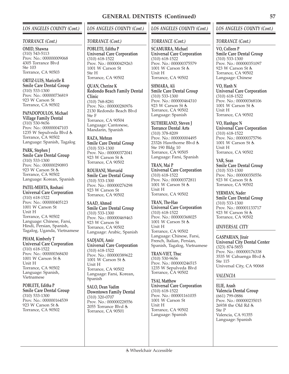#### *TORRANCE (Cont.)*

**OMID, Shawna** (310) 543-5113 Prov. No.: 000000009068 4305 Torrance Blvd Ste 103 Torrance, CA 90503

**ORTIZ-LUIS, Maricelle R Smile Care Dental Group** (310) 533-1300 Prov. No.: 000000736819 923 W Carson St Torrance, CA 90502

**PAPADOPOULOS, Michael Village Family Dental** (310) 530-9656 Prov. No.: 000000047103 1235 W Sepulveda Blvd Torrance, CA 90502 Language: Spanish, Tagalog

**PARK, Stephen J Smile Care Dental Group** (310) 533-1300 Prov. No.: 000000290893 923 W Carson St Torrance, CA 90502 Language: Korean, Spanish

**PATEL-MEHTA, Roshani Universal Care Corporation** (310) 618-1522 Prov. No.: 000000405123 1001 W Carson St Unit H Torrance, CA 90502 Language: Chinese, Farsi, Hindi, Persian, Spanish, Tagalog, Uganda, Vietnamese

**PHAM, Kimberly T Universal Care Corporation** (310) 618-1522 Prov. No.: 000000368430 1001 W Carson St Unit H Torrance, CA 90502 Language: Spanish, Vietnamese

**POBLETE, Editha P Smile Care Dental Group** (310) 533-1300 Prov. No.: 000000164539 923 W Carson St Torrance, CA 90502

# *LOS ANGELES COUNTY (Cont.)*

#### *TORRANCE (Cont.)*

**POBLETE, Editha P Universal Care Corporation** (310) 618-1522 Prov. No.: 000000429263 1001 W Carson St Ste H Torrance, CA 90502

**QUAN, Cherine K Redondo Beach Family Dental Clinic** (310) 768-8281 Prov. No.: 000000280976 2130 Redondo Beach Blvd Ste F Torrance, CA 90504

Language: Cantonese, Mandarin, Spanish

**RAZA, Mehran Smile Care Dental Group** (310) 533-1300 Prov. No.: 000000372041 923 W Carson St Torrance, CA 90502

**ROUHANI, Morvarid Smile Care Dental Group** (310) 533-1300 Prov. No.: 000000276298 923 W Carson St Torrance, CA 90502

**SAAD, Ahmed Smile Care Dental Group** (310) 533-1300 Prov. No.: 000000469463 923 W Carson St Torrance, CA 90502 Language: Arabic, Spanish

**SADJADI, Amir Universal Care Corporation** (310) 618-1522 Prov. No.: 000000389622 1001 W Carson St Unit H Torrance, CA 90502 Language: Farsi, Korean, Spanish

**SALO, Dean Vadim Downtown Family Dental** (310) 320-0707 Prov. No.: 000000228556 2055 Torrance Blvd Torrance, CA 90501

## *LOS ANGELES COUNTY (Cont.)*

### *TORRANCE (Cont.)*

**SCAMURRA, Michael Universal Care Corporation** (310) 618-1522 Prov. No.: 000000375579 1001 W Carson St Unit H Torrance, CA 90502

**SHMARA, Ali Smile Care Dental Group** (310) 533-1300 Prov. No.: 000000464310 923 W Carson St Torrance, CA 90502 Language: Spanish

**SUTHERLAND, Steven J Torrance Dental Arts** (310) 378-8209 Prov. No.: 000000004495 23326 Hawthorne Blvd Ste 190 Bldg 10 Torrance, CA 90505 Language: Farsi, Spanish

**TRAN, Mai P Universal Care Corporation** (310) 618-1522 Prov. No.: 000000372811 1001 W Carson St Unit H Torrance, CA 90502

**TRAN, The-Hao Universal Care Corporation** (310) 618-1522 Prov. No.: 000000368025 1001 W Carson St Unit H Torrance, CA 90502 Language: Chinese, Farsi, French, Italian, Persian, Spanish, Tagalog, Vietnamese

**TRAN-VIET, Thuc** (310) 530-9656 Prov. No.: 000000246515 1235 W Sepulveda Blvd Torrance, CA 90502

**TSAI, Matthew Universal Care Corporation** (310) 618-1522 Prov. No.: 000001161035 1001 W Carson St Unit H Torrance, CA 90502 Language: Spanish

## *LOS ANGELES COUNTY (Cont.)*

#### *TORRANCE (Cont.)*

**VO, Colleen P Smile Care Dental Group** (310) 533-1300 Prov. No.: 000000351097 923 W Carson St Torrance, CA 90502 Language: Chinese

**VO, Hanh N Universal Care Corporation** (310) 618-1522 Prov. No.: 000000368106 1001 W Carson St Unit H Torrance, CA 90502

**VO, Hanhgoc N Universal Care Corporation** (310) 618-1522 Prov. No.: 000000375796 1001 W Carson St Unit H Torrance, CA 90502

**YAR, Sean Smile Care Dental Group** (310) 533-1300 Prov. No.: 000000350556 923 W Carson St Torrance, CA 90502

**YERMIAN, Nader Smile Care Dental Group** (310) 533-1300 Prov. No.: 000001133717 923 W Carson St Torrance, CA 90502

### *UNIVERSAL CITY*

**GASPARIAN, Jirair Universal City Dental Center** (323) 874-5855 Prov. No.: 000000176338 3535 W Cahuenga Blvd Ste 115 Universal City, CA 90068

### *VALENCIA*

**ELIE, Arash Valencia Dental Group** (661) 799-0886 Prov. No.: 000000235015 26938 the Old Rd Ste P Valencia, CA 91355 Language: Spanish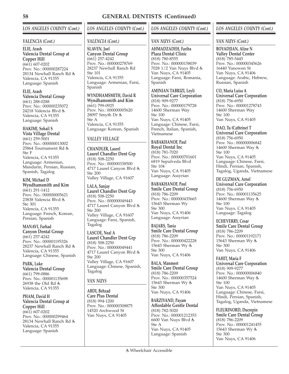# *LOS ANGELES COUNTY (Cont.)*

### *VALENCIA (Cont.)*

**ELIE, Arash Valencia Dental Group at Copper Hill** (661) 607-0202 Prov. No.: 000000287224 28134 Newhall Ranch Rd Valencia, CA 91355 Language: Spanish

**ELIE, Arash**

**Valencia Dental Group** (661) 288-0288 Prov. No.: 000000235072 24218 Valencia Blvd & Valencia, CA 91355 Language: Spanish

# **HAKIMI, Sohail S**

**Vista Village Dental** (661) 259-5001 Prov. No.: 000000013002 25864 Tournament Rd Ste F Valencia, CA 91355 Language: Armenian, Mandarin, Persian, Russian, Spanish, Tagalog

**KIM, Michael D Wyndhamsmith and Kim** (661) 291-1412 Prov. No.: 000000005621 23838 Valencia Blvd Ste 301 Valencia, CA 91355 Language: French, Korean, Persian, Spanish

#### **MANAVI, Farhad Canyon Dental Group**

(661) 257-4242 Prov. No.: 000001195326 28237 Newhall Ranch Rd Valencia, CA 91355 Language: Chinese, Spanish

**PARK, Luke Valencia Dental Group** (661) 799-0886 Prov. No.: 000001135698 26938 the Old Rd Valencia, CA 91355

**PHAM, David H Valencia Dental Group at Copper Hill** (661) 607-0202 Prov. No.: 000000299464 28134 Newhall Ranch Rd Valencia, CA 91355 Language: Spanish

# *LOS ANGELES COUNTY (Cont.)*

## *VALENCIA (Cont.)*

**SLAVEN, Joel Canyon Dental Group** (661) 257-4242 Prov. No.: 000000278769 28237 Newhall Ranch Rd Ste 101 Valencia, CA 91355 Language: Armenian, Farsi, Spanish

**WYNDHAMSMITH, David R Wyndhamsmith and Kim** (661) 799-0925

Prov. No.: 000000005620 28097 Smyth Dr Ste A Valencia, CA 91355 Language: Korean, Spanish

# *VALLEY VILLAGE*

**CHANDLER, Laurel Laurel Chandler Dent Grp** (818) 508-2250 Prov. No.: 000000338500 4717 Laurel Canyon Blvd Ste 200 Valley Village, CA 91607

**LALA, Sanjay Laurel Chandler Dent Grp** (818) 508-2250 Prov. No.: 000000049443 4717 Laurel Canyon Blvd & Ste 200 Valley Village, CA 91607 Language: Farsi, Spanish, Tagalog

**LASCOE, Neal A Laurel Chandler Dent Grp** (818) 508-2250 Prov. No.: 000000049441 4717 Laurel Canyon Blvd Ste 200 Valley Village, CA 91607 Language: Chinese, Spanish, Tagalog

## *VAN NUYS*

**ABDI, Behzad Care Plus Dental** (818) 994-1200 Prov. No.: 000000308875 14520 Archwood St Van Nuys, CA 91405

## *LOS ANGELES COUNTY (Cont.)*

## *VAN NUYS (Cont.)*

**AHMADZADEH, Fariba Plaza Dental Clinic** (818) 780-8555 Prov. No.: 000000158039 7028 1/2 Van Nuys Blvd Van Nuys, CA 91405 Language: Farsi, Romania, Spanish

**AMINIAN TABRIZI, Leyli Universal Care Corporation** (818) 909-9277 Prov. No.: 000000179728 14600 Sherman Way Ste 100 Van Nuys, CA 91405 Language: Chinese, Farsi, French, Italian, Spanish, Vietnamese

**BABAKHANOF, Paul Royal Dental Inc** (818) 781-7020 Prov. No.: 000000701601 6819 Sepulveda Blvd Ste 104 Van Nuys, CA 91405 Language: Assyrian

**BABAKHANOF, Paul Smile Care Dental Group** (818) 786-2209 Prov. No.: 000000435665 15643 Sherman Wy Ste 300 Van Nuys, CA 91406 Language: Assyrian

**BAJARS, Tania Smile Care Dental Group** (818) 786-2209 Prov. No.: 000000422228 15643 Sherman Wy Ste 300 Van Nuys, CA 91406

**BALA, Manmeet Smile Care Dental Group** (818) 786-2209 Prov. No.: 000000357524 15643 Sherman Wy Ste 300 Van Nuys, CA 91406

**BARZIVAND, Payam Affordable Gentle Dental** (818) 782-5020 Prov. No.: 000001212353 6600 Van Nuys Blvd Ste A Van Nuys, CA 91405 Language: Spanish

## *LOS ANGELES COUNTY (Cont.)*

### *VAN NUYS (Cont.)*

**BOYADJIAN, Aline N Valley Dental Center** (818) 785-5445 Prov. No.: 000000345626 16440 Vanowen St Van Nuys, CA 91406 Language: Arabic, Hebrew, Russian, Spanish

**CO, Maria Luisa A Universal Care Corporation** (818) 756-6950 Prov. No.: 000001278743 14600 Sherman Way Ste 100 Van Nuys, CA 91405

**DAO, Tu (Cathrine) T Universal Care Corporation** (818) 756-6950 Prov. No.: 000000006842 14600 Sherman Way Ste 100 Van Nuys, CA 91405 Language: Chinese, Farsi, Hindi, Persian, Spanish, Tagalog, Uganda, Vietnamese

**DE GUZMAN, Arnel Universal Care Corporation** (818) 756-6950 Prov. No.: 000001135625 14600 Sherman Way Ste 100 Van Nuys, CA 91405 Language: Tagalog

**ECHEVERRY, Cesar Smile Care Dental Group** (818) 786-2209 Prov. No.: 000001192171 15643 Sherman Wy Ste 300 Van Nuys, CA 91406

#### **FAHIT, Maria F Universal Care Corporation** (818) 909-9277 Prov. No.: 000000006840 14600 Sherman Way Ste 100 Van Nuys, CA 91405 Language: Chinese, Farsi, Hindi, Persian, Spanish, Tagalog, Uganda, Vietnamese

**FLEURINORD, Ducrepin Smile Care Dental Group** (818) 786-2209 Prov. No.: 000001241455 15643 Sherman Wy Ste 300 Van Nuys, CA 91406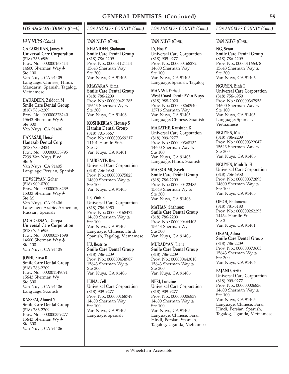### *VAN NUYS (Cont.)*

**GARABEDIAN, James V Universal Care Corporation** (818) 756-6950 Prov. No.: 000000168414 14600 Sherman Way Ste 100 Van Nuys, CA 91405 Language: Chinese, Hindi, Mandarin, Spanish, Tagalog, Vietnamese

**HADADEEN, Zaidoon M Smile Care Dental Group** (818) 786-2209 Prov. No.: 000000376240 15643 Sherman Wy Ste 300 Van Nuys, CA 91406

**HANASAB, Hersel Hanasab Dental Corp** (818) 785-2424 Prov. No.: 000000038795 7239 Van Nuys Blvd Ste 6 Van Nuys, CA 91405 Language: Persian, Spanish

**HOVSEPYAN, Gohar** (818) 909-0200 Prov. No.: 000000208239 15333 Sherman Way Ste M Van Nuys, CA 91406 Language: Arabic, Armenian, Russian, Spanish

**JAGADEESAN, Dheepa Universal Care Corporation** (818) 756-6950 Prov. No.: 000000371698 14600 Sherman Way & Ste 100 Van Nuys, CA 91405

**JOSHI, Birva B Smile Care Dental Group** (818) 786-2209 Prov. No.: 000001149091 15643 Sherman Wy Ste 300 Van Nuys, CA 91406 Language: Spanish

**KASSEM, Ahmed Y Smile Care Dental Group** (818) 786-2209 Prov. No.: 000000359277 15643 Sherman Wy Ste 300 Van Nuys, CA 91406

# *LOS ANGELES COUNTY (Cont.)*

### *VAN NUYS (Cont.)*

**KHANIDEH, Shabnam Smile Care Dental Group** (818) 786-2209 Prov. No.: 000001124114 15643 Sherman Way Ste 300 Van Nuys, CA 91406

**KHAVARAN, Sima Smile Care Dental Group** (818) 786-2209 Prov. No.: 000000421285 15643 Sherman Wy Ste 300 Van Nuys, CA 91406

**KOSHKERIAN, Housep S Hamlin Dental Group** (818) 701-6667 Prov. No.: 000000369217 14401 Hamlin St Ste D Van Nuys, CA 91401

**LAURENTE, Rex Universal Care Corporation** (818) 756-6950 Prov. No.: 000000375823 14600 Sherman Way Ste 100 Van Nuys, CA 91405

**LE, Vinh B Universal Care Corporation** (818) 756-6950 Prov. No.: 000000168472 14600 Sherman Way Ste 100 Van Nuys, CA 91405 Language: Chinese, Hindi, Spanish, Tagalog, Vietnamese

**LU, Beatrice Smile Care Dental Group** (818) 786-2209 Prov. No.: 000000458987 15643 Sherman Wy Ste 300 Van Nuys, CA 91406

**LUNA, Cellini Universal Care Corporation** (818) 909-9277 Prov. No.: 000000168749 14600 Sherman Way Ste 100 Van Nuys, CA 91405 Language: Spanish

## *LOS ANGELES COUNTY (Cont.)*

### *VAN NUYS (Cont.)*

**LY, Hoa Y Universal Care Corporation** (818) 909-9277 Prov. No.: 000000168272 14600 Sherman Way Ste 100 Van Nuys, CA 91405 Language: Spanish, Tagalog

**MANAVI, Farhad West Coast Dental/Van Nuys** (818) 988-2020 Prov. No.: 000000260940 13716 Sherman Way Van Nuys, CA 91405 Language: Chinese, Spanish

**MARATHE, Kaustubh K Universal Care Corporation** (818) 909-9277 Prov. No.: 000000368132 14600 Sherman Way Ste 100 Van Nuys, CA 91405 Language: Hindi, Spanish

**MASSOUMI, Sayeh Smile Care Dental Group** (818) 786-2209 Prov. No.: 000000422485 15643 Sherman Wy Ste 300 Van Nuys, CA 91406

**MATIAN, Shahrooz Smile Care Dental Group** (818) 786-2209 Prov. No.: 000000464403 15643 Sherman Wy Ste 300 Van Nuys, CA 91406

**MURADYAN, Liana Smile Care Dental Group** (818) 786-2209 Prov. No.: 000000443010 15643 Sherman Way Ste 300 Van Nuys, CA 91406

**NERI, Lorraine Universal Care Corporation** (818) 909-9277 Prov. No.: 000000006839 14600 Sherman Way Ste 100 Van Nuys, CA 91405 Language: Chinese, Farsi, Hindi, Persian, Spanish, Tagalog, Uganda, Vietnamese

## *LOS ANGELES COUNTY (Cont.)*

#### *VAN NUYS (Cont.)*

**NG, Seran Smile Care Dental Group** (818) 786-2209 Prov. No.: 000001166378 15643 Sherman Way Ste 300 Van Nuys, CA 91406

**NGUYEN, Binh T Universal Care Corporation** (818) 756-6950 Prov. No.: 000000367953 14600 Sherman Way Ste 100 Van Nuys, CA 91405 Language: Spanish, Vietnamese

**NGUYEN, Michelle** (818) 786-2209 Prov. No.: 000000322047 15643 Sherman Way Ste 300 Van Nuys, CA 91406

**NGUYEN, Minh Tri H Universal Care Corporation** (818) 756-6950 Prov. No.: 000000372893 14600 Sherman Way Ste 100 Van Nuys, CA 91405

**OBOH, Philomena** (818) 781-5180 Prov. No.: 000000262295 14434 Hamlin St Ste 2 Van Nuys, CA 91401

**OKAM, Adora Smile Care Dental Group** (818) 786-2209 Prov. No.: 000000373605 15643 Sherman Wy Ste 300 Van Nuys, CA 91406

**PAJAND, Azita Universal Care Corporation** (818) 909-9277 Prov. No.: 000000006836 14600 Sherman Way & Ste 100 Van Nuys, CA 91405 Language: Chinese, Farsi, Hindi, Persian, Spanish, Tagalog, Uganda, Vietnamese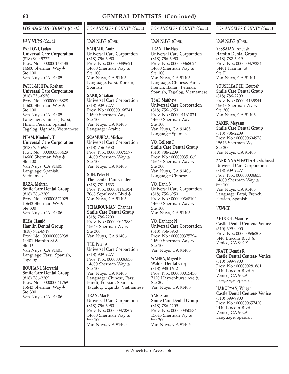# *LOS ANGELES COUNTY (Cont.)*

### *VAN NUYS (Cont.)*

**PARTOVI, Ladan Universal Care Corporation** (818) 909-9277 Prov. No.: 000000168438 14600 Sherman Way Ste 100 Van Nuys, CA 91405

**PATEL-MEHTA, Roshani Universal Care Corporation** (818) 756-6950 Prov. No.: 000000006828 14600 Sherman Way Ste 100 Van Nuys, CA 91405 Language: Chinese, Farsi, Hindi, Persian, Spanish, Tagalog, Uganda, Vietnamese

**PHAM, Kimberly T Universal Care Corporation** (818) 756-6950 Prov. No.: 000000368429 14600 Sherman Way Ste 100 Van Nuys, CA 91405 Language: Spanish, Vietnamese

**RAZA, Mehran Smile Care Dental Group** (818) 786-2209 Prov. No.: 000000372025 15643 Sherman Wy Ste 300 Van Nuys, CA 91406

**REZA, Hamid Hamlin Dental Group** (818) 782-6919 Prov. No.: 000000003938 14401 Hamlin St Ste D Van Nuys, CA 91401 Language: Farsi, Spanish, Tagalog

**ROUHANI, Morvarid Smile Care Dental Group** (818) 786-2209 Prov. No.: 000000041769 15643 Sherman Way Ste 300 Van Nuys, CA 91406

# *LOS ANGELES COUNTY (Cont.)*

### *VAN NUYS (Cont.)*

**SADJADI, Amir Universal Care Corporation** (818) 756-6950 Prov. No.: 000000389621 14600 Sherman Way & Ste 100 Van Nuys, CA 91405 Language: Farsi, Korean, Spanish

**SAKR, Shaaban Universal Care Corporation** (818) 909-9277 Prov. No.: 000000168741 14600 Sherman Way Ste 100 Van Nuys, CA 91405 Language: Arabic

**SCAMURRA, Michael Universal Care Corporation** (818) 756-6950 Prov. No.: 000000375577 14600 Sherman Way & Ste 100 Van Nuys, CA 91405

**SUH, Peter H The Dental Care Center** (818) 781-1533 Prov. No.: 000001141954 7068 Sepulveda Blvd Van Nuys, CA 91405

**TCHABOUKIAN, Ohannes Smile Care Dental Group** (818) 786-2209 Prov. No.: 000000413884 15643 Sherman Wy Ste 300 Van Nuys, CA 91406

**TEE, Peter A Universal Care Corporation** (818) 909-9277 Prov. No.: 000000006830 14600 Sherman Way Ste 100 Van Nuys, CA 91405 Language: Chinese, Farsi, Hindi, Persian, Spanish, Tagalog, Uganda, Vietnamese

**TRAN, Mai P Universal Care Corporation** (818) 756-6950 Prov. No.: 000000372809 14600 Sherman Way Ste 100 Van Nuys, CA 91405

## *LOS ANGELES COUNTY (Cont.)*

## *VAN NUYS (Cont.)*

**TRAN, The-Hao Universal Care Corporation** (818) 756-6950 Prov. No.: 000000368024 14600 Sherman Way Ste 100 Van Nuys, CA 91405 Language: Chinese, Farsi, French, Italian, Persian, Spanish, Tagalog, Vietnamese

**TSAI, Matthew Universal Care Corporation** (818) 756-6950 Prov. No.: 000001161034 14600 Sherman Way Ste 100 Van Nuys, CA 91405 Language: Spanish

**VO, Colleen P Smile Care Dental Group** (818) 786-2209 Prov. No.: 000000351069 15643 Sherman Way Ste 300 Van Nuys, CA 91406 Language: Chinese

**VO, Hanh N Universal Care Corporation** (818) 756-6950 Prov. No.: 000000368104 14600 Sherman Way & Ste 100 Van Nuys, CA 91405

**VO, Hanhgoc N Universal Care Corporation** (818) 756-6950 Prov. No.: 000000375794 14600 Sherman Way Ste 100 Van Nuys, CA 91405

**WAHBA, Maged F Wahba Dental Corp** (818) 988-1642 Prov. No.: 000000015430 7120 Hayvenhurst Ave Ste 205 Van Nuys, CA 91406

**YAR, Sean Smile Care Dental Group** (818) 786-2209 Prov. No.: 000000350534 15643 Sherman Wy Ste 300 Van Nuys, CA 91406

## *LOS ANGELES COUNTY (Cont.)*

#### *VAN NUYS (Cont.)*

**YESSAIAN, Anoush Hamlin Dental Group** (818) 782-6919 Prov. No.: 000000379334 14401 Hamlin St Ste D Van Nuys, CA 91401

**YOUSEFZADEH, Kourosh Smile Care Dental Group** (818) 786-2209 Prov. No.: 000001165844 15643 Sherman Wy Ste 300 Van Nuys, CA 91406

**ZAKER, Meysam Smile Care Dental Group** (818) 786-2209 Prov. No.: 000000694978 15643 Sherman Wy Ste 300 Van Nuys, CA 91406

**ZARRINNAM-FATTAHI, Shahrzad Universal Care Corporation** (818) 909-9277 Prov. No.: 000000006833 14600 Sherman Way Ste 100 Van Nuys, CA 91405 Language: Farsi, French, Persian, Spanish

## *VENICE*

**AHDOOT, Maurice Castle Dental Centers- Venice** (310) 399-9900 Prov. No.: 000000686308 1440 Lincoln Blvd & Venice, CA 90291

**FRATT, Dennis R Castle Dental Centers- Venice** (310) 399-9900 Prov. No.: 000000281861 1440 Lincoln Blvd & Venice, CA 90291 Language: Spanish

**HAKOPYAN, Vahagn Castle Dental Centers- Venice** (310) 399-9900 Prov. No.: 000000657420 1440 Lincoln Blvd Venice, CA 90291 Language: Spanish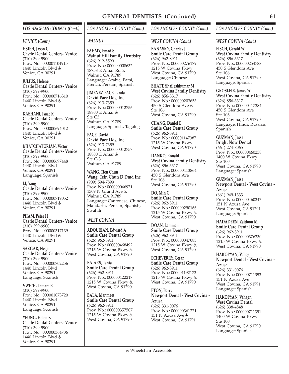### *VENICE (Cont.)*

**HSIEH, Jason C Castle Dental Centers- Venice** (310) 399-9900 Prov. No.: 000001104915 1440 Lincoln Blvd & Venice, CA 90291

**JULIUS, Helene Castle Dental Centers- Venice** (310) 399-9900 Prov. No.: 000000716310 1440 Lincoln Blvd & Venice, CA 90291

**KASHANI, Isaac K Castle Dental Centers- Venice** (310) 399-9900 Prov. No.: 000000694012 1440 Lincoln Blvd Venice, CA 90291

**KHATCHATURIAN, Victor Castle Dental Centers- Venice** (310) 399-9900 Prov. No.: 000000697448 1440 Lincoln Blvd Venice, CA 90291 Language: Spanish

**LI, Yang Castle Dental Centers- Venice** (310) 399-9900 Prov. No.: 000000719052 1440 Lincoln Blvd & Venice, CA 90291

**PHAM, Peter H Castle Dental Centers- Venice** (310) 399-9900 Prov. No.: 000000317139 1440 Lincoln Blvd & Venice, CA 90291

**SAZGAR, Negar Castle Dental Centers- Venice** (310) 399-9900 Prov. No.: 000000702256 1440 Lincoln Blvd Venice, CA 90291 Language: Spanish

**VWICH, Tamara B** (310) 399-9900 Prov. No.: 000001073720 1440 Lincoln Blvd Venice, CA 90291 Language: Spanish

**YEUNG, Helen K Castle Dental Centers- Venice** (310) 399-9900 Prov. No.: 000000364736 1440 Lincoln Blvd & Venice, CA 90291

# *LOS ANGELES COUNTY (Cont.)*

#### *WALNUT*

**FAHMY, Emad S Walnut Hill Family Dentistry** (626) 912-5599 Prov. No.: 000000008632 18758 E Amar Rd & Walnut, CA 91789 Language: Arabic, Farsi, French, Persian, Spanish

**JIMENEZ-PACE, Linda David Pace Dds, Inc** (626) 913-7359 Prov. No.: 000000012756 18800 E Amar Ste C3 Walnut, CA 91789 Language: Spanish, Tagalog

**PACE, David David Pace Dds, Inc** (626) 913-7359 Prov. No.: 000000012757 18800 E Amar Ste C-3 Walnut, CA 91789

**WANG, Tien Chun Wang, Tein Chun D Dmd Inc** (909) 594-7899 Prov. No.: 000000046971 1309 N Grand Ave Walnut, CA 91789 Language: Cantonese, Chinese, Mandarin, Persian, Spanish, Swahili

## *WEST COVINA*

**ADOURIAN, Edward A Smile Care Dental Group** (626) 962-8911 Prov. No.: 000000468492 1215 W Covina Pkwy West Covina, CA 91790

**BAJARS, Tania Smile Care Dental Group** (626) 962-8911 Prov. No.: 000000422217 1215 W Covina Pkwy & West Covina, CA 91790

**BALA, Manmeet Smile Care Dental Group** (626) 962-8911 Prov. No.: 000000357507 1215 W Covina Pkwy West Covina, CA 91790

## *LOS ANGELES COUNTY (Cont.)*

### *WEST COVINA (Cont.)*

**BANASKY, Charles J Smile Care Dental Group** (626) 962-8911 Prov. No.: 000000276179 1215 W Covina Pkwy West Covina, CA 91790 Language: Chinese

**BHATT, Shaileshkumar M West Covina Family Dentistry** (626) 856-3317 Prov. No.: 000000203653 450 S Glendora Ave Ste 106 West Covina, CA 91790

**CHANG, Daniel E Smile Care Dental Group** (626) 962-8911 Prov. No.: 000001147387 1215 W Covina Pkwy West Covina, CA 91790

**DANKO, Ronald West Covina Family Dentistry** (626) 856-3317 Prov. No.: 000000413864 450 S Glendora Ave Ste 106 West Covina, CA 91790

**DO, Min C Smile Care Dental Group** (626) 962-8911 Prov. No.: 000000290166 1215 W Covina Pkwy West Covina, CA 91790

**DOAN, Lamman Smile Care Dental Group** (626) 962-8911 Prov. No.: 000000347085 1215 W Covina Pkwy West Covina, CA 91790

**ECHEVERRY, Cesar Smile Care Dental Group** (626) 962-8911 Prov. No.: 000001192173 1215 W Covina Pkwy & West Covina, CA 91790

**ETON, Barry Newport Dental - West Covina - Azusa** (626) 331-0076 Prov. No.: 000000361271 151 N Azusa Ave West Covina, CA 91791

## *LOS ANGELES COUNTY (Cont.)*

#### *WEST COVINA (Cont.)*

**FISCH, Gerald W West Covina Family Dentistry** (626) 856-3317 Prov. No.: 000000254788 450 S Glendora Ave Ste 106 West Covina, CA 91790 Language: Spanish

**GROSLEIB, James W West Covina Family Dentistry** (626) 856-3317 Prov. No.: 000000417384 450 S Glendora Ave Ste 106 West Covina, CA 91790 Language: Hindi, Russian, Spanish

**GUZMAN, Jesse Bright Now Dental** (661) 274-8065 Prov. No.: 000000460258 1400 W Covina Pkwy Ste 100 West Covina, CA 91790 Language: Spanish

**GUZMAN, Jesse Newport Dental - West Covina - Azusa** (661) 949-1333 Prov. No.: 000000460247 151 N Azusa Ave West Covina, CA 91791 Language: Spanish

**HADADEEN, Zaidoon M Smile Care Dental Group** (626) 962-8911 Prov. No.: 000000376230 1215 W Covina Pkwy West Covina, CA 91790

**HAKOPYAN, Vahagn Newport Dental - West Covina - Azusa** (626) 331-0076 Prov. No.: 000000711393 151 N Azusa Ave West Covina, CA 91791 Language: Spanish

**HAKOPYAN, Vahagn West Covina Dental** (626) 338-4848 Prov. No.: 000000711391 1400 W Covina Pkwy Ste 100 West Covina, CA 91790 Language: Spanish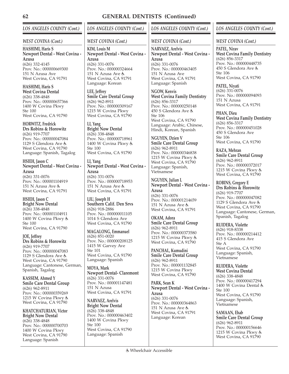# *LOS ANGELES COUNTY (Cont.)*

### *WEST COVINA (Cont.)*

**HASHIMI, Haris S Newport Dental - West Covina - Azusa** (626) 332-4145 Prov. No.: 000000669300 151 N Azusa Ave West Covina, CA 91791

**HASHIMI, Haris S West Covina Dental** (626) 338-4848 Prov. No.: 000000657366 1400 W Covina Pkwy Ste 100 West Covina, CA 91790

**HORWITZ, Fredrick Drs Robins & Horowitz** (626) 919-7707 Prov. No.: 000000047084 1129 S Glendora Ave West Covina, CA 91790 Language: Spanish, Tagalog

**HSIEH, Jason C Newport Dental - West Covina - Azusa** (626) 331-0076 Prov. No.: 000001104919 151 N Azusa Ave West Covina, CA 91791

**HSIEH, Jason C Bright Now Dental** (626) 338-4848 Prov. No.: 000001104911 1400 W Covina Pkwy Ste 100 West Covina, CA 91790

**JOE, Jeffrey Drs Robins & Horowitz** (626) 919-7707 Prov. No.: 000000047083 1129 S Glendora Ave West Covina, CA 91790 Language: Cantonese, German, Spanish, Tagalog

**KASSEM, Ahmed Y Smile Care Dental Group** (626) 962-8911 Prov. No.: 000000359269 1215 W Covina Pkwy West Covina, CA 91790

**KHATCHATURIAN, Victor Bright Now Dental** (626) 338-4848 Prov. No.: 000000700703 1400 W Covina Pkwy West Covina, CA 91790 Language: Spanish

*LOS ANGELES COUNTY (Cont.)*

### *WEST COVINA (Cont.)*

**KIM, Louis M Newport Dental - West Covina - Azusa** (626) 331-0076 Prov. No.: 000000324664 151 N Azusa Ave West Covina, CA 91791 Language: Korean

**LEE, Jeffrey Smile Care Dental Group** (626) 962-8911 Prov. No.: 000000309167 1215 W Covina Pkwy West Covina, CA 91790

**LI, Yang Bright Now Dental** (626) 338-4848 Prov. No.: 000000718961 1400 W Covina Pkwy Ste 100 West Covina, CA 91790

**LI, Yang Newport Dental - West Covina - Azusa** (626) 331-0076 Prov. No.: 000000718953 151 N Azusa Ave West Covina, CA 91791

**LIU, Joseph H Southern Calif. Den Srvs** (626) 918-2886 Prov. No.: 000000011105 1014 S Glendora Ave West Covina, CA 91790

**MAGALONG, Emmanuel** (626) 851-0020 Prov. No.: 000000208125 1415 W Garvey Ave Ste 101 West Covina, CA 91790 Language: Spanish

**MOYA, Mark Newport Dental- Claremont** (626) 331-0076 Prov. No.: 000001147481 151 N Azusa West Covina, CA 91791

**NARVAEZ, Arelvis Bright Now Dental** (626) 338-4848 Prov. No.: 000000463402 1400 W Covina Pkwy Ste 100 West Covina, CA 91790 Language: Spanish

## *LOS ANGELES COUNTY (Cont.)*

### *WEST COVINA (Cont.)*

**NARVAEZ, Arelvis Newport Dental - West Covina - Azusa** (626) 331-0076 Prov. No.: 000000463405 151 N Azusa Ave West Covina, CA 91791 Language: Spanish

**NGOW, Kenvis West Covina Family Dentistry** (626) 856-3317 Prov. No.: 000000250148 450 S Glendora Ave Ste 106 West Covina, CA 91790 Language: Arabic, Chinese, Hindi, Korean, Spanish

**NGUYEN, Dzien V Smile Care Dental Group** (626) 962-8911 Prov. No.: 000000346838 1215 W Covina Pkwy West Covina, CA 91790 Language: Spanish, Vietnamese

**NGUYEN, Julian L Newport Dental - West Covina - Azusa** (626) 331-0076 Prov. No.: 000001214659

151 N Azusa Ave West Covina, CA 91791

**OKAM, Adora Smile Care Dental Group** (626) 962-8911 Prov. No.: 000000373580 1215 W Covina Pkwy & West Covina, CA 91790

**PANCHAL, Kumudini Smile Care Dental Group** (626) 962-8911 Prov. No.: 000001132845 1215 W Covina Pkwy West Covina, CA 91790

**PARK, Sean K Newport Dental - West Covina - Azusa** (626) 331-0076 Prov. No.: 000000364863 151 N Azusa Ave West Covina, CA 91791 Language: Korean

# *LOS ANGELES COUNTY (Cont.)*

#### *WEST COVINA (Cont.)*

**PATEL, Nirav West Covina Family Dentistry** (626) 856-3317 Prov. No.: 000000448735 450 S Glendora Ave Ste 106 West Covina, CA 91790

**PATEL, Niyati** (626) 331-0076 Prov. No.: 000000094093 151 N Azusa West Covina, CA 91791

**PHAN, Dieu West Covina Family Dentistry** (626) 856-3317 Prov. No.: 000000451028 450 S Glendora Ave Ste 106 West Covina, CA 91790

**RAZA, Mehran Smile Care Dental Group** (626) 962-8911 Prov. No.: 000000372017 1215 W Covina Pkwy West Covina, CA 91790

**ROBINS, Gregory E Drs Robins & Horowitz** (626) 919-7707 Prov. No.: 000000047082 1129 S Glendora Ave West Covina, CA 91790 Language: Cantonese, German, Spanish, Tagalog

**RUIDERA, Violette** (626) 918-8338 Prov. No.: 000000214412 415 S Glendora Ave Ste A West Covina, CA 91790 Language: Spanish, Vietnamese

**RUIDERA, Violette West Covina Dental** (626) 338-4848 Prov. No.: 000000417294 1400 W Covina Dental Ste 100 West Covina, CA 91790 Language: Spanish, Vietnamese

**SAMAAN, Ehab Smile Care Dental Group** (626) 962-8911 Prov. No.: 000000156646 1215 W Covina Pkwy West Covina, CA 91790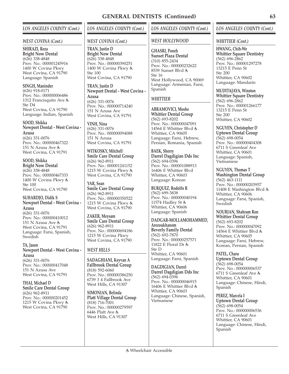### *WEST COVINA (Cont.)*

**SHIRAZI, Reza Bright Now Dental** (626) 338-4848 Prov. No.: 000001245916 1400 W Covina Pkwy West Covina, CA 91790 Language: Spanish

**SINGH, Maninder** (626) 918-0171 Prov. No.: 000000006486 1312 Francisquito Ave Ste D4 West Covina, CA 91790 Language: Indian, Spanish

**SOOD, Shikka Newport Dental - West Covina - Azusa** (626) 331-0076 Prov. No.: 000000467322 151 N Azusa Ave West Covina, CA 91791

**SOOD, Shikka Bright Now Dental** (626) 338-4848 Prov. No.: 000000467333 1400 W Covina Pkwy Ste 100 West Covina, CA 91790

**SUHARDJO, Didik S Newport Dental - West Covina - Azusa** (626) 331-0076 Prov. No.: 000000410012 151 N Azusa Ave West Covina, CA 91791 Language: Farsi, Spanish, **Swedish** 

**TA, Jason Newport Dental - West Covina - Azusa**

(626) 331-0076 Prov. No.: 000000417048 151 N Azusa Ave West Covina, CA 91791

**THAI, Michael D Smile Care Dental Group** (626) 962-8911 Prov. No.: 000000201452 1215 W Covina Pkwy & West Covina, CA 91790

# *LOS ANGELES COUNTY (Cont.)*

### *WEST COVINA (Cont.)*

**TRAN, Justin D Bright Now Dental** (626) 338-4848 Prov. No.: 000000390251 1400 W Covina Pkwy Ste 100 West Covina, CA 91790

**TRAN, Justin D Newport Dental - West Covina - Azusa** (626) 331-0076 Prov. No.: 000000714240 151 N Azusa Ave West Covina, CA 91791

**VINH, Nina** (626) 331-0076 Prov. No.: 000000094088 151 N Azusa West Covina, CA 91791

**WITKOSKY, Mitchell Smile Care Dental Group** (626) 962-8911 Prov. No.: 000001241152 1215 W Covina Pkwy & West Covina, CA 91790

**YAR, Sean Smile Care Dental Group** (626) 962-8911 Prov. No.: 000000350522 1215 W Covina Pkwy & West Covina, CA 91790

**ZAKER, Meysam Smile Care Dental Group** (626) 962-8911 Prov. No.: 000000694186 1215 W Covina Pkwy West Covina, CA 91790

# *WEST HILLS*

**SADAGHIANI, Keyvan A Fallbrook Dental Group** (818) 592-6060 Prov. No.: 000000386250 6739 3 4 Fallbrook Ave West Hills, CA 91307

**SIMONIAN, Belinda Platt Village Dental Group** (818) 716-7001 Prov. No.: 000000279597  $6446$  Platt Ave  $\dot{\xi}$ West Hills, CA 91307

# *LOS ANGELES COUNTY (Cont.)*

## *WEST HOLLYWOOD*

**GHASRI, Poneh Sunset Plaza Dental** (310) 855-2434 Prov. No.: 000000232622 8539 Sunset Blvd Ste 16 West Hollywood, CA 90069 Language: Armenian, Farsi, Spanish

# *WHITTIER*

**ABRAMOVICI, Moshe Whittier Dental Group** (562) 693-8202 Prov. No.: 000000047091 14564 E Whittier Blvd & Whittier, CA 90605 Language: Farsi, Hebrew, Persian, Romania, Spanish

**BAEK, Sherry Darrel Dagdigian Dds Inc** (562) 694-0396 Prov. No.: 000001088913 16406 E Whittier Blvd Whittier, CA 90603 Language: Korean

**BURQUEZ, Rodolfo R** (562) 699-3838 Prov. No.: 000000040194 11574 Hadley St Whittier, CA 90606 Language: Spanish

**DADGAR-MOLLAMOHAMMED, Arezoukhanom Beverly Family Dental** (562) 692-7870 Prov. No.: 000000257571 11822 E Floral Dr Ste D Whittier, CA 90601 Language: Farsi, Spanish

**DAGDIGIAN, Darrel Darrel Dagdigian Dds Inc** (562) 694-0396 Prov. No.: 000000046915 16406 E Whittier Blvd Whittier, CA 90603 Language: Chinese, Spanish, Vietnamese

# *LOS ANGELES COUNTY (Cont.)*

## *WHITTIER (Cont.)*

**HWANG, Chih-We Whittier Square Dentistry** (562) 696-2862 Prov. No.: 000001297278 13215 E Penn St  $Sta 200$ Whittier, CA 90602 Language: Mandarin

**MUDITAJAYA, Winston Whittier Square Dentistry** (562) 696-2862 Prov. No.: 000001266177 13215 E Penn St Ste 200 Whittier, CA 90602

**NGUYEN, Christopher D Uptown Dental Group** (562) 698-0054 Prov. No.: 000000404308 6711 S Greenleaf Ave Whittier, CA 90601 Language: Spanish, Vietnamese

**NGUYEN, Thomas T Washington Dental Group** (562) 463-1111 Prov. No.: 000000203957 11408 E Washington Blvd Whittier, CA 90606 Language: Farsi, Spanish, **Swedish** 

**NOURIAN, Shahram Ron Whittier Dental Group** (562) 693-8202 Prov. No.: 000000047092 14564 E Whittier Blvd & Whittier, CA 90605 Language: Farsi, Hebrew, Korean, Persian, Spanish

**PATEL, Charu Uptown Dental Group** (562) 698-0054 Prov. No.: 000000006537 6711 S Greenleaf Ave Whittier, CA 90601 Language: Chinese, Hindi, Spanish

**PEREZ, Marcela I Uptown Dental Group** (562) 698-0054 Prov. No.: 000000006536 6711 S Greenleaf Ave Whittier, CA 90601 Language: Chinese, Hindi, Spanish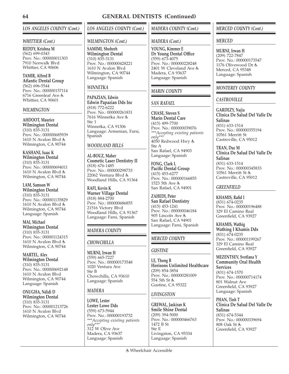### *WHITTIER (Cont.)*

**REDDY, Krishna M** (562) 699-0343 Prov. No.: 000000011303 7910 Norwalk Blvd Whittier, CA 90606

**TAMIR, Alfred B Atlantic Dental Group** (562) 696-5544 Prov. No.: 000000157114 6716 Greenleaf Ave Whittier, CA 90601

### *WILMINGTON*

**AHDOOT, Maurice Wilmington Dental** (310) 835-3131 Prov. No.: 000000685939 1610 N Avalon Blvd Wilmington, CA 90744

**KASHANI, Isaac K Wilmington Dental** (310) 835-3131 Prov. No.: 000000694011 1610 N Avalon Blvd Wilmington, CA 90744

**LAM, Samson W Wilmington Dental** (310) 835-3131 Prov. No.: 000001135829 1610 N Avalon Blvd Wilmington, CA 90744 Language: Spanish

**MAI, Michael Wilmington Dental** (310) 835-3131 Prov. No.: 000001124315 1610 N Avalon Blvd Wilmington, CA 90744

**MARTEL, Alex Wilmington Dental** (310) 835-3131 Prov. No.: 000000692148 1610 N Avalon Blvd Wilmington, CA 90744 Language: Spanish

**ONUGHA, Ndidi D Wilmington Dental** (310) 835-3131 Prov. No.: 000001213726 1610 N Avalon Blvd Wilmington, CA 90744

*LOS ANGELES COUNTY (Cont.)*

## *WILMINGTON (Cont.)*

**SAMIMI, Shohreh Wilmington Dental** (310) 835-3131 Prov. No.: 000000428221 1610 N Avalon Blvd Wilmington, CA 90744 Language: Spanish

# *WINNETKA*

**PAPAZIAN, Edwin Edwin Papazian Dds Inc** (818) 772-6222 Prov. No.: 000000261831 7616 Winnetka Ave Ste 1 Winnetka, CA 91306 Language: Armenian, Farsi, Spanish

# *WOODLAND HILLS*

**AL-BOUZ, Maher Cosmetic Laser Dentistry II** (818) 676-1485 Prov. No.: 000000298733 22062 Ventura Blvd Woodland Hills, CA 91364

**RAFI, Kevin K Warner Village Dental** (818) 884-2700 Prov. No.: 000000686855 21516 Victory Blvd Woodland Hills, CA 91367 Language: Farsi, Spanish

# *MADERA COUNTY*

## *CHOWCHILLA*

**MURNI, Irwan H** (559) 665-7227 Prov. No.: 000000173548 1020 Ventura Ave Ste B Chowchilla, CA 93610 Language: Spanish

# *MADERA*

**LOWE, Lester Lester Lowe Dds** (559) 673-5944 Prov. No.: 000000193732 *\*\*\*Accepting existing patients only\*\*\** 312 W Olive Ave Madera, CA 93637 Language: Spanish

# *MADERA COUNTY (Cont.)*

## *MADERA (Cont.)*

**YOUNG, Kimmer E Dr Young Dental Office** (559) 673-4075 Prov. No.: 000000228248 2401 W Cleveland Ave Madera, CA 93637 Language: Spanish

# *MARIN COUNTY*

# *SAN RAFAEL*

**CHASE, Steven S Marin Dental Care** (415) 499-7700 Prov. No.: 000000039076 *\*\*\*Accepting existing patients only\*\*\** 4050 Redwood Hwy Ste A San Rafael, CA 94903 Language: Spanish

**FONG, Clark L Pacific Dental Group** (415) 453-6277 Prov. No.: 000000166855 1523 5th Ave San Rafael, CA 94901

**ZAHEDI, Peter San Rafael Dentistry** (415) 453-1241 Prov. No.: 000000046184 905 Lincoln Ave San Rafael, CA 94901 Language: Farsi, Spanish

# *MERCED COUNTY*

## *GUSTINE*

**LE, Thong B Horisons Unlimited Healthcare** (209) 854-3854 Prov. No.: 000000281009 554 5th St & Gustine, CA 95322

# *LIVINGSTON*

**GREWAL, Jaskiran K Smile Shine Dental** (209) 394-5000 Prov. No.: 000000466763 1472 B St Ste E Livingston, CA 95334 Language: Spanish

*MERCED COUNTY (Cont.)*

## *MERCED*

**MURNI, Irwan H** (209) 722-7847 Prov. No.: 000000173547 1176 Olivewood Dr Merced, CA 95348 Language: Spanish

## *MONTEREY COUNTY*

## *CASTROVILLE*

**GARDEZY, Najia Clinica De Salud Del Valle De Salinas** (831) 633-1514 Prov. No.: 000000355194 10561 Merritt St Castroville, CA 95012

**TRAN, Duc M Clinica De Salud Del Valle De Salinas** (831) 633-1514 Prov. No.: 000000345833

10561 Merritt St Castroville, CA 95012

### *GREENFIELD*

**KHAMIS, Rafid I** (831) 674-0235 Prov. No.: 000000196488 329 El Camino Real Greenfield, CA 93927

**KHAMIS, Wathig Wathing I Khamis Dds** (831) 674-0235 Prov. No.: 000001199267 329 El Camino Real Greenfield, CA 93927

#### **MEZENTSEV, Svetlana Y Community Oral Health Services**

(831) 674-1570 Prov. No.: 000000714174 801 Walnut Ave Greenfield, CA 93927 Language: Spanish

**PHAN, Tinh T Clinica De Salud Del Valle De Salinas** (831) 674-5344 Prov. No.: 000000339694 808 Oak St Greenfield, CA 93927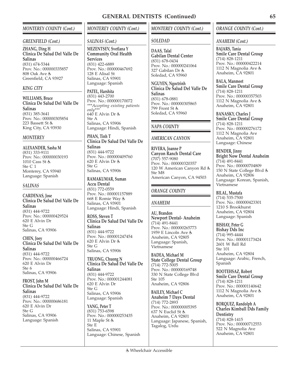## *MONTEREY COUNTY (Cont.)*

#### *GREENFIELD (Cont.)*

**ZHANG, Ding H Clinica De Salud Del Valle De Salinas** (831) 674-5344 Prov. No.: 000000335857 808 Oak Ave Greenfield, CA 93927

### *KING CITY*

**WILLIAMS, Bruce Clinica De Salud Del Valle De Salinas** (831) 385-3641 Prov. No.: 000000305854 223 Bassett St King City, CA 93930

### *MONTEREY*

**ALEXANDER, Sasha M** (831) 333-9111 Prov. No.: 000000030193 1010 Cass St Ste C 1 Monterey, CA 93940 Language: Spanish

### *SALINAS*

**CARDENAS, Jose Clinica De Salud Del Valle De Salinas** (831) 444-9722 Prov. No.: 000000429524 620 E Alvin Dr Ste G Salinas, CA 93906

**CHEN, Joey Clinica De Salud Del Valle De Salinas** (831) 444-9722 Prov. No.: 000000466724 620 E Alvin Dr Ste 6 Salinas, CA 93906

**FROST, John M Clinica De Salud Del Valle De Salinas** (831) 444-9722 Prov. No.: 000000686181 620 E Alvin Dr Ste G

Salinas, CA 93906 Language: Spanish

# *MONTEREY COUNTY (Cont.)*

### *SALINAS (Cont.)*

**MEZENTSEV, Svetlana Y Community Oral Health Services** (831) 422-6889 Prov. No.: 000000467692 128 E Alisal St Salinas, CA 93901 Language: Spanish

**PATEL, Harshita** (831) 443-2700 Prov. No.: 000000170072 *\*\*\*Accepting existing patients only\*\*\**  $640$  E Alvin Dr & Ste A Salinas, CA 93906 Language: Hindi, Spanish

**PHAN, Tinh T Clinica De Salud Del Valle De Salinas** (831) 444-9722 Prov. No.: 000000409760 620 E Alvin Dr Ste G Salinas, CA 93906

**RAMAKUMAR, Suman Accu Dental** (831) 772-0559 Prov. No.: 000001157889 668 E Romie Way Salinas, CA 93901 Language: Hindi, Spanish

**ROSS, Steven T Clinica De Salud Del Valle De Salinas** (831) 444-9722 Prov. No.: 000001247454 620 E Alvin Dr Ste G Salinas, CA 93906

**TRUONG, Chuong N Clinica De Salud Del Valle De Salinas** (831) 444-9722 Prov. No.: 000001244081 620 E Alvin Dr Ste G Salinas, CA 93906 Language: Spanish

**YANG, Peter T** (831) 753-6598 Prov. No.: 000000253435 11 Maple St Ste E Salinas, CA 93901 Language: Chinese, Spanish

## *MONTEREY COUNTY (Cont.)*

## *SOLEDAD*

**DAAS, Talal Gabilan Dental Center** (831) 678-0434 Prov. No.: 000000241064 327 Gabilan Dr Soledad, CA 93960

**NGUYEN, Ngoctrinh Clinica De Salud Del Valle De Salinas** (831) 678-0881 Prov. No.: 000000305865 799 Front St Soledad, CA 93960

# *NAPA COUNTY*

## *AMERICAN CANYON*

**RIVERA, Joanne P Canyon Ranch Dental Care** (707) 557-9080 Prov. No.: 000000320357 120 W American Canyon Rd Ste M8 American Canyon, CA 94503

## *ORANGE COUNTY*

## *ANAHEIM*

**AU, Brandon Newport Dental- Anaheim** (714) 491-8441 Prov. No.: 000000265773 1959 E Lincoln Ave Anaheim, CA 92805 Language: Spanish, Vietnamese

**BADEA, Michael M State College Dental Group** (714) 772-5005 Prov. No.: 000000169748 330 N State College Blvd Ste 105 Anaheim, CA 92806

**BAILEY, Michael C Anaheim 7 Days Dental** (714) 772-2893 Prov. No.: 000000005395 637 N Euclid St Anaheim, CA 92801 Language: Japanese, Spanish, Tagalog, Urdu

## *ORANGE COUNTY (Cont.)*

### *ANAHEIM (Cont.)*

**BAJARS, Tania Smile Care Dental Group** (714) 828-1211 Prov. No.: 000000422214 1112 N Magnolia Ave Anaheim, CA 92801

**BALA, Manmeet Smile Care Dental Group** (714) 828-1211 Prov. No.: 000000357503 1112 N Magnolia Ave Anaheim, CA 92801

**BANASKY, Charles J Smile Care Dental Group** (714) 828-1211 Prov. No.: 000000276172 1112 N Magnolia Ave Anaheim, CA 92801 Language: Chinese

**BENDER, Jinny Bright Now Dental Anaheim** (714) 491-8441 Prov. No.: 000000704809 150 N State College Blvd & Anaheim, CA 92806 Language: Korean, Spanish, Vietnamese

**BILAL, Mustafa** (714) 535-7500 Prov. No.: 000000423301 1210 S Brookhurst Anaheim, CA 92804 Language: Spanish

**BISHAY, Peter G Bishay Dds Inc** (714) 995-4444 Prov. No.: 000001173424 2601 W Ball Rd Ste 101 Anaheim, CA 92804 Language: Arabic, French, Spanish

**BOOTEHSAZ, Robert Smile Care Dental Group** (714) 828-1211 Prov. No.: 000001140642 1112 N Magnolia Ave Anaheim, CA 92801

**BORQUEZ, Randolph A Charles Kimball Dds Family Dentistry** (714) 828-1415 Prov. No.: 000000712553 522 N Magnolia Ave Anaheim, CA 92801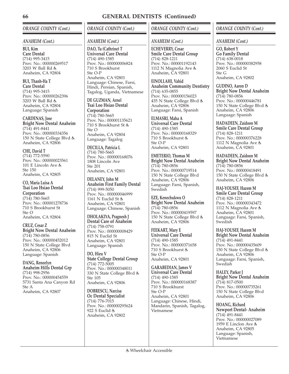## *ORANGE COUNTY (Cont.)*

### *ANAHEIM (Cont.)*

**BUI, Kim Care Dental** (714) 995-3415 Prov. No.: 000000269517 3203 W Ball Rd & Anaheim, CA 92804

**BUI, Thanh-Ha T Care Dental** (714) 995-3415 Prov. No.: 000000262396 3203 W Ball Rd Anaheim, CA 92804 Language: Spanish

**CARDENAS, Jose Bright Now Dental Anaheim** (714) 491-8441 Prov. No.: 000000334356 150 N State College Blvd Anaheim, CA 92806

**CHE, David T** (714) 772-5590 Prov. No.: 000000023561 101 E Lincoln Ave Ste 150 Anaheim, CA 92805

**CO, Maria Luisa A Tsai Loo Hsiao Dental Corporation** (714) 780-5665 Prov. No.: 000001278736 710 S Brookhurst St Ste O Anaheim, CA 92804

**CRUZ, Cesar Z Bright Now Dental Anaheim** (714) 780-0856 Prov. No.: 000000452012 150 N State College Blvd Anaheim, CA 92806 Language: Spanish

**DANG, Reneelyn Anaheim Hills Dental Grp** (714) 998-2956 Prov. No.: 000000454559 5731 Santa Ana Canyon Rd Ste A Anaheim, CA 92807

# *ORANGE COUNTY (Cont.)*

## *ANAHEIM (Cont.)*

**DAO, Tu (Cathrine) T Universal Care Dental** (714) 490-1585 Prov. No.: 000000006824 710 S Brookhurst Ste O-P Anaheim, CA 92801 Language: Chinese, Farsi, Hindi, Persian, Spanish, Tagalog, Uganda, Vietnamese

**DE GUZMAN, Arnel Tsai Loo Hsiao Dental**

**Corporation** (714) 780-5665 Prov. No.: 000001135621 710 S Brookhurst St Ste O Anaheim, CA 92804 Language: Tagalog

**DECILLA, Patricia L** (714) 780-5665 Prov. No.: 000000168076 1808 Lincoln Ave Ste 201 Anaheim, CA 92801

**DELANEY, John M Anaheim First Family Dental** (714) 999-5050 Prov. No.: 000000046999 1161 N Euclid St & Anaheim, CA 92801 Language: Chinese, Spanish

**DHOLAKIYA, Pragnesh J Dental Care of Anaheim** (714) 758-0791 Prov. No.: 000000008429 815 N Euclid St Anaheim, CA 92801 Language: Spanish

**DO, Hieu V State College Dental Group** (714) 772-5005 Prov. No.: 000000348011 330 N State College Blvd Ste 105 Anaheim, CA 92806

**DOBRESCU, Narcisa Oc Dental Specialist** (714) 776-7015 Prov. No.: 000000295624 922 S Euclid & Anaheim, CA 92802

## *ORANGE COUNTY (Cont.)*

## *ANAHEIM (Cont.)*

**ECHEVERRY, Cesar Smile Care Dental Group** (714) 828-1211 Prov. No.: 000001192143 1112 N Magnolia Ave Anaheim, CA 92801

**EINOLLAHI, Vahid Anaheim Community Dentistry** (714) 635-0855 Prov. No.: 000000156023 435 N State College Blvd Anaheim, CA 92806 Language: Farsi, Spanish

**ELMASRI, Maha A Universal Care Dental** (714) 490-1585 Prov. No.: 000000168329 710 S Brookhurst Ste O-P Anaheim, CA 92801

**EMETERIO, Thomas M Bright Now Dental Anaheim** (714) 780-0856 Prov. No.: 000000719514 150 N State College Blvd Anaheim, CA 92806 Language: Farsi, Spanish, Swedish

**EZE, Kenechukwu O Bright Now Dental Anaheim** (714) 780-0856 Prov. No.: 000000419597 150 N State College Blvd Anaheim, CA 92806

**FEEKART, Mary E Universal Care Dental** (714) 490-1585 Prov. No.: 000000371658 710 S Brookhurst Ste O-P Anaheim, CA 92801

**GARABEDIAN, James V Universal Care Dental** (714) 490-1585 Prov. No.: 000000168387 710 S Brookhurst Ste O-P Anaheim, CA 92801 Language: Chinese, Hindi, Mandarin, Spanish, Tagalog, Vietnamese

## *ORANGE COUNTY (Cont.)*

### *ANAHEIM (Cont.)*

**GO, Robert Y Go Family Dental** (714) 638-0018 Prov. No.: 000000382958 2060 S Euclid St Ste G Anaheim, CA 92802

**GUDINO, Aaron D Bright Now Dental Anaheim** (714) 780-0856 Prov. No.: 000000446781 150 N State College Blvd Anaheim, CA 92806 Language: Spanish

**HADADEEN, Zaidoon M Smile Care Dental Group** (714) 828-1211 Prov. No.: 000000376228 1112 N Magnolia Ave Anaheim, CA 92801

**HADADEEN, Zaidoon M Bright Now Dental Anaheim** (714) 780-0856 Prov. No.: 000000418491 150 N State College Blvd Anaheim, CA 92806

**HAJ-YOUSEF, Hazem M Smile Care Dental Group** (714) 828-1211 Prov. No.: 000000343472 1112 N Magnolia Ave Anaheim, CA 92801 Language: Farsi, Spanish, **Swedish** 

**HAJ-YOUSEF, Hazem M Bright Now Dental Anaheim** (714) 491-8441 Prov. No.: 000000435609 150 N State College Blvd Anaheim, CA 92806 Language: Farsi, Spanish, Swedish

**HALEY, Parker J Bright Now Dental Anaheim** (714) 817-0500 Prov. No.: 000000735261 150 N State College Blvd Anaheim, CA 92806

**HOANG, Richard Newport Dental- Anaheim** (714) 491-8441 Prov. No.: 000000027089 1959 E Linclon Ave Anaheim, CA 92805 Language: Spanish, Vietnamese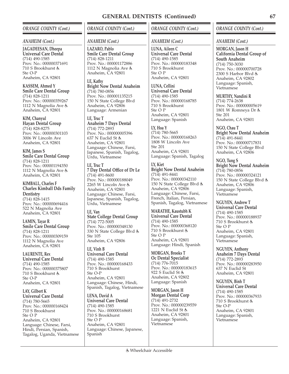## *ORANGE COUNTY (Cont.)*

### *ANAHEIM (Cont.)*

**JAGADEESAN, Dheepa Universal Care Dental** (714) 490-1585 Prov. No.: 000000371691 710 S Brookhurst Ste O-P Anaheim, CA 92801

**KASSEM, Ahmed Y Smile Care Dental Group** (714) 828-1211 Prov. No.: 000000359267 1112 N Magnolia Ave & Anaheim, CA 92801

**KIM, Chanyul Hayan Dental Group** (714) 828-8275 Prov. No.: 000000301103 3006 W Lincoln Ave Anaheim, CA 92801

**KIM, James S Smile Care Dental Group** (714) 828-1211 Prov. No.: 000001194350 1112 N Magnolia Ave Anaheim, CA 92801

**KIMBALL, Charles F Charles Kimball Dds Family Dentistry** (714) 828-1415 Prov. No.: 000000694416 522 N Magnolia Ave Anaheim, CA 92801

**LAMIN, Tayar R Smile Care Dental Group** (714) 828-1211 Prov. No.: 000000309159 1112 N Magnolia Ave Anaheim, CA 92801

**LAURENTE, Rex Universal Care Dental** (714) 490-1585 Prov. No.: 000000375807 710 S Brookhurst Ste O-P Anaheim, CA 92801

**LAY, Gilbert K Universal Care Dental** (714) 780-5665 Prov. No.: 000000168424 710 S Brookhurst Ste O P Anaheim, CA 92801 Language: Chinese, Farsi, Hindi, Persian, Spanish, Tagalog, Uganda, Vietnamese *ORANGE COUNTY (Cont.)*

### *ANAHEIM (Cont.)*

**LAZARO, Pablo Smile Care Dental Group** (714) 828-1211 Prov. No.: 000001172886 1112 N Magnolia Ave Anaheim, CA 92801

**LE, Kathy Bright Now Dental Anaheim** (714) 780-0856 Prov. No.: 000001135215 150 N State College Blvd Anaheim, CA 92806 Language: Armenian

**LE, Truc T Anaheim 7 Days Dental** (714) 772-2893 Prov. No.: 000000005396 637 N Euclid St Anaheim, CA 92801 Language: Chinese, Farsi, Japanese, Spanish, Tagalog, Urdu, Vietnamese

**LE, Truc T 7 Day Dental Office of Dr Le** (714) 491-8600 Prov. No.: 000000188049 2265 W Lincoln Ave Anaheim, CA 92801 Language: Chinese, Farsi, Japanese, Spanish, Tagalog, Urdu, Vietnamese

**LE, Van State College Dental Group** (714) 772-5005 Prov. No.: 000000348130 330 N State College Blvd Ste 105 Anaheim, CA 92806

**LE, Vinh B Universal Care Dental** (714) 490-1585 Prov. No.: 000000168433 710 S Brookhurst Ste O-P Anaheim, CA 92801 Language: Chinese, Hindi, Spanish, Tagalog, Vietnamese

**LENA, David A Universal Care Dental** (714) 490-1585 Prov. No.: 000000168681 710 S Brookhurst Ste O P Anaheim, CA 92801 Language: Chinese, Japanese, Spanish

## *ORANGE COUNTY (Cont.)*

## *ANAHEIM (Cont.)*

**LUNA, Aileen C Universal Care Dental** (714) 490-1585 Prov. No.: 000000183348 710 S Brookhurst Ste O P Anaheim, CA 92801

**LUNA, Cellini Universal Care Dental** (714) 490-1585 Prov. No.: 000000168785 710 S Brookhurst Ste O P Anaheim, CA 92801 Language: Spanish

**LY, Hoa Y** (714) 780-5665 Prov. No.: 000000168263 1808 W Lincoln Ave Ste 201 Anaheim, CA 92801 Language: Spanish, Tagalog

**LY, Kiet Bright Now Dental Anaheim** (714) 491-8441 Prov. No.: 000000342110 150 N State College Blvd Anaheim, CA 92806 Language: Chinese, Farsi, French, Italian, Persian, Spanish, Tagalog, Vietnamese

**MARATHE, Kaustubh K Universal Care Dental** (714) 490-1585

Prov. No.: 000000368120 710 S Brookhurst Ste O P Anaheim, CA 92801 Language: Hindi, Spanish

**MORGAN, Brooks T Oc Dental Specialist** (714) 776-7015 Prov. No.: 000000183615 922 S Euclid St Anaheim, CA 92802 Language: Spanish

**MORGAN, Jason H Morgan Dental Corp** (714) 491-2732 Prov. No.: 000000239559 1221 N Euclid St & Anaheim, CA 92801 Language: Spanish, Vietnamese

### *ORANGE COUNTY (Cont.)*

*ANAHEIM (Cont.)*

**MORGAN, Jason H California Dental Group of South Anaheim** (714) 750-3030 Prov. No.: 000000700728 2300 S Harbor Blvd Anaheim, CA 92802 Language: Spanish, Vietnamese

**MURTHY, Nandini R**

(714) 774-2638 Prov. No.: 000000005619 1801 W Romneya Dr Ste 201 Anaheim, CA 92801

**NGO, Chau T Bright Now Dental Anaheim** (714) 491-8441 Prov. No.: 000000717831 150 N State College Blvd Anaheim, CA 92806

**NGO, Tung S Bright Now Dental Anaheim** (714) 780-0856 Prov. No.: 000000324121 150 N State College Blvd Anaheim, CA 92806 Language: Spanish, Vietnamese

**NGUYEN, Andrew T Universal Care Dental** (714) 490-1585 Prov. No.: 000000188937 710 S Brookhurst Ste O P Anaheim, CA 92801 Language: Spanish, Vietnamese

**NGUYEN, Anthony Anaheim 7 Days Dental** (714) 772-2893 Prov. No.: 000000283950 637 N Euclid St Anaheim, CA 92801

**NGUYEN, Binh T Universal Care Dental** (714) 490-1585 Prov. No.: 000000367933 710 S Brookhurst Ste O-P Anaheim, CA 92801 Language: Spanish, Vietnamese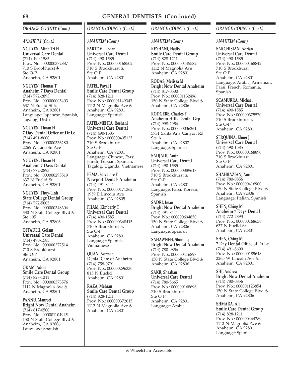## *ORANGE COUNTY (Cont.)*

### *ANAHEIM (Cont.)*

**NGUYEN, Minh Tri H Universal Care Dental** (714) 490-1585 Prov. No.: 000000372887 710 S Brookhurst Ste O-P Anaheim, CA 92801

**NGUYEN, Thomas T Anaheim 7 Days Dental** (714) 772-2893 Prov. No.: 000000005403 637 N Euclid St Anaheim, CA 92801 Language: Japanese, Spanish, Tagalog, Urdu

**NGUYEN, Thuan H 7 Day Dental Office of Dr Le** (714) 491-8600 Prov. No.: 000000336280 2265 W Lincoln Ave Anaheim, CA 92801

**NGUYEN, Thuan H Anaheim 7 Days Dental** (714) 772-2893 Prov. No.: 000000295519 637 N Euclid St Anaheim, CA 92801

**NGUYEN, Thuy-Linh State College Dental Group** (714) 772-5005 Prov. No.: 000000348304 330 N State College Blvd Ste 105 Anaheim, CA 92806

**OFTADEH, Golam Universal Care Dental** (714) 490-1585 Prov. No.: 000000372514 710 S Brookhurst Ste O-P Anaheim, CA 92801

**OKAM, Adora Smile Care Dental Group** (714) 828-1211 Prov. No.: 000000373576 1112 N Magnolia Ave Anaheim, CA 92801

**PANNU, Manreet Bright Now Dental Anaheim** (714) 817-0500 Prov. No.: 000001104945 150 N State College Blvd Anaheim, CA 92806 Language: Spanish

*ORANGE COUNTY (Cont.)*

### *ANAHEIM (Cont.)*

**PARTOVI, Ladan Universal Care Dental** (714) 490-1585 Prov. No.: 000000168502 710 S Brookhurst Ste O P Anaheim, CA 92801

**PATEL, Payal J Smile Care Dental Group** (714) 828-1211 Prov. No.: 000001149343 1112 N Magnolia Ave Anaheim, CA 92801 Language: Spanish

**PATEL-MEHTA, Roshani Universal Care Dental** (714) 490-1585 Prov. No.: 000000405125 710 S Brookhurst Ste O-P Anaheim, CA 92801 Language: Chinese, Farsi, Hindi, Persian, Spanish, Tagalog, Uganda, Vietnamese

**PEMA, Salvatore F Newport Dental- Anaheim** (714) 491-8441 Prov. No.: 000000171362 1959 E Lincoln Ave Anaheim, CA 92805

**PHAM, Kimberly T Universal Care Dental** (714) 490-1585 Prov. No.: 000000368415 710 S Brookhurst Ste O-P Anaheim, CA 92801 Language: Spanish, Vietnamese

**QUAN, Norman Dental Care of Anaheim** (714) 758-0791 Prov. No.: 000000296330 815 N Euclid Anaheim, CA 92801

**RAZA, Mehran Smile Care Dental Group** (714) 828-1211 Prov. No.: 000000372015 1112 N Magnolia Ave Anaheim, CA 92801

## *ORANGE COUNTY (Cont.)*

### *ANAHEIM (Cont.)*

**REYHANI, Hadis Smile Care Dental Group** (714) 828-1211 Prov. No.: 000000445582 1112 N Magnolia Ave Anaheim, CA 92801

**RODAS, Melissa M Bright Now Dental Anaheim** (714) 817-0500 Prov. No.: 000001132496 150 N State College Blvd Anaheim, CA 92806

**RODGERS, Charles F Anaheim Hills Dental Grp** (714) 998-2956 Prov. No.: 000000036261 5731 Santa Ana Canyon Rd Ste A Anaheim, CA 92807 Language: Spanish

**SADJADI, Amir Universal Care Dental** (714) 490-1585 Prov. No.: 000000389617 710 S Brookhurst Ste O-P Anaheim, CA 92801 Language: Farsi, Korean, Spanish

**SADRI, Iman Bright Now Dental Anaheim** (714) 491-8441 Prov. No.: 000000694850 150 N State College Blvd & Anaheim, CA 92806 Language: Spanish

**SAHAWNEH, Shorouq Bright Now Dental Anaheim** (714) 780-0856 Prov. No.: 000000416897 150 N State College Blvd & Anaheim, CA 92806

**SAKR, Shaaban Universal Care Dental** (714) 780-5665 Prov. No.: 000000168696 710 S Brookhurst Ste O P Anaheim, CA 92801 Language: Arabic

## *ORANGE COUNTY (Cont.)*

*ANAHEIM (Cont.)*

**SARCHISIAN, Adrian Universal Care Dental** (714) 490-1585 Prov. No.: 000000168842 710 S Brookhurst Ste O P Anaheim, CA 92801 Language: Arabic, Armenian, Farsi, French, Romania, Spanish

**SCAMURRA, Michael Universal Care Dental** (714) 490-1585 Prov. No.: 000000375570 710 S Brookhurst Ste O-P Anaheim, CA 92801

**SERQUINA, Elmer J Universal Care Dental** (714) 490-1585 Prov. No.: 000000168890 710 S Brookhurst Ste O P Anaheim, CA 92801

**SHAHBAZIAN, Amir** (714) 780-0856 Prov. No.: 000000416900 150 N State College Blvd Anaheim, CA 92806 Language: Italian, Spanish

**SHEN, Ching M Anaheim 7 Days Dental** (714) 772-2893 Prov. No.: 000000168638 637 N Euclid St Anaheim, CA 92801

**SHEN, Ching M 7 Day Dental Office of Dr Le** (714) 491-8600 Prov. No.: 000000189648 2265 W Lincoln Ave Anaheim, CA 92801

**SHI, Andrew Bright Now Dental Anaheim** (714) 780-0856 Prov. No.: 000001123854 150 N State College Blvd Anaheim, CA 92806

**SHMARA, Ali Smile Care Dental Group** (714) 828-1211 Prov. No.: 000000464289 1112 N Magnolia Ave Anaheim, CA 92801 Language: Spanish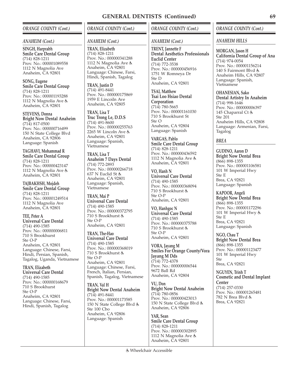## *ORANGE COUNTY (Cont.)*

#### *ANAHEIM (Cont.)*

**SINGH, Harprabh Smile Care Dental Group** (714) 828-1211 Prov. No.: 000001089558 1112 N Magnolia Ave Anaheim, CA 92801

**SONG, Eugene Smile Care Dental Group** (714) 828-1211 Prov. No.: 000001193288 1112 N Magnolia Ave Anaheim, CA 92801

**STEVENS, Donna Bright Now Dental Anaheim** (714) 817-0500 Prov. No.: 000000716499 150 N State College Blvd Anaheim, CA 92806 Language: Spanish

**TAGHAVI, Mohammad R Smile Care Dental Group** (714) 828-1211 Prov. No.: 000000423147 1112 N Magnolia Ave Anaheim, CA 92801

**TAJBAKHSH, Mojdeh Smile Care Dental Group** (714) 828-1211 Prov. No.: 000001249514 1112 N Magnolia Ave Anaheim, CA 92801

**TEE, Peter A Universal Care Dental** (714) 490-1585 Prov. No.: 000000006811 710 S Brookhurst Ste O-P Anaheim, CA 92801 Language: Chinese, Farsi, Hindi, Persian, Spanish, Tagalog, Uganda, Vietnamese

**TRAN, Elizabeth Universal Care Dental** (714) 490-1585 Prov. No.: 000000168679 710 S Brookhurst Ste O-P Anaheim, CA 92801 Language: Chinese, Farsi, Hindi, Spanish, Tagalog

*ORANGE COUNTY (Cont.)*

### *ANAHEIM (Cont.)*

**TRAN, Elizabeth** (714) 828-1211 Prov. No.: 000000341288 1112 N Magnolia Ave & Anaheim, CA 92801 Language: Chinese, Farsi, Hindi, Spanish, Tagalog

**TRAN, Justin D** (714) 491-8441 Prov. No.: 000000175869 1959 E Lincoiln Ave Anaheim, CA 92805

**TRAN, Lisa T Truc Trong Le, D.D.S** (714) 491-8600 Prov. No.: 000000255763 2265 W Lincoln Ave Anaheim, CA 92801 Language: Spanish, Vietnamese

**TRAN, Lisa T Anaheim 7 Days Dental** (714) 772-2893 Prov. No.: 000000266718 637 N Euclid St Anaheim, CA 92801 Language: Spanish, Vietnamese

**TRAN, Mai P Universal Care Dental** (714) 490-1585 Prov. No.: 000000372795 710 S Brookhurst Ste O-P Anaheim, CA 92801

**TRAN, The-Hao Universal Care Dental** (714) 490-1585 Prov. No.: 000000368019 710 S Brookhurst Ste O-P Anaheim, CA 92801 Language: Chinese, Farsi, French, Italian, Persian, Spanish, Tagalog, Vietnamese

**TRAN, Val H Bright Now Dental Anaheim** (714) 491-8441 Prov. No.: 000001173585 150 N State College Blvd & Ste 100 Cbo Anaheim, CA 92806 Language: Spanish

## *ORANGE COUNTY (Cont.)*

## *ANAHEIM (Cont.)*

**TRENT, Jannette F Dental Aesthetics Professionals Euclid Center** (714) 772-3538 Prov. No.: 000000456916 1751 W Romneya Dr Ste D Anaheim, CA 92801

**TSAI, Matthew Tsai Loo Hsiao Dental Corporation** (714) 780-5665 Prov. No.: 000001161030 710 S Brookhurst St Ste O Anaheim, CA 92804 Language: Spanish

**VARGAS, Pablo Smile Care Dental Group** (714) 828-1211 Prov. No.: 000000436592 1112 N Magnolia Ave & Anaheim, CA 92801

**VO, Hanh N Universal Care Dental** (714) 490-1585 Prov. No.: 000000368094 710 S Brookhurst Ste O-P Anaheim, CA 92801

**VO, Hanhgoc N Universal Care Dental** (714) 490-1585 Prov. No.: 000000375788 710 S Brookhurst Ste O-P Anaheim, CA 92801

**VORA, Jayang M Smiles For Orange County/Vora Jayang M Dds** (714) 772-4378 Prov. No.: 000000006544 9672 Ball Rd Anaheim, CA 92804

**VU, Don Bright Now Dental Anaheim** (714) 780-0856 Prov. No.: 000000423013 150 N State College Blvd & Anaheim, CA 92806

**YAR, Sean Smile Care Dental Group** (714) 828-1211 Prov. No.: 000000302895 1112 N Magnolia Ave Anaheim, CA 92801

## *ORANGE COUNTY (Cont.)*

### *ANAHEIM HILLS*

**MORGAN, Jason H California Dental Group of Ana** (714) 974-0054 Prov. No.: 000001156214 140 S Fairmont Blvd Anaheim Hills, CA 92807 Language: Spanish, Vietnamese

**OHANESIAN, Sako Dental Artistry In Anaheim** (714) 998-1646 Prov. No.: 000000006397 145 Chaparral Ct Ste 201 Anaheim Hills, CA 92808 Language: Armenian, Farsi, Tagalog

#### *BREA*

**GUDINO, Aaron D Bright Now Dental Brea** (866) 898-1355 Prov. No.: 000001106581 101 W Imperial Hwy Ste E Brea, CA 92821 Language: Spanish

**KAPOOR, Angeli Bright Now Dental Brea** (866) 898-1355 Prov. No.: 000001172296 101 W Imperial Hwy Ste E Brea, CA 92821 Language: Spanish

**NGO, Chau T Bright Now Dental Brea** (866) 898-1355 Prov. No.: 000001123477 101 W Imperial Hwy Ste Brea, CA 92821

**NGUYEN, Trinh T Cosmetic and Dental Implant Center** (714) 257-0330 Prov. No.: 000001265481 782 N Brea Blvd Brea, CA 92821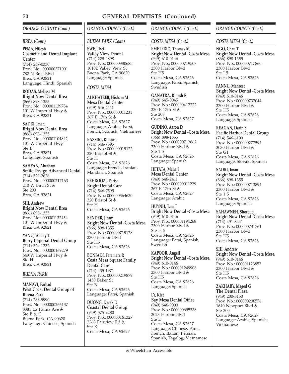# *ORANGE COUNTY (Cont.)*

## *BREA (Cont.)*

**PEMA, Nilesh Cosmetic and Dental Implant Center** (714) 257-0330 Prov. No.: 000000371001 782 N Brea Blvd Brea, CA 92821 Language: Hindi, Spanish

**RODAS, Melissa M Bright Now Dental Brea** (866) 898-1355 Prov. No.: 000001139784 101 W Imperial Hwy Brea, CA 92821

# **SADRI, Iman**

**Bright Now Dental Brea** (866) 898-1355 Prov. No.: 000001104842 101 W Imperial Hwy Ste E Brea, CA 92821 Language: Spanish

**SAHYAN, Abraham Smile Design Advanced Dental** (714) 529-2626 Prov. No.: 000000217163 210 W Birch St Ste 203 Brea, CA 92821

**SHI, Andrew Bright Now Dental Brea** (866) 898-1355 Prov. No.: 000001132454 101 W Imperial Hwy Brea, CA 92821

**YANG, Wendy T Berry Imperial Dental Group** (714) 529-1232 Prov. No.: 000000169279 649 W Imperial Hwy Ste H Brea, CA 92821

## *BUENA PARK*

**MANAVI, Farhad West Coast Dental Group of Buena Park** (714) 288-9990 Prov. No.: 000000266137 8381 La Palma Ave Ste B & C Buena Park, CA 90620 Language: Chinese, Spanish *ORANGE COUNTY (Cont.)*

# *BUENA PARK (Cont.)*

**SWE, Thet Valley View Dental** (714) 229-4898 Prov. No.: 000000380685 10102 Valley View St Buena Park, CA 90620 Language: Spanish

# *COSTA MESA*

**ALKHATEEB, Hisham M Mesa Dental Center** (949) 646-2411 Prov. No.: 000000011231 267 E 17th St Costa Mesa, CA 92627 Language: Arabic, Farsi, French, Spanish, Vietnamese

**BASSIRI, Koroush** (714) 546-7595 Prov. No.: 000000019122 320 Bristol St Ste H Costa Mesa, CA 92626 Language: French, Iranian, Mandarin, Spanish

**BEHROOZI, Parisa Bright Dental Care** (714) 546-7595 Prov. No.: 000000364630 320 Bristol St Ste H Costa Mesa, CA 92626

**BENDER, Jinny Bright Now Dental -Costa Mesa** (866) 898-1355 Prov. No.: 000000719178 2300 Harbor Blvd Ste H5 Costa Mesa, CA 92626

**BONIADI, Faramarz R Costa Mesa Square Family Dental Care** (714) 435-1971 Prov. No.: 000000219879 1450 Baker St Ste B Costa Mesa, CA 92626 Language: Farsi, Spanish

**DUONG, Derek D Coastal Dental Group** (949) 575-9280 Prov. No.: 000000161327 2263 Fairview Rd & Ste K Costa Mesa, CA 92627

# *ORANGE COUNTY (Cont.)*

## *COSTA MESA (Cont.)*

**EMETERIO, Thomas M Bright Now Dental -Costa Mesa** (949) 610-0146 Prov. No.: 000000719507 2300 Harbor Blvd Ste H5 Costa Mesa, CA 92626 Language: Farsi, Spanish, Swedish

**GANATRA, Rinesh R** (949) 645-0045 Prov. No.: 000000417222 230 E 17th St Ste 208 Costa Mesa, CA 92627

**GUDINO, Aaron D Bright Now Dental -Costa Mesa** (866) 898-1355 Prov. No.: 000000713862 2300 Harbor Blvd Ste 1 5 Costa Mesa, CA 92626 Language: Spanish

**HETATA, Maha I Mesa Dental Center** (949) 646-2411 Prov. No.: 000000011229 267 E 17th St Costa Mesa, CA 92627 Language: Arabic

**HUYNH, Tam T Bright Now Dental -Costa Mesa** (949) 610-0146 Prov. No.: 000001194268 2300 Harbor Blvd Ste H 5 Costa Mesa, CA 92626 Language: Farsi, Spanish, Swedish

**KAPOOR, Angeli Bright Now Dental -Costa Mesa** (949) 610-0146 Prov. No.: 000001249908 2300 Harbor Blvd Ste H5 Costa Mesa, CA 92626 Language: Spanish

**LY, Kiet Bay Mesa Dental Office** (949) 646-9000 Prov. No.: 000000695338 2023 Harbor Blvd Ste D Costa Mesa, CA 92627 Language: Chinese, Farsi, French, Italian, Persian, Spanish, Tagalog, Vietnamese

# *ORANGE COUNTY (Cont.)*

## *COSTA MESA (Cont.)*

**NGO, Chau T Bright Now Dental -Costa Mesa** (866) 898-1355 Prov. No.: 000000717860 2300 Harbor Blvd Ste I 5 Costa Mesa, CA 92626

**PANNU, Manreet Bright Now Dental -Costa Mesa** (949) 610-0146 Prov. No.: 000000737044 2300 Harbor Blvd Ste H5 Costa Mesa, CA 92626 Language: Spanish

**REAGAN, Darin S Pacific Harbor Dental Group** (714) 546-6100 Prov. No.: 000000277594 3030 Harbor Blvd Ste G1 Costa Mesa, CA 92626 Language: Slovak, Spanish

**SADRI, Iman Bright Now Dental -Costa Mesa** (866) 898-1355 Prov. No.: 000000713894 2300 Harbor Blvd Ste 1 5 Costa Mesa, CA 92626 Language: Spanish

**SAHAWNEH, Shorouq Bright Now Dental -Costa Mesa** (714) 491-8441 Prov. No.: 000000731761 2300 Harbor Blvd Ste H5 Costa Mesa, CA 92626

**SHI, Andrew Bright Now Dental -Costa Mesa** (949) 610-0146 Prov. No.: 000001123852 2300 Harbor Blvd Ste H5 Costa Mesa, CA 92626

**ZAKHARY, Maged G The Dental Plaza** (949) 200-3150 Prov. No.: 000000206576 1640 Newport Blvd Ste 300 Costa Mesa, CA 92627 Language: Arabic, Spanish, Vietnamese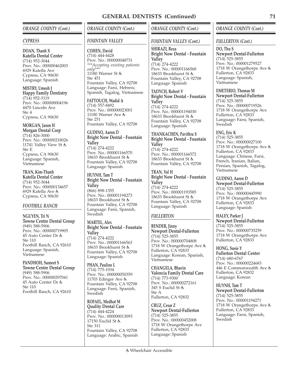## *ORANGE COUNTY (Cont.)*

#### *CYPRESS*

**DOAN, Thanh X Katella Dental Center** (714) 952-3044 Prov. No.: 000000462003 6929 Katella Ave Cypress, CA 90630 Language: Spanish

**MISTRY, Umesh J Happy Family Dentistry** (714) 952-3119 Prov. No.: 000000004196 4470 Lincoln Ave Ste 4 Cypress, CA 90630

# **MORGAN, Jason H**

**Morgan Dental Corp**  $(714)$  826-3000 Prov. No.: 000000218026 11741 Valley View St Ste E Cypress, CA 90630 Language: Spanish, Vietnamese

#### **TRAN, Kim-Thanh Katella Dental Center**

(714) 952-3044 Prov. No.: 000000134657 6929 Katella Ave Cypress, CA 90630

### *FOOTHILL RANCH*

**NGUYEN, Tri N Towne Centre Dental Group** (949) 588-5906 Prov. No.: 000000719905 45 Auto Center Dr Ste 110 Foothill Ranch, CA 92610 Language: Spanish, Vietnamese

**PANDHOH, Sumeet S Towne Centre Dental Group** (949) 588-5906 Prov. No.: 000000297041 45 Auto Center Dr Ste 110 Foothill Ranch, CA 92610

## *ORANGE COUNTY (Cont.)*

## *FOUNTAIN VALLEY*

**COHEN, David** (714) 444-4428 Prov. No.: 000000048731 *\*\*\*Accepting existing patients only\*\*\** 11180 Warner St & Ste 451 Fountain Valley, CA 92708 Language: Farsi, Hebrew, Spanish, Tagalog, Vietnamese

#### **FATTOUCH, Wadid A** (714) 557-8492 Prov. No.: 000000023001 11180 Warner Ave Ste 251

Fountain Valley, CA 92708

**GUDINO, Aaron D Bright Now Dental - Fountain Valley** (714) 274-4222 Prov. No.: 000001166570 18633 Brookhurst St & Fountain Valley, CA 92708 Language: Spanish

**HUYNH, Tam T Bright Now Dental - Fountain Valley** (866) 898-1355 Prov. No.: 000001194273 18633 Brookhurst St Fountain Valley, CA 92708 Language: Farsi, Spanish, Swedish

#### **MARTEL, Alex Bright Now Dental - Fountain Valley** (714) 274-4222 Prov. No.: 000001166563 18633 Brookhurst St Fountain Valley, CA 92708 Language: Spanish

**PHAN, Pauline L** (714) 775-1934 Prov. No.: 000000050359 11703 Edinger Ave & Fountain Valley, CA 92708 Language: Farsi, Spanish, Swedish

**ROFAEL, Medhat M Quality Dental Care** (714) 444-4224 Prov. No.: 000000013093 17150 Euclid St & Ste 311 Fountain Valley, CA 92708 Language: Arabic, Spanish

## *ORANGE COUNTY (Cont.)*

### *FOUNTAIN VALLEY (Cont.)*

**SHIRAZI, Reza Bright Now Dental - Fountain Valley** (714) 274-4222 Prov. No.: 000001166568 18633 Brookhurst St Fountain Valley, CA 92708 Language: Spanish

**TADYCH, Robert V Bright Now Dental - Fountain Valley** (714) 274-4222 Prov. No.: 000001194030 18633 Brookhurst St Fountain Valley, CA 92708 Language: Spanish

**THANKACHEN, Pavithra S Bright Now Dental - Fountain Valley** (714) 274-4222 Prov. No.: 000001166572 18633 Brookhurst St Fountain Valley, CA 92708

#### **TRAN, Val H Bright Now Dental - Fountain Valley** (714) 274-4222 Prov. No.: 000001193585

18633 Brookhurst St Fountain Valley, CA 92708 Language: Spanish

## *FULLERTON*

**BENDER, Jinny Newport Dental-Fullerton** (714) 525-3855 Prov. No.: 000000704808 1718 W Orangethorpe Ave Fullerton, CA 92833 Language: Korean, Spanish, Vietnamese

**CHANGELA, Bhavin Valencia Family Dental Care** (714) 773-9300 Prov. No.: 000000272161 345 S Euclid St Ste A Fullerton, CA 92832

**CRUZ, Cesar Z Newport Dental-Fullerton** (714) 525-3855 Prov. No.: 000000452008 1718 W Orangethorpe Ave Fullerton, CA 92833 Language: Spanish

# *ORANGE COUNTY (Cont.)*

### *FULLERTON (Cont.)*

**DO, Thu S Newport Dental-Fullerton** (714) 525-3855 Prov. No.: 000001279527 1718 W Orangethorpe Ave Fullerton, CA 92833 Language: Spanish, Vietnamese

**EMETERIO, Thomas M Newport Dental-Fullerton** (714) 525-3855 Prov. No.: 000000719526 1718 W Orangethorpe Ave Fullerton, CA 92833 Language: Farsi, Spanish, **Swedish** 

**ENG, Eric K** (714) 525-3855 Prov. No.: 000000027100 1718 W Orangethorpe Ave Fullerton, CA 92833 Language: Chinese, Farsi, French, Iranian, Italian, Persian, Spanish, Tagalog, Vietnamese

**GUDINO, Aaron D Newport Dental-Fullerton** (714) 525-3855 Prov. No.: 000000445990 1718 W Orangethorpe Ave Fullerton, CA 92833 Language: Spanish

**HALEY, Parker J Newport Dental-Fullerton** (714) 525-3855 Prov. No.: 000000735259 1718 W Orangethorpe Ave Fullerton, CA 92833

**HONG, Susie Y Fullerton Dental Center** (714) 680-6767 Prov. No.: 000000224683 446 E Commonwealth Ave Fullerton, CA 92832 Language: Korean

**HUYNH, Tam T Newport Dental-Fullerton** (714) 525-3855 Prov. No.: 000001194271 1718 W Orangethorpe Ave Fullerton, CA 92833 Language: Farsi, Spanish, **Swedish**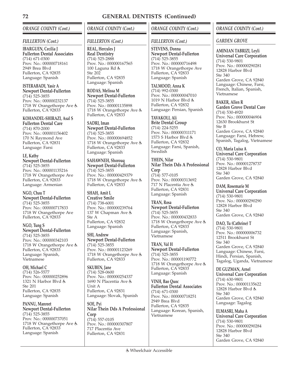# *ORANGE COUNTY (Cont.)*

## *FULLERTON (Cont.)*

**IBARGUEN, Cecilia J Fullerton Dental Associates** (714) 671-0300 Prov. No.: 000000718161 2949 Brea Blvd Fullerton, CA 92835 Language: Spanish

**ISTERABADI, Yasir A Newport Dental-Fullerton** (714) 525-3855 Prov. No.: 000000232137 1718 W Orangethorpe Ave & Fullerton, CA 92833

**KOHANDEL-SHIRAZI, Asal S Fullerton Dental Care** (714) 870-2000 Prov. No.: 000001156402 170 N Raymond Ave Fullerton, CA 92831 Language: Farsi

**LE, Kathy Newport Dental-Fullerton** (714) 525-3855 Prov. No.: 000001135216 1718 W Orangethorpe Ave Fullerton, CA 92833 Language: Armenian

**NGO, Chau T Newport Dental-Fullerton** (714) 525-3855 Prov. No.: 000000717833 1718 W Orangethorpe Ave Fullerton, CA 92833

#### **NGO, Tung S Newport Dental-Fullerton** (714) 525-3855 Prov. No.: 000000342103 1718 W Orangethorpe Ave & Fullerton, CA 92833 Language: Spanish, Vietnamese

**OH, Michael C** (714) 526-5577 Prov. No.: 000000252896 1321 N Harbor Blvd Ste 201 Fullerton, CA 92835 Language: Spanish

**PANNU, Manreet Newport Dental-Fullerton** (714) 525-3855 Prov. No.: 000000737051 1718 W Orangethorpe Ave Fullerton, CA 92833 Language: Spanish

# *ORANGE COUNTY (Cont.)*

# *FULLERTON (Cont.)*

**REAL, Hercules J Real Dentistry** (714) 525-2888 Prov. No.: 000000167565 100 Laguna Rd Ste 202 Fullerton, CA 92835 Language: Spanish

**RODAS, Melissa M Newport Dental-Fullerton** (714) 525-3855 Prov. No.: 000001135898 1718 W Orangethorpe Ave & Fullerton, CA 92833

**SADRI, Iman Newport Dental-Fullerton** (714) 525-3855 Prov. No.: 000000694852 1718 W Orangethorpe Ave Fullerton, CA 92833 Language: Spanish

**SAHAWNEH, Shorouq Newport Dental-Fullerton** (714) 525-3855 Prov. No.: 000000429379 1718 W Orangethorpe Ave & Fullerton, CA 92833

**SHAH, Amit L Creative Smile** (714) 738-6001 Prov. No.: 000000239764 137 W Chapman Ave Ste A Fullerton, CA 92832 Language: Spanish

**SHI, Andrew Newport Dental-Fullerton** (714) 525-3855 Prov. No.: 000001123269 1718 W Orangethorpe Ave Fullerton, CA 92833

**SKUBEN, Jane** (714) 528-0600 Prov. No.: 000000254337 1690 N Placentia Ave Unit A Fullerton, CA 92831 Language: Slovak, Spanish

**SOE, Pyi Nilar Thein Dds A Professional Corp** (714) 557-0105 Prov. No.: 000000307807 717 Placentia Ave Fullerton, CA 92831

# *ORANGE COUNTY (Cont.)*

## *FULLERTON (Cont.)*

**STEVENS, Donna Newport Dental-Fullerton** (714) 525-3855 Prov. No.: 000000716498 1718 W Orangethorpe Ave Fullerton, CA 92833 Language: Spanish

**TALMOOD, Anna K** (714) 992-0300 Prov. No.: 000000047010 1019 N Harbor Blvd & Fullerton, CA 92832 Language: Persian, Spanish

**TAVAKOLI, Ali Brite Dental Group** (714) 224-5255 Prov. No.: 000000311171 1573 S Harbor Blvd Fullerton, CA 92832 Language: Farsi, Spanish, **Swedish** 

**THEIN, Nilar Nilar Thein Dds A Professional Corp** (714) 577-0105 Prov. No.: 000000313692 717 N Placentia Ave Fullerton, CA 92831 Language: Spanish

**TRAN, Rosa Newport Dental-Fullerton** (714) 525-3855 Prov. No.: 000000432833 1718 W Orangethorpe Ave Fullerton, CA 92833 Language: Spanish, Vietnamese

**TRAN, Val H Newport Dental-Fullerton** (714) 525-3855 Prov. No.: 000001190772 1718 W Orangethorpe Ave Fullerton, CA 92833 Language: Spanish

**VINH, Bao Quoc Fullerton Dental Associates** (714) 671-0300 Prov. No.: 000000718251 2949 Brea Blvd Fullerton, CA 92835 Language: Korean, Spanish, Vietnamese

# *ORANGE COUNTY (Cont.)*

## *GARDEN GROVE*

**AMINIAN TABRIZI, Leyli Universal Care Corporation** (714) 530-9801 Prov. No.: 000000290281 12828 Harbor Blvd Ste 340 Garden Grove, CA 92840 Language: Chinese, Farsi, French, Italian, Spanish, Vietnamese

**BAKER, Allen R Garden Grove Dental Care** (714) 530-4920 Prov. No.: 000000046904 12630 Brookhurst St Ste B Garden Grove, CA 92840 Language: Farsi, Hebrew, Spanish, Tagalog, Vietnamese

**CO, Maria Luisa A Universal Care Corporation** (714) 530-9801 Prov. No.: 000001278737 12828 Harbor Blvd Ste 340 Garden Grove, CA 92840

**DAM, Rosemarie M Universal Care Corporation** (714) 530-9801 Prov. No.: 000000290290 12828 Harbor Blvd Ste 340 Garden Grove, CA 92840

**DAO, Tu (Cathrine) T** (714) 530-9801 Prov. No.: 000000006732 12511 Brookhurst St Ste 340 Garden Grove, CA 92840 Language: Chinese, Farsi, Hindi, Persian, Spanish, Tagalog, Uganda, Vietnamese

**DE GUZMAN, Arnel Universal Care Corporation** (714) 630-9801 Prov. No.: 000001135622 12828 Harbor Blvd Ste 340 Garden Grove, CA 92840 Language: Tagalog

**ELMASRI, Maha A Universal Care Corporation** (714) 530-9801 Prov. No.: 000000290284 12828 Harbor Blvd Ste 340 Garden Grove, CA 92840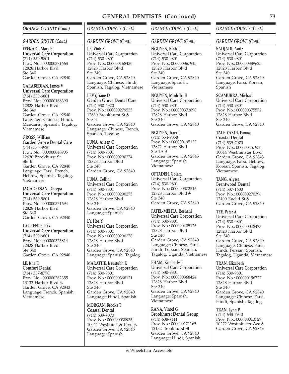## *ORANGE COUNTY (Cont.)*

#### *GARDEN GROVE (Cont.)*

#### **FEEKART, Mary E Universal Care Corporation** (714) 530-9801 Prov. No.: 000000371668 12828 Harbor Blvd  $S_{\text{to}}$  340 Garden Grove, CA 92840

**GARABEDIAN, James V Universal Care Corporation** (714) 530-9801 Prov. No.: 000000168390 12828 Harbor Blvd Ste 340 Garden Grove, CA 92840 Language: Chinese, Hindi, Mandarin, Spanish, Tagalog, Vietnamese

# **GROSS, William**

**Garden Grove Dental Care** (714) 530-4920 Prov. No.: 000000046905 12630 Brookhurst St Ste B Garden Grove, CA 92840 Language: Farsi, French, Hebrew, Spanish, Tagalog, Vietnamese

**JAGADEESAN, Dheepa Universal Care Corporation** (714) 530-9801 Prov. No.: 000000371694 12828 Harbor Blvd Ste 340 Garden Grove, CA 92840

**LAURENTE, Rex Universal Care Corporation** (714) 530-9801 Prov. No.: 000000375814 12828 Harbor Blvd  $Sta$  340 Garden Grove, CA 92840

**LE, Kha D Comfort Dental** (714) 537-8770 Prov. No.: 000000262355 13133 Harbor Blvd & Garden Grove, CA 92843 Language: French, Spanish, Vietnamese

## *ORANGE COUNTY (Cont.)*

#### *GARDEN GROVE (Cont.)*

**LE, Vinh B Universal Care Corporation** (714) 530-9801 Prov. No.: 000000168430 12828 Harbor Blvd  $Sta$  340 Garden Grove, CA 92840 Language: Chinese, Hindi, Spanish, Tagalog, Vietnamese

**LEVY, Yane D Garden Grove Dental Care** (714) 530-4920 Prov. No.: 000000279535 12630 Brookhurst St Ste B Garden Grove, CA 92840 Language: Chinese, French, Spanish, Tagalog

**LUNA, Aileen C Universal Care Corporation** (714) 530-9801 Prov. No.: 000000290274 12828 Harbor Blvd Ste 340 Garden Grove, CA 92840

**LUNA, Cellini Universal Care Corporation** (714) 530-9801 Prov. No.: 000000290275 12828 Harbor Blvd Ste 340 Garden Grove, CA 92840 Language: Spanish

**LY, Hoa Y Universal Care Corporation** (714) 630-9801 Prov. No.: 000000290278 12828 Harbor Blvd Ste 340 Garden Grove, CA 92840 Language: Spanish, Tagalog

**MARATHE, Kaustubh K Universal Care Corporation** (714) 530-9801 Prov. No.: 000000368121 12828 Harbor Blvd Ste 340 Garden Grove, CA 92840 Language: Hindi, Spanish

**MORGAN, Brooks T Coastal Dental** (714) 539-7070 Prov. No.: 000000038936 10044 Westminster Blvd Garden Grove, CA 92843 Language: Spanish

## *ORANGE COUNTY (Cont.)*

### *GARDEN GROVE (Cont.)*

**NGUYEN, Binh T Universal Care Corporation** (714) 530-9801 Prov. No.: 000000367945 12828 Harbor Blvd  $Sta 340$ Garden Grove, CA 92840 Language: Spanish, Vietnamese

**NGUYEN, Minh Tri H Universal Care Corporation** (714) 530-9801 Prov. No.: 000000372890 12828 Harbor Blvd Ste 340 Garden Grove, CA 92840

**NGUYEN, Tracy T** (714) 554-9358 Prov. No.: 000000195133 13872 Harbor Blvd Ste 1A 3 Garden Grove, CA 92843 Language: Spanish, Vietnamese

**OFTADEH, Golam Universal Care Corporation** (714) 530-9801 Prov. No.: 000000372516 12828 Harbor Blvd Ste 340 Garden Grove, CA 92840

**PATEL-MEHTA, Roshani Universal Care Corporation** (714) 530-9801 Prov. No.: 000000405126 12828 Harbor Blvd Ste 340 Garden Grove, CA 92840 Language: Chinese, Farsi, Hindi, Persian, Spanish, Tagalog, Uganda, Vietnamese

**PHAM, Kimberly T Universal Care Corporation** (714) 530-9801 Prov. No.: 000000368424 12828 Harbor Blvd Ste 340 Garden Grove, CA 92840 Language: Spanish, Vietnamese

**RANA, Vinod G Brookhurst Dental Group** (714) 638-7111 Prov. No.: 000000171165 12132 Brookhurst St Garden Grove, CA 92840 Language: Hindi, Spanish

## *ORANGE COUNTY (Cont.)*

#### *GARDEN GROVE (Cont.)*

**SADJADI, Amir Universal Care Corporation** (714) 530-9801 Prov. No.: 000000389625 12828 Harbor Blvd  $S_{\text{to}}$  340 Garden Grove, CA 92840 Language: Farsi, Korean, Spanish

**SCAMURRA, Michael Universal Care Corporation** (714) 530-9801 Prov. No.: 000000375572 12828 Harbor Blvd Ste 340 Garden Grove, CA 92840

**TALE-YAZDI, Foroud Coastal Dental** (714) 539-7070 Prov. No.: 000000457950 10044 Westminster Blvd Garden Grove, CA 92843 Language: Farsi, Hebrew, Korean, Spanish, Tagalog, Vietnamese

**TANG, Alyssa Brentwood Dental** (714) 537-1600 Prov. No.: 000000270396 12400 Euclid St & Garden Grove, CA 92840

**TEE, Peter A Universal Care Corporation** (714) 530-9801 Prov. No.: 000000048473 12828 Harbor Blvd Ste 340 Garden Grove, CA 92840 Language: Chinese, Farsi, Hindi, Persian, Spanish, Tagalog, Uganda, Vietnamese

**TRAN, Elizabeth Universal Care Corporation** (714) 530-9801 Prov. No.: 000000156727 12828 Harbor Blvd Ste 340 Garden Grove, CA 92840 Language: Chinese, Farsi, Hindi, Spanish, Tagalog

**TRAN, Lynn P** (714) 638-7940 Prov. No.: 000000013729 10272 Westminster Ave Garden Grove, CA 92843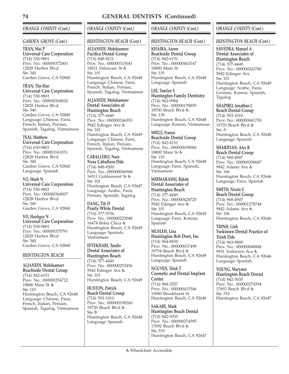# *ORANGE COUNTY (Cont.)*

## *GARDEN GROVE (Cont.)*

**TRAN, Mai P Universal Care Corporation** (714) 530-9801 Prov. No.: 000000372803 12828 Harbor Blvd  $Sta$  340 Garden Grove, CA 92840

**TRAN, The-Hao Universal Care Corporation** (714) 530-9801 Prov. No.: 000000368020 12828 Harbor Blvd Ste 340 Garden Grove, CA 92840 Language: Chinese, Farsi, French, Italian, Persian, Spanish, Tagalog, Vietnamese

## **TSAI, Matthew**

**Universal Care Corporation** (714) 630-9801 Prov. No.: 000001161031 12828 Harbor Blvd  $Sta$  340 Garden Grove, CA 92840 Language: Spanish

**VO, Hanh N Universal Care Corporation** (714) 530-9801 Prov. No.: 000000368097 12828 Harbor Blvd Ste 340 Garden Grove, CA 92840

**VO, Hanhgoc N Universal Care Corporation** (714) 530-9801 Prov. No.: 000000375791 12828 Harbor Blvd Ste 340 Garden Grove, CA 92840

## *HUNTINGTON BEACH*

**ALJANEDI, Mohdsameer Beachside Dental Group** (714) 842-6151 Prov. No.: 000000254722 18800 Main St & Ste 110 Huntington Beach, CA 92648 Language: Chinese, Farsi, French, Italian, Persian, Spanish, Tagalog, Vietnamese

## *ORANGE COUNTY (Cont.)*

## *HUNTINGTON BEACH (Cont.)*

**ALJANEDI, Mohdsameer Pacifica Dental Group** (714) 848-8211 Prov. No.: 000000315041 18821 Delaware St Ste 101 Huntington Beach, CA 92648 Language: Chinese, Farsi, French, Italian, Persian, Spanish, Tagalog, Vietnamese

**ALJANEDI, Mohdsameer Dental Associates of**

**Huntington Beach** (714) 377-4449 Prov. No.: 000000246353 5942 Edinger Ave Ste 101 Huntington Beach, CA 92649 Language: Chinese, Farsi, French, Italian, Persian, Spanish, Tagalog, Vietnamese

**CABALLERO, Nora**

**Nora Caballero Dds** (714) 848-9200 Prov. No.: 000000046968 16511 Goldenwest St Ste 101 Huntington Beach, CA 92647 Language: Arabic, Farsi, Persian, Spanish, Tagalog

**DANG, Titi D Pearly White Dental** (714) 377-3736 Prov. No.: 000000225048 16474 Bolsa Chica & Huntington Beach, CA 92649 Language: Spanish, Vietnamese

**EFTEKHARI, Tandis Dental Associates of Huntington Beach** (714) 377-4449 Prov. No.: 000000252456 5942 Edinger Ave Ste 101 Huntington Beach, CA 92649

**HUSTON, Patrick Beach Dental Group** (714) 593-1010 Prov. No.: 000000198260 19720 Beach Blvd Ste B Huntington Beach, CA 92648 Language: Spanish

# *ORANGE COUNTY (Cont.)*

## *HUNTINGTON BEACH (Cont.)*

**KHAIRA, Aaron Beachside Dental Group** (714) 842-6151 Prov. No.: 000000463147 18800 Main St Ste 110 Huntington Beach, CA 92648 Language: Spanish

**LEE, Tamlyn S Huntington Family Dentistry** (714) 962-9984 Prov. No.: 000000178859 18700 Beach Blvd & Ste 130 Huntington Beach, CA 92648 Language: Korean, Vietnamese

**MIELE, Franco Beachside Dental Group** (714) 842-6151 Prov. No.: 000000039006 18800 Main St Ste 110 Huntington Beach, CA 92648 Language: Farsi, Spanish, Vietnamese

**MIRMARASHI, Babak Dental Associates of Huntington Beach** (714) 377-4449 Prov. No.: 000000428720 5942 Edinger Ave Ste 101 Huntington Beach, CA 92649 Language: Farsi, Korean, Spanish

**MUSLEH, Lina Huntington Bch Dent, Inc** (714) 964-8830 Prov. No.: 000000017498 19754 Beach Blvd & Huntington Beach, CA 92648 Language: Spanish

**NGUYEN, Trinh T Cosmetic and Dental Implant Center** (714) 968-2527 Prov. No.: 000000415346 19080 Brookhurst St Huntington Beach, CA 92646

**SAKABE, Mark Huntington Beach Dental** (714) 842-5035 Prov. No.: 000000274595 17692 Beach Blvd & Ste 310 Huntington Beach, CA 92647

# *ORANGE COUNTY (Cont.)*

## *HUNTINGTON BEACH (Cont.)*

**SAVEDRA, Manuel A Dental Associates of Huntington Beach** (714) 377-4449 Prov. No.: 000000243780 5942 Edinger Ave Ste 101 Huntington Beach, CA 92649 Language: Arabic, Farsi, German, Korean, Spanish, Tagalog

**SHAPIRO, Jonathan L Beach Dental Group** (714) 593-1010 Prov. No.: 000000441730 19720 Beach Blvd Ste A Huntington Beach, CA 92648 Language: Spanish

**SHARIFIAN, Alex R Beach Dental Group** (714) 968-4907 Prov. No.: 000000308687 9842 Adams Ave Ste 106 Huntington Beach, CA 92646 Language: Farsi, Spanish

**SMITH, Nicole E Beach Dental Group** (714) 968-4907 Prov. No.: 000001278748 9842 Adams Ave Ste 106 Huntington Beach, CA 92646

**TRINH, Linh Yorktown Dental Practice of Trinh Dds** (714) 963-9809 Prov. No.: 000000048848 9931 Yorktown Ave Huntington Beach, CA 92646 Language: Spanish

**YOUNG, Maryann Huntington Beach Dental** (714) 842-5035 Prov. No.: 000000274594 17692 Beach Blvd & Ste 310 Huntington Beach, CA 92647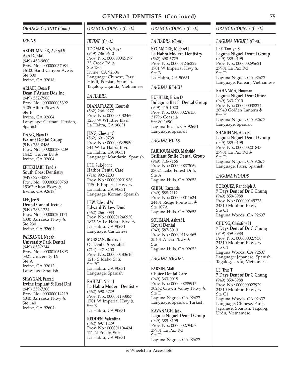## *ORANGE COUNTY (Cont.)*

#### *IRVINE*

**ABDEL MALEK, Ashraf S Ash Dental** (949) 453-9800 Prov. No.: 000000037084 16100 Sand Canyon Ave Ste 300 Irvine, CA 92618

**ARIAEE, Dean F Dean F Ariaee Dds Inc** (949) 552-7988 Prov. No.: 000000005392 5405 Alton Pkwy Ste F Irvine, CA 92604 Language: German, Persian, Spanish

**DANG, Nam D Walnut Dental Group** (949) 733-0486 Prov. No.: 000000280209 14427 Culver Dr Irvine, CA 92604

**EFTEKHARI, Tandis South Coast Dentistry** (949) 727-4377 Prov. No.: 000000280760 15362 Alton Pkwy & Irvine, CA 92618

**LEE, Jee S Dental Care of Irvine** (949) 786-1234 Prov. No.: 000000201171 4330 Barranca Pkwy Ste 230 Irvine, CA 92604

**PARSANGI, Negah University Park Dental** (949) 653-2244 Prov. No.: 000001061893 5321 University Dr Ste A Irvine, CA 92612 Language: Spanish

**SHAYGAN, Farzad Irvine Implant & Rest Dnt** (949) 559-7300 Prov. No.: 000000014219 4040 Barranca Pkwy Ste 140 Irvine, CA 92604

# *ORANGE COUNTY (Cont.)*

#### *IRVINE (Cont.)*

**TOOMARIAN, Roya** (949) 786-0640 Prov. No.: 000000045197 33 Creek Rd Ste 130 Irvine, CA 92604 Language: Chinese, Farsi, Hindi, Persian, Spanish, Tagalog, Uganda, Vietnamese

## *LA HABRA*

**DIANATYAZDI, Kourosh** (562) 266-9277 Prov. No.: 000000432460 1250 W Whittier Blvd La Habra, CA 90631

**JENG, Chester C** (562) 691-0738 Prov. No.: 000000345950 744 W La Habra Blvd La Habra, CA 90631 Language: Mandarin, Spanish

**LEE, Suk-Joong Harbor Dental Care** (714) 992-2200 Prov. No.: 000000201936 1150 E Imperial Hwy La Habra, CA 90631 Language: Korean, Spanish

**LEW, Edward W Edward W Lew Dmd** (562) 266-0033 Prov. No.: 000001246930 1875 W La Habra Blvd La Habra, CA 90631 Language: Cantonese

**MORGAN, Brooks T Oc Dental Specialist** (714) 447-8200 Prov. No.: 000000183616 1216 S Idaho St Ste 3C La Habra, CA 90631 Language: Spanish

**RAHIMI, Noor J La Habra Modern Dentistry** (562) 690-5729 Prov. No.: 000001138857 1701 W Imperial Hwy Ste B La Habra, CA 90631

**REDDEN, Valentina** (562) 697-1229 Prov. No.: 000001104434 111 N Euclid St La Habra, CA 90631

## *ORANGE COUNTY (Cont.)*

### *LA HABRA (Cont.)*

**SYCAMORE, Michael J La Habra Modern Dentistry** (562) 690-5729 Prov. No.: 000001246222 1701 W Imperial Hwy Ste B La Habra, CA 90631

### *LAGUNA BEACH*

**BUEHLER, Brian D Bulaguna Beach Dental Group** (949) 415-1020 Prov. No.: 000000276150 31796 Coast & Ste 80 1690 Laguna Beach, CA 92651 Language: Spanish

## *LAGUNA HILLS*

**FARHOUMAND, Mahshid Brilliant Smile Dental Group** (949) 716-7166 Prov. No.: 000000273069 23024 Lake Forest Dr Ste A Laguna Hills, CA 92653

**GHIBU, Ruxanda** (949) 588-2112 Prov. No.: 000000011624 24401 Ridge Route Dr Ste 107A Laguna Hills, CA 92653

**SOLIMAN, Ashraf L Royal Dental** (949) 587-3010 Prov. No.: 000001164465 25401 Alicia Pkwy Ste J Laguna Hills, CA 92653

## *LAGUNA NIGUEL*

**FARZIN, Matt Choice Dental Care** (949) 363-0018 Prov. No.: 000000285917 30262 Crown Valley Pkwy Ste E Laguna Niguel, CA 92677 Language: Spanish, Turkish

**KAVANAGH, Jack Laguna Niguel Dental Group** (949) 389-8195 Prov. No.: 000000279457 27901 La Paz Rd Ste D Laguna Niguel, CA 92677

# *ORANGE COUNTY (Cont.)*

## *LAGUNA NIGUEL (Cont.)*

**LEE, Tamlyn S Laguna Niguel Dental Group** (949) 389-9195 Prov. No.: 000000295621 27901 La Paz Rd Ste D Laguna Niguel, CA 92677 Language: Korean, Vietnamese

**RAHNAMA, Houman Laguna Niguel Dent Office** (949) 363-2010 Prov. No.: 000000038224 28940 Golden Lantern Ste H Laguna Niguel, CA 92677 Language: Spanish

**SHARIFIAN, Alex R Laguna Niguel Dental Group** (949) 389-9195 Prov. No.: 000000201843 27901 La Paz Rd Ste D Laguna Niguel, CA 92677 Language: Farsi, Spanish

# *LAGUNA WOODS*

**BORQUEZ, Randolph A 7 Days Dent of Dr C Chung** (949) 859-3988 Prov. No.: 000000169273 24310 Moulton Pkwy Ste C1 Laguna Woods, CA 92637

**CHUNG, Christine H 7 Days Dent of Dr C Chung** (949) 859-3988 Prov. No.: 000000027930 24310 Moulton Pkwy Ste C1 Laguna Woods, CA 92637 Language: Japanese, Spanish, Tagalog, Urdu, Vietnamese

**LE, Truc T 7 Days Dent of Dr C Chung** (949) 859-3988 Prov. No.: 000000027929 24310 Moulton Pkwy Ste C1 Laguna Woods, CA 92637 Language: Chinese, Farsi, Japanese, Spanish, Tagalog, Urdu, Vietnamese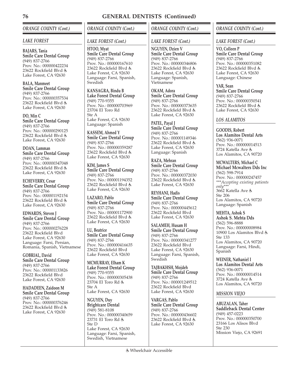# *ORANGE COUNTY (Cont.)*

## *LAKE FOREST*

**BAJARS, Tania Smile Care Dental Group** (949) 837-2766 Prov. No.: 000000422234 23622 Rockfield Blvd Lake Forest, CA 92630

**BALA, Manmeet Smile Care Dental Group** (949) 837-2766 Prov. No.: 000000357534 23622 Rockfield Blvd Lake Forest, CA 92630

**DO, Min C Smile Care Dental Group** (949) 837-2766 Prov. No.: 000000290125 23622 Rockfield Blvd Lake Forest, CA 92630

**DOAN, Lamman Smile Care Dental Group** (949) 837-2766 Prov. No.: 000000347048 23622 Rockfield Blvd Lake Forest, CA 92630

**ECHEVERRY, Cesar Smile Care Dental Group** (949) 837-2766 Prov. No.: 000001192154 23622 Rockfield Blvd Lake Forest, CA 92630

**EDWARDS, Steven J Smile Care Dental Group** (949) 837-2766 Prov. No.: 000000276228 23622 Rockfield Blvd Lake Forest, CA 92630 Language: Farsi, Persian, Romania, Spanish, Vietnamese

**GOBRIAL, David Smile Care Dental Group** (949) 837-2766 Prov. No.: 000001133826 23622 Rockfield Blvd Lake Forest, CA 92630

**HADADEEN, Zaidoon M Smile Care Dental Group** (949) 837-2766 Prov. No.: 000000376246 23622 Rockfield Blvd Lake Forest, CA 92630

*ORANGE COUNTY (Cont.)*

# *LAKE FOREST (Cont.)*

**HTOO, Myat Smile Care Dental Group** (949) 837-2766 Prov. No.: 000000167610 23622 Rockfield Blvd Lake Forest, CA 92630 Language: Farsi, Spanish, **Swedish** 

**KANSAGRA, Bindu B Lake Forest Dental Group** (949) 770-9355 Prov. No.: 000000703969 23704 El Toro Rd Ste A Lake Forest, CA 92630 Language: Spanish

**KASSEM, Ahmed Y Smile Care Dental Group** (949) 837-2766 Prov. No.: 000000359287 23622 Rockfield Blvd Lake Forest, CA 92630

**KIM, James S Smile Care Dental Group** (949) 837-2766 Prov. No.: 000001194352 23622 Rockfield Blvd Lake Forest, CA 92630

**LAZARO, Pablo Smile Care Dental Group** (949) 837-2766 Prov. No.: 000001172900 23622 Rockfield Blvd & Lake Forest, CA 92630

**LU, Beatrice Smile Care Dental Group** (949) 837-2766 Prov. No.: 000000416635 23622 Rockfield Blvd Lake Forest, CA 92630

**MCMURRAY, Elham K Lake Forest Dental Group** (949) 770-9355 Prov. No.: 000000305438 23704 El Toro Rd Ste A Lake Forest, CA 92630

**NGUYEN, Duy Brightcare Dental** (949) 581-8108 Prov. No.: 000000340659 23731 El Toro Rd Ste D Lake Forest, CA 92630 Language: Farsi, Spanish, Swedish, Vietnamese

# *ORANGE COUNTY (Cont.)*

## *LAKE FOREST (Cont.)*

**NGUYEN, Dzien V Smile Care Dental Group** (949) 837-2766 Prov. No.: 000000346806 23622 Rockfield Blvd Lake Forest, CA 92630 Language: Spanish, Vietnamese

**OKAM, Adora Smile Care Dental Group** (949) 837-2766 Prov. No.: 000000373635 23622 Rockfield Blvd Lake Forest, CA 92630

**PATEL, Payal J Smile Care Dental Group** (949) 837-2766 Prov. No.: 000001149346 23622 Rockfield Blvd Lake Forest, CA 92630 Language: Spanish

**RAZA, Mehran Smile Care Dental Group** (949) 837-2766 Prov. No.: 000000372030 23622 Rockfield Blvd Lake Forest, CA 92630

**REYHANI, Hadis Smile Care Dental Group** (949) 837-2766 Prov. No.: 000000445612 23622 Rockfield Blvd Lake Forest, CA 92630

**SALAMEH, Husam H Smile Care Dental Group** (949) 837-2766 Prov. No.: 000000341277 23622 Rockfield Blvd Lake Forest, CA 92630 Language: Farsi, Spanish, Swedish

**TAJBAKHSH, Mojdeh Smile Care Dental Group** (949) 837-2766 Prov. No.: 000001249512 23622 Rockfield Blvd Lake Forest, CA 92630

**VARGAS, Pablo Smile Care Dental Group** (949) 837-2766 Prov. No.: 000000436602 23622 Rockfield Blvd Lake Forest, CA 92630

# *ORANGE COUNTY (Cont.)*

### *LAKE FOREST (Cont.)*

**VO, Colleen P Smile Care Dental Group** (949) 837-2766 Prov. No.: 000000351082 23622 Rockfield Blvd Lake Forest, CA 92630 Language: Chinese

**YAR, Sean Smile Care Dental Group** (949) 837-2766 Prov. No.: 000000350541 23622 Rockfield Blvd Lake Forest, CA 92630

## *LOS ALAMITOS*

**GOODIS, Robert Los Alamitos Dental Arts** (562) 936-0071 Prov. No.: 000000014513 3724 Katella Ave Los Alamitos, CA 90720

**MCWALTERS, Michael C Michael Mcwalters Dds Inc** (562) 598-7914 Prov. No.: 000000247457 *\*\*\*Accepting existing patients only\*\*\** 3662 Katella Ave Ste 206 Los Alamitos, CA 90720 Language: Spanish

**MEHTA, Ashok S Ashok S. Mehta Dds** (562) 596-8888 Prov. No.: 000000008984 10900 Los Alamitos Blvd Ste 133 Los Alamitos, CA 90720 Language: Farsi, Hindi, Spanish

**WEINER, Nathaniel I Los Alamitos Dental Arts** (562) 936-0071 Prov. No.: 000000014514 3724 Katella Ave Los Alamitos, CA 90720

### *MISSION VIEJO*

**ABUZALAN, Taher Saddleback Dental Center** (949) 457-0223 Prov. No.: 000000350700 23166 Los Alisos Blvd Ste 230 Mission Viejo, CA 92691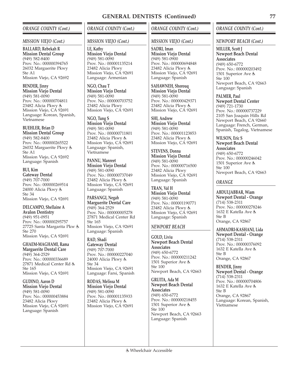## *ORANGE COUNTY (Cont.)*

### *MISSION VIEJO (Cont.)*

**BALLARD, Rebekah R Mission Dental Group** (949) 582-8400 Prov. No.: 000000394765 26032 Marguerite Pkwy Ste A1 Mission Viejo, CA 92692

**BENDER, Jinny Mission Viejo Dental** (949) 581-0090 Prov. No.: 000000704811 23482 Alicia Pkwy Mission Viejo, CA 92691 Language: Korean, Spanish, Vietnamese

**BUEHLER, Brian D Mission Dental Group** (949) 582-8400 Prov. No.: 000000265522 26032 Marguerite Pkwy Ste A1 Mission Viejo, CA 92692 Language: Spanish

**BUI, Kim Gateway Dental** (949) 707-7000 Prov. No.: 000000269514 24000 Alicia Pkwy Ste 34 Mission Viejo, CA 92691

**DELCAMPO, Shellaine A Avalon Dentistry** (949) 951-0951 Prov. No.: 000000295757 27725 Santa Margarita Pkw Ste 270 Mission Viejo, CA 92691

**GHAEM-MAGHAMI, Rama Marguerite Dental Care** (949) 364-2529 Prov. No.: 000000336689 27871 Medical Center Rd Ste 165 Mission Viejo, CA 92691

**GUDINO, Aaron D Mission Viejo Dental** (949) 581-0090 Prov. No.: 000000453884 23482 Alicia Pkwy Mission Viejo, CA 92691 Language: Spanish

## *ORANGE COUNTY (Cont.)*

## *MISSION VIEJO (Cont.)*

**LE, Kathy Mission Viejo Dental** (949) 581-0090 Prov. No.: 000001135214 23482 Alicia Pkwy Mission Viejo, CA 92691 Language: Armenian

**NGO, Chau T Mission Viejo Dental** (949) 581-0090 Prov. No.: 000000703752 23482 Alicia Pkwy Mission Viejo, CA 92691

**NGO, Tung S Mission Viejo Dental** (949) 581-0090 Prov. No.: 000000711801 23482 Alicia Pkwy Mission Viejo, CÁ 92691 Language: Spanish, Vietnamese

**PANNU, Manreet Mission Viejo Dental** (949) 581-0090 Prov. No.: 000000737049 23482 Alicia Pkwy Mission Viejo, CÁ 92691 Language: Spanish

**PARSANGI, Negah Marguerite Dental Care** (949) 364-2529 Prov. No.: 000000005278 27871 Medical Center Rd Ste 165 Mission Viejo, CA 92691 Language: Spanish

**RAD, Shadi Gateway Dental** (949) 707-7000 Prov. No.: 000000227040 24000 Alicia Pkwy Ste 34 Mission Viejo, CA 92691 Language: Farsi, Spanish

**RODAS, Melissa M Mission Viejo Dental** (949) 581-0090 Prov. No.: 000001135933 23482 Alicia Pkwy Mission Viejo, CA 92691

# *ORANGE COUNTY (Cont.)*

## *MISSION VIEJO (Cont.)*

**SADRI, Iman Mission Viejo Dental**  $(949)$  581-0900 Prov. No.: 000000694848 23482 Alicia Pkwy Mission Viejo, CA 92691 Language: Spanish

**SAHAWNEH, Shorouq Mission Viejo Dental** (949) 581-0090 Prov. No.: 000000429371 23482 Alicia Pkwy Mission Viejo, CA 92691

**SHI, Andrew Mission Viejo Dental**  $(949)$  581-0090 Prov. No.: 000001123853 23482 Alicia Pkwy Mission Viejo, CÁ 92691

**STEVENS, Donna Mission Viejo Dental** (949) 581-0090 Prov. No.: 000000716500 23482 Alicia Pkwy Mission Viejo, CA 92691 Language: Spanish

**TRAN, Val H Mission Viejo Dental** (949) 581-0090 Prov. No.: 000001190771 23482 Alicia Pkwy Mission Viejo, CÁ 92691 Language: Spanish

## *NEWPORT BEACH*

**GOLD, Liviu Newport Beach Dental Associates** (949) 650-6772 Prov. No.: 000000211242 1501 Superior Ave Ste 100 Newport Beach, CA 92663

**GRUITA, Ada M Newport Beach Dental Associates** (949) 650-6772 Prov. No.: 000000218455 1501 Superior Ave Ste 100 Newport Beach, CA 92663 Language: Spanish

## *ORANGE COUNTY (Cont.)*

*NEWPORT BEACH (Cont.)*

**MILLER, Scott J Newport Beach Dental Associates** (949) 650-6772 Prov. No.: 000000203492 1501 Superior Ave Ste 100 Newport Beach, CA 92663 Language: Spanish

**PALMER, Paul Newport Dental Center** (949) 721-1730 Prov. No.: 000000737229 2105 San Joaquin Hills Rd Newport Beach, CA 92660 Language: French, German, Spanish, Tagalog, Vietnamese

**WILSON, Eric S Newport Beach Dental Associates** (949) 650-6772 Prov. No.: 000000246042 1501 Superior Ave Ste 100 Newport Beach, CA 92663

## *ORANGE*

**ABDULJABBAR, Wiam Newport Dental - Orange** (714) 538-2311 Prov. No.: 000000278246 1632 E Katella Ave Ste B Orange, CA 92867

**AHMADRI-KASHANI, Lida Newport Dental - Orange** (714) 538-2311 Prov. No.: 000000376092 1632 E Katella Ave Ste B Orange, CA 92867

**BENDER, Jinny Newport Dental - Orange** (714) 538-2311 Prov. No.: 000000704806 1632 E Katella Ave Ste B Orange, CA 92867 Language: Korean, Spanish, Vietnamese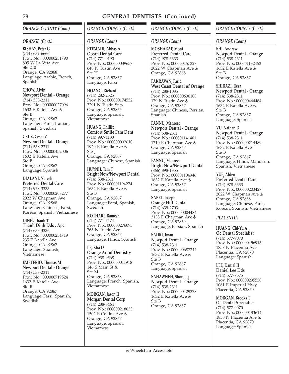# *ORANGE COUNTY (Cont.)*

## *ORANGE (Cont.)*

**BISHAY, Peter G** (714) 639-6666 Prov. No.: 000000231790 805 W La Veta Ave Ste 210 Orange, CA 92868 Language: Arabic, French, Spanish

**CHOW, Alvin Newport Dental - Orange** (714) 538-2311 Prov. No.: 000000027096 1632 E Katella Ave Ste B Orange, CA 92867 Language: Farsi, Iranian, Spanish, Swedish

**CRUZ, Cesar Z Newport Dental - Orange** (714) 538-2311 Prov. No.: 000000452006 1632 E Katella Ave Ste B Orange, CA 92867 Language: Spanish

**DIALANI, Naresh Preferred Dental Care** (714) 978-3333 Prov. No.: 000000208277 2022 W Chapman Ave Orange, CA 92868 Language: Chinese, Farsi, Korean, Spanish, Vietnamese

**DINH, Thanh T Thanh Dinh Dds , Apc** (714) 633-3336 Prov. No.: 000000234719 235 E Katella Ave Orange, CA 92867 Language: Spanish, Vietnamese

**EMETERIO, Thomas M Newport Dental - Orange** (714) 538-2311 Prov. No.: 000000719524 1632 E Katella Ave Ste B Orange, CA 92867 Language: Farsi, Spanish, **Swedish** 

# *ORANGE COUNTY (Cont.)*

## *ORANGE (Cont.)*

**ETEMADI, Abbas A Ocean Dental Care** (714) 771-0190 Prov. No.: 000000039657 648 N Tustin Ave Ste H Orange, CA 92867 Language: Farsi

**HOANG, Richard** (714) 282-2525 Prov. No.: 000000174552 2291 N Tustin St Orange, CA 92865 Language: Spanish, Vietnamese

**HUANG, Phillip Comfort Smile Fam Dent** (714) 997-4133 Prov. No.: 000000002610 1920 E Katella Ave Ste J Orange, CA 92867 Language: Chinese, Spanish

**HUYNH, Tam T Bright Now/Newport Dental** (714) 538-2311 Prov. No.: 000001194274 1632 E Katella Ave Ste B Orange, CA 92867 Language: Farsi, Spanish, **Swedish** 

**KOTHARI, Ramesh** (714) 771-7474 Prov. No.: 000000276093 765 N Tustin Ave Orange, CA 92867 Language: Hindi, Spanish

**LE, Kha D Orange Art of Dentistry** (714) 938-0568 Prov. No.: 000000011918 146 S Main St & Ste M Orange, CA 92868 Language: French, Spanish, Vietnamese

**MORGAN, Jason H Morgan Dental Corp** (714) 288-8464 Prov. No.: 000000218033 1502 E Collins Ave Orange, CA 92867 Language: Spanish, Vietnamese

# *ORANGE COUNTY (Cont.)*

## *ORANGE (Cont.)*

**MOSHARAF, Moni Preferred Dental Care** (714) 978-3333 Prov. No.: 000000157327 2022 W Chapman Ave & Orange, CA 92868

**PAKRAVAN, Farid West Coast Dental of Orange** (714) 288-1035 Prov. No.: 000000630108 179 N Tustin Ave & Orange, CA 92867 Language: Chinese, Persian, Spanish

**PANNU, Manreet Newport Dental - Orange** (714) 538-2311 Prov. No.: 000001141401 1710 E Chapman Ave Orange, CA 92867 Language: Spanish

**PANNU, Manreet Bright Now/Newport Dental** (866) 898-1355 Prov. No.: 000001104946 1632 E Katella Ave Orange, CA 92867 Language: Spanish

**SABET, Joseph Orange Hill Dental** (714) 639-2703 Prov. No.: 000000004484 3138 E Chapman Ave Orange, CA 92869 Language: Persian, Spanish

**SADRI, Iman Newport Dental - Orange** (714) 538-2311 Prov. No.: 000000687244 1632 E Katella Ave Ste B Orange, CA 92867 Language: Spanish

**SAHAWNEH, Shorouq Newport Dental - Orange** (714) 538-2311 Prov. No.: 000000429378 1632 E Katella Ave Ste B Orange, CA 92867

# *ORANGE COUNTY (Cont.)*

## *ORANGE (Cont.)*

**SHI, Andrew Newport Dental - Orange** (714) 538-2311 Prov. No.: 000001132453 1632 E Katella Ave Ste B Orange, CA 92867

**SHIRAZI, Reza Newport Dental - Orange** (714) 538-2311 Prov. No.: 000000464464 1632 E Katella Ave Ste B Orange, CA 92867 Language: Spanish

**VU, Nathan D Newport Dental - Orange** (714) 538-2311 Prov. No.: 000000214489 1632 E Katella Ave Ste B Orange, CA 92867 Language: Hindi, Mandarin, Spanish, Vietnamese

**YUE, Alden Preferred Dental Care** (714) 978-3333 Prov. No.: 000000203427 2022 W Chapman Ave Orange, CA 92868 Language: Chinese, Farsi, Korean, Spanish, Vietnamese

### *PLACENTIA*

**HUANG, Chi-Yu A Oc Dental Specialist** (714) 577-9070 Prov. No.: 000000456913 1858 N Placentia Ave Placentia, CA 92870 Language: Spanish

**LEE, Daniel H Daniel Lee Dds** (714) 577-7575 Prov. No.: 000000295530 1061 E Imperial Hwy Placentia, CA 92870

**MORGAN, Brooks T Oc Dental Specialist** (714) 577-9070 Prov. No.: 000000183614 1858 N Placentia Ave Placentia, CA 92870 Language: Spanish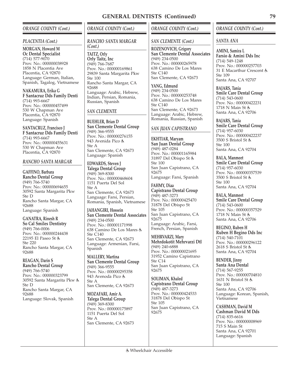## *ORANGE COUNTY (Cont.)*

#### *PLACENTIA (Cont.)*

**MORGAN, Howard M Oc Dental Specialist** (714) 577-9070 Prov. No.: 000000038928 1858 N Placentia Ave Placentia, CA 92870 Language: German, Italian, Spanish, Tagalog, Vietnamese

**NAKAMURA, Erika G F Santacruz Dds Family Denti** (714) 993-6667 Prov. No.: 000000457499 530 W Chapman Ave Placentia, CA 92870 Language: Spanish

**SANTACRUZ, Francisco J F Santacruz Dds Family Denti** (714) 993-6667 Prov. No.: 000000455631 530 W Chapman Ave Placentia, CA 92870

### *RANCHO SANTA MARGAR*

**GAFFINO, Barbara Rancho Dental Group** (949) 766-5740 Prov. No.: 000000694655 30592 Santa Margarita Pkw Ste D Rancho Santa Margar, CA 92688 Language: Spanish

**GANATRA, Rinesh R So Cal Smiles Dentistry** (949) 766-0006 Prov. No.: 000000244438 22195 El Paseo St Ste 220 Rancho Santa Margar, CA 92688

**REAGAN, Darin S Rancho Dental Group** (949) 766-5740 Prov. No.: 000000323799 30592 Santa Margarita Pkw Ste D Rancho Santa Margar, CA 92688 Language: Slovak, Spanish

## *ORANGE COUNTY (Cont.)*

## *RANCHO SANTA MARGAR*

*(Cont.)* **TAITZ, Orly Orly Taitz, Inc** (949) 766-7687 Prov. No.: 000000169861 29839 Santa Margarita Pkw Ste 100 Rancho Santa Margar, CA 92688 Language: Arabic, Hebrew, Indian, Persian, Romania, Russian, Spanish

## *SAN CLEMENTE*

**BUEHLER, Brian D San Clemente Dental Group** (949) 366-9555 Prov. No.: 000000276155 943 Avenida Pico Ste A San Clemente, CA 92673 Language: Spanish

**EDWARDS, Steven J Talega Dental Group** (949) 369-8300 Prov. No.: 000000468604 1151 Puerta Del Sol Ste A San Clemente, CA 92673 Language: Farsi, Persian, Romania, Spanish, Vietnamese

**JAHANGIRI, Hossein San Clemente Dental Associates** (949) 234-0500 Prov. No.: 000001171998 638 Camino De Los Mares Ste C140 San Clemente, CA 92673 Language: Armenian, Farsi, Spanish

**MALLERY, Martina San Clemente Dental Group** (949) 366-9555 Prov. No.: 000000295358 943 Avenoda Pico Ste A San Clemente, CA 92673

**MOZAFARI, Amir A. Talega Dental Group** (949) 369-8300 Prov. No.: 000000175897 1151 Puerta Del Sol Ste A San Clemente, CA 92673

## *ORANGE COUNTY (Cont.)*

#### *SAN CLEMENTE (Cont.)*

**ROZENOVICH, Grigory San Clemente Dental Associates** (949) 234-0500 Prov. No.: 000000265978 638 Camino De Los Mares Ste C140 San Clemente, CA 92673

**YANG, Edmund** (949) 234-0500 Prov. No.: 000000253748 638 Camino De Los Mares Ste C140 San Clemente, CA 92673 Language: Arabic, Hebrew, Romania, Russian, Spanish

## *SAN JUAN CAPISTRANO*

**EKHTIAR, Maryam San Juan Dental Group** (949) 487-0284 Prov. No.: 000001165984 31897 Del Obispo St Ste 100 San Juan Capistrano, CA 92675 Language: Farsi, Spanish

**FAHMY, Diaa Capistrano Dental Group** (949) 487-3273 Prov. No.: 000000425470 31878 Del Obispo St Ste 105 San Juan Capistrano, CA 92675 Language: Arabic, Farsi, French, Persian, Spanish

**MEHRVARZI, Mary Mehrdokotit Mehrvarzi Dtl** (949) 240-6888 Prov. No.: 000000021695 31952 Camino Capistrano Ste C14 San Juan Capistrano, CA 92675

**SOLIMAN, Khaled Capistrano Dental Group** (949) 487-3273 Prov. No.: 000000424533 31878 Del Obispo St Ste 105 San Juan Capistrano, CA 92675

## *ORANGE COUNTY (Cont.)*

*SANTA ANA*

**AMINI, Samira L Farsio & Amini Dds Inc** (714) 549-1248 Prov. No.: 000000257703 31 E Macarthur Crescent Ste 109 Santa Ana, CA 92707

**BAJARS, Tania Smile Care Dental Group** (714) 543-0600 Prov. No.: 000000422231 1718 N Main St & Santa Ana, CA 92706

## **BAJARS, Tania Smile Care Dental Group**

(714) 957-6030 Prov. No.: 000000422237 3500 S Bristol St Ste 100 Santa Ana, CA 92704

**BALA, Manmeet Smile Care Dental Group** (714) 957-6030 Prov. No.: 000000357539 3500 S Bristol St Ste 100 Santa Ana, CA 92704

**BALA, Manmeet Smile Care Dental Group** (714) 543-0600 Prov. No.: 000000357529 1718 N Main St Santa Ana, CA 92706

**BEGINO, Ruben H Ruben H Begino Dds Inc** (714) 540-7101 Prov. No.: 000000296122 2618 S Bristol St Santa Ana, CA 92704

**BENDER, Jinny Santa Ana Dental** (714) 567-9255 Prov. No.: 000000704810 1631 N Bristol St Ste 100 Santa Ana, CA 92706 Language: Korean, Spanish, Vietnamese

**CASHMAN, David M Cashman David M Dds** (714) 835-6616 Prov. No.: 000000008969 715 S Main St Santa Ana, CA 92701 Language: Spanish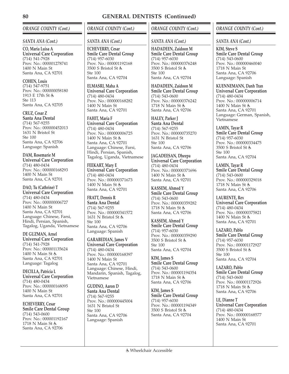# *ORANGE COUNTY (Cont.)*

## *SANTA ANA (Cont.)*

**CO, Maria Luisa A Universal Care Corporation** (714) 541-7928 Prov. No.: 000001278741 1400 N Main St Santa Ana, CA 92701

**COHEN, Louis** (714) 547-9751 Prov. No.: 000000058180 1913 E 17th St Ste 113 Santa Ana, CA 92705

**CRUZ, Cesar Z Santa Ana Dental** (714) 567-9255 Prov. No.: 000000452013 1631 N Bristol St Ste 100 Santa Ana, CA 92706 Language: Spanish

**DAM, Rosemarie M Universal Care Corporation** (714) 480-0434 Prov. No.: 000000168293 1400 N Main St Santa Ana, CA 92701

**DAO, Tu (Cathrine) T Universal Care Corporation** (714) 480-0434 Prov. No.: 000000006727 1400 N Main St Santa Ana, CA 92701 Language: Chinese, Farsi, Hindi, Persian, Spanish, Tagalog, Uganda, Vietnamese

**DE GUZMAN, Arnel Universal Care Corporation** (714) 541-7928 Prov. No.: 000001135624 1400 N Main St Santa Ana, CA 92701 Language: Tagalog

**DECILLA, Patricia L Universal Care Corporation** (714) 480-0434 Prov. No.: 000000168095 1400 N Main St Santa Ana, CA 92701

**ECHEVERRY, Cesar Smile Care Dental Group** (714) 543-0600 Prov. No.: 000001192167 1718 N Main St Santa Ana, CA 92706

# *ORANGE COUNTY (Cont.)*

## *SANTA ANA (Cont.)*

**ECHEVERRY, Cesar Smile Care Dental Group** (714) 957-6030 Prov. No.: 000001192168 3500 S Bristol St Ste 100 Santa Ana, CA 92704

**ELMASRI, Maha A Universal Care Corporation** (714) 480-0434 Prov. No.: 000000168282 1400 N Main St Santa Ana, CA 92701

**FAHIT, Maria F Universal Care Corporation** (714) 480-0434 Prov. No.: 000000006725 1400 N Main St Santa Ana, CA 92701 Language: Chinese, Farsi, Hindi, Persian, Spanish, Tagalog, Uganda, Vietnamese

**FEEKART, Mary E Universal Care Corporation** (714) 480-0434 Prov. No.: 000000371673 1400 N Main St Santa Ana, CA 92701

**FRATT, Dennis R Santa Ana Dental** (714) 567-9255 Prov. No.: 000000341572 1631 N Bristol St & Ste 100 Santa Ana, CA 92706 Language: Spanish

**GARABEDIAN, James V Universal Care Corporation** (714) 480-0434 Prov. No.: 000000168397 1400 N Main St Santa Ana, CA 92701 Language: Chinese, Hindi, Mandarin, Spanish, Tagalog, Vietnamese

**GUDINO, Aaron D Santa Ana Dental** (714) 567-9255 Prov. No.: 000000445004 1631 N Bristol St Ste 100 Santa Ana, CA 92706 Language: Spanish

# *ORANGE COUNTY (Cont.)*

## *SANTA ANA (Cont.)*

**HADADEEN, Zaidoon M Smile Care Dental Group** (714) 957-6030 Prov. No.: 000000376248 3500 S Bristol St Ste 100 Santa Ana, CA 92704

**HADADEEN, Zaidoon M Smile Care Dental Group** (714) 543-0600 Prov. No.: 000000376242 1718 N Main St Santa Ana, CA 92706

**HALEY, Parker J Santa Ana Dental** (714) 567-9255 Prov. No.: 000000735270 1631 N Bristol St Ste 100 Santa Ana, CA 92706

**JAGADEESAN, Dheepa Universal Care Corporation** (714) 480-0434 Prov. No.: 000000371696 1400 N Main St Santa Ana, CA 92701

**KASSEM, Ahmed Y Smile Care Dental Group** (714) 543-0600 Prov. No.: 000000359282 1718 N Main St Santa Ana, CA 92706

**KASSEM, Ahmed Y Smile Care Dental Group** (714) 957-6030 Prov. No.: 000000359290 3500 S Bristol St Ste 100 Santa Ana, CA 92704

**KIM, James S Smile Care Dental Group** (714) 543-0600 Prov. No.: 000001194354 1718 N Main St Santa Ana, CA 92706

**KIM, James S Smile Care Dental Group** (714) 957-6030 Prov. No.: 000001194349 3500 S Bristol St Santa Ana, CA 92704

## *ORANGE COUNTY (Cont.)*

#### *SANTA ANA (Cont.)*

**KIM, Steve S Smile Care Dental Group** (714) 543-0600 Prov. No.: 000000460040 1718 N Main St Santa Ana, CA 92706 Language: Spanish

**KUENNEMANN, Danh Tran Universal Care Corporation** (714) 480-0434 Prov. No.: 000000006714 1400 N Main St Santa Ana, CA 92701 Language: German, Spanish, Vietnamese

**LAMIN, Tayar R Smile Care Dental Group** (714) 957-6030 Prov. No.: 000000334475 3500 S Bristol St Ste 100 Santa Ana, CA 92704

**LAMIN, Tayar R Smile Care Dental Group** (714) 543-0600 Prov. No.: 000000329018 1718 N Main St Santa Ana, CA 92706

**LAURENTE, Rex Universal Care Corporation** (714) 480-0434 Prov. No.: 000000375821 1400 N Main St 点 Santa Ana, CA 92701

**LAZARO, Pablo Smile Care Dental Group** (714) 957-6030 Prov. No.: 000001172927 3500 S Bristol St Ste 100 Santa Ana, CA 92704

**LAZARO, Pablo Smile Care Dental Group** (714) 543-0600 Prov. No.: 000001172926 1718 N Main St 点 Santa Ana, CA 92706

**LE, Dianne T Universal Care Corporation** (714) 480-0434 Prov. No.: 000000168577 1400 N Main St Santa Ana, CA 92701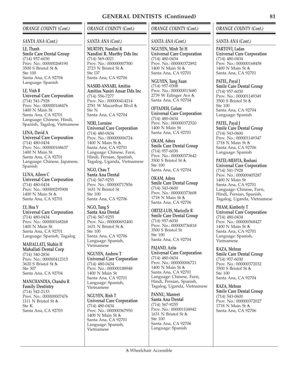## *ORANGE COUNTY (Cont.)*

#### *SANTA ANA (Cont.)*

**LE, Thanh Smile Care Dental Group** (714) 957-6030 Prov. No.: 000000268190 3500 S Bristol St  $Sta 100$ Santa Ana, CA 92704 Language: Spanish

**LE, Vinh B Universal Care Corporation** (714) 541-7928 Prov. No.: 000000168476 1400 N Main St Santa Ana, CA 92701 Language: Chinese, Hindi, Spanish, Tagalog, Vietnamese

**LENA, David A Universal Care Corporation** (714) 480-0434 Prov. No.: 000000168637 1400 N Main St Santa Ana, CA 92701 Language: Chinese, Japanese, Spanish

**LUNA, Aileen C Universal Care Corporation** (714) 480-0434 Prov. No.: 000000295908 1400 N Main St Santa Ana, CA 92701

**LY, Hoa Y Universal Care Corporation** (714) 480-0434 Prov. No.: 000000168268 1400 N Main St Santa Ana, CA 92701 Language: Spanish, Tagalog

**MAHALLATI, Shahin H Mahallati Dental Corp** (714) 540-2836 Prov. No.: 000000412315 3620 S Bristol St Ste 307 Santa Ana, CA 92704

**MANCHANDIA, Chandra R Family Dentistry** (714) 542-2133 Prov. No.: 000000007476 1111 N Bristol St & Ste K Santa Ana, CA 92703

# *ORANGE COUNTY (Cont.)*

### *SANTA ANA (Cont.)*

**MURTHY, Nandini R Nandini R. Murthy Dds Inc** (714) 569-0021 Prov. No.: 000000007500 2723 N Bristol St Ste D7 Santa Ana, CA 92706

**NASIRI-ANSARI, Amitiss Amitiss Nasiri Ansar Dds Inc** (714) 556-7277 Prov. No.: 000000414214 2781 W Macarthur Blvd Ste N Santa Ana, CA 92704

**NERI, Lorraine Universal Care Corporation** (714) 480-0434 Prov. No.: 000000006724 1400 N Main St Santa Ana, CA 92701 Language: Chinese, Farsi, Hindi, Persian, Spanish, Tagalog, Uganda, Vietnamese

**NGO, Chau T Santa Ana Dental** (714) 567-9255 Prov. No.: 000000717856 1631 N Bristol St Ste 100 Santa Ana, CA 92706

**NGO, Tung S Santa Ana Dental** (714) 567-9255 Prov. No.: 000000692400 1631 N Bristol St  $Sta 100$ Santa Ana, CA 92706 Language: Spanish, Vietnamese

**NGUYEN, Andrew T Universal Care Corporation** (714) 480-0434 Prov. No.: 000000188948 1400 N Main St Santa Ana, CA 92701 Language: Spanish, Vietnamese

**NGUYEN, Binh T Universal Care Corporation** (714) 480-0434 Prov. No.: 000000367950 1400 N Main St Santa Ana, CA 92701 Language: Spanish, Vietnamese

## *ORANGE COUNTY (Cont.)*

## *SANTA ANA (Cont.)*

**NGUYEN, Minh Tri H Universal Care Corporation** (714) 480-0434 Prov. No.: 000000372892 1400 N Main St Santa Ana, CA 92701

**NGUYEN, Tung Xuan** (714) 957-0308 Prov. No.: 000000013680 2739 W Edinger Ave Santa Ana, CA 92704

**OFTADEH, Golam Universal Care Corporation** (714) 480-0434 Prov. No.: 000000372520 1400 N Main St Santa Ana, CA 92701

**OKAM, Adora Smile Care Dental Group** (714) 957-6030 Prov. No.: 000000373642 3500 S Bristol St Ste 100 Santa Ana, CA 92704

**OKAM, Adora Smile Care Dental Group** (714) 543-0600 Prov. No.: 000000373608 1718 N Main St Santa Ana, CA 92706

**ORTIZ-LUIS, Maricelle R Smile Care Dental Group** (714) 957-6030 Prov. No.: 000000736818 3500 S Bristol St Ste 100 Santa Ana, CA 92704

**PAJAND, Azita Universal Care Corporation** (714) 480-0434 Prov. No.: 000000006721 1400 N Main St Santa Ana, CA 92701 Language: Chinese, Farsi, Hindi, Persian, Spanish, Tagalog, Uganda, Vietnamese

**PANNU, Manreet Santa Ana Dental** (714) 567-9255 Prov. No.: 000001104942 1631 N Bristol St Ste 100 Santa Ana, CA 92706 Language: Spanish

#### *ORANGE COUNTY (Cont.)*

*SANTA ANA (Cont.)*

**PARTOVI, Ladan Universal Care Corporation** (714) 480-0434 Prov. No.: 000000168458 1400 N Main St Santa Ana, CA 92701

**PATEL, Payal J Smile Care Dental Group** (714) 957-6030 Prov. No.: 000001149349 3500 S Bristol St Ste 100 Santa Ana, CA 92704 Language: Spanish

**PATEL, Payal J Smile Care Dental Group** (714) 543-0600 Prov. No.: 000001149347 1718 N Main St Santa Ana, CA 92706 Language: Spanish

**PATEL-MEHTA, Roshani Universal Care Corporation** (714) 541-7928 Prov. No.: 000000405287 1400 N Main St Santa Ana, CA 92701 Language: Chinese, Farsi, Hindi, Persian, Spanish, Tagalog, Uganda, Vietnamese

**PHAM, Kimberly T Universal Care Corporation** (714) 480-0434 Prov. No.: 000000368427 1400 N Main St Santa Ana, CA 92701 Language: Spanish, Vietnamese

**RAZA, Mehran Smile Care Dental Group** (714) 957-6030 Prov. No.: 000000372032 3500 S Bristol St Ste 100 Santa Ana, CA 92704

**RAZA, Mehran Smile Care Dental Group** (714) 543-0600 Prov. No.: 000000372027 1718 N Main St Santa Ana, CA 92706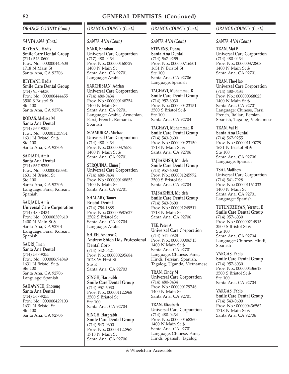# *ORANGE COUNTY (Cont.)*

## *SANTA ANA (Cont.)*

**REYHANI, Hadis Smile Care Dental Group** (714) 543-0600 Prov. No.: 000000445608 1718 N Main St Santa Ana, CA 92706

**REYHANI, Hadis Smile Care Dental Group** (714) 957-6030 Prov. No.: 000000444455 3500 S Bristol St Ste 100 Santa Ana, CA 92704

**RODAS, Melissa M Santa Ana Dental** (714) 567-9255 Prov. No.: 000001135931 1631 N Bristol St Ste 100 Santa Ana, CA 92706

**SADJADI, Amir Santa Ana Dental** (714) 567-9255 Prov. No.: 000000420381 1631 N Bristol St Ste 100 Santa Ana, CA 92706 Language: Farsi, Korean, Spanish

**SADJADI, Amir Universal Care Corporation** (714) 480-0434 Prov. No.: 000000389619 1400 N Main St & Santa Ana, CA 92701 Language: Farsi, Korean, Spanish

**SADRI, Iman Santa Ana Dental** (714) 567-9255 Prov. No.: 000000694849 1631 N Bristol St Ste 100 Santa Ana, CA 92706 Language: Spanish

**SAHAWNEH, Shorouq Santa Ana Dental** (714) 567-9255 Prov. No.: 000000429103 1631 N Bristol St Ste 100 Santa Ana, CA 92706

# *ORANGE COUNTY (Cont.)*

# *SANTA ANA (Cont.)*

**SAKR, Shaaban Universal Care Corporation** (717) 480-0434 Prov. No.: 000000168729 1400 N Main St Santa Ana, CA 92701 Language: Arabic

**SARCHISIAN, Adrian Universal Care Corporation** (714) 480-0434 Prov. No.: 000000168754 1400 N Main St Santa Ana, CA 92701 Language: Arabic, Armenian, Farsi, French, Romania, Spanish

**SCAMURRA, Michael Universal Care Corporation** (714) 480-0434 Prov. No.: 000000375575 1400 N Main St & Santa Ana, CA 92701

**SERQUINA, Elmer J Universal Care Corporation** (714) 480-0434 Prov. No.: 000000168853 1400 N Main St Santa Ana, CA 92701

**SHALABY, Tamer Bristol Dental** (714) 754-1888 Prov. No.: 000000687627 2502 S Bristol St Santa Ana, CA 92704 Language: Arabic

**SHIEH, Andrew C Andrew Shieh Dds Professional Dental Corp** (714) 542-5421 Prov. No.: 000000295684 1028 W First St Ste E Santa Ana, CA 92703

**SINGH, Harprabh Smile Care Dental Group** (714) 957-6030 Prov. No.: 000001122968 3500 S Bristol St Ste 100 Santa Ana, CA 92704

**SINGH, Harprabh Smile Care Dental Group** (714) 543-0600 Prov. No.: 000001122967 1718 N Main St Santa Ana, CA 92706

# *ORANGE COUNTY (Cont.)*

## *SANTA ANA (Cont.)*

**STEVENS, Donna Santa Ana Dental** (714) 567-9255 Prov. No.: 000000716501 1631 N Bristol St Ste 100 Santa Ana, CA 92706 Language: Spanish

**TAGHAVI, Mohammad R Smile Care Dental Group** (714) 957-6030 Prov. No.: 000000423151 3500 S Bristol St & Ste 100 Santa Ana, CA 92704

**TAGHAVI, Mohammad R Smile Care Dental Group** (714) 543-0600 Prov. No.: 000000423150 1718 N Main St Santa Ana, CA 92706

**TAJBAKHSH, Mojdeh Smile Care Dental Group** (714) 957-6030 Prov. No.: 000001245972 3500 S Bristol St Santa Ana, CA 92704

**TAJBAKHSH, Mojdeh Smile Care Dental Group** (714) 543-0600 Prov. No.: 000001249511 1718 N Main St Santa Ana, CA 92706

**TEE, Peter A Universal Care Corporation** (714) 541-7928 Prov. No.: 000000006713 1400 N Main St Santa Ana, CA 92701 Language: Chinese, Farsi, Hindi, Persian, Spanish, Tagalog, Uganda, Vietnamese

**TRAN, Cindy M Universal Care Corporation** (714) 480-0434 Prov. No.: 000000179746 1400 N Main St Santa Ana, CA 92701

**TRAN, Elizabeth Universal Care Corporation** (714) 480-0434 Prov. No.: 000000168260 1400 N Main St Santa Ana, CA 92701 Language: Chinese, Farsi, Hindi, Spanish, Tagalog

## *ORANGE COUNTY (Cont.)*

*SANTA ANA (Cont.)*

**TRAN, Mai P Universal Care Corporation** (714) 480-0434 Prov. No.: 000000372808 1400 N Main St Santa Ana, CA 92701

**TRAN, The-Hao Universal Care Corporation** (714) 480-0434 Prov. No.: 000000368023 1400 N Main St Santa Ana, CA 92701 Language: Chinese, Farsi, French, Italian, Persian, Spanish, Tagalog, Vietnamese

**TRAN, Val H Santa Ana Dental** (714) 567-9255 Prov. No.: 000001190779 1631 N Bristol St & Ste 100 Santa Ana, CA 92706 Language: Spanish

**TSAI, Matthew Universal Care Corporation** (714) 541-7928 Prov. No.: 000001161033 1400 N Main St Santa Ana, CA 92701 Language: Spanish

**TUTUNDZHYAN, Yeranui E Smile Care Dental Group** (714) 957-6030 Prov. No.: 000000214915 3500 S Bristol St Ste 100 Santa Ana, CA 92704 Language: Chinese, Hindi, Spanish

**VARGAS, Pablo Smile Care Dental Group** (714) 957-6030 Prov. No.: 000000436618 3500 S Bristol St Ste 100 Santa Ana, CA 92704

**VARGAS, Pablo Smile Care Dental Group** (714) 543-0600 Prov. No.: 000000436562 1718 N Main St Santa Ana, CA 92706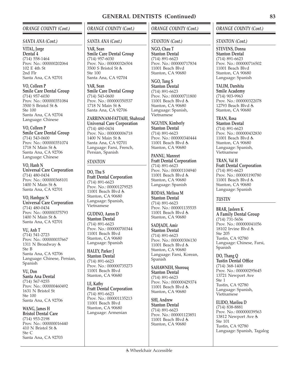## *ORANGE COUNTY (Cont.)*

#### *SANTA ANA (Cont.)*

**VITAL, Jorge Dental 4** (714) 558-1464 Prov. No.: 000000202064 102 E 4th St 2nd Flr Santa Ana, CA 92701

**VO, Colleen P Smile Care Dental Group** (714) 957-6030 Prov. No.: 000000351084 3500 S Bristol St Ste 100 Santa Ana, CA 92704 Language: Chinese

**VO, Colleen P Smile Care Dental Group** (714) 543-0600 Prov. No.: 000000351074 1718 N Main St & Santa Ana, CA 92706 Language: Chinese

**VO, Hanh N Universal Care Corporation** (714) 480-0434 Prov. No.: 000000368101 1400 N Main St Santa Ana, CA 92701

**VO, Hanhgoc N Universal Care Corporation** (714) 480-0434 Prov. No.: 000000375793 1400 N Main St 点 Santa Ana, CA 92701

**VU, Anh T** (714) 541-2723 Prov. No.: 000000037667 1311 N Broadway Ste B Santa Ana, CA 92706 Language: Chinese, Persian, Spanish

**VU, Don Santa Ana Dental** (714) 567-9255 Prov. No.: 000000460492 1631 N Bristol St Ste 100 Santa Ana, CA 92706

**WANG, James H Bristol Dental Care** (714) 953-2198 Prov. No.: 000000016440 410 N Bristol St Ste C Santa Ana, CA 92703

# *ORANGE COUNTY (Cont.)*

## *SANTA ANA (Cont.)*

**YAR, Sean Smile Care Dental Group** (714) 957-6030 Prov. No.: 000000326504 3500 S Bristol St Ste 100 Santa Ana, CA 92704

**YAR, Sean Smile Care Dental Group** (714) 543-0600 Prov. No.: 000000350537 1718 N Main St Santa Ana, CA 92706

**ZARRINNAM-FATTAHI, Shahrzad Universal Care Corporation** (714) 480-0434 Prov. No.: 000000006718 1400 N Main St Santa Ana, CA 92701 Language: Farsi, French, Persian, Spanish

# *STANTON*

**DO, Thu S Fratt Dental Corporation** (714) 891-6623 Prov. No.: 000001279525 11001 Beach Blvd Stanton, CA 90680 Language: Spanish, Vietnamese

**GUDINO, Aaron D Stanton Dental** (714) 891-6623 Prov. No.: 000000700344 11001 Beach Blvd Stanton, CA 90680 Language: Spanish

**HALEY, Parker J Stanton Dental** (714) 891-6623 Prov. No.: 000000735273 11001 Beach Blvd Stanton, CA 90680

**LE, Kathy Fratt Dental Corporation** (714) 891-6623 Prov. No.: 000001135213 11001 Beach Blvd Stanton, CA 90680 Language: Armenian

## *ORANGE COUNTY (Cont.)*

#### *STANTON (Cont.)*

**NGO, Chau T Stanton Dental** (714) 891-6623 Prov. No.: 000000717834 11001 Beach Blvd Stanton, CA 90680

**NGO, Tung S Stanton Dental** (714) 891-6623 Prov. No.: 000000711800 11001 Beach Blvd Stanton, CA 90680 Language: Spanish, Vietnamese

**NGUYEN, Kimberly Stanton Dental** (714) 891-6623 Prov. No.: 000000340444 11001 Beach Blvd Stanton, CA 90680

**PANNU, Manreet Fratt Dental Corporation** (714) 891-6623 Prov. No.: 000001104940 11001 Beach Blvd Stanton, CA 90680 Language: Spanish

**RODAS, Melissa M Stanton Dental** (714) 891-6623 Prov. No.: 000001135535 11001 Beach Blvd Stanton, CA 90680

**SADJADI, Amir Stanton Dental** (714) 891-6623 Prov. No.: 000000306130 11001 Beach Blvd Stanton, CA 90680 Language: Farsi, Korean, Spanish

**SAHAWNEH, Shorouq Stanton Dental** (714) 891-6623 Prov. No.: 000000429374 11001 Beach Blvd & Stanton, CA 90680

**SHI, Andrew Stanton Dental** (714) 891-6623 Prov. No.: 000001123851 11001 Beach Blvd Stanton, CA 90680

## *ORANGE COUNTY (Cont.)*

#### *STANTON (Cont.)*

**STEVENS, Donna Stanton Dental** (714) 891-6623 Prov. No.: 000000716502 11001 Beach Blvd Stanton, CA 90680 Language: Spanish

**TALIM, Darshita Smile Academy**

(714) 903-9963 Prov. No.: 000000322078 12793 Beach Blvd Stanton, CA 90680

## **TRAN, Rosa**

**Stanton Dental** (714) 891-6623 Prov. No.: 000000432830 11001 Beach Blvd Stanton, CA 90680 Language: Spanish, Vietnamese

**TRAN, Val H Fratt Dental Corporation** (714) 891-6623 Prov. No.: 000001190780 11001 Beach Blvd & Stanton, CA 90680 Language: Spanish

## *TUSTIN*

**BRAR, Jasleen K A Family Dental Group** (714) 731-5656 Prov. No.: 000000041056 18102 Irvine Blvd Ste 205 Tustin, CA 92780 Language: Chinese, Farsi, Spanish

**DO, Thang Q Tustin Dental Office** (714) 368-1400 Prov. No.: 000000295645 13721 Newport Ave Ste 1 Tustin, CA 92780 Language: Spanish, Vietnamese

**ELIDO, Marilou D** (714) 838-8881 Prov. No.: 000000039563 13812 Newport Ave Ste 101 Tustin, CA 92780 Language: Spanish, Tagalog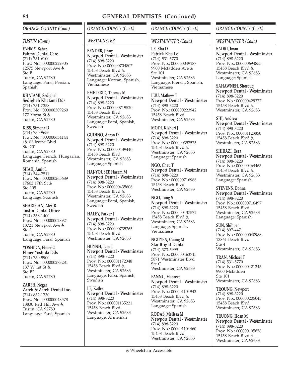# *ORANGE COUNTY (Cont.)*

## *TUSTIN (Cont.)*

**FAHMY, Baher Fahmy Dental Care**  $(714)$  731-6100 Prov. No.: 000000229305 12575 Newport Ave & Ste B Tustin, CA 92780 Language: Farsi, Persian, Spanish

**KHATAMI, Sedigheh Sedigheh Khatami Dds** (714) 731-7358 Prov. No.: 000000309260 177 Yorba St & Tustin, CA 92780

**KISS, Simona D** (714) 730-9656 Prov. No.: 000000634144 18102 Irvine Blvd Ste 201 Tustin, CA 92780 Language: French, Hungarian, Romania, Spanish

**SHAH, Amit L** (714) 544-7511 Prov. No.: 000000265689 17602 17th St Ste 105 Tustin, CA 92780 Language: Spanish

**SHARIFIAN, Alex R Tustin Dental Office** (714) 368-1400 Prov. No.: 000000028921 13721 Newport Ave Ste 1 Tustin, CA 92780 Language: Farsi, Spanish

**YOSHIDA, Elmer O Elmer Yoshida Dds** (714) 730-9900 Prov. No.: 000000273281 137 W 1st St Ste B2 Tustin, CA 92780

**ZAREH, Negar Zareh & Zareh Dental Inc.** (714) 832-1730 Prov. No.: 000000048578 13830 Red Hill Ave Tustin, CA 92780 Language: Farsi, Spanish

*ORANGE COUNTY (Cont.)*

## *WESTMINSTER*

**BENDER, Jinny Newport Dental - Westminster** (714) 898-3220 Prov. No.: 000000704807 15458 Beach Blvd Westminster, CA 92683 Language: Korean, Spanish, Vietnamese

**EMETERIO, Thomas M Newport Dental - Westminster** (714) 898-3220 Prov. No.: 000000719520 15458 Beach Blvd Westminster, CA 92683 Language: Farsi, Spanish, Swedish

**GUDINO, Aaron D Newport Dental - Westminster** (714) 898-3220 Prov. No.: 000000439440 15458 Beach Blvd Westminster, CA 92683 Language: Spanish

**HAJ-YOUSEF, Hazem M Newport Dental - Westminster** (714) 898-3220 Prov. No.: 000000435606 15458 Beach Blvd Westminster, CA 92683 Language: Farsi, Spanish, Swedish

**HALEY, Parker J Newport Dental - Westminster** (714) 898-3220 Prov. No.: 000000735265 15458 Beach Blvd Westminster, CA 92683

**HUYNH, Tam T Newport Dental - Westminster** (714) 898-3220 Prov. No.: 000001172348 15458 Beach Blvd Westminster, CA 92683 Language: Farsi, Spanish, Swedish

**LE, Kathy Newport Dental - Westminster** (714) 898-3220 Prov. No.: 000001135221 15458 Beach Blvd Westminster, CA 92683 Language: Armenian

# *ORANGE COUNTY (Cont.)*

## *WESTMINSTER (Cont.)*

**LE, Kha D Patrick Kha Le** (714) 531-5770 Prov. No.: 000000049187 9900 Mcfadden Ave Ste 101 Westminster, CA 92683 Language: French, Spanish, Vietnamese

**LUU, Mathew T Newport Dental - Westminster** (714) 898-3220 Prov. No.: 000000223942 15458 Beach Blvd Westminster, CA 92683

**MODI, Kishori J Newport Dental - Westminster** (714) 898-3220 Prov. No.: 000000397575 15458 Beach Blvd & Westminster, CA 92683 Language: Spanish

**NGO, Chau T Newport Dental - Westminster** (714) 898-3220 Prov. No.: 000000716968 15458 Beach Blvd Westminster, CA 92683

**NGO, Tung S Newport Dental - Westminster** (714) 898-3220 Prov. No.: 000000437572 15458 Beach Blvd & Westminster, CA 92683 Language: Spanish, Vietnamese

**NGUYEN, Cuong M Star Bright Dental** (714) 373-5999 Prov. No.: 000000463715 5871 Westminster Blvd Ste G Westminster, CA 92683

**PANNU, Manreet Newport Dental - Westminster** (714) 898-3220 Prov. No.: 000001104943 15458 Beach Blvd Westminster, CA 92683 Language: Spanish

**RODAS, Melissa M Newport Dental - Westminster** (714) 898-3220 Prov. No.: 000001104460 15458 Beach Blvd Westminster, CA 92683

#### *WESTMINSTER (Cont.)*

**SADRI, Iman Newport Dental - Westminster**  $(714)$  898-3220 Prov. No.: 000000694855 15458 Beach Blvd Westminster, CA 92683 Language: Spanish

**SAHAWNEH, Shorouq Newport Dental - Westminster** (714) 898-3220 Prov. No.: 000000429377 15458 Beach Blvd Westminster, CA 92683

**SHI, Andrew Newport Dental - Westminster**  $(714)$  898-3220 Prov. No.: 000001123850 15458 Beach Blvd Westminster, CA 92683

**SHIRAZI, Reza Newport Dental - Westminster** (714) 898-3220 Prov. No.: 000000464463 15458 Beach Blvd & Westminster, CA 92683 Language: Spanish

**STEVENS, Donna Newport Dental - Westminster** (714) 898-3220 Prov. No.: 000000716497 15458 Beach Blvd Westminster, CA 92683 Language: Spanish

**SUN, Shihpen** (714) 897-4471 Prov. No.: 000000040988 13861 Beach Blvd Ste 4 Westminster, CA 92683

**TRAN, Michael T** (714) 531-5770 Prov. No.: 000000421245 9900 Mcfadden Ste 101 Westminster, CA 92683

**TROUNG, Newport** (714) 898-3220 Prov. No.: 000000205045 15458 Beach Blvd Westminster, CA 92683

**TRUONG, Hoan M Newport Dental - Westminster** (714) 898-3220 Prov. No.: 000000195858 15458 Beach Blvd Westminster, CA 92683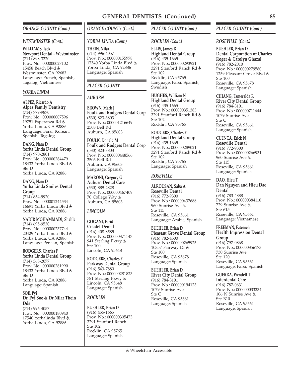## *ORANGE COUNTY (Cont.)*

#### *WESTMINSTER (Cont.)*

**WILLIAMS, Jack Newport Dental - Westminster**  $(714)$  898-3220 Prov. No.: 000000027102 15458 Beach Blvd & Westminster, CA 92683 Language: French, Spanish, Tagalog, Vietnamese

#### *YORBA LINDA*

**ALPEZ, Ricardo A Alpez Family Dentistry** (714) 779-9870 Prov. No.: 000000007596 19751 Esperanza Rd Yorba Linda, CA 92886 Language: Farsi, Korean, Spanish, Tagalog

**DANG, Nam D Yorba Linda Dental Group** (714) 970-2801 Prov. No.: 000000284479 18432 Yorba Linda Blvd Ste D Yorba Linda, CA 92886

**DANG, Nam D Yorba Linda Smiles Dental Group** (714) 854-9920 Prov. No.: 000001244534 16691 Yorba Linda Blvd Yorba Linda, CA 92886

**NADIR MOHAMMADI, Shahla** (714) 695-9530 Prov. No.: 000000237744 20429 Yorba Linda Blvd Yorba Linda, CA 92886 Language: Persian, Spanish

**RODGERS, Charles F Yorba Linda Dental Group** (714) 368-2077 Prov. No.: 000000281990 18432 Yorba Linda Blvd Ste D Yorba Linda, CA 92886 Language: Spanish

**SOE, Pyi Dr. Pyi Soe & Dr Nilar Thein Dds** (714) 996-4057

Prov. No.: 000000180940 17540 Yorbalinda Blvd & Yorba Linda, CA 92886

## *ORANGE COUNTY (Cont.)*

#### *YORBA LINDA (Cont.)*

**THEIN, Nilar** (714) 996-4057 Prov. No.: 000000155978 17540 Yorba Linda Blvd Yorba Linda, CA 92886 Language: Spanish

## *PLACER COUNTY*

## *AUBURN*

**BROWN, Mark J Foulk and Rodgers Dental Corp** (530) 823-3803 Prov. No.: 000001216649 2503 Bell Rd Auburn, CA 95603

**FOULK, Donald M Foulk and Rodgers Dental Corp** (530) 823-3803 Prov. No.: 000000448566 2503 Bell Rd Auburn, CA 95603 Language: Spanish

**MARONI, Gregory G Auburn Dental Care** (530) 889-2828 Prov. No.: 000000467409 70 College Way Auburn, CA 95603

# *LINCOLN*

**GOGANI, Farid Citadel Dental** (916) 408-8585 Prov. No.: 000000371147 941 Sterling Pkwy Ste 100 Lincoln, CA 95648

**RODGERS, Charles F Parkway Dental Group** (916) 543-7880 Prov. No.: 000000281823 781 Sterling Pkwy Lincoln, CA 95648 Language: Spanish

## *ROCKLIN*

**BUEHLER, Brian D** (916) 455-1665 Prov. No.: 000000305473 3291 Stanford Ranch Ste 102 Rocklin, CA 95765 Language: Spanish

# *PLACER COUNTY (Cont.)*

## *ROCKLIN (Cont.)*

**ELLIS, James R Highland Dental Group** (916) 435-1665 Prov. No.: 000000293921 3291 Stanford Ranch Rd Ste 102 Rocklin, CA 95765 Language: Farsi, Spanish, Swedish

**HUGHES, William N Highland Dental Group** (916) 435-1665 Prov. No.: 000000351383 3291 Stanford Ranch Rd Ste 102 Rocklin, CA 95765

**RODGERS, Charles F Highland Dental Group** (916) 435-1665 Prov. No.: 000000289021 3291 Stanford Ranch Rd Ste 102 Rocklin, CA 95765 Language: Spanish

## *ROSEVILLE*

**ALROUSAN, Saba A Roseville Dental** (916) 772-9300 Prov. No.: 000000437688 960 Sunrise Ave Ste 115 Roseville, CA 95661 Language: Arabic, Spanish

**BUEHLER, Brian D Pleasant Grove Dental Group** (916) 782-4500 Prov. No.: 000000265925 10357 Fairway Dr Ste 100 Roseville, CA 95678 Language: Spanish

**BUEHLER, Brian D River City Dental Group** (916) 784-3101 Prov. No.: 000000194123 1079 Sunrise Ave Ste C Roseville, CA 95661 Language: Spanish

## *PLACER COUNTY (Cont.)*

#### *ROSEVILLE (Cont.)*

**BUEHLER, Brian D Dental Corporation of Charles Roger & Carolyn Ghazal** (916) 782-2010 Prov. No.: 000000279580 1259 Pleasant Grove Blvd & Ste 100 Roseville, CA 95678 Language: Spanish

**CHIANG, Esmeralda R River City Dental Group** (916) 784-3101 Prov. No.: 000000711644 1079 Sunrise Ave Ste C Roseville, CA 95661 Language: Spanish

**CUENCA, Erick N Roseville Dental** (916) 772-9300 Prov. No.: 000000266931 960 Sunrise Ave Ste 115 Roseville, CA 95661 Language: Spanish

**DAO, Hieu T Dan Nguyen and Hieu Dao Dental** (916) 783-4888 Prov. No.: 000000384110 729 Sunrise Ave Ste 615 Roseville, CA 95661 Language: Vietnamese

**FREEMAN, Fatemeh Health Impression Dental Group** (916) 797-0868 Prov. No.: 000000356173 730 Sunrise Ave Ste 120 Roseville, CA 95661 Language: Farsi, Spanish

**GUERRA, Wendell T Interdental Care** (916) 787-0631 Prov. No.: 000000033234 106 N Sunrise Ave Ste B10 Roseville, CA 95661 Language: Spanish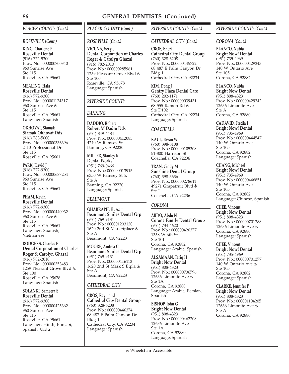# *PLACER COUNTY (Cont.)*

## *ROSEVILLE (Cont.)*

**KING, Charlene P Roseville Dental** (916) 772-9300 Prov. No.: 000000700340 960 Sunrise Ave Ste 115 Roseville, CA 95661

**MEALING, Hala Roseville Dental**

(916) 772-9300 Prov. No.: 000001124317 960 Sunrise Ave Ste 115 Roseville, CA 95661 Language: Spanish

**OKHOVAT, Siamak Siamak Okhovat Dds** (916) 783-5600 Prov. No.: 000000336396 2110 Professional Dr Ste 115 Roseville, CA 95661

**PARK, David J** (916) 772-9300 Prov. No.: 000000687254 960 Sunrise Ave Ste 115 Roseville, CA 95661

**PHAM, Kevin Roseville Dental** (916) 772-9300 Prov. No.: 000000440932 960 Sunrise Ave Ste 115 Roseville, CA 95661 Language: Spanish, Vietnamese

**RODGERS, Charles F Dental Corporation of Charles Roger & Carolyn Ghazal** (916) 782-2010 Prov. No.: 000000353483 1259 Pleasant Grove Blvd & Ste 100 Roseville, CA 95678 Language: Spanish

**SOLANKI, Sameera S Roseville Dental** (916) 772-9300 Prov. No.: 000000425362 960 Sunrise Ave Ste 115 Roseville, CA 95661 Language: Hindi, Punjabi, Spanish, Urdu

*PLACER COUNTY (Cont.)*

## *ROSEVILLE (Cont.)*

**VICUNA, Sergio Dental Corporation of Charles Roger & Carolyn Ghazal** (916) 782-2010 Prov. No.: 000000285961 1259 Pleasant Grove Blvd & Ste 100 Roseville, CA 95678 Language: Spanish

# *RIVERSIDE COUNTY*

## *BANNING*

**DADDIO, Robert Robert M Dadio Dds** (951) 849-4484 Prov. No.: 000000412083 4240 W Ramsey St Banning, CA 92220

**MILLER, Stanley K Dental Works** (951) 769-0466 Prov. No.: 000000013915 6350 W Ramsey St Ste A Banning, CA 92220 Language: Spanish

# *BEAUMONT*

**GHARRAPH, Hussam Beaumont Smiles Dental Grp** (951) 769-9131 Prov. No.: 000001203120 1620 2nd St Marketplace Ste A Beaumont, CA 92223

**MOORE, Andrea C Beaumont Smiles Dental Grp** (951) 769-9131 Prov. No.: 000000416113 1620 2nd St Mark S Etpla Ste A Beaumont, CA 92223

# *CATHEDRAL CITY*

**CROS, Raymond Cathedral City Dental Group** (760) 328-6208 Prov. No.: 000000446374 68 487 E Palm Canyon Dr Bldg 1 Cathedral City, CA 92234 Language: Spanish

# *RIVERSIDE COUNTY (Cont.)*

## *CATHEDRAL CITY (Cont.)*

**CROS, Sheri Cathedral City Dental Group** (760) 328-6208 Prov. No.: 000000445722 68 487 E Palm Canyon Dr Bldg 1 Cathedral City, CA 92234

**KIM, Dong J Gentry Plaza Dental Care** (760) 202-1171 Prov. No.: 000000039431 68 555 Ramon Rd Ste D102 Cathedral City, CA 92234 Language: Spanish

# *COACHELLA*

**KAUL, Bryan W** (760) 398-8108 Prov. No.: 000000105308 51-800 Harrison St Coachella, CA 92236

**TRAN, Cindy M Sunshine Dental Group** (760) 398-3636 Prov. No.: 000000278611 49271 Grapefruit Blvd Ste I Coachella, CA 92236

# *CORONA*

**ABDO, Abdo N Corona Family Dental Group** (951) 734-4620 Prov. No.: 000000420377 1358 W 6th St Ste 101 Corona, CA 92882 Language: Arabic, Spanish

**ALSAMAAN, Tariq H Bright Now Dental** (951) 808-4323 Prov. No.: 000000736796 12636 Limonite Ave & Ste 1A Corona, CA 92880 Language: Arabic, Persian, Spanish

**BISHOP, John G Bright Now Dental** (951) 808-4323 Prov. No.: 000000462208 12636 Limonite Ave Ste 1A Corona, CA 92880 Language: Spanish

## *RIVERSIDE COUNTY (Cont.)*

## *CORONA (Cont.)*

**BLANCO, Nubia Bright Now! Dental** (951) 735-4969 Prov. No.: 000000429343 140 W Ontario Ave Ste 105 Corona, CA 92882

**BLANCO, Nubia Bright Now Dental** (951) 808-4323 Prov. No.: 000000429342 12636 Limonite Ave Ste A Corona, CA 92880

**CADAVID, Fredia I Bright Now! Dental** (951) 735-4969 Prov. No.: 000000444547 140 W Ontario Ave Ste 105 Corona, CA 92882 Language: Spanish

**CHANG, Michael Bright Now! Dental** (951) 735-4969 Prov. No.: 000000446851 140 W Ontario Ave Ste 105 Corona, CA 92882 Language: Chinese, Spanish

**CHEE, Vincent Bright Now Dental** (951) 808-4323 Prov. No.: 000000701288 12636 Limonite Ave Corona, CA 92880 Language: Spanish

**CHEE, Vincent Bright Now! Dental** (951) 735-4969 Prov. No.: 000000701277 140 W Ontario Ave Ste 105 Corona, CA 92882 Language: Spanish

**CLARKE, Jennifer P Bright Now Dental** (951) 808-4323 Prov. No.: 000001104205 12636 Limonite Ave Ste A Corona, CA 92880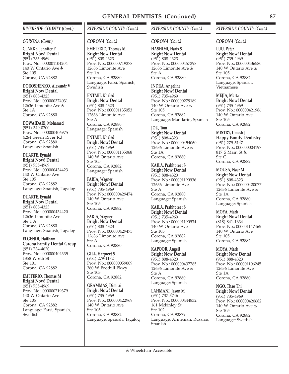## *RIVERSIDE COUNTY (Cont.)*

#### *CORONA (Cont.)*

**CLARKE, Jennifer P Bright Now! Dental** (951) 735-4969 Prov. No.: 000001104204 140 W Ontario Ave Ste 105 Corona, CA 92882

**DOROSHENKO, Alexandr V Bright Now Dental** (951) 808-4323 Prov. No.: 000000374031 12636 Limonite Ave Ste 1A Corona, CA 92880

**DOWAIDARI, Mohamed** (951) 340-0200 Prov. No.: 000000406975 4264 Green River Rd Corona, CA 92880 Language: Spanish

**DUARTE, Eynald Bright Now! Dental** (951) 735-4969 Prov. No.: 000000434423 140 W Ontario Ave Ste 105 Corona, CA 92882 Language: Spanish, Tagalog

**DUARTE, Eynald Bright Now Dental** (951) 808-4323 Prov. No.: 000000434420 12636 Limonite Ave Ste 1 A Corona, CA 92880 Language: Spanish, Tagalog

**ELGENDI, Haitham Corona Family Dental Group** (951) 734-4620 Prov. No.: 000000404335 1358 W 6th St Ste 101 Corona, CA 92882

**EMETERIO, Thomas M Bright Now! Dental** (951) 735-4969 Prov. No.: 000000719379 140 W Ontario Ave Ste 105 Corona, CA 92882 Language: Farsi, Spanish, Swedish

# *RIVERSIDE COUNTY (Cont.)*

## *CORONA (Cont.)*

**EMETERIO, Thomas M Bright Now Dental** (951) 808-4323 Prov. No.: 000000719378 12636 Limonite Ave  $Sta 1A$ Corona, CA 92880 Language: Farsi, Spanish, Swedish

**ENTABI, Khaled Bright Now Dental** (951) 808-4323 Prov. No.: 000001135053 12636 Limonite Ave Ste A Corona, CA 92880 Language: Spanish

**ENTABI, Khaled Bright Now! Dental** (951) 735-4969 Prov. No.: 000001135068 140 W Ontario Ave Ste 105 Corona, CA 92882 Language: Spanish

**FARIA, Wagner Bright Now! Dental** (951) 735-4969 Prov. No.: 000000429474 140 W Ontario Ave Ste 105 Corona, CA 92882

**FARIA, Wagner Bright Now Dental** (951) 808-4323 Prov. No.: 000000429473 12636 Limonite Ave Ste A Corona, CA 92880

**GILL, Harpreet S** (951) 279-1172 Prov. No.: 000000059009 360 W Foothill Pkwy Ste 103 Corona, CA 92882

**GRAMMAS, Dimitri Bright Now! Dental** (951) 735-4969 Prov. No.: 000000422969 140 W Ontario Ave Ste 105 Corona, CA 92882 Language: Spanish, Tagalog

## *RIVERSIDE COUNTY (Cont.)*

## *CORONA (Cont.)*

**HASHIMI, Haris S Bright Now Dental** (951) 808-4323 Prov. No.: 000000457398 12636 Limonite Ave  $St_{\theta}$   $\Delta$ Corona, CA 92880

**INDRA, Angeline Bright Now! Dental** (951) 735-4969 Prov. No.: 000000279189 140 W Ontario Ave Ste 105 Corona, CA 92882 Language: Mandarin, Spanish

**JOU, Tom Bright Now Dental** (951) 808-4323 Prov. No.: 000000454060 12636 Limonite Ave Ste 1A Corona, CA 92880

**KAILA, Prabhpreet S Bright Now Dental** (951) 808-4323 Prov. No.: 000001190936 12636 Limonite Ave Ste A Corona, CA 92880 Language: Spanish

**KAILA, Prabhpreet S Bright Now! Dental** (951) 735-4969 Prov. No.: 000001190934 140 W Ontario Ave Ste 105 Corona, CA 92882 Language: Spanish

**KAPOOR, Angeli Bright Now Dental** (951) 808-4323 Prov. No.: 000000437785 12636 Limonite Ave Ste A Corona, CA 92880 Language: Spanish

**LAHMANI, Jason M** (951) 737-3746 Prov. No.: 000000444832 161 Mckinley St Ste 102 Corona, CA 92879 Language: Armenian, Russian, Spanish

## *RIVERSIDE COUNTY (Cont.)*

#### *CORONA (Cont.)*

**LUU, Peter Bright Now! Dental** (951) 735-4969 Prov. No.: 000000436580 140 W Ontario Ave Ste 105 Corona, CA 92882 Language: Spanish, Vietnamese

**MEJIA, Marta Bright Now! Dental** (951) 735-4969 Prov. No.: 000000421986 140 W Ontario Ave Ste 105 Corona, CA 92882

**MISTRY, Umesh J Happy Family Dentistry** (951) 279-5147 Prov. No.: 000000004197 817 S Main St Ste C Corona, CA 92882

**MOUSA, Nasr M Bright Now Dental** (951) 808-4323 Prov. No.: 000000420077 12636 Limonite Ave  $Ste 1A$ Corona, CA 92880 Language: Spanish

**MOYA, Mark Bright Now! Dental** (818) 841-1634 Prov. No.: 000001147465 140 W Ontario Ave Ste 105 Corona, CA 92882

**MOYA, Mark Bright Now Dental** (951) 888-4323 Prov. No.: 000001106245 12636 Limonite Ave Ste 1A Corona, CA 92880

**NGO, Thao Thi Bright Now! Dental** (951) 735-4969 Prov. No.: 000000420682 140 W Ontario Ave & Ste 105 Corona, CA 92882 Language: Swedish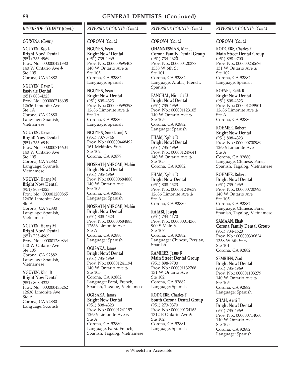# *RIVERSIDE COUNTY (Cont.)*

### *CORONA (Cont.)*

**NGUYEN, Bao L Bright Now! Dental** (951) 735-4969 Prov. No.: 000000421380 140 W Ontario Ave Ste 105 Corona, CA 92882

**NGUYEN, Dawn L Eastvale Dental** (951) 808-4323 Prov. No.: 000000716605 12636 Limonite Ave Ste 1A Corona, CA 92880 Language: Spanish, Vietnamese

**NGUYEN, Dawn L Bright! Now Dental** (951) 735-6949 Prov. No.: 000000716604 140 W Ontario Ave Ste 105 Corona, CA 92882 Language: Spanish, Vietnamese

**NGUYEN, Hoang M Bright Now Dental** (951) 808-4323 Prov. No.: 000001280865 12636 Limonite Ave Ste A Corona, CA 92880 Language: Spanish, Vietnamese

**NGUYEN, Hoang M Bright Now! Dental**

(951) 735-4969 Prov. No.: 000001280864 140 W Ontario Ave Ste 105 Corona, CA 92882 Language: Spanish, Vietnamese

**NGUYEN, Khoi B**

**Bright Now Dental** (951) 808-4323 Prov. No.: 000000435262 12636 Limonite Ave Ste A Corona, CA 92880 Language: Spanish

# *RIVERSIDE COUNTY (Cont.)*

## *CORONA (Cont.)*

**NGUYEN, Sean T Bright Now! Dental** (951) 735-4969 Prov. No.: 000000695408 140 W Ontario Ave Ste 105 Corona, CA 92882 Language: Spanish

**NGUYEN, Sean T Bright Now Dental** (951) 808-4323 Prov. No.: 000000695398 12636 Limonite Ave Ste 1A Corona, CA 92880 Language: Spanish

**NGUYEN, Son (Jason) N** (951) 737-3746 Prov. No.: 000000448492 161 Mckinley St Ste 102 Corona, CA 92879

**NOSRATI-JAHROMI, Mahin Bright Now! Dental** (951) 735-4969 Prov. No.: 000000684880 140 W Ontario Ave Ste 105 Corona, CA 92882 Language: Spanish

**NOSRATI-JAHROMI, Mahin Bright Now Dental** (951) 808-4323 Prov. No.: 000000684883 12636 Limonite Ave Ste A Corona, CA 92880 Language: Spanish

**OGISAKA, James Bright Now! Dental** (951) 735-4969 Prov. No.: 000001241194 140 W Ontario Ave Ste 105 Corona, CA 92882 Language: Farsi, French, Spanish, Tagalog, Vietnamese

**OGISAKA, James Bright Now Dental** (951) 808-4323 Prov. No.: 000001241197 12636 Limonite Ave Ste A Corona, CA 92880 Language: Farsi, French, Spanish, Tagalog, Vietnamese

## *RIVERSIDE COUNTY (Cont.)*

## *CORONA (Cont.)*

**OHANNESSIAN, Manuel Corona Family Dental Group** (951) 734-4620 Prov. No.: 000000420378 1358 W 6th St Ste 101 Corona, CA 92882 Language: Arabic, French, Spanish

**PANCHAL, Nirmala U Bright Now! Dental** (951) 735-4969 Prov. No.: 000001123105 140 W Ontario Ave Ste 105 Corona, CA 92882 Language: Spanish

**PHAM, Nghia D Bright Now! Dental** (951) 735-4969 Prov. No.: 000001249641 140 W Ontario Ave Ste 105 Corona, CA 92882

**PHAM, Nghia D Bright Now Dental** (951) 808-4323 Prov. No.: 000001249639 12636 Limonite Ave Ste A Corona, CA 92880

**RAJABI, Joseph** (951) 734-4170 Prov. No.: 000000014366 900 S Main & Ste 107 Corona, CA 92882 Language: Chinese, Persian, Spanish

**RAMIREZ, Jesus B Main Street Dental Group** (951) 898-9700 Prov. No.: 000001132768 131 W Ontario Ave Ste 102 Corona, CA 92882 Language: Spanish

**RODGERS, Charles F South Corona Dental Group** (951) 273-0370 Prov. No.: 000000134163 1312 E Ontario Ave Ste 102 Corona, CA 92881 Language: Spanish

## *RIVERSIDE COUNTY (Cont.)*

## *CORONA (Cont.)*

**RODGERS, Charles F Main Street Dental Group** (951) 898-9700 Prov. No.: 000000250676 131 W Ontario Ave  $Sta$  102 Corona, CA 92882 Language: Spanish

**ROFAEL, Rafik R Bright Now Dental** (951) 808-4323 Prov. No.: 000001249901 12636 Limonite Ave Ste A Corona, CA 92880

**ROHMER, Robert Bright Now Dental** (951) 808-4323 Prov. No.: 000000700989 12636 Limonite Ave Ste A Corona, CA 92880 Language: Chinese, Farsi, Spanish, Tagalog, Vietnamese

**ROHMER, Robert Bright Now! Dental** (951) 735-4969 Prov. No.: 000000700993 140 W Ontario Ave Ste 105 Corona, CA 92882 Language: Chinese, Farsi, Spanish, Tagalog, Vietnamese

**SAMAAN, Ehab Corona Family Dental Group** (951) 734-4620 Prov. No.: 000000396824 1358 W 6th St Ste 101 Corona, CA 92882

**SEMRIEN, Ziad Bright Now! Dental** (951) 735-4969 Prov. No.: 000001103279 140 W Ontario Ave Ste 105 Corona, CA 92882 Language: Spanish

**SHAH, Aarti T Bright Now! Dental** (951) 735-4969 Prov. No.: 000000714060 140 W Ontario Ave Ste 105 Corona, CA 92882 Language: Spanish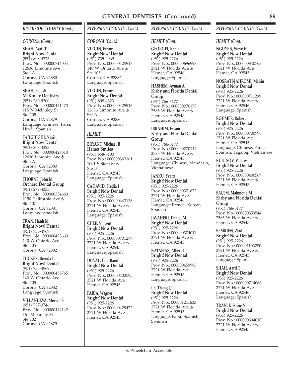## *RIVERSIDE COUNTY (Cont.)*

#### *CORONA (Cont.)*

**SHAH, Aarti T Bright Now Dental** (951) 808-4323 Prov. No.: 000000714054 12636 Limonite Ave  $Sta 1A$ Corona, CA 92880 Language: Spanish

**SHAH, Rajesh McKinley Dentistry** (951) 280-9300 Prov. No.: 000000431473 115 N Mckinley St Ste 105 Corona, CA 92879 Language: Chinese, Farsi, Hindi, Spanish

**TAHGHIGHI, Nasir Bright Now Dental** (951) 808-4323 Prov. No.: 000000429310 12636 Limonite Ave  $Sta$  1 $\Delta$ Corona, CA 92880 Language: Spanish

**THORNE, John M Orchard Dental Group** (951) 279-4333 Prov. No.: 000000354663 2150 California Ave Ste 107 Corona, CA 92881 Language: Spanish

**TRAN, Hanh M Bright Now! Dental** (951) 735-4969 Prov. No.: 000000423660 140 W Ontario Ave Ste 105 Corona, CA 92882

**TUCKER, Brenda L Bright Now! Dental** (951) 735-4969 Prov. No.: 000000455765 140 W Ontario Ave Ste 105 Corona, CA 92882 Language: Spanish

**VILLANUEVA, Mervin S** (951) 737-3746 Prov. No.: 000000444142 161 Mckinley St Ste 102 Corona, CA 92879

# *RIVERSIDE COUNTY (Cont.)*

### *CORONA (Cont.)*

**VIRGIN, Fenny Bright Now! Dental** (951) 735-4969 Prov. No.: 000000425917 140 W Ontario Ave Ste 105 Corona, CA 92882 Language: Spanish

**VIRGIN, Fenny Bright Now Dental** (951) 808-4323 Prov. No.: 000000425916 12636 Limonite Ave Ste A Corona, CA 92880 Language: Spanish

## *HEMET*

**BRYANT, Michael R Hemet Smiles** (951) 658-6100 Prov. No.: 000000363161 1001 S State St Ste B Hemet, CA 92543 Language: Spanish

**CADAVID, Fredia I Bright! Now Dental** (951) 925-2226 Prov. No.: 000000443138 2721 W Florida Ave Hemet, CA 92545 Language: Spanish

**CHEE, Vincent Bright! Now Dental** (951) 925-2226 Prov. No.: 000000701279 2721 W Florida Ave Hemet, CA 92545 Language: Spanish

**DUVAL, Courtland Bright! Now Dental** (951) 925-2226 Prov. No.: 000000403595 2721 W Florida Ave Hemet, CA 92545

**FARIA, Wagner Bright! Now Dental** (951) 925-2226 Prov. No.: 000000429472 2721 W Florida Ave Hemet, CA 92545

## *RIVERSIDE COUNTY (Cont.)*

### *HEMET (Cont.)*

**GEORGEI, Rania Bright! Now Dental** (951) 925-2226 Prov. No.: 000000696998 2721 W Florida Ave Hemet, CA 92546 Language: Spanish

**HASHEM, Ayman A Kirby and Florida Dental Group**

(951) 766-5177 Prov. No.: 000000270178 2585 W Florida Ave Hemet, CA 92545 Language: Spanish

**IBRAHIM, Essam Kirby and Florida Dental Group** (951) 766-5177 Prov. No.: 000000270144 2585 W Florida Ave Hemet, CA 92545 Language: Chinese, Mandarin, Vietnamese

**JANKU, Yvetta Bright! Now Dental** (951) 925-2226 Prov. No.: 000000371672 2721 W Florida Ave Hemet, CA 92546 Language: French, Korean, Spanish

**JAVAHERI, Daniel M Bright! Now Dental** (951) 925-2226 Prov. No.: 000000374011 2721 W Florida Ave Hemet, CA 92545

**KATAFIAS, Albert J Bright! Now Dental** (951) 925-2226 Prov. No.: 000000459980 2721 W Florida Ave Hemet, CA 92545 Language: Spanish

**LE, Thang Q Bright! Now Dental** (951) 925-2226 Prov. No.: 000001211633 2721 W Florida Ave Hemet, CA 92545 Language: Farsi, Spanish, Swedish

## *RIVERSIDE COUNTY (Cont.)*

### *HEMET (Cont.)*

**NGUYEN, Steve H Bright! Now Dental** (951) 925-2226 Prov. No.: 000000340763 2721 W Florida Ave Hemet, CA 92545

**NOSRATI-JAHROMI, Mahin Bright! Now Dental**

(951) 925-2226 Prov. No.: 000000711299 2721 W Florida Ave Hemet, CA 92546 Language: Spanish

#### **ROHMER, Robert**

**Bright! Now Dental** (951) 925-2226 Prov. No.: 000000700996 2721 W Florida Ave Hemet, CA 92545 Language: Chinese, Farsi, Spanish, Tagalog, Vietnamese

**RUBTSOV, Valeriy Bright! Now Dental** (951) 925-2226 Prov. No.: 000000400569 2721 W Florida Ave Hemet, CA 92545

**SALEM, Mahmoud M Kirby and Florida Dental Group** (951) 766-5177 Prov. No.: 000000359544 2585 W Florida Ave Hemet, CA 92545

**SEMRIEN, Ziad Bright! Now Dental** (951) 925-2226 Prov. No.: 000001103280 2721 W Florida Ave Hemet, CA 92545 Language: Spanish

**SHAH, Aarti T Bright! Now Dental** (951) 925-2226 Prov. No.: 000000714066 2721 W Florida Ave Hemet, CA 92546 Language: Spanish

**TRAN, Kristine N Bright! Now Dental** (951) 925-2226 Prov. No.: 000000694010 2721 W Florida Ave Hemet, CA 92545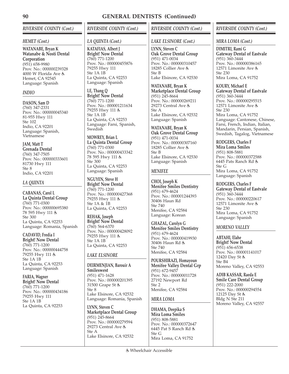# *RIVERSIDE COUNTY (Cont.)*

## *HEMET (Cont.)*

**WATANABE, Bryan K Watanabe & Nosti Dental Corporation** (951) 658-9980 Prov. No.: 000000239328 4000 W Florida Ave & Hemet, CA 92545 Language: Spanish

## *INDIO*

**DASON, Sam D** (760) 347-2331 Prov. No.: 000000045340 81-955 Hwy 111 Ste 102 Indio, CA 92201 Language: Spanish, Vietnamese

**JAM, Matt T Grenada Dental** (760) 347-7505 Prov. No.: 000000333601 81730 Hwy 111 Ste 8 Indio, CA 92201

## *LA QUINTA*

**CABANAS, Carol L La Quinta Dental Group** (760) 771-0300 Prov. No.: 000000695380 78 595 Hwy 111 Ste 300 La Quinta, CA 92253 Language: Romania, Spanish

**CADAVID, Fredia I Bright! Now Dental** (760) 771-1200 Prov. No.: 000000444758 79255 Hwy 111 Ste 1A 1B La Quinta, CA 92253 Language: Spanish

**FARIA, Wagner Bright! Now Dental** (760) 771-1200 Prov. No.: 000000434186 79255 Hwy 111 Ste 1A 1B La Quinta, CA 92253

# *RIVERSIDE COUNTY (Cont.)*

# *LA QUINTA (Cont.)*

**KATAFIAS, Albert J Bright! Now Dental** (760) 771-1200 Prov. No.: 000000455876 79255 Hwy 111 Ste 1A 1B La Quinta, CA 92253 Language: Spanish

**LE, Thang Q Bright! Now Dental** (760) 771-1200 Prov. No.: 000001211634 79255 Hwy 111 Ste 1A 1B La Quinta, CA 92253 Language: Farsi, Spanish, Swedish

**MOWREY, Brian L La Quinta Dental Group** (760) 771-0300 Prov. No.: 000000433342 78 595 Hwy 111 Ste 300 La Quinta, CA 92253 Language: Spanish

**NGUYEN, Steve H Bright! Now Dental** (760) 771-1200 Prov. No.: 000000427368 79255 Hwy 111 & Ste 1A & 1B La Quinta, CA 92253

**REHAK, Joseph Bright! Now Dental** (760) 564-6370 Prov. No.: 000000428092 79255 Hwy 111 & Ste 1A 1B La Quinta, CA 92253

# *LAKE ELSINORE*

**DEIRMENJIAN, Barouir A Smileswest** (951) 471-1628 Prov. No.: 000000201395 31500 Grape St Ste 8 Lake Elsinore, CA 92532 Language: Romania, Spanish

**LYNN, Steven C Marketplace Dental Group** (951) 245-8664 Prov. No.: 000000279594 29273 Central Ave Ste A Lake Elsinore, CA 92532

# *RIVERSIDE COUNTY (Cont.)*

## *LAKE ELSINORE (Cont.)*

**LYNN, Steven C Oak Grove Dental Group** (951) 471-0034 Prov. No.: 000000310457 18285 Collier Ave Ste B Lake Elsinore, CA 92530

**WATANABE, Bryan K Marketplace Dental Group** (951) 245-8664 Prov. No.: 000000269211 29273 Central Ave & Ste A Lake Elsinore, CA 92532 Language: Spanish

**WATANABE, Bryan K Oak Grove Dental Group** (951) 471-0034 Prov. No.: 000000307160 18285 Collier Ave & Ste B Lake Elsinore, CA 92530 Language: Spanish

# *MENIFEE*

**CHOI, Joseph K Menifee Smiles Dentistry** (951) 679-4624 Prov. No.: 000001244393 30406 Haun Rd Ste 740 Menifee, CA 92584 Language: Korean

**GHAZAL, Carolyn G Menifee Smiles Dentistry** (951) 679-4624 Prov. No.: 000000419930 30406 Haun Rd & Ste 740 Menifee, CA 92584

**POURSHIRAZI, Homayoun Menifee Valley Dental Grp** (951) 672-9457 Prov. No.: 000000011728 27192 Newport Rd Ste 2 Menifee, CA 92584

## *MIRA LOMA*

**DHAMA, Deepika S Mira Loma Smiles** (951) 808-5881 Prov. No.: 000000372647 6445 Pat S Ranch Rd Ste G Mira Loma, CA 91752

## *RIVERSIDE COUNTY (Cont.)*

## *MIRA LOMA (Cont.)*

**DIMITRI, Rami G Gateway Dental of Eastvale** (951) 360-3444 Prov. No.: 000000386165 12571 Limonite Ave Ste 230 Mira Loma, CA 91752

**KOURY, Michael E Gateway Dental of Eastvale** (951) 360-3444 Prov. No.: 000000295515 12571 Limonite Ave Ste 230 Mira Loma, CA 91752 Language: Cantonese, Chinese, Farsi, French, Indian, Italian, Mandarin, Persian, Spanish, Swedish, Tagalog, Vietnamese

**RODGERS, Charles F Mira Loma Smiles** (951) 808-5881 Prov. No.: 000000372588 6445 Pats Ranch Rd Ste G Mira Loma, CA 91752 Language: Spanish

**RODGERS, Charles F Gateway Dental of Eastvale** (951) 360-3444 Prov. No.: 000000220617 12571 Limonite Ave Ste 230 Mira Loma, CA 91752 Language: Spanish

# *MORENO VALLEY*

**ABTAHI, Elahe Bright! Now Dental** (951) 656-6538 Prov. No.: 000001141017 12420 Day St Ste B4 Moreno Valley, CA 92553

**ADIB KASSAR, Raeda E Smile Care Dental Group** (951) 222-2000 Prov. No.: 000000294554 12125 Day St Bldg N Ste 211 Moreno Valley, CA 92557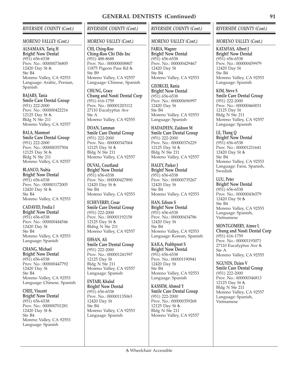## *RIVERSIDE COUNTY (Cont.)*

#### *MORENO VALLEY (Cont.)*

**ALSAMAAN, Tariq H Bright! Now Dental** (951) 656-6538 Prov. No.: 000000736805 12420 Day St Ste B4 Moreno Valley, CA 92553 Language: Arabic, Persian, Spanish

**BAJARS, Tania Smile Care Dental Group** (951) 222-2000 Prov. No.: 000000422216 12125 Day St Bldg N Ste 211 Moreno Valley, CA 92557

**BALA, Manmeet Smile Care Dental Group** (951) 222-2000 Prov. No.: 000000357504 12125 Day St & Bldg N Ste 211 Moreno Valley, CA 92557

**BLANCO, Nubia Bright! Now Dental** (951) 656-6538 Prov. No.: 000001172005 12420 Day St & Ste B4 Moreno Valley, CA 92553

**CADAVID, Fredia I Bright! Now Dental** (951) 656-6538 Prov. No.: 000000444546 12420 Day St Ste B4 Moreno Valley, CA 92553 Language: Spanish

**CHANG, Michael Bright! Now Dental** (951) 656-6538 Prov. No.: 000000447792 12420 Day St Ste B4 Moreno Valley, CA 92553 Language: Chinese, Spanish

**CHEE, Vincent Bright! Now Dental** (951) 656-6538 Prov. No.: 000000701281 12420 Day St & Ste B4 Moreno Valley, CA 92553 Language: Spanish

## *RIVERSIDE COUNTY (Cont.)*

#### *MORENO VALLEY (Cont.)*

**CHI, Ching-Roo Ching-Roo Chi Dds Inc** (951) 488-8688 Prov. No.: 000000008807 11875 Pigeon Pass Rd Ste B9 Moreno Valley, CA 92557 Language: Chinese, Spanish

**CHUNG, Grace Chung and Nosti Dental Corp** (951) 616-1759 Prov. No.: 000001203112 27110 Eucalyptus Ave Ste A Moreno Valley, CA 92555

**DOAN, Lamman Smile Care Dental Group** (951) 222-2000 Prov. No.: 000000347064 12125 Day St & Bldg N Ste 211 Moreno Valley, CA 92557

**DUVAL, Courtland Bright! Now Dental** (951) 656-6538 Prov. No.: 000000427890 12420 Day St Ste B4 Moreno Valley, CA 92553

**ECHEVERRY, Cesar Smile Care Dental Group** (951) 222-2000 Prov. No.: 000001192158 12125 Day St & Bldng N Ste 211 Moreno Valley, CA 92557

**EHSAN, Ali Smile Care Dental Group** (951) 222-2000 Prov. No.: 000001241597 12125 Day St Bldg N Ste 211 Moreno Valley, CA 92557 Language: Spanish

**ENTABI, Khaled Bright! Now Dental** (951) 656-6538 Prov. No.: 000001135063 12420 Day St Ste B4 Moreno Valley, CA 92553 Language: Spanish

## *RIVERSIDE COUNTY (Cont.)*

### *MORENO VALLEY (Cont.)*

**FARIA, Wagner Bright! Now Dental** (951) 656-6538 Prov. No.: 000000429467 12420 Day St Ste B4 Moreno Valley, CA 92553

**GEORGEI, Rania Bright! Now Dental** (951) 656-6538 Prov. No.: 000000696997 12420 Day St Ste B4 Moreno Valley, CA 92553 Language: Spanish

**HADADEEN, Zaidoon M Smile Care Dental Group** (951) 222-2000 Prov. No.: 000000376229 12125 Day St & Bldg N Ste 211 Moreno Valley, CA 92557

**HALEY, Parker J Bright! Now Dental** (951) 656-6538 Prov. No.: 000000735267 12420 Day St Ste B4 Moreno Valley, CA 92553

**HAN, Edison S Bright! Now Dental** (951) 656-6538 Prov. No.: 000000434786 12420 Day St Ste B4 Moreno Valley, CA 92553 Language: Korean, Spanish

**KAILA, Prabhpreet S Bright! Now Dental** (951) 656-6538 Prov. No.: 000001190941 12420 Day St Ste B4 Moreno Valley, CA 92553 Language: Spanish

**KASSEM, Ahmed Y Smile Care Dental Group** (951) 222-2000 Prov. No.: 000000359268 12125 Day St & Bldg N Ste 211 Moreno Valley, CA 92557

### *RIVERSIDE COUNTY (Cont.)*

#### *MORENO VALLEY (Cont.)*

**KATAFIAS, Albert J Bright! Now Dental** (951) 656-6538 Prov. No.: 000000459979 12420 Day St Ste B4 Moreno Valley, CA 92553 Language: Spanish

**KIM, Steve S Smile Care Dental Group** (951) 222-2000 Prov. No.: 000000460031 12125 Day St Bldg N Ste 211 Moreno Valley, CA 92557 Language: Spanish

**LE, Thang Q Bright! Now Dental** (951) 656-6538 Prov. No.: 000001211641 12420 Day St Ste B4 Moreno Valley, CA 92553 Language: Farsi, Spanish, **Swedish** 

**LUU, Peter Bright! Now Dental** (951) 656-6538 Prov. No.: 000000436579 12420 Day St Ste B4 Moreno Valley, CA 92553 Language: Spanish, Vietnamese

**MONTGOMERY, Aimee L Chung and Nosti Dental Corp** (951) 616-1759 Prov. No.: 000001193071 27110 Eucalyptus Ave Ste A Moreno Valley, CA 92555

**NGUYEN, Dzien V Smile Care Dental Group** (951) 222-2000 Prov. No.: 000000346813 12125 Day St & Bldg N Ste 211 Moreno Valley, CA 92557 Language: Spanish, Vietnamese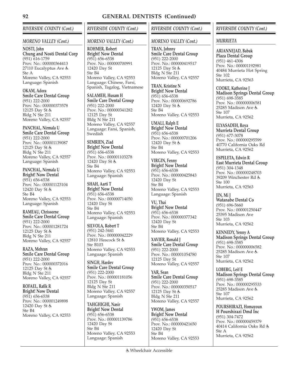# *RIVERSIDE COUNTY (Cont.)*

## *MORENO VALLEY (Cont.)*

**NOSTI, John Chung and Nosti Dental Corp** (951) 616-1759 Prov. No.: 000000364413 27110 Eucalyptus Ave Ste A Moreno Valley, CA 92553 Language: Spanish

**OKAM, Adora Smile Care Dental Group** (951) 222-2000 Prov. No.: 000000373578 12125 Day St Bldg N Ste 211 Moreno Valley, CA 92557

**PANCHAL, Nirmala U Smile Care Dental Group** (951) 222-2000 Prov. No.: 000001139087 12125 Day St & Bldg N Ste 211 Moreno Valley, CA 92557 Language: Spanish

**PANCHAL, Nirmala U Bright! Now Dental** (951) 656-6538 Prov. No.: 000001123104 12420 Day St & Ste B4 Moreno Valley, CA 92553 Language: Spanish

**RAMEAU, Chrissorne Smile Care Dental Group** (951) 222-2000 Prov. No.: 000001281724 12125 Day St Bldg N Ste 211 Moreno Valley, CA 92557

**RAZA, Mehran Smile Care Dental Group** (951) 222-2000 Prov. No.: 000000372016 12125 Day St Bldg N Ste 211 Moreno Valley, CA 92557

**ROFAEL, Rafik R Bright! Now Dental** (951) 656-6538 Prov. No.: 000001249898 12420 Day St Ste B4 Moreno Valley, CA 92553

# *RIVERSIDE COUNTY (Cont.)*

## *MORENO VALLEY (Cont.)*

**ROHMER, Robert Bright! Now Dental** (951) 656-6538 Prov. No.: 000000700991 12420 Day St Ste B4 Moreno Valley, CA 92553 Language: Chinese, Farsi, Spanish, Tagalog, Vietnamese

**SALAMEH, Husam H Smile Care Dental Group** (951) 222-2000 Prov. No.: 000000341282 12125 Day St Bldg N Ste 211 Moreno Valley, CA 92557 Language: Farsi, Spanish, **Swedish** 

**SEMRIEN, Ziad Bright! Now Dental** (951) 656-6538 Prov. No.: 000001103278 12420 Day St Ste B4 Moreno Valley, CA 92553 Language: Spanish

**SHAH, Aarti T Bright! Now Dental** (951) 656-6538 Prov. No.: 000000714050 12420 Day St Ste B4 Moreno Valley, CA 92553 Language: Spanish

**SILVOLA, Robert T** (951) 242-3441 Prov. No.: 000000042229 12810 Heacock St & Ste B103 Moreno Valley, CA 92553 Language: Spanish

**SINGH, Hardev Smile Care Dental Group** (951) 222-2000 Prov. No.: 000001181056 12125 Day St Bldg N Ste 211 Moreno Valley, CA 92557 Language: Spanish

**TAHGHIGHI, Nasir Bright! Now Dental** (951) 656-6538 Prov. No.: 000001139786 12420 Day St Ste B4 Moreno Valley, CA 92553 Language: Spanish

# *RIVERSIDE COUNTY (Cont.)*

## *MORENO VALLEY (Cont.)*

**TRAN, Johnny Smile Care Dental Group** (951) 222-2000 Prov. No.: 000000419517 12125 Day St & Bldg N Ste 211 Moreno Valley, CA 92557

**TRAN, Kristine N Bright! Now Dental** (951) 656-6538 Prov. No.: 000000692786 12420 Day St & Ste B4 Moreno Valley, CA 92553

**UMALI, Ralph E Bright! Now Dental** (951) 656-6538 Prov. No.: 000000701206 12420 Day St Ste B4 Moreno Valley, CA 92553

**VIRGIN, Fenny Bright! Now Dental** (951) 656-6538 Prov. No.: 000000425843 12420 Day St Ste B4 Moreno Valley, CA 92553 Language: Spanish

**VU, Thai Bright! Now Dental** (951) 656-6538 Prov. No.: 000000377342 12420 Day St Ste B4 Moreno Valley, CA 92553

**XAVIER, Ronald J Smile Care Dental Group** (951) 222-2000 Prov. No.: 000001054780 12125 Day St Moreno Valley, CA 92557

**YAR, Sean Smile Care Dental Group** (951) 222-2000 Prov. No.: 000000350517 12125 Day St & Bldg N Ste 211 Moreno Valley, CA 92557

**YWOM, James Bright! Now Dental** (951) 656-6538 Prov. No.: 000000421650 12420 Day St Ste B4 Moreno Valley, CA 92553

## *RIVERSIDE COUNTY (Cont.)*

## *MURRIETA*

**ARIANNEJAD, Babak Plaza Dental Group** (951) 461-4306 Prov. No.: 000001192981 40484 Murrieta Hot Spring Ste 102 Murrieta, CA 92563

**COOKE, Katherine J Madison Springs Dental Group** (951) 698-3585 Prov. No.: 000000006581 25285 Madison Ave Ste 107 Murrieta, CA 92562

**ELYASADEH, Roya Murrieta Dental Group** (951) 677-3078 Prov. No.: 000000295599 40770 California Oaks Rd Murrieta, CA 92562

**ESPELETA, Edwin R East Murrieta Dental Group** (951) 304-1348 Prov. No.: 000000248703 39209 Winchester Rd Ste 100 Murrieta, CA 92563

**JIN, Mi J Watanabe Dental Co** (951) 696-5660 Prov. No.: 000001250447 25395 Madison Ave Ste 103 Murrieta, CA 92562

**KENNEDY, Yenny A Madison Springs Dental Group** (951) 698-3585 Prov. No.: 000000006582 25285 Madison Ave Ste 107 Murrieta, CA 92562

**LOBERG, Leif E Madison Springs Dental Group** (951) 698-3585 Prov. No.: 000000295533 25285 Madison Ave Ste 107 Murrieta, CA 92562

**POURSHIRAZI, Homayoun H Pourshirazi Dmd Inc** (951) 304-7472 Prov. No.: 000000459379 40414 California Oaks Rd Ste A Murrieta, CA 92562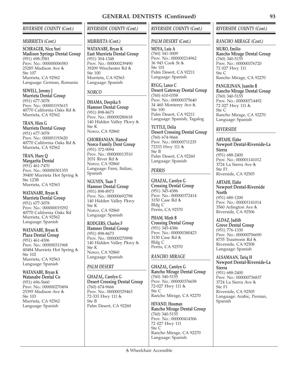## *RIVERSIDE COUNTY (Cont.)*

#### *MURRIETA (Cont.)*

**SCHRAGER, Nicu Sori Madison Springs Dental Group** (951) 698-3581 Prov. No.: 000000006583 25285 Madison Ave Ste 107 Murrieta, CA 92562 Language: German, Romania

**SEWELL, Jeremy J Murrieta Dental Group** (951) 677-3078 Prov. No.: 000001193615 40770 California Oaks Rd Murrieta, CA 92562

**TRAN, Hien G Murrieta Dental Group** (951) 677-3078 Prov. No.: 000001193620 40770 California Oaks Rd Murrieta, CA 92562

**TRAN, Huey Q Margarita Dental** (951) 461-7470 Prov. No.: 000000301355 39400 Murrieta Hot Spring Ste 123B Murrieta, CA 92563

**WATANABE, Bryan K Murrieta Dental Group** (951) 677-3078 Prov. No.: 000000019292 40770 California Oaks Rd Murrieta, CA 92562 Language: Spanish

**WATANABE, Bryan K Plaza Dental Group** (951) 461-4306 Prov. No.: 000000311968 40484 Murrieta Hot Spring Ste 102 Murrieta, CA 92563 Language: Spanish

**WATANABE, Bryan K Watanabe Dental Co** (951) 696-5660 Prov. No.: 000000270494 25395 Madison Ave Ste 103 Murrieta, CA 92562 Language: Spanish

*RIVERSIDE COUNTY (Cont.)*

#### *MURRIETA (Cont.)*

**WATANABE, Bryan K East Murrieta Dental Group** (951) 304-1348 Prov. No.: 000000239490 39209 Winchester Rd  $Sta$  100 Murrieta, CA 92563 Language: Spanish

## *NORCO*

**DHAMA, Deepika S Hamner Dental Group** (951) 898-8673 Prov. No.: 000000280618 140 Hidden Valley Pkwy Ste K Norco, CA 92860

**GHORBANIAN, Hamed Norco Family Dent Group** (951) 372-9094 Prov. No.: 000000013510 2031 River Rd Norco, CA 92860 Language: Farsi, Italian, Spanish

**NGUYEN, Tuan T Hamner Dental Group** (951) 898-8973 Prov. No.: 000000692798 140 Hidden Valley Pkwy Ste K Norco, CA 92860 Language: Spanish

**RODGERS, Charles F Hamner Dental Group** (951) 898-8673 Prov. No.: 000000270998 140 Hidden Valley Pkwy & Ste K Norco, CA 92860 Language: Spanish

## *PALM DESERT*

**GHAZAL, Carolyn G Desert Crossing Dental Group** (760) 674-9666 Prov. No.: 000000329463 72-333 Hwy 111 Ste B Palm Desert, CA 92260

### Wheelchair Accessible

## *RIVERSIDE COUNTY (Cont.)*

#### *PALM DESERT (Cont.)*

**MOYA, Luis A** (760) 341-3009 Prov. No.: 000000214962 36 943 Cook St Ste 101 Palm Desert, CA 92211 Language: Spanish

**RYGG, Lance C Desert Gateway Dental Group** (760) 610-0358 Prov. No.: 000000375640 34 460 Monterey Ave Ste 100 Palm Desert, CA 92211 Language: Spanish, Tagalog

**TUTTLE, Delia Desert Crossing Dental Group** (760) 674-9666 Prov. No.: 000000711235 72333 Hwy 111 & Ste B Palm Desert, CA 92260 Language: Spanish

## *PERRIS*

**GHAZAL, Carolyn G Crossing Dental Group** (951) 345-4386 Prov. No.: 000000372414 3150 Case Rd Bldg C Perris, CA 92570

**PHAM, Minh B Crossing Dental Group** (951) 345-4386 Prov. No.: 000000380423 3150 Case Rd Bldg C Perris, CA 92570

### *RANCHO MIRAGE*

**GHAZAL, Carolyn G Rancho Mirage Dental Group** (760) 340-5155 Prov. No.: 000000376658 72-027 Hwy 111 Ste C Rancho Mirage, CA 92270

**HIVAND, Houman Rancho Mirage Dental Group** (760) 340-5155 Prov. No.: 000000414306 72 027 Hwy 111 Ste C Rancho Mirage, CA 92270 Language: Spanish

## *RIVERSIDE COUNTY (Cont.)*

#### *RANCHO MIRAGE (Cont.)*

**MURO, Emilio Rancho Mirage Dental Group** (760) 340-5155 Prov. No.: 000000376720 72 027 Hwy 111 Ste C Rancho Mirage, CA 92270

**PANGILINAN, Juanito R Rancho Mirage Dental Group** (760) 340-5155 Prov. No.: 000000714492 72 027 Hwy 111 Ste C Rancho Mirage, CA 92270 Language: Spanish

### *RIVERSIDE*

**ABTAHI, Elahe Newport Dental-Riverside-La Sierra** (951) 688-2400 Prov. No.: 000001141012 3724 La Sierra Ave Ste F1 Riverside, CA 92505

**ABTAHI, Elahe Newport Dental-Riverside North** (951) 680-1200 Prov. No.: 000001141014 3560 Arlington Ave & Riverside, CA 92506

**ALDAZ, Judith Grove Dental Group** (951) 776-1330 Prov. No.: 000000706690 8735 Trautwein Rd Riverside, CA 92508 Language: Spanish

**ALSAMAAN, Tariq H Newport Dental-Riverside-La Sierra** (951) 688-2400 Prov. No.: 000000736837 3724 La Sierra Ave Ste F1 Riverside, CA 92505 Language: Arabic, Persian, Spanish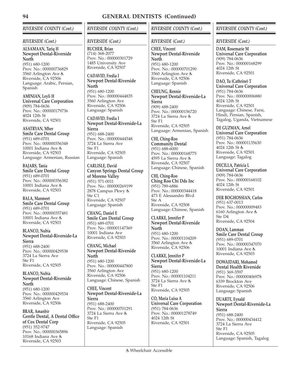## *RIVERSIDE COUNTY (Cont.)*

### *RIVERSIDE (Cont.)*

**ALSAMAAN, Tariq H Newport Dental-Riverside North** (951) 680-1200 Prov. No.: 000000736829 3560 Arlington Ave Riverside, CA 92506 Language: Arabic, Persian, Spanish

**AMINIAN, Leyli H Universal Care Corporation** (909) 784-0636 Prov. No.: 000000179736 4024 12th St Riverside, CA 92501

**ASATRYAN, Mher Smile Care Dental Group** (951) 689-0701 Prov. No.: 000000356348 10001 Indiana Ave Riverside, CA 92503 Language: Armenian, Russian

**BAJARS, Tania Smile Care Dental Group** (951) 689-0701 Prov. No.: 000000356382 10001 Indiana Ave Riverside, CA 92503

**BALA, Manmeet Smile Care Dental Group** (951) 689-0701 Prov. No.: 000000357481 10001 Indiana Ave Riverside, CA 92503

**BLANCO, Nubia Newport Dental-Riverside-La Sierra** (951) 688-2400 Prov. No.: 000000429538 3724 La Sierra Ave Ste F1 Riverside, CA 92505

**BLANCO, Nubia Newport Dental-Riverside North** (951) 680-1200 Prov. No.: 000000429534 3560 Arlington Ave Riverside, CA 92506

**BRAR, Amanbir Gentle Dental, A Dental Office of Cox Dental Corp** (951) 352-9747 Prov. No.: 000000365896 10168 Indiana Ave Riverside, CA 92503

# *RIVERSIDE COUNTY (Cont.)*

## *RIVERSIDE (Cont.)*

**BUCHER, Brian** (714) 368-2077 Prov. No.: 000000301729 1485 University Ave Riverside, CA 92507

**CADAVID, Fredia I Newport Dental-Riverside North**

(951) 680-1200 Prov. No.: 000000444835 3560 Arlington Ave Riverside, CA 92506 Language: Spanish

**CADAVID, Fredia I Newport Dental-Riverside-La Sierra** (951) 688-2400 Prov. No.: 000000444548 3724 La Sierra Ave Ste F1 Riverside, CA 92505 Language: Spanish

**CARLISLE, David Canyon Springs Dental Group of Moreno Valley** (951) 571-0011 Prov. No.: 000000269199 2878 Campus Pkwy Ste C1 Riverside, CA 92507 Language: Spanish

**CHANG, Daniel E Smile Care Dental Group** (951) 689-0701 Prov. No.: 000001147369 10001 Indiana Ave Riverside, CA 92503

**CHANG, Michael Newport Dental-Riverside North** (951) 680-1200 Prov. No.: 000000447800 3560 Arlington Ave Riverside, CA 92506

Language: Chinese, Spanish **CHEE, Vincent Newport Dental-Riverside-La Sierra** (951) 688-2400 Prov. No.: 000000701291 3724 La Sierra Ave Ste F1 Riverside, CA 92505 Language: Spanish

## *RIVERSIDE COUNTY (Cont.)*

## *RIVERSIDE (Cont.)*

**CHEE, Vincent Newport Dental-Riverside North** (951) 680-1200 Prov. No.: 000000701290 3560 Arlington Ave Riverside, CA 92506 Language: Spanish

**CHEUNG, Rennie Newport Dental-Riverside-La Sierra** (909) 688-2400 Prov. No.: 000000156720 3724 La Sierra Ave  $Ste$  F<sub>1</sub> Riverside, CA 92505 Language: Armenian, Spanish

**CHI, Ching-Roo Community Dental** (951) 688-6000 Prov. No.: 000000168775 4595 La Sierra Ave Riverside, CA 92507 Language: Chinese, Spanish

**CHI, Ching-Roo Ching Roo Chi Dds Inc** (951) 789-6886 Prov. No.: 000000344418 473 E Alessandro Blvd  $St_{\theta}$   $\Delta$ Riverside, CA 92508 Language: Chinese, Spanish

**CLARKE, Jennifer P Newport Dental-Riverside North** (951) 680-1200 Prov. No.: 000001104209 3560 Arlington Ave Riverside, CA 92506

**CLARKE, Jennifer P Newport Dental-Riverside-La Sierra** (951) 680-1200 Prov. No.: 000001104211 3724 La Sierra Ave Ste F1 Riverside, CA 92505

**CO, Maria Luisa A Universal Care Corporation** (951) 784-0636 Prov. No.: 000001278749 4024 12th St Riverside, CA 92501

## *RIVERSIDE COUNTY (Cont.)*

#### *RIVERSIDE (Cont.)*

**DAM, Rosemarie M Universal Care Corporation** (909) 784-0636 Prov. No.: 000000168299 4024 12th St Riverside, CA 92501

**DAO, Tu (Cathrine) T Universal Care Corporation** (951) 784-0636 Prov. No.: 000000006880 4024 12th St Riverside, CA 92501 Language: Chinese, Farsi, Hindi, Persian, Spanish, Tagalog, Uganda, Vietnamese

**DE GUZMAN, Arnel Universal Care Corporation** (951) 784-0636 Prov. No.: 000001135630 4024 12th St & Riverside, CA 92501 Language: Tagalog

**DECILLA, Patricia L Universal Care Corporation** (909) 784-0636 Prov. No.: 000000168102 4024 12th St Riverside, CA 92501

**DER BOGHOSSIAN, Carlos** (951) 637-0013 Prov. No.: 000000009483 6160 Arlington Ave Ste D4 Riverside, CA 92504

**DOAN, Lamman Smile Care Dental Group** (951) 689-0701 Prov. No.: 000000347070 10001 Indiana Ave Riverside, CA 92503

**DOWAIDARI, Mohamed Dental Health Riverside** (951) 369-3597 Prov. No.: 000000406978 6339 Brockton Ave Riverside, CA 92506 Language: Spanish

**DUARTE, Eynald Newport Dental-Riverside-La Sierra** (951) 688-2400 Prov. No.: 000000434412 3724 La Sierra Ave Ste F1 Riverside, CA 92505 Language: Spanish, Tagalog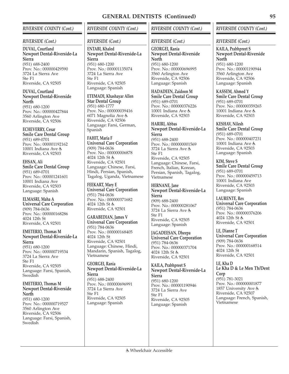## *RIVERSIDE COUNTY (Cont.)*

#### *RIVERSIDE (Cont.)*

**DUVAL, Courtland Newport Dental-Riverside-La Sierra** (951) 688-2400 Prov. No.: 000000429590 3724 La Sierra Ave Ste F1 Riverside, CA 92505

**DUVAL, Courtland Newport Dental-Riverside North** (951) 680-1200 Prov. No.: 000000427844 3560 Arlington Ave

Riverside, CA 92506 **ECHEVERRY, Cesar Smile Care Dental Group** (951) 689-0701 Prov. No.: 000001192162 10001 Indiana Ave &

Riverside, CA 92503

**EHSAN, Ali Smile Care Dental Group** (951) 689-0701 Prov. No.: 000001241601 10001 Indiana Ave Riverside, CA 92503 Language: Spanish

**ELMASRI, Maha A Universal Care Corporation** (909) 784-0636 Prov. No.: 000000168286 4024 12th St Riverside, CA 92501

**EMETERIO, Thomas M Newport Dental-Riverside-La Sierra** (951) 680-1200 Prov. No.: 000000719534 3724 La Sierra Ave Ste F1 Riverside, CA 92505 Language: Farsi, Spanish, Swedish

**EMETERIO, Thomas M Newport Dental-Riverside North**

(951) 680-1200 Prov. No.: 000000719527 3560 Arlington Ave Riverside, CA 92506 Language: Farsi, Spanish, Swedish

# *RIVERSIDE COUNTY (Cont.)*

*RIVERSIDE (Cont.)*

**ENTABI, Khaled Newport Dental-Riverside-La Sierra** (951) 680-1200 Prov. No.: 000001135074 3724 La Sierra Ave Ste F1 Riverside, CA 92505 Language: Spanish

**ETEMADI, Khashayar Allen Star Dental Group** (951) 680-1777 Prov. No.: 000000039416 6071 Magnolia Ave Riverside, CA 92506 Language: Farsi, German, Spanish

**FAHIT, Maria F Universal Care Corporation** (909) 784-0636 Prov. No.: 000000006878 4024 12th St & Riverside, CA 92501 Language: Chinese, Farsi, Hindi, Persian, Spanish, Tagalog, Uganda, Vietnamese

**FEEKART, Mary E Universal Care Corporation** (951) 784-0636 Prov. No.: 000000371682 4024 12th St & Riverside, CA 92501

**GARABEDIAN, James V Universal Care Corporation** (951) 784-0636 Prov. No.: 000000168405 4024 12th St Riverside, CA 92501 Language: Chinese, Hindi, Mandarin, Spanish, Tagalog, Vietnamese

**GEORGEI, Rania Newport Dental-Riverside-La Sierra** (951) 688-2400 Prov. No.: 000000696991 3724 La Sierra Ave Ste F1 Riverside, CA 92505 Language: Spanish

## *RIVERSIDE COUNTY (Cont.)*

### *RIVERSIDE (Cont.)*

**GEORGEI, Rania Newport Dental-Riverside North** (951) 680-1200 Prov. No.: 000000696995 3560 Arlington Ave Riverside, CA 92506 Language: Spanish

**HADADEEN, Zaidoon M Smile Care Dental Group** (951) 689-0701 Prov. No.: 000000376226 10001 Indiana Ave & Riverside, CA 92503

**HARIRI, Abbas Newport Dental-Riverside-La Sierra** (951) 688-2400 Prov. No.: 000000001569 3724 La Sierra Ave Ste F1 Riverside, CA 92505 Language: Chinese, Farsi, French, Italian, Korean, Persian, Spanish, Tagalog, Vietnamese

**HERNANE, Jane Newport Dental-Riverside-La Sierra** (909) 688-2400 Prov. No.: 000000281067 3724 La Sierra Ave Ste F1 Riverside, CA 92505 Language: Spanish

**JAGADEESAN, Dheepa Universal Care Corporation** (951) 784-0636 Prov. No.: 000000371704 4024 12th St & Riverside, CA 92501

**KAILA, Prabhpreet S Newport Dental-Riverside-La Sierra** (951) 680-1200 Prov. No.: 000001190946 3724 La Sierra Ave Ste F1 Riverside, CA 92505 Language: Spanish

## *RIVERSIDE COUNTY (Cont.)*

*RIVERSIDE (Cont.)*

**KAILA, Prabhpreet S Newport Dental-Riverside North** (951) 680-1200 Prov. No.: 000001190944 3560 Arlington Ave Riverside, CA 92506 Language: Spanish

**KASSEM, Ahmed Y Smile Care Dental Group** (951) 689-0701 Prov. No.: 000000359265 10001 Indiana Ave Riverside, CA 92503

**KESHAV, Nilesh Smile Care Dental Group** (951) 689-0701 Prov. No.: 000000407231 10001 Indiana Ave Riverside, CA 92503 Language: Spanish

**KIM, Steve S Smile Care Dental Group** (951) 689-0701 Prov. No.: 000000459713 10001 Indiana Ave Riverside, CA 92503 Language: Spanish

**LAURENTE, Rex Universal Care Corporation** (951) 784-0636 Prov. No.: 000000376206 4024 12th St Riverside, CA 92501

**LE, Dianne T Universal Care Corporation** (909) 784-0636 Prov. No.: 000000168514 4024 12th St Riverside, CA 92501

**LE, Kha D Le Kha D & Le Men Th/Dent Corp** (951) 781-3021 Prov. No.: 000000001877

1857 University Ave Riverside, CA 92507 Language: French, Spanish, Vietnamese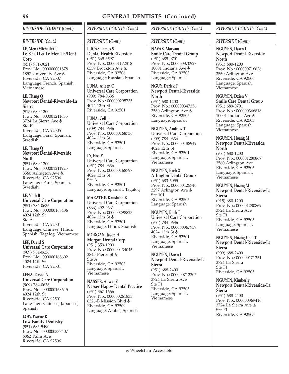# *RIVERSIDE COUNTY (Cont.)*

## *RIVERSIDE (Cont.)*

**LE, Men (Michelle) T Le Kha D & Le Men Th/Dent Corp** (951) 781-3021 Prov. No.: 000000001878 1857 University Ave & Riverside, CA 92507 Language: French, Spanish, Vietnamese

## **LE, Thang Q Newport Dental-Riverside-La Sierra**

(915) 680-1200 Prov. No.: 000001211635 3724 La Sierra Ave Ste F1 Riverside, CA 92505 Language: Farsi, Spanish, Swedish

## **LE, Thang Q Newport Dental-Riverside North**

(951) 680-1200 Prov. No.: 000001211925 3560 Arlington Ave Riverside, CA 92506 Language: Farsi, Spanish, **Swedish** 

# **LE, Vinh B**

**Universal Care Corporation** (951) 784-0636 Prov. No.: 000000168436 4024 12th St Ste A Riverside, CA 92501 Language: Chinese, Hindi, Spanish, Tagalog, Vietnamese

**LEE, David S Universal Care Corporation** (909) 784-0636 Prov. No.: 000000168602 4024 12th St Riverside, CA 92501

**LENA, David A Universal Care Corporation** (909) 784-0636 Prov. No.: 000000168645 4024 12th St Riverside, CA 92501 Language: Chinese, Japanese, Spanish

**LOW, Wayne R Low Family Dentistry** (951) 683-5490 Prov. No.: 000000337407 6862 Palm Ave Riverside, CA 92506

# *RIVERSIDE COUNTY (Cont.)*

## *RIVERSIDE (Cont.)*

**LUCAS, James S Dental Health Riverside** (951) 369-3597 Prov. No.: 000001172818 6339 Brockton Ave Riverside, CA 92506 Language: Russian, Spanish

**LUNA, Aileen C Universal Care Corporation** (909) 784-0636 Prov. No.: 000000295735 4024 12th St Riverside, CA 92501

**LUNA, Cellini Universal Care Corporation** (909) 784-0636 Prov. No.: 000000168736 4024 12th St Riverside, CA 92501 Language: Spanish

**LY, Hoa Y Universal Care Corporation** (951) 784-0636 Prov. No.: 000000168797 4024 12th St Ste A Riverside, CA 92501 Language: Spanish, Tagalog

**MARATHE, Kaustubh K Universal Care Corporation** (866) 492-9361 Prov. No.: 000000298823 4024 12th St & Riverside, CA 92501 Language: Hindi, Spanish

#### **MORGAN, Jason H Morgan Dental Corp** (951) 359-1900 Prov. No.: 000000434046 3845 Pierce St Ste A Riverside, CA 92503 Language: Spanish, Vietnamese

**NASSER, Anwar Z Nasser Happy Dental Practice** (951) 367-1666 Prov. No.: 000000261833 6326-B Mission Blvd Riverside, CA 92509 Language: Arabic, Spanish

# *RIVERSIDE COUNTY (Cont.)*

## *RIVERSIDE (Cont.)*

**NAVAB, Maryam Smile Care Dental Group** (951) 689-0701 Prov. No.: 000000370927 10001 Indiana Ave Riverside, CA 92503 Language: Spanish

**NGUY, Derick T Newport Dental-Riverside North** (951) 680-1200 Prov. No.: 000000347356 3560 Arlington Ave Riverside, CA 92506

Language: Spanish

**NGUYEN, Andrew T Universal Care Corporation** (909) 784-0636 Prov. No.: 000000188949 4024 12th St Riverside, CA 92501 Language: Spanish, Vietnamese

**NGUYEN, Bach X Arlington Dental Group** (951) 683-6055 Prov. No.: 000000425740 3297 Arlington Ave Ste 101 Riverside, CA 92506 Language: Spanish

**NGUYEN, Binh T Universal Care Corporation** (951) 784-0636 Prov. No.: 000000367959 4024 12th St & Riverside, CA 92501 Language: Spanish, Vietnamese

**NGUYEN, Dawn L Newport Dental-Riverside-La Sierra** (951) 688-2400

Prov. No.: 000000712307 3724 La Sierra Ave Ste F1 Riverside, CA 92505 Language: Spanish, Vietnamese

# *RIVERSIDE COUNTY (Cont.)*

## *RIVERSIDE (Cont.)*

**NGUYEN, Dawn L Newport Dental-Riverside North** (951) 680-1200 Prov. No.: 000000716626 3560 Arlington Ave Riverside, CA 92506 Language: Spanish, Vietnamese

**NGUYEN, Dzien V Smile Care Dental Group** (951) 689-0701 Prov. No.: 000000346818 10001 Indiana Ave & Riverside, CA 92503 Language: Spanish, Vietnamese

#### **NGUYEN, Hoang M Newport Dental-Riverside North** (951) 680-1200 Prov. No.: 000001280867 3560 Arlington Ave Riverside, CA 92506 Language: Spanish, Vietnamese

#### **NGUYEN, Hoang M Newport Dental-Riverside-La Sierra** (915) 680-1200 Prov. No.: 000001280869 3724 La Sierra Ave Ste F1 Riverside, CA 92505 Language: Spanish, Vietnamese

**NGUYEN, Hoang-Cam T Newport Dental-Riverside-La Sierra** (909) 688-2400 Prov. No.: 000000171351 3724 La Sierra Ste F1 Riverside, CA 92505

**NGUYEN, Kimberly Newport Dental-Riverside-La Sierra** (951) 688-2400 Prov. No.: 000000369416 3724 La Sierra Ave  $Ste$  F<sub>1</sub>

Riverside, CA 92505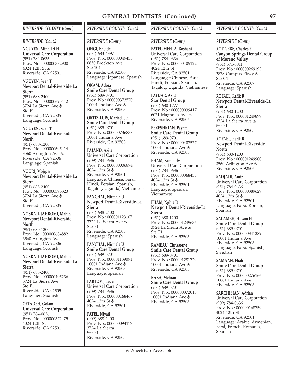## *RIVERSIDE COUNTY (Cont.)*

#### *RIVERSIDE (Cont.)*

**NGUYEN, Minh Tri H Universal Care Corporation** (951) 784-0636 Prov. No.: 000000372900 4024 12th St Riverside, CA 92501

#### **NGUYEN, Sean T Newport Dental-Riverside-La Sierra**

(951) 688-2400 Prov. No.: 000000695412 3724 La Sierra Ave Ste F1 Riverside, CA 92505 Language: Spanish

**NGUYEN, Sean T Newport Dental-Riverside North** (951) 680-1200 Prov. No.: 000000695414

3560 Arlington Ave Riverside, CA 92506 Language: Spanish

#### **NOORI, Mojgan Newport Dental-Riverside-La Sierra** (951) 688-2400

Prov. No.: 000000395323 3724 La Sierra Ave Ste F1 Riverside, CA 92505

## **NOSRATI-JAHROMI, Mahin Newport Dental-Riverside North**

(951) 680-1200 Prov. No.: 000000684882 3560 Arlington Ave Riverside, CA 92506 Language: Spanish

#### **NOSRATI-JAHROMI, Mahin Newport Dental-Riverside-La Sierra**

(951) 688-2400 Prov. No.: 000000405236 3724 La Sierra Ave  $Sta$  F<sub>1</sub> Riverside, CA 92505 Language: Spanish

#### **OFTADEH, Golam Universal Care Corporation** (951) 784-0636 Prov. No.: 000000372475 4024 12th St Riverside, CA 92501

# *RIVERSIDE COUNTY (Cont.)*

## *RIVERSIDE (Cont.)*

**OHGI, Shoichi** (951) 683-4397 Prov. No.: 000000049433 6850 Brockton Ave Ste 104 Riverside, CA 92506 Language: Japanese, Spanish

**OKAM, Adora Smile Care Dental Group** (951) 689-0701 Prov. No.: 000000373570 10001 Indiana Ave & Riverside, CA 92503

**ORTIZ-LUIS, Maricelle R Smile Care Dental Group** (951) 689-0701 Prov. No.: 000000736838 10001 Indiana Ave Riverside, CA 92503

**PAJAND, Azita Universal Care Corporation** (909) 784-0636 Prov. No.: 000000006874 4024 12th St Riverside, CA 92501 Language: Chinese, Farsi, Hindi, Persian, Spanish, Tagalog, Uganda, Vietnamese

### **PANCHAL, Nirmala U Newport Dental-Riverside-La Sierra** (951) 688-2400

Prov. No.: 000001123107 3724 La Seirra Ave Ste F1 Riverside, CA 92505 Language: Spanish

**PANCHAL, Nirmala U Smile Care Dental Group** (951) 689-0701 Prov. No.: 000001139091 10001 Indiana Ave Riverside, CA 92503 Language: Spanish

**PARTOVI, Ladan Universal Care Corporation** (909) 784-0636 Prov. No.: 000000168467 4024 12th St Riverside, CA 92501

**PATEL, Niyati** (909) 688-2400 Prov. No.: 000000094117 3724 La Sierra Ste F1 Riverside, CA 92505

## *RIVERSIDE COUNTY (Cont.)*

## *RIVERSIDE (Cont.)*

**PATEL-MEHTA, Roshani Universal Care Corporation** (951) 784-0636 Prov. No.: 000000405122 4024 12th St Riverside, CA 92501 Language: Chinese, Farsi, Hindi, Persian, Spanish, Tagalog, Uganda, Vietnamese

**PAYDAR, Azita Star Dental Group** (951) 680-1777 Prov. No.: 000000039417 6071 Magnolia Ave Riverside, CA 92506

**PEZESHKIAN, Payam Smile Care Dental Group** (951) 689-0701 Prov. No.: 000000407577 10001 Indiana Ave & Riverside, CA 92503

**PHAM, Kimberly T Universal Care Corporation** (951) 784-0636 Prov. No.: 000000368435 4024 12th St & Riverside, CA 92501 Language: Spanish, Vietnamese

**PHAM, Nghia D Newport Dental-Riverside-La Sierra** (951) 680-1200 Prov. No.: 000001249636 3724 La Sierra Ave Ste F1 Riverside, CA 92505

**RAMEAU, Chrissorne Smile Care Dental Group** (951) 689-0701 Prov. No.: 000001281729 10001 Indiana Ave Riverside, CA 92503

**RAZA, Mehran Smile Care Dental Group** (951) 689-0701 Prov. No.: 000000372013 10001 Indiana Ave Riverside, CA 92503

## *RIVERSIDE COUNTY (Cont.)*

#### *RIVERSIDE (Cont.)*

**RODGERS, Charles F Canyon Springs Dental Group of Moreno Valley** (951) 571-0011 Prov. No.: 000000269193 2878 Campus Pkwy Ste C1 Riverside, CA 92507 Language: Spanish

**ROFAEL, Rafik R Newport Dental-Riverside-La Sierra** (951) 680-1200 Prov. No.: 000001249899 3724 La Sierra Ave Ste F1 Riverside, CA 92505

**ROFAEL, Rafik R Newport Dental-Riverside North** (951) 680-1200 Prov. No.: 000001249900 3560 Arlington Ave Riverside, CA 92506

**SADJADI, Amir Universal Care Corporation** (951) 784-0636 Prov. No.: 000000389629 4024 12th St Riverside, CA 92501 Language: Farsi, Korean, Spanish

**SALAMEH, Husam H Smile Care Dental Group** (951) 689-0701 Prov. No.: 000000341289 10001 Indiana Ave Riverside, CA 92503 Language: Farsi, Spanish, **Swedish** 

**SAMAAN, Ehab Smile Care Dental Group** (951) 689-0701 Prov. No.: 000000276166 10001 Indiana Ave Riverside, CA 92503

**SARCHISIAN, Adrian Universal Care Corporation** (909) 784-0636 Prov. No.: 000000168759 4024 12th St Riverside, CA 92501 Language: Arabic, Armenian, Farsi, French, Romania, Spanish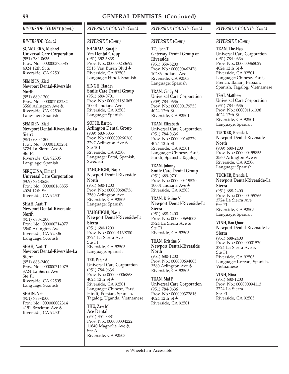# *RIVERSIDE COUNTY (Cont.)*

## *RIVERSIDE (Cont.)*

**SCAMURRA, Michael Universal Care Corporation** (951) 784-0636 Prov. No.: 000000375585 4024 12th St & Riverside, CA 92501

#### **SEMRIEN, Ziad Newport Dental-Riverside North**

(951) 680-1200 Prov. No.: 000001103282 3560 Arlington Ave Riverside, CA 92506 Language: Spanish

#### **SEMRIEN, Ziad Newport Dental-Riverside-La Sierra**

(951) 680-1200 Prov. No.: 000001103281 3724 La Sierra Ave Ste F1 Riverside, CA 92505 Language: Spanish

**SERQUINA, Elmer J Universal Care Corporation** (909) 784-0636 Prov. No.: 000000168855 4024 12th St Riverside, CA 92501

#### **SHAH, Aarti T Newport Dental-Riverside North**

(951) 680-1200 Prov. No.: 000000714077 3560 Arlington Ave Riverside, CA 92506 Language: Spanish

#### **SHAH, Aarti T Newport Dental-Riverside-La Sierra** (951) 688-2400

Prov. No.: 000000714079 3724 La Sierra Ave Ste F1 Riverside, CA 92505 Language: Spanish

**SHAIN, Nat** (951) 788-4500 Prov. No.: 000000002314 4151 Brockton Ave Riverside, CA 92501

# *RIVERSIDE COUNTY (Cont.)*

## *RIVERSIDE (Cont.)*

**SHARMA, Suraj P Vm Dental Group** (951) 352-5838 Prov. No.: 000000253692 5515 Van Buren Blvd Riverside, CA 92503 Language: Hindi, Spanish

**SINGH, Hardev Smile Care Dental Group** (951) 689-0701 Prov. No.: 000001181065 10001 Indiana Ave Riverside, CA 92503 Language: Spanish

**SOPER, Barton Arlington Dental Group** (909) 683-6055 Prov. No.: 000000266360 3297 Arlington Ave Ste 101 Riverside, CA 92506 Language: Farsi, Spanish, **Swedish** 

#### **TAHGHIGHI, Nasir Newport Dental-Riverside North**

(951) 680-1200 Prov. No.: 000000686736 3560 Arlington Ave Riverside, CA 92506 Language: Spanish

#### **TAHGHIGHI, Nasir Newport Dental-Riverside-La Sierra** (951) 680-1200 Prov. No.: 000001139780 3724 La Sierra Ave Ste F1 Riverside, CA 92505 Language: Spanish

**TEE, Peter A Universal Care Corporation** (951) 784-0636 Prov. No.: 000000006868 4024 12th St & Riverside, CA 92501 Language: Chinese, Farsi, Hindi, Persian, Spanish, Tagalog, Uganda, Vietnamese

**THU, Zaw M Ace Dental** (951) 351-8881 Prov. No.: 000000334222 11840 Magnolia Ave Ste A Riverside, CA 92503

# *RIVERSIDE COUNTY (Cont.)*

## *RIVERSIDE (Cont.)*

**TO, Joan T Gateway Dental Group of Riverside** (951) 359-5200 Prov. No.: 000000462476 10286 Indiana Ave Riverside, CA 92503 Language: Spanish

**TRAN, Cindy M Universal Care Corporation** (909) 784-0636 Prov. No.: 000000179753 4024 12th St Riverside, CA 92501

**TRAN, Elizabeth Universal Care Corporation** (951) 784-0636 Prov. No.: 000000168279 4024 12th St Riverside, CA 92501 Language: Chinese, Farsi, Hindi, Spanish, Tagalog

**TRAN, Johnny Smile Care Dental Group** (951) 689-0701 Prov. No.: 000000419520 10001 Indiana Ave Riverside, CA 92503

**TRAN, Kristine N Newport Dental-Riverside-La Sierra** (951) 688-2400 Prov. No.: 000000694003 3724 La Sierra Ave Ste F1 Riverside, CA 92505

**TRAN, Kristine N Newport Dental-Riverside North**

(951) 680-1200 Prov. No.: 000000694005 3560 Arlington Ave Riverside, CA 92506

**TRAN, Mai P Universal Care Corporation** (951) 784-0636 Prov. No.: 000000372816 4024 12th St Riverside, CA 92501

# *RIVERSIDE COUNTY (Cont.)*

## *RIVERSIDE (Cont.)*

**TRAN, The-Hao Universal Care Corporation** (951) 784-0636 Prov. No.: 000000368029 4024 12th St Riverside, CA 92501 Language: Chinese, Farsi, French, Italian, Persian, Spanish, Tagalog, Vietnamese

**TSAI, Matthew Universal Care Corporation** (951) 784-0636 Prov. No.: 000001161038 4024 12th St Riverside, CA 92501 Language: Spanish

**TUCKER, Brenda L Newport Dental-Riverside North** (909) 680-1200 Prov. No.: 000000455855 3560 Arlington Ave Riverside, CA 92506 Language: Spanish

**TUCKER, Brenda L Newport Dental-Riverside-La Sierra** (951) 688-2400 Prov. No.: 000000455766 3724 La Sierra Ave Ste F1 Riverside, CA 92505 Language: Spanish

**VINH, Bao Quoc Newport Dental-Riverside-La Sierra** (951) 688-2400 Prov. No.: 000000001570 3724 La Sierra Ave Ste F1

Riverside, CA 92505 Language: Korean, Spanish, Vietnamese

**VINH, Nina** (951) 680-1200 Prov. No.: 000000094113 3724 La Sierra Ste F1 Riverside, CA 92505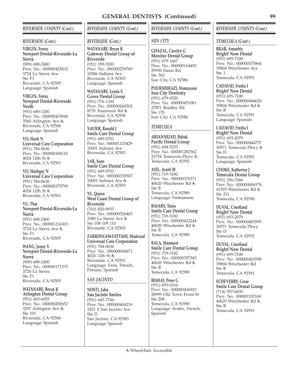## *RIVERSIDE COUNTY (Cont.)*

#### *RIVERSIDE (Cont.)*

**VIRGIN, Fenny Newport Dental-Riverside-La Sierra** (909) 688-2400 Prov. No.: 000000425832 3724 La Sierra Ave Ste F1 Riverside, CA 92505 Language: Spanish

**VIRGIN, Fenny Newport Dental-Riverside North** (951) 680-1200 Prov. No.: 000000425840 3560 Arlington Ave Riverside, CA 92506 Language: Spanish

**VO, Hanh N Universal Care Corporation** (951) 784-0636 Prov. No.: 000000368110 4024 12th St & Riverside, CA 92501

**VO, Hanhgoc N Universal Care Corporation** (951) 784-0636 Prov. No.: 000000375799 4024 12th St & Riverside, CA 92501

**VU, Thai Newport Dental-Riverside-La Sierra** (951) 688-2400 Prov. No.: 000001216303 3724 La Sierra Ave Ste F1 Riverside, CA 92505

**WANG, Jenny V Newport Dental-Riverside-La Sierra** (909) 688-2400 Prov. No.: 000000171375 3724 La Sierra Ste F1 Riverside, CA 92505

**WATANABE, Bryan K Arlington Dental Group** (951) 683-6055 Prov. No.: 000000200652 3297 Arlington Ave Ste 101 Riverside, CA 92506 Language: Spanish

# *RIVERSIDE COUNTY (Cont.)*

#### *RIVERSIDE (Cont.)*

**WATANABE, Bryan K Gateway Dental Group of Riverside** (951) 359-5200 Prov. No.: 000000259769 10286 Indiana Ave Riverside, CA 92503 Language: Spanish

**WATANABE, Lynda S Grove Dental Group** (951) 776-1330 Prov. No.: 000000260302 8735 Trautwein Rd Riverside, CA 92508 Language: Spanish

**XAVIER, Ronald J Smile Care Dental Group** (951) 689-0701 Prov. No.: 000001123429 10001 Indiana Ave Riverside, CA 92503

**YAR, Sean Smile Care Dental Group** (951) 689-0701 Prov. No.: 000000350507 10001 Indiana Ave & Riverside, CA 92503

**YU, Quinn West Coast Dental Group of Riverside** (310) 820-9933 Prov. No.: 000000326403 3380 La Sierra Ave Ste 108 109 110 Riverside, CA 92503

**ZARRINNAM-FATTAHI, Shahrzad Universal Care Corporation** (951) 784-0636 Prov. No.: 000000006871 4024 12th St & Riverside, CA 92501 Language: Farsi, French, Persian, Spanish

### *SAN JACINTO*

**NOSTI, John San Jacinto Smiles** (951) 645-7744 Prov. No.: 000000404219 1821 S San Jacinto Ave Ste D San Jacinto, CA 92583 Language: Spanish

## *RIVERSIDE COUNTY (Cont.)*

## *SUN CITY*

**GHAZAL, Carolyn G Menifee Dental Group** (951) 679-1667 Prov. No.: 000000164493 29950 Haun Rd Ste 302 Sun City, CA 92586

**POURSHIRAZI, Homayoun Sun City Dentistry** (951) 679-0520 Prov. No.: 000000451081 27851 Bradley Rd Ste 155 Sun City, CA 92586

### *TEMECULA*

**ARIANNEJAD, Babak Pacific Dental Group** (951) 694-5255 Prov. No.: 000001282562 31754 Temecula Pkwy Temecula, CA 92592

**ASIL, Arash M** (951) 719-3182 Prov. No.: 000000376571 40620 Winchester Rd Ste B Temecula, CA 92589 Language: Vietnamese

**BAJARS, Tania Smile Care Dental Group** (951) 719-3182 Prov. No.: 000000422244 40620 Winchester Rd Ste B Temecula, CA 92589

**BALA, Manmeet Smile Care Dental Group** (951) 719-3182 Prov. No.: 000000357545 40620 Winchester Rd Ste B Temecula, CA 92589

**BISHAY, Peter G** (951) 695-0310 Prov. No.: 000000436923 28999 Old Town Front St Ste 208 Temecula, CA 92590 Language: Arabic, French, Spanish

## *RIVERSIDE COUNTY (Cont.)*

#### *TEMECULA (Cont.)*

**BRAR, Amanbir Bright! Now Dental** (951) 695-7100 Prov. No.: 000000375864 39804 Winchester Ave  $Sta 1$ Temecula, CA 92591

**CADAVID, Fredia I Bright! Now Dental** (951) 695-7100 Prov. No.: 000000444620 39804 Winchester Rd Ste B Temecula, CA 92591 Language: Spanish

**CADAVID, Fredia I Bright! Now Dental** (951) 693-2079 Prov. No.: 000000444757 30571 Temecula Pkwy Ste D Temecula, CA 92592 Language: Spanish

**COOKE, Katherine J Temecula Dental Group** (951) 296-3366 Prov. No.: 000000006574 41593 Winchester Rd Ste 211 Temecula, CA 92590

**DUVAL, Courtland Bright! Now Dental** (951) 693-2079 Prov. No.: 000000403599 30571 Temecula Pkwy Ste D Temecula, CA 92592

**DUVAL, Courtland Bright! Now Dental** (951) 695-7100 Prov. No.: 000000403598 39804 Winchester Rd Ste B Temecula, CA 92591

**ECHEVERRY, Cesar Smile Care Dental Group** (714) 957-6030 Prov. No.: 000001192169 40620 Winchester Rd  $Sta$  B Temecula, CA 92591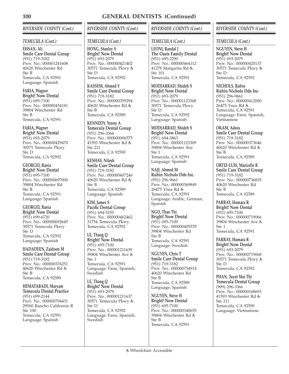# *RIVERSIDE COUNTY (Cont.)*

## *TEMECULA (Cont.)*

**EHSAN, Ali Smile Care Dental Group** (951) 719-3182 Prov. No.: 000001241608 40620 Winchester Rd Ste B Temecula, CA 92591 Language: Spanish

**FARIA, Wagner Bright! Now Dental** (951) 695-7100 Prov. No.: 000000434181 39804 Winchester Rd Ste B Temecula, CA 92591

**FARIA, Wagner Bright! Now Dental** (951) 693-2079 Prov. No.: 000000429470 30571 Temecula Pkwy Ste D Temecula, CA 92592

**GEORGEI, Rania Bright! Now Dental** (951) 695-7100 Prov. No.: 000000697000 39804 Winchester Rd Ste B Temecula, CA 92591 Language: Spanish

**GEORGEI, Rania Bright! Now Dental** (951) 699-6720 Prov. No.: 000000692645 30571 Temecula Pkwy Ste D Temecula, CA 92592 Language: Spanish

**HADADEEN, Zaidoon M Smile Care Dental Group** (951) 719-3182 Prov. No.: 000000376251 40620 Winchester Rd Ste B Temecula, CA 92589

**HEMATABADI, Maryam Temecula Dental Practice** (951) 699-2144 Prov. No.: 000000704431 29560 Rancho California R Ste 100 Temecula, CA 92591 Language: Spanish

# *RIVERSIDE COUNTY (Cont.)*

## *TEMECULA (Cont.)*

**HONG, Stanley S Bright! Now Dental** (951) 693-2079 Prov. No.: 000000421402 30571 Temecula Pkwy Ste D Temecula, CA 92592

**KASSEM, Ahmed Y Smile Care Dental Group** (951) 719-3182 Prov. No.: 000000359294 40620 Winchester Rd Ste B Temecula, CA 92589

**KENNEDY, Yenny A Temecula Dental Group** (951) 296-3366 Prov. No.: 000000006575 41593 Winchester Rd Ste 211 Temecula, CA 92590

**KESHAV, Nilesh Smile Care Dental Group** (951) 719-3182 Prov. No.: 000000407246 40620 Winchester Rd Ste B Temecula, CA 92589 Language: Spanish

**KIM, James S Pacific Dental Group** (951) 694-5255 Prov. No.: 000000462462 31754 Temecula Pkwy Temecula, CA 92592

**LE, Thang Q Bright! Now Dental** (951) 695-7100 Prov. No.: 000001211639 39804 Winchester Ave Ste 1 Temecula, CA 92591 Language: Farsi, Spanish, Swedish

**LE, Thang Q Bright! Now Dental** (951) 693-2079 Prov. No.: 000001211637 30571 Temecula Pkwy Ste D Temecula, CA 92592 Language: Farsi, Spanish, **Swedish** 

# *RIVERSIDE COUNTY (Cont.)*

## *TEMECULA (Cont.)*

**LEONI, Randal J The Oasis Family Dental** (951) 695-2290 Prov. No.: 000000464112 41278 Margarita Rd Ste 101 Temecula, CA 92591

**MODJARRAD, Shideh S Bright! Now Dental** (951) 693-2079 Prov. No.: 000001123308 30571 Temecula Pkwy Ste D Temecula, CA 92592 Language: Spanish

**MODJARRAD, Shideh S Bright! Now Dental** (951) 694-3863 Prov. No.: 000001123309 39804 Winchester Ave  $Ste 1$ Temecula, CA 92591 Language: Spanish

**NAJI, Ahmed M Rubin Nichols Dds Inc** (951) 296-9661 Prov. No.: 000000369849 26475 Ynez Rd Temecula, CA 92591 Language: Arabic, German, Spanish

**NGO, Thao Thi Bright! Now Dental** (951) 695-7100 Prov. No.: 000000405578 39804 Winchester Rd Ste B Temecula, CA 92591 Language: Swedish

**NGUYEN, Chris T Smile Care Dental Group** (951) 719-3182 Prov. No.: 000000734914 40620 Winchester Rd Ste B Temecula, CA 92589 Language: Spanish

**NGUYEN, Steve H Bright! Now Dental** (951) 695-7100 Prov. No.: 000000340655 39804 Winchester Rd Ste B Temecula, CA 92591

# *RIVERSIDE COUNTY (Cont.)*

## *TEMECULA (Cont.)*

**NGUYEN, Steve H Bright! Now Dental** (951) 693-2079 Prov. No.: 000000420137 30571 Temecula Pkwy Ste D Temecula, CA 92592

**NICHOLS, Rubin Rubin Nichols Dds Inc** (951) 296-9661 Prov. No.: 000000412000 26475 Ynez Rd Temecula, CA 92591 Language: Farsi, Spanish, Vietnamese

**OKAM, Adora Smile Care Dental Group** (951) 719-3182 Prov. No.: 000000373646 40620 Winchester Rd Ste B Temecula, CA 92589

**ORTIZ-LUIS, Maricelle R Smile Care Dental Group** (951) 719-3182 Prov. No.: 000000736835 40620 Winchester Rd Ste B Temecula, CA 92589

**PARRAY, Humara R Bright! Now Dental** (951) 695-7100 Prov. No.: 000000719066 39804 Winchester Ave Ste 1 Temecula, CA 92591

**PARRAY, Humara R Bright! Now Dental** (951) 693-2079 Prov. No.: 000000719068 30571 Temecula Pkwy Ste D Temecula, CA 92592

**PHAN, Tuyet Mai Thi Temecula Dental Group** (909) 296-3366 Prov. No.: 000000168693 41593 Winchester Rd Ste 211 Temecula, CA 92590 Language: Vietnamese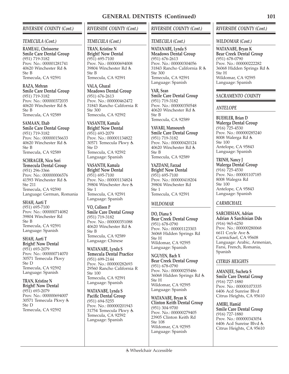## *RIVERSIDE COUNTY (Cont.)*

## *TEMECULA (Cont.)*

**RAMEAU, Chrissorne Smile Care Dental Group** (951) 719-3182 Prov. No.: 000001281741 40620 Winchester Rd Ste B Temecula, CA 92591

**RAZA, Mehran Smile Care Dental Group** (951) 719-3182 Prov. No.: 000000372035 40620 Winchester Rd Ste B Temecula, CA 92589

**SAMAAN, Ehab Smile Care Dental Group** (951) 719-3182 Prov. No.: 000000156633 40620 Winchester Rd Ste B Temecula, CA 92589

**SCHRAGER, Nicu Sori Temecula Dental Group** (951) 296-3366 Prov. No.: 000000006576 41593 Winchester Rd Ste 211 Temecula, CA 92590 Language: German, Romania

**SHAH, Aarti T** (951) 695-7100 Prov. No.: 000000714082 39804 Winchester Rd Ste B Temecula, CA 92591 Language: Spanish

**SHAH, Aarti T Bright! Now Dental** (951) 693-2079 Prov. No.: 000000714070 30571 Temecula Pkwy Ste D Temecula, CA 92592 Language: Spanish

**TRAN, Kristine N Bright! Now Dental** (951) 693-2079 Prov. No.: 000000694007 30571 Temecula Pkwy Ste D Temecula, CA 92592

# *RIVERSIDE COUNTY (Cont.)*

## *TEMECULA (Cont.)*

**TRAN, Kristine N Bright! Now Dental** (951) 695-7100 Prov. No.: 000000694008 39804 Winchester Rd Ste B Temecula, CA 92591

**VALA, Ghazal Meadows Dental Group** (951) 676-2613 Prov. No.: 000000462472 31843 Rancho California R Ste 300 Temecula, CA 92592

**VASANTH, Kamala Bright! Now Dental** (951) 693-2079 Prov. No.: 000001134822 30571 Temecula Pkwy Ste D Temecula, CA 92592 Language: Spanish

**VASANTH, Kamala Bright! Now Dental** (951) 695-7100 Prov. No.: 000001134824 39804 Winchester Ave Ste 1 Temecula, CA 92591 Language: Spanish

**VO, Colleen P Smile Care Dental Group** (951) 719-3182 Prov. No.: 000000351088 40620 Winchester Rd Ste B Temecula, CA 92589 Language: Chinese

**WATANABE, Lynda S Temecula Dental Practice** (951) 699-2144 Prov. No.: 000000282693 29560 Rancho California R Ste 100 Temecula, CA 92591 Language: Spanish

**WATANABE, Lynda S Pacific Dental Group** (951) 694-5255 Prov. No.: 000000201943 31754 Temecula Pkwy Temecula, CA 92592 Language: Spanish

# *RIVERSIDE COUNTY (Cont.)*

## *TEMECULA (Cont.)*

**WATANABE, Lynda S Meadows Dental Group** (951) 676-2613 Prov. No.: 000000304056 31843 Rancho California R  $Sta$  300 Temecula, CA 92591 Language: Spanish

**YAR, Sean Smile Care Dental Group** (951) 719-3182 Prov. No.: 000000350548 40620 Winchester Rd Ste B Temecula, CA 92589

**YAVARI, Mansoureh Smile Care Dental Group** (951) 719-3182 Prov. No.: 000000420124 40620 Winchester Rd & Ste B Temecula, CA 92589

**YAZDANI, Farzad Bright! Now Dental** (951) 695-7100 Prov. No.: 000000418204 39804 Winchester Rd Ste 1 Temecula, CA 92591

## *WILDOMAR*

**DO, Diana S Bear Creek Dental Group** (951) 678-0790 Prov. No.: 000001123303 36068 Hidden Springs Rd Ste H Wildomar, CA 92595 Language: Spanish

**NGUYEN, Bach X Bear Creek Dental Group** (951) 678-0790 Prov. No.: 000000255486 36068 Hidden Springs Rd Ste H Wildomar, CA 92595 Language: Spanish

**WATANABE, Bryan K Clinton Keith Dental Group** (951) 304-9700 Prov. No.: 000000279405 23905 Clinton Keith Rd Ste 108 Wildomar, CA 92595 Language: Spanish

## *RIVERSIDE COUNTY (Cont.)*

## *WILDOMAR (Cont.)*

**WATANABE, Bryan K Bear Creek Dental Group** (951) 678-0790 Prov. No.: 000000222282 36068 Hidden Springs Rd Ste H Wildomar, CA 92595 Language: Spanish

## *SACRAMENTO COUNTY*

## *ANTELOPE*

**BUEHLER, Brian D Walerga Dental Group** (916) 725-4530 Prov. No.: 000000285240 8008 Walerga Rd Ste 100 Antelope, CA 95843 Language: Spanish

**TRINH, Nancy J Walerga Dental Group** (916) 725-4530 Prov. No.: 000001107185 8008 Walegra Rd Ste 100 Antelope, CA 95843 Language: Spanish

## *CARMICHAEL*

**SARCHISIAN, Adrian Adrian A Sarchisian Dds** (916) 965-6250 Prov. No.: 000000280068 6611 Coyle Ave Carmichael, CA 95608 Language: Arabic, Armenian, Farsi, French, Romania, Spanish

## *CITRUS HEIGHTS*

**AMANJEE, Sucheta S Smile Care Dental Group** (916) 727-1880 Prov. No.: 000001073335 6406 Acd Sunrise Blvd Citrus Heights, CA 95610

**AMIRI, Hamid Smile Care Dental Group** (916) 727-1880 Prov. No.: 000000343054 6406 Acd Sunrise Blvd Citrus Heights, CA 95610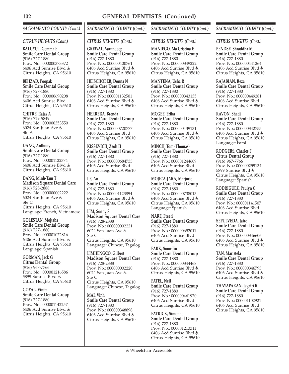# *SACRAMENTO COUNTY (Cont.)*

## *CITRUS HEIGHTS (Cont.)*

**BALUYUT, Gemma F Smile Care Dental Group** (916) 727-1880 Prov. No.: 000000373372 6406 Acd Sunrise Blvd Citrus Heights, CA 95610

**BEHZAD, Poopak Smile Care Dental Group** (916) 727-1880 Prov. No.: 000000690208 6406 Acd Sunrise Blvd Citrus Heights, CA 95610

**CHITRE, Rajas A** (916) 729-5849 Prov. No.: 000000353550 6024 San Juan Ave Ste A Citrus Heights, CA 95610

**DANG, Anthony Smile Care Dental Group** (916) 727-1880 Prov. No.: 000001122374 6406 Acd Sunrise Blvd Citrus Heights, CA 95610

**DANG, Minh-Tam T Madison Square Dental Care** (916) 728-2888 Prov. No.: 000000002222 6024 San Juan Ave Ste C Citrus Heights, CA 95610 Language: French, Vietnamese

**GOLESTAN, Mojtaba Smile Care Dental Group** (916) 727-1880 Prov. No.: 000001072816 6406 Acd Sunrise Blvd Citrus Heights, CA 95610 Language: Spanish

**GORMAN, Jack G Citrus Dental Group** (916) 967-7766 Prov. No.: 000001216586 5899 Sunrise Blvd Citrus Heights, CA 95610

**GOYAL, Vinita Smile Care Dental Group** (916) 727-1880 Prov. No.: 000001142257 6406 Acd Sunrise Blvd Citrus Heights, CA 95610

# *SACRAMENTO COUNTY (Cont.)*

## *CITRUS HEIGHTS (Cont.)*

**GREWAL, Varundeep Smile Care Dental Group** (916) 727-1880 Prov. No.: 000000400761 6406 Acd Sunrise Blvd Citrus Heights, CA 95610

**HEISCHOBER, Donna N Smile Care Dental Group** (916) 727-1880 Prov. No.: 000001132501 6406 Acd Sunrise Blvd Citrus Heights, CA 95610

**HERRERA, Brenda Smile Care Dental Group** (916) 727-1880 Prov. No.: 000000720777 6406 Acd Sunrise Blvd Citrus Heights, CA 95610

**KISSEVICH, Zsolt H Smile Care Dental Group** (916) 727-1880 Prov. No.: 000000684733 6406 Acd Sunrise Blvd Citrus Heights, CA 95610

**LE, An Smile Care Dental Group** (916) 727-1880 Prov. No.: 000001123894 6406 Acd Sunrise Blvd Citrus Heights, CA 95610

**LIM, Sonny S Madison Square Dental Care** (916) 728-2888 Prov. No.: 000000002221 6024 San Juan Ave Ste C Citrus Heights, CA 95610 Language: Chinese, Tagalog

**LIMHENGCO, Gilbert Madison Square Dental Care** (916) 728-2888 Prov. No.: 000000002220 6024 San Juan Ave Ste C Citrus Heights, CA 95610 Language: Chinese, Tagalog

**MAI, Vinh Smile Care Dental Group** (916) 727-1880 Prov. No.: 000000348898 6406 Acd Sunrise Blvd Citrus Heights, CA 95610

# *SACRAMENTO COUNTY (Cont.)*

## *CITRUS HEIGHTS (Cont.)*

**MANIEGO, Ma Cristina E Smile Care Dental Group** (916) 727-1880 Prov. No.: 000000349222 6406 Acd Sunrise Blvd Citrus Heights, CA 95610

**MANTENA, Usha R Smile Care Dental Group** (916) 727-1880 Prov. No.: 000000343135 6406 Acd Sunrise Blvd Citrus Heights, CA 95610

**MCGEE, Erika Smile Care Dental Group** (916) 727-1880 Prov. No.: 000000439131 6406 Acd Sunrise Blvd Citrus Heights, CA 95610

**MINCH, Tom (Thomas) Smile Care Dental Group** (916) 727-1880 Prov. No.: 000001244609 6406 Acd Sunrise Blvd Citrus Heights, CA 95610

**MOJICA-JARA, Marjorie Smile Care Dental Group** (916) 727-1880 Prov. No.: 000000738013 6406 Acd Sunrise Blvd Citrus Heights, CA 95610 Language: Spanish

**NARE, Preeti Smile Care Dental Group** (916) 727-1880 Prov. No.: 000000692011 6406 Acd Sunrise Blvd Citrus Heights, CA 95610

**PARK, Soon-Jin Smile Care Dental Group** (916) 727-1880 Prov. No.: 000000344468 6406 Acd Sunrise Blvd Citrus Heights, CA 95610

**PATEL, Neil Smile Care Dental Group** (916) 727-1880 Prov. No.: 000000461970 6406 Acd Sunrise Blvd Citrus Heights, CA 95610

**PATRICK, Simonne Smile Care Dental Group** (916) 727-1880 Prov. No.: 000001213311 6406 Acd Sunrise Blvd Citrus Heights, CA 95610

# *SACRAMENTO COUNTY (Cont.)*

## *CITRUS HEIGHTS (Cont.)*

**PENDSE, Shraddha M Smile Care Dental Group** (916) 727-1880 Prov. No.: 000000441264 6406 Acd Sunrise Blvd Citrus Heights, CA 95610

**RAJABIAN, Reza Smile Care Dental Group** (916) 727-1880 Prov. No.: 000000449281 6406 Acd Sunrise Blvd Citrus Heights, CA 95610

**RAVON, Shadi Smile Care Dental Group** (916) 727-1880 Prov. No.: 000000342755 6406 Acd Sunrise Blvd Citrus Heights, CA 95610 Language: Farsi

**RODGERS, Charles F Citrus Dental Group** (916) 967-7766 Prov. No.: 000000259134 5899 Sunrise Blvd Citrus Heights, CA 95610 Language: Spanish

**RODRIGUEZ, Paulyn C Smile Care Dental Group** (916) 727-1880 Prov. No.: 000001141507 6406 Acd Sunrise Blvd Citrus Heights, CA 95610

**SEPULVEDA, Jairo Smile Care Dental Group** (916) 727-1880 Prov. No.: 000000346606 6406 Acd Sunrise Blvd Citrus Heights, CA 95610

**TAN, Maristela Smile Care Dental Group** (916) 727-1880 Prov. No.: 000000346793 6406 Acd Sunrise Blvd Citrus Heights, CA 95610

**THAYAPARAN, Jegatri R Smile Care Dental Group** (916) 727-1880 Prov. No.: 000001102921 6406 Acd Sunrise Blvd Citrus Heights, CA 95610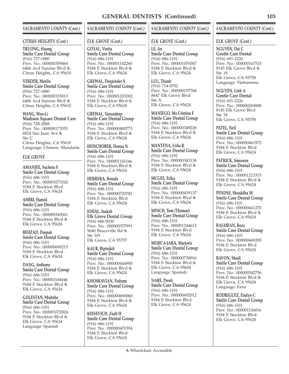# *SACRAMENTO COUNTY (Cont.)*

#### *CITRUS HEIGHTS (Cont.)*

**TRUONG, Hoang Smile Care Dental Group** (916) 727-1880 Prov. No.: 000000359460 6406 Acd Sunrise Blvd Citrus Heights, CA 95610

**VERDER, Marilu Smile Care Dental Group** (916) 727-1880 Prov. No.: 000000335813 6406 Acd Sunrise Blvd Citrus Heights, CA 95610

**WANG, Wen-Li Madison Square Dental Care** (916) 728-2888 Prov. No.: 000000173553 6024 San Juan Ave Ste C Citrus Heights, CA 95610 Language: Chinese, Mandarin

## *ELK GROVE*

**AMANJEE, Sucheta S Smile Care Dental Group** (916) 686-1101 Prov. No.: 000001073342 9184 E Stockton Blvd Elk Grove, CA 95624

**AMIRI, Hamid Smile Care Dental Group** (916) 686-1101 Prov. No.: 000000343061 9184 E Stockton Blvd Elk Grove, CA 95624

**BEHZAD, Poopak Smile Care Dental Group** (916) 686-1101 Prov. No.: 000000690215 9184 E Stockton Blvd Elk Grove, CA 95624

**DANG, Anthony Smile Care Dental Group** (916) 686-1101 Prov. No.: 000001104446 9184 E Stockton Blvd Elk Grove, CA 95624

**GOLESTAN, Mojtaba Smile Care Dental Group** (916) 686-1101 Prov. No.: 000001072824 9184 E Stockton Blvd Elk Grove, CA 95624 Language: Spanish

# *SACRAMENTO COUNTY (Cont.)*

#### *ELK GROVE (Cont.)*

**GOYAL, Vinita Smile Care Dental Group** (916) 686-1101 Prov. No.: 000001142260 9184 E Stockton Blvd Elk Grove, CA 95624

**GREWAL, Deepinder S Smile Care Dental Group** (916) 686-1101 Prov. No.: 000001203382 9184 E Stockton Blvd Elk Grove, CA 95624

**GREWAL, Varundeep Smile Care Dental Group** (916) 686-1101 Prov. No.: 000000400773 9184 E Stockton Blvd Elk Grove, CA 95624

**HEISCHOBER, Donna N Smile Care Dental Group** (916) 686-1101 Prov. No.: 000001141166 9184 E Stockton Blvd Elk Grove, CA 95624

**HERRERA, Brenda Smile Care Dental Group** (916) 688-1101 Prov. No.: 000000720781 9184 E Stockton Blvd Elk Grove, CA 95624

**JOHAL, Inaksh Elk Grove Dental Group** (916) 686-9030 Prov. No.: 000000357991 9640 Bruceville Rd Ste 101 Elk Grove, CA 95757

**KAUR, Bipinjkit Smile Care Dental Group** (916) 686-1101 Prov. No.: 000000444900 9184 E Stockton Blvd Elk Grove, CA 95624

**KHOSRAVIAN, Pedram Smile Care Dental Group** (916) 686-1101 Prov. No.: 000000690060 9184 E Stockton Blvd Elk Grove, CA 95624

**KISSEVICH, Zsolt H Smile Care Dental Group** (916) 686-1101 Prov. No.: 000000470394 9184 E Stockton Blvd Elk Grove, CA 95624

# *SACRAMENTO COUNTY (Cont.)*

#### *ELK GROVE (Cont.)*

**LE, An Smile Care Dental Group** (916) 686-1101 Prov. No.: 000001076587 9184 E Stockton Blvd Elk Grove, CA 95624

**LUU, Thanh** (916) 714-0702 Prov. No.: 000000157768 8647 Elk Grove Blvd Ste A Elk Grove, CA 95624

**MANIEGO, Ma Cristina E Smile Care Dental Group** (916) 686-1101 Prov. No.: 000000349228 9184 E Stockton Blvd Elk Grove, CA 95624

**MANTENA, Usha R Smile Care Dental Group** (916) 686-1101 Prov. No.: 000000343138 9184 E Stockton Blvd Elk Grove, CA 95624

**MCGEE, Erika Smile Care Dental Group** (916) 686-1101 Prov. No.: 000000439137 9184 E Stockton Blvd Elk Grove, CA 95624

**MINCH, Tom (Thomas) Smile Care Dental Group** (916) 686-1101 Prov. No.: 000001244612 9184 E Stockton Blvd Elk Grove, CA 95624

**MOJICA-JARA, Marjorie Smile Care Dental Group** (916) 686-1101 Prov. No.: 000000738016 9184 E Stockton Blvd Elk Grove, CA 95624 Language: Spanish

**NARE, Preeti Smile Care Dental Group** (916) 686-1101 Prov. No.: 000000692012 9184 E Stockton Blvd Elk Grove, CA 95624

## *SACRAMENTO COUNTY (Cont.)*

### *ELK GROVE (Cont.)*

**NGUYEN, Dai C Gentle Care Dental** (916) 691-2226 Prov. No.: 000000167533 8145 Elk Grove Blvd Ste 18 Elk Grove, CA 95758 Language: Vietnamese

**NGUYEN, Linh A Gentle Care Dental** (916) 691-2226 Prov. No.: 000000265888 8145 Elk Grove Blvd Ste 18 Elk Grove, CA 95758

**PATEL, Neil Smile Care Dental Group** (916) 686-1101 Prov. No.: 000000461972 9184 E Stockton Blvd Elk Grove, CA 95624

**PATRICK, Simonne Smile Care Dental Group** (916) 686-1101 Prov. No.: 000001213315 9184 E Stockton Blvd Elk Grove, CA 95624

**PENDSE, Shraddha M Smile Care Dental Group** (916) 686-1101 Prov. No.: 000000441270 9184 E Stockton Blvd Elk Grove, CA 95624

**RAJABIAN, Reza Smile Care Dental Group** (916) 686-1101 Prov. No.: 000000449285 9184 E Stockton Blvd Elk Grove, CA 95624

**RAVON, Shadi Smile Care Dental Group** (916) 686-1101 Prov. No.: 000000342756 9184 E Stockton Blvd Elk Grove, CA 95624 Language: Farsi

**RODRIGUEZ, Paulyn C Smile Care Dental Group** (916) 686-1101 Prov. No.: 000001136016 9184 E Stockton Blvd Elk Grove, CA 95624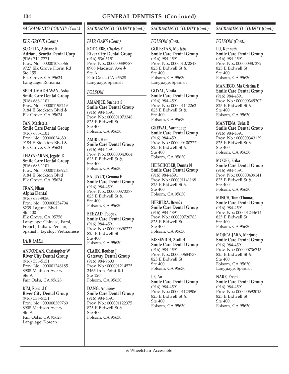# *SACRAMENTO COUNTY (Cont.)*

## *ELK GROVE (Cont.)*

**SCORTIA, Adriane R Adriane Scortia Dental Corp** (916) 714-7771 Prov. No.: 000001075566 9727 Elk Grove Florin Rd Ste 155 Elk Grove, CA 95624 Language: Romania

**SETHU-MADHAVAN, Asha Smile Care Dental Group** (916) 686-1101 Prov. No.: 000001195249 9184 E Stockton Blvd Elk Grove, CA 95624

**TAN, Maristela Smile Care Dental Group** (916) 686-1101 Prov. No.: 000000346801 9184 E Stockton Blvd Elk Grove, CA 95624

**THAYAPARAN, Jegatri R Smile Care Dental Group** (916) 686-1101 Prov. No.: 000001106924 9184 E Stockton Blvd Elk Grove, CA 95624

**TRAN, Nhan Alpha Dental** (916) 683-9080 Prov. No.: 000000254704 8239 Laguna Blvd Ste 100 Elk Grove, CA 95758 Language: Chinese, Farsi, French, Italian, Persian, Spanish, Tagalog, Vietnamese

### *FAIR OAKS*

**ANDONIAN, Christopher W River City Dental Group** (916) 536-5151 Prov. No.: 000001248185 8908 Madison Ave Ste A Fair Oaks, CA 95628

**KIM, Ronald C River City Dental Group** (916) 536-5151 Prov. No.: 000000389769 8908 Madison Ave Ste A Fair Oaks, CA 95628 Language: Korean

# *SACRAMENTO COUNTY (Cont.)*

## *FAIR OAKS (Cont.)*

**RODGERS, Charles F River City Dental Group** (916) 536-5151 Prov. No.: 000000389787 8908 Madison Ave  $Sta \Delta$ Fair Oaks, CA 95628 Language: Spanish

# *FOLSOM*

**AMANJEE, Sucheta S Smile Care Dental Group** (916) 984-4591 Prov. No.: 000001073348 825 E Bidwell St Ste 400 Folsom, CA 95630

**AMIRI, Hamid Smile Care Dental Group** (916) 984-4591 Prov. No.: 000000343064 825 E Bidwell St Ste 400 Folsom, CA 95630

**BALUYUT, Gemma F Smile Care Dental Group** (916) 984-4591 Prov. No.: 000000373377 825 E Bidwell St Ste 400 Folsom, CA 95630

**BEHZAD, Poopak Smile Care Dental Group** (916) 984-4591 Prov. No.: 000000690222 825 E Bidwell St Ste 400 Folsom, CA 95630

**CLARK, Reuben J Gateway Dental Group** (916) 984-9600 Prov. No.: 000001214575 2465 Iron Point Rd Ste 120 Folsom, CA 95630

**DANG, Anthony Smile Care Dental Group** (916) 984-4591 Prov. No.: 000001122375 825 E Bidwell St Ste 400 Folsom, CA 95630

# *SACRAMENTO COUNTY (Cont.)*

## *FOLSOM (Cont.)*

**GOLESTAN, Mojtaba Smile Care Dental Group** (916) 984-4591 Prov. No.: 000001072848 825 E Bidwell St Ste 400 Folsom, CA 95630 Language: Spanish

**GOYAL, Vinita Smile Care Dental Group** (916) 984-4591 Prov. No.: 000001142262 825 E Bidwell St Ste 400 Folsom, CA 95630

**GREWAL, Varundeep Smile Care Dental Group** (916) 984-4591 Prov. No.: 000000400777 825 E Bidwell St Ste 400 Folsom, CA 95630

**HEISCHOBER, Donna N Smile Care Dental Group** (916) 984-4591 Prov. No.: 000001141168 825 E Bidwell St Ste 400 Folsom, CA 95630

**HERRERA, Brenda Smile Care Dental Group** (916) 984-4891 Prov. No.: 000000720783 825 E Bidwell St Ste 400 Folsom, CA 95630

**KISSEVICH, Zsolt H Smile Care Dental Group** (916) 984-4591 Prov. No.: 000000684737 825 E Bidwell St Ste 400 Folsom, CA 95630

**LE, An Smile Care Dental Group** (916) 984-4591 Prov. No.: 000001123906 825 E Bidwell St Ste 400 Folsom, CA 95630

# *SACRAMENTO COUNTY (Cont.)*

## *FOLSOM (Cont.)*

**LU, Kenneth Smile Care Dental Group** (916) 984-4591 Prov. No.: 000000387372 825 E Bidwell St Ste 400 Folsom, CA 95630

**MANIEGO, Ma Cristina E Smile Care Dental Group** (916) 984-4591 Prov. No.: 000000349307 825 E Bidwell St Ste 400 Folsom, CA 95630

**MANTENA, Usha R Smile Care Dental Group** (916) 984-4591 Prov. No.: 000000343139 825 E Bidwell St Ste 400 Folsom, CA 95630

**MCGEE, Erika Smile Care Dental Group** (916) 984-4591 Prov. No.: 000000439141 825 E Bidwell St Ste 400 Folsom, CA 95630

**MINCH, Tom (Thomas) Smile Care Dental Group** (916) 984-4591 Prov. No.: 000001244614 825 E Bidwell St Ste 400 Folsom, CA 95630

**MOJICA-JARA, Marjorie Smile Care Dental Group** (916) 984-4591 Prov. No.: 000000736743 825 E Bidwell St Ste 400 Folsom, CA 95630 Language: Spanish

**NARE, Preeti Smile Care Dental Group** (916) 984-4591 Prov. No.: 000000692013 825 E Bidwell St Ste 400 Folsom, CA 95630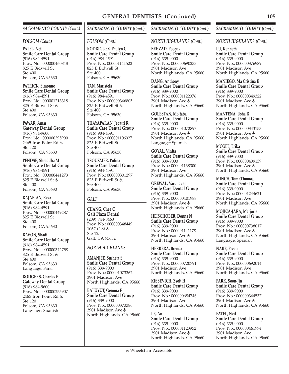## *SACRAMENTO COUNTY (Cont.)*

## *FOLSOM (Cont.)*

**PATEL, Neil Smile Care Dental Group** (916) 984-4591 Prov. No.: 000000460848 825 E Bidwell St Ste 400 Folsom, CA 95630

**PATRICK, Simonne Smile Care Dental Group** (916) 984-4591 Prov. No.: 000001213318 825 E Bidwell St Ste 400 Folsom, CA 95630

**PAWAR, Amar Gateway Dental Group** (916) 984-9600 Prov. No.: 000000395900 2465 Iron Point Rd Ste 120 Folsom, CA 95630

**PENDSE, Shraddha M Smile Care Dental Group** (916) 984-4591 Prov. No.: 000000441273 825 E Bidwell St Ste 400 Folsom, CA 95630

**RAJABIAN, Reza Smile Care Dental Group** (916) 984-4591 Prov. No.: 000000449287 825 E Bidwell St Ste 400 Folsom, CA 95630

**RAVON, Shadi Smile Care Dental Group** (916) 984-4591 Prov. No.: 000000342758 825 E Bidwell St Ste 400 Folsom, CA 95630 Language: Farsi

**RODGERS, Charles F Gateway Dental Group** (916) 984-9600 Prov. No.: 000000255907 2465 Iron Point Rd Ste 120 Folsom, CA 95630 Language: Spanish

# *SACRAMENTO COUNTY (Cont.)*

## *FOLSOM (Cont.)*

**RODRIGUEZ, Paulyn C Smile Care Dental Group** (916) 984-4591 Prov. No.: 000001141522 825 E Bidwell St Ste 400 Folsom, CA 95630

**TAN, Maristela Smile Care Dental Group** (916) 984-4591 Prov. No.: 000000346805 825 E Bidwell St Ste 400 Folsom, CA 95630

**THAYAPARAN, Jegatri R Smile Care Dental Group** (916) 984-4591 Prov. No.: 000001106927 825 E Bidwell St Ste 400 Folsom, CA 95630

**TSOUZMER, Polina Smile Care Dental Group** (916) 984-4591 Prov. No.: 000000301297 825 E Bidwell St Ste 400 Folsom, CA 95630

# *GALT*

**CHANG, Chee C Galt Plaza Dental** (209) 744-0463 Prov. No.: 000000348449 1067 C St Ste 125 Galt, CA 95632

## *NORTH HIGHLANDS*

**AMANJEE, Sucheta S Smile Care Dental Group** (916) 339-9000 Prov. No.: 000001073362 3901 Madison Ave North Highlands, CA 95660

**BALUYUT, Gemma F Smile Care Dental Group** (916) 339-9000 Prov. No.: 000000373386 3901 Madison Ave North Highlands, CA 95660

# *SACRAMENTO COUNTY (Cont.)*

#### *NORTH HIGHLANDS (Cont.)*

**BEHZAD, Poopak Smile Care Dental Group** (916) 339-9000 Prov. No.: 000000690233 3901 Madison Ave North Highlands, CA 95660

**DANG, Anthony Smile Care Dental Group** (916) 339-9000 Prov. No.: 000001122376 3901 Madison Ave North Highlands, CA 95660

**GOLESTAN, Mojtaba Smile Care Dental Group** (916) 339-9000 Prov. No.: 000001072897 3901 Madison Ave North Highlands, CA 95660 Language: Spanish

**GOYAL, Vinita Smile Care Dental Group** (916) 339-9000 Prov. No.: 000001138300 3901 Madison Ave North Highlands, CA 95660

**GREWAL, Varundeep Smile Care Dental Group** (916) 339-9000 Prov. No.: 000000401988 3901 Madison Ave North Highlands, CA 95660

**HEISCHOBER, Donna N Smile Care Dental Group** (916) 339-9000 Prov. No.: 000001141178 3901 Madison Ave North Highlands, CA 95660

**HERRERA, Brenda Smile Care Dental Group** (916) 339-9000 Prov. No.: 000000720791 3901 Madison Ave North Highlands, CA 95660

**KISSEVICH, Zsolt H Smile Care Dental Group** (916) 339-9000 Prov. No.: 000000684746 3901 Madison Ave North Highlands, CA 95660

**LE, An Smile Care Dental Group** (916) 339-9000 Prov. No.: 000001123952 3901 Madison Ave North Highlands, CA 95660

## *SACRAMENTO COUNTY (Cont.)*

#### *NORTH HIGHLANDS (Cont.)*

**LU, Kenneth Smile Care Dental Group** (916) 339-9000 Prov. No.: 000000376989 3901 Madison Ave North Highlands, CA 95660

**MANIEGO, Ma Cristina E Smile Care Dental Group** (916) 339-9000 Prov. No.: 000000349322 3901 Madison Ave North Highlands, CA 95660

**MANTENA, Usha R Smile Care Dental Group** (916) 339-9000 Prov. No.: 000000343153 3901 Madison Ave North Highlands, CA 95660

**MCGEE, Erika Smile Care Dental Group** (916) 339-9000 Prov. No.: 000000439159 3901 Madison Ave North Highlands, CA 95660

**MINCH, Tom (Thomas) Smile Care Dental Group** (916) 339-9000 Prov. No.: 000001244621 3901 Madison Ave North Highlands, CA 95660

**MOJICA-JARA, Marjorie Smile Care Dental Group** (916) 339-9000 Prov. No.: 000000738017 3901 Madison Ave North Highlands, CA 95660 Language: Spanish

**NARE, Preeti Smile Care Dental Group** (916) 339-9000 Prov. No.: 000000692014 3901 Madison Ave North Highlands, CA 95660

**PARK, Soon-Jin Smile Care Dental Group** (916) 339-9000 Prov. No.: 000000344537 3901 Madison Ave North Highlands, CA 95660

**PATEL, Neil Smile Care Dental Group** (916) 339-9000 Prov. No.: 000000461974 3901 Madison Ave North Highlands, CA 95660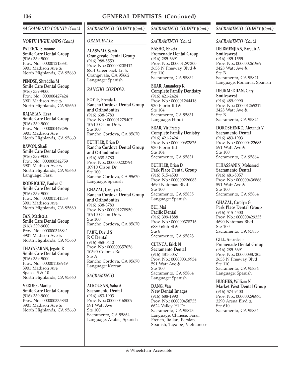# *SACRAMENTO COUNTY (Cont.)*

#### *NORTH HIGHLANDS (Cont.)*

**PATRICK, Simonne Smile Care Dental Group** (916) 339-9000 Prov. No.: 000001213331 3901 Madison Ave North Highlands, CA 95660

**PENDSE, Shraddha M Smile Care Dental Group** (916) 339-9000 Prov. No.: 000000427424 3901 Madison Ave North Highlands, CA 95660

**RAJABIAN, Reza Smile Care Dental Group** (916) 339-9000 Prov. No.: 000000449296 3901 Madison Ave North Highlands, CA 95660

**RAVON, Shadi Smile Care Dental Group** (916) 339-9000 Prov. No.: 000000342759 3901 Madison Ave North Highlands, CA 95660 Language: Farsi

**RODRIGUEZ, Paulyn C Smile Care Dental Group** (916) 339-9000 Prov. No.: 000001141538 3901 Madison Ave North Highlands, CA 95660

**TAN, Maristela Smile Care Dental Group** (916) 339-9000 Prov. No.: 000000346841 3901 Madison Ave North Highlands, CA 95660

**THAYAPARAN, Jegatri R Smile Care Dental Group** (916) 339-9000 Prov. No.: 000001106949 3901 Madison Ave Spaces 5 & 10 North Highlands, CA 95660

**VERDER, Marilu Smile Care Dental Group** (916) 339-9000 Prov. No.: 000000335830 3901 Madison Ave North Highlands, CA 95660 *SACRAMENTO COUNTY (Cont.)*

#### *ORANGEVALE*

**ALASWAD, Samir Orangevale Dental Group** (916) 988-5559 Prov. No.: 000000208412 8851 Greenback Ln Orangevale, CA 95662 Language: Spanish

## *RANCHO CORDOVA*

**BOYTE, Brenda L Rancho Cordova Dental Group and Orthodontics** (916) 638-3780 Prov. No.: 000001279407 10910 Olson Dr Ste 100 Rancho Cordova, CA 95670

**BUEHLER, Brian D Rancho Cordova Dental Group and Orthodontics** (916) 638-3780 Prov. No.: 000000202794 10910 Olson Dr Ste 100 Rancho Cordova, CA 95670 Language: Spanish

**GHAZAL, Carolyn G Rancho Cordova Dental Group and Orthodontics** (916) 638-3780 Prov. No.: 000001278950 10910 Olson Dr Ste 100 Rancho Cordova, CA 95670

**PARK, David S R C Dental** (916) 368-0440 Prov. No.: 000000357056 10390 Coloma Rd Ste A Rancho Cordova, CA 95670 Language: Korean

# *SACRAMENTO*

**ALROUSAN, Saba A Sacramento Dental** (916) 483-1903 Prov. No.: 000000468009 591 Watt Ave Ste 100 Sacramento, CA 95864 Language: Arabic, Spanish

# *SACRAMENTO COUNTY (Cont.)*

## *SACRAMENTO (Cont.)*

**BASHO, Shveta Promenade Dental Group** (916) 285-6691 Prov. No.: 000001297300 3635 N Freeway Blvd Ste 110 Sacramento, CA 95834

**BRAR, Amandeep K Complete Family Dentistry** (916) 421-2424 Prov. No.: 000001244418 930 Florin Rd Ste 104 Sacramento, CA 95831 Language: Hindi

**BRAR, Vir Pratap Complete Family Denistry** (916) 421-2424 Prov. No.: 000000682876 930 Florin Rd Ste 104 Sacramento, CA 95831

**BUEHLER, Brian D Park Place Dental Group** (916) 515-4500 Prov. No.: 000000226083 4690 Natomas Blvd Ste 100 Sacramento, CA 95835 Language: Spanish

**BUI, Mai Pacific Dental** (916) 399-1888 Prov. No.: 000000378216 6880 65th St  $Sta 8$ Sacramento, CA 95828

**CUENCA, Erick N Sacramento Dental** (916) 481-5057 Prov. No.: 000000319934 591 Watt Ave Ste 100 Sacramento, CA 95864 Language: Spanish

**DANG, Van New Dental Images** (916) 688-1990 Prov. No.: 000000458735 6624 Valley Hi Dr Sacramento, CA 95823 Language: Chinese, Farsi, French, Italian, Persian, Spanish, Tagalog, Vietnamese

## *SACRAMENTO COUNTY (Cont.)*

#### *SACRAMENTO (Cont.)*

**DEIRMENJIAN, Barouir A Smileswest** (916) 485-1555 Prov. No.: 000000261969 3428 Watt Ave Ste B Sacramento, CA 95821 Language: Romania, Spanish

**DEUKMEDJIAN, Gary Smileswest** (916) 489-9990 Prov. No.: 000001265211 3428 Watt Ave &

Ste B Sacramento, CA 95824

**DOROSHENKO, Alexandr V Sacramento Dental** (916) 483-1903 Prov. No.: 000000422685 591 Watt Ave Ste 100 Sacramento, CA 95864

**ELHASSANIN, Mohamed Sacramento Dental** (916) 481-5057 Prov. No.: 000000436866 591 Watt Ave Ste 100 Sacramento, CA 95864

**GHAZAL, Carolyn G Park Place Dental Group** (916) 515-4500 Prov. No.: 000000429335 4690 Natomas Blvd Ste 100 Sacramento, CA 95835

**GILL, Amardeep Promenade Dental Group** (916) 285-6691 Prov. No.: 000000387205 3635 N Freeway Blvd Ste 110 Sacramento, CA 95834 Language: Spanish

**HUGHES, William N Market West Dental Group** (916) 574-9400 Prov. No.: 000000296975 3290 Arena Blvd Ste 610 Sacramento, CA 95834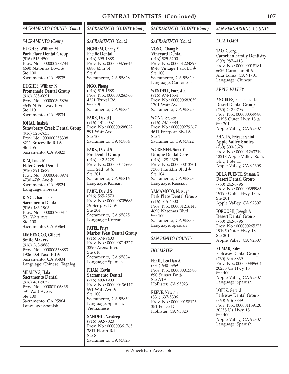## *SACRAMENTO COUNTY (Cont.)*

#### *SACRAMENTO (Cont.)*

**HUGHES, William M Park Place Dental Group** (916) 515-4500 Prov. No.: 000000288734 4690 Natomas Blvd  $Sta 100$ Sacramento, CA 95835

**HUGHES, William N Promenade Dental Group** (916) 285-6691 Prov. No.: 000000395896 3635 N Freeway Blvd Ste 110 Sacramento, CA 95834

**JOHAL, Inaksh Strawberry Creek Dental Group** (916) 525-7635 Prov. No.: 000000358308 8211 Bruceville Rd Ste 155 Sacramento, CA 95823

**KIM, Louis M Elder Creek Dental** (916) 391-0682 Prov. No.: 000000400974 4730 47th Ave Sacramento, CA 95824 Language: Korean

**KING, Charlene P Sacramento Dental** (916) 483-1903 Prov. No.: 000000700341 591 Watt Ave Ste 100 Sacramento, CA 95864

**LIMHENGCO, Gilbert Smile Makers** (916) 263-9888 Prov. No.: 000000368883 1906 Del Paso Rd Sacramento, CA 95834 Language: Chinese, Tagalog

**MEALING, Hala Sacramento Dental** (916) 481-5057 Prov. No.: 000001106835 591 Watt Ave Ste 100 Sacramento, CA 95864 Language: Spanish

# *SACRAMENTO COUNTY (Cont.)*

#### *SACRAMENTO (Cont.)*

**NGHIEM, Chang X Pacific Dental** (916) 399-1888 Prov. No.: 000000376646 6880 65th St  $Sta 8$ Sacramento, CA 95828

**NGO, Phong** (916) 515-1588 Prov. No.: 000000266760 4321 Truxel Rd Ste F 5 Sacramento, CA 95834

**PARK, David J** (916) 481-5057 Prov. No.: 000000688022 591 Watt Ave Ste 100 Sacramento, CA 95864

**PARK, David S Pro Dental Group** (916) 442-5228 Prov. No.: 000000417663 1111 24th St & Ste 201 Sacramento, CA 95816 Language: Korean

**PARK, David S** (916) 565-2570 Prov. No.: 000000705683 79 Scripps Dr & Ste 204 Sacramento, CA 95825 Language: Korean

**PATEL, Priya Market West Dental Group** (916) 574-9400 Prov. No.: 000000714327 3290 Arena Blvd Ste 610 Sacramento, CA 95834 Language: Spanish

**PHAM, Kevin Sacramento Dental** (916) 483-1903 Prov. No.: 000000436447 591 Watt Ave Ste 100 Sacramento, CA 95864 Language: Spanish, Vietnamese

**SANDHU, Navdeep** (916) 392-7020 Prov. No.: 000000361765 3811 Florin Rd Ste 8 Sacramento, CA 95823

# *SACRAMENTO COUNTY (Cont.)*

## *SACRAMENTO (Cont.)*

**VONG, Chang S Vineyard Dental** (916) 525-3200 Prov. No.: 000001224897 8940 Vintage Park Dr Ste 100 Sacramento, CA 95829 Language: Cantonese

**WENDELL, Forrest R** (916) 974-1654 Prov. No.: 000000683059 1701 Watt Ave Sacramento, CA 95825

**WONG, Steven** (916) 737-8383 Prov. No.: 000000279267 4611 Freeport Blvd & Ste 1 Sacramento, CA 95822

**WORKNEH, Sirak Y Unique Dental Care** (916) 428-4325 Prov. No.: 000000013701 7300 Franklin Blvd Ste 104 Sacramento, CA 95823 Language: Russian

**YAMAMOTO, Natsuyo Park Place Dental Group** (916) 515-4500 Prov. No.: 000001216145 4690 Natomas Blvd Ste 100 Sacramento, CA 95835 Language: Spanish

# *SAN BENITO COUNTY*

## *HOLLISTER*

**FERIL, Leo Dan A** (831) 630-0969 Prov. No.: 000000015780 890 Sunset Dr Ste A1A Hollister, CA 95023

**REEVE, Newton** (831) 637-5306 Prov. No.: 000000188126 351 Felice Dr Hollister, CA 95023

## *SAN BERNARDINO COUNTY*

## *ALTA LOMA*

**TAO, George J Carnelian Family Dentistry** (909) 987-4113 Prov. No.: 000000018181 6626 Carnelian St Alta Loma, CA 91701 Language: Chinese

#### *APPLE VALLEY*

**ANGELES, Emmanuel D Desert Dental Group** (760) 242-0796 Prov. No.: 000000359980 19195 Outer Hwy 18 & Ste 201 Apple Valley, CA 92307

**BHATIA, Priyadarshini Apple Valley Smiles** (760) 300-3678 Prov. No.: 000001263319 12218 Apple Valley Rd Bldg 1 Ste 11 Apple Valley, CA 92308

**DE LA FUENTE, Susana G Desert Dental Group** (760) 242-0796 Prov. No.: 000000359985 19195 Outer Hwy 18 & Ste 201 Apple Valley, CA 92307

**FOROOSH, Joseph A Desert Dental Group** (760) 242-0796 Prov. No.: 000000265375 19195 Outer Hwy 18 Ste 201 Apple Valley, CA 92307

**KUMAR, Ritesh Parkway Dental Group** (760) 646-8839 Prov. No.: 000000389604 20258 Us Hwy 18 Ste 400 Apple Valley, CA 92307 Language: Spanish

**LOPEZ, Gerald Parkway Dental Group** (760) 646-8839 Prov. No.: 000001139120 20258 Us Hwy 18 Ste 400 Apple Valley, CA 92307 Language: Spanish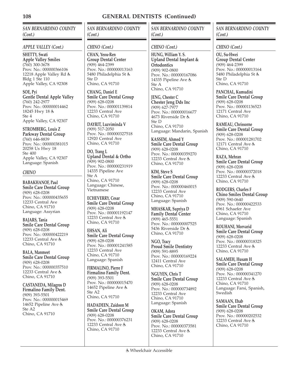*SAN BERNARDINO COUNTY (Cont.)*

#### *APPLE VALLEY (Cont.)*

**SHETTY, Swati Apple Valley Smiles** (760) 300-3678 Prov. No.: 000000366106 12218 Apple Valley Rd Bldg 1 Ste 110 Apple Valley, CA 92308

**SOE, Pyi Gentle Dental Apple Valley** (760) 242-2977 Prov. No.: 000000014462 18245 Hwy 18 Ste 4 Apple Valley, CA 92307

**STROMBERG, Louis Z Parkway Dental Group** (760) 646-8839 Prov. No.: 000000381015 20258 Us Hwy 18 Ste 400 Apple Valley, CA 92307 Language: Spanish

#### *CHINO*

**BABAKHANOF, Paul Smile Care Dental Group** (909) 628-0208 Prov. No.: 000000435655 12233 Central Ave Chino, CA 91710 Language: Assyrian

**BAJARS, Tania Smile Care Dental Group** (909) 628-0208 Prov. No.: 000000422219 12233 Central Ave & Chino, CA 91710

**BALA, Manmeet Smile Care Dental Group** (909) 628-0208 Prov. No.: 000000357510 12233 Central Ave & Chino, CA 91710

**CASTANEDA, Milagros D Firmalino Family Dent.** (909) 393-5501 Prov. No.: 000000015469 14652 Pipeline Ave & Ste A2 Chino, CA 91710

# *SAN BERNARDINO COUNTY (Cont.)*

#### *CHINO (Cont.)*

**CHAN, Yeou-Ren Group Dental Center** (909) 464-2399 Prov. No.: 000000013163 5480 Philadelphia St Ste D Chino, CA 91710

**CHANG, Daniel E Smile Care Dental Group** (909) 628-0208 Prov. No.: 000001139814 12233 Central Ave Chino, CA 91710

**DAYRIT, Luzviminda V** (909) 517-2050 Prov. No.: 000000327518 12920 Central Ave Chino, CA 91710

**DO, Trang L Upland Dental & Ortho** (909) 902-0800 Prov. No.: 000000231919 14335 Pipeline Ave Ste A Chino, CA 91710 Language: Chinese, Vietnamese

**ECHEVERRY, Cesar Smile Care Dental Group** (909) 628-0208 Prov. No.: 000001192147 12233 Central Ave & Chino, CA 91710

**EHSAN, Ali Smile Care Dental Group** (909) 628-0208 Prov. No.: 000001241585 12233 Central Ave Chino, CA 91710 Language: Spanish

**FIRMALINO, Pierre F Firmalino Family Dent.** (909) 393-5501 Prov. No.: 000000015470 14652 Pipeline Ave & Ste A2 Chino, CA 91710

**HADADEEN, Zaidoon M Smile Care Dental Group** (909) 628-0208 Prov. No.: 000000376231 12233 Central Ave & Chino, CA 91710

*SAN BERNARDINO COUNTY (Cont.)*

#### *CHINO (Cont.)*

**HUNG, William Y. S. Upland Dental Implant & Ortodontics** (909) 902-0800 Prov. No.: 000000167086 14335 Pipeline Ave & Ste A Chino, CA 91710

**JENG, Chester C Chester Jeng Dds Inc** (909) 627-7977 Prov. No.: 000000016677 4673 Riverside Dr Ste D Chino, CA 91710 Language: Mandarin, Spanish

**KASSEM, Ahmed Y Smile Care Dental Group** (909) 628-0208 Prov. No.: 000000359270 12233 Central Ave & Chino, CA 91710

**KIM, Steve S Smile Care Dental Group** (909) 628-0208 Prov. No.: 000000460015 12233 Central Ave Chino, CA 91710 Language: Spanish

**MHASKAR, Supriya D Family Dental Center** (909) 465-5551 Prov. No.: 000000007525 5436 Riverside Dr Chino, CA 91710

**NGO, Tracy Proud Smile Dentistry** (909) 591-8895 Prov. No.: 000000169224 12411 Central Ave Chino, CA 91710

**NGUYEN, Chris T Smile Care Dental Group** (909) 628-0208 Prov. No.: 000000734892 12233 Central Ave Chino, CA 91710 Language: Spanish

**OKAM, Adora Smile Care Dental Group** (909) 628-0208 Prov. No.: 000000373581 12233 Central Ave & Chino, CA 91710

*SAN BERNARDINO COUNTY (Cont.)*

*CHINO (Cont.)*

**OU, Su-Hwei Group Dental Center** (909) 464-2399 Prov. No.: 000000013164 5480 Philadelphia St Ste D Chino, CA 91710

**PANCHAL, Kumudini Smile Care Dental Group** (909) 628-0208 Prov. No.: 000001136523 12171 Central Ave Chino, CA 91710

**RAMEAU, Chrissorne Smile Care Dental Group** (909) 628-0208 Prov. No.: 000001281702 12171 Central Ave & Chino, CA 91710

**RAZA, Mehran Smile Care Dental Group** (909) 628-0208 Prov. No.: 000000372018 12233 Central Ave & Chino, CA 91710

**RODGERS, Charles F Chino Smiles Dental Group** (909) 590-0640 Prov. No.: 000000422533 6961 Schaefer Ave Chino, CA 91710 Language: Spanish

**ROUHANI, Morvarid Smile Care Dental Group** (909) 628-0208 Prov. No.: 000000318325 12233 Central Ave & Chino, CA 91710

**SALAMEH, Husam H Smile Care Dental Group** (909) 628-0208 Prov. No.: 000000341270 12233 Central Ave & Chino, CA 91710 Language: Farsi, Spanish, **Swedish** 

**SAMAAN, Ehab Smile Care Dental Group** (909) 628-0208 Prov. No.: 000000202532 12233 Central Ave & Chino, CA 91710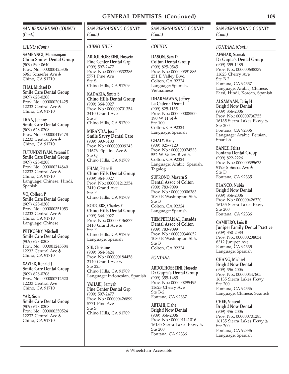*SAN BERNARDINO COUNTY (Cont.)*

#### *CHINO (Cont.)*

**SAMBANGI, Manoranjani Chino Smiles Dental Group** (909) 590-0640 Prov. No.: 000000425306 6961 Schaefer Ave Chino, CA 91710

**THAI, Michael D Smile Care Dental Group** (909) 628-0208 Prov. No.: 000000201425 12233 Central Ave & Chino, CA 91710

**TRAN, Johnny Smile Care Dental Group** (909) 628-0208 Prov. No.: 000000419478 12233 Central Ave & Chino, CA 91710

**TUTUNDZHYAN, Yeranui E Smile Care Dental Group** (909) 628-0208 Prov. No.: 000000214840 12233 Central Ave & Chino, CA 91710 Language: Chinese, Hindi, Spanish

**VO, Colleen P Smile Care Dental Group** (909) 628-0208 Prov. No.: 000000351053 12233 Central Ave & Chino, CA 91710 Language: Chinese

**WITKOSKY, Mitchell Smile Care Dental Group** (909) 628-0208 Prov. No.: 000001245584 12233 Central Ave & Chino, CA 91710

**XAVIER, Ronald J Smile Care Dental Group** (909) 628-0208 Prov. No.: 000000712520 12233 Central Ave Chino, CA 91710

**YAR, Sean Smile Care Dental Group** (909) 628-0208 Prov. No.: 000000350524 12233 Central Ave & Chino, CA 91710

*SAN BERNARDINO COUNTY (Cont.)*

## *CHINO HILLS*

**ABDOLHOSSEINI, Hossein Pine Center Dental Grp** (909) 597-2477 Prov. No.: 000000332286 5771 Pine Ave Ste S Chino Hills, CA 91709

**KADAKIA, Smita S Chino Hills Dental Group** (909) 364-0027 Prov. No.: 000000701354 3410 Grand Ave Ste F Chino Hills, CA 91709

**MIRANDA, Jose F Smile Savvy Dental Care** (909) 393-3180 Prov. No.: 000000009243 14676 Pipeline Ave & Ste Q Chino Hills, CA 91709

**PHAM, Peter H Chino Hills Dental Group** (909) 364-0027 Prov. No.: 000001212354 3410 Grand Ave Ste F Chino Hills, CA 91709

**RODGERS, Charles F Chino Hills Dental Group** (909) 364-0027 Prov. No.: 000000436877 3410 Grand Ave Ste F Chino Hills, CA 91709 Language: Spanish

**SIE, Christine** (909) 364-8424 Prov. No.: 000000184458 2140 Grand Ave Ste 225 Chino Hills, CA 91709 Language: Indonesian, Spanish

**VAHABI, Samyeh Pine Center Dental Grp** (909) 597-2477 Prov. No.: 000000426899 5771 Pine Ave Ste S Chino Hills, CA 91709

Wheelchair Accessible

*SAN BERNARDINO COUNTY (Cont.)*

## *COLTON*

**DASON, Sam D Colton Dental Group** (909) 825-0545 Prov. No.: 000000391886 251 E Valley Blvd Colton, CA 92324 Language: Spanish, Vietnamese

**DHARMAWAN, Jeffrey La Cadena Dental** (909) 825-1155 Prov. No.: 000000008500 190 W H St & Ste 100 Colton, CA 92324 Language: Spanish

**GHALY, Hany** (909) 825-7123 Prov. No.: 000000074533 552 W Valley Blvd Colton, CA 92324 Language: Arabic, Spanish, Tagalog

**SUPRONO, Mavern S Dental Assoc of Colton** (909) 783-9099 Prov. No.: 000000006383 1080 E Washington St Ste B Colton, CA 92324 Language: Spanish

**TIEMPETPAISAL, Panadda Dental Assoc of Colton** (909) 783-9099 Prov. No.: 000000340652 1080 E Washington St Ste B Colton, CA 92324

## *FONTANA*

**ABDOLHOSSEINI, Hossein Dr Gupta's Dental Group** (909) 355-1485 Prov. No.: 000000295495 11623 Cherry Ave Ste B-2 Fontana, CA 92337

**ABTAHI, Elahe Bright! Now Dental** (909) 356-2006 Prov. No.: 000001141016 16135 Sierra Lakes Pkwy Ste 200 Fontana, CA 92336

*SAN BERNARDINO COUNTY (Cont.)*

#### *FONTANA (Cont.)*

**AFSHAR, Siamak Dr Gupta's Dental Group** (909) 355-1485 Prov. No.: 000000688339 11623 Cherry Ave Ste B 2 Fontana, CA 92337 Language: Arabic, Chinese, Farsi, Hindi, Korean, Spanish

**ALSAMAAN, Tariq H Bright! Now Dental** (909) 356-2006 Prov. No.: 000000736755 16135 Sierra Lakes Pkwy Ste 200 Fontana, CA 92336 Language: Arabic, Persian, Spanish

**BANEZ, Feliza Fontana Dental Group** (909) 822-2226 Prov. No.: 000000395673 9193 S Sierra Ave Ste D Fontana, CA 92335

**BLANCO, Nubia Bright! Now Dental** (909) 356-2006 Prov. No.: 000000426320 16135 Sierra Lakes Pkwy Ste 200 Fontana, CA 92336

**CAMBERO, Luis R Juniper Family Dental Practice** (909) 350-2583 Prov. No.: 000000238034 8312 Juniper Ave Fontana, CA 92335 Language: Spanish

**CHANG, Michael Bright! Now Dental** (909) 356-2006 Prov. No.: 000000447805 16135 Sierra Lakes Pkwy Ste 200 Fontana, CA 92336 Language: Chinese, Spanish

**CHEE, Vincent Bright! Now Dental** (909) 356-2006 Prov. No.: 000000701285 16135 Sierra Lakes Pkwy Ste 200 Fontana, CA 92336 Language: Spanish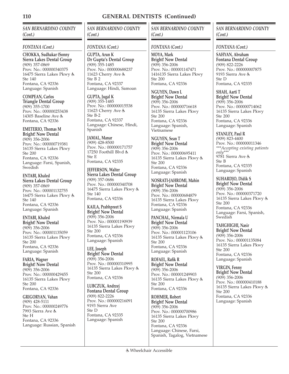*SAN BERNARDINO COUNTY (Cont.)*

#### *FONTANA (Cont.)*

**CHOKKA, Sudhakar (Sonny Sierra Lakes Dental Group** (909) 357-0869 Prov. No.: 000000340375 16475 Sierra Lakes Pkwy & Ste 140 Fontana, CA 92336 Language: Spanish

**COMPEAN, Carlos Triangle Dental Group** (909) 355-1700 Prov. No.: 000000253438 14305 Baseline Ave & Fontana, CA 92336

**EMETERIO, Thomas M Bright! Now Dental** (909) 356-2006 Prov. No.: 000000719381 16135 Sierra Lakes Pkwy Ste 200 Fontana, CA 92336 Language: Farsi, Spanish, **Swedish** 

**ENTABI, Khaled Sierra Lakes Dental Group** (909) 357-0869 Prov. No.: 000001132755 16475 Sierra Lakes Pkwy Ste 140 Fontana, CA 92336 Language: Spanish

**ENTABI, Khaled Bright! Now Dental** (909) 356-2006 Prov. No.: 000001135059 16135 Sierra Lakes Pkwy Ste 200 Fontana, CA 92336 Language: Spanish

**FARIA, Wagner Bright! Now Dental** (909) 356-2006 Prov. No.: 000000429455 16135 Sierra Lakes Pkwy Ste 200 Fontana, CA 92336

**GRIGORYAN, Vahan** (909) 428-5111 Prov. No.: 000000249776 7993 Sierra Ave Ste H Fontana, CA 92336 Language: Russian, Spanish *SAN BERNARDINO COUNTY (Cont.)*

## *FONTANA (Cont.)*

**GUPTA, Arun K Dr Gupta's Dental Group** (909) 355-1485 Prov. No.: 000000688237 11623 Cherry Ave & Ste B 2 Fontana, CA 92337 Language: Hindi, Samoan

**GUPTA, Jugal K** (909) 355-1485 Prov. No.: 000000015538 11623 Cherry Ave & Ste B-2 Fontana, CA 92337 Language: Chinese, Hindi, Spanish

**JAMAL, Manar** (909) 428-8500 Prov. No.: 000000171757 17250 Foothill Blvd & Ste E Fontana, CA 92335

**JEFFERSON, Walter Sierra Lakes Dental Group** (909) 357-0686 Prov. No.: 000000340708 16475 Sierra Lakes Pkwy Ste 140 Fontana, CA 92336

**KAILA, Prabhpreet S Bright! Now Dental** (909) 356-2006 Prov. No.: 000001190939 16135 Sierra Lakes Pkwy Ste 200 Fontana, CA 92336 Language: Spanish

**LEE, Joseph Bright! Now Dental** (909) 356-2006 Prov. No.: 000000310995 16135 Sierra Lakes Pkwy Ste 200 Fontana, CA 92336

**LUBCZUK, Andrzej Fontana Dental Group** (909) 822-2226 Prov. No.: 000000216091 9193 Sierra Ave Ste D Fontana, CA 92335 Language: Spanish

# *SAN BERNARDINO COUNTY (Cont.)*

## *FONTANA (Cont.)*

**MOYA, Mark Bright! Now Dental** (909) 356-2006 Prov. No.: 000001147471 1416135 Sierra Lakes Pkwy Ste 200 Fontana, CA 92336

**NGUYEN, Dawn L Bright! Now Dental** (909) 356-2006 Prov. No.: 000000716618 16135 Sierra Lakes Pkwy Ste 200 Fontana, CA 92336 Language: Spanish, Vietnamese

**NGUYEN, Sean T Bright! Now Dental** (909) 356-2006 Prov. No.: 000000695411 16135 Sierra Lakes Pkwy Ste 200 Fontana, CA 92336 Language: Spanish

**NOSRATI-JAHROMI, Mahin Bright! Now Dental** (909) 356-2006 Prov. No.: 000000684879 16135 Sierra Lakes Pkwy Fontana, CA 92336 Language: Spanish

**PANCHAL, Nirmala U Bright! Now Dental** (909) 356-2006 Prov. No.: 000001123106 16135 Sierra Lakes Pkwy Ste 200 Fontana, CA 92336 Language: Spanish

**ROFAEL, Rafik R Bright! Now Dental** (909) 356-2006 Prov. No.: 000001249903 16135 Sierra Lakes Pkwy Ste 200 Fontana, CA 92336

**ROHMER, Robert Bright! Now Dental** (909) 356-2006 Prov. No.: 000000700986 16135 Sierra Lakes Pkwy Ste 200 Fontana, CA 92336 Language: Chinese, Farsi, Spanish, Tagalog, Vietnamese

## *SAN BERNARDINO COUNTY (Cont.)*

*FONTANA (Cont.)*

**SAHYAN, Abraham Fontana Dental Group** (909) 822-2226 Prov. No.: 000000007875 9193 Sierra Ave Ste D Fontana, CA 92335

**SHAH, Aarti T Bright! Now Dental** (909) 356-2006 Prov. No.: 000000714062 16135 Sierra Lakes Pkwy Ste 200 Fontana, CA 92336 Language: Spanish

**STANLEY, Paul R** (909) 823-4400 Prov. No.: 000000011346 *\*\*\*Accepting existing patients only\*\*\** 9781 Sierra Ave & Ste B Fontana, CA 92335 Language: Spanish

**SUHARDJO, Didik S Bright! Now Dental** (909) 356-2006 Prov. No.: 000000371720 16135 Sierra Lakes Pkwy Ste 200 Fontana, CA 92336 Language: Farsi, Spanish, **Swedish** 

**TAHGHIGHI, Nasir Bright! Now Dental** (909) 356-2006 Prov. No.: 000001135084 16135 Sierra Lakes Pkwy Ste 200 Fontana, CA 92336 Language: Spanish

**VIRGIN, Fenny Bright! Now Dental** (909) 356-2006 Prov. No.: 000000410188 16135 Sierra Lakes Pkwy Ste 200 Fontana, CA 92336 Language: Spanish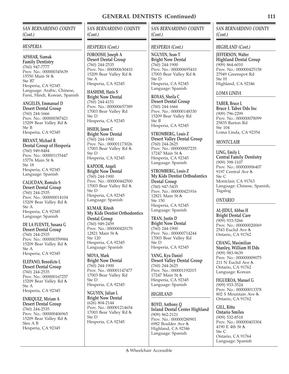*SAN BERNARDINO COUNTY (Cont.)*

#### *HESPERIA*

**AFSHAR, Siamak Family Dentistry** (760) 947-7777 Prov. No.: 000000345639 15550 Main St Ste B7 Hesperia, CA 92345 Language: Arabic, Chinese, Farsi, Hindi, Korean, Spanish

**ANGELES, Emmanuel D Desert Dental Group** (760) 244-1666 Prov. No.: 000000387421 15209 Bear Valley Rd Ste B Hesperia, CA 92345

**BRYANT, Michael R Dental Group of Hesperia** (760) 949-8484 Prov. No.: 000001155447 15776 Main St Ste 18 Hesperia, CA 92345 Language: Spanish

**CALICDAN, Romulo S Desert Dental Group** (760) 244-2535 Prov. No.: 000000014104 15209 Bear Valley Rd Ste A Hesperia, CA 92345 Language: Spanish

**DE LA FUENTE, Susana G Desert Dental Group** (760) 244-2535 Prov. No.: 000000359984 15209 Bear Valley Rd Ste A Hesperia, CA 92345

**ELEPANO, Benedicto L Desert Dental Group** (760) 244-2535 Prov. No.: 000000167257 15209 Bear Valley Rd Ste A Hesperia, CA 92345

**ENRIQUEZ, Miriam A Desert Dental Group** (760) 244-2535 Prov. No.: 000000406965 15209 Bear Valley Rd Stes A B Hesperia, CA 92345

*SAN BERNARDINO COUNTY (Cont.)*

#### *HESPERIA (Cont.)*

**FOROOSH, Joseph A Desert Dental Group** (760) 244-2535 Prov. No.: 000000630410 15209 Bear Valley Rd Ste A Hesperia, CA 92345

**HASHIMI, Haris S Bright Now Dental** (760) 244-4151 Prov. No.: 000000657389 17003 Bear Valley Rd Ste D Hesperia, CA 92345

**HSIEH, Jason C Bright Now Dental** (760) 244-1900 Prov. No.: 000001173026 17003 Bear Valley Rd Ste D Hesperia, CA 92345

**KAPOOR, Angeli Bright Now Dental** (760) 244-1900 Prov. No.: 000000442500 17003 Bear Valley Rd Ste D Hesperia, CA 92345 Language: Spanish

**KUMAR, Ritesh My Kids Dentist Orthodontics Dental Group** (760) 949-2459 Prov. No.: 000000420170 12821 Main St Ste 120 Hesperia, CA 92345 Language: Spanish

**MOYA, Mark Bright Now Dental** (760) 244-1900 Prov. No.: 000001147477 17003 Bear Valley Rd Ste D Hesperia, CA 92345

**NGUYEN, Julian L Bright Now Dental** (626) 804-2144 Prov. No.: 000001214654 17003 Bear Valley Rd Ste D Hesperia, CA 92345

*SAN BERNARDINO COUNTY (Cont.)*

#### *HESPERIA (Cont.)*

**NGUYEN, Sean T Bright Now Dental** (760) 244-1900 Prov. No.: 000000695410 17003 Bear Valley Rd Ste D Hesperia, CA 92345 Language: Spanish

**ROXAS, Sheila C Desert Dental Group** (760) 244-1666 Prov. No.: 000000148330 15209 Bear Valley Rd Ste B Hesperia, CA 92345

**STROMBERG, Louis Z Desert Valley Dental Group** (760) 244-2625 Prov. No.: 000000007235 17247 Main St Hesperia, CA 92345 Language: Spanish

**STROMBERG, Louis Z My Kids Dentist Orthodontics Dental Group** (760) 947-5435 Prov. No.: 000000421916 12821 Main St & Ste 150 Hesperia, CA 92345 Language: Spanish

**TRAN, Justin D Bright Now Dental** (760) 244-1900 Prov. No.: 000000714244 17003 Bear Valley Rd Ste D Hesperia, CA 92345

**YANG, Kyu Daniel Desert Valley Dental Group** (760) 244-2625 Prov. No.: 000001192015 17247 Main St & Hesperia, CA 92345 Language: Spanish

## *HIGHLAND*

**BOYD, Anthony Q Inland Dental Center Highland** (909) 862-2121 Prov. No.: 000000280901 6982 Boulder Ave Highland, CA 92346 Language: Spanish

*SAN BERNARDINO COUNTY (Cont.)*

*HIGHLAND (Cont.)*

**JEFFERSON, Walter Highland Dental Group** (909) 864-6010 Prov. No.: 000000425158 27949 Greenspot Rd Ste H Highland, CA 92346

*LOMA LINDA*

**TABER, Bruce L Bruce L Taber Dds Inc** (909) 796-2299 Prov. No.: 000000078099 25835 Barton Rd Ste 104 Loma Linda, CA 92354

#### *MONTCLAIR*

**LING, Emily L Central Family Dentistry** (909) 398-1107 Prov. No.: 000000006407 9197 Central Ave Ste C Montclair, CA 91763 Language: Chinese, Spanish, Tagalog

## *ONTARIO*

**AL-JIDUI, Abbas H Bright Dental Care** (909) 933-5266 Prov. No.: 000000020069 2543 Euclid Ave Ontario, CA 91762

**CHANG, Maximilian Stanley, William H Dds** (909) 983-9639 Prov. No.: 000000009075 211 N Euclid Ave Ontario, CA 91762 Language: Korean

**FIGUEROA, Manuel G** (909) 933-3524 Prov. No.: 000000013378 802 S Mountain Ave Ontario, CA 91762

**GILL, Rittu Ontario Smiles** (909) 532-8518 Prov. No.: 000000403304 4190 E 4th St Ste C Ontario, CA 91764 Language: Spanish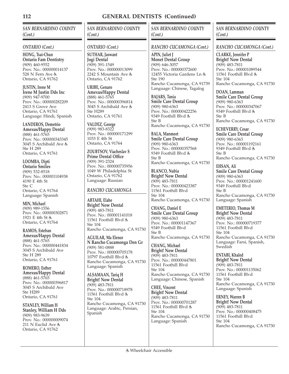*SAN BERNARDINO COUNTY (Cont.)*

#### *ONTARIO (Cont.)*

**HONG, Tsai-Chun Ontario Fam Dentistry** (909) 460-9552 Prov. No.: 000000014137 528 N Fern Ave Ontario, CA 91762

**JUSTIN, Irene M Irene M Justin Dds Inc** (909) 947-9700 Prov. No.: 000000282209 2413 S Grove Ave Ontario, CA 91761 Language: Hindi, Spanish

**LANDEROS, Demetrio Amexus/Happy Dental** (888) 461-5765 Prov. No.: 000000343345 3045 S Archibald Ave Ste H 289 Ontario, CA 91761

**LOOMBA, Dipti Ontario Smiles** (909) 532-8518 Prov. No.: 000001104938 4190 E 4th St Ste C Ontario, CA 91764 Language: Spanish

**MIN, Michael** (909) 989-1556 Prov. No.: 000000302871 1921 E 4th St Ontario, CA 91764

**RAMOS, Esteban Amexus/Happy Dental** (888) 461-5765 Prov. No.: 000000441834 3045 S Archibald Ave Ste H 289 Ontario, CA 91761

**ROMERO, Esther Amexus/Happy Dental** (888) 461-5765 Prov. No.: 000000396817 3045 S Archibald Ave Ste H289 Ontario, CA 91761

**STANLEY, William H Stanley, William H Dds** (909) 983-9639 Prov. No.: 000000009074 211 N Euclid Ave Ontario, CA 91762

# *SAN BERNARDINO COUNTY (Cont.)*

## *ONTARIO (Cont.)*

**SUTHAR, Jaswant Jogi Dental** (909) 391-1549 Prov. No.: 000000013099 2242 S Mountain Ave Ontario, CA 91762

**URIBE, Genaro Amexus/Happy Dental** (888) 461-5765 Prov. No.: 000000396814 3045 S Archibald Ave Ste H289 Ontario, CA 91761

**VALDEZ, George** (909) 983-8322 Prov. No.: 000000171299 1033 E 4th St Ontario, CA 91764

**ZOUBTSOV, Viacheslav S Prime Dental Office** (909) 391-2324 Prov. No.: 000000735956 1049 W Philadelphia St Ontario, CA 91762 Language: Russian

## *RANCHO CUCAMONGA*

**ABTAHI, Elahe Bright! Now Dental** (909) 483-7811 Prov. No.: 000001141018 11561 Foothill Blvd & Ste 104 Rancho Cucamonga, CA 91730

**AGUILAR, Ma Elenor N Rancho Cucamonga Den Gr** (909) 581-0888 Prov. No.: 000000705178 10797 Foothill Blvd Rancho Cucamonga, CA 91730 Language: Spanish

**ALSAMAAN, Tariq H Bright! Now Dental** (909) 483-7811 Prov. No.: 000000718978 11561 Foothill Blvd Ste 104 Rancho Cucamonga, CA 91730 Language: Arabic, Persian, Spanish

*SAN BERNARDINO COUNTY (Cont.)*

## *RANCHO CUCAMONGA (Cont.)*

**APIN, Juliet J Monet Dental Group** (909) 646-3057 Prov. No.: 000000372600 12455 Victoria Gardens Ln Ste 190 Rancho Cucamonga, CA 91739 Language: Chinese, Tagalog

**BAJARS, Tania Smile Care Dental Group** (909) 980-6363 Prov. No.: 000000422256 9349 Foothill Blvd Ste B Rancho Cucamonga, CA 91730

**BALA, Manmeet Smile Care Dental Group** (909) 980-6363 Prov. No.: 000000357568 9349 Foothill Blvd Ste B Rancho Cucamonga, CA 91730

**BLANCO, Nubia Bright! Now Dental** (909) 483-7811 Prov. No.: 000000423387 11561 Foothill Blvd Ste 104 Rancho Cucamonga, CA 91730

**CHANG, Daniel E Smile Care Dental Group** (909) 980-6363 Prov. No.: 000001147367 9349 Foothill Blvd Ste B Rancho Cucamonga, CA 91730

**CHANG, Michael Bright! Now Dental** (909) 483-7811 Prov. No.: 000000447801 11561 Foothill Blvd Ste 104 Rancho Cucamonga, CA 91730 Language: Chinese, Spanish

**CHEE, Vincent Bright! Now Dental** (909) 483-7811 Prov. No.: 000000701287 11561 Foothill Blvd & Ste 104 Rancho Cucamonga, CA 91730 Language: Spanish

## *SAN BERNARDINO COUNTY (Cont.)*

*RANCHO CUCAMONGA (Cont.)*

**CLARKE, Jennifer P Bright! Now Dental** (909) 483-7811 Prov. No.: 000001089544 11561 Foothill Blvd & Ste 104 Rancho Cucamonga, CA 91730

**DOAN, Lamman Smile Care Dental Group** (909) 980-6363 Prov. No.: 000000347067 9349 Foothill Blvd & Ste B Rancho Cucamonga, CA 91730

**ECHEVERRY, Cesar Smile Care Dental Group** (909) 980-6363 Prov. No.: 000001192161 9349 Foothill Blvd Ste B Rancho Cucamonga, CA 91730

**EHSAN, Ali Smile Care Dental Group** (909) 980-6363 Prov. No.: 000001241600 9349 Foothill Blvd Ste B Rancho Cucamonga, CA 91730 Language: Spanish

**EMETERIO, Thomas M Bright! Now Dental** (909) 483-7811 Prov. No.: 000000719377 11561 Foothill Blvd Ste 104 Rancho Cucamonga, CA 91730 Language: Farsi, Spanish, Swedish

**ENTABI, Khaled Bright! Now Dental** (909) 483-7811 Prov. No.: 000001135062 11561 Foothill Blvd Ste 104 Rancho Cucamonga, CA 91730 Language: Spanish

**ERNEY, Warren B Bright! Now Dental** (909) 483-7811 Prov. No.: 000000408475 11561 Foothill Blvd Ste 104 Rancho Cucamonga, CA 91730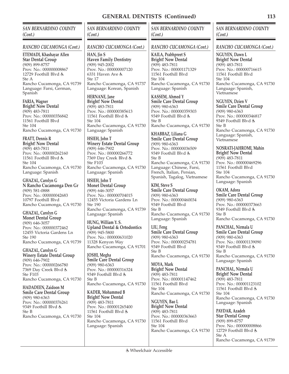## *SAN BERNARDINO COUNTY (Cont.)*

## *RANCHO CUCAMONGA (Cont.)*

**ETEMADI, Khashayar Allen Star Dental Group** (909) 899-8757 Prov. No.: 000000008867 12729 Foothill Blvd & Ste A Rancho Cucamonga, CA 91739 Language: Farsi, German, Spanish

**FARIA, Wagner Bright! Now Dental** (909) 483-7811 Prov. No.: 000000356842 11561 Foothill Blvd Ste 104 Rancho Cucamonga, CA 91730

**FRATT, Dennis R Bright! Now Dental** (909) 483-7811 Prov. No.: 000000262160 11561 Foothill Blvd Ste 104 Rancho Cucamonga, CA 91730 Language: Spanish

**GHAZAL, Carolyn G N Rancho Cucamonga Den Gr** (909) 581-0888 Prov. No.: 000000042683 10797 Foothill Blvd Rancho Cucamonga, CA 91730

**GHAZAL, Carolyn G Monet Dental Group** (909) 646-3057 Prov. No.: 000000372462 12455 Victoria Gardens Ln Ste 190 Rancho Cucamonga, CA 91739

**GHAZAL, Carolyn G Winery Estate Dental Group** (909) 646-7902 Prov. No.: 000000266780 7369 Day Creek Blvd Ste F103 Rancho Cucamonga, CA 91730

**HADADEEN, Zaidoon M Smile Care Dental Group** (909) 980-6363 Prov. No.: 000000376261 9349 Foothill Blvd Ste B Rancho Cucamonga, CA 91730 *SAN BERNARDINO COUNTY (Cont.)*

## *RANCHO CUCAMONGA (Cont.)*

**HAN, Jin S Haven Family Dentistry** (909) 945-2002 Prov. No.: 000000007120 6331 Haven Ave Ste 17 Rancho Cucamonga, CA 91737 Language: Korean, Spanish

**HERNANE, Jane Bright! Now Dental** (909) 483-7811 Prov. No.: 000000385613 11561 Foothill Blvd & Ste 104 Rancho Cucamonga, CA 91730 Language: Spanish

**HSIEH, John T Winery Estate Dental Group** (909) 646-7902 Prov. No.: 000000266772 7369 Day Creek Blvd Ste F103 Rancho Cucamonga, CA 91730 Language: Spanish

**HSIEH, John T Monet Dental Group** (909) 646-3057 Prov. No.: 000000704015 12455 Victoria Gardens Ln Ste 190 Rancho Cucamonga, CA 91739 Language: Spanish

**HUNG, William Y. S. Upland Dental & Ortodontics** (909) 945-5800 Prov. No.: 000000631020 11328 Kenyon Way Rancho Cucamonga, CA 91701

**JOSHI, Megha Smile Care Dental Group** (909) 980-6363 Prov. No.: 000000316324 9349 Foothill Blvd Ste B Rancho Cucamonga, CA 91730

**KADER, Mohammed B Bright! Now Dental** (909) 483-7811 Prov. No.: 000001265400 11561 Foothill Blvd Ste 104 Rancho Cucamonga, CA 91730 Language: Spanish

*SAN BERNARDINO COUNTY (Cont.)*

## *RANCHO CUCAMONGA (Cont.)*

**KAILA, Prabhpreet S Bright! Now Dental** (909) 483-7811 Prov. No.: 000001171329 11561 Foothill Blvd Ste 104 Rancho Cucamonga, CA 91730 Language: Spanish

**KASSEM, Ahmed Y Smile Care Dental Group** (909) 980-6363 Prov. No.: 000000359303 9349 Foothill Blvd Ste B Rancho Cucamonga, CA 91730

**KHABBAZ, Liliana G Smile Care Dental Group** (909) 980-6363 Prov. No.: 000000036509 9349 Foothill Blvd Ste B Rancho Cucamonga, CA 91730 Language: Chinese, Farsi, French, Italian, Persian, Spanish, Tagalog, Vietnamese

**KIM, Steve S Smile Care Dental Group** (909) 980-6363 Prov. No.: 000000460034 9349 Foothill Blvd Ste B Rancho Cucamonga, CA 91730 Language: Spanish

**LIU, Feng Smile Care Dental Group** (909) 980-6363 Prov. No.: 000000254781 9349 Foothill Blvd Ste B Rancho Cucamonga, CA 91730

**MOYA, Mark Bright! Now Dental** (909) 483-7811 Prov. No.: 000001147462 11561 Foothill Blvd Ste 104 Rancho Cucamonga, CA 91730

**NGUYEN, Bao L Bright! Now Dental** (909) 483-7811 Prov. No.: 000000363663 11561 Foothill Blvd Ste 104 Rancho Cucamonga, CA 91730

## *SAN BERNARDINO COUNTY (Cont.)*

# *RANCHO CUCAMONGA (Cont.)*

**NGUYEN, Dawn L Bright! Now Dental** (909) 483-7811 Prov. No.: 000000716615 11561 Foothill Blvd Ste 104 Rancho Cucamonga, CA 91730 Language: Spanish, Vietnamese

**NGUYEN, Dzien V Smile Care Dental Group** (909) 980-6363 Prov. No.: 000000346817 9349 Foothill Blvd & Ste B Rancho Cucamonga, CA 91730 Language: Spanish, Vietnamese

**NOSRATI-JAHROMI, Mahin Bright! Now Dental** (909) 483-7811 Prov. No.: 000000469296 11561 Foothill Blvd Ste 104 Rancho Cucamonga, CA 91730 Language: Spanish

**OKAM, Adora Smile Care Dental Group** (909) 980-6363 Prov. No.: 000000373663 9349 Foothill Blvd & Ste B Rancho Cucamonga, CA 91730

**PANCHAL, Nirmala U Smile Care Dental Group** (909) 980-6363 Prov. No.: 000001139090 9349 Foothill Blvd Ste B Rancho Cucamonga, CA 91730 Language: Spanish

**PANCHAL, Nirmala U Bright! Now Dental** (909) 483-7811 Prov. No.: 000001123102 11561 Foothill Blvd Ste 104 Rancho Cucamonga, CA 91730 Language: Spanish

**PAYDAR, Azadeh Star Dental Group** (909) 899-8757 Prov. No.: 000000008866 12729 Foothill Blvd Ste A Rancho Cucamonga, CA 91739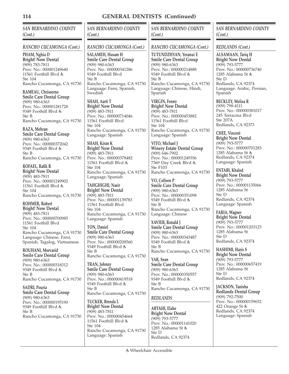*SAN BERNARDINO COUNTY (Cont.)*

#### *RANCHO CUCAMONGA (Cont.)*

**PHAM, Nghia D Bright! Now Dental** (909) 783-7811 Prov. No.: 000001249640 11561 Foothill Blvd Ste 104 Rancho Cucamonga, CA 91730

**RAMEAU, Chrissorne Smile Care Dental Group** (909) 980-6363 Prov. No.: 000001281728 9349 Foothill Blvd Ste B Rancho Cucamonga, CA 91730

#### **RAZA, Mehran**

**Smile Care Dental Group** (909) 980-6363 Prov. No.: 000000372042 9349 Foothill Blvd Ste B Rancho Cucamonga, CA 91730

**ROFAEL, Rafik R Bright! Now Dental** (909) 483-7811 Prov. No.: 000001249902 11561 Foothill Blvd & Ste 104 Rancho Cucamonga, CA 91730

**ROHMER, Robert Bright! Now Dental** (909) 483-7811 Prov. No.: 000000700985 11561 Foothill Blvd Ste 104 Rancho Cucamonga, CA 91730 Language: Chinese, Farsi, Spanish, Tagalog, Vietnamese

**ROUHANI, Morvarid Smile Care Dental Group** (909) 980-6363 Prov. No.: 000000318312 9349 Foothill Blvd Ste B Rancho Cucamonga, CA 91730

**SADRI, Pouria Smile Care Dental Group** (909) 980-6363 Prov. No.: 000000195190 9349 Foothill Blvd Ste B Rancho Cucamonga, CA 91730 *SAN BERNARDINO COUNTY (Cont.)*

## *RANCHO CUCAMONGA (Cont.)*

**SALAMEH, Husam H Smile Care Dental Group** (909) 980-6363 Prov. No.: 000000341286 9349 Foothill Blvd Ste B Rancho Cucamonga, CA 91730 Language: Farsi, Spanish, Swedish

**SHAH, Aarti T Bright! Now Dental** (909) 483-7811 Prov. No.: 000000714046 11561 Foothill Blvd Ste 104 Rancho Cucamonga, CA 91730 Language: Spanish

**SHAH, Kiran K Bright! Now Dental** (909) 483-7811 Prov. No.: 000000378482 11561 Foothill Blvd & Ste 104 Rancho Cucamonga, CA 91730 Language: Spanish

**TAHGHIGHI, Nasir Bright! Now Dental** (909) 483-7811 Prov. No.: 000001139783 11561 Foothill Blvd Ste 104 Rancho Cucamonga, CA 91730 Language: Spanish

**TON, Daniel Smile Care Dental Group** (909) 980-6363 Prov. No.: 000000208560 9349 Foothill Blvd Ste B Rancho Cucamonga, CA 91730

**TRAN, Johnny Smile Care Dental Group** (909) 980-6363 Prov. No.: 000000419518 9349 Foothill Blvd Ste B Rancho Cucamonga, CA 91730

**TUCKER, Brenda L Bright! Now Dental** (909) 483-7811 Prov. No.: 000000454664 11561 Foothill Blvd Ste 104 Rancho Cucamonga, CA 91730 Language: Spanish

*SAN BERNARDINO COUNTY (Cont.)*

#### *RANCHO CUCAMONGA (Cont.)*

**TUTUNDZHYAN, Yeranui E Smile Care Dental Group** (909) 980-6363 Prov. No.: 000000214888 9349 Foothill Blvd Ste B Rancho Cucamonga, CA 91730 Language: Chinese, Hindi, Spanish

**VIRGIN, Fenny Bright! Now Dental** (909) 483-7811 Prov. No.: 000000453882 11561 Foothill Blvd Ste 104 Rancho Cucamonga, CA 91730 Language: Spanish

**VITO, Michael J Winery Estate Dental Group** (909) 646-7902 Prov. No.: 000001249356 7369 Day Creek Blvd Ste F103 Rancho Cucamonga, CA 91730

**VO, Colleen P Smile Care Dental Group** (909) 980-6363 Prov. No.: 000000351098 9349 Foothill Blvd Ste B Rancho Cucamonga, CA 91730 Language: Chinese

**XAVIER, Ronald J Smile Care Dental Group** (909) 980-6363 Prov. No.: 000000343487 9349 Foothill Blvd Ste B Rancho Cucamonga, CA 91730

**YAR, Sean Smile Care Dental Group** (909) 980-6363 Prov. No.: 000000350557 9349 Foothill Blvd Ste B Rancho Cucamonga, CA 91730

## *REDLANDS*

**ABTAHI, Elahe Bright Now Dental** (909) 793-5777 Prov. No.: 000001141020 1285 Alabama St & Ste D Redlands, CA 92374

#### *SAN BERNARDINO COUNTY (Cont.)*

*REDLANDS (Cont.)*

**ALSAMAAN, Tariq H Bright Now Dental** (909) 793-5777 Prov. No.: 000000736740 1285 Alabama St Ste D Redlands, CA 92374 Language: Arabic, Persian, Spanish

**BECKLEY, Melisa R** (909) 798-4111 Prov. No.: 000000381017 245 Terracina Blvd Ste 207A Redlands, CA 92373

**CHEE, Vincent Bright Now Dental** (909) 793-5777 Prov. No.: 000000701283 1285 Alabama St Redlands, CA 92374 Language: Spanish

**ENTABI, Khaled Bright Now Dental** (909) 793-5777 Prov. No.: 000001135066 1285 Alabama St Ste D Redlands, CA 92374 Language: Spanish

**FARIA, Wagner Bright Now Dental** (909) 793-5777 Prov. No.: 000001203123 1285 Alabama St Ste D Redlands, CA 92374

**HASHIMI, Haris S Bright Now Dental** (909) 793-5777 Prov. No.: 000000657419 1285 Alabama St Ste D Redlands, CA 92374

**JACKSON, Tanisha Redlands Dental Group** (909) 792-7500 Prov. No.: 000000159652 422 Orange St Redlands, CA 92374 Language: Spanish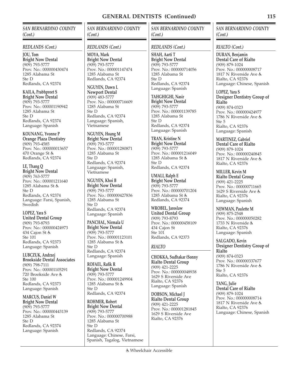*SAN BERNARDINO COUNTY (Cont.)*

#### *REDLANDS (Cont.)*

**JOU, Tom Bright Now Dental** (909) 793-5777 Prov. No.: 000000430474 1285 Alabama St Ste D Redlands, CA 92374

**KAILA, Prabhpreet S Bright Now Dental** (909) 793-5777 Prov. No.: 000001190942 1285 Alabama St Ste D Redlands, CA 92374 Language: Spanish

**KOUNANG, Yvonne P Orange Plaza Dentistry** (909) 793-4585 Prov. No.: 000000013657 470 Orange St & Redlands, CA 92374

**LE, Thang Q Bright Now Dental** (909) 763-5777 Prov. No.: 000001211640 1285 Alabama St Ste D Redlands, CA 92374 Language: Farsi, Spanish, Swedish

**LOPEZ, Yara S United Dental Group** (909) 793-8793 Prov. No.: 000000424973 434 Cajon St & Ste 101 Redlands, CA 92373 Language: Spanish

**LUBCZUK, Andrzej Brookside Dental Associates** (909) 798-7111 Prov. No.: 000001105291 720 Brookside Ave Ste 100 Redlands, CA 92373 Language: Spanish

**MARCUS, Daniel W Bright Now Dental** (909) 793-5777 Prov. No.: 000000443139 1285 Alabama St Ste D Redlands, CA 92374 Language: Spanish

*SAN BERNARDINO COUNTY (Cont.)*

#### *REDLANDS (Cont.)*

**MOYA, Mark Bright Now Dental** (909) 793-5777 Prov. No.: 000001147474 1285 Alabama St Redlands, CA 92374

**NGUYEN, Dawn L Newport Dental** (909) 483-5777 Prov. No.: 000000716609 1285 Alabama St Ste D Redlands, CA 92374 Language: Spanish, Vietnamese

**NGUYEN, Hoang M Bright Now Dental** (909) 793-5777 Prov. No.: 000001280871 1285 Alabama St Ste D Redlands, CA 92374 Language: Spanish, Vietnamese

**NGUYEN, Khoi B Bright Now Dental** (909) 793-5777 Prov. No.: 000000427836 1285 Alabama St Ste D Redlands, CA 92374 Language: Spanish

**PANCHAL, Nirmala U Bright Now Dental** (909) 793-5777 Prov. No.: 000001123101 1285 Alabama St Ste D Redlands, CA 92374 Language: Spanish

**ROFAEL, Rafik R Bright Now Dental** (909) 793-5777 Prov. No.: 000001249904 1285 Alabama St Ste D Redlands, CA 92374

**ROHMER, Robert Bright Now Dental** (909) 793-5777 Prov. No.: 000000700988 1285 Alabama St Ste D Redlands, CA 92374 Language: Chinese, Farsi, Spanish, Tagalog, Vietnamese *SAN BERNARDINO COUNTY (Cont.)*

#### *REDLANDS (Cont.)*

**SHAH, Aarti T Bright Now Dental** (909) 793-5777 Prov. No.: 000000714056 1285 Alabama St Ste D Redlands, CA 92374 Language: Spanish

**TAHGHIGHI, Nasir Bright Now Dental** (909) 793-5777 Prov. No.: 000001139785 1285 Alabama St Ste D Redlands, CA 92374 Language: Spanish

**TRAN, Kristine N Bright Now Dental** (909) 793-5777 Prov. No.: 000001216049 1285 Alabama St & Ste D Redlands, CA 92374

**UMALI, Ralph E Bright Now Dental** (909) 793-5777 Prov. No.: 000000701204 1285 Alabama St Redlands, CA 92374

**WROBEL, Jaroslaw United Dental Group** (909) 793-8793 Prov. No.: 000000458109 434 Cajon St Ste 101 Redlands, CA 92373

## *RIALTO*

**CHOKKA, Sudhakar (Sonny Rialto Dental Group** (909) 421-2225 Prov. No.: 000000048938 1629 S Riverside Ave Rialto, CA 92376 Language: Spanish

**DOBSON, Michael J Rialto Dental Group** (909) 421-2225 Prov. No.: 000001281845 1629 S Riverside Ave Rialto, CA 92376

## *SAN BERNARDINO COUNTY (Cont.)*

*RIALTO (Cont.)*

**DURAN, Benjamin Dental Care of Rialto** (909) 879-1024 Prov. No.: 000000008717 1817 N Riverside Ave Rialto, CA 92376 Language: Chinese, Spanish

**LOPEZ, Yara S Designer Dentistry Group of Rialto** (909) 874-0323 Prov. No.: 000000424977 1786 N Riverside Ave Ste 5 Rialto, CA 92376 Language: Spanish

**MARTINEZ, Gabriel Dental Care of Rialto** (909) 879-1024 Prov. No.: 000000240845 1817 N Riverside Ave Rialto, CA 92376

**MILLER, Kevin M Rialto Dental Group** (909) 421-2225 Prov. No.: 000000711665 1629 S Riverside Ave Rialto, CA 92376 Language: Spanish

**NEWMAN, Paulette M** (909) 875-2548 Prov. No.: 000000050282 1733 N Riverside Rialto, CA 92376 Language: Spanish

**SALGADO, Kevin Designer Dentistry Group of Rialto** (909) 874-0323 Prov. No.: 000000337677 1786 N Riverside Ave Ste 5 Rialto, CA 92376

**TANG, Julie Dental Care of Rialto** (909) 879-1024 Prov. No.: 000000008714 1817 N Riverside Ave Rialto, CA 92376 Language: Chinese, Spanish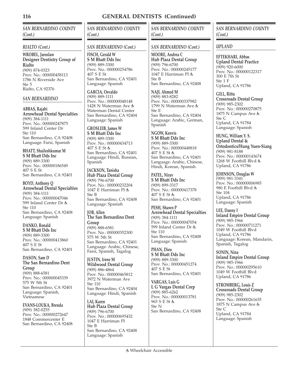*SAN BERNARDINO COUNTY (Cont.)*

#### *RIALTO (Cont.)*

**WROBEL, Jaroslaw Designer Dentistry Group of Rialto** (909) 874-0323 Prov. No.: 000000458113 1786 N Riverside Ave Ste 5 Rialto, CA 92376

#### *SAN BERNARDINO*

**ABBAS, Rajabi Arrowhead Dental Specialties** (909) 384-1111 Prov. No.: 000000247875 599 Inland Center Dr Ste 110 San Bernardino, CA 92408

**BHATT, Shaileshkumar M S M Bhatt Dds Inc** (909) 889-3300 Prov. No.: 000000186549 407 S E St San Bernardino, CA 92401

Language: Farsi, Spanish

**BOYD, Anthony Q Arrowhead Dental Specialties** (909) 384-1111 Prov. No.: 000000047046 599 Inland Center Dr Ste 110 San Bernardino, CA 92408 Language: Spanish

**DANKO, Ronald S M Bhatt Dds Inc** (909) 889-3300 Prov. No.: 000000413860 407 S E St San Bernardino, CA 92401

**DASON, Sam D The San Bernardino Dent Group** (909) 888-6581 Prov. No.: 000000045339 575 W 5th St San Bernardino, CA 92401 Language: Spanish, Vietnamese

**EVANS-LOUKA, Brenda** (909) 382-0255 Prov. No.: 000000272647 1848 Commercenter E San Bernardino, CA 92408

# *SAN BERNARDINO COUNTY (Cont.)*

## *SAN BERNARDINO (Cont.)*

**FISCH, Gerald W S M Bhatt Dds Inc** (909) 889-3300 Prov. No.: 000000254786 407 S E St San Bernardino, CA 92401 Language: Spanish

**GARCIA, Osvaldo** (909) 889-1111 Prov. No.: 000000048148 1428 N Waterman Ave Waterman Dental Center San Bernardino, CA 92404 Language: Spanish

**GROSLEIB, James W S M Bhatt Dds Inc** (909) 889-3300 Prov. No.: 000000434713 407 S E St San Bernardino, CA 92401 Language: Hindi, Russian, Spanish

**JACKSON, Tanisha Hub Plaza Dental Group** (909) 796-6700 Prov. No.: 000000232204 1047 E Harriman Pl Ste B San Bernardino, CA 92408 Language: Spanish

**JOB, Allen The San Bernardino Dent Group** (909) 888-6581 Prov. No.: 000000352300 575 W 5th St San Bernardino, CA 92401 Language: Arabic, Chinese, Farsi, Spanish, Tagalog

**JUSTIN, Irene M Wildwood Dental Group** (909) 886-4864 Prov. No.: 000000465812 3972 N Waterman Ave Ste 110 San Bernardino, CA 92404 Language: Hindi, Spanish

**LAI, Karen Hub Plaza Dental Group** (909) 796-6700 Prov. No.: 000000695432 1047 E Harriman Pl Ste B San Bernardino, CA 92408 Language: Spanish

*SAN BERNARDINO COUNTY (Cont.)*

#### *SAN BERNARDINO (Cont.)*

**MOORE, Andrea C Hub Plaza Dental Group** (909) 796-6700 Prov. No.: 000000245177 1047 E Harriman Pl Ste B San Bernardino, CA 92408

**NAJI, Ahmed M** (909) 883-8282 Prov. No.: 000000337982 1799 N Waterman Ave & Ste E San Bernardino, CA 92404 Language: Arabic, German, Spanish

**NGOW, Kenvis S M Bhatt Dds Inc** (909) 889-3300 Prov. No.: 000000448818 407 S E St San Bernardino, CA 92401 Language: Arabic, Chinese, Hindi, Korean, Spanish

**PATEL, Nirav S M Bhatt Dds Inc** (909) 899-3317 Prov. No.: 000000417378 407 S E St San Bernardino, CA 92401

**PESH, Shawn P Arrowhead Dental Specialties** (909) 384-1111 Prov. No.: 000000047054 599 Inland Center Dr Ste 110 San Bernardino, CA 92408 Language: Spanish

**PHAN, Dieu S M Bhatt Dds Inc** (909) 889-3300 Prov. No.: 000000451274 407 S E St San Bernardino, CA 92401

**VARGAS, Luis G L G Vargas Dental Corp** (909) 885-6262 Prov. No.: 000000013781 965 S E St Ste N San Bernardino, CA 92408

#### *SAN BERNARDINO COUNTY (Cont.)*

#### *UPLAND*

**EFTEKHARI, Abbas Upland Dental Practice** (909) 920-6000 Prov. No.: 000000122317 300 E 7th St Ste 1 F Upland, CA 91786

**GILL, Rittu Crossroads Dental Group** (909) 985-2302 Prov. No.: 000000270875 1875 N Campus Ave & Ste C Upland, CA 91784 Language: Spanish

**HUNG, William Y. S. Upland Dental & Ortodontics/Hung Yuen-Siang** (909) 981-8188 Prov. No.: 000000143674 1268 W Foothill Blvd Upland, CA 91786

**JOHNSON, Douglas W** (909) 981-3341 Prov. No.: 000000006985 980 E Foothill Blvd Ste 104 Upland, CA 91786 Language: Spanish

**LEE, Danny I Inland Empire Dental Group** (909) 985-1966 Prov. No.: 000000711271 1049 W Foothill Blvd Upland, CA 91786 Language: Korean, Mandarin, Spanish, Tagalog

**SONIN, Nina Inland Empire Dental Group** (909) 985-1966 Prov. No.: 000000295610 1049 W Foothill Blvd Upland, CA 91786

**STROMBERG, Louis Z Crossroads Dental Group** (909) 985-2302 Prov. No.: 000000261635 1875 N Campus Ave Ste C Upland, CA 91784 Language: Spanish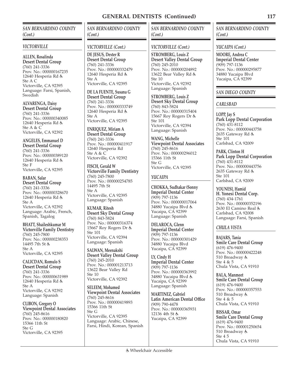*SAN BERNARDINO COUNTY (Cont.)*

#### *VICTORVILLE*

**ALLEN, Rosalinda Desert Dental Group** (760) 241-3336 Prov. No.: 000000167235 12640 Hesperia Rd Ste A C Victorville, CA 92395 Language: Farsi, Spanish, **Swedish** 

**ALVARENGA, Daisy Desert Dental Group** (760) 241-3336 Prov. No.: 000000340085 12640 Hesperia Rd & Ste A & C Victorville, CA 92392

**ANGELES, Emmanuel D Desert Dental Group** (760) 241-3336 Prov. No.: 000000389120 12640 Hesperia Rd Ste F Victorville, CA 92395

**BABAN, Salar Desert Dental Group** (760) 241-3336 Prov. No.: 000000328670 12640 Hesperia Rd & Ste A Victorville, CA 92392 Language: Arabic, French, Spanish, Tagalog

**BHATT, Shaileshkumar M Victorville Family Dentistry** (760) 245-7800 Prov. No.: 000000238353 14495 7th St Ste A Victorville, CA 92395

**CALICDAN, Romulo S Desert Dental Group** (760) 241-3336 Prov. No.: 000000631989 12640 Hesperia Rd Ste A Victorville, CA 92392 Language: Spanish

**CLIBON, Gregory O Viewpoint Dental Associates** (760) 245-8616 Prov. No.: 000000180820 15366 11th St Ste G Victorville, CA 92395

# *SAN BERNARDINO COUNTY (Cont.)*

## *VICTORVILLE (Cont.)*

**DE JESUS, Dexter R Desert Dental Group** (760) 241-3336 Prov. No.: 000000332479 12640 Hesperia Rd Ste A Victorville, CA 92395

**DE LA FUENTE, Susana G Desert Dental Group** (760) 241-3336 Prov. No.: 000000333749 12640 Hesperia Rd Ste A Victorville, CA 92395

**ENRIQUEZ, Miriam A Desert Dental Group** (760) 241-3336 Prov. No.: 000000411917 12640 Hesperia Rd Ste A & C Victorville, CA 92392

**FISCH, Gerald W Victorville Family Dentistry** (760) 245-7800 Prov. No.: 000000254785 14495 7th St Ste A Victorville, CA 92395 Language: Spanish

**KUMAR, Ritesh Desert Sky Dental Group** (760) 843-5824 Prov. No.: 000000316374 15667 Roy Rogers Dr Ste 101 Victorville, CA 92394 Language: Spanish

**SALWAN, Meenakshi Desert Valley Dental Group** (760) 245-2010 Prov. No.: 000001213713 13622 Bear Valley Rd Ste 10 Victorville, CA 92392

**SELEEM, Mohamed Viewpoint Dental Associates** (760) 245-8616 Prov. No.: 000000419893 15366 11th St Ste G Victorville, CA 92395 Language: Arabic, Chinese, Farsi, Hindi, Korean, Spanish *SAN BERNARDINO COUNTY (Cont.)*

## *VICTORVILLE (Cont.)*

**STROMBERG, Louis Z Desert Valley Dental Group** (760) 245-2010 Prov. No.: 000000204892 13622 Bear Valley Rd Ste 10 Victorville, CA 92392 Language: Spanish

**STROMBERG, Louis Z Desert Sky Dental Group** (760) 843-5824 Prov. No.: 000000315404 15667 Roy Rogers Dr Ste 101 Victorville, CA 92394 Language: Spanish

**WANG, Michelle Viewpoint Dental Associates** (760) 245-8616 Prov. No.: 000000296012 15366 11th St Ste G Victorville, CA 92395

# *YUCAIPA*

**CHOKKA, Sudhakar (Sonny Imperial Dental Center** (909) 797-1136 Prov. No.: 000000017064 34880 Yucaipa Blvd Yucaipa, CA 92399 Language: Spanish

**DELAROCA, Glenn Imperial Dental Center** (909) 797-1136 Prov. No.: 000000301429 34880 Yucaipa Blvd Yucaipa, CA 92399

**LY, Cindy H Imperial Dental Center** (909) 797-1136 Prov. No.: 000000363992 34880 Yucaipa Blvd Yucaipa, CA 92399 Language: Spanish

**MARTINEZ, Gabriel Latin American Dental Office** (909) 790-4478 Prov. No.: 000000365931 12136 4th St & Yucaipa, CA 92399

*SAN BERNARDINO COUNTY (Cont.)*

*YUCAIPA (Cont.)*

**MOORE, Andrea C Imperial Dental Center** (909) 797-1136 Prov. No.: 000000295877 34880 Yucaipa Blvd Yucaipa, CA 92399

## *SAN DIEGO COUNTY*

## *CARLSBAD*

**LOPP, Jay S Park Lopp Dental Corporation** (760) 431-8112 Prov. No.: 000000443758 2635 Gateway Rd Ste 101 Carlsbad, CA 92009

**PARK, Clinton H Park Lopp Dental Corporation** (760) 431-8112 Prov. No.: 000000443756 2635 Gateway Rd Ste 101 Carlsbad, CA 92009

**YOUNESI, Hamid H. Yonesi Dental Corp.** (760) 434-1761 Prov. No.: 000000352196 2630 El Camino Real Carlsbad, CA 92008 Language: Farsi, Spanish

## *CHULA VISTA*

**BAJARS, Tania Smile Care Dental Group** (619) 476-9400 Prov. No.: 000000422248 510 Broadway Ste 4 & 5 Chula Vista, CA 91910

**BALA, Manmeet Smile Care Dental Group** (619) 476-9400 Prov. No.: 000000357553 510 Broadway Ste 4 & 5 Chula Vista, CA 91910

**BISSAR, Omar Smile Care Dental Group** (619) 476-9400 Prov. No.: 000001250654 510 Broadway Ste 4 5 Chula Vista, CA 91910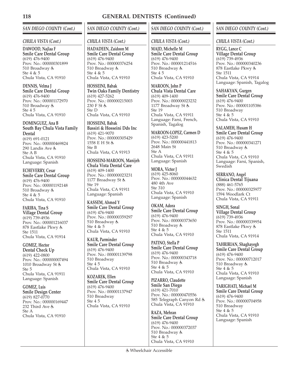## *SAN DIEGO COUNTY (Cont.)*

#### *CHULA VISTA (Cont.)*

**DAWOOD, Najlaa F Smile Care Dental Group** (619) 476-9400 Prov. No.: 000000301899 510 Broadway Ste 4 & 5 Chula Vista, CA 91910

**DENNIS, Velma J Smile Care Dental Group** (619) 476-9400 Prov. No.: 000001172970 510 Broadway Ste 4 5 Chula Vista, CA 91910

**DOMINGUEZ, Ana B South Bay Chula Vista Family Dental** (619) 691-0121 Prov. No.: 000000469824 290 Landis Ave Ste A B Chula Vista, CA 91910 Language: Spanish

**ECHEVERRY, Cesar Smile Care Dental Group** (619) 476-9400 Prov. No.: 000001192148 510 Broadway Ste 4 & 5 Chula Vista, CA 91910

**FARIBA, Tina S Village Dental Group** (619) 739-4936 Prov. No.: 000001216037 878 Eastlake Pkwy Ste 1511 Chula Vista, CA 91914

**GOMEZ, Hector Dental Check Up** (619) 422-0800 Prov. No.: 000000007494 1010 Broadway St Ste 5 Chula Vista, CA 91911 Language: Spanish

**GOMEZ, Luis Smile Design Center** (619) 827-0770 Prov. No.: 000000169447 232 Third Ave Ste A Chula Vista, CA 91910

# *SAN DIEGO COUNTY (Cont.)*

#### *CHULA VISTA (Cont.)*

**HADADEEN, Zaidoon M Smile Care Dental Group** (619) 476-9400 Prov. No.: 000000376254 510 Broadway Ste 4 & 5 Chula Vista, CA 91910

**HOSSEINI, Babak Twin Oaks Family Dentistry** (619) 427-5262 Prov. No.: 000000215003 230 F St Ste D Chula Vista, CA 91910

**HOSSEINI, Babak Bassiri & Hosseini Dds Inc** (619) 421-9070 Prov. No.: 000000305429 1558 E H St Ste B Chula Vista, CA 91913

**HOSSEINI-MAROON, Manijeh Chula Vista Dental Care** (619) 409-1400 Prov. No.: 000000023231 1177 Broadway St Ste 19 Chula Vista, CA 91911 Language: Spanish

**KASSEM, Ahmed Y Smile Care Dental Group** (619) 476-9400 Prov. No.: 000000359297 510 Broadway & Ste 4 & 5 Chula Vista, CA 91910

**KAUR, Parminder Smile Care Dental Group** (619) 476-9400 Prov. No.: 000001139798 510 Broadway Ste 4 5 Chula Vista, CA 91910

**KOZAREK, Ellen Smile Care Dental Group** (619) 476-9400 Prov. No.: 000001137947 510 Broadway Ste 4 5 Chula Vista, CA 91910

## *SAN DIEGO COUNTY (Cont.)*

#### *CHULA VISTA (Cont.)*

**MAJD, Michelle M Smile Care Dental Group** (619) 476-9400 Prov. No.: 000001214516 510 Broadway Ste 4 5 Chula Vista, CA 91910

**MAROON, John P Chula Vista Dental Care** (619) 409-1400 Prov. No.: 000000023232 1177 Broadway St Ste 19 Chula Vista, CA 91911 Language: Farsi, French, Spanish, Tagalog

**MAROON-LOPEZ, Carmen D** (619) 423-5200 Prov. No.: 000000441813 2648 Main St Ste A Chula Vista, CA 91911 Language: Spanish

**MORA, Victor J**  $(619)$  425-8060 Prov. No.: 000000044632 480 4th Ave Ste 310 Chula Vista, CA 91910 Language: Spanish

**OKAM, Adora Smile Care Dental Group** (619) 476-9400 Prov. No.: 000000373650 510 Broadway Ste 4 & 5 Chula Vista, CA 91910

**PATINO, Stella P Smile Care Dental Group** (619) 476-9400 Prov. No.: 000000343718 510 Broadway Ste 4 & 5 Chula Vista, CA 91910

**PIZARRO, Claudette Smile San Diego** (619) 421-7010 Prov. No.: 000000470556 585 Telegraph Canyon Rd Chula Vista, CA 91910

**RAZA, Mehran Smile Care Dental Group** (619) 476-9400 Prov. No.: 000000372037 510 Broadway Ste 4 & 5 Chula Vista, CA 91910

*SAN DIEGO COUNTY (Cont.)*

*CHULA VISTA (Cont.)*

**RYGG, Lance C Village Dental Group** (619) 739-4936 Prov. No.: 000000340236 878 Eastlake Pkwy Ste 1511 Chula Vista, CA 91914 Language: Spanish, Tagalog

**SAHAKYAN, Gurgen Smile Care Dental Group** (619) 476-9400 Prov. No.: 000001105386 510 Broadway Ste 4 & 5 Chula Vista, CA 91910

**SALAMEH, Husam H Smile Care Dental Group** (619) 476-9400 Prov. No.: 000000341271 510 Broadway Ste 4 & 5 Chula Vista, CA 91910 Language: Farsi, Spanish, **Swedish** 

**SERRANO, Angel Clinica Dental Tijuana** (888) 461-5765 Prov. No.: 000000325977 1594 Woodlark Ct Chula Vista, CA 91911

**SINGH, Sonal Village Dental Group** (619) 739-4936 Prov. No.: 000000339954 878 Eastlake Pkwy Ste 1511 Chula Vista, CA 91914

**TAHRIRIAN, Shaghayegh Smile Care Dental Group** (619) 476-9400 Prov. No.: 000000712017 510 Broadway Ste 4 & 5 Chula Vista, CA 91910 Language: Spanish

**TARIGHATI, Michael M Smile Care Dental Group** (619) 476-9400 Prov. No.: 000000704958 510 Broadway Ste 4 & 5 Chula Vista, CA 91910 Language: Spanish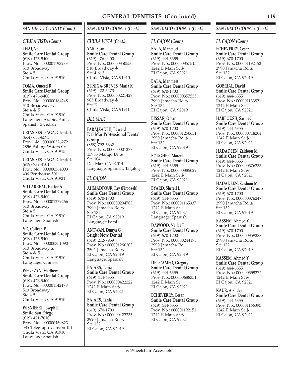#### *SAN DIEGO COUNTY (Cont.)*

#### *CHULA VISTA (Cont.)*

**THAI, Vu Smile Care Dental Group** (619) 476-9400 Prov. No.: 000001193283 510 Broadway Ste 4 5 Chula Vista, CA 91910

**TOMA, Omeed B Smile Care Dental Group** (619) 476-9400 Prov. No.: 000000184248 510 Broadway Ste 4 & 5 Chula Vista, CA 91910 Language: Arabic, Farsi, Spanish, Swedish

**URIAS-SESTEAGA, Glenda L** (664) 683-6595 Prov. No.: 000000326272 2856 Falling Waters Ct Chula Vista, CA 91915

**URIAS-SESTEAGA, Glenda L** (619) 739-4101 Prov. No.: 000000364003 406 Penthouse 501 Chula Vista, CA 91921

**VILLARREAL, Hector A Smile Care Dental Group** (619) 476-9400 Prov. No.: 000001279266 510 Broadway Ste 4 5 Chula Vista, CA 91910 Language: Spanish

**VO, Colleen P Smile Care Dental Group** (619) 476-9400 Prov. No.: 000000351090 510 Broadway Ste 4 & 5 Chula Vista, CA 91910 Language: Chinese

**WEGRZYN, Matthew Smile Care Dental Group** (619) 476-9400 Prov. No.: 000001142178 510 Broadway Ste 4 5 Chula Vista, CA 91910

**WISNIESKI, Joseph R Smile San Diego** (619) 421-7010

Prov. No.: 000000469823 585 Telegraph Canyon Rd Chula Vista, CA 91910 Language: Spanish

## *SAN DIEGO COUNTY (Cont.)*

# *CHULA VISTA (Cont.)*

**YAR, Sean Smile Care Dental Group** (619) 476-9400 Prov. No.: 000000350550 510 Broadway Ste 4 & 5 Chula Vista, CA 91910

**ZUNIGA-BRENES, Maria K** (619) 422-3473 Prov. No.: 000000221428 985 Broadway Ste E Chula Vista, CA 91911

#### *DEL MAR*

**FARAJZADEH, Edward Del Mar Professional Dental Group** (858) 792-6662 Prov. No.: 000000001277 13983 Mango Dr Ste 104 Del Mar, CA 92014 Language: Spanish, Tagalog

## *EL CAJON*

**AHMADPOUR, Fay (Firoozeh) Smile Care Dental Group** (619) 670-1700 Prov. No.: 000000294783 2990 Jamacha Rd Ste 132 El Cajon, CA 92019 Language: Farsi

**ANTWAN, Dunya G Bright Now Dental** (619) 212-7959 Prov. No.: 000001266203 2502 Jamacha Rd El Cajon, CA 92019 Language: Spanish

**BAJARS, Tania Smile Care Dental Group** (619) 444-6355 Prov. No.: 000000422222 1242 E Main St & El Cajon, CA 92021

**BAJARS, Tania Smile Care Dental Group** (619) 670-1700 Prov. No.: 000000422235 2990 Jamacha Rd Ste 132 El Cajon, CA 92019

## *SAN DIEGO COUNTY (Cont.)*

## *EL CAJON (Cont.)*

**BALA, Manmeet Smile Care Dental Group** (619) 444-6355 Prov. No.: 000000357515 1242 E Main St & El Cajon, CA 92021

**BALA, Manmeet Smile Care Dental Group** (619) 670-1700 Prov. No.: 000000357535 2990 Jamacha Rd  $Sta$  132 El Cajon, CA 92019

**BISSAR, Omar Smile Care Dental Group** (619) 670-1700 Prov. No.: 000001250651 2990 Jamacha Rd Ste 132 El Cajon, CA 92019

**BOUGHER, Marcel Smile Care Dental Group** (619) 444-6355 Prov. No.: 000000385029 1242 E Main St El Cajon, CA 92021

**BYARD, Shrrell L Smile Care Dental Group** (619) 444-6355 Prov. No.: 000001165937 1242 E Main St El Cajon, CA 92021 Language: Spanish

**DAWOOD, Najlaa F Smile Care Dental Group** (619) 670-1700 Prov. No.: 000000244175 2990 Jamacha Rd Ste 132 El Cajon, CA 92019

**DEL CAMPO, Gregory Smile Care Dental Group** (619) 444-6355 Prov. No.: 000000688351 1242 E Main St El Cajon, CA 92021

**ECHEVERRY, Cesar Smile Care Dental Group** (619) 444-6355 Prov. No.: 000001192151 1242 E Main St El Cajon, CA 92021

#### *SAN DIEGO COUNTY (Cont.)*

#### *EL CAJON (Cont.)*

**ECHEVERRY, Cesar Smile Care Dental Group** (619) 670-1700 Prov. No.: 000001192152 2990 Jamacha Rd Ste 132 El Cajon, CA 92019

**GOBRIAL, David Smile Care Dental Group** (619) 444-6355 Prov. No.: 000001133821 1242 E Main St El Cajon, CA 92021

**HABBOUSH, Sarmad Smile Care Dental Group** (619) 444-6355 Prov. No.: 000000718204 1242 E Main St El Cajon, CA 92021

**HADADEEN, Zaidoon M Smile Care Dental Group** (619) 444-6355 Prov. No.: 000000376233 1242 E Main St El Cajon, CA 92021

**HADADEEN, Zaidoon M Smile Care Dental Group** (619) 670-1700 Prov. No.: 000000376247 2990 Jamacha Rd Ste 132 El Cajon, CA 92019

**KASSEM, Ahmed Y Smile Care Dental Group** (619) 670-1700 Prov. No.: 000000359288 2990 Jamacha Rd Ste 132 El Cajon, CA 92019

**KASSEM, Ahmed Y Smile Care Dental Group** (619) 444-6355 Prov. No.: 000000359272 1242 E Main St El Cajon, CA 92021

**KAUR, Arshdeep Smile Care Dental Group** (619) 444-6355 Prov. No.: 000001166395 1242 E Main St El Cajon, CA 92021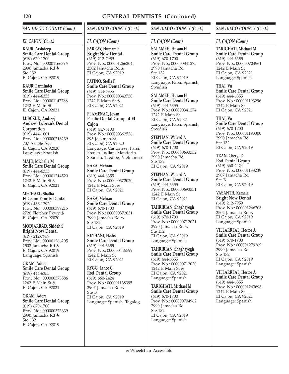# *SAN DIEGO COUNTY (Cont.)*

## *EL CAJON (Cont.)*

**KAUR, Arshdeep Smile Care Dental Group** (619) 670-1700 Prov. No.: 000001166396 2990 Jamacha Rd Ste 132 El Cajon, CA 92019

**KAUR, Parminder Smile Care Dental Group** (619) 444-6355 Prov. No.: 000001147788 1242 E Main St El Cajon, CA 92021

**LUBCZUK, Andrzej Andrzej Lubczuk Dental Corporation** (619) 444-1001 Prov. No.: 000000216239 707 Arnele Ave El Cajon, CA 92020 Language: Spanish

**MAJD, Michelle M Smile Care Dental Group** (619) 444-6355 Prov. No.: 000001214520 1242 E Main St & El Cajon, CA 92021

**MECHAEL, Shatha El Cajon Family Dental** (619) 466-1292 Prov. No.: 000000399215 2720 Fletcher Pkwy El Cajon, CA 92020

**MODJARRAD, Shideh S Bright Now Dental** (619) 212-7959 Prov. No.: 000001266205 2502 Jamacha Rd El Cajon, CA 92019 Language: Spanish

**OKAM, Adora Smile Care Dental Group** (619) 444-6355 Prov. No.: 000000373586 1242 E Main St El Cajon, CA 92021

**OKAM, Adora Smile Care Dental Group** (619) 670-1700 Prov. No.: 000000373639 2990 Jamacha Rd Ste 132 El Cajon, CA 92019

# *SAN DIEGO COUNTY (Cont.)*

## *EL CAJON (Cont.)*

**PARRAY, Humara R Bright Now Dental** (619) 212-7959 Prov. No.: 000001266204 2502 Jamacha Rd El Cajon, CA 92019

**PATINO, Stella P Smile Care Dental Group** (619) 444-6355 Prov. No.: 000000343730 1242 E Main St El Cajon, CA 92021

**PLAMENAC, Jovan Pacific Dental Group of El Cajon**

(619) 447-3100 Prov. No.: 000000362526 895 Jackman St El Cajon, CA 92020 Language: Cantonese, Farsi, French, Indian, Mandarin, Spanish, Tagalog, Vietnamese

**RAZA, Mehran Smile Care Dental Group** (619) 444-6355 Prov. No.: 000000372020 1242 E Main St El Cajon, CA 92021

**RAZA, Mehran Smile Care Dental Group** (619) 670-1700 Prov. No.: 000000372031 2990 Jamacha Rd Ste 132 El Cajon, CA 92019

**REYHANI, Hadis Smile Care Dental Group** (619) 444-6355 Prov. No.: 000000445599 1242 E Main St El Cajon, CA 92021

**RYGG, Lance C Rsd Dental Group** (619) 660-2424 Prov. No.: 000001138395 2907 Jamacha Rd Ste B El Cajon, CA 92019 Language: Spanish, Tagalog

## *SAN DIEGO COUNTY (Cont.)*

## *EL CAJON (Cont.)*

**SALAMEH, Husam H Smile Care Dental Group** (619) 670-1700 Prov. No.: 000000341275 2990 Jamacha Rd Ste 132 El Cajon, CA 92019 Language: Farsi, Spanish, Swedish

**SALAMEH, Husam H Smile Care Dental Group** (619) 444-6355 Prov. No.: 000000341274 1242 E Main St El Cajon, CA 92021 Language: Farsi, Spanish, Swedish

**STEPHAN, Waleed A Smile Care Dental Group** (619) 670-1700 Prov. No.: 000000693352 2990 Jamacha Rd Ste 132 El Cajon, CA 92019

**STEPHAN, Waleed A Smile Care Dental Group** (619) 444-6355 Prov. No.: 000000693351 1242 E Main St El Cajon, CA 92021

**TAHRIRIAN, Shaghayegh Smile Care Dental Group** (619) 670-1700 Prov. No.: 000000712021 2990 Jamacha Rd Ste 132 El Cajon, CA 92019 Language: Spanish

**TAHRIRIAN, Shaghayegh Smile Care Dental Group** (619) 444-6355 Prov. No.: 000000712020 1242 E Main St & El Cajon, CA 92021 Language: Spanish

**TARIGHATI, Michael M Smile Care Dental Group** (619) 670-1700 Prov. No.: 000000704962 2990 Jamacha Rd Ste 132 El Cajon, CA 92019 Language: Spanish

## *SAN DIEGO COUNTY (Cont.)*

## *EL CAJON (Cont.)*

**TARIGHATI, Michael M Smile Care Dental Group** (619) 444-6355 Prov. No.: 000000704961 1242 E Main St El Cajon, CA 92021 Language: Spanish

**THAI, Vu Smile Care Dental Group** (619) 444-6355 Prov. No.: 000001193296 1242 E Main St El Cajon, CA 92021

#### **THAI, Vu**

**Smile Care Dental Group** (619) 670-1700 Prov. No.: 000001193300 2990 Jamacha Rd Ste 132 El Cajon, CA 92019

**TRAN, Cheryl D Rsd Dental Group** (619) 660-2424 Prov. No.: 000001133239 2907 Jamacha Rd Ste B El Cajon, CA 92019

**VASANTH, Kamala Bright Now Dental** (619) 212-7959 Prov. No.: 000001266206 2502 Jamacha Rd El Cajon, CA 92019 Language: Spanish

**VILLARREAL, Hector A Smile Care Dental Group** (619) 670-1700 Prov. No.: 000001279269 2990 Jamacha Rd Ste 132 El Cajon, CA 92019 Language: Spanish

**VILLARREAL, Hector A Smile Care Dental Group** (619) 444-6355 Prov. No.: 000001263696 1242 E Main St El Cajon, CA 92021 Language: Spanish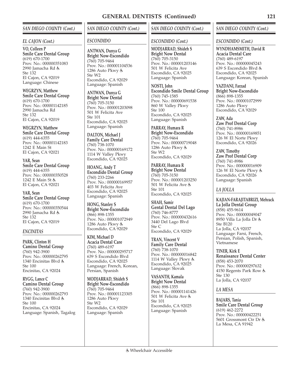## *SAN DIEGO COUNTY (Cont.)*

#### *EL CAJON (Cont.)*

**VO, Colleen P Smile Care Dental Group** (619) 670-1700 Prov. No.: 000000351083 2990 Jamacha Rd  $Sta 132$ El Cajon, CA 92019 Language: Chinese

**WEGRZYN, Matthew Smile Care Dental Group** (619) 670-1700 Prov. No.: 000001142185 2990 Jamacha Rd Ste 132 El Cajon, CA 92019

**WEGRZYN, Matthew Smile Care Dental Group** (619) 444-6355 Prov. No.: 000001142183 1242 E Main St El Cajon, CA 92021

**YAR, Sean Smile Care Dental Group** (619) 444-6355 Prov. No.: 000000350528 1242 E Main St & El Cajon, CA 92021

**YAR, Sean Smile Care Dental Group** (619) 670-1700 Prov. No.: 000000350544 2990 Jamacha Rd Ste 132 El Cajon, CA 92019

#### *ENCINITAS*

**PARK, Clinton H Camino Dental Group** (760) 942-3900 Prov. No.: 000000262795 1340 Encinitas Blvd Ste 100 Encinitas, CA 92024

**RYGG, Lance C Camino Dental Group** (760) 942-3900 Prov. No.: 000000262793 1340 Encinitas Blvd Ste 100 Encinitas, CA 92024 Language: Spanish, Tagalog

# *SAN DIEGO COUNTY (Cont.)*

#### *ESCONDIDO*

**ANTWAN, Dunya G Bright Now-Escondido** (760) 705-9464 Prov. No.: 000001104536 1286 Auto Pkwy Ste W2 Escondido, CA 92029 Language: Spanish

**ANTWAN, Dunya G Bright Now Dental** (760) 705-3150 Prov. No.: 000001203098 501 W Felicita Ave Ste 101 Escondido, CA 92025 Language: Spanish

**DALTON, Michael J Family Care Dental** (760) 738-1070 Prov. No.: 000000169172 1114 W Valley Pkwy Escondido, CA 92025

**HOANG, Andy T Escondido Dental Group** (760) 233-2266 Prov. No.: 000000169957 403 W Felicita Ave Escondido, CA 92025 Language: Spanish

**HONG, Stanley S Bright Now-Escondido** (866) 898-1355 Prov. No.: 000001072949 1286 Auto Pkwy Escondido, CA 92029

**KIM, Michael D Acacia Dental Care** (760) 489-6197 Prov. No.: 000000295717 639 S Escondido Blvd Escondido, CA 92025 Language: French, Korean, Persian, Spanish

**MODJARRAD, Shideh S Bright Now-Escondido** (760) 705-9464 Prov. No.: 000001123305 1286 Auto Pkwy Ste W2 Escondido, CA 92029 Language: Spanish

## Wheelchair Accessible

## *SAN DIEGO COUNTY (Cont.)*

## *ESCONDIDO (Cont.)*

**MODJARRAD, Shideh S Bright Now Dental** (760) 705-3150 Prov. No.: 000001203146 501 W Felicita Ave Escondido, CA 92025 Language: Spanish

**NOSTI, John Escondido Smile Dental Group** (760) 745-1585 Prov. No.: 000000691538 860 W Valley Pkwy Ste 100 Escondido, CA 92025 Language: Spanish

**PARRAY, Humara R Bright Now-Escondido** (760) 705-9464 Prov. No.: 000000719048 1286 Auto Pkwy Ste W2 Escondido, CA 92029

**PARRAY, Humara R Bright Now Dental** (760) 705-3150 Prov. No.: 000001203250 501 W Felicita Ave Ste 101 Escondido, CA 92025

**SHAH, Samir Gental Dental Del Lago** (760) 746-8777 Prov. No.: 000000432616 3440 Del Lago Blvd Ste C Escondido, CA 92029

**TRAN, Vincent V Family Care Dental** (760) 738-1070 Prov. No.: 000000016842 1114 W Valley Pkwy Escondido, CA 92025 Language: Slovak

**VASANTH, Kamala Bright Now Dental** (866) 898-1355 Prov. No.: 000001141426 501 W Felicita Ave Ste 101 Escondido, CA 92025 Language: Spanish

## *SAN DIEGO COUNTY (Cont.)*

#### *ESCONDIDO (Cont.)*

**WYNDHAMSMITH, David R Acacia Dental Care** (760) 489-6197 Prov. No.: 000000045243 639 S Escondido Blvd Escondido, CA 92025 Language: Korean, Spanish

**YAZDANI, Farzad Bright Now-Escondido** (866) 898-1355 Prov. No.: 000001072999 1286 Auto Pkwy Escondido, CA 92029

**ZAW, Ada Zaw Prof Dental Corp** (760) 741-8986 Prov. No.: 000000169851 126 W El Norte Pkwy Escondido, CA 92026

**ZAW, Timothy Zaw Prof Dental Corp** (760) 741-8986 Prov. No.: 000000016909 126 W El Norte Pkwy Escondido, CA 92026 Language: Spanish

## *LA JOLLA*

**KAJIAN-FARAJITABRIZI, Mehrack La Jolla Dental Group** (858) 455-9614 Prov. No.: 000000049047 8950 Villa La Jolla Dr Ste B120 La Jolla, CA 92037 Language: Farsi, French, Persian, Polish, Spanish,

**TINER, Kirk E Renaissance Dental Center** (858) 453-2070 Prov. No.: 000000297632 4150 Regents Park Row Ste 130 La Jolla, CA 92037

#### *LA MESA*

Vietnamese

**BAJARS, Tania Smile Care Dental Group** (619) 462-2272 Prov. No.: 000000422251 5601 Grossmont Ctr Dr & La Mesa, CA 91942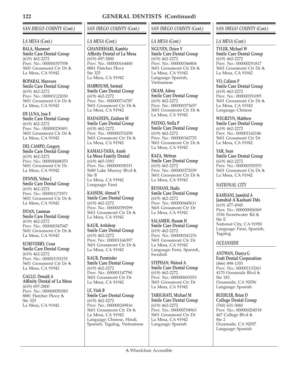# *SAN DIEGO COUNTY (Cont.)*

## *LA MESA (Cont.)*

**BALA, Manmeet Smile Care Dental Group** (619) 462-2272 Prov. No.: 000000357558 5601 Grossmont Ctr Dr La Mesa, CA 91942

**BOPARAI, Manveen Smile Care Dental Group** (619) 462-2272 Prov. No.: 000001122030 5601 Grossmont Ctr Dr La Mesa, CA 91942

**DE LUNA, Jose E Smile Care Dental Group** (619) 462-2272 Prov. No.: 000000230491 5601 Grossmont Ctr Dr La Mesa, CA 91942

**DEL CAMPO, Gregory Smile Care Dental Group** (619) 462-2272 Prov. No.: 000000688353 5601 Grossmont Ctr Dr La Mesa, CA 91942

**DENNIS, Velma J Smile Care Dental Group** (619) 462-2272 Prov. No.: 000001172971 5601 Grossmont Ctr Dr La Mesa, CA 91942

**DOAN, Lamman Smile Care Dental Group** (619) 462-2272 Prov. No.: 000000347047 5601 Grossmont Ctr Dr La Mesa, CA 91942

**ECHEVERRY, Cesar Smile Care Dental Group** (619) 462-2272 Prov. No.: 000001192153 5601 Grossmont Ctr Dr La Mesa, CA 91942

**GALLO, Donald A Affinity Dental of La Mesa** (619) 697-2800 Prov. No.: 000000050383 8881 Fletcher Pkwy Ste 325 La Mesa, CA 91942

# *SAN DIEGO COUNTY (Cont.)*

#### *LA MESA (Cont.)*

**GHANDEHARI, Kambiz Affinity Dental of La Mesa** (619) 697-2800 Prov. No.: 000000164400 8881 Fletcher Pkwy Ste 325 La Mesa, CA 91942

**HABBOUSH, Sarmad Smile Care Dental Group** (619) 462-2272 Prov. No.: 000000716787 5601 Grossmont Ctr Dr La Mesa, CA 91942

**HADADEEN, Zaidoon M Smile Care Dental Group** (619) 462-2272 Prov. No.: 000000376258 5601 Grossmont Ctr Dr La Mesa, CA 91942

**KAMALI-TAHA, Arash La Mesa Family Dental** (619) 465-3393 Prov. No.: 000000038331 5680 Lake Murray Blvd Ste B La Mesa, CA 91942 Language: Farsi

**KASSEM, Ahmed Y Smile Care Dental Group** (619) 462-2272 Prov. No.: 000000359299 5601 Grossmont Ctr Dr La Mesa, CA 91942

**KAUR, Arshdeep Smile Care Dental Group** (619) 462-2272 Prov. No.: 000001166397 5601 Grossmont Ctr Dr La Mesa, CA 91942

**KAUR, Parminder Smile Care Dental Group** (619) 462-2272 Prov. No.: 000001147790 5601 Grossmont Ctr Dr La Mesa, CA 91942

**LE, Vinh B Smile Care Dental Group** (619) 462-2272 Prov. No.: 000000249816 5601 Grossmont Ctr Dr La Mesa, CA 91942 Language: Chinese, Hindi, Spanish, Tagalog, Vietnamese

## *SAN DIEGO COUNTY (Cont.)*

## *LA MESA (Cont.)*

**NGUYEN, Dzien V Smile Care Dental Group** (619) 462-2272 Prov. No.: 000000346804 5601 Grossmont Ctr Dr La Mesa, CA 91942 Language: Spanish, Vietnamese

**OKAM, Adora Smile Care Dental Group** (619) 462-2272 Prov. No.: 000000373657 5601 Grossmont Ctr Dr La Mesa, CA 91942

**PATINO, Stella P Smile Care Dental Group** (619) 462-2272 Prov. No.: 000000343725 5601 Grossmont Ctr Dr & La Mesa, CA 91942

**RAZA, Mehran Smile Care Dental Group** (619) 462-2272 Prov. No.: 000000372039 5601 Grossmont Ctr Dr La Mesa, CA 91942

**REYHANI, Hadis Smile Care Dental Group** (619) 462-2272 Prov. No.: 000000445611 5601 Grossmont Ctr Dr La Mesa, CA 91942

**SALAMEH, Husam H Smile Care Dental Group** (619) 462-2272 Prov. No.: 000000341276 5601 Grossmont Ctr Dr La Mesa, CA 91942 Language: Farsi, Spanish, Swedish

**STEPHAN, Waleed A Smile Care Dental Group** (619) 462-2272 Prov. No.: 000000693353 5601 Grossmont Ctr Dr La Mesa, CA 91942

**TARIGHATI, Michael M Smile Care Dental Group** (619) 462-2272 Prov. No.: 000000704963 5601 Grossmont Ctr Dr La Mesa, CA 91942 Language: Spanish

## *SAN DIEGO COUNTY (Cont.)*

*LA MESA (Cont.)*

**TYLER, Michael W Smile Care Dental Group** (619) 462-2272 Prov. No.: 000000291817 5601 Grossmont Ctr Dr La Mesa, CA 91942

**VO, Colleen P Smile Care Dental Group** (619) 462-2272 Prov. No.: 000000351095 5601 Grossmont Ctr Dr La Mesa, CA 91942 Language: Chinese

**WEGRZYN, Matthew Smile Care Dental Group** (619) 462-2272 Prov. No.: 000001142186 5601 Grossmont Ctr Dr La Mesa, CA 91942

**YAR, Sean Smile Care Dental Group** (619) 462-2272 Prov. No.: 000000350553 5601 Grossmont Ctr Dr La Mesa, CA 91942

## *NATIONAL CITY*

**KASHANI, Jamshid A Jamshid A Kashani Dds** (619) 477-4945 Prov. No.: 000000006569 1536 Sweetwater Rd Ste E National City, CA 91950 Language: Farsi, Spanish, Tagalog

#### *OCEANSIDE*

**ANTWAN, Dunya G Fratt Dental Corporation** (866) 898-1355 Prov. No.: 000001133261 4170 Oceanside Blvd Ste 183 Oceanside, CA 92056 Language: Spanish

**BUEHLER, Brian D College Dental Group** (760) 631-3060 Prov. No.: 000000204518 467 College Blvd Ste 2 Oceanside, CA 92057 Language: Spanish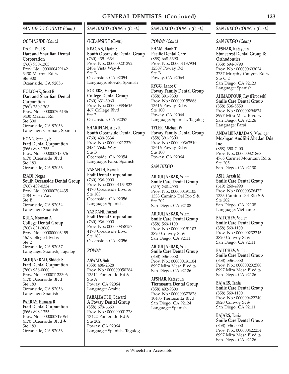## *SAN DIEGO COUNTY (Cont.)*

#### *OCEANSIDE (Cont.)*

**DART, Paul S Dart and Sharifian Dental Corporation** (760) 730-1303 Prov. No.: 000000429142 3430 Marron Rd Ste 300 Oceanside, CA 92056

**HOLYOAK, Scott R Dart and Sharifian Dental Corporation** (760) 730-1303 Prov. No.: 000000706136 3430 Marron Rd Ste 300 Oceanside, CA 92056 Language: German, Spanish

**HONG, Stanley S Fratt Dental Corporation** (866) 898-1355 Prov. No.: 000000718076 4170 Oceanside Blvd Ste 183 Oceanside, CA 92056

**IZADI, Negar South Oceanside Dental Group** (760) 439-0334 Prov. No.: 000000704435 2484 Vista Way Ste B Oceanside, CA 92054 Language: Spanish

**KULA, Norman A College Dental Group** (760) 631-3060 Prov. No.: 000000006455 467 College Blvd & Ste 2 Oceanside, CA 92057 Language: Spanish, Tagalog

**MODJARRAD, Shideh S Fratt Dental Corporation** (760) 936-0000 Prov. No.: 000001123306 4170 Oceanside Blvd Ste 183 Oceanside, CA 92056 Language: Spanish

**PARRAY, Humara R Fratt Dental Corporation** (866) 898-1355 Prov. No.: 000000719064 4170 Oceanside Blvd Ste 183 Oceanside, CA 92056

## *SAN DIEGO COUNTY (Cont.)*

#### *OCEANSIDE (Cont.)*

**REAGAN, Darin S South Oceanside Dental Group** (760) 439-0334 Prov. No.: 000000201392 2484 Vista Way Ste B Oceanside, CA 92054 Language: Slovak, Spanish

**ROGERS, Marjan College Dental Group** (760) 631-3060 Prov. No.: 000000384616 467 College Blvd Ste 2 Oceanside, CA 92057

**SHARIFIAN, Alex R South Oceanside Dental Group** (760) 439-0334 Prov. No.: 000000217370 2484 Vista Way Ste B Oceanside, CA 92054 Language: Farsi, Spanish

**VASANTH, Kamala Fratt Dental Corporation** (760) 936-0000 Prov. No.: 000001134827 4170 Oceanside Blvd Ste 183 Oceanside, CA 92056 Language: Spanish

**YAZDANI, Farzad Fratt Dental Corporation** (760) 936-0000 Prov. No.: 000000858157 4170 Oceanside Blvd Ste 183 Oceanside, CA 92056

## *POWAY*

**ASWAD, Suhir** (858) 486-2328 Prov. No.: 000000050284 13514 Pomerado Rd Ste A Poway, CA 92064 Language: Arabic

**FARAJZADEH, Edward A Poway Dental Group** (858) 679-6660 Prov. No.: 000000001278 13422 Pomerado Rd Ste 202 Poway, CA 92064 Language: Spanish, Tagalog

## *SAN DIEGO COUNTY (Cont.)*

#### *POWAY (Cont.)*

**PHAM, Hanh T Pacific Dental Care** (858) 668-3390 Prov. No.: 000001137934 12307 Poway Rd Ste B Poway, CA 92064

**RYGG, Lance C Poway Family Dental Group** (858) 391-9300 Prov. No.: 000000155868 13616 Poway Rd Ste 100 Poway, CA 92064 Language: Spanish, Tagalog

**TYLER, Michael W Poway Family Dental Group** (858) 391-9300 Prov. No.: 000000363510 13616 Poway Rd Ste 100 Poway, CA 92064

## *SAN DIEGO*

**ABDULJABBAR, Wiam Smile Care Dental Group** (619) 260-4990 Prov. No.: 000000191105 1333 Camino Del Rio S Ste 202 San Diego, CA 92108

**ABDULJABBAR, Wiam Smile Care Dental Group** (858) 569-1100 Prov. No.: 000000191103 3820 Convoy St San Diego, CA 92111

**ABDULJABBAR, Wiam Smile Care Dental Group** (858) 536-5550 Prov. No.: 000000191104 8997 Mira Mesa Blvd San Diego, CA 92126

**AFSHAR, Katayoun Tierrasanta Dental Group** (858) 492-9300 Prov. No.: 000000373878 10405 Tierrasanta Blvd San Diego, CA 92124 Language: Spanish

#### *SAN DIEGO COUNTY (Cont.)*

#### *SAN DIEGO (Cont.)*

**AFSHAR, Katayoun Stonecrest Dental Group & Orthodontics** (858) 694-0790 Prov. No.: 000000693024 3737 Murphy Canyon Rd Ste C 2 San Diego, CA 92123 Language: Spanish

**AHMADPOUR, Fay (Firoozeh) Smile Care Dental Group** (858) 536-5550 Prov. No.: 000000294874 8997 Mira Mesa Blvd San Diego, CA 92126 Language: Farsi

**ANDALIBI-ABADAN, Mozhgan Mozhgan Andlibi Abadan Dds Inc** (858) 350-7400 Prov. No.: 000000321868 4765 Carmel Mountain Rd Ste 205 San Diego, CA 92130

**ASIL, Arash M Smile Care Dental Group** (619) 260-4990 Prov. No.: 000000376477 1333 Camino Del Rio S Ste 202 San Diego, CA 92108 Language: Vietnamese

**BAITCHEV, Violet Smile Care Dental Group** (858) 569-1100 Prov. No.: 000000232246 3820 Convoy St San Diego, CA 92111

**BAITCHEV, Violet Smile Care Dental Group** (858) 536-5550 Prov. No.: 000000232580 8997 Mira Mesa Blvd San Diego, CA 92126

**BAJARS, Tania Smile Care Dental Group** (858) 569-1100 Prov. No.: 000000422240 3820 Convoy St San Diego, CA 92111

**BAJARS, Tania Smile Care Dental Group** (858) 536-5550 Prov. No.: 000000422254 8997 Mira Mesa Blvd San Diego, CA 92126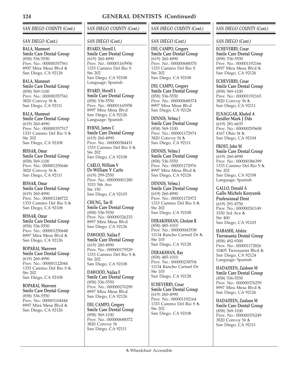# *SAN DIEGO COUNTY (Cont.)*

#### *SAN DIEGO (Cont.)*

**BALA, Manmeet Smile Care Dental Group** (858) 536-5550 Prov. No.: 000000357561 8997 Mira Mesa Blvd San Diego, CA 92126

**BALA, Manmeet Smile Care Dental Group** (858) 569-1100 Prov. No.: 000000357541 3820 Convoy St San Diego, CA 92111

**BALA, Manmeet Smile Care Dental Group** (619) 260-4990 Prov. No.: 000000357517 1333 Camino Del Rio S Ste 202 San Diego, CA 92108

**BISSAR, Omar Smile Care Dental Group** (858) 569-1100 Prov. No.: 000001250646 3820 Convoy St San Diego, CA 92111

**BISSAR, Omar Smile Care Dental Group** (619) 260-4990 Prov. No.: 000001248722 1333 Camino Del Rio S San Diego, CA 92108

**BISSAR, Omar Smile Care Dental Group** (858) 536-5550 Prov. No.: 000001250648 8997 Mira Mesa Blvd San Diego, CA 92126

**BOPARAI, Manveen Smile Care Dental Group** (619) 260-4990 Prov. No.: 000001122044 1333 Camino Del Rio S Ste 202 San Diego, CA 92108

**BOPARAI, Manveen Smile Care Dental Group** (858) 536-5550 Prov. No.: 000001104444 8997 Mira Mesa Blvd San Diego, CA 92126

# *SAN DIEGO COUNTY (Cont.)*

#### *SAN DIEGO (Cont.)*

**BYARD, Shrrell L Smile Care Dental Group** (619) 260-4990 Prov. No.: 000001165956 1333 Camino Del Rio S Ste 202 San Diego, CA 92108 Language: Spanish

**BYARD, Shrrell L Smile Care Dental Group** (858) 536-5550 Prov. No.: 000001165958 8997 Mira Mesa Blvd San Diego, CA 92126 Language: Spanish

**BYRNE, James C Smile Care Dental Group** (619) 260-4990 Prov. No.: 000000384431 1333 Camino Del Rio S Ste 202 San Diego, CA 92108

**CARLO, William V Dr William V Carlo** (619) 299-2550 Prov. No.: 000000001280 3333 5th Ave Ste 150 San Diego, CA 92103

**CHUNG, Tae H Smile Care Dental Group** (858) 536-5550 Prov. No.: 000000326233 8997 Mira Mesa Blvd San Diego, CA 92126

**DAWOOD, Najlaa F Smile Care Dental Group** (619) 260-4990 Prov. No.: 000000179529 1333 Camino Del Rio S Ste 202 San Diego, CA 92108

**DAWOOD, Najlaa F Smile Care Dental Group** (858) 536-5550 Prov. No.: 000000276290 8997 Mira Mesa Blvd San Diego, CA 92126

**DEL CAMPO, Gregory Smile Care Dental Group** (858) 569-1100 Prov. No.: 000000688372 3820 Convoy St San Diego, CA 92111

## *SAN DIEGO COUNTY (Cont.)*

## *SAN DIEGO (Cont.)*

**DEL CAMPO, Gregory Smile Care Dental Group** (619) 260-4990 Prov. No.: 000000688370 1333 Camino Del Rio S Ste 202 San Diego, CA 92108

**DEL CAMPO, Gregory Smile Care Dental Group** (858) 536-5550 Prov. No.: 000000688374 8997 Mira Mesa Blvd San Diego, CA 92126

**DENNIS, Velma J Smile Care Dental Group** (858) 569-1100 Prov. No.: 000001172974 3820 Convoy St San Diego, CA 92111

**DENNIS, Velma J Smile Care Dental Group** (858) 536-5550 Prov. No.: 000001172976 8997 Mira Mesa Blvd San Diego, CA 92126

**DENNIS, Velma J Smile Care Dental Group** (619) 260-4990 Prov. No.: 000001172972 1333 Camino Del Rio S Ste 202 San Diego, CA 92108

**DERAKHSHAN, Gholam R** (858) 485-1010 Prov. No.: 000000043538 11134 Rancho Carmel Dr Ste 103 San Diego, CA 92128

**DERAKSHAN, Ray** (858) 485-1010 Prov. No.: 000000238704 11134 Rancho Carmel Dr Ste 103 San Diego, CA 92128

**ECHEVERRY, Cesar Smile Care Dental Group** (619) 260-4990 Prov. No.: 000001192164 1333 Camino Del Rio S Ste 202 San Diego, CA 92108

## *SAN DIEGO COUNTY (Cont.)*

#### *SAN DIEGO (Cont.)*

**ECHEVERRY, Cesar Smile Care Dental Group** (858) 536-5550 Prov. No.: 000001192166 8997 Mira Mesa Blvd San Diego, CA 92126

**ECHEVERRY, Cesar Smile Care Dental Group** (858) 569-1100 Prov. No.: 000001192165 3820 Convoy St San Diego, CA 92111

**ELNAGGAR, Khaled A Reidler Mark J Dds** (619) 281-6635 Prov. No.: 000000295608 4167 Ohio St & San Diego, CA 92104

**FROST, John M Smile Care Dental Group** (619) 260-4990 Prov. No.: 000000386399 1333 Camino Del Rio S Ste 202 San Diego, CA 92108 Language: Spanish

**GALLO, Donald A Gallo Michels Koryurek Professional Dent** (619) 291-8750 Prov. No.: 000000241149 3330 3rd Ave Ste 400 San Diego, CA 92103

**HABASHI, Afshin Tierrasanta Dental Group** (858) 492-9300 Prov. No.: 000001172826 10405 Tierrasanta Blvd San Diego, CA 92124 Language: Spanish

**HADADEEN, Zaidoon M Smile Care Dental Group** (858) 536-5550 Prov. No.: 000000376259 8997 Mira Mesa Blvd San Diego, CA 92126

**HADADEEN, Zaidoon M Smile Care Dental Group** (858) 569-1100 Prov. No.: 000000376249 3820 Convoy St San Diego, CA 92111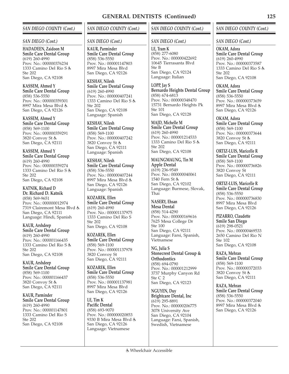## *SAN DIEGO COUNTY (Cont.)*

#### *SAN DIEGO (Cont.)*

**HADADEEN, Zaidoon M Smile Care Dental Group** (619) 260-4990 Prov. No.: 000000376234 1333 Camino Del Rio S Ste 202 San Diego, CA 92108

**KASSEM, Ahmed Y Smile Care Dental Group** (858) 536-5550 Prov. No.: 000000359301 8997 Mira Mesa Blvd San Diego, CA 92126

**KASSEM, Ahmed Y Smile Care Dental Group** (858) 569-1100 Prov. No.: 000000359291 3820 Convoy St San Diego, CA 92111

**KASSEM, Ahmed Y Smile Care Dental Group** (619) 260-4990 Prov. No.: 000000359274 1333 Camino Del Rio S Ste 202 San Diego, CA 92108

**KATNIK, Richard D Dr. Richard D. Katnik** (858) 569-9651 Prov. No.: 000000012974 7319 Clairemont Mesa Blvd San Diego, CA 92111 Language: Hindi, Spanish

**KAUR, Arshdeep Smile Care Dental Group** (619) 260-4990 Prov. No.: 000001166435 1333 Camino Del Rio S Ste 202 San Diego, CA 92108

**KAUR, Arshdeep Smile Care Dental Group** (858) 569-1100 Prov. No.: 000001166437 3820 Convoy St San Diego, CA 92111

**KAUR, Parminder Smile Care Dental Group** (619) 260-4990 Prov. No.: 000001147801 1333 Camino Del Rio S Ste 202 San Diego, CA 92108

## *SAN DIEGO COUNTY (Cont.)*

#### *SAN DIEGO (Cont.)*

**KAUR, Parminder Smile Care Dental Group** (858) 536-5550 Prov. No.: 000001147803 8997 Mira Mesa Blvd San Diego, CA 92126

**KESHAV, Nilesh Smile Care Dental Group** (619) 260-4990 Prov. No.: 000000407241 1333 Camino Del Rio S  $Ste 202$ San Diego, CA 92108 Language: Spanish

**KESHAV, Nilesh Smile Care Dental Group** (858) 569-1100 Prov. No.: 000000407242 3820 Convoy St San Diego, CA 92111 Language: Spanish

**KESHAV, Nilesh Smile Care Dental Group** (858) 536-5550 Prov. No.: 000000407244 8997 Mira Mesa Blvd San Diego, CA 92126 Language: Spanish

**KOZAREK, Ellen Smile Care Dental Group** (619) 260-4990 Prov. No.: 000001137975 1333 Camino Del Rio S Ste 202 San Diego, CA 92108

**KOZAREK, Ellen Smile Care Dental Group** (858) 569-1100 Prov. No.: 000001137978 3820 Convoy St San Diego, CA 92111

**KOZAREK, Ellen Smile Care Dental Group** (858) 536-5550 Prov. No.: 000001137981 8997 Mira Mesa Blvd San Diego, CA 92126

**LE, Tim K Pacific Dental** (858) 693-9070 Prov. No.: 000000020853 9330 B Mira Mesa Blvd San Diego, CA 92126 Language: Vietnamese

#### *SAN DIEGO COUNTY (Cont.)*

#### *SAN DIEGO (Cont.)*

**LE, Tram K** (858) 277-6080 Prov. No.: 000000422692 10645 Tierrasanta Blvd Ste B San Diego, CA 92124 Language: Italian

**LOPP, Jay S Bernardo Heights Dental Group** (858) 674-6813 Prov. No.: 000000348470 15731 Bernardo Heights Pk Ste 101 San Diego, CA 92128

**MAJD, Michelle M Smile Care Dental Group** (619) 260-4990 Prov. No.: 000001214533 1333 Camino Del Rio S Ste 202 San Diego, CA 92108

**MAUNGMAUNG, Tin M Apple Dental**  $(619)$  236-9549 Prov. No.: 000000040061 1540 Fern St & San Diego, CA 92102 Language: Burmese, Slovak, Thai

**NASERY, Ehsan Mesa Dental**

(858) 514-4290 Prov. No.: 000000169616 7625 Mesa College Dr Ste 100 San Diego, CA 92111 Language: Farsi, Spanish, Vietnamese

**NG, Julia S Stonecrest Dental Group & Orthodontics** (858) 694-0790 Prov. No.: 000001212999 3737 Murphy Canyon Rd Ste C 2 San Diego, CA 92123

**NGUYEN, Duy Brightcare Dental, Inc** (619) 295-8891 Prov. No.: 000000206775 3078 University Ave San Diego, CA 92104 Language: Farsi, Spanish, Swedish, Vietnamese

#### *SAN DIEGO COUNTY (Cont.)*

#### *SAN DIEGO (Cont.)*

**OKAM, Adora Smile Care Dental Group** (619) 260-4990 Prov. No.: 000000373587 1333 Camino Del Rio S Ste 202 San Diego, CA 92108

**OKAM, Adora Smile Care Dental Group** (858) 536-5550 Prov. No.: 000000373659 8997 Mira Mesa Blvd San Diego, CA 92126

**OKAM, Adora Smile Care Dental Group** (858) 569-1100 Prov. No.: 000000373644 3820 Convoy St San Diego, CA 92111

**ORTIZ-LUIS, Maricelle R Smile Care Dental Group** (858) 569-1100 Prov. No.: 000000736826 3820 Convoy St San Diego, CA 92111

**ORTIZ-LUIS, Maricelle R Smile Care Dental Group** (858) 536-5550 Prov. No.: 000000736830 8997 Mira Mesa Blvd San Diego, CA 92126

**PIZARRO, Claudette Smile San Diego** (619) 298-0521 Prov. No.: 000000469533 2650 Camino Del Rio N Ste 102 San Diego, CA 92108

**RAZA, Mehran Smile Care Dental Group** (858) 569-1100 Prov. No.: 000000372033 3820 Convoy St San Diego, CA 92111

**RAZA, Mehran Smile Care Dental Group** (858) 536-5550 Prov. No.: 000000372040 8997 Mira Mesa Blvd San Diego, CA 92126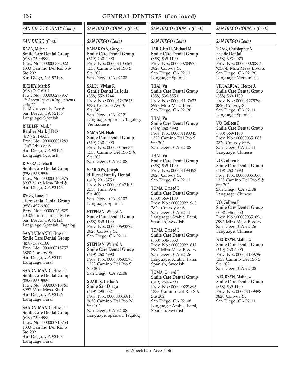## *SAN DIEGO COUNTY (Cont.)*

#### *SAN DIEGO (Cont.)*

**RAZA, Mehran Smile Care Dental Group** (619) 260-4990 Prov. No.: 000000372022 1333 Camino Del Rio S Ste 202 San Diego, CA 92108

**RICHEY, Mark S** (619) 297-6104 Prov. No.: 000000297957 *\*\*\*Accepting existing patients only\*\*\** 1442 University Ave San Diego, CA 92103 Language: Spanish

**RIEDLER, Mark J Reidler Mark J Dds** (619) 281-6635 Prov. No.: 000000001283 4167 Ohio St

San Diego, CA 92104 Language: Spanish

**RIVERA, Ofelia B Smile Care Dental Group** (858) 536-5550 Prov. No.: 000000402375 8997 Mira Mesa Blvd San Diego, CA 92126

**RYGG, Lance C Tierrasanta Dental Group** (858) 492-9300 Prov. No.: 000000239528 10405 Tierrasanta Blvd San Diego, CA 92124 Language: Spanish, Tagalog

**SAADATMANDI, Hossein Smile Care Dental Group** (858) 569-1100 Prov. No.: 000000715757 3820 Convoy St San Diego, CA 92111 Language: Farsi

**SAADATMANDI, Hossein Smile Care Dental Group** (858) 536-5550 Prov. No.: 000000715761 8997 Mira Mesa Blvd San Diego, CA 92126 Language: Farsi

**SAADATMANDI, Hossein Smile Care Dental Group** (619) 260-4990 Prov. No.: 000000715753 1333 Camino Del Rio S Ste 202 San Diego, CA 92108 Language: Farsi

# *SAN DIEGO COUNTY (Cont.)*

#### *SAN DIEGO (Cont.)*

**SAHAKYAN, Gurgen Smile Care Dental Group** (619) 260-4990 Prov. No.: 000001105461 1333 Camino Del Rio S Ste 202 San Diego, CA 92108

**SALES, Vivian R Gentle Dental La Jolla** (858) 552-1244 Prov. No.: 000001243646 9339 Genesee Ave Ste 240 San Diego, CA 92121 Language: Spanish, Tagalog, Vietnamese

**SAMAAN, Ehab Smile Care Dental Group** (619) 260-4990 Prov. No.: 000000156636 1333 Camino Del Rio S Ste 202 San Diego, CA 92108

**SPARROW, Joseph Hillcrest Family Dental** (619) 291-8750 Prov. No.: 000000167406 3330 Third Ave Ste 400 San Diego, CA 92103 Language: Spanish

**STEPHAN, Waleed A Smile Care Dental Group** (858) 569-1100 Prov. No.: 000000693372 3820 Convoy St San Diego, CA 92111

**STEPHAN, Waleed A Smile Care Dental Group** (619) 260-4990 Prov. No.: 000000693370 1333 Camino Del Rio S Ste 202 San Diego, CA 92108

**SUAREZ, Hector A Smile San Diego** (619) 298-0521 Prov. No.: 000000316816 2650 Camino Del Rio N Ste 102 San Diego, CA 92108 Language: Spanish, Tagalog

## *SAN DIEGO COUNTY (Cont.)*

## *SAN DIEGO (Cont.)*

**TARIGHATI, Michael M Smile Care Dental Group** (858) 569-1100 Prov. No.: 000000704975 3820 Convoy St San Diego, CA 92111 Language: Spanish

**THAI, Vu Smile Care Dental Group** (858) 536-5550 Prov. No.: 000001147633 8997 Mira Mesa Blvd San Diego, CA 92126

**THAI, Vu Smile Care Dental Group** (616) 260-4990 Prov. No.: 000001193345 1333 Camino Del Rio S Ste 202 San Diego, CA 92108

**THAI, Vu Smile Care Dental Group** (858) 569-1100 Prov. No.: 000001193353 3820 Convoy St San Diego, CA 92111

**TOMA, Omeed B Smile Care Dental Group** (858) 569-1100 Prov. No.: 000000221968 3820 Convoy St San Diego, CA 92111 Language: Arabic, Farsi, Spanish, Swedish

**TOMA, Omeed B Smile Care Dental Group** (858) 536-5550 Prov. No.: 000000221812 8997 Mira Mesa Blvd San Diego, CA 92126 Language: Arabic, Farsi, Spanish, Swedish

**TOMA, Omeed B Smile Care Dental Group** (619) 260-4990 Prov. No.: 000000221895 1333 Camino Del Rio S Ste 202 San Diego, CA 92108 Language: Arabic, Farsi, Spanish, Swedish

## *SAN DIEGO COUNTY (Cont.)*

## *SAN DIEGO (Cont.)*

**TONG, Christopher N Pacific Dental** (858) 693-9070 Prov. No.: 000000020854 9330-B Mira Mesa Blvd San Diego, CA 92126 Language: Vietnamese

**VILLARREAL, Hector A Smile Care Dental Group** (858) 569-1100 Prov. No.: 000001279290 3820 Convoy St San Diego, CA 92111 Language: Spanish

**VO, Colleen P Smile Care Dental Group** (858) 569-1100 Prov. No.: 000000351085 3820 Convoy St San Diego, CA 92111 Language: Chinese

**VO, Colleen P Smile Care Dental Group** (619) 260-4990 Prov. No.: 000000351060 1333 Camino Del Rio S Ste 202 San Diego, CA 92108 Language: Chinese

**VO, Colleen P Smile Care Dental Group** (858) 536-5550 Prov. No.: 000000351096 8997 Mira Mesa Blvd San Diego, CA 92126 Language: Chinese

**WEGRZYN, Matthew Smile Care Dental Group** (619) 260-4990 Prov. No.: 000001139796 1333 Camino Del Rio S Ste 202 San Diego, CA 92108

**WEGRZYN, Matthew Smile Care Dental Group** (858) 569-1100 Prov. No.: 000001139898 3820 Convoy St San Diego, CA 92111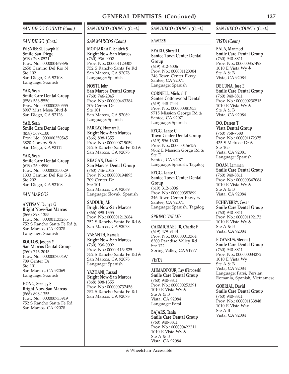#### *SAN DIEGO COUNTY (Cont.)*

#### *SAN DIEGO (Cont.)*

**WISNIESKI, Joseph R Smile San Diego** (619) 298-0521 Prov. No.: 000000469896 2650 Camino Del Rio N Ste 102 San Diego, CA 92108 Language: Spanish

**YAR, Sean Smile Care Dental Group** (858) 536-5550 Prov. No.: 000000350555 8997 Mira Mesa Blvd San Diego, CA 92126

**YAR, Sean Smile Care Dental Group** (858) 569-1100 Prov. No.: 000000350545 3820 Convoy St San Diego, CA 92111

**YAR, Sean Smile Care Dental Group** (619) 260-4990 Prov. No.: 000000350529 1333 Camino Del Rio S Ste 202 San Diego, CA 92108

#### *SAN MARCOS*

**ANTWAN, Dunya G Bright Now-San Marcos** (866) 898-1355 Prov. No.: 000001133265 752 S Rancho Santa Fe Rd San Marcos, CA 92078 Language: Spanish

**BOULOS, Joseph Y San Marcos Dental Group** (760) 746-2045 Prov. No.: 000000700497 709 Center Dr Ste 101 San Marcos, CA 92069 Language: Spanish

**HONG, Stanley S Bright Now-San Marcos** (866) 898-1355 Prov. No.: 000000735919 752 S Rancho Santa Fe Rd San Marcos, CA 92078

## *SAN DIEGO COUNTY (Cont.)*

#### *SAN MARCOS (Cont.)*

**MODJARRAD, Shideh S Bright Now-San Marcos** (760) 936-0002 Prov. No.: 000001123307 752 S Rancho Santa Fe Rd San Marcos, CA 92078 Language: Spanish

**NOSTI, John San Marcos Dental Group** (760) 746-2045 Prov. No.: 000000463384 709 Center Dr Ste 101 San Marcos, CA 92069 Language: Spanish

**PARRAY, Humara R Bright Now-San Marcos** (866) 898-1355 Prov. No.: 000000719059 752 S Rancho Santa Fe Rd San Marcos, CA 92078

**REAGAN, Darin S San Marcos Dental Group** (760) 746-2045 Prov. No.: 000000194895 709 Center Dr Ste 101 San Marcos, CA 92069 Language: Slovak, Spanish

**SADDUK, Ali Bright Now-San Marcos** (866) 898-1355 Prov. No.: 000001212684 752 S Rancho Santa Fe Rd San Marcos, CA 92078

**VASANTH, Kamala Bright Now-San Marcos** (760) 936-0002 Prov. No.: 000001134825 752 S Rancho Santa Fe Rd San Marcos, CA 92078 Language: Spanish

**YAZDANI, Farzad Bright Now-San Marcos** (868) 898-1355 Prov. No.: 000000737456 752 S Rancho Santa Fe Rd San Marcos, CA 92078

## *SAN DIEGO COUNTY (Cont.)*

#### *SANTEE*

**BYARD, Shrrell L Santee Town Center Dental Group** (619) 312-6006 Prov. No.: 000001123304 246 Town Center Pkwy Santee, CA 92071 Language: Spanish

**CORNELL, Michael T Santee Cottonwood Dental** (619) 448-7444 Prov. No.: 000000381953 9715 Mission George Rd Santee, CA 92071 Language: Spanish

**RYGG, Lance C Town Center Dental Group** (619) 596-1600 Prov. No.: 000000156159 9862 E Mission Gorge Rd Ste E Santee, CA 92071 Language: Spanish, Tagalog

**RYGG, Lance C Santee Town Center Dental Group** (619) 312-6006 Prov. No.: 000000383899 246 Town Center Pkwy Santee, CA 92071 Language: Spanish, Tagalog

## *SPRING VALLEY*

**CARMICHAEL JR, Charlie F** (619) 479-9143 Prov. No.: 000000013364 8300 Paradise Valley Rd Ste 122 Spring Valley, CA 91977

## *VISTA*

**AHMADPOUR, Fay (Firoozeh) Smile Care Dental Group** (760) 940-8811 Prov. No.: 000000253391 1010 E Vista Wy Ste A & B Vista, CA 92084 Language: Farsi

**BAJARS, Tania Smile Care Dental Group** (760) 940-8811 Prov. No.: 000000422211 1010 E Vista Wy Ste A & B Vista, CA 92084

#### *SAN DIEGO COUNTY (Cont.)*

#### *VISTA (Cont.)*

**BALA, Manmeet Smile Care Dental Group** (760) 940-8811 Prov. No.: 000000357498 1010 E Vista Wy Ste A & B Vista, CA 92084

**DE LUNA, Jose E Smile Care Dental Group** (760) 940-8811 Prov. No.: 000000230515 1010 E Vista Wy Ste A & B Vista, CA 92084

**DO, Darren T Vista Dental Group** (760) 758-7580 Prov. No.: 000001172375 435 S Melrose Dr Ste 105 Vista, CA 92081 Language: Spanish

**DOAN, Lamman Smile Care Dental Group** (760) 940-8811 Prov. No.: 000000347084 1010 E Vista Wy Ste A & B Vista, CA 92084

**ECHEVERRY, Cesar Smile Care Dental Group** (760) 940-8811 Prov. No.: 000001192172 1010 E Vista Wy Ste A & B Vista, CA 92084

**EDWARDS, Steven J Smile Care Dental Group** (760) 940-8811 Prov. No.: 000000034272 1010 E Vista Wy Ste A & B Vista, CA 92084 Language: Farsi, Persian, Romania, Spanish, Vietnamese

**GOBRIAL, David Smile Care Dental Group** (760) 940-8811 Prov. No.: 000001133848 1010 E Vista Way Ste A B Vista, CA 92084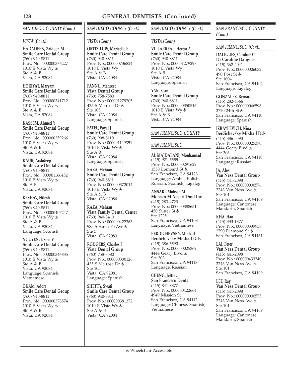# *SAN DIEGO COUNTY (Cont.)*

#### *VISTA (Cont.)*

**HADADEEN, Zaidoon M Smile Care Dental Group** (760) 940-8811 Prov. No.: 000000376227 1010 E Vista Wy Ste A & B Vista, CA 92084

**HORIYAT, Maryam Smile Care Dental Group** (760) 940-8811 Prov. No.: 000000341712 1010 E Vista Wy Ste A & B Vista, CA 92084

**KASSEM, Ahmed Y Smile Care Dental Group** (760) 940-8811 Prov. No.: 000000359266 1010 E Vista Wy Ste A & B Vista, CA 92084

**KAUR, Arshdeep Smile Care Dental Group** (760) 940-8811 Prov. No.: 000001166452 1010 E Vista Wy Ste A B Vista, CA 92084

**KESHAV, Nilesh Smile Care Dental Group** (760) 940-8811 Prov. No.: 000000407247 1010 E Vista Wy Ste A & B Vista, CA 92084 Language: Spanish

**NGUYEN, Dzien V Smile Care Dental Group** (760) 940-8811 Prov. No.: 000000346835 1010 E Vista Wy Ste A & B Vista, CA 92084 Language: Spanish, Vietnamese

**OKAM, Adora Smile Care Dental Group** (760) 940-8811 Prov. No.: 000000373574 1010 E Vista Wy Ste A & B Vista, CA 92084

# *SAN DIEGO COUNTY (Cont.)*

#### *VISTA (Cont.)*

**ORTIZ-LUIS, Maricelle R Smile Care Dental Group** (760) 940-8811 Prov. No.: 000000736824 1010 E Vista Wy Ste A & B Vista, CA 92084

**PANNU, Manreet Vista Dental Group** (760) 758-7580 Prov. No.: 000001279205 435 S Melrose Dr Ste 105 Vista, CA 92084 Language: Spanish

**PATEL, Payal J Smile Care Dental Group** (760) 908-8110 Prov. No.: 000001149351 1010 E Vista Wy Ste A B Vista, CA 92084 Language: Spanish

**RAZA, Mehran Smile Care Dental Group** (760) 940-8811 Prov. No.: 000000372014 1010 E Vista Wy Ste A & B Vista, CA 92084

**RAZA, Mehran Vista Family Dental Center** (760) 940-8410 Prov. No.: 000000422363 985 S Santa Fe Ave Ste 5

Vista, CA 92083

**RODGERS, Charles F Vista Dental Group** (760) 758-7580 Prov. No.: 000000300126 435 S Melrose Dr Ste 105 Vista, CA 92081 Language: Spanish

**SHETTY, Swati Smile Care Dental Group** (760) 940-8811 Prov. No.: 000000381372 1010 E Vista Wy & Ste A & B Vista, CA 92084

## *SAN DIEGO COUNTY (Cont.)*

## *VISTA (Cont.)*

**VILLARREAL, Hector A Smile Care Dental Group** (760) 940-8811 Prov. No.: 000001279297 1010 E Vista Wy Ste A B Vista, CA 92084 Language: Spanish

**YAR, Sean Smile Care Dental Group** (760) 940-8811 Prov. No.: 000000350516 1010 E Vista Wy Ste A & B Vista, CA 92084

## *SAN FRANCISCO COUNTY*

#### *SAN FRANCISCO*

**AL MAJDALANI, Mouhannad** (415) 921-5555 Prov. No.: 000000291629 1550 Lombard St San Francisco, CA 94123 Language: Arabic, Polish, Russian, Spanish, Tagalog

**ANSARI, Mohsen M Mohsen M Ansari Dmd Inc** (415) 283-4720 Prov. No.: 000000388651 450 Sutter St Ste 1225 San Francisco, CA 94108 Language: Vietnamese

**BERDICHEVSKY, Mikhail Berdichevsky Mikhail Dds** (415) 386-5590 Prov. No.: 000000025369 4444 Geary Blvd Ste 303 San Francisco, CA 94118 Language: Russian

**CHENG, Jeffrey San Francisco Dental** (415) 841-8877 Prov. No.: 000000422664 4949 Mission St San Francisco, CA 94112 Language: Chinese, Spanish, Vietnamese

## *SAN FRANCISCO COUNTY (Cont.)*

*SAN FRANCISCO (Cont.)*

**DALIGUES, Caroline C Dr Caroline Daligues** (415) 362-4041 Prov. No.: 000000006032 490 Post St Ste 1004 San Francisco, CA 94102 Language: Tagalog

**GONZALEZ, Bernardo** (415) 282-4566 Prov. No.: 000000046596 2720 24th St San Francisco, CA 94110

Language: Spanish

**IZRAYLEVICH, Nina Berdichevsky Mikhail Dds** (415) 386-5590 Prov. No.: 000000025370 4444 Geary Blvd Ste 303 San Francisco, CA 94118 Language: Russian

**JA, Alex Van Ness Dental Group** (415) 441-2098 Prov. No.: 000000000576 2243 Van Ness Ave Ste 101 San Francisco, CA 94109 Language: Cantonese, Mandarin, Spanish

**KHA, Hao** (415) 333-1877 Prov. No.: 000000339958 2790 Diamond St San Francisco, CA 94131

**LAI, Peter Van Ness Dental Group** (415) 441-2098 Prov. No.: 000000433340 2243 Van Ness Ave Ste 101 San Francisco, CA 94109

**LEE, Ray Van Ness Dental Group** (415) 441-2098 Prov. No.: 000000000575 2243 Van Ness Ave Ste 101 San Francisco, CA 94109 Language: Cantonese, Mandarin, Spanish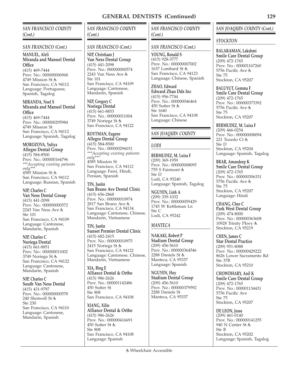## *SAN FRANCISCO COUNTY (Cont.)*

#### *SAN FRANCISCO (Cont.)*

**MANUEL, Aleli Miranda and Manuel Dental Office** (415) 469-7444 Prov. No.: 000000006968 4749 Mission St San Francisco, CA 94112 Language: Portuguese, Spanish, Tagalog

**MIRANDA, Noel S Miranda and Manuel Dental Office**

(415) 469-7444 Prov. No.: 000000295984 4749 Mission St San Francisco, CA 94112 Language: Spanish, Tagalog

**MOROZOVA, Yuliya Allegro Dental Group** (415) 584-8500 Prov. No.: 000000164796 *\*\*\*Accepting existing patients only\*\*\** 4585 Mission St San Francisco, CA 94112 Language: Russian, Spanish

**NIP, Charles C Van Ness Dental Group** (415) 441-2098 Prov. No.: 000000000572 2243 Van Ness Ave Ste 101 San Francisco, CA 94109 Language: Cantonese, Mandarin, Spanish

**NIP, Charles C Noriega Dental** (415) 661-8851 Prov. No.: 000000011002 3749 Noriega St San Francisco, CA 94122 Language: Cantonese, Mandarin, Spanish

**NIP, Charles C South Van Ness Dental** (415) 431-9797 Prov. No.: 000000000578 240 Shotwell St Ste 230 San Francisco, CA 94110 Language: Cantonese, Mandarin, Spanish

*SAN FRANCISCO COUNTY (Cont.)*

## *SAN FRANCISCO (Cont.)*

**NIP, Christiaan J Van Ness Dental Group** (415) 441-2098 Prov. No.: 000000000574 2243 Van Ness Ave Ste 101 San Francisco, CA 94109 Language: Cantonese, Mandarin, Spanish

**NIP, Gregory C Noriega Dental** (415) 661-8853 Prov. No.: 000000011004 3749 Noriega St San Francisco, CA 94122

**ROYTMAN, Eugene Allegro Dental Group** (415) 584-8500 Prov. No.: 000000296031 *\*\*\*Accepting existing patients only\*\*\** 4585 Mission St San Francisco, CA 94112 Language: Farsi, Hindi, Persian, Spanish **TIN, Justin**

**San Bruno Ave Dental Clinic** (415) 656-2868 Prov. No.: 000000010974 2817 San Bruno Ave San Francisco, CA 94134 Language: Cantonese, Chinese, Mandarin, Vietnamese

**TIN, Justin Sunset Premier Dental Clinic** (415) 682-2415 Prov. No.: 000000010975 2415 Noriega St San Francisco, CA 94122 Language: Cantonese, Chinese, Mandarin, Vietnamese

**XIA, Bing E Alliance Dental & Ortho** (415) 986-2626 Prov. No.: 000001142486 450 Sutter St Ste 808 San Francisco, CA 94108

**XIANG, Xilin Alliance Dental & Ortho** (415) 986-2626 Prov. No.: 000000416691 450 Sutter St Ste 808 San Francisco, CA 94108 Language: Spanish

*SAN FRANCISCO COUNTY (Cont.)*

#### *SAN FRANCISCO (Cont.)*

**YOUNG, Ronald S** (415) 928-3777 Prov. No.: 000000007002 1637 Lombard St San Francisco, CA 94123 Language: Chinese, Spanish

**ZHAO, Edward Edward Zhao Dds Inc** (415) 956-7744 Prov. No.: 000000046464 450 Sutter St Ste 1640 San Francisco, CA 94108 Language: Chinese

# *SAN JOAQUIN COUNTY*

## *LODI*

**BERMUDEZ, M. Luisa F** (209) 369-1959 Prov. No.: 000000008095 755 S Fairmont Ste D Lodi, CA 95240 Language: Spanish, Tagalog

**NGUYEN, Linh A** (209) 339-1032 Prov. No.: 000000059429 1745 W Kettleman Ln Ste C Lodi, CA 95242

## *MANTECA*

**NAKAKI, Robert P Stadium Dental Group** (209) 456-5610 Prov. No.: 000000364546 2288 Daniels St Manteca, CA 95337 Language: Spanish

**NGUYEN, Huy Stadium Dental Group** (209) 456-5610 Prov. No.: 000000379592 2288 Daniels St Manteca, CA 95337

# *SAN JOAQUIN COUNTY (Cont.)*

## *STOCKTON*

**BALARAMAN, Lakshmi Smile Care Dental Group** (209) 472-1765 Prov. No.: 000001167260 5756 Pacific Ave Ste 75 Stockton, CA 95207

**BALUYUT, Gemma F Smile Care Dental Group** (209) 472-1765 Prov. No.: 000000373392 5756 Pacific Ave Ste 75 Stockton, CA 95207

**BERMUDEZ, M. Luisa F** (209) 466-0254 Prov. No.: 000000008094 221 Tuxedo Ct Ste D Stockton, CA 95204

Language: Spanish, Tagalog

**BRAR, Amandeep K Smile Care Dental Group** (209) 472-1765 Prov. No.: 000000306331 5756 Pacific Ave Ste 75 Stockton, CA 95207 Language: Hindi

**CHANG, Chee C Park West Dental Group** (209) 474-8000 Prov. No.: 000000363608 10928 Trinity Pkwy Stockton, CA 95219

**CHEN, James C Star Dental Practice** (209) 951-8088 Prov. No.: 000000429222 8626 Lower Sacramento Rd Ste 37B Stockton, CA 95210

**CHOWDHARY, Anil K Smile Care Dental Group** (209) 472-1765 Prov. No.: 000001134431 5756 Pacific Ave Ste 75 Stockton, CA 95207

**DE LEON, Jesse** (209) 461-0140 Prov. No.: 000000141255 940 N Center St Ste B Stockton, CA 95202 Language: Spanish, Tagalog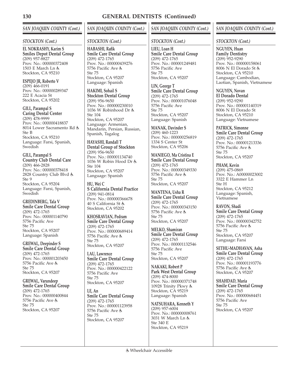# *SAN JOAQUIN COUNTY (Cont.)*

#### *STOCKTON (Cont.)*

**EL NOKRASHY, Karim S Smiles Depot Dental Group** (209) 957-8827 Prov. No.: 000000372408 1503 E March Ln Stockton, CA 95210

**ESPEJO JR, Roberto V** (209) 466-0191 Prov. No.: 000000289347 222 E Acacia St Stockton, CA 95202

**GILL, Parampal S Caring Dental Center** (209) 478-9999 Prov. No.: 000000418837 8014 Lower Sacramento Rd Ste B Stockton, CA 95210 Language: Farsi, Spanish, Swedish

**GILL, Parampal S Country Club Dental Care** (209) 466-2828 Prov. No.: 000000378418 2828 Country Club Blvd Ste 9 Stockton, CA 95204 Language: Farsi, Spanish, Swedish

**GREDINBERG, Tala V Smile Care Dental Group** (209) 472-1765 Prov. No.: 000001140790 5756 Pacific Ave Ste 75 Stockton, CA 95207 Language: Spanish

**GREWAL, Deepinder S Smile Care Dental Group** (209) 472-1765 Prov. No.: 000001203450 5756 Pacific Ave Ste 75 Stockton, CA 95207

**GREWAL, Varundeep Smile Care Dental Group** (209) 472-1765 Prov. No.: 000000400844 5756 Pacific Ave Ste 75 Stockton, CA 95207

# *SAN JOAQUIN COUNTY (Cont.)*

#### *STOCKTON (Cont.)*

**HABASHI, Rafik Smile Care Dental Group** (209) 472-1765 Prov. No.: 000000439276 5756 Pacific Ave Ste 75 Stockton, CA 95207 Language: Spanish

**HAKIMI, Sohail S Stockton Dental Group** (209) 956-9650 Prov. No.: 000000230010 1036 W Robinhood Dr Ste 104 Stockton, CA 95207 Language: Armenian, Mandarin, Persian, Russian, Spanish, Tagalog

**HAYASHI, Randall T Dental Group of Stockton** (209) 956-9650 Prov. No.: 000001134740 1036 W Robin Hood Dr Ste 104 Stockton, CA 95207 Language: Spanish

**HU, Wei C S California Dental Practice** (209) 941-0814 Prov. No.: 000000366678 40 S California St Stockton, CA 95202

**KHOSRAVIAN, Pedram Smile Care Dental Group** (209) 472-1765 Prov. No.: 000000689414 5756 Pacific Ave Ste 75 Stockton, CA 95207

**LAU, Lawrence Smile Care Dental Group** (209) 472-1765 Prov. No.: 000000422122 5756 Pacific Ave Ste 75 Stockton, CA 95207

**LE, An Smile Care Dental Group** (209) 472-1765 Prov. No.: 000001123958 5756 Pacific Ave Ste 75 Stockton, CA 95207

# *SAN JOAQUIN COUNTY (Cont.)*

#### *STOCKTON (Cont.)*

**LIEU, Loan H Smile Care Dental Group** (209) 472-1765 Prov. No.: 000001249481 5756 Pacific Ave  $Sta$  75 Stockton, CA 95207

**LIN, George T Smile Care Dental Group** (209) 472-1765 Prov. No.: 000001076048 5756 Pacific Ave Ste 75 Stockton, CA 95207 Language: Spanish

**MANAK, Davinder S** (209) 460-1223 Prov. No.: 000000256819 1334 S Center St Stockton, CA 95206

**MANIEGO, Ma Cristina E Smile Care Dental Group** (209) 472-1765 Prov. No.: 000000349330 5756 Pacific Ave Ste 75 Stockton, CA 95207

**MANTENA, Usha R Smile Care Dental Group** (209) 472-1765 Prov. No.: 000000343150 5756 Pacific Ave Ste 75 Stockton, CA 95207

**MELKO, Shamiran Smile Care Dental Group** (209) 472-1765 Prov. No.: 000001132546 5756 Pacific Ave Ste 75 Stockton, CA 95207

**NAKAKI, Robert P Park West Dental Group** (209) 474-8000 Prov. No.: 000000371748 10928 Trinity Pkwy Stockton, CA 95219 Language: Spanish

**NATSUHARA, Kenneth Y**  $(209)$  957-6004 Prov. No.: 000000008761 3031 W March Ln Ste 340 E Stockton, CA 95219

# *SAN JOAQUIN COUNTY (Cont.)*

#### *STOCKTON (Cont.)*

**NGUYEN, Huan Family Dentistry** (209) 952-9290 Prov. No.: 000000158061 8006 N El Dorado St Stockton, CA 95210 Language: Cambodian, Laotian, Spanish, Vietnamese

**NGUYEN, Novan El Dorado Dental** (209) 952-9290 Prov. No.: 000001140319 8006 N El Dorado St Stockton, CA 95210 Language: Vietnamese

#### **PATRICK, Simonne Smile Care Dental Group** (209) 472-1765 Prov. No.: 000001213336 5756 Pacific Ave Ste 75 Stockton, CA 95207

**PHAM, Kevin** (209) 475-0869 Prov. No.: A00000023002 3322 E Hammer Ln Ste H Stockton, CA 95212 Language: Spanish, Vietnamese

**RAVON, Shadi Smile Care Dental Group** (209) 472-1765 Prov. No.: 000000342752 5756 Pacific Ave Ste 75 Stockton, CA 95207 Language: Farsi

**SETHU-MADHAVAN, Asha Smile Care Dental Group** (209) 472-1765 Prov. No.: 000001193776 5756 Pacific Ave Stockton, CA 95207

**SHAHDAD, Maria Smile Care Dental Group** (209) 472-1765 Prov. No.: 000000684451 5756 Pacific Ave Ste 75 Stockton, CA 95207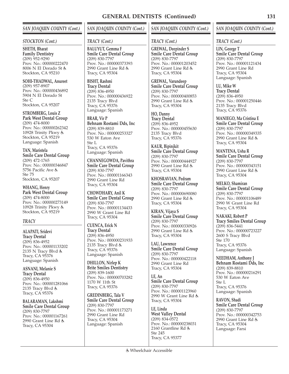## *SAN JOAQUIN COUNTY (Cont.)*

#### *STOCKTON (Cont.)*

**SHETH, Bharat**

**Family Dentistry** (209) 952-9290 Prov. No.: 000000222470 8006 N El Dorado St Stockton, CA 95210

**SOHI-THADWAL, Anureet** (209) 957-8907 Prov. No.: 000000436892 5904 N El Dorado St Ste C Stockton, CA 95207

**STROMBERG, Louis Z Park West Dental Group** (209) 474-8000 Prov. No.: 000000262342 10928 Trinity Pkwy Stockton, CA 95219 Language: Spanish

**TAN, Maristela Smile Care Dental Group** (209) 472-1765 Prov. No.: 000000346847 5756 Pacific Ave Ste 75 Stockton, CA 95207

**WHANG, Henry Park West Dental Group** (209) 474-8000 Prov. No.: 000000273149 10928 Trinity Pkwy Stockton, CA 95219

## *TRACY*

**ALAPATI, Sridevi Tracy Dental** (209) 836-4952 Prov. No.: 000001133202 2135 N Tracy Blvd Tracy, CA 95376 Language: Spanish

**ASNANI, Melanie S Tracy Dental** (209) 836-4950 Prov. No.: 000001281066 2135 Tracy Blvd Tracy, CA 95376

**BALARAMAN, Lakshmi Smile Care Dental Group** (209) 830-7797 Prov. No.: 000001167261 2990 Grant Line Rd Tracy, CA 95304

# *SAN JOAQUIN COUNTY (Cont.)*

#### *TRACY (Cont.)*

**BALUYUT, Gemma F Smile Care Dental Group** (209) 830-7797 Prov. No.: 000000373393 2990 Grant Line Rd Tracy, CA 95304

**BISHT, Rashmi Tracy Dental** (209) 836-4950 Prov. No.: 000000436922 2135 Tracy Blvd Tracy, CA 95376 Language: Spanish

**BRAR, Vir P Behnam Rostami Dds, Inc** (209) 839-8810 Prov. No.: 000000253327 530 W Eaton Ave Ste L Tracy, CA 95376 Language: Spanish

**CHANNEGOWDA, Pavithra Smile Care Dental Group** (209) 830-7797 Prov. No.: 000001166343 2990 Grant Line Rd Tracy, CA 95304

**CHOWDHARY, Anil K Smile Care Dental Group** (209) 830-7797 Prov. No.: 000001134433 2990 W Grant Line Rd Tracy, CA 95304

**CUENCA, Erick N Tracy Dental** (209) 836-4950 Prov. No.: 000000231933 2135 Tracy Blvd Tracy, CA 95376 Language: Spanish

**DHILLON, Nirlep K Brite Smiles Dentistry** (209) 839-1600 Prov. No.: 000000703282 1170 W 11th St Tracy, CA 95376

**GREDINBERG, Tala V Smile Care Dental Group** (209) 830-7797 Prov. No.: 000001173271 2990 Grant Line Rd Tracy, CA 95304 Language: Spanish

## *SAN JOAQUIN COUNTY (Cont.)*

## *TRACY (Cont.)*

**GREWAL, Deepinder S Smile Care Dental Group** (209) 830-7797 Prov. No.: 000001203452 2990 Grant Line Rd Tracy, CA 95304

**GREWAL, Varundeep Smile Care Dental Group** (209) 830-7797 Prov. No.: 000000400853 2990 Grant Line Rd Tracy, CA 95304

**HO, Danny Tracy Dental** (209) 836-4952 Prov. No.: 000000455630 2135 Tracy Blvd Tracy, CA 95376

**KAUR, Bipinjkit Smile Care Dental Group** (209) 830-7797 Prov. No.: 000000444927 2990 Grant Line Rd Tracy, CA 95304

**KHOSRAVIAN, Pedram Smile Care Dental Group** (209) 830-7797 Prov. No.: 000000690080 2990 Grant Line Rd Tracy, CA 95304

**KIRAN, Vijaya S Smile Care Dental Group** (209) 830-7797 Prov. No.: 000000330926 2990 Grant Line Rd Tracy, CA 95304

**LAU, Lawrence Smile Care Dental Group** (209) 830-7797 Prov. No.: 000000422118 2990 Grant Line Rd Tracy, CA 95304

**LE, An Smile Care Dental Group** (209) 830-7797 Prov. No.: 000001123960 2990 W Grant Line Rd Tracy, CA 95304

**LE, Linda West Valley Dental** (209) 834-0572 Prov. No.: 000000238031 2160 Grantline Rd Ste 245 Tracy, CA 95377

## *SAN JOAQUIN COUNTY (Cont.)*

#### *TRACY (Cont.)*

**LIN, George T Smile Care Dental Group** (209) 830-7797 Prov. No.: 000001121434 2990 Grant Line Rd Tracy, CA 95304 Language: Spanish

**LU, Mike W Tracy Dental** (209) 836-4950 Prov. No.: 000001250446 2135 Tracy Blvd Tracy, CA 95376

**MANIEGO, Ma Cristina E Smile Care Dental Group** (209) 830-7797 Prov. No.: 000000349335 2990 Grant Line Rd Tracy, CA 95304

**MANTENA, Usha R Smile Care Dental Group** (209) 830-7797 Prov. No.: 000000343151 2990 Grant Line Rd Tracy, CA 95304

**MELKO, Shamiran Smile Care Dental Group** (209) 830-7797 Prov. No.: 000001106489 2990 W Grant Line Rd Tracy, CA 95304

**NAKAKI, Robert P Tracy Smiles Dental Group** (209) 836-5441 Prov. No.: 000000723227 2600 S Tracy Blvd Ste 170 Tracy, CA 95376 Language: Spanish

**NEEDHAM, Anthony J Behnam Rostami Dds, Inc** (209) 839-8810 Prov. No.: 000000216291 530 W Eaton Ave Ste L Tracy, CA 95376 Language: Spanish

**RAVON, Shadi Smile Care Dental Group** (209) 830-7797 Prov. No.: 000000342753 2990 Grant Line Rd Tracy, CA 95304 Language: Farsi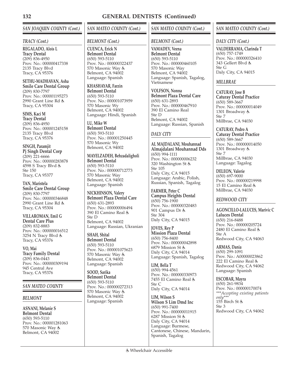# *SAN JOAQUIN COUNTY (Cont.)*

#### *TRACY (Cont.)*

**REGALADO, Alois L Tracy Dental** (209) 836-4950 Prov. No.: 000000417338 2135 Tracy Blvd Tracy, CA 95376

**SETHU-MADHAVAN, Asha Smile Care Dental Group** (209) 830-7797 Prov. No.: 000001195273 2990 Grant Line Rd Tracy, CA 95304

**SIMS, Kaci M Tracy Dental** (209) 836-4950 Prov. No.: 000001245158 2135 Tracy Blvd Tracy, CA 95376

**SINGH, Paramjit Pj Singh Dental Corp**  $(209)$  221-6666 Prov. No.: 000000283878 4598 S Tracy Blvd Ste 150 Tracy, CA 95377

**TAN, Maristela Smile Care Dental Group** (209) 830-7797 Prov. No.: 000000346848 2990 Grant Line Rd Tracy, CA 95304

**VILLAROMAN, Emil G Dental Care Plus** (209) 832-8883 Prov. No.: 000000016512 3254 N Tracy Blvd Tracy, CA 95376

**VO, Mai Tracy Family Dental**  $(209)$  836-0443 Prov. No.: 000000309194 945 Central Ave Tracy, CA 95376

#### *SAN MATEO COUNTY*

#### *BELMONT*

**ASNANI, Melanie S Belmont Dental** (650) 593-5110 Prov. No.: 000001281063 570 Masonic Way Belmont, CA 94002

# *SAN MATEO COUNTY (Cont.)*

#### *BELMONT (Cont.)*

**CUENCA, Erick N Belmont Dental** (650) 593-5110 Prov. No.: 000000322437 570 Masonic Way Belmont, CA 94002 Language: Spanish

**KHASHAYAR, Farzin Belmont Dental**

(650) 593-5110 Prov. No.: 000001073959 570 Masonic Wy Belmont, CA 94002 Language: Hindi, Spanish

**LU, Mike W Belmont Dental** (650) 593-5110 Prov. No.: 000001250445 570 Masonic Wy Belmont, CA 94002

**MAYELZADEH, Behzadaligholi Belmont Dental** (650) 593-5110 Prov. No.: 000000712773 570 Masonic Way Belmont, CA 94002 Language: Spanish

**NICKHINSON, Valery Belmont Plaza Dental Care** (650) 631-2893 Prov. No.: 000000006494 390 El Camino Real Ste D Belmont, CA 94002 Language: Russian, Ukranian

**SHAH, Shital Belmont Dental** (650) 593-5110 Prov. No.: 000001075623 570 Masonic Way Belmont, CA 94002 Language: Spanish

**SOOD, Sarika Belmont Dental** (650) 593-5110 Prov. No.: 000000272313 570 Masonic Way Belmont, CA 94002 Language: Spanish

## *SAN MATEO COUNTY (Cont.)*

## *BELMONT (Cont.)*

**VAMADEV, Veena Belmont Dental** (650) 593-5110 Prov. No.: 000000460105 570 Masonic Way Belmont, CA 94002 Language: Spanish, Tagalog, Vietnamese

**VOLFSON, Nonna Belmont Plaza Dental Care** (650) 631-2893 Prov. No.: 000000467910 390 El Camino Real Ste D Belmont, CA 94002 Language: Russian, Spanish

## *DALY CITY*

**AL MAJDALANI, Mouhannad Almajdalani Mouhannad Dds** (650) 994-1111 Prov. No.: 000000006232 320 Washington St Ste 105 Daly City, CA 94015 Language: Arabic, Polish, Russian, Spanish, Tagalog

**FARMER, Peter C Campus Heights Dental** (650) 756-1900 Prov. No.: 000000320483 901 Campus Dr Ste 304 Daly City, CA 94015

**JOVES, Rey P Mission Plaza Dental** (650) 756-8400 Prov. No.: 000000042898 6879 Mission St Daly City, CA 94014 Language: Spanish, Tagalog

**LIM, Bella T** (650) 994-4561 Prov. No.: 000000330973 7455 El Camino Real Ste C Daly City, CA 94014

**LIM, Wilson S Wilson S Lim Dmd Inc** (650) 991-7400 Prov. No.: 000000011915 6287 Mission St Daly City, CA 94014 Language: Burmese, Cantonese, Chinese, Mandarin, Spanish, Tagalog

## *SAN MATEO COUNTY (Cont.)*

#### *DALY CITY (Cont.)*

**VALDERRAMA, Clarinda T** (650) 757-1749 Prov. No.: 000000326410 343 Gellert Blvd Ste G Daly City, CA 94015

## *MILLBRAE*

**CATURAY, Jose B Caturay Dental Practice** (650) 589-3667 Prov. No.: 000000014049 1301 Broadway Ste 7 Millbrae, CA 94030

**CATURAY, Pedro A Caturay Dental Practice** (650) 589-3667 Prov. No.: 000000014050 1301 Broadway Ste 7 Millbrae, CA 94030 Language: Tagalog

**DELEON, Valerie** (650) 697-9000 Prov. No.: 000000219998 15 El Camino Real Millbrae, CA 94030

## *REDWOOD CITY*

**AGONCILLO-LALUCES, Marivic C Laluces Dental** (650) 216-8488 Prov. No.: 000000205724 2480 El Camino Real Ste A Redwood City, CA 94063

**ARMAS, Dania** (650) 299-1091 Prov. No.: A00000023862 222 El Camino Real Redwood City, CA 94062 Language: Spanish

**ESCOBAR, Mayra** (650) 261-9834 Prov. No.: 000000170074 *\*\*\*Accepting existing patients only\*\*\** 155 Birch St & Ste 3 Redwood City, CA 94062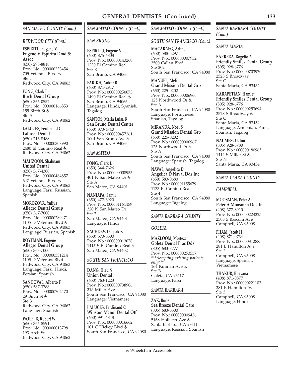## *SAN MATEO COUNTY (Cont.)*

#### *REDWOOD CITY (Cont.)*

**ESPIRITU, Eugene V Eugene V Espiritu Dmd & Assoc** (650) 298-8818 Prov. No.: 000000233454 705 Veterans Blvd Ste 1 Redwood City, CA 94063

**FONG, Clark L Birch Dental Group** (650) 366-0552 Prov. No.: 000000166853 155 Birch St Ste 5 Redwood City, CA 94062

**LALUCES, Ferdinand C Laluces Dental** (650) 216-8488 Prov. No.: 000000308990 2480 El Camino Real Redwood City, CA 94062

**MAHZOON, Shabnam United Dental** (650) 367-4300 Prov. No.: 000000464857 647 Veterans Blvd & Redwood City, CA 94063 Language: Farsi, Russian, Spanish

**MOROZOVA, Yuliya Allegro Dental Group** (650) 367-7000 Prov. No.: 000000289471 1105 D Veterans Blvd Redwood City, CA 94063 Language: Russian, Spanish

**ROYTMAN, Eugene Allegro Dental Group** (650) 367-7000 Prov. No.: 000000351214 1105 D Veterans Blvd Redwood City, CA 94063 Language: Farsi, Hindi, Persian, Spanish

**SANDOVAL, Alberto F** (650) 587-3788 Prov. No.: 000000702470 29 Birch St Ste 3 Redwood City, CA 94062 Language: Spanish

**WOLF JR, Robert W** (650) 366-8591 Prov. No.: 000000013798 193 Arch St Redwood City, CA 94062

## *SAN MATEO COUNTY (Cont.)*

#### *SAN BRUNO*

**ESPIRITU, Eugene V** (650) 875-6808 Prov. No.: 000000143260 1230 El Camino Real Ste K San Bruno, CA 94066

**PARIKH, Ankur B** (650) 871-2917 Prov. No.: 000000250073 1490 El Camino Real San Bruno, CA 94066 Language: Hindi, Spanish, Tagalog

**SANTOS, Maria Luisa B San Bruno Dental Center** (650) 873-4740 Prov. No.: 000000457261 1001 San Bruno Ave San Bruno, CA 94066

## *SAN MATEO*

**FONG, Clark L** (650) 344-7626 Prov. No.: 000000008955 401 N San Mateo Dr Ste A San Mateo, CA 94401

**NANJAPA, Samir** (650) 477-6920 Prov. No.: 000001164459 320 N San Mateo Dr Ste 2 San Mateo, CA 94401 Language: Hindi

**SACHDEV, Deepak K** (650) 573-6500 Prov. No.: 000000013078 1415 S El Camino Real San Mateo, CA 94402

## *SOUTH SAN FRANCISCO*

**DANG, Hieu N Union Dental** (650) 763-1223 Prov. No.: 000000738906 215 Miller Ave South San Francisco, CA 94080 Language: Vietnamese

**LALUCES, Ferdinand C Winston Manor Dental Off** (650) 991-4848 Prov. No.: 000000016662 101 C Hickey Blvd South San Francisco, CA 94080

## *SAN MATEO COUNTY (Cont.)*

#### *SOUTH SAN FRANCISCO (Cont.)*

**MACARAEG, Arline** (650) 588-5297 Prov. No.: 000000007952 3500 Callan Blvd Ste 202 South San Francisco, CA 94080

**MANUEL, Aleli Grand Mission Dental Grp** (650) 225-0202 Prov. No.: 000000006966 125 Northwood Dr & Ste A South San Francisco, CA 94080 Language: Portuguese, Spanish, Tagalog

**MIRANDA, Noel S Grand Mission Dental Grp** (650) 225-0202 Prov. No.: 000000006967 125 Northwood Dr & Ste A South San Francisco, CA 94080 Language: Spanish, Tagalog

**NAVAL, Angelica D Angelica D Naval Dds Inc** (650) 583-0680 Prov. No.: 000001155679 1133 El Camino Real Ste 4 South San Francisco, CA 94080 Language: Tagalog

## *SANTA BARBARA COUNTY*

## *GOLETA*

**MAZLOOM, Morteza Goleta Dental Prac Dds** (805) 683-7777 Prov. No.: 000000253557 *\*\*\*Accepting existing patients only\*\*\** 164 Kinman Ave Ste B Goleta, CA 93117 Language: Farsi

#### *SANTA BARBARA*

**ZAK, Boris Sea Breeze Dental Care** (805) 683-5300 Prov. No.: 000000009426 5168 Hollister Ave Santa Barbara, CA 93111 Language: Russian, Spanish

*SANTA BARBARA COUNTY (Cont.)*

#### *SANTA MARIA*

**BARRERA, Rogelio A Friendly Smiles Dental Group** (805) 928-6776 Prov. No.: 000000703970 2528 S Broadway Ste C Santa Maria, CA 93454

**KARAPETIAN, Hamlet Friendly Smiles Dental Group** (805) 928-6776 Prov. No.: 000000253694 2528 S Broadway Ste C Santa Maria, CA 93454 Language: Armenian, Farsi, Spanish, Tagalog

**NAUMESCU, Ion** (805) 928-3780 Prov. No.: 000000180965 1414 S Miller St Ste N Santa Maria, CA 93454

## *SANTA CLARA COUNTY*

## *CAMPBELL*

**MOOSMAN, Peter A Peter A Moosman Dds Inc** (408) 377-8910 Prov. No.: 000000224225 2505 S Bascom Ave Campbell, CA 95008

**PHAM, Jacob H** (408) 871-9734 Prov. No.: 000000312885 281 E Hamilton Ave Ste 2 Campbell, CA 95008 Language: Spanish, Vietnamese

**THAKUR, Bhavana** (408) 871-0877 Prov. No.: 000000221103 281 E Hamilton Ave Ste 3 Campbell, CA 95008 Language: Hindi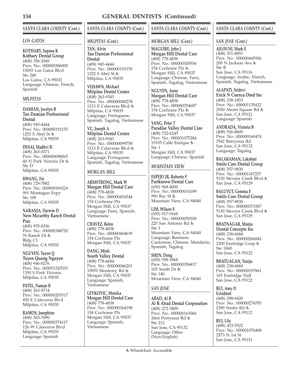# *SANTA CLARA COUNTY (Cont.)*

#### *LOS GATOS*

**KOTHARY, Sapana K Kothary Dental Group** (408) 356-2049 Prov. No.: 000000386000 15055 Los Gatos Blvd Ste 240 Los Gatos, CA 95032 Language: Chinese, French, Spanish

## *MILPITAS*

**DAMIAN, Jocelyn B Tan Damian Professional Dental** (408) 945-4444 Prov. No.: 000000192155 1252 S Abel St Milpitas, CA 95035

**DESAI, Madhvi B.** (408) 263-0371 Prov. No.: 000000008065 40 N Park Victoria Dr Ste D Milpitas, CA 95035

**HWANG, Fei** (408) 729-7882 Prov. No.: 000000369224 991 Montague Expy Ste 109 Milpitas, CA 95035

**NARANJA, Darwin D New Mccarthy Ranch Dental Prac**

(408) 935-8336 Prov. No.: 000000348720 76 Ranch Dr & Bldg C1 Milpitas, CA 95035

**NGUYEN, Tuyen Q Tuyen Quang Nguyen** (408) 946-8276 Prov. No.: 000001247031 1350 S Park Victoria Milpitas, CA 95035

**PATEL, Naman B** (408) 263-9714 Prov. No.: 000000205517 430 E Calaveras Blvd Milpitas, CA 95035

**RAMOS, Josephine** (408) 263-7690 Prov. No.: 000000374117 126 W Calaveros Blvd Milpitas, CA 95035 Language: Spanish

# *SANTA CLARA COUNTY (Cont.)*

## *MILPITAS (Cont.)*

**TAN, Alvin Tan Damian Professional Dental** (408) 945-4444 Prov. No.: 000000192159 1252 S Abel St Milpitas, CA 95035

**VEHAWN, Michael Milpitas Dental Center** (408) 263-9343 Prov. No.: 000000040278 1213 E Calaveras Blvd Milpitas, CA 95035 Language: Portuguese, Spanish, Tagalog, Vietnamese

**VU, Joseph A Milpitas Dental Center** (408) 263-9343 Prov. No.: 000000099758 1213 E Calaveras Blvd Milpitas, CA 95035 Language: Portuguese, Spanish, Tagalog, Vietnamese

## *MORGAN HILL*

**ARMSTRONG, Mark W Morgan Hill Dental Care** (408) 778-4838 Prov. No.: 000000454544 154 Cochrane Plz Morgan Hill, CA 95037 Language: Farsi, Spanish, Vietnamese

**CHAVEZ, Belen** (408) 778-4838 Prov. No.: 000000404639 154 Cochrane Plz Morgan Hill, CA 95037

**DANG, Minh South Valley Dental** (408) 778-6684 Prov. No.: 000000046201 15870 Monterey Rd Morgan Hill, CA 95037 Language: Spanish, Vietnamese

**LEVKOVIC, Monika Morgan Hill Dental Care** (408) 778-4838 Prov. No.: 000000364198 154 Cochrane Plz Morgan Hill, CA 95037 Language: Spanish, Vietnamese

## *SANTA CLARA COUNTY (Cont.)*

## *MORGAN HILL (Cont.)*

**MAGUIRE, John J Morgan Hill Dental Care** (408) 778-4838 Prov. No.: 000000305556 154 Cochrane Plz Morgan Hill, CA 95037 Language: Chinese, Farsi, Spanish, Tagalog, Vietnamese

**NGUYEN, Anne Morgan Hill Dental Care** (408) 778-4838 Prov. No.: 000000354687 154 Cochrane Plz & Morgan Hill, CA 95037

**YANG, Peter T Paradise Valley Dental Care** (408) 722-6245 Prov. No.: 000001075284 15335 Calle Enrique Ste 1 Morgan Hill, CA 95037 Language: Chinese, Spanish

## *MOUNTAIN VIEW*

**ESPEJO JR, Roberto V Partktown Dental Care** (650) 968-4000 Prov. No.: 000000014189 990 Bay St 点 Mountain View, CA 94040

**LIM, Wilson S** (650) 917-9168 Prov. No.: 000000050358 225 San Antonio Rd Ste 1 Mountain View, CA 94040 Language: Burmese, Cantonese, Chinese, Mandarin, Spanish, Tagalog

**SHEN, Dong** (650) 938-1868 Prov. No.: 000000356817 105 South Dr & Ste 140 Mountain View, CA 94040

## *SAN JOSE*

**ABAD, Al R Al R Abad Dental Corporation** (408) 272-3809 Prov. No.: 000000163066 2664 Perryessa Rd Ste 212 San Jose, CA 95132 Language: Other (Non-English)

## *SANTA CLARA COUNTY (Cont.)*

#### *SAN JOSE (Cont.)*

**AJLOUNI, Mark E** (408) 251-8851 Prov. No.: 000000445926 200 N Jackson Ave Ste B San Jose, CA 95116 Language: Arabic, French, Spanish, Tagalog, Vietnamese

**ALAPATI, Sridevi Erick N Cuenca Dmd Inc** (408) 238-1853 Prov. No.: 000001135432 2930 Aborn Square Rd San Jose, CA 95121 Language: Spanish

**ANDRADA, Victoria B** (408) 926-8600 Prov. No.: 000000160474 2542 Berryessa Rd San Jose, CA 95132 Language: Tagalog

**BALARAMAN, Lakshmi Smile Care Dental Group** (408) 557-9830 Prov. No.: 000001167257 5130 Stevens Creek Blvd San Jose, CA 95129

**BALUYUT, Gemma F Smile Care Dental Group** (408) 557-9830 Prov. No.: 000000373387 5130 Stevens Creek Blvd San Jose, CA 95129

**BHATNAGAR, Manju Dental Concepts Inc** (408) 238-6684 Prov. No.: 000000266842 2200 Eastridge Loop Ste 1060 San Jose, CA 95122

**BHATUAGAN, Nanju** (408) 238-6684 Prov. No.: 000000197861 165 Eastridge Nall San Jose, CA 95122

**BUI, Amy D Unident** (408) 298-6420 Prov. No.: 000000274785 2390 Senter Rd San Jose, CA 95112

**BUI, Lily** (408) 433-5522 Prov. No.: 000001076408 2573 N 1st St San Jose, CA 95131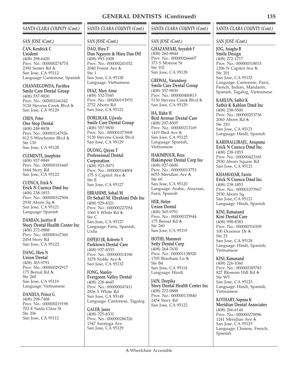## *SANTA CLARA COUNTY (Cont.)*

#### *SAN JOSE (Cont.)*

**CAN, Kendrick C Unident** (408) 298-6420 Prov. No.: 000000274774 2390 Senter Rd San Jose, CA 95112 Language: Cantonese, Spanish

**CHANNEGOWDA, Pavithra Smile Care Dental Group** (408) 557-9830 Prov. No.: 000001166342 5130 Stevens Creek Blvd San Jose, CA 95129

**CHEN, Peter One Stop Dental** (408) 248-8838 Prov. No.: 000001147926 812 S Winchester Blvd Ste 130 San Jose, CA 95128

**CLEMENTE, Josephine** (408) 937-9849 Prov. No.: 000000181660 1664 Story Rd San Jose, CA 95122

**CUENCA, Erick N Erick N Cuenca Dmd Inc** (408) 238-1853 Prov. No.: 000000322504 2930 Aborn Sq San Jose, CA 95121 Language: Spanish

**DAMIAN, Jocelyn B Story Dental Health Center Inc** (408) 272-0888 Prov. No.: 000000167360 2454 Story Rd San Jose, CA 95122

**DANG, Hieu N Union Dental** (408) 365-9791 Prov. No.: 000000292917 175 Bernal Rd & Ste 260 San Jose, CA 95119 Language: Vietnamese

**DANIELS, Prince G** (408) 298-7488 Prov. No.: 000000219198 702 E Santa Clara St Ste 206 San Jose, CA 95112

# *SANTA CLARA COUNTY (Cont.)*

#### *SAN JOSE (Cont.)*

**DAO, Hieu T Dan Nguyen & Hieu Dao Dtl** (408) 993-1008 Prov. No.: 000000241032 2040 Forest Ave  $Sta 1$ San Jose, CA 95128 Language: Vietnamese

**DIAZ, Mary Anne** (408) 532-7645 Prov. No.: 000000193970 2732 Aborn Rd San Jose, CA 95121

**DORLIKAR, Ujjwala Smile Care Dental Group** (408) 557-9830 Prov. No.: 000001073908 5130 Stevens Creek Blvd San Jose, CA 95129

**DUONG, Quyen T Professional Dental Corporation** (408) 923-3073 Prov. No.: 000000144004 175 S Capitol Ave Ste E San Jose, CA 95127

**EBRAHIMI, Sohail M Dr Sohail M. Ebrahimi Dds Inc** (408) 929-4321 Prov. No.: 000000227054 1060 S White Rd Ste C San Jose, CA 95127 Language: Farsi, Spanish, Urdu

**ESPEJO JR, Roberto V Parktown Dental Care** (408) 937-8333 Prov. No.: 000000014186 3278 Noble Ave San Jose, CA 95132

**FONG, Stanley Evergreen Valley Dental** (408) 238-4645 Prov. No.: 000000047411 2836 S White Rd San Jose, CA 95148 Language: Cantonese, Tagalog

**GALEB, Jasna** (408) 725-8331 Prov. No.: 000000286326 1547 Saratoga Ave San Jose, CA 95129

#### *SANTA CLARA COUNTY (Cont.)*

#### *SAN JOSE (Cont.)*

**GHAZANFARI, Seyedeh F** (408) 260-8844 Prov. No.: 000000266607 373 S Monroe St Ste 102 San Jose, CA 95128

**GREWAL, Varundeep Smile Care Dental Group** (408) 557-9830 Prov. No.: 000000400815 5130 Stevens Creek Blvd San Jose, CA 95129

**HA, Hahn H Bird Avenue Dental Care** (408) 297-8505 Prov. No.: 000000213169 1419 Bird Ave San Jose, CA 95125 Language: Spanish, Vietnamese

**HAKIMPOUR, Reza Hakimpour Dental Corp Inc** (408) 927-0600 Prov. No.: 000000013753 6055 Meridian Ave Ste 60 San Jose, CA 95120 Language: Arabic, Assyrian, Farsi, Spanish

**HER, Helen Union Dental** (408) 365-9791 Prov. No.: 000000325944 175 Bernal Rd & Ste 260 San Jose, CA 95119

**HOTHI, Manmeet Setty Dental Corp** (408) 264-7630 Prov. No.: 000001138520 1705 Branham Ln & Ste B4 San Jose, CA 95118 Language: Hindi

**JAIN, Deepika Story Dental Health Center Inc** (408) 272-0888 Prov. No.: 000000135840 2454 Story Rd San Jose, CA 95122

#### *SANTA CLARA COUNTY (Cont.)*

#### *SAN JOSE (Cont.)*

**JOG, Anagha B Smile Design** (408) 272-1717 Prov. No.: 000000318015 1206 N Capitol Ave & Ste 201 San Jose, CA 95132 Language: Cantonese, Farsi, French, Indian, Mandarin, Spanish, Tagalog, Vietnamese

**KAHLON, Satbir K Satbir K Kahlon Dmd Inc** (408) 238-5500 Prov. No.: 000000253736 2060 Aborn Rd Ste 210 San Jose, CA 95121 Language: Hindi, Spanish

**KAREHALLIRAJU, Anupama Erick N Cuenca Dmd Inc** (408) 238-1853 Prov. No.: 000000423185 2930 Aborn Square Rd San Jose, CA 95121

**KHASHAYAR, Farzin Erick N Cuenca Dmd Inc** (408) 238-1853 Prov. No.: 000001073967 2930 Aborn Sq San Jose, CA 95121 Language: Hindi, Spanish

**KINI, Ramanand Kini Dental Care** (408) 998-8383 Prov. No.: 000000316509 100 Oconnor Dr & Ste 23 San Jose, CA 95128 Language: Hindi, Spanish, Vietnamese

**KINI, Ramanand** (408) 226-1060 Prov. No.: 000000385783 827 Blossom Hill Rd Ste W5 San Jose, CA 95123 Language: Hindi, Spanish, Vietnamese

**KOTHARY, Sapana K Meridian Dental Associates** (408) 266-6144 Prov. No.: 000000270096 1241 Meridian Ave San Jose, CA 95125 Language: Chinese, French, Spanish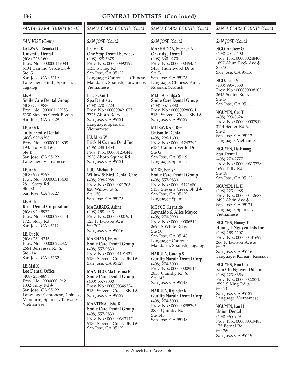# *SANTA CLARA COUNTY (Cont.)*

## *SAN JOSE (Cont.)*

**LALWANI, Renuka D Unismile Dental** (408) 226-1600 Prov. No.: 000000469083 6134 Camino Verde Dr Ste G San Jose, CA 95119 Language: Hindi, Spanish, Tagalog

**LE, An Smile Care Dental Group** (408) 557-9830 Prov. No.: 000001123953 5130 Stevens Creek Blvd San Jose, CA 95129

**LE, Anh K Tully Family Dental** (408) 929-9398 Prov. No.: 000000144808 1937 Tully Rd & Ste B San Jose, CA 95122 Language: Vietnamese

**LE, Anh T** (408) 929-9797 Prov. No.: 000000318430 2811 Story Rd Ste 50 San Jose, CA 95127

**LE, Anh T Rosa Dental Corporation** (408) 929-9977 Prov. No.: 000000288143 1721 Story Rd San Jose, CA 95112

**LE, Cuc K** (408) 254-4346 Prov. No.: 000000222327 2664 Berryessa Rd Ste 114 San Jose, CA 95132

**LE, Mai K Lee Dental Office** (408) 238-8898 Prov. No.: 000000049421 1832 Tully Rd San Jose, CA 95122 Language: Cantonese, Chinese, Mandarin, Spanish, Taiwanese, Vietnamese

# *SANTA CLARA COUNTY (Cont.)*

*SAN JOSE (Cont.)*

**LE, Mai K One Stop Dental Services** (408) 928-5678 Prov. No.: 000000392192 1155 S King Rd San Jose, CA 95122 Language: Cantonese, Chinese, Mandarin, Spanish, Taiwanese, Vietnamese

**LEE, Susan T Spa Dentistry**  $(408)$  270-7723 Prov. No.: 000000421075 2726 Aborn Rd & San Jose, CA 95121 Language: Spanish, Vietnamese

**LU, Mike W Erick N Cuenca Dmd Inc** (406) 238-1853 Prov. No.: 000001250444 2930 Aborn Square Rd San Jose, CA 95121

**LUU, Michael H Willow & Bird Dental Care** (408) 298-2988 Prov. No.: 000000213039 820 Willow St Ste 150 San Jose, CA 95125

**MACARAEG, Arline** (408) 258-9943 Prov. No.: 000000007951 125 N Jackson Ave Ste 207 San Jose, CA 95116

**MAKHANI, Erum Smile Care Dental Group** (408) 557-9830 Prov. No.: 000001191421 5130 Stevens Creek Blvd San Jose, CA 95129

**MANIEGO, Ma Cristina E Smile Care Dental Group** (408) 557-9830 Prov. No.: 000000349324 5130 Stevens Creek Blvd San Jose, CA 95129

**MANTENA, Usha R Smile Care Dental Group** (408) 557-9830 Prov. No.: 000000343147 5130 Stevens Creek Blvd San Jose, CA 95129

# *SANTA CLARA COUNTY (Cont.)*

*SAN JOSE (Cont.)*

**MASHHOON, Stephen A Oakridge Dental** (408) 360-0270 Prov. No.: 000000045454 5450 Thornwood Dr Ste B San Jose, CA 95123 Language: Chinese, Farsi, Russian, Spanish

**MEHTA, Shilpa S Smile Care Dental Group** (408) 557-9830 Prov. No.: 000000280061 5130 Stevens Creek Blvd San Jose, CA 95129

**MITBAVKAR, Rita Unismile Dental** (408) 226-1600 Prov. No.: 000001242292 6134 Camino Verde Dr Ste G San Jose, CA 95119 Language: Spanish

**MORE, Soniya Smile Care Dental Group** (408) 557-9830 Prov. No.: 000001121680 5130 Stevens Creek Blvd San Jose, CA 95129 Language: Spanish

**MOYCO, Reynaldo Reynaldo & Alice Moyco** (408) 270-0990 Prov. No.: 000000006514 2690 S White Rd Ste 50 San Jose, CA 95148 Language: Cantonese, Mandarin, Spanish, Tagalog

**NARULA, Gurdip S Gurdip Narula Dental Corp** (408) 274-5000 Prov. No.: 000000009516 2850 Quimby Rd Ste 145 San Jose, CA 95148

**NARULA, Rajinder K Gurdip Narula Dental Corp** (408) 274-5000 Prov. No.: 000000295796 2850 Quimby Rd Ste 145 San Jose, CA 95148

## *SANTA CLARA COUNTY (Cont.)*

*SAN JOSE (Cont.)*

**NGO, Andrew Q** (408) 251-5400 Prov. No.: 000000248406 1897 Alum Rock Ave Ste 10 San Jose, CA 95116

**NGO, Tuan V** (408) 995-5338 Prov. No.: 000000008103 2643 Senter Rd & Ste B San Jose, CA 95111

**NGUYEN, Cao T** (408) 993-8624 Prov. No.: 000000007911 2114 Senter Rd & Ste 3 San Jose, CA 95112 Language: Vietnamese

**NGUYEN, Da-Huong Star Dental** (408) 270-2777 Prov. No.: 000000313778 1692 Tully Rd Ste 18 San Jose, CA 95122

**NGUYEN, Ha H** (408) 223-0988 Prov. No.: 000000412687 2493 Alvin Ave San Jose, CA 95121 Language: Spanish, Vietnamese

**NGUYEN, Huong T Huong T Nguyen Dds Inc** (408) 258-2207 Prov. No.: 000000431692 266 N Jackson Ave Ste 3 San Jose, CA 95116 Language: Korean, Russian

**NGUYEN, Kim Chi Kim Chi Nguyen Dds Inc** (408) 223-8656 Prov. No.: 000000228715 2593 S King Rd Ste 14 San Jose, CA 95122 Language: Vietnamese

**NGUYEN, Lan H Union Dental** (408) 365-9791 Prov. No.: 000000319485 175 Bernal Rd Ste 260 San Jose, CA 95119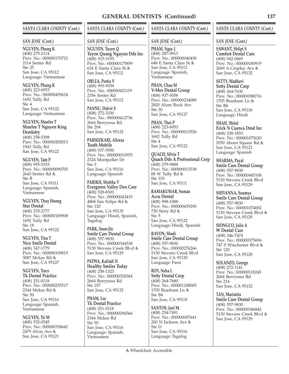#### *SANTA CLARA COUNTY (Cont.)*

#### *SAN JOSE (Cont.)*

**NGUYEN, Phung K** (408) 279-2114 Prov. No.: 000000170723 2114 Senter Rd Ste 25 San Jose, CA 95112 Language: Vietnamese

**NGUYEN, Phung K** (408) 223-6953 Prov. No.: 000000459624 1692 Tully Rd Ste 4 San Jose, CA 95122 Language: Vietnamese

**NGUYEN, Shaelee T Shaelee T Nguyen King Dentistry** (408) 258-5298 Prov. No.: 000000282813 1943 Tully Rd San Jose, CA 95122

**NGUYEN, Tam P** (408) 995-5333 Prov. No.: 000000090705 2643 Senter Rd Ste B San Jose, CA 95111 Language: Spanish, Vietnamese

**NGUYEN, Thuy Huong Star Dental** (408) 270-2777 Prov. No.: 000000185908 1692 Tully Rd Ste 18 San Jose, CA 95122

**NGUYEN, Tina T Nice Smile Dental** (408) 347-1779 Prov. No.: 000000109819 3087 Mckee Rd よ San Jose, CA 95127

**NGUYEN, Tracy Tk Dental Practice** (408) 251-0118 Prov. No.: 000000235517 2344 Mckee Rd Ste 50 San Jose, CA 95116 Language: Spanish, Vietnamese

#### **NGUYEN, Tri M**

(408) 532-0545 Prov. No.: 000000338642 2479 Alvin Ave & San Jose, CA 95121

# *SANTA CLARA COUNTY (Cont.)*

#### *SAN JOSE (Cont.)*

**NGUYEN, Tuyen Q Tuyen Quang Nguyen Dds Inc** (408) 515-3195 Prov. No.: 000000175859 634 E Santa Clara St San Jose, CA 95112

**OBLEA, Portia V** (408) 993-9939 Prov. No.: 000000421119 2356 Senter Rd San Jose, CA 95112

**PANNU, Dalvir S** (408) 272-3330 Prov. No.: 000000412736 2664 Berryessa Rd Ste 204 San Jose, CA 95132

**PARHIZKARI, Alireza Tooth Mobile** (408) 937-5950 Prov. No.: 000000010955 2324 Montpelier Dr Ste 3 San Jose, CA 95116 Language: Spanish

**PARIKH, Shobha V Evergreen Valley Den Care** (408) 528-8303 Prov. No.: 000000043419 4868 San Felipe Rd Ste 120 San Jose, CA 95135 Language: Hindi, Spanish, Tagalog

**PARK, Soon-Jin Smile Care Dental Group** (408) 557-9830 Prov. No.: 000000344538 5130 Stevens Creek Blvd San Jose, CA 95129

**PATWA, Kalindi N Healthy Smiles Today** (408) 258-1323 Prov. No.: 000000328384 2664 Berryessa Rd Ste 107 San Jose, CA 95132

**PHAM, Loc Tk Dental Practice** (408) 251-0118 Prov. No.: 000000296566 2344 Mckee Rd Ste 50 San Jose, CA 95116 Language: Spanish, Vietnamese

#### *SANTA CLARA COUNTY (Cont.)*

#### *SAN JOSE (Cont.)*

**PHAM, Ngoc L** (408) 287-0913 Prov. No.: 000000040430 648 E Santa Clara St San Jose, CA 95112 Language: Spanish, Vietnamese

**PHAN, Chau M V-Mex Dental Group** (408) 937-5058 Prov. No.: 000000234089 2820 Alum Rock Ave Ste 30 San Jose, CA 95127

**PHAN, Thoi P** (408) 223-6953 Prov. No.: 000000013526 1692 Tully Rd Ste 4 San Jose, CA 95122

**QUACH, Silvie T Quach Dds A Professional Corp** (408) 279-9888 Prov. No.: 000000013538 88 W Tully Rd Ste 103 San Jose, CA 95111

**RAMAKUMAR, Suman Accu Dental** (408) 998-1088 Prov. No.: 000000439290 730 Story Rd Ste 5 San Jose, CA 95122 Language: Hindi, Spanish

**RAVON, Shadi Smile Care Dental Group** (408) 557-9830 Prov. No.: 000000276266 5130 Stevens Creek Blvd San Jose, CA 95129 Language: Farsi

**ROY, Neha L Setty Dental Corp** (408) 264-7680 Prov. No.: 000001248005 1705 Branham Ln & Ste B4 San Jose, CA 95118

**SANTOS, Joel M.** (408) 254-7491 Prov. No.: 000000007641 200 N Jackson Ave Ste D San Jose, CA 95116 Language: Tagalog

#### *SANTA CLARA COUNTY (Cont.)*

*SAN JOSE (Cont.)*

**SAWANT, Shilpi S Comfort Dental Care** (408) 942-0469 Prov. No.: 000000180919 2669 A Cropley Ave San Jose, CA 95132

**SETTY, Madhavi Setty Dental Corp** (408) 264-7630 Prov. No.: 000000388716 1705 Branham Ln Ste B4 San Jose, CA 95118 Language: Hindi

**SHAH, Shital Erick N Cuenca Dmd Inc** (408) 238-1853 Prov. No.: 000001075620 2930 Aborn Square Rd San Jose, CA 95121 Language: Spanish

**SHARMA, Payal Smile Care Dental Group** (408) 557-9830 Prov. No.: 000000445108 5130 Stevens Creek Blvd San Jose, CA 95129

**SHIVANNA, Soumya Smile Care Dental Group** (408) 557-9830 Prov. No.: 000001074002 5130 Stevens Creek Blvd San Jose, CA 95129

**SIONGCO, Julie A W Dental Care** (408) 246-7474 Prov. No.: 000000375696 747 S Winchester Blvd Ste 120 San Jose, CA 95128

**SOLANZO, George** (408) 272-1141 Prov. No.: 000000118245 2664 Berryessa Rd Ste 214 San Jose, CA 95132

**TAN, Maristela Smile Care Dental Group** (408) 557-9830 Prov. No.: 000000346842 5130 Stevens Creek Blvd San Jose, CA 95129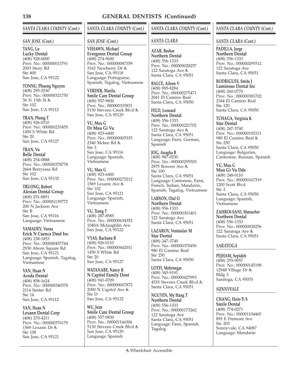# *SANTA CLARA COUNTY (Cont.)*

#### *SAN JOSE (Cont.)*

**TANG, Lu Lucky Dental** (408) 928-6000 Prov. No.: 000000013791 2003 Story Rd Ste 800 San Jose, CA 95122

**TONNU, Phuong Nguyen**  $(408)$  295-2530 Prov. No.: 000000321750 56 N 13th St Ste 102 San Jose, CA 95112

**TRAN, Phong T** (408) 926-0110 Prov. No.: 000000233455 1450 S White Rd  $Ste 20$ San Jose, CA 95127

**TRAN, Vu Belle Dental** (408) 254-0888 Prov. No.: 000000378778 2664 Berryessa Rd Ste 102 San Jose, CA 95132

**TRUONG, Robert Alexian Dental Group** (408) 251-8851 Prov. No.: 000001139772 200 N Jackson Ave Ste B San Jose, CA 95116 Language: Vietnamese

**VAMADEV, Veena Erick N Cuenca Dmd Inc** (408) 238-1853 Prov. No.: 000000457744 2930 Aborn Square Rd San Jose, CA 95121 Language: Spanish, Tagalog, Vietnamese

**VAN, Huan N Acoda Dental** (408) 858-1624 Prov. No.: 000000340378 2114 Senter Rd Ste 14 San Jose, CA 95112

**VAN, Huan N Lexann Dental Corp** (408) 270-4211 Prov. No.: 000000376179 1569 Lexann Dr Ste 108 San Jose, CA 95121

# *SANTA CLARA COUNTY (Cont.)*

## *SAN JOSE (Cont.)*

**VEHAWN, Michael Evergreen Dental Group** (408) 274-9600 Prov. No.: 000000087359 3162 Newberry Dr San Jose, CA 95118 Language: Portuguese, Spanish, Tagalog, Vietnamese

**VERDER, Marilu Smile Care Dental Group** (408) 557-9830 Prov. No.: 000000335831 5130 Stevens Creek Blvd San Jose, CA 95129

**VU, Muu G Dr Muu Gi Vu** (408) 923-6400 Prov. No.: 000000005335 2340 Mckee Rd Ste 3 San Jose, CA 95116 Language: Spanish, Vietnamese

**VU, Muu G** (408) 923-6400 Prov. No.: 000000275212 1569 Lexann Ave Ste 102 San Jose, CA 95121 Language: Spanish, Vietnamese

**VU, Trang T** (408) 287-8585 Prov. No.: 000000634352 1040A Mclaughlin Ave San Jose, CA 95122

**VYAS, Rachana R** (408) 926-0110 Prov. No.: 000000442011 1450 S White Rd Ste 20 San Jose, CA 95127

**WATANABE, Nancy R N Capitol Family Dent** (408) 941-0709 Prov. No.: 000000007872 2090 N Capitol Ave Ste D San Jose, CA 95132

**WU, Jean Smile Care Dental Group** (408) 557-9830 Prov. No.: 000001166306 5130 Stevens Creek Blvd San Jose, CA 95129 Language: Spanish

# *SANTA CLARA COUNTY (Cont.)*

## *SANTA CLARA*

**AZAR, Bashar Northern Dental** (408) 556-1333 Prov. No.: 000000028257 122 Saratoga Ave & Santa Clara, CA 95051

**BALCE, Aileen V** (408) 985-8284 Prov. No.: 000000275471 2041 El Camino Real Santa Clara, CA 95050

**FELD, Leonard Northern Dental** (408) 556-1333 Prov. No.: 000000221702 122 Saratoga Ave & Santa Clara, CA 95051 Language: Farsi, German, Spanish

**JOG, Anagha B** (408) 987-0530 Prov. No.: 000000295503 2975 Bowers Ave Ste 100 Santa Clara, CA 95051 Language: Cantonese, Farsi, French, Indian, Mandarin, Spanish, Tagalog, Vietnamese

**LARSON, Olaf O Northern Dental** (408) 556-1333 Prov. No.: 000000301401 122 Saratoga Ave Santa Clara, CA 95051

**LAZAROV, Ventsislav M Star Dental** (408) 247-3740 Prov. No.: 000000370450 980 El Camino Real Ste 250 Santa Clara, CA 95050

**LOTFI, Mehrnegar** (408) 345-9191 Prov. No.: 000000427993 4533 Stevens Creek Blvd Santa Clara, CA 95051

**NGUYEN, My Hang T Northern Dental** (408) 556-1333 Prov. No.: 000000173262 122 Saratoga Ave Santa Clara, CA 95051 Language: Farsi, Spanish, Tagalog

# *SANTA CLARA COUNTY (Cont.)*

#### *SANTA CLARA (Cont.)*

**PADILLA, Jorge Northern Dental** (408) 556-1333 Prov. No.: 000000295512 122 Saratoga Ave Santa Clara, CA 95051

**RODRIGUES, Smita J Luminous Dental Inc** (408) 260-0770 Prov. No.: 000000381702 2344 El Camino Real Ste 120 Santa Clara, CA 95050

**TCHAGA, Verginia K Star Dental** (408) 247-3740 Prov. No.: 000000192113 980 El Camino Real Ste 250 Santa Clara, CA 95050 Language: Bulgarian, Cantonese, Russian, Spanish

**VU, Muu G Muu Gi Vu Dds** (408) 248-0110 Prov. No.: 000000167319 1200 Scott Blvd Ste 2 Santa Clara, CA 95050 Language: Spanish, Vietnamese

**ZAHROI-SANI, Manucher Northern Dental** (408) 556-1333 Prov. No.: 000000028256 122 Saratoga Ave Santa Clara, CA 95051

## *SARATOGA*

**PEJHAM, Sepideh** (408) 255-9057 Prov. No.: 000000145198 12948 Village Dr Bldg 3 Saratoga, CA 95070

#### *SUNNYVALE*

**CHANG, Hsin-Ti S Smile Dental** (408) 774-0271 Prov. No.: 000001104465 895 E Fremont Ave Ste 203 Sunnyvale, CA 94087 Language: Mandarin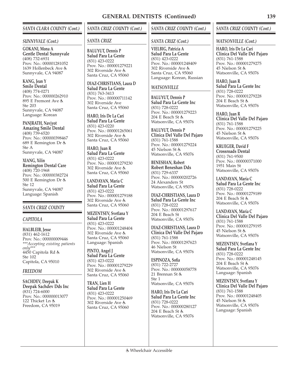## *SANTA CLARA COUNTY (Cont.)*

#### *SUNNYVALE (Cont.)*

**GOKANI, Mona A Gentle Dental Sunnyvale** (408) 732-6931 Prov. No.: 000001281052 1639 Hollenbeck Ave Sunnyvale, CA 94087

**KANG, Jean Y Smile Dental** (408) 774-0271 Prov. No.: 000000262910 895 E Fremont Ave Ste 203 Sunnyvale, CA 94087

Language: Korean

**PANJRATH, Navjyot Amazing Smile Dental** (408) 739-6520 Prov. No.: 000000398467 689 E Remington Dr Ste A Sunnyvale, CA 94087

**XIANG, Xilin Remington Dental Care** (408) 720-1968 Prov. No.: 000000382724 500 E Remington Dr Ste 12 Sunnyvale, CA 94087 Language: Spanish

## *SANTA CRUZ COUNTY*

## *CAPITOLA*

**HALBLEIB, Jesse** (831) 462-1612 Prov. No.: 000000009446 *\*\*\*Accepting existing patients only\*\*\** 4450 Capitola Rd Ste 102 Capitola, CA 95010

#### *FREEDOM*

**SACHDEV, Deepak K Deepak Sachdev Dds Inc** (831) 724-6000 Prov. No.: 000000013077 122 Thicket Ln & Freedom, CA 95019

# *SANTA CRUZ COUNTY (Cont.)*

#### *SANTA CRUZ*

**BALUYUT, Dennis P Salud Para La Gente** (831) 423-0222 Prov. No.: 000001279221 302 Riverside Ave Santa Cruz, CA 95060

**DIAZ-CHRISTIANS, Laura D Salud Para La Gente** (831) 763-3413 Prov. No.: 000000711142 302 Riverside Ave Santa Cruz, CA 95060

**HARO, Iris De La Cari Salud Para La Gente** (831) 423-0220 Prov. No.: 000001265061 302 Riverside Ave Santa Cruz, CA 95060

**HARO, Juan R Salud Para La Gente** (831) 423-0222 Prov. No.: 000001279230 302 Riverside Ave Santa Cruz, CA 95060

**LANDAYAN, Maria C Salud Para La Gente** (831) 423-0222 Prov. No.: 000001279188 302 Riverside Ave Santa Cruz, CA 95060

**MEZENTSEV, Svetlana Y Salud Para La Gente** (831) 423-0222 Prov. No.: 000001248404 302 Riverside Ave Santa Cruz, CA 95060 Language: Spanish

**PINTO, Angel J Salud Para La Gente** (831) 423-0222 Prov. No.: 000001279229 302 Riverside Ave Santa Cruz, CA 95060

**TRAN, Lien H Salud Para La Gente** (831) 423-0222 Prov. No.: 000001250469 302 Riverside Ave Santa Cruz, CA 95060

## *SANTA CRUZ COUNTY (Cont.)*

#### *SANTA CRUZ (Cont.)*

**VIELBIG, Patricia A Salud Para La Gente** (831) 423-0222 Prov. No.: 000001248409 302 Riverside Ave Santa Cruz, CA 95060 Language: Korean, Russian

#### *WATSONVILLE*

**BALUYUT, Dennis P Salud Para La Gente Inc** (831) 728-0222 Prov. No.: 000001279223 204 E Beach St Watsonville, CA 95076

**BALUYUT, Dennis P Clinica Del Valle Del Pajaro** (831) 761-1588 Prov. No.: 000001279224 45 Nielson St & Watsonville, CA 95076

**BENESHAN, Robert Robert Beneshan Dds** (831) 729-6337 Prov. No.: 000000202726 24 Alexanders St Watsonville, CA 95076

**DIAZ-CHRISTIANS, Laura D Salud Para La Gente Inc** (831) 728-0222 Prov. No.: 000001297617 204 E Beach St Watsonville, CA 95076

**DIAZ-CHRISTIANS, Laura D Clinica Del Valle Del Pajaro** (831) 761-1588 Prov. No.: 000001297623 46 Nielson St Watsonville, CA 95076

**ESPINOZA, Sofia** (831) 722-2727 Prov. No.: 000000058778 21 Brennan St & Ste 1 Watsonville, CA 95076

**HARO, Iris De La Cari Salud Para La Gente Inc** (831) 728-0222 Prov. No.: 000000280127 204 E Beach St Watsonville, CA 95076

#### *SANTA CRUZ COUNTY (Cont.)*

#### *WATSONVILLE (Cont.)*

**HARO, Iris De La Cari Clinica Del Valle Del Pajaro** (831) 761-1588 Prov. No.: 000001279275 45 Nielson St Watsonville, CA 95076

**HARO, Juan R Salud Para La Gente Inc** (831) 728-0222 Prov. No.: 000001279228 204 E Beach St Watsonville, CA 95076

**HARO, Juan R Clinica Del Valle Del Pajaro** (831) 761-1588 Prov. No.: 000001279225 45 Nielson St Watsonville, CA 95076

**KRUEGER, David F Crossroads Dental** (831) 761-9500 Prov. No.: 000000371000 1951 Main St Watsonville, CA 95076

**LANDAYAN, Maria C Salud Para La Gente Inc** (831) 728-0222 Prov. No.: 000001279189 204 E Beach St Watsonville, CA 95076

**LANDAYAN, Maria C Clinica Del Valle Del Pajaro** (831) 761-1588 Prov. No.: 000001279195 45 Nielson St Watsonville, CA 95076

**MEZENTSEV, Svetlana Y Salud Para La Gente Inc** (831) 728-0222 Prov. No.: 000001248145 204 E Beach St Watsonville, CA 95076 Language: Spanish

**MEZENTSEV, Svetlana Y Clinica Del Valle Del Pajaro** (831) 761-1588 Prov. No.: 000001248405 45 Nielson St Watsonville, CA 95076 Language: Spanish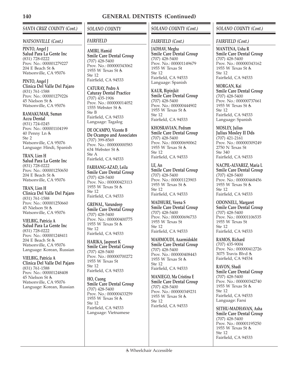## *SANTA CRUZ COUNTY (Cont.)*

#### *WATSONVILLE (Cont.)*

**PINTO, Angel J Salud Para La Gente Inc** (831) 728-0222 Prov. No.: 000001279227 204 E Beach St Watsonville, CA 95076

**PINTO, Angel J Clinica Del Valle Del Pajaro** (831) 761-1588 Prov. No.: 000001279226 45 Nielson St Watsonville, CA 95076

**RAMAKUMAR, Suman Accu Dental** (831) 724-0245 Prov. No.: 000001104199 40 Penny Ln Ste 2 Watsonville, CA 95076 Language: Hindi, Spanish

**TRAN, Lien H Salud Para La Gente Inc** (831) 728-0222 Prov. No.: 000001250650 204 E Beach St Watsonville, CA 95076

**TRAN, Lien H Clinica Del Valle Del Pajaro** (831) 761-1588 Prov. No.: 000001250660 45 Nielson St Watsonville, CA 95076

**VIELBIG, Patricia A Salud Para La Gente Inc** (831) 728-0222 Prov. No.: 000001248411 204 E Beach St Watsonville, CA 95076 Language: Korean, Russian

**VIELBIG, Patricia A Clinica Del Valle Del Pajaro** (831) 761-1588 Prov. No.: 000001248408 45 Nielson St Watsonville, CA 95076 Language: Korean, Russian *SOLANO COUNTY*

## *FAIRFIELD*

**AMIRI, Hamid Smile Care Dental Group** (707) 428-5400 Prov. No.: 000000343062 1955 W Texas St Ste 12 Fairfield, CA 94533

**CATURAY, Pedro A Caturay Dental Practice** (707) 435-1906 Prov. No.: 000000014052 1555 Webster St Ste B Fairfield, CA 94533 Language: Tagalog

**DE OCAMPO, Vicente B De Ocampo and Associates** (707) 399-8569 Prov. No.: 000000000583 634 Webster St Ste A

Fairfield, CA 94533

**FARHANG-AZAD, Leila Smile Care Dental Group** (707) 428-5400 Prov. No.: 000000423113 1955 W Texas St  $Ste 12$ Fairfield, CA 94533

**GREWAL, Varundeep Smile Care Dental Group** (707) 428-5400 Prov. No.: 000000400775 1955 W Texas St Ste 12 Fairfield, CA 94533

**HARIKA, Jaspreet K Smile Care Dental Group** (707) 428-5400 Prov. No.: 000000700272 1955 W Texas St Ste 12 Fairfield, CA 94533

**HO, Cuong Smile Care Dental Group** (707) 428-5400 Prov. No.: 000000433259 1955 W Texas St Ste 12 Fairfield, CA 94533 Language: Vietnamese

# *SOLANO COUNTY (Cont.)*

## *FAIRFIELD (Cont.)*

**JADHAV, Megha Smile Care Dental Group** (707) 428-5400 Prov. No.: 000001149679 1955 W Texas St  $Sta 12$ Fairfield, CA 94533 Language: Spanish

**KAUR, Bipinjkit Smile Care Dental Group** (707) 428-5400 Prov. No.: 000000444902 1955 W Texas St & Ste 12 Fairfield, CA 94533

**KHOSRAVIAN, Pedram Smile Care Dental Group** (707) 428-5400 Prov. No.: 000000690062 1955 W Texas St Ste 12 Fairfield, CA 94533

**LE, An Smile Care Dental Group** (707) 428-5400 Prov. No.: 000001123903 1955 W Texas St Ste 12 Fairfield, CA 94533

**MADHURE, Veena S Smile Care Dental Group** (707) 428-5400 Prov. No.: 000000696733 1955 W Texas St Ste 12 Fairfield, CA 94533

**MAHMOUDI, Azarmidokht Smile Care Dental Group** (707) 428-5400 Prov. No.: 000000408443 1955 W Texas St Ste 12 Fairfield, CA 94533

**MANIEGO, Ma Cristina E Smile Care Dental Group** (707) 428-5400 Prov. No.: 000000349231 1955 W Texas St Ste 12 Fairfield, CA 94533

## *SOLANO COUNTY (Cont.)*

#### *FAIRFIELD (Cont.)*

**MANTENA, Usha R Smile Care Dental Group** (707) 428-5400 Prov. No.: 000000343162 1955 W Texas St  $Sta 12$ Fairfield, CA 94533

**MORGAN, Kai Smile Care Dental Group** (707) 428-5400 Prov. No.: 000000737661 1955 W Texas St Ste 12 Fairfield, CA 94533 Language: Spanish

**MOSLEY, Julius Julius Mosley II Dds** (707) 421-2161 Prov. No.: 000000309249 2750 N Texas St Ste 340 Fairfield, CA 94533

**NACPIL-ALVAREZ, Maria L Smile Care Dental Group** (707) 428-5400 Prov. No.: 000000468456 1955 W Texas St Ste 12 Fairfield, CA 94533

**ODONNELL, Margaret Smile Care Dental Group** (707) 428-5400 Prov. No.: 000001106535 1955 W Texas St Ste 12 Fairfield, CA 94533

**RAMOS, Richard** (707) 435-9004 Prov. No.: 000000412726 3075 Travis Blvd Fairfield, CA 94534

**RAVON, Shadi Smile Care Dental Group** (707) 428-5400 Prov. No.: 000000342740 1955 W Texas St Ste 12 Fairfield, CA 94533 Language: Farsi

**SETHU-MADHAVAN, Asha Smile Care Dental Group** (707) 428-5400 Prov. No.: 000001195250 1955 W Texas St Ste 12 Fairfield, CA 94533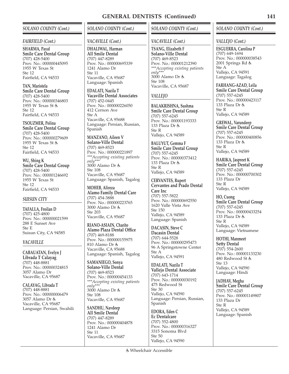## *SOLANO COUNTY (Cont.)*

#### *FAIRFIELD (Cont.)*

**SHARMA, Payal Smile Care Dental Group** (707) 428-5400 Prov. No.: 000000445095 1955 W Texas St  $Sta 12$ Fairfield, CA 94533

**TAN, Maristela Smile Care Dental Group** (707) 428-5400 Prov. No.: 000000346803 1955 W Texas St Ste 12 Fairfield, CA 94533

**TSOUZMER, Polina Smile Care Dental Group** (707) 428-5400 Prov. No.: 000000279609 1955 W Texas St  $Sta 12$ Fairfield, CA 94533

**WU, Shing K Smile Care Dental Group** (707) 428-5400 Prov. No.: 000001246692 1955 W Texas St Ste 12 Fairfield, CA 94533

#### *SUISUN CITY*

**TAFALLA, Froilan D** (707) 425-4800 Prov. No.: 000000021599 288 E Sunset Ave Ste E Suisun City, CA 94585

#### *VACAVILLE*

**CABAUATAN, Evelyn J Librada T Calayag** (707) 448-8881 Prov. No.: 000000324815 3057 Alamo Dr Vacaville, CA 95687

**CALAYAG, Librada T** (707) 448-8881 Prov. No.: 000000006479 3057 Alamo Dr & Vacaville, CA 95687 Language: Persian, Swahili

## *SOLANO COUNTY (Cont.)*

## *VACAVILLE (Cont.)*

**DHALIWAL, Harman All Smile Dental** (707) 447-8289 Prov. No.: 000000695339 1241 Alamo Dr Ste 11 Vacaville, CA 95687 Language: Spanish

**EDALATI, Nazila T Vacaville Dental Associates** (707) 452-0445 Prov. No.: 000000226050 412 Cernon Ave Ste A Vacaville, CA 95688 Language: Persian, Russian, Spanish

**MANZANO, Aileen V Solano-Ville Dental** (707) 469-8523 Prov. No.: 000000221897 *\*\*\*Accepting existing patients only\*\*\** 3000 Alamo Dr & Ste 108 Vacaville, CA 95687 Language: Spanish, Tagalog

**MOHEB, Alireza Alamo Family Dental Care** (707) 454-3888 Prov. No.: 000000223765 3000 Alamo Dr & Ste 203 Vacaville, CA 95687

**RIANO-ASIAIN, Charito Alamo Plaza Dental Office** (707) 469-8188 Prov. No.: 000000155975 810 Alamo Dr Vacaville, CA 95688 Language: Spanish, Tagalog

**SAMANIEGO, Sonya Solano-Ville Dental** (707) 469-8523 Prov. No.: 000000454133 *\*\*\*Accepting existing patients only\*\*\** 3000 Alamo Dr & Ste 108 Vacaville, CA 95687

**SANDHU, Navdeep All Smile Dental** (707) 447-8289 Prov. No.: 000000404878 1241 Alamo Dr Ste 11 Vacaville, CA 95687

## *SOLANO COUNTY (Cont.)*

## *VACAVILLE (Cont.)*

**TSANG, Elizabeth F Solano-Ville Dental** (707) 469-8523 Prov. No.: 000001212390 *\*\*\*Accepting existing patients only\*\*\** 3000 Alamo Dr & Ste 108 Vacaville, CA 95687

### *VALLEJO*

**BALAKRISHNA, Sushma Smile Care Dental Group** (707) 557-6245 Prov. No.: 000001193333 133 Plaza Dr & Ste R Vallejo, CA 94589

**BALUYUT, Gemma F Smile Care Dental Group** (707) 557-6245 Prov. No.: 000000373412 133 Plaza Dr & Ste R Vallejo, CA 94589

**CERVANTES, Rupert Cervantes and Prado Dental Care Inc** (707) 557-5822 Prov. No.: 000000692550 1620 Valle Vista Ave Ste 150 Vallejo, CA 94589 Language: Spanish

**DACASIN, Steve C Dacasin Dental** (707) 644-5528 Prov. No.: 000000295473 96 A Springstowne Center Ste A Vallejo, CA 94591

**EDALATI, Nazila T Vallejo Dental Associate** (707) 643-1714 Prov. No.: 000000030192 475 Redwood St Ste 30 Vallejo, CA 94590 Language: Persian, Russian, Spanish

**EDORA, Eden C Ec Dentalcare** (707) 552-4800 Prov. No.: 000000316327 3315 Sonoma Blvd Ste 50 Vallejo, CA 94590

## *SOLANO COUNTY (Cont.)*

### *VALLEJO (Cont.)*

**ESGUERRA, Carolina P** (707) 649-1694 Prov. No.: 000000038543 2001 Springs Rd Ste A Vallejo, CA 94591 Language: Tagalog

**FARHANG-AZAD, Leila Smile Care Dental Group** (707) 557-6245 Prov. No.: 000000423117 133 Plaza Dr Ste R Vallejo, CA 94589

**GREWAL, Varundeep Smile Care Dental Group** (707) 557-6245 Prov. No.: 000000400856 133 Plaza Dr Ste R Vallejo, CA 94589

**HARIKA, Jaspreet K Smile Care Dental Group** (707) 557-6245 Prov. No.: 000000700302 133 Plaza Dr Ste R Vallejo, CA 94589

**HO, Cuong Smile Care Dental Group** (707) 557-6245 Prov. No.: 000000433254 133 Plaza Dr Ste R Vallejo, CA 94589 Language: Vietnamese

**HOTHI, Manmeet Setty Dental** (707) 554-2600 Prov. No.: 000001133230 480 Redwood St Ste 13 Vallejo, CA 94590 Language: Hindi

**JADHAV, Megha Smile Care Dental Group** (707) 557-6245 Prov. No.: 000001149807 133 Plaza Dr Ste R Vallejo, CA 94589 Language: Spanish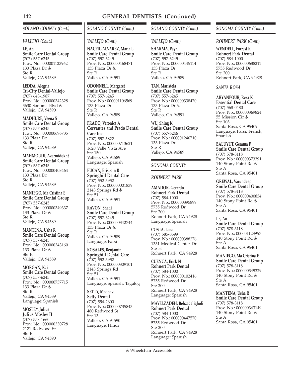## *SOLANO COUNTY (Cont.)*

## *VALLEJO (Cont.)*

**LE, An Smile Care Dental Group** (707) 557-6245 Prov. No.: 000001123962 133 Plaza Dr Ste R Vallejo, CA 94589

**LEDDA, Alegria Tri-City Dental-Vallejo** (707) 643-1987 Prov. No.: 000000342328 3630 Sonoma Blvd Vallejo, CA 94590

**MADHURE, Veena S Smile Care Dental Group** (707) 557-6245 Prov. No.: 000000696735 133 Plaza Dr Ste R Vallejo, CA 94589

**MAHMOUDI, Azarmidokht Smile Care Dental Group** (707) 557-6245 Prov. No.: 000000408464 133 Plaza Dr Ste R Vallejo, CA 94589

**MANIEGO, Ma Cristina E Smile Care Dental Group** (707) 557-6245 Prov. No.: 000000349337 133 Plaza Dr Ste R Vallejo, CA 94589

**MANTENA, Usha R Smile Care Dental Group** (707) 557-6245 Prov. No.: 000000343160 133 Plaza Dr Ste R Vallejo, CA 94589

**MORGAN, Kai Smile Care Dental Group** (707) 557-6245 Prov. No.: 000000737715 133 Plaza Dr & Ste R Vallejo, CA 94589 Language: Spanish

**MOSLEY, Julius Julius Mosley II** (707) 558-1660 Prov. No.: 000000330728 2121 Redwood St Ste E

Vallejo, CA 94590

*SOLANO COUNTY (Cont.)*

## *VALLEJO (Cont.)*

**NACPIL-ALVAREZ, Maria L Smile Care Dental Group** (707) 557-6245 Prov. No.: 000000468471 133 Plaza Dr Ste R Vallejo, CA 94591

**ODONNELL, Margaret Smile Care Dental Group** (707) 557-6245 Prov. No.: 000001106569 133 Plaza Dr Ste R Vallejo, CA 94589

**PRADO, Veronica A Cervantes and Prado Dental Care Inc** (707) 557-5822 Prov. No.: 000000713621 1620 Valle Vista Ave Ste 150 Vallejo, CA 94589 Language: Spanish

**PUCAN, Brisbain R Springhill Dental Care** (707) 552-3952 Prov. No.: 000000001839 2143 Springs Rd Ste 51 Vallejo, CA 94591

**RAVON, Shadi Smile Care Dental Group** (707) 557-6245 Prov. No.: 000000342744 133 Plaza Dr Ste R Vallejo, CA 94589 Language: Farsi

**ROSALES, Benjamin Springhill Dental Care** (707) 552-3952 Prov. No.: 000000309101 2143 Springs Rd Ste 51 Vallejo, CA 94591 Language: Spanish, Tagalog

**SETTY, Madhavi Setty Dental** (707) 554-2600 Prov. No.: 000000735843 480 Redwood St Ste 13 Vallejo, CA 94590 Language: Hindi

## *SOLANO COUNTY (Cont.)*

# *VALLEJO (Cont.)*

**SHARMA, Payal Smile Care Dental Group** (707) 557-6245 Prov. No.: 000000445114 133 Plaza Dr  $Sta$  R Vallejo, CA 94589

**TAN, Maristela Smile Care Dental Group** (707) 557-6245 Prov. No.: 000000338470 133 Plaza Dr Ste R Vallejo, CA 94591

**WU, Shing K Smile Care Dental Group** (707) 557-6246 Prov. No.: 000001246710 133 Plaza Dr Ste R Vallejo, CA 94589

## *SONOMA COUNTY*

## *ROHNERT PARK*

**AMADOR, Gerardo Rohnert Park Dental** (707) 584-1000 Prov. No.: 000000395899 5755 Redwood Dr Ste 200 Rohnert Park, CA 94928 Language: Spanish

**COSTA, Lora** (707) 585-8599 Prov. No.: 000000388276 1331 Medical Center Dr Ste H Rohnert Park, CA 94928

**CUENCA, Erick N Rohnert Park Dental** (707) 584-1000 Prov. No.: 000000102416 5755 Redwood Dr Ste 200 Rohnert Park, CA 94928 Language: Spanish

**MAYELZADEH, Behzadaligholi Rohnert Park Dental** (707) 584-1000 Prov. No.: 000000447570 5755 Redwood Dr Ste 200 Rohnert Park, CA 94928 Language: Spanish

## *SONOMA COUNTY (Cont.)*

### *ROHNERT PARK (Cont.)*

**WENDELL, Forrest R Rohnert Park Dental** (707) 584-1000 Prov. No.: 000000688211 5755 Redwood Dr Ste 200 Rohnert Park, CA 94928

### *SANTA ROSA*

**ARYANPOUR, Reza K Essential Dental Care** (707) 568-0480 Prov. No.: 000000369824 55 Mission Cir Ste 103 Santa Rosa, CA 95409 Language: Farsi, French, Spanish

**BALUYUT, Gemma F Smile Care Dental Group** (707) 578-3118 Prov. No.: 000000373391 140 Stony Point Rd Ste A Santa Rosa, CA 95401

**GREWAL, Varundeep Smile Care Dental Group** (707) 578-3118 Prov. No.: 000000400834 140 Stony Point Rd & Ste A Santa Rosa, CA 95401

**LE, An Smile Care Dental Group** (707) 578-3118 Prov. No.: 000001123957 140 Stony Point Rd & Ste A Santa Rosa, CA 95401

**MANIEGO, Ma Cristina E Smile Care Dental Group** (707) 578-3118 Prov. No.: 000000349329 140 Stony Point Rd & Ste A Santa Rosa, CA 95401

**MANTENA, Usha R Smile Care Dental Group** (707) 578-3118 Prov. No.: 000000343149 140 Stony Point Rd & Ste A Santa Rosa, CA 95401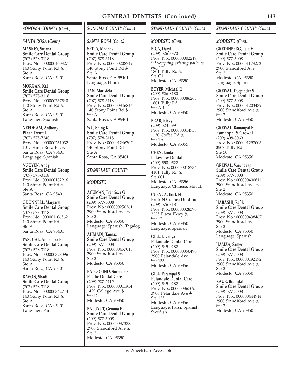## *SONOMA COUNTY (Cont.)*

#### *SANTA ROSA (Cont.)*

**MASKEY, Sujana Smile Care Dental Group** (707) 578-3118 Prov. No.: 000000400327 140 Stony Point Rd & Ste A Santa Rosa, CA 95401

**MORGAN, Kai Smile Care Dental Group** (707) 578-3118 Prov. No.: 000000737540 140 Stony Point Rd & Ste A Santa Rosa, CA 95401 Language: Spanish

**NEEDHAM, Anthony J Plaza Dental** (707) 575-7240 Prov. No.: 000000251032 1017 Santa Rosa Plz & Santa Rosa, CA 95401 Language: Spanish

**NGUYEN, Andy Smile Care Dental Group** (707) 578-3118 Prov. No.: 000000182916 140 Stony Point Rd & Ste A Santa Rosa, CA 95401

**ODONNELL, Margaret Smile Care Dental Group** (707) 578-3118 Prov. No.: 000001106562 140 Stony Point Rd Ste A Santa Rosa, CA 95401

**PASCUAL, Anna Liza E Smile Care Dental Group** (707) 578-3118 Prov. No.: 000000328096 140 Stony Point Rd Ste A Santa Rosa, CA 95401

**RAVON, Shadi Smile Care Dental Group** (707) 578-3118 Prov. No.: 000000342743 140 Stony Point Rd Ste A Santa Rosa, CA 95401 Language: Farsi

## *SONOMA COUNTY (Cont.)*

## *SANTA ROSA (Cont.)*

**SETTY, Madhavi Smile Care Dental Group** (707) 578-3118 Prov. No.: 000000208749 140 Stony Point Rd Ste A Santa Rosa, CA 95401 Language: Hindi

**TAN, Maristela Smile Care Dental Group** (707) 578-3118 Prov. No.: 000000346846 140 Stony Point Rd Ste A Santa Rosa, CA 95401

**WU, Shing K Smile Care Dental Group** (707) 578-3118 Prov. No.: 000001246707 140 Stony Point Rd Ste A Santa Rosa, CA 95401

## *STANISLAUS COUNTY*

#### *MODESTO*

**ACUMAN, Francisca G Smile Care Dental Group** (209) 577-5008 Prov. No.: 000000250361 2900 Standiford Ave Ste 2 Modesto, CA 95350 Language: Spanish, Tagalog

**AHMADI, Tannaz Smile Care Dental Group** (209) 577-5008 Prov. No.: 000000457013 2900 Standiford Ave Ste 2 Modesto, CA 95350

**BALGOBIND, Surenda P Pacific Dental Care** (209) 527-5115 Prov. No.: 000000011914 1429 College Ave Ste D Modesto, CA 95350

**BALUYUT, Gemma F Smile Care Dental Group** (209) 577-5008 Prov. No.: 000000373385 2900 Standiford Ave Ste 2 Modesto, CA 95350

## *STANISLAUS COUNTY (Cont.)*

#### *MODESTO (Cont.)*

**BICA, Daryl L** (209) 526-3370 Prov. No.: 000000002219 *\*\*\*Accepting existing patients only\*\*\** 1801 Tully Rd & Ste C1 Modesto, CA 95350

**BOYER, Michael R** (209) 526-8180 Prov. No.: 000000086265 1801 Tully Rd Ste A 1 Modesto, CA 95350

**BRAR, Ricky** (209) 523-5991 Prov. No.: 000000314758 1130 Coffee Rd Ste 1A Modesto, CA 95355

**CHEN, Linda Lakeview Dental** (209) 550-0522 Prov. No.: 000000018734 4101 Tully Rd & Ste 601 Modesto, CA 95356 Language: Chinese, Slovak

**CUENCA, Erick N Erick N Cuenca Dmd Inc** (209) 576-8181 Prov. No.: 000000328396 2225 Plaza Pkwy Ste P1 Modesto, CA 95350 Language: Spanish

**GILL, Lavanya Pelandale Dental Care** (209) 545-9282 Prov. No.: 000000350496 3900 Pelandale Ave Ste 135 Modesto, CA 95356

**GILL, Parampal S Pelandale Dental Care** (209) 545-9282 Prov. No.: 000000367095 3900 Pelandale Ave Ste 135 Modesto, CA 95356 Language: Farsi, Spanish, **Swedish** 

## *STANISLAUS COUNTY (Cont.)*

#### *MODESTO (Cont.)*

**GREDINBERG, Tala V Smile Care Dental Group** (209) 577-5008 Prov. No.: 000001173273 2900 Standiford Ave  $Sta 2$ Modesto, CA 95350 Language: Spanish

**GREWAL, Deepinder S Smile Care Dental Group** (209) 577-5008 Prov. No.: 000001203439 2900 Standiford Ave & Ste 2 Modesto, CA 95350

**GREWAL, Ramanpal S Ramanpal S Grewal** (209) 408-8069 Prov. No.: 000001297003 3507 Tully Rd Ste 50 Modesto, CA 95356

**GREWAL, Varundeep Smile Care Dental Group** (209) 577-5008 Prov. No.: 000000400811 2900 Standiford Ave Ste 2 Modesto, CA 95350

**HABASHI, Rafik Smile Care Dental Group** (209) 577-5008 Prov. No.: 000000438467 2900 Standiford Ave Ste 2 Modesto, CA 95350 Language: Spanish

**HAMZA, Samer Smile Care Dental Group** (209) 577-5008 Prov. No.: 000000192172 2900 Standiford Ave Ste 2 Modesto, CA 95350

**KAUR, Bipinjkit Smile Care Dental Group** (209) 577-5008 Prov. No.: 000000444914 2900 Standiford Ave Ste 2 Modesto, CA 95350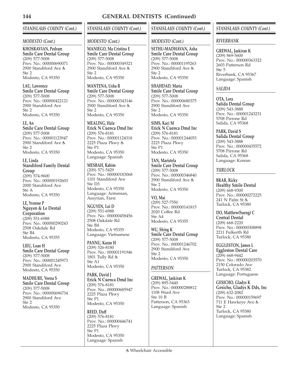## *STANISLAUS COUNTY (Cont.)*

#### *MODESTO (Cont.)*

**KHOSRAVIAN, Pedram Smile Care Dental Group** (209) 577-5008 Prov. No.: 000000690071 2900 Standiford Ave  $Sta 2$ Modesto, CA 95350

**LAU, Lawrence Smile Care Dental Group** (209) 577-5008 Prov. No.: 000000422121 2900 Standiford Ave Ste 2 Modesto, CA 95350

**LE, An Smile Care Dental Group** (209) 577-5008 Prov. No.: 000001123947 2900 Standiford Ave Ste 2 Modesto, CA 95350

**LE, Linda Standiford Family Dental Group** (209) 574-9600 Prov. No.: 000000192603 2000 Standiford Ave

Ste A Modesto, CA 95350 **LE, Yvonne P**

**Nguyen & Le Dental Corporation**  $(209)$  551-6988 Prov. No.: 000000290243 2508 Oakdale Rd Ste B4 Modesto, CA 95355

**LIEU, Loan H Smile Care Dental Group** (209) 577-5008 Prov. No.: 000001245973 2900 Standiford Ave Modesto, CA 95350

**MADHURE, Veena S Smile Care Dental Group** (209) 577-5008 Prov. No.: 000000696734 2900 Standiford Ave Ste 2 Modesto, CA 95350

# *STANISLAUS COUNTY (Cont.)*

### *MODESTO (Cont.)*

**MANIEGO, Ma Cristina E Smile Care Dental Group** (209) 577-5008 Prov. No.: 000000349321 2900 Standiford Ave  $Sta 2$ Modesto, CA 95350

**MANTENA, Usha R Smile Care Dental Group** (209) 577-5008 Prov. No.: 000000343146 2900 Standiford Ave Ste 2 Modesto, CA 95350

**MEALING, Hala Erick N Cuenca Dmd Inc** (209) 576-8181 Prov. No.: 000001124318 2225 Plaza Pkwy Ste P1 Modesto, CA 95350 Language: Spanish

**MESBAH, Rahim** (209) 571-5429 Prov. No.: 000000183068 1101 Standiford Ave Ste D3 Modesto, CA 95350 Language: Armenian, Assyrian, Farsi

**NGUYEN, Loi D** (209) 551-6988 Prov. No.: 000000458456 2508 Oakdale Rd Ste B4 Modesto, CA 95355 Language: Vietnamese

**PANNU, Karan H** (209) 526-8180 Prov. No.: 000001191946 1801 Tully Rd & Ste A1 Modesto, CA 95350

**PARK, David J Erick N Cuenca Dmd Inc** (209) 576-8181 Prov. No.: 000000685947 2225 Plaza Pkwy Ste P1 Modesto, CA 95350

**REED, Duff** (209) 576-8181 Prov. No.: 000000446741 2225 Plaza Pkwy Ste P1 Modesto, CA 95350 Language: Spanish

## *STANISLAUS COUNTY (Cont.)*

### *MODESTO (Cont.)*

**SETHU-MADHAVAN, Asha Smile Care Dental Group** (209) 577-5008 Prov. No.: 000001195263 2900 Standiford Ave Ste 2 Modesto, CA 95350

**SHAHDAD, Maria Smile Care Dental Group** (209) 577-5008 Prov. No.: 000000680375 2900 Standiford Ave Ste 2 Modesto, CA 95350

**SIMS, Kaci M Erick N Cuenca Dmd Inc** (209) 576-8181 Prov. No.: 000001244053 2225 Plaza Pkwy Ste P1 Modesto, CA 95350

**TAN, Maristela Smile Care Dental Group** (209) 577-5008 Prov. No.: 000000346840 2900 Standiford Ave & Ste 2 Modesto, CA 95350

**VO, Mai** (209) 527-7550 Prov. No.: 000000141815 2020 Coffee Rd Ste A4 Modesto, CA 95355

**WU, Shing K Smile Care Dental Group** (209) 577-5008 Prov. No.: 000001246702 2900 Standiford Ave Ste 2 Modesto, CA 95350

## *PATTERSON*

**GREWAL, Jaskiran K** (209) 895-5440 Prov. No.: 000000288812 1108 Ward Ave Ste 10 B Patterson, CA 95363 Language: Spanish

## *STANISLAUS COUNTY (Cont.)*

### *RIVERBANK*

**GREWAL, Jaskiran K** (209) 869-5600 Prov. No.: 000000363322 2603 Patterson Rd Ste 5 Riverbank, CA 95367 Language: Spanish

## *SALIDA*

**OTA, Lora Salida Dental Group** (209) 543-3888 Prov. No.: 000001243231 5708 Pirrone Rd Salida, CA 95368

**PARK, David S Salida Dental Group** (209) 543-3888 Prov. No.: 000000435572 5708 Pirrone Rd Salida, CA 95368 Language: Korean

## *TURLOCK*

**BRAR, Ricky Healthy Smile Dental** (209) 668-9300 Prov. No.: 000000272225 241 N Palm St Turlock, CA 95380

**DO, Matthew(Sueng) C Central Dental** (209) 668-2220 Prov. No.: 000000308898 2211 Fulkerth Rd Turlock, CA 95380

**EGGLESTON, James L Eggleston Dental Care** (209) 668-9442 Prov. No.: 000000203570 2150 Colorado Ave Turlock, CA 95382 Language: Portuguese

**GESICHO, Gladys K Gesicho, Gladys K Dds, Inc** (209) 632-2082 Prov. No.: 000000159697 711 E Hawkeye Ave Ste 2 Turlock, CA 95380 Language: Spanish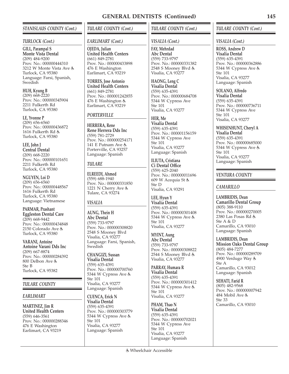### *STANISLAUS COUNTY (Cont.)*

#### *TURLOCK (Cont.)*

**GILL, Parampal S Monte Vista Dental** (209) 484-9200 Prov. No.: 000000444310 3212 W Monte Vista Ave Turlock, CA 95380 Language: Farsi, Spanish, Swedish

**HUH, Kyung B**  $(209)$  668-2220 Prov. No.: 000000345904 2211 Fulkerth Rd Turlock, CA 95380

**LE, Yvonne P** (209) 656-6560 Prov. No.: 000000436872 1616 Fulkerth Rd Turlock, CA 95380

**LEE, John J Central Dental** (209) 668-2220 Prov. No.: 000000101651 2211 Fulkerth Rd Turlock, CA 95380

**NGUYEN, Loi D** (209) 656-6560 Prov. No.: 000000448567 1616 Fulkerth Rd Turlock, CA 95380 Language: Vietnamese

**PARMAR, Prashant Eggleston Dental Care** (209) 668-9442 Prov. No.: 000000434848 2150 Colorado Ave Turlock, CA 95380

**VARANI, Antoine Antoine Varani Dds Inc** (209) 667-8874 Prov. No.: 000000284392 800 Delbon Ave Ste B Turlock, CA 95382

#### *TULARE COUNTY*

#### *EARLIMART*

**MARTINEZ, Jim R United Health Centers** (559) 646-3561 Prov. No.: 000000288346 476 E Washington Earlimart, CA 93219

#### *TULARE COUNTY (Cont.)*

## *EARLIMART (Cont.)*

**OJEDA, Julian United Health Centers** (661) 849-2781 Prov. No.: 000000433898 476 E Washington Earlimart, CA 93219

**TORRES, Jose Antonio United Health Centers** (661) 849-2781 Prov. No.: 000001242855 476 E Washington Earlimart, CA 93219

#### *PORTERVILLE*

**HERRERA, Rene Rene Herrera Dds Inc** (559) 781-2729 Prov. No.: 000000254171 141 E Putnam Ave Porterville, CA 93257 Language: Spanish

### *TULARE*

**ELREEDI, Ahmed** (559) 688-1940 Prov. No.: 000000331850 1221 N Cherry Ave & Tulare, CA 93274

#### *VISALIA*

**AUNG, Thein H Abc Dental** (559) 733-9797 Prov. No.: 000000308820 2548 S Mooney Blvd Visalia, CA 93277 Language: Farsi, Spanish, Swedish

**CHANGIZI, Sussan Visalia Dental** (559) 635-4391 Prov. No.: 000000700760 5344 W Cypress Ave Ste 101 Visalia, CA 93277 Language: Spanish

**CUENCA, Erick N Visalia Dental** (559) 635-4391 Prov. No.: 000000303779 5344 W Cypress Ave Ste 101 Visalia, CA 93277 Language: Spanish

### *TULARE COUNTY (Cont.)*

#### *VISALIA (Cont.)*

**FAY, Mehrdad Abc Dental** (559) 733-9797 Prov. No.: 000000331382 2548 S Mooney Blvd Visalia, CA 93277

**HAONG, Leng C Visalia Dental** (559) 635-4391 Prov. No.: 000000684708 5344 W Cypress Ave Ste 101 Visalia, CA 93277

**HER, Me Visalia Dental** (559) 635-4391 Prov. No.: 000001156159 5344 W Cypress Ave Ste 101 Visalia, CA 93277 Language: Spanish

**ILIUTA, Cristiana Ci Dental Office** (559) 625-2040 Prov. No.: 000000011696 609 W Acequia St Ste D Visalia, CA 93291

**LEE, Hyun Y Visalia Dental** (559) 635-4391 Prov. No.: 000000301408 5344 W Cypress Ave Ste 101 Visalia, CA 93277

**MYINT, Aung Abc Dental** (559) 733-9797 Prov. No.: 000000308822 2544 S Mooney Blvd Visalia, CA 93277

**PARRAY, Humara R Visalia Dental** (559) 635-4391 Prov. No.: 000000301412 5344 W Cypress Ave Ste 101 Visalia, CA 93277

**PHAM, Thao N Visalia Dental** (559) 635-4391 Prov. No.: 000000702021 5344 W Cypress Ave Ste 101 Visalia, CA 93277 Language: Spanish

### *TULARE COUNTY (Cont.)*

#### *VISALIA (Cont.)*

**ROSS, Andrew D Visalia Dental** (559) 635-4391 Prov. No.: 000000362886 5344 W Cypress Ave Ste 101 Visalia, CA 93277 Language: Spanish

**SOLANO, Alfredo Visalia Dental** (559) 635-4391 Prov. No.: 000000736711 5344 W Cypress Ave Ste 101 Visalia, CA 93277

**WHISENHUNT, Cheryl A Visalia Dental** (559) 635-4391 Prov. No.: 000000685000 5344 W Cypress Ave Ste 101 Visalia, CA 93277 Language: Spanish

#### *VENTURA COUNTY*

#### *CAMARILLO*

**LAMBRIDIS, Dean Camarillo Dental Group** (805) 388-9110 Prov. No.: 000000270005 2380 Las Posas Rd Ste A & D Camarillo, CA 93010 Language: Spanish

**LAMBRIDIS, Dean Mission Oaks Dental Group** (805) 484-7277 Prov. No.: 000000289709 4900 Verdugo Way Ste A Camarillo, CA 93012 Language: Spanish

**SEHATI, Farid R** (805) 482-9568 Prov. No.: 000000007942 484 Mobil Ave & Ste 33 Camarillo, CA 93010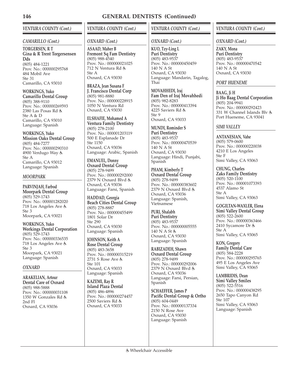## *VENTURA COUNTY (Cont.)*

## *CAMARILLO (Cont.)*

**TORGERSEN, R T Gina & R Trent Torgersensen Dds** (805) 484-1221 Prov. No.: 000000295768 484 Mobil Ave Ste 31 Camarillo, CA 93010

**WORKINGS, Yuko Camarillo Dental Group** (805) 388-9110 Prov. No.: 000000269593 2380 Las Posas Rd Ste A & D Camarillo, CA 93010 Language: Spanish

**WORKINGS, Yuko Mission Oaks Dental Group** (805) 484-7277 Prov. No.: 000000290310 4900 Verdugo Way & Ste A Camarillo, CA 93012 Language: Spanish

### *MOORPARK*

**PARVINJAH, Farbod Moorpark Dental Group** (805) 529-1743 Prov. No.: 000001282020 718 Los Angeles Ave Ste 3 Moorpark, CA 93021

**WORKINGS, Yuko Workings Dental Corporation** (805) 529-1743 Prov. No.: 000000336535 718 Los Angeles Ave Ste 3 Moorpark, CA 93021 Language: Spanish

## *OXNARD*

**ARAKELIAN, Artour Dental Care of Oxnard** (805) 988-5888 Prov. No.: 000000031108 1350 W Gonzales Rd 2nd Fl Oxnard, CA 93036

# *VENTURA COUNTY (Cont.)*

## *OXNARD (Cont.)*

**ASAAD, Maher B Fremont Sq Fam Dentistry** (805) 988-4540 Prov. No.: 000000021025 712 N Ventura Rd Ste A Oxnard, CA 93030

**BRAZA, Jean Susana F J. Francisco Dental Corp** (805) 981-8880 Prov. No.: 000000228915 1050 N Ventura Rd Oxnard, CA 93030

**ELSHAFIE, Mohamed A Ventura Family Dentistry** (805) 278-2100 Prov. No.: 000001203119 500 E Esplanade Dr Ste 1150 Oxnard, CA 93036 Language: Arabic, Spanish

**EMANUEL, Donny Oxnard Dental Group** (805) 278-9499 Prov. No.: 000000292000 2379 N Oxnard Blvd Oxnard, CA 93036 Language: Farsi, Spanish

**HADDAD, Georgia Beach Cities Dental Group** (805) 278-8887 Prov. No.: 000000455499 1801 Solar Dr Ste 290 Oxnard, CA 93030 Language: Spanish

**JOHNSON, Keith A Rose Dental Group** (805) 483-3658 Prov. No.: 000000315219 2731 S Rose Ave Ste 101 Oxnard, CA 93033 Language: Spanish

**KAZEMI, Ray R Island Plaza Dental** (805) 486-4896 Prov. No.: 000000274457 2500 Saviers Rd Oxnard, CA 93033

## *VENTURA COUNTY (Cont.)*

## *OXNARD (Cont.)*

**KUO, Tzy-Ling L Puri Dentistry** (805) 483-9537 Prov. No.: 000000450459 140 N A St Oxnard, CA 93030 Language: Mandarin, Tagalog, Thai

**MOVAHHEDI, Iraj Fam Den of Iraj Movahhedi** (805) 982-8283 Prov. No.: 000000413394 4225 Saviers Rd & Ste 9 Oxnard, CA 93033

**MUNDI, Rominder S Puri Dentistry** (805) 483-9537 Prov. No.: 000000470539 140 N A St Oxnard, CA 93030 Language: Hindi, Punjabi, Spanish

**PHAM, Kimberly T Oxnard Dental Group** (805) 278-9499 Prov. No.: 000000383602 2379 N Oxnard Blvd Oxnard, CA 93036 Language: Spanish, Vietnamese

**PURI, Shalabh Puri Dentistry** (805) 483-9537 Prov. No.: 000000005555 140 N A St & Oxnard, CA 93030 Language: Spanish

**RABIZADEH, Shawn Oxnard Dental Group** (805) 278-9499 Prov. No.: 000000292006 2379 N Oxnard Blvd & Oxnard, CA 93036 Language: Farsi, Persian, Spanish

**SCHAEFFER, James P Pacific Dental Group & Ortho** (805) 604-0449 Prov. No.: 000000137334 2150 N Rose Ave Oxnard, CA 93030 Language: Spanish

## *VENTURA COUNTY (Cont.)*

*OXNARD (Cont.)*

**ZAKY, Mona Puri Dentistry** (805) 483-9537 Prov. No.: 000000470542 140 N A St Oxnard, CA 93030

## *PORT HUENEME*

**BAAG, Ji H Ji Ho Baag Dental Corporation** (805) 204-9941 Prov. No.: 000000292423 331 W Channel Islands Blv Port Hueneme, CA 93041

## *SIMI VALLEY*

**ANTANESIAN, Vahe** (805) 579-0600 Prov. No.: 000000220038 4210 E Los Angeles Ste F Simi Valley, CA 93063

**CHUNG, Charles Zaks Family Dentistry** (805) 520-1100 Prov. No.: 000001073393 4537 Alamo St Ste A Simi Valley, CA 93063

**GOGILTAN-WAXLER, Elena Simi Valley Dental Group**  $(805)$  522-2600 Prov. No.: 000000363466 2410 Sycamore Dr Ste A Simi Valley, CA 93065

**KON, Gregory Family Dental Care** (805) 584-2228 Prov. No.: 000000295765 495 E Los Angeles Ave Simi Valley, CA 93065

**LAMBRIDIS, Dean Simi Valley Smiles** (805) 522-5516 Prov. No.: 000000438295 2650 Tapo Canyon Rd Ste 107 Simi Valley, CA 93063 Language: Spanish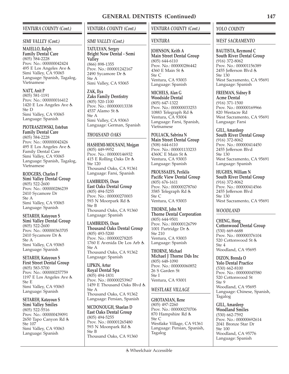## *VENTURA COUNTY (Cont.)*

#### *SIMI VALLEY (Cont.)*

**MAIELLO, Ralph Family Dental Care** (805) 584-2228 Prov. No.: 000000042424 495 E Los Angeles Ave Simi Valley, CA 93065 Language: Spanish, Tagalog, Vietnamese

**NATT, Anit P** (805) 581-1191 Prov. No.: 000000016412 1420 E Los Angeles Ave Ste D Simi Valley, CA 93065 Language: Spanish

**PIOTRASZEWSKI, Esteban Family Dental Care** (805) 584-2228 Prov. No.: 000000042426 495 E Los Angeles Ave Family Dental Care Simi Valley, CA 93065 Language: Spanish, Tagalog, Vietnamese

**RODGERS, Charles F Simi Valley Dental Group** (805) 522-2600 Prov. No.: 000000286239 2410 Sycamore Dr Ste A Simi Valley, CA 93065 Language: Spanish

**SETAREH, Katayoun S Simi Valley Dental Group**  $(805)$  522-2600 Prov. No.: 000000363705 2410 Sycamore Dr Ste A Simi Valley, CA 93065 Language: Spanish

**SETAREH, Katayoun S First Street Dental Group** (805) 583-5700 Prov. No.: 000000257759 1197 E Los Angeles Ave Ste E Simi Valley, CA 93065 Language: Spanish

**SETAREH, Katayoun S Simi Valley Smiles** (805) 522-5516 Prov. No.: 000000439091 2650 Tapo Canyon Rd Ste 107 Simi Valley, CA 93063 Language: Spanish

# *VENTURA COUNTY (Cont.)*

#### *SIMI VALLEY (Cont.)*

**TATULYAN, Sergey Bright Now Dental - Semi Valley** (866) 898-1355 Prov. No.: 000001242167 2490 Sycamore Dr Ste A Simi Valley, CA 93065

**ZAK, Ilya Zaks Family Dentistry** (805) 520-1100 Prov. No.: 000000013338 4537 Alamo St & Ste A Simi Valley, CA 93063 Language: German, Spanish

## *THOUSAND OAKS*

**HASHEMI-MOUSANI, Mojgan** (805) 449-9952 Prov. No.: 000000146932 415 E Rolling Oaks Dr Ste 120 Thousand Oaks, CA 91361 Language: Farsi, Spanish

**LAMBRIDIS, Dean East Oaks Dental Group** (805) 494-5255 Prov. No.: 000000270003 593 N Moorpark Rd Ste B Thousand Oaks, CA 91360 Language: Spanish

**LAMBRIDIS, Dean Thousand Oaks Dental Group** (805) 493-5200 Prov. No.: 000000278205 1760 E Avenida De Los Arb Ste A Thousand Oaks, CA 91362 Language: Spanish

**LIPKIN, Artur Royal Dental Spa** (805) 494-1831 Prov. No.: 000000253967 1459 E Thousand Oaks Blvd & Ste A Thousand Oaks, CA 91362 Language: Persian, Spanish

**MCDONOUGH, Shaelan D East Oaks Dental Group** (805) 494-5255 Prov. No.: 000001265480 593 N Moonpark Rd Ste B Thousand Oaks, CA 91360

## *VENTURA COUNTY (Cont.)*

## *VENTURA*

**JOHNSON, Keith A Main Street Dental Group** (805) 644-6110 Prov. No.: 000000286442 4360 E Main St Ste C Ventura, CA 93003 Language: Spanish

**MICHELS, Alan G Woodside Dental** (805) 647-1322 Prov. No.: 000000033253 10883 Telegraph Rd Ventura, CA 93004 Language: Farsi, Spanish, Vietnamese

**POLLACK, Sabrina N Main Street Dental Group** (508) 644-6110 Prov. No.: 000001133233 4360C E Main St Ventura, CA 93003 Language: Spanish

**PROUSSAEFS, Periklis Pacific View Dental Group** (805) 676-1611 Prov. No.: 000000278760 3585 Telegraph Rd Ste C Ventura, CA 93003

**THORNE, John M Thorne Dental Corporation** (805) 644-9501 Prov. No.: 000000126799 1001 Partridge Dr Ste 210 Ventura, CA 93003 Language: Spanish

**THORNE, Michael Michael J Thorne Dds Inc** (805) 648-1090 Prov. No.: 000000060852 26 S Garden St Ste I Ventura, CA 93001

## *WESTLAKE VILLAGE*

**GHOTANIAN, Rene** (805) 497-2260 Prov. No.: 000000270706 870 Hampshire Rd Ste C Westlake Village, CA 91361 Language: Persian, Spanish, Tagalog

#### *YOLO COUNTY*

#### *WEST SACRAMENTO*

**BAUTISTA, Reymond C South River Dental Group** (916) 372-8062 Prov. No.: 000001156389 2455 Jefferson Blvd Ste 130 West Sacramento, CA 95691 Language: Spanish

**FREEMAN, Sidney B Acme Dental** (916) 371-1500 Prov. No.: 000000169966 820 Westacre Rd West Sacramento, CA 95691 Language: Farsi

#### **GILL, Amardeep South River Dental Group** (916) 372-8062 Prov. No.: 000000414450 2455 Jefferson Blvd Ste 130 West Sacramento, CA 95691 Language: Spanish

**HUGHES, William N South River Dental Group** (916) 372-8062 Prov. No.: 000000414566 2455 Jefferson Blvd Ste 130 West Sacramento, CA 95691

#### *WOODLAND*

**CHENG, Hong Cottonwood Dental Group** (530) 669-6688 Prov. No.: 000000376104 520 Cottonwood St Ste 4 Woodland, CA 95695

**DIZON, Brenda O Yolo Dental Practice** (530) 662-8100 Prov. No.: 000000045580 520 Cottonwood St Ste 9 Woodland, CA 95695 Language: Chinese, Spanish, Tagalog

**GILL, Amardeep Woodland Smiles** (530) 662-7592 Prov. No.: 000000692614 2041 Bronze Star Dr Ste 100 Woodland, CA 95776 Language: Spanish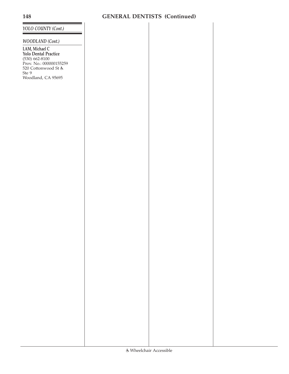## *YOLO COUNTY (Cont.)*

# *WOODLAND (Cont.)*

**LAM, Michael C Yolo Dental Practice** (530) 662-8100 Prov. No.: 000000155259 520 Cottonwood St Ste 9 Woodland, CA 95695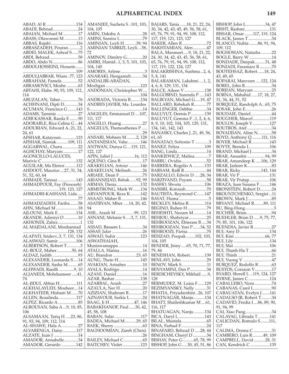## **ALPHABETICAL INDEX 149**

ABAD, Al R ............................134 ABADI, Behzad........................24 ABAIAN, Michael M ..............17 ABASS, Olawonmi M .............13 ABBAS, Rajabi........................116 ABBASZADEH, Pouran ...........2 ABDEL MALEK, Ashraf S......75 ABDI, Behzad...........................58 ABDO, Abdo N........................86 ABDOLHOSSEINI, Hossein ...... ..................................................109 ABDULJABBAR, Wiam ..77, 123 ABRAHAM, Pamela ...............52 ABRAMOVICI, Moshe ...........63 ABTAHI, Elahe..90, 93, 109, 112, 114 ABUZALAN, Taher.................76 ACHHNANI, Dipti D.............34 ACUMAN, Francisca G........143 ADAMS, Tammie ....................27 ADIB KASSAR, Raeda E ........90 ADORABLE, Rica Celina G ...44 ADOURIAN, Edward A..21, 22, 24, 61 AFSHAR, Katayoun..............123 AFSHAR, Siamak...........109, 111 AGGARWAL, Charu...............22 AGHCHAY, Maryam ..............17 AGONCILLO-LALUCES, Marivic C ................................132 AGUILAR, Ma Elenor...........112 AHDOOT, Maurice ....27, 31, 34, 51, 52, 60, 64 AHMADI, Tannaz .................143 AHMADPOUR, Fay (Firoozeh) ..................................119, 123, 127 AHMADRI-KASHANI, Lida..... ....................................................77 AHMADZADEH, Fariba........58 AHN, Michael M .....................18 AJLOUNI, Mark E.................134 AKANDE, Adeniyi O .............10 AKHONDI, Zahra .....................1 AL MAJDALANI, Mouhannad ..........................................128, 132 ALAPATI, Sridevi..3, 7, 131, 134 ALASWAD, Samir.................106 ALBERTSON, Robert T.............3 AL-BOUZ, Maher..............50, 64 ALDAZ, Judith ........................93 ALEXANDER, Leonarda S.....14 ALEXANDER, Sasha M..........65 ALHWADI, Raedh ..............9, 10 ALJANEDI, Mohdsameer .....41, 74 AL-JIDUI, Abbas H................111 ALKHALAYLEH, Mosheer....14 ALKHATEEB, Hisham M.......70 ALLEN, Rosalinda.................117 ALPEZ, Ricardo A ...................85 ALROUSAN, Saba A ...9, 10, 85, 106 ALSAMAAN, Tariq H .....23, 86, 91, 93, 94, 109, 112, 114 AL-SHAWE, Hala A................27 ALVARENGA, Daisy.............117 ALZATE, Juan J .......................14 AMADOR, Annabelle.............34 AMADOR, Gerardo ..............142

AMANJEE, Sucheta S ..101, 103, 104, 105 AMIN, Daksha A.....................28 AMINI, Samira L .....................79 AMINIAN, Leyli H ...........39, 94 AMINIAN TABRIZI, Leyli....58, 72 AMINOV, Dimitry G...............20 AMIRI, Hamid..1, 3, 5, 101, 103, 104, 140 AMORES, Arlene.......................3 ANARAKI, Hengameh...........34 ANDALIBI-ABADAN, Mozhgan .................................123 ANDONIAN, Christopher W.... ..................................................104 ANDRADA, Victoria B .........134 ANDRES JAVIER, Ma. Lourdes S..................................................14 ANGELES, Emmanuel D ....107, 111, 117 ANGELO, Huang ....................27 ANGELUS, Themosthenes P ..... ....................................................29 ANSARI, Mohsen M .........2, 128 ANTANESIAN, Vahe............146 ANTWAN, Dunya G....119, 121, 122, 127 APIN, Juliet J ....................16, 112 AQUINO, Gina B.....................17 ARAKELIAN, Artour ...........146 ARAKELIAN, Melineh...........26 ARIAEE, Dean F ......................75 ARIANNEJAD, Babak ......92, 99 ARMAS, Dania.......................132 ARMSTRONG, Mark W.......134 ARYANPOUR, Reza K..........142 ASAAD, Maher B ..................146 ASATRYAN, Mher .....14, 20, 42, 94 ASIL, Arash M .................99, 123 ASNANI, Melanie S .....3, 7, 131, 132 ASSAD, Bassem L....................34 ASSAF, Jafar .............................26 ASWAD, Suhir .......................123 ASWATHAIAH, Muniswamappa.......................14 ATALLA, Hanna......................16 AU, Brandon ......................23, 65 AUNG, Thein H.....................145 AVAKIAN, Artashes ...............10 AYALA, Rodrigo......................14 AZANI, Daniel.........................16 AZAR, Bashar ........................138 AZARBAL, Arash....................27 AZAULA, Ner H .....................20 AZIZIAN, Shahram B.............17 AZNAVOUR, Sarkis L ............24 BAAG, Ji H .......................47, 146 BABAKHANOF, Paul ......30, 42, 45, 58, 108 BABAN, Salar.........................117 BADEA, Michael M...........29, 65 BAEK, Sherry ...........................63 BAGHOOMIAN, Zareh (Chris) ....................................................26 BAILEY, Michael C..................65 BAITCHEV, Violet .................123

BAJARS, Tania ......18, 21, 22, 24, 30, 34, 42, 43, 45, 49, 56, 58, 61, 65, 76, 79, 91, 94, 99, 108, 112, 117, 119, 121, 123, 127 BAKER, Allen R .......................72 BAKHTAMIAN, Alen.............47 BALA, Manmeet.....9, 18, 21, 22, 24, 30, 34, 42, 43, 45, 56, 58, 61, 65, 76, 79, 91, 94, 99, 108, 112, 117, 119, 122, 124, 127 BALAKRISHNA, Sushma...2, 4, 5, 8, 141 BALARAMAN, Lakshmi ....1, 2, 4, 6, 8, 129, 131, 134 BALCE, Aileen V ...................138 BALGOBIND, Surenda P .....143 BALIKYAN, Michael G.....19, 47 BALLARD, Rebekah R............77 BALLENGER, Debbie.............34 BALUYUT, Dennis P.............139 BALUYUT, Gemma F ..1, 2, 4, 6, 8, 9, 10, 102, 104, 105, 129, 131, 134, 141, 142, 143 BANASKY, Charles J..21, 49, 56, 61, 65 BANATAO, Sofronio T .............3 BANEZ, Feliza .......................109 BANG, Linda............................14 BANKIEWICZ, Malina .............7 BARBU, Ovidiu........................52 BARRERA, Rogelio A ...........133 BARSAM, Raffi R.....................44 BARZALLO, Edwin D......28, 34 BARZIVAND, Payam .............58 BASHO, Shveta......................106 BASSIRI, Koroush....................70 BAUTISTA, Reymond C.......147 BAYAT, Huma ............................5 BECKLEY, Melisa R...............114 BEGINO, Ruben H ..................79 BEHESHTI, Nezam M ............14 BEHJOU, Shahriyar.................25 BEHROOZAN, Ehteram B .....34 BEHROOZAN, Yosi P.......34, 52 BEHROOZI, Parisa..................70 BEHZAD, Poopak ........102, 103, 104, 105 BENDER, Jinny.....65, 70, 71, 77, 79, 84 BENESHAN, Robert..............139 BENLAVI, John ........................29 BENOV, Mark S........................11 BENYAMINI, Dan P................34 BERDICHEVSKY, Mikhail ......9, 128 BERMUDEZ, M. Luisa F ......129 BEZIMYANSKY, Nelly ...........31 BHATIA, Priyadarshini ..26, 107 BHATNAGAR, Manju ..........134 BHATT, Shaileshkumar M ....61, 116, 117 BHATUAGAN, Nanju ..........134 BICA, Daryl L.........................143 BILAL, Mustafa........................65 BINA, Farhad F........................24 BINAFARD, Behzad D .....28, 44 BINGHAM, Cheryl D .............34 BISHAY, Peter G ..........65, 78, 99 BISHOP, John G .....30, 45, 51, 86  $BICI IOP, L.1...I$  24, 47 117

| DISTIVI, JOIUI L34, 4/                               |  |
|------------------------------------------------------|--|
| BISHT, Rashmi131                                     |  |
|                                                      |  |
| BISSAR, Omar 117, 119, 124                           |  |
| BLACK, James T 34                                    |  |
| BLANCO, Nubia 86, 91, 94,                            |  |
|                                                      |  |
| 109, 112                                             |  |
| BOGHOSIAN, Natasha 22<br>BOGLE, Barry W 14           |  |
|                                                      |  |
|                                                      |  |
|                                                      |  |
| BONDADE, Deepak31, 48                                |  |
| BONIADI, Faramarz R 70                               |  |
|                                                      |  |
| BOOTEHSAZ, Robert18, 24,                             |  |
| 43, 49, 65                                           |  |
|                                                      |  |
| BOPARAI, Manveen 122, 124                            |  |
| BOREL, John R34                                      |  |
|                                                      |  |
| BORJIAN, Maryam 25                                   |  |
| BORNA, Mahshid 17, 18, 27,                           |  |
| 31, 34, 44, 51, 52                                   |  |
|                                                      |  |
| BORQUEZ, Randolph A65, 75                            |  |
|                                                      |  |
| BOSAK, John E26                                      |  |
| BOUDAIE, Daniel44                                    |  |
|                                                      |  |
| BOUGHER, Marcel119                                   |  |
| BOULOS, Joseph Y 127                                 |  |
|                                                      |  |
| BOUTROS, Atef 34                                     |  |
| BOYADJIAN, Aline N58                                 |  |
|                                                      |  |
| BOYD, Anthony Q 111, 116                             |  |
| BOYER, Michael R143                                  |  |
|                                                      |  |
| BOYTE, Brenda L106                                   |  |
| BRAND, Michael J 34                                  |  |
|                                                      |  |
| BRAR, Amanbir 94, 99                                 |  |
| BRAR, Amandeep K 106, 129                            |  |
|                                                      |  |
|                                                      |  |
| BRAR, Ricky143, 144                                  |  |
|                                                      |  |
|                                                      |  |
| BRAR, Vir Pratap106                                  |  |
|                                                      |  |
|                                                      |  |
| BRAZA, Jean Susana F 146                             |  |
| BRONSTEIN, Robert D24                                |  |
|                                                      |  |
| BROUNTCHENKO, Sergiei11                              |  |
| BROWN, Mark J 85                                     |  |
|                                                      |  |
| BRYANT, Michael R89, 111                             |  |
| BU, Bing-Hong3                                       |  |
|                                                      |  |
| BUCHER, Brian94                                      |  |
|                                                      |  |
|                                                      |  |
| BUEHLER, Brian D 9, 75, 77,<br>79, 85, 101, 106, 122 |  |
| BUENDIA, Javier R 27                                 |  |
|                                                      |  |
| BUI, Amy D134                                        |  |
|                                                      |  |
| BUI, Lily134                                         |  |
|                                                      |  |
|                                                      |  |
|                                                      |  |
|                                                      |  |
|                                                      |  |
|                                                      |  |
|                                                      |  |
|                                                      |  |
| BUSTOS, Corazon V17                                  |  |
|                                                      |  |
| BYARD, Shrrell L119, 124, 127                        |  |
| BYRNE, James C124                                    |  |
|                                                      |  |
| CABALLERO, Nora 74                                   |  |
|                                                      |  |
|                                                      |  |
| CABANAS, Carol L90<br>CABAUATAN, Evelyn J141         |  |
| CADALSO JR, Robert T34                               |  |
| CADAVID, Fredia I86, 89, 90,                         |  |
|                                                      |  |
| 91, 94, 99                                           |  |
|                                                      |  |
|                                                      |  |
|                                                      |  |
|                                                      |  |
|                                                      |  |
| 117                                                  |  |
|                                                      |  |
|                                                      |  |
| CALIMA, Donna C 31<br>CAMBERO, Luis R 49, 109        |  |
| CAMPBELL, David28, 31<br>CAN, Kendrick C 135         |  |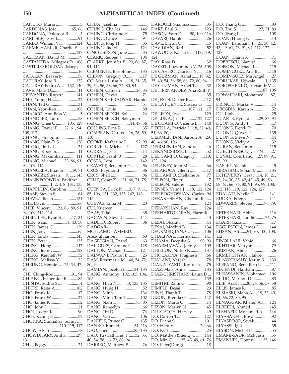| CANUTO, Maria 3                                 |
|-------------------------------------------------|
|                                                 |
| CARDENAS, Jose 65, 66                           |
| CARDONA, Dolorosa B3                            |
|                                                 |
| CARLISLE, David94                               |
| CARLO, William V124<br>CARMICHAEL JR, Charlie F |
|                                                 |
|                                                 |
|                                                 |
|                                                 |
| CASHMAN, David M 79                             |
| CASTANEDA, Milagros D108                        |
|                                                 |
| CASTILLO ROLDAŇ, Mary J                         |
|                                                 |
|                                                 |
| CATALAN, Beaverly56                             |
| CATURAY, Jose B 132                             |
|                                                 |
| CATURAY, Pedro A132, 140                        |
| CAVE, Mark D11                                  |
|                                                 |
| CERVANTES, Rupert141                            |
| CHA, Young H22<br>CHAN, Ted G31                 |
|                                                 |
|                                                 |
| CHAN, Yeou-Ren 108                              |
|                                                 |
| CHANCO, Ann Bess V5                             |
| CHANDLER, Laurel 58                             |
|                                                 |
| CHANG, Chee C 105, 129                          |
| CHANG, Daniel E 22, 61, 94,                     |
| 108, 112                                        |
|                                                 |
| CHANG, Hongqiu11                                |
|                                                 |
| CHANG, Hsin-Ti S138                             |
| CHANG, Jin-Lai 34                               |
|                                                 |
| CHANG, Kookjin11                                |
| CHANG, Maximilian 111                           |
| CHANG, Michael 23, 86, 91,                      |
|                                                 |
| 94, 109, 112                                    |
| CHANGELA, Bhavin49, 71                          |
|                                                 |
| CHANGIZI, Sussan9, 11, 145                      |
| CHANNEGOWDA, Pavithra                           |
|                                                 |
|                                                 |
|                                                 |
| 1, 2, 4, 8, 131, 135                            |
| CHAPELLIN, Carolina 52                          |
|                                                 |
|                                                 |
| CHAVEZ, Belen 134                               |
|                                                 |
|                                                 |
| CHEE, Vincent 23, 86, 89, 91,                   |
| 94, 109, 112, 114                               |
|                                                 |
| CHEIN LEE, Ryan S 17, 34                        |
|                                                 |
|                                                 |
| CHEN, Isaac 34, 43, 50<br>CHEN, James C129      |
|                                                 |
|                                                 |
| CHEN, Linda143                                  |
| CHEN, Peter135                                  |
|                                                 |
| CHENG, Hong147                                  |
|                                                 |
|                                                 |
| CHENG, Jeffrey128<br>CHENG, Kenneth W52         |
| CHENG, Melissa Y22                              |
| CHEUNG, Rennie 23, 34, 47,                      |
|                                                 |
| 94                                              |
| CHI, Ching-Roo 91, 94                           |
|                                                 |
| CHIANG, Esmeralda R 85                          |
| CHINTA, Sudha S 4                               |
|                                                 |
| CHITRE, Rajas A 102                             |
|                                                 |
|                                                 |
| CHO, Frank <sup>K</sup> 17<br>CHO, Frank W 22   |
| CHO, James K 52                                 |
|                                                 |
|                                                 |
| CHO, John J 21<br>CHOI, Joseph K 90             |
|                                                 |
| CHOI, Kyung H52                                 |
| CHOKKA, Sudhakar (Sonny                         |
| 110, 115, 117                                   |
|                                                 |
| CHOW, Alvin 78                                  |
| CHOWDHARY, Anil K129,                           |
| 131                                             |
| CHU, Peggy24                                    |

| CHUNG, Grace91                                        |  |
|-------------------------------------------------------|--|
|                                                       |  |
| CHUNG, Jong H………………….35<br>CHUNG, Tae H………………….124    |  |
| CINCO-SIRON, June 35                                  |  |
|                                                       |  |
| CLARK, Reuben J 104<br>CLARKE, Jennifer P 23, 86, 87, |  |
| 94, 112                                               |  |
|                                                       |  |
| CLEMENTE, Josephine 135<br>CLIBON, Gregory O117       |  |
| CO, Maria Luisa A 18, 31, 35,                         |  |
| 39, 54, 56, 58, 66, 72, 80, 94                        |  |
| COHEN, Catreen26, 35                                  |  |
| COHEN, David71                                        |  |
| COHEN KHERADYAR, Hamid                                |  |
|                                                       |  |
| COHEN, Louis80                                        |  |
| COHEN-SEDGH, Sol24                                    |  |
| COHEN-SEDGH, Soleyman                                 |  |
|                                                       |  |
|                                                       |  |
| COMPEAN, Carlos  16, 26, 50,                          |  |
| 110                                                   |  |
|                                                       |  |
| COOKE, Katherine J92, 99<br>CORNELL, Michael T127     |  |
|                                                       |  |
| CORRAL, Jessie 14<br>CORTEZ, Frank B 28               |  |
|                                                       |  |
| COSTA, Lora 142                                       |  |
| CRAVATT, Benjamin F56                                 |  |
| CROS, Raymond 86<br>CROS, Sheri 86                    |  |
|                                                       |  |
| CRUZ, Cesar Z31, 66, 71, 78,                          |  |
| 80                                                    |  |
| CUENCA, Erick N3, 7, 9, 11,                           |  |
| 85, 106, 131, 132, 135, 142, 143,<br>145              |  |
|                                                       |  |
|                                                       |  |
| CUEVAS, Edna M23                                      |  |
| CUI, Xuewen 11                                        |  |
|                                                       |  |
| DACASIN, Steve C141                                   |  |
| DADDIO, Robert86                                      |  |
| DADGAR-                                               |  |
| MOLLAMOHAMMED,                                        |  |
|                                                       |  |
| DAGDIGIAN, Darrel63                                   |  |
| DALIGUES, Caroline C 128                              |  |
| DALTON, Michael J 121                                 |  |
| DALWANI, Pooran B25                                   |  |
| DAM, Rosemarie M 40, 54, 72,                          |  |
| 80, 94                                                |  |
| DAMIAN, Jocelyn B134, 135                             |  |
| DANG, Anthony102, 103, 104,                           |  |
| 105                                                   |  |
| DANG, Hieu N 3, 133, 135                              |  |
| DANG, Hung H52                                        |  |
| DANG, Minh134                                         |  |
| DANG, Minh-Tam T 102                                  |  |
| DANG, Nam D75, 85                                     |  |
| DANG, Reneelyn66                                      |  |
| DANG, Titi D 74                                       |  |
|                                                       |  |
| DANIELS, Prince G135                                  |  |
| DANKO, Ronald61, 116                                  |  |
| DAO, Hieu T 85, 135                                   |  |
| DAO, Tu (Cathrine) T 32, 35,                          |  |
| 40, 54, 58, 66, 72, 80, 94<br>DARBRO, Matthew P 26    |  |

| CHUA, Josefina11                                           | DAROUEI, Shahnaz35                                       |
|------------------------------------------------------------|----------------------------------------------------------|
| CHUNG, Charles146                                          | DART, Paul S123                                          |
| CHUNG, Christine H75                                       | DASON, Sam D 90, 109, 116                                |
| CHUNG, Grace91                                             | DAVARI, Hamlet 26                                        |
| CHUNG, Jong H35                                            | DAVE, Dipali C5                                          |
| CHUNG, Tae H124                                            | DAVIDIAN, Rafi52                                         |
| CINCO-SIRON, June 35                                       | DAWOOD, Najlaa F 118, 119,                               |
| CLARK, Reuben J 104                                        | 124                                                      |
| CLARKE, Jennifer P23, 86, 87,                              | DAY, Ross D 32                                           |
| 94, 112                                                    | DAYRIT, Luzviminda V26, 108                              |
| CLEMENTE, Josephine 135                                    | DE CASTRO, Clarissa Y 16                                 |
| CLIBON, Gregory O117                                       | DE GUZMAN, Arnel 18, 32,                                 |
| CO, Maria Luisa A 18, 31, 35,                              | 35, 40, 54, 56, 58, 66, 72, 80, 94                       |
| 39, 54, 56, 58, 66, 72, 80, 94                             | DE GUZMAN, Arnel T32                                     |
| COHEN, Catreen26, 35                                       | DE HERNANDEZ, Ana Ruth P                                 |
| COHEN, David71                                             |                                                          |
| COHEN KHERADYAR, Hamid                                     | DE JESUS, Dexter R117                                    |
|                                                            | DE LA FUENTE, Susana G                                   |
| COHEN, Louis80                                             | 107, 111, 117                                            |
| COHEN-SEDGH, Sol 24                                        | DE LEON, Jesse 129                                       |
| COHEN-SEDGH, Soleyman                                      | DE LUNA, Jose E122, 127                                  |
| (Sol)44, 47, 56                                            | DE OCAMPO, Vicente B 140                                 |
| COLLINS, Erna R 35                                         | DECILLA, Patricia L18, 32, 40,                           |
| COMPEAN, Carlos  16, 26, 50,                               | 54, 66, 80, 94                                           |
| 110                                                        | DEIRMENJIAN, Barouir A 29,                               |
| COOKE, Katherine J92, 99                                   | 40, 46, 90, 106                                          |
| CORNELL, Michael T127                                      | DEIRMENJIAN, Sandra 46                                   |
| CORRAL, Jessie 14                                          | DEKANOSIDZE, Lela52                                      |
| CORTEZ, Frank B28                                          | DEL CAMPO, Gregory 119,                                  |
| COSTA, Lora 142                                            | 122, 124                                                 |
| CRAVATT, Benjamin F56                                      |                                                          |
|                                                            | DELAROCA, Glenn 117                                      |
|                                                            | DELCAMPO, Shellaine A77                                  |
| CRUZ, Cesar Z31, 66, 71, 78,                               | DELEON, Elmer 7                                          |
| 80                                                         | DELEON, Valerie132                                       |
| CUENCA, Erick N3, 7, 9, 11,                                | DENNIS, Velma J118, 122, 124                             |
| 85, 106, 131, 132, 135, 142, 143,                          | DER BOGHOSSIAN, Carlos94                                 |
| 145<br>CUEVAS, Edna M23                                    | DERAKHSHAN, Gholam R                                     |
| CUI, Xuewen 11                                             | DERAKSHAN, Ray124                                        |
|                                                            | DERHARTOUNIAN, Harmik                                    |
| DACASIN, Steve C141                                        |                                                          |
|                                                            | DESAI, Bharati44                                         |
| DADGAR-                                                    | DESAI, Madhvi B. 134                                     |
| MOLLAMOHAMMED,                                             | DEUKMEDJIAN, Gary 106                                    |
| Arezoukhanom 63                                            | DHALIWAL, Harman141                                      |
| DAGDIGIAN, Darrel63                                        | DHAMA, Deepika S90, 93                                   |
| DALIGUES, Caroline C 128                                   | DHARMAWAN, Jeffrey109                                    |
| DALTON, Michael J 121                                      | DHILLON, Nirlep K 131                                    |
| DALWANI, Pooran B. 25                                      | DHOLAKIYA, Pragnesh J 66                                 |
| DAM, Rosemarie M 40, 54, 72,                               | DIALANI, Naresh 78                                       |
| 80, 94                                                     | DIANATYAZDI, Kourosh75                                   |
| DAMIAN, Jocelyn B134, 135                                  | DIAZ, Mary Anne 135                                      |
| DANG, Anthony102, 103, 104,                                | DIAZ-CHRISTIANS, Laura D                                 |
| 105                                                        |                                                          |
| DANG, Hieu N3, 133, 135                                    | DIMITRI, Rami G 90                                       |
| DANG, Hung H52                                             | DIMPLE, Desai 23                                         |
| DANG, Minh134                                              | DINH, Thanh T78                                          |
| DANG, Minh-Tam T 102                                       | DIZON, Brenda O 147                                      |
| DANG, Nam D 75, 85                                         | DIZON, Maria C14                                         |
| DANG, Reneelyn66                                           | DIZON, Merlyn N45                                        |
| DANG, Titi D 74                                            | DLUGATCH, Harvey 49                                      |
| DANG, Van 106                                              | DO, Darren T127                                          |
| DANIELS, Prince G135                                       | DO, Diana S101                                           |
| DANKO, Ronald61, 116                                       | DO, Hieu V29, 66                                         |
| DAO, Hieu T 85, 135                                        |                                                          |
| DAO, Tu (Cathrine) T 32, 35,<br>40, 54, 58, 66, 72, 80, 94 | DO, Matthew(Sueng) C 144<br>DO, Min C 35, 43, 49, 61, 76 |
| DARBRO, Matthew P 26                                       | DO, Peter(Dung)18                                        |
|                                                            |                                                          |

| DO, Trang L108                                                                                           |
|----------------------------------------------------------------------------------------------------------|
| DOAN, Huong N 13                                                                                         |
| DOAN, Lamman 18, 21, 30, 42,                                                                             |
| 43, 49, 61, 76, 91, 94, 112, 122,                                                                        |
| 127                                                                                                      |
| DOAN, Thanh X 71<br>DOBRESCU, Narcisa66                                                                  |
|                                                                                                          |
| DOBSON, Michael J 115                                                                                    |
| DOMINGUEZ, Ana B 118<br>DOMINGUEZ, Ma Angel 27                                                           |
| DORLIKAR, Ujjwala 1, 135                                                                                 |
|                                                                                                          |
|                                                                                                          |
|                                                                                                          |
| 94                                                                                                       |
| DRINCIC, Marko V14                                                                                       |
| DROSDIK, Karen A52                                                                                       |
|                                                                                                          |
| DUARTE, Eynald 29, 87, 94                                                                                |
| DUONG, Andy P7                                                                                           |
|                                                                                                          |
| DUONG, Derek D 70<br>DUONG, Quyen T 135                                                                  |
| DUONG, Steve N 44                                                                                        |
|                                                                                                          |
| DUONG, Vicky A 32<br>DURAN, Benjamin 115                                                                 |
| DURGHINESCU, Cris N27                                                                                    |
| DUVAL, Courtland 27, 89, 91,                                                                             |
| 95, 99                                                                                                   |
| EASLEY, Yasmin45                                                                                         |
| EBRAHIMI, Sohail M135                                                                                    |
| ECHEVERRY, Cesar  14, 18, 21,                                                                            |
| 22, 24, 30, 35, 42, 43, 45, 49, 56,                                                                      |
|                                                                                                          |
|                                                                                                          |
|                                                                                                          |
| 58, 61, 66, 76, 80, 91, 95, 99, 108,<br>112, 118, 119, 122, 124, 127<br>EDAL ATT<br>EDALATI, Nazila T141 |
| EDORA, Eden C 141                                                                                        |
| EDWARDS, Steven J 76, 79,                                                                                |
| 127                                                                                                      |
|                                                                                                          |
| EFTEKHARI, Abbas 116<br>EFTEKHARI, Tandis 74, 75                                                         |
| EGARI, Gazal 17                                                                                          |
| EGGLESTON, James L144                                                                                    |
| EHSAN, Ali 91, 95, 100, 108,                                                                             |
| 112                                                                                                      |
| EINOLLAHI, Vahid 66                                                                                      |
| EKHTIAR, Maryam79                                                                                        |
| EKIZIAN, Aline 26                                                                                        |
| EKMEKCHYAN, Hakob11                                                                                      |
| EL NOKRASHY, Karim S130                                                                                  |
| ELEPANO, Benedicto L 111                                                                                 |
| ELGENDI, Haitham 87                                                                                      |
| ELHASSANIN, Mohamed106                                                                                   |
|                                                                                                          |
| ELIE, Arash 20, 26, 56, 57, 58                                                                           |
|                                                                                                          |
|                                                                                                          |
| 54, 66, 72, 80, 95                                                                                       |
| ELNAGGAR, Khaled A124                                                                                    |
| ELREEDI, Ahmed145                                                                                        |
| ELSHAFIE, Mohamed A 146                                                                                  |
| ELYASADEH, Roya92                                                                                        |
| ELYASPOOR, Sevak44                                                                                       |
| ELYASSI, Igal35<br>ELYSON, Michel H55                                                                    |
| EMAMI-SADR, Mahvash55                                                                                    |
| EMANUEL, Donny 35, 146                                                                                   |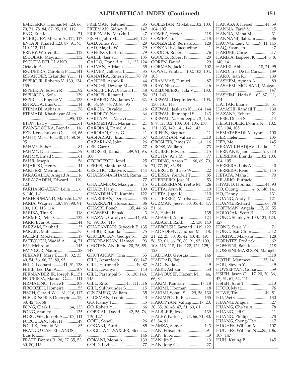EMETERIO, Thomas M ...23, 66, 70, 71, 78, 84, 87, 95, 110, 112 ENG, Eric K ..............................71 ENRIQUEZ, Miriam A ..111, 117 ENTABI, Khaled ...23, 87, 91, 95, 110, 112, 114 ERNEY, Warren B...................112 ESCOBAR, Mayra..................132 ESCUTIA DEL LLANO, Octavio F...................................14 ESGUERRA, Carolina P........141 ESKANDER, Eskander Y........11 ESPEJO JR, Roberto V..130, 134, 135 ESPELETA, Edwin R...............92 ESPINOZA, Sofia...................139 ESPIRITU, Eugene V.............133 ESTRADA, Luis C ...................14 ETEMADI, Abbas A ................78 ETEMADI, Khashayar Allen...... ............................................95, 113 ETON, Barry.............................61 EVANS-LOUKA, Brenda ......116 EZE, Kenechukwu O.........44, 66 FAHIT, Maria F .....40, 54, 58, 80, 95 FAHMY, Baher .........................84 FAHMY, Diaa ...........................79 FAHMY, Emad S......................61 FAHR, Joseph...........................56 FAJARDO, Henry ....................11 FAKHERI, Mehran ..................45 FARAGALLA, Amgad A........16 FARAJZADEH, Edward ......119, 123 FARHANG-AZAD, Leila ....1, 6, 8, 140, 141 FARHOUMAND, Mahshid....75 FARIA, Wagner.....87, 89, 90, 91, 100, 110, 113, 114 FARIBA, Tina S.......................118 FARMER, Peter C ..................132 FARR, Evan A ..........................44 FARZAM, Farshad ..................35 FARZIN, Matt ..........................75 FATEMI, Mojdeh......................17 FATTOUCH, Wadid A ......14, 71 FAY, Mehrdad.........................145 FAYNGOR, Naum ...................28 FEEKART, Mary E......18, 32, 35, 40, 54, 56, 66, 73, 80, 95 FELD, Leonard...........41, 51, 138 FERIL, Leo Dan A..................107 FERNANDEZ JR, Joseph R....51 FIGUEROA, Manuel G..........111 FIRMALINO, Pierre F...........108 FIROOZEH, Homeira .............55 FISCH, Gerald W .....61, 116, 117 FLEURINORD, Ducrepin......15, 30, 42, 45, 58 FONG, Clark L.................64, 133 FONG, Stanley .......................135 FOROOSH, Joseph A.....107, 111 FOROUTAN, John H ..............49 FOULK, Donald M..................85 FRANCO CASTELLANOS, Luis R ........................................28 FRATT, Dennis R ..20, 27, 35, 52, 60, 80, 113

FREEMAN, Fatemeh...............85 FREEMAN, Sidney B ............147 FRIEDMAN, Marvin L ...........47 FROST, John M.................65, 124 GAD, Alina W..........................29 GAD, Magdy W.......................29 GAFFINO, Barbara..................79 GALEB, Jasna .........................135 GALLO, Donald A...11, 122, 124 GALVAN, Adriana ..................35 GALVEZ, Gilberta L................35 GANATRA, Rinesh R .......70, 79 GANDHI, Ashok R .................44 GANDHI, Devang M..............35 GANDIPURWO, Fiona J ........48 GANGEL, Renate I..................56 GARABEDIAN, James V.......32, 40, 54, 59, 66, 73, 80, 95 GARCIA, Osvaldo .................116 GARDEZY, Najia .....................64 GARLAPATI, Vasavi .................1 GARMESTANI, Marjan ..........21 GAROIAN, Daniel A ..............41 GAROIAN, Gary G .................41 GASPARIAN, Jirair .................57 GAZARIAN, John ...................26 GEE, Gary C .............................27 GEORGEI, Rania ........89, 91, 95, 100 GEORGESCU, Ionel ................25 GEREIS, Mahfouz M...............46 GESICHO, Gladys K .............144 GHAEM-MAGHAMI, Rama ..... ....................................................77 GHALAMBOR, Maziyar ........15 GHALY, Hany ........................109 GHANDEHARI, Kambiz .....122 GHARIBIAN, Derick ..............35 GHARRAPH, Hussam............86 GHASRI, Poneh...........35, 44, 63 GHASSEMI, Babak....................3 GHAZAL, Carolyn G.......44, 90, 93, 99, 106, 113 GHAZANFARI, Seyedeh F ..135 GHIBU, Ruxanda.....................75 GHOLDOIAN, George S........24 GHORBANIAN, Hamed........93 GHOTANIAN, Rene ..20, 26, 55, 147 GHOTANIAN, Tina ................55 GILL, Amardeep............106, 147 GILL, Harpreet S ...............49, 87 GILL, Lavanya .......................143 GILL, Parampal S .....3, 130, 143, 145 GILL, Rittu ................45, 111, 116 GILL, Sukhwinder S................15 GINZBURG, William ..............35 GLOSMAN, Leonid ................43 GO, Nancy T...............................5 GO, Robert Y ............................66 GOBRIAL, David........42, 56, 76, 119, 127 GOEL, Soheil............................26 GOGANI, Farid .......................85 GOGILTAN-WAXLER, Elena .... ..................................................146 GOKANI, Mona A.................139 GOLD, Liviu.............................77

| GOLESTAN, Mojtaba102, 103,                                         |
|--------------------------------------------------------------------|
| 104, 105                                                           |
| GOMEZ, Hector118<br>GOMEZ, Luis 118                                |
| GONZALEZ, Bernardo128                                              |
| GONZALEZ, Jacqueline1                                              |
| GOODIS, Robert76                                                   |
| GOODIS, Robert N29                                                 |
| GOREN, David 29                                                    |
| GORMAN, Jack G 102<br>GOYAL, Vinita 102, 103, 104,                 |
| 105                                                                |
| GRAMMAS, Dimitri 87                                                |
| GRAY, Nina 46<br>GREDINBERG, Tala V 130,                           |
|                                                                    |
| 131, 143<br>GREWAL, Deepinder S103,                                |
| 130, 131, 143                                                      |
| GREWAL, Jaskiran K 64, 144                                         |
| GREWAL, Ramanpal S 143                                             |
| GREWAL, Varundeep1, 2, 4, 6,<br>8, 9, 11, 102, 103, 104, 105, 130, |
| 131, 135, 140, 141, 142, 143                                       |
| GRIFFIN, Stephen11                                                 |
| GRIGORYAN̄, Vahan 110                                              |
| GROSLEIB, James W61, 116                                           |
| GROSS, William73                                                   |
| GRUBER, Edward 15                                                  |
| GRUITA, Ada M 77                                                   |
| GUDINO, Aaron D66, 69, 70,<br>71, 77, 80, 83, 84                   |
| GUERGUIS, Ihaab W 22                                               |
| GUERRA, Wendell T85                                                |
| GUERRERO, Jose N 53                                                |
| GULESSERIAN, Yvette M26                                            |
| GUPTA, Arun K 110<br>GUPTA, Jugal K 110                            |
| GUTIERREŽ, Martha 27                                               |
| GUZMAN, Jesse 30, 35, 45, 47,                                      |
| 51, 61                                                             |
| HA, Hahn H135                                                      |
| HABASHI, Afshin 124<br>HABASHI, Rafik2, 130, 143                   |
| HABBOUSH, Sarmad 119, 122                                          |
| HADADEEN, Zaidoon M 18,                                            |
| 21, 22, 25, 30, 35, 42, 43, 45, 49,                                |
| 56, 59, 61, 66, 76, 80, 91, 95, 100,                               |
| 108, 113, 118, 119, 122, 124, 125,<br>128                          |
| HADDAD, Georgia146                                                 |
| HADDAD, Raji 11                                                    |
| HADI, Nada 49                                                      |
| HAERI, Ashkan 53                                                   |
| HAJ-YOUSEF, Hazem M44,<br>66, 84                                   |
| HAKIM, Kamran 17, 18                                               |
|                                                                    |
| HAKIMI, Hooman18<br>HAKIMI, Sohail S29, 58, 130                    |
| HAKIMPOUR, Reza 135                                                |
| HAKOPYAN, Vahagn17, 20,<br>30, 35, 36, 45, 47, 51, 60, 61          |
| HALBLEIB, Jesse 139                                                |
| HALEY, Parker J27, 66, 71, 80,                                     |
| 83, 84, 91                                                         |
| HAMZA, Samer143                                                    |
|                                                                    |
| HAN, Jin S 113                                                     |
| HAN, Jong C 27                                                     |
|                                                                    |

| HANASAB, Hersel44, 59                                   |  |
|---------------------------------------------------------|--|
| HANNA, Farid M 15                                       |  |
| HANNA, Maha M31                                         |  |
| HANNANI, Bahram 36<br>HAONG, Leng C 9, 11, 145          |  |
| HAQ, Yasmeen47                                          |  |
| HARDER, Corie17                                         |  |
| HARIKA, Jaspreet K 4, 6, 8,                             |  |
| 140, 141                                                |  |
| HARIRI, Abbas 18, 21, 95                                |  |
| HARO, Iris De La Cari139                                |  |
| HARO, Juan R139                                         |  |
| HASHEM, Ayman A 89<br>HASHEMI-MOUSANI, Mojgan           |  |
|                                                         |  |
|                                                         |  |
| 114                                                     |  |
| ----<br>HATTAR, Elaine 30, 51<br>HAYASHI, Randall T 130 |  |
|                                                         |  |
| HAZANY, Robert 21                                       |  |
| HEER, Diljeet S 14<br>HEISCHOBER, Donna N 102,          |  |
| 103, 104, 105                                           |  |
| HEMATABADI, Maryam 100                                  |  |
| HER, Helen135                                           |  |
|                                                         |  |
| HER, Me145<br>HERAVI-KHADJAVI, Leila1                   |  |
| HERNANE, Jane95, 113                                    |  |
| HERRERA, Brenda 102, 103,                               |  |
| 104, 105                                                |  |
| HERRERA, Luis A40                                       |  |
| HERRERA, Rene15, 145<br>HETATA, Maha I 70               |  |
| HILARIO, Eufracio11                                     |  |
| HIVAND, Houman 44, 93                                   |  |
| HO, Cuong 4, 6, 140, 141                                |  |
| HO, Danny 131                                           |  |
| HOANG, Andy T 121                                       |  |
| HOANG, Richard 66, 78                                   |  |
| HOFFMAN, Angela 17, 20, 55<br>HOLYOAK, Scott R 123      |  |
| HONG, Stanley S100, 121, 123,                           |  |
| 127                                                     |  |
| HONG, Susie Y 71                                        |  |
| HONG, Tsai-Chun112                                      |  |
| HORIYAT, Maryam 128                                     |  |
| HORWITZ, Fredrick62<br>HOSSEINI, Babak 118              |  |
|                                                         |  |
| HOSSEINI-MAROON, Manijeh                                |  |
| HOTHI, Manmeet 135, 141                                 |  |
| HOU, Steven Y49                                         |  |
| HOVSEPYAN, Gohar59                                      |  |
| HSIEH, Jason C17, 20, 30, 36,                           |  |
| 47, 51, 61, 62, 111                                     |  |
| HSIEH, John T113                                        |  |
| HTOO, Myat76<br>HTWE, Tin49, 51                         |  |
| HU, Wei C130                                            |  |
| HUANG, Angela 27                                        |  |
| HUANG, Chi-Yu A78                                       |  |
| HUANG, Jeff C11                                         |  |
| HUANG, Phillip 78                                       |  |
| HUANG, Sheng-Hao 17                                     |  |
| HUGHES, William M107<br>HUGHES, William N85, 106,       |  |
| 107, 147                                                |  |
| HUH, Kyung B145                                         |  |
|                                                         |  |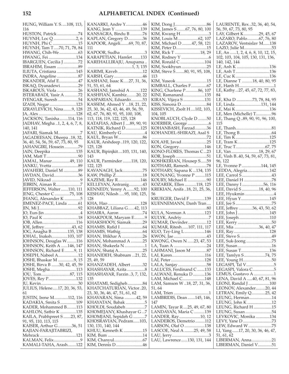HUNG, William Y. S.....108, 113, 116 HUSTON, Patrick ....................74 HUYNH, Loc Q .....................2, 6 HUYNH, Phi C ........................15 HUYNH, Tam T.....70, 71, 78, 84 HWANG, Chih-We..................63 HWANG, Fei ..........................134 IBARGUEN, Cecilia J..............72 IBRAHIM, Essam ....................89 ILIUTA, Cristiana ..................145 INDRA, Angeline ....................87 ISKANDER, Afaf E..................47 ISKAQ, Dyanadewi.................29 ISKAROUS, Viola ....................26 ISTERABADI, Yasir A .............72 IYENGAR, Suresh ...................54 IZADI, Negar .........................123 IZRAYLEVICH, Nina........9, 128 JA, Alex ...................................128 JACKSON, Tanisha........114, 116 JADHAV, Megha ..1, 2, 4, 6, 7, 8, 140, 141 JAFARI, Siamak M.....................7 JAGADEESAN, Dheepa ..18, 32, 36, 40, 54, 56, 59, 67, 73, 80, 95 JAHANGIRI, Hossein.............79 JAIN, Deepika ........................135 JAM, Matt T..............................90 JAMAL, Manar.................49, 110 JANKU, Yvetta .........................89 JAVAHERI, Daniel M ..............89 JAVDAN, David.......................36 JAVID, Nikzad ...........................9 JEBRIN, Aiman R.......................7 JEFFERSON, Walter.......110, 111 JENG, Chester C ..............75, 108 JHANG, Alexander K ...............5 JIMENEZ-PACE, Linda ..........61 JIN, Mi J.....................................92 JO, Eun-Jin ..................................4 JO, Paul K .................................18 JOB, Allen................................116 JOE, Jeffrey..........................43, 62 JOG, Anagha B...............135, 138 JOHAL, Inaksh...............103, 107 JOHNSON, Douglas W.........116 JOHNSON, Keith A ......146, 147 JOHNSON, Richard E.........9, 11 JOSEPH, Nabeel A...................12 JOSHI, Bhaskar M ...............9, 15 JOSHI, Birva B .......30, 42, 45, 59 JOSHI, Megha.........................113 JOU, Tom...........................87, 115 JOVES, Rey P..........................132 JU, Kevin...................................30 JULIUS, Helene.....17, 20, 36, 53, 61 JUSTIN, Irene M.............112, 116 KADAKIA, Smita S ...............109 KADER, Mohammed B.........113 KAHLON, Satbir K ...............135 KAILA, Prabhpreet S .......23, 87, 91, 95, 110, 113, 115 KAISER, Arthur G.............36, 51 KAJIAN-FARAJITABRIZI, Mehrack ..................................121 KALMAN, Felix.........................9 KAMALI-TAHA, Arash........122 111 51<br>K  $\frac{12}{\text{K}}$  $\frac{14}{\text{K}}$  $\frac{12}{K}$  $\frac{12}{K}$  $13$ 

| KANARKI, Andre Y46                                    | ŀ      |
|-------------------------------------------------------|--------|
| KANG, Jean Y 139<br>KANSAGRA, Bindu B 76              | ŀ<br>ŀ |
| KAPLAN, Gregory D36                                   | ŀ      |
| KAPOOR, Angeli69, 70, 87,                             | ŀ      |
| 111                                                   | F      |
| KAPOOR, Sudha 3                                       | ŀ      |
| KARAPETIAN, Hamlet133                                 | ŀ      |
| KAREHALLIRAJU, Anupama                                | F      |
|                                                       | ŀ      |
| KARIMI, Kaveh 12                                      | ŀ      |
| KARSH, Gary46                                         | 1      |
| KASHANI, Isaac K27, 31, 36,<br>51, 53, 61, 64         | F<br>ŀ |
| KASHANI, Jamshid A 122                                | ŀ      |
| KASHFIAN, Kambiz20, 22                                | ŀ      |
| KASPARIAN, Eduardo53                                  | ŀ      |
| KASSEM, Ahmed Y  18, 21, 22,                          | ŀ      |
| 25, 30, 36, 42, 43, 46, 49, 56, 59,                   | ŀ      |
| 62, 67, 76, 80, 91, 95, 100, 108,                     | 1      |
| 113, 118, 119, 122, 125, 128                          | ŀ      |
| KATAFIAS, Albert J 89, 90, 91<br>KATNIK, Richard D125 | ŀ<br>ŀ |
| KAU, Kimberly G 4                                     | ŀ      |
|                                                       |        |
| KAUR, Arshdeep119, 120, 122,                          | ŀ      |
| 125, 128                                              | ŀ      |
| KAUR, Bipinjkit103, 131, 140,                         | F      |
| 143                                                   | ŀ      |
| KAUR, Parminder 118, 120,                             | ŀ      |
| 122, 125                                              | ŀ      |
| KAVANAGH, Jack75<br>KAW, Phillip Z18                  | ŀ<br>ŀ |
| KAZEMI, Ray R146                                      | ŀ      |
| KELLEYAN, Antranig43                                  | ŀ      |
| KENNEDY, Yenny A 92, 100                              | ŀ      |
| KESHAV, Nilesh 95, 100, 125,                          | 5      |
| 128                                                   | ŀ      |
| KHA, Hao 128                                          | ŀ      |
| KHABBAZ, Liliana G42, 113                             |        |
| KHAIRA, Aaron 74<br>KHAKPOUR, Maryam E9               | ŀ<br>ŀ |
| KHAKSHOOY, Siamak29                                   | ŀ      |
|                                                       | ŀ      |
|                                                       | ŀ      |
| KHAN, Iftikhar A 26                                   | ŀ      |
| KHAN, Mohammad A 25                                   | ŀ      |
| KHAN, Shakeela N 1                                    | I      |
| KHAN, Shataj A25                                      | I      |
| KHANIDEH, Shabnam 21, 22,<br>25, 49, 59               | I<br>I |
| KHANZADEH, Albert 32                                  | I      |
| KHASHAYAR, Azita 8                                    | I      |
| KHASHAYAR, Farzin3, 7, 132,                           | I      |
| 135                                                   | I      |
| KHATAMI, Sedigheh 84                                  | I      |
| KHATCHATURIAN, Victor20,                              | 5      |
| 23, 30, 36, 46, 47, 51, 61, 62                        | I      |
| KHAVARAN, Sima 42, 59<br>KHAYATAN, Babak 5            | I<br>1 |
| KHOLDI, Soudabeh 7                                    | I      |
| KHOMEJANY, Khashayar G7                               | I      |
| KHOMJANI, Sepideh G 7                                 | I      |
| KHOSRAVIAN, Pedram103,                                | I      |
| 130, 131, 140, 144                                    | I      |
| KHUU, Kenneth K 15                                    | I      |
| KIM, Bum 14                                           | I      |
| KIM, Dennis D46                                       | I      |
|                                                       |        |

KIM, Dong J..............................86 KIM, James S ........67, 76, 80, 100 KIM, Kwang H...........................3 KIM, Louis M ...................62, 107 KIM, Michael D .........47, 58, 121 KIM, Peter D.............................15 KIM, Rick T ........................18, 29 KIM, Rodney Y ..........................6 KIM, Ronald C .......................104 KIM, Sookhyun........................25 KIM, Steve S........80, 91, 95, 108, 13 KIM, Yuseok .............................15 KIMBALL, Charles F...............67 KING, Charlene P............86, 107 KINI, Ramanand....................135 KIRAN, Vijaya S ....................131 KISS, Simona D........................84 KISSEVICH, Zsolt H ....102, 103, 104, 105 KNOBLAUCH, Clyde D ........50 KOERBER, George ....................6 KOHANBASH, Farzad...........36 KOHANDEL-SHIRAZI, Asal S ....................................................72 KOLAHI, Javad........................25 KON, Gregory........................146 KONO-FLORES, Thomas C...23 KOR, Joseph .............................51 KOSHKERIAN, Housep S......59 KOTHARI, Ramesh.................78 KOTHARY, Sapana K ...134, 135 KOUNANG, Yvonne P .........115 KOURY, Michael E ..................90 KOZAREK, Ellen ...........118, 125 KREKIAN, Anifa ..18, 21, 25, 36, 56 KRUEGER, David F ..............139 KUENNEMANN, Danh Tran.... ....................................................80 KULA, Norman A .................123 KULYK, Andriy..........................7 KUMAR, Devinder..................12 KUMAR, Ritesh......107, 111, 117 KUO, Tzy-Ling L ...................146 KWON, Jae ...............................43 KWONG, Owen N ......23, 47, 53 LA, Tuan A ...............................24 LAHMANI, Jason M ...............87 LAI, Karen...............................116 LAI, Peter................................128 LALA, Sanjay ...........................58 LALUCES, Ferdinand C .......133 LALWANI, Renuka D ...........136 LAM, Michael C.....................148 LAM, Samson W ..18, 27, 31, 36, 51, 64 LAM, Trien .................................1 LAMBRIDIS, Dean .......145, 146, 147 LAMIN, Tayar R ....25, 49, 67, 80 LANDAYAN, Maria C ..........139 LANDER, Ray....................10, 12 LANDEROS, Demetrio .........112 LARSON, Olaf O ...................138 LASCOE, Neal A .........25, 49, 58 LAU, Jerry...................................3 LAU, Lawrence......130, 131, 144

| LAURENTE, Rex 32, 36, 40, 54,                                           |
|-------------------------------------------------------------------------|
| 56, 59, 67, 73, 80, 95<br>LAY, Gilbert K 29, 45, 67                     |
| LAZARO, Pablo67, 76, 80                                                 |
| LAZAROV, Ventsislav M138                                                |
| LAZO, Julie M53                                                         |
| LE, An 1, 2, 4, 6, 8, 10, 12, 15,                                       |
| 102, 103, 104, 105, 130, 131, 136,<br>140, 142, 144                     |
|                                                                         |
| LE, Anh K 136                                                           |
| LE, Anh T136<br>LE, Cuc K136                                            |
| LE, Dianne T 18, 40, 80, 95                                             |
|                                                                         |
| LE, Hanh H1<br>LE, Kathy27, 45, 67, 72, 77, 83,                         |
| 84                                                                      |
| LE, Kha D 73, 78, 84, 95                                                |
| LE, Linda131, 144                                                       |
| LE, Mai K136                                                            |
| LE, Men (Michelle) T96                                                  |
| LE, Thang Q89, 90, 91, 96, 100,<br>115                                  |
|                                                                         |
|                                                                         |
| LE, Tim K 125                                                           |
|                                                                         |
|                                                                         |
| LE, Van 18, 29, 67                                                      |
| LE, Vinh B. 40, 54, 59, 67, 73, 81,                                     |
| 96, 122<br>LE, Yvonne P 144, 145                                        |
| LEDDA, Alegria142                                                       |
| LEE, Carrol Š 43                                                        |
| LEE, Daniel H 78                                                        |
| LEE, Danny I 56, 116                                                    |
| LEE, David S 18, 40, 96                                                 |
| LEE, Hyukmin 4                                                          |
| LEE, Hyun Y145                                                          |
|                                                                         |
|                                                                         |
| LEE, Jeffrey 36, 43, 50, 62                                             |
| LEE, John J 145                                                         |
| LEE, Joseph110                                                          |
| LEE, Kerry 50<br>LEE, Mia 36, 40, 47                                    |
| LEE, Ray128                                                             |
| LEE, Steve S. 49                                                        |
| LEE, Suk-Joong 75                                                       |
| LEE, Susan 16                                                           |
| LEE, Susan T136                                                         |
|                                                                         |
| LEE, Tamlyn S 74, 75<br>LEE, Young H 50                                 |
|                                                                         |
| LEGASPI, Tal V5<br>LEGASPI, Valora C5<br>LEMUS, Gustavo A 1             |
| LENA, David A 40, 67, 81, 96                                            |
| LEONI, Randal J 100                                                     |
| LEONOV, Alexander20, 44                                                 |
| LETRAN, Emily Q 25, 42                                                  |
| LEUNG, Herman14                                                         |
| LEUNG, John K 12                                                        |
| LEUNG, Richard H 15<br>LEUNG, Susan54                                   |
| LEVKOVIC, Monika 134                                                    |
|                                                                         |
|                                                                         |
| LEVY, Yane D 73<br>LEW, Edward W 75<br>LI, Yang 17, 20, 30, 36, 46, 47, |
| 51, 61, 62<br>LIBERMAN, Anna21                                          |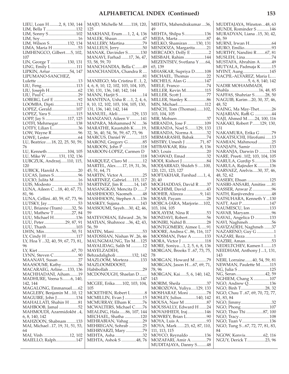| LIEU, Loan H 2, 8, 130, 144                                             |  |
|-------------------------------------------------------------------------|--|
|                                                                         |  |
| LIM, Bella T 132                                                        |  |
| LIM, Sonny S 102                                                        |  |
|                                                                         |  |
|                                                                         |  |
|                                                                         |  |
|                                                                         |  |
| LIMA, Maria H 53                                                        |  |
|                                                                         |  |
| LIMHENGCO, Gilbert5, 102,                                               |  |
|                                                                         |  |
| 107                                                                     |  |
|                                                                         |  |
| LIN, George T 130, 131                                                  |  |
| LING, Emily L 111                                                       |  |
|                                                                         |  |
| LIPKIN, Artur 54, 147                                                   |  |
|                                                                         |  |
| LIPUMANO-SANCHEZ,                                                       |  |
|                                                                         |  |
|                                                                         |  |
| LIU, Feng113                                                            |  |
|                                                                         |  |
|                                                                         |  |
|                                                                         |  |
| LIU, Paul C 29                                                          |  |
| LOBERG, Leif E 92                                                       |  |
|                                                                         |  |
| LOOMBA, Dipti112                                                        |  |
|                                                                         |  |
|                                                                         |  |
| LOPEZ, Gerald107<br>LOPEZ, Yara S115                                    |  |
|                                                                         |  |
| LOPP, Jay S 117, 125                                                    |  |
|                                                                         |  |
| LOTFI, Mehrnegar138                                                     |  |
|                                                                         |  |
| LOTFY, Lilian L36                                                       |  |
| LOW, Wayne R96                                                          |  |
|                                                                         |  |
|                                                                         |  |
|                                                                         |  |
| LU, Beatrice  18, 22, 25, 50, 59,                                       |  |
|                                                                         |  |
| 76                                                                      |  |
| LU, Kenneth 104, 105                                                    |  |
|                                                                         |  |
| LU, Mike W 131, 132, 136                                                |  |
|                                                                         |  |
| LUBCZUK, Andrzej110, 115,                                               |  |
|                                                                         |  |
| 120                                                                     |  |
| LUBICK, Harold A. 20                                                    |  |
|                                                                         |  |
| LUCAS, James S96                                                        |  |
|                                                                         |  |
| LUCIO, Julita M16                                                       |  |
|                                                                         |  |
|                                                                         |  |
|                                                                         |  |
| LUIS, Modesto 53                                                        |  |
| LUNA, Aileen C  18, 40, 67, 73,                                         |  |
|                                                                         |  |
| 81,96                                                                   |  |
|                                                                         |  |
| LÚNA, Cellini40, 59, 67, 73, 96                                         |  |
|                                                                         |  |
| LUTSKY, Jay 53                                                          |  |
| LUU, Brianne (Tram) 32, 56                                              |  |
|                                                                         |  |
| LUU, Mathew T27, 84                                                     |  |
|                                                                         |  |
| LUU, Michael H136                                                       |  |
|                                                                         |  |
|                                                                         |  |
| LUU, Peter 29, 87, 91<br>LUU, Thanh 103                                 |  |
|                                                                         |  |
|                                                                         |  |
|                                                                         |  |
|                                                                         |  |
| LWIN, Min50, 51<br>LY, Cindy H 117<br>LY, Hoa Y 32, 40, 59, 67, 73, 81, |  |
|                                                                         |  |
| 96                                                                      |  |
|                                                                         |  |
|                                                                         |  |
|                                                                         |  |
|                                                                         |  |
| MAANAVI, Susan 27                                                       |  |
|                                                                         |  |
| MAASOUMI, Kathy36                                                       |  |
| MACARAEG, Arline133, 136                                                |  |
|                                                                         |  |
| MACHHADANI, Aiham19                                                     |  |
| MADHURE, Veena S6, 140,                                                 |  |
|                                                                         |  |
| 142, 144                                                                |  |
|                                                                         |  |
| MAGALONG, Emmanuel62                                                    |  |
|                                                                         |  |
|                                                                         |  |
| MAGLEBY, Benjamin M10, 12<br>MAGUIRE, John J134                         |  |
|                                                                         |  |
| MAHALLATI, Shahin H 81                                                  |  |
|                                                                         |  |
| MAHBOOB, Jamal 52                                                       |  |
| MAHMOUDI, Azarmidokht4,                                                 |  |
|                                                                         |  |
| 6, 8, 140, 142                                                          |  |
|                                                                         |  |
| MAHZOON, Shabnam133                                                     |  |
|                                                                         |  |
| MAI, Michael 17, 19, 31, 51, 53,                                        |  |
| 64                                                                      |  |
|                                                                         |  |
| MAI, Vinh12, 102<br>MAIELLO, Ralph147                                   |  |

| MAJD, Michelle M118, 120,<br>125               | MEHTA, Mahendrakumar36,<br>49                  |
|------------------------------------------------|------------------------------------------------|
| MAKHANI, Erum1, 2, 4, 136                      | MEHTA, Shilpa S………………136                       |
| MALEK, Shaun47                                 | MEJIA, Marta 87                                |
| MALLERY, Martina79                             | MELKO, Shamiran 130, 131                       |
| MALLEUS, Jerry50                               | MENDOZA, Margarita21                           |
| MANAK, Davinder S130                           | MERCADO, Dolly E 2                             |
| MANAVI, Farhad 17, 36, 47,                     | MESBAH, Rahim144                               |
| 53, 58, 59, 70                                 | MEZENTSEV, Svetlana Y 64,                      |
| MANCHANDIA, Bella C49<br>MANCHANDIA, Chandra R | 65, 139                                        |
|                                                | MHASKAR, Supriya D108<br>MICHAEL, Thomas 22    |
| MANIEGO, Ma Cristina E1, 2,                    | MICHELS, Alan G147                             |
| 4, 6, 8, 10, 12, 102, 103, 104, 105,           | MIELE, Franco 74                               |
| 130, 131, 136, 140, 142, 144                   | MILLER, Kevin M115                             |
| MANN, Harjit S14                               | MILLER, Scott J77                              |
| MANTENA, Usha R  1, 2, 4, 6,                   | MILLER, Stanley K 86                           |
| 8, 10, 12, 102, 103, 104, 105, 130,            | MIN, Michael112                                |
| 131, 136, 140, 142, 144                        | MINCH, Tom (Thomas)102,                        |
| MANUEL, Aleli 129, 133                         | 103, 104, 105<br>MIR, Mohsen37                 |
| MANZANO, Aileen V141<br>MAPARA, Mohammed N36   | MIRANDA, Jose F109                             |
| MARATHE, Kaustubh K 19,                        | MIRANDA, Noel S129, 133                        |
| 32, 36, 40, 54, 56, 59, 67, 73, 96             | MIRANDA, Norma A32                             |
| <b>MARCUS, Daniel W115</b>                     | MIRMARASHI, Babak74                            |
| MARONI, Gregory G85                            | MISTRY, Umesh J 71, 87                         |
| MAROON, John P 118                             | MITBAVKAR, Rita 8, 136                         |
| MAROON-LOPEZ, Carmen D                         |                                                |
|                                                | MOAWAD, Emad32                                 |
| MARQUEZ, Claro M 12                            | MODI, Kishori J84                              |
| MARTEL, Alex17, 19, 31, 36,<br>45, 51, 64, 71  | MODJARRAD, Shideh S 100,<br>120, 121, 123, 127 |
| MARTIN, Victor A25                             | MOFTAKHAR, Farshad 1, 4,                       |
| MARTINEZ, Gabriel115, 117                      | 20, 40                                         |
| MARTINEZ, Jim R 14, 145                        | MOGHADDAS, David R 37                          |
| MASANGKAY, Mencita D 7                         | MOGHIMI, David43                               |
| MASHHOOD, Naomeh48                             | MOHEB, Alireza 9, 141                          |
| MASHHOON, Stephen A 136                        | MOJAB, Payam28                                 |
| MASKEY, Sujana143                              | MOJICA-JARA, Marjorie102,                      |
| MASSOUMI, Sayeh30, 42, 46,<br>59               | 103, 104, 105<br>MOLAYEM, Nina R 53            |
| MATEVOSIAN, Edward 26, 36                      | MONDAVI, Robert56                              |
| MATIAN, Shahrooz 36, 42, 43,                   | <b>MONIRI, Nahid B28</b>                       |
| 56,59                                          | MONTGOMERY, Aimee L91                          |
| 53<br>MATIN, Mani                              | MOORE, Andrea C86, 116, 117                    |
| MATOSSIAN, Nishan W26, 46                      | MOOSMAN, Peter A 133                           |
| MAUNGMAUNG, Tin M125                           | MORA, Victor J 118                             |
| MAYALIDAG, Salih M 12                          | MORE, Soniya1, 2, 5, 6, 8, 136                 |
| MAYELZADEH,                                    | MORGAN, Brooks T67, 73, 75,                    |
| Behzadaligholi 132, 142<br>MAZLOOM, Morteza133 | 78<br>MORGAN, Howard M 79                      |
| MAZLOOMDOOST,                                  | MORGAN, Jason H67, 69, 71,                     |
|                                                | 78, 96                                         |
| MCDONOUGH, Shaelan D                           | MORGAN, Kai5, 6, 140, 142,                     |
|                                                | 143                                            |
| MCGEE, Erika102, 103, 104,                     | MORIM, Sheila 37                               |
| 105                                            | MOROZOVA, Yuliya129, 133                       |
| MCKETHEN, Robert L8                            | MOSHARAF, Moni 78                              |
| MCMILLIN, Evan J 15                            | MOSLEY, Julius140, 142                         |
| MCMURRAY, Elham K76<br>MCWALTERS, Michael C76  | MOUSSALLY, Edward H 24                         |
| MEALING, Hala86, 107, 144                      | MOVAHHEDI, Iraj146                             |
| MECHAEL, Shatha 120                            | MOWREY, Brian L90                              |
| MEHRABIAN, Vahag 29                            |                                                |
| MEHREGAN, Sohrab 25                            | MOYA, Mark 23, 62, 87, 110,                    |
| MEHRVARZI, Mary 79                             | 111, 113, 115                                  |
| MEHTA, Asha 32                                 | MOYCO, Reynaldo 136                            |
| MEHTA, Ashok S 48, 76                          | MOZAFARI, Amir A79                             |

| 49                                       |  |
|------------------------------------------|--|
| MEHTA, Shilpa S136                       |  |
|                                          |  |
| MELKO, Shamiran 130, 131                 |  |
| MENDOZA, Margarita21                     |  |
| MERCADO, Dolly E 2                       |  |
| MESBAH, Rahim144                         |  |
| MEZENTSEV, Svetlana Y 64,                |  |
| 65, 139                                  |  |
| MHASKAR, Supriya D108                    |  |
| MICHAEL, Thomas 22                       |  |
| MICHELS, Alan G 147                      |  |
| MIELE, Franco 74                         |  |
| MILLER, Kevin M115                       |  |
| MILLER, Scott J77                        |  |
| MILLER, Stanley K86                      |  |
| MIN, Michael112                          |  |
| MINCH, Tom (Thomas)102,<br>103, 104, 105 |  |
|                                          |  |
| MIR, Mohsen37                            |  |
| MIRANDA, Jose F109                       |  |
| MIRANDA, Noel S129, 133                  |  |
| MIRANDA, Norma A32                       |  |
| MIRMARASHI, Babak74                      |  |
| MISTRY, Umesh J 71, 87                   |  |
| MITBAVKAR, Rita 8, 136                   |  |
|                                          |  |
| MOAWAD, Emad32                           |  |
| MODJARRAD, Shideh S 100,                 |  |
| 120, 121, 123, 127                       |  |
| MOFTAKHAR, Farshad 1, 4,                 |  |
| 20, 40                                   |  |
| MOGHADDAS, David R 37                    |  |
| MOGHIMI, David 43                        |  |
| MOHEB, Alireza 9, 141                    |  |
| MOJAB, Payam28                           |  |
| MOJICA-JARA, Marjorie102,                |  |
| 103, 104, 105                            |  |
| MOLAYEM, Nina R 53                       |  |
| MONDAVI, Robert56                        |  |
| MONIRI, Nahid B28                        |  |
| MONTGOMERY, Aimee L91                    |  |
| MOORE, Andrea C86, 116, 117              |  |
| MOOSMAN, Peter A 133                     |  |
| MORA, Victor J 118                       |  |
| MORE, Soniya1, 2, 5, 6, 8, 136           |  |
| MORGAN, Brooks T67, 73, 75,              |  |
| 78                                       |  |
| MORGAN, Howard M 79                      |  |
| MORGAN, Jason H67, 69, 71,               |  |
| 78, 96                                   |  |
| MORGAN, Kai5, 6, 140, 142,               |  |
| 143                                      |  |
| MORIM, Sheila 37                         |  |
| MOROZOVA, Yuliya129, 133                 |  |
| MOSHARAF, Moni 78                        |  |
| MOSLEY, Julius140, 142                   |  |
| MOUSA, Nasr M 87                         |  |
| MOUSSALLY, Edward H 24                   |  |
| MOVAHHEDI, Iraj146                       |  |
| MOWREY, Brian L90                        |  |
| MOYA, Luis A93                           |  |
| MOYA, Mark 23, 62, 87, 110,              |  |
| 111, 113, 115                            |  |
| MOYCO, Reynaldo 136                      |  |
| MOZAFARI, Amir A79                       |  |
| MUDITAJAYA, Danny S48                    |  |

MUDITAJAYA, Winston ...48, 63 MUNDI, Rominder S ............146 MURADYAN, Liana ..15, 30, 42, 46, 59 MURNI, Irwan H.....................64 MURO, Emilio..........................93 MURTHY, Nandini R........67, 81 MUSLEH, Lina.........................74 MUSTAFA, Abrahim A...........49 MUTYALA, Padmaja K ..........15 MYINT, Aung.........................145 NACPIL-ALVAREZ, Maria L..... ..............................5, 6, 8, 140, 142 NADIR MOHAMMADI, Shahla............................16, 48, 85 NAFFAS, Shahriar S..........28, 50 NAGUIB, Karim ...20, 30, 37, 46, 48, 52 NAING, Ma May-Thet............26 NAJARIAN, Raffi G ................44 NAJI, Ahmed M.......24, 100, 116 NAKAKI, Robert P.......129, 130, 131 NAKAMURA, Erika G ...........79 NAKATSUCHI, Hirofumi......13 NAMIAN, Mahmoud .............25 NANJAPA, Samir ..................133 NARANJA, Darwin D ..........134 NARE, Preeti..102, 103, 104, 105 NARULA, Gurdip S..............136 NARULA, Rajinder K ...........136 NARVAEZ, Arelvis.....30, 37, 46, 48, 52, 62 NASERY, Ehsan .....................125 NASIRI-ANSARI, Amitiss .....81 NASSER, Anwar Z ..................96 NATH, Ranjivendra ................48 NATSUHARA, Kenneth Y ...130 NATT, Anit P..........................147 NAUMESCU, Ion ..................133 NAVAB, Maryam.....................96 NAVAL, Angelica D ..............133 NAVI, Naghmeh ......................56 NAVIZADEH, Naghmeh .......37 NAZARENO, Guy G ................1 NAZARI, Reza ...........................1 NAZIRI, Aman.........................53 NEDELTCHEV, Kamen I........15 NEEDHAM, Anthony J ...1, 131, 143 NERI, Lorraine.......40, 54, 59, 81 NEWMAN, Paulette M.........115 NG, Julia S ..............................125 NG, Seran............................42, 59 NGHIEM, Chang X ...............107 NGO, Andrew Q....................136 NGO, Binh T.......................28, 32 NGO, Chau T ..67, 69, 70, 72, 77, 81, 83, 84 NGO, Jimmy.............................32 NGO, Phong...........................107 NGO, Thao Thi ................87, 100 NGO, Tracy.............................108 NGO, Tuan V..........................136 NGO, Tung S...67, 72, 77, 81, 83, 84 NGOW, Kenvis.................62, 116 NGUY, Derick T.................23, 96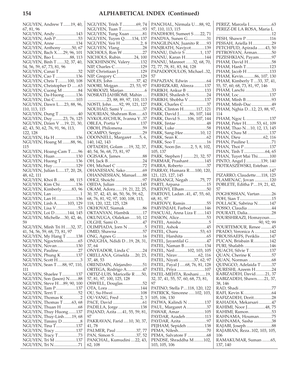NGUYEN, Andrew T.......19, 40, 67, 81, 96 NGUYEN, Andy ....................143 NGUYEN, Anh P.....................53 NGUYEN, Anne ....................134 NGUYEN, Anthony ..........50, 67 NGUYEN, Bach X......29, 96, 101 NGUYEN, Bao L..............88, 113 NGUYEN, Binh T .......32, 37, 40, 54, 56, 59, 67, 73, 81, 96 NGUYEN, Canai T ..................32 NGUYEN, Cao T ...................136 NGUYEN, Chris T.........100, 108 NGUYEN, Christopher D ......63 NGUYEN, Cuong M ...............84 NGUYEN, Da-Huong ...........136 NGUYEN, Dai C....................103 NGUYEN, Dawn L.....23, 88, 96, 110, 113, 115 NGUYEN, Dung T ..................40 NGUYEN, Duy ..........23, 76, 125 NGUYEN, Dzien V ....19, 21, 30, 42, 43, 50, 62, 76, 91, 96, 113, 122, 128 NGUYEN, Ha H ....................136 NGUYEN, Hoang M........88, 96, 115 NGUYEN, Hoang-Cam T.......96 NGUYEN, Huan....................130 NGUYEN, Huong T..............136 NGUYEN, Huy......................129 NGUYEN, Julian L.....17, 20, 28, 48, 62, 111 NGUYEN, Khoi B ............88, 115 NGUYEN, Kim Chi...............136 NGUYEN, Kimberly .........83, 96 NGUYEN, Lan ...........................1 NGUYEN, Lan H...................136 NGUYEN, Linh A..........103, 129 NGUYEN, Lisa V.....................53 NGUYEN, Loi D............144, 145 NGUYEN, Michelle....30, 42, 46, 59 NGUYEN, Minh Tri H .....32, 37, 41, 54, 56, 59, 68, 73, 81, 97 NGUYEN, My Hang T .........138 NGUYEN, Ngoctrinh..............65 NGUYEN, Novan..................130 NGUYEN, Pauline...................27 NGUYEN, Phung K ..............137 NGUYEN, Scott H.....................3 NGUYEN, Sean T .....88, 97, 110, 111 NGUYEN, Shaelee T .............137 NGUYEN, Son (Jason) N........88 NGUYEN, Steve H....89, 90, 100 NGUYEN, Tam P...................137 NGUYEN, Terri T ....................52 NGUYEN, Thomas K................2 NGUYEN, Thomas T ........63, 68 NGUYEN, Thuan H ................68 NGUYEN, Thuy Huong .......137 NGUYEN, Thuy-Linh.......19, 68 NGUYEN, Timmy D .................8 NGUYEN, Tina T...................137 NGUYEN, Tracy ....................137 NGUYEN, Tracy T...................73 NGUYEN, Tri M ....................137 NGUYEN, Tri N.......................71

NGUYEN, Trinh T.............69, 74 NGUYEN, Tuan T....................93 NGUYEN, Tung Xuan ............81 NGUYEN, Tuyen Q.......134, 137 NGUYEN, Yen H ...................2, 8 NGUYEN, Ylang......................28 NICHOLS, Ron W ...................27 NICHOLS, Rubin.............24, 100 NICKHINSON, Valery..........132 NIP, Charles C........................129 NIP, Christiaan J.....................129 NIP, Gregory C.......................129 NOLES, John ......................37, 42 NOORI, Mojgan...........23, 53, 97 NOROOZI, Marjan....................6 NOSRATI-JAHROMI, Mahin .... ..................23, 88, 89, 97, 110, 113 NOSTI, John .......92, 99, 121, 127 NOUHAD, Sami Y ..................37 NOURIAN, Shahram Ron......63 NYKOLAYCHUK, Ivanna Y..37 OBLEA, Portia V....................137 OBOH, Philomena...................59 OCAMPO, Sergio ....................29 ODONNELL, Margaret .......5, 6, 140, 142, 143 OFTADEH, Golam .....19, 32, 37, 40, 54, 56, 68, 73, 81, 97 OGISAKA, James.....................88 OH, Jack B.................................24 OH, Michael C .........................72 OHANESIAN, Sako ................69 OHANNESSIAN, Manuel......88 OHGI, Shoichi..........................97 OJEDA, Julian ........................145 OKAM, Adora.......19, 21, 22, 25, 30, 37, 42, 43, 46, 50, 56, 59, 62, 68, 76, 81, 92, 97, 100, 108, 113, 118, 120, 122, 125, 128 OKHOVAT, Siamak.................86 OKTANYAN, Hambik ............17 OKUNUGA, Olalekan ......10, 12 OLGHI, Sami O........................47 OLIMPIADA, Jorn N ................5 OMID, Shawna ........................57 ONG, Agnes G .........................16 ONUGHA, Ndidi D...19, 28, 31, 37, 64 ONYEADOR, Linda C ............24 ORELLANA, Griselda .....20, 23, 37, 48, 53 ORENDAIN, Alejandro..........51 ORTEGA, Rodrigo A...............47 ORTIZ-LUIS, Maricelle R ......50, 57, 81, 97, 100, 125, 128 OSWELL, Douglas...................52 OTA, Lora ...............................144 OU, Su-Hwei ..........................108 OU-YANG, Fred ....................2, 3 PACE, David ............................61 PADILLA, Jorge .....................138 PAJAND, Azita .....41, 55, 59, 81, 97 PAKRAVAN, Farid .....10, 30, 37, 41, 78 PALMER, Paul ...................37, 77 PAN, Simon S.....................37, 52 PANCHAL, Kumudini ....22, 43, 62, 108

PANCHAL, Nirmala U....88, 92, 97, 110, 113, 115 PANDHOH, Sumeet S ......22, 71 PANDYA, Sunen G..................31 PANGILINAN, Juanito R.......93 PANJRATH, Navjyot.............139 PANNU, Dalvir S ..............1, 137 PANNU, Karan H..................144 PANNU, Manreet .......32, 68, 70, 72, 77, 78, 81, 83, 84, 128 PAPADOPOULOS, Michael..32, 57 PAPAZIAN, Edwin .................64 PARHIZKARI, Alireza..........137 PARIKH, Ankur B .................133 PARIKH, Shailesh S.................24 PARIKH, Shobha V ...............137 PARK, Charles C......................37 PARK, Clinton H............117, 121 PARK, David J..........86, 107, 144 PARK, David S.......106, 107, 144 PARK, Jintae .............................48 PARK, Luke ..............................58 PARK, Sang-Hee................10, 12 PARK, Sean K...........................62 PARK, Soo T .............................16 PARK, Soon-Jin .........2, 5, 8, 102, 105, 137 PARK, Stephen J ..........21, 32, 57 PARMAR, Prashant...............145 PARRA, Roberto ......................37 PARRAY, Humara R.....100, 120, 121, 123, 127, 145 PARSANGI, Negah ...........75, 77 PARTI, Arpana .........................15 PARTOVI, Elham.....................50 PARTOVI, Ladan ..41, 47, 55, 60, 68, 81, 97 PARTOVY, Ramin....................55 PARVINJAH, Farbod ............146 PASCUAL, Anna Liza E .......143 PASION, Alice..........................53 PATEL, Amisha..........................5 PATEL, Ashok ..........................45 PATEL, Charu ....................53, 63 PATEL, Harshita ......................65 PATEL, Jayantilal G.................47 PATEL, Naman B...................134 PATEL, Neil............102, 103, 105 PATEL, Nirav....................62, 116 PATEL, Niyati ..............37, 62, 97 PATEL, Payal J .....68, 76, 81, 128 PATEL, Priya ..........................107 PATEL-MEHTA, Roshani ......19, 32, 37, 41, 55, 57, 60, 68, 73, 81, 97 PATINO, Stella P....118, 120, 122 PATRICK, Simonne ......102, 103, 105, 106, 130 PATWA, Kalindi N ................137 PAUL, Margaret A...................37 PAWAR, Amar........................105 PAYDAR, Azadeh ..................113 PAYDAR, Azita ........................97 PEJHAM, Sepideh .................138 PEMA, Nilesh...........................70 PEMA, Salvatore F ..................68 PENDSE, Shraddha M.........102, 103, 105, 106

PEREZ, Marcela I.....................63 PEREZ-DE LA ROSA, Maria L ....................................................12 PESH, Shawn P ......................116 PESSAH, Ariella H ..................29 PETCHPUD, Apirada .......43, 50 PETROSYAN, Arman..............50 PEZESHKIAN, Payam............97 PHAM, David H......................58 PHAM, Hanh T......................123 PHAM, Jacob H .....................133 PHAM, Kevin...........86, 107, 130 PHAM, Kimberly T....33, 37, 41, 55, 57, 60, 68, 73, 81, 97, 146 PHAM, Lanchi .........................33 PHAM, Loc.............................137 PHAM, Minh B ........................93 PHAM, Minh-Duc ...................49 PHAM, Nghia D...12, 23, 88, 97, 114 PHAM, Ngoc L ......................137 PHAM, Peter H..........53, 61, 109 PHAM, Thao N....10, 12, 13, 145 PHAN, Chau M .....................137 PHAN, Dieu .....................62, 116 PHAN, Pauline L.....................71 PHAN, Thoi P ........................137 PHAN, Tinh T ....................64, 65 PHAN, Tuyet Mai Thi...........100 PINTO, Angel J ..............139, 140 PIOTRASZEWSKI, Esteban ....... ..................................................147 PIZARRO, Claudette.....118, 125 PLAMENAC, Jovan ..............120 POBLETE, Editha P....19, 21, 42, 57 POGHOSSIAN, Vartan ...........26 POH, Sian T..............................15 POLLACK, Sabrina N...........147 POSSO, Claudia.......................44 POURATI, Dalia.......................28 POURSHIRAZI, Homayoun...... ........................................90, 92, 99 POURTEMOUR, Renee ..........45 PRADO, Veronica A ..............142 PROUSSAEFS, Periklis .........147 PUCAN, Brisbain R...............142 PURI, Shalabh ........................146 QUACH, Silvie T ...................137 QUAN, Cherine K ...................57 QUAN, Norman ......................68 QUINGCO, Adelaida T ..........37 QURESHI, Azeem H ...............24 RABIZADEH, David.........21, 37 RABIZADEH, Shawn.......21, 37, 38, 146 RAD, Shadi...............................77 RAFI, Kevin K..........................64 RAFIZADEH, Dorit.................28 RAHADIA, Mekarsari ............47 RAHIMI, Noor J.................48, 75 RAHIMI, Ramon......................53 RAHNAMA, Houman............75 RAHNAMA, Sasha .................38 RAJABI, Joseph ........................88 RAJABIAN, Reza..102, 103, 105, 106 RAMAKUMAR, Suman ........65, 137, 140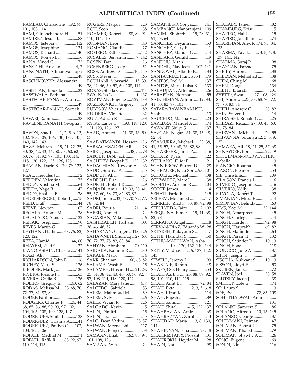RAMEAU, Chrissorne .....92, 97, 101, 108, 114 RAMI, Girishchandra H .........51 RAMIREZ, Jesus B...................88 RAMOS, Esteban ...................112 RAMOS, Josephine................134 RAMOS, Richard ...................140 RAMOS, Romeo E .....................6 RANA, Vinod G.......................73 RANGCHI, Arsalan ..............4, 7 RANGNATH, Adinarayanappa D.................................................48 RASCHKOVSKY, Alessandra.... ....................................................49 RASHTIAN, Rouzita...............22 RASSIWALA, Farhana..............2 RASTEGAR-PANAH, Arash ..... ....................................................49 RASTEGAR-PANAH, Sormeh .. ....................................................49 RAVAEI, Ramin........................38 RAVEENDRANATH, Swapna .. ......................................................5 RAVON, Shadi........1, 2, 5, 6, 13, 102, 103, 105, 106, 130, 131, 137, 140, 142, 143 RAZA, Mehran .....19, 21, 22, 25, 30, 38, 42, 43, 46, 50, 57, 60, 62, 68, 76, 81, 92, 97, 101, 108, 114, 118, 120, 122, 125, 126, 128 REAGAN, Darin S....70, 79, 123, 127 REAL, Hercules J .....................72 REDDEN, Valentina ................75 REDDY, Krishna M..................64 REDDY, Naga R .......................47 REDDY, Shailaja B ...................28 REDELSPERGER, Robert J.....15 REED, Duff .............................144 REEVE, Newton.....................107 REGALA, Adonis M ...............38 REGALADO, Alois L ............132 REHAK, Joseph........................90 REYES, Martin G .....................17 REYHANI, Hadis .......68, 76, 82, 120, 122 REZA, Hamid ....................44, 60 RHAYEM, Ziad G....................22 RIANO-ASIAIN, Charito .....141 RIAZI, Ali .................................25 RICHARDSON, John D..........16 RICHEY, Mark S ....................126 RIEDLER, Mark J...................126 RIVERA, Joanne P ...................65 RIVERA, Ofelia B...................126 ROBINS, Gregory E...........43, 62 RODAS, Melissa M ....33, 68, 70, 72, 77, 82, 83, 84 RODEF, Fariborz......................47 RODGERS, Charles F.......24, 44, 68, 85, 86, 88, 90, 93, 97, 102, 104, 105, 108, 109, 128, 147 RODRIGUES, Smita J............138 RODRIGUEZ, Cristina A........41 RODRIGUEZ, Paulyn C ......102, 103, 105, 106 ROFAEL, Medhat M................71 ROFAEL, Rafik R........88, 92, 97, 110, 114, 115

ROGERS, Marjan ...................123 ROH, Seon ................................38 ROHMER, Robert.......88, 89, 92, 110, 114, 115 ROISMAN, Leon......................48 ROMANO, Claudia.................27 ROMERO, Esther...................112 ROSALES, Benjamin .........7, 142 ROSEN, Dan.............................26 ROSENBERG, Joseph..............51 ROSS, Andrew D .............10, 145 ROSS, Steven T.........................65 ROUHANI, Morvarid......15, 30, 38, 42, 46, 50, 57, 60, 108, 114 ROXAS, Sheila C ....................111 ROY, Neha L.......................1, 137 ROYTMAN, Eugene .....129, 133 ROZENOVICH, Grigory ........79 RUBTSOV, Valeriy ...................89 RUIDERA, Violette..................62 RUIZ, Adrian R........................33 RYGG, Lance C .......93, 118, 120, 121, 123, 126, 127 SAAD, Ahmed ......21, 38, 43, 50, 57 SAADATMANDI, Hossein ..126 SABBAGHZADEH, Ali ..........28 SABET, Joseph..............38, 52, 78 SABOUNJIAN, Jack ................38 SACHDEV, Deepak K ...133, 139 SADAGHIANI, Keyvan A .....63 SADDI, Supriya A ...................45 SADDUK, Ali .........................127 SADEGHI, Pira ........................26 SADIGHI, Robert R.................29 SADJADI, Amir ....19, 33, 38, 41, 55, 57, 60, 68, 73, 82, 83, 97 SADRI, Iman ...33, 68, 70, 72, 77, 78, 82, 84 SADRI, Pouria..................21, 114 SAEED, Ahmed........................24 SAGARIAN, Mike...................16 SAGHIZADEH, Parham........30, 38, 46, 48, 52 SAHAKYAN, Gurgen ...118, 126 SAHAWNEH, Shorouq ...27, 68, 70, 72, 77, 78, 82, 83, 84 SAHYAN, Abraham ........70, 110 SAIDARA, Kamran R .............30 SAKABE, Mark ........................74 SAKR, Shaaban ............60, 68, 82 SALAMA, Wasfi F ...................15 SALAMEH, Husam H .....21, 23, 25, 31, 38, 42, 43, 46, 50, 76, 92, 97, 108, 114, 118, 120, 122 SALAZAR, Mary Jane ..........4, 7 SALCEDO, Gabriela................53 SALEM, Mahmoud M ............89 SALEM, Sylvia .........................26 SALES, Vivian R ....................126 SALGADO, Kevin .................115 SALIN, Dimitri.........................15 SALIN, Israel............................15 SALO, Dean Vadim...........38, 57 SALWAN, Meenakshi ...........117 SALWAN, Ranjeev ..................53 SAMAAN, Ehab .........62, 88, 97, 101, 108, 126 SAMAAN, W A .......................24

SAMANIEGO, Sonya............141 SAMBANGI, Manoranjani...109 SAMIMI, Shohreh.......19, 28, 31, 51, 53, 64 SANCHEZ, Deyanira..............53 SANCHEZ, Gary E....................1 SANCHEZ, Manuel G ............14 SANDARG, Gerald .................19 SANDHU, Kiran......................10 SANDHU, Navdeep .....107, 141 SANDOVAL, Alberto F.........133 SANTACRUZ, Francisco J......79 SANTOS, Joel M. ...................137 SANTOS, Maria Luisa B.......133 SARADJIAN, Artemis.............26 SARAFIAN, Norman..............55 SARCHISIAN, Adrian .....19, 33, 41, 68, 82, 97, 101 SATARY-RAVANBAKHSH, Shahla ........................................13 SAUCEDO, Martha V .............23 SAVEDRA, Manuel A .............74 SAWANT, Shilpi S .................137 SAZGAR, Negar...31, 38, 46, 48, 52, 61 SCAMURRA, Michael .....33, 38, 41, 55, 57, 60, 68, 73, 82, 98 SCHAEFFER, James P...........146 SCHATZ, Ryan.........................22 SCHLANG, Elliot P.................21 SCHNIEROW, Burton D.........28 SCHRAGER, Nicu Sori...93, 101 SCHULTZ, Michael .................38 SCHWARTZ, Marc J................38 SCORTIA, Adriane R ............104 SCOTT, James...........................14 SEHATI, Farid R ....................145 SELEEM, Mohamed ..............117 SEMRIEN, Ziad .....88, 89, 92, 98 SEPULVEDA, Jairo............2, 102 SERQUINA, Elmer J ..19, 41, 68, 82, 98 SERRANO, Angel ..................118 SERVAN-DIAZ, Eduardo W..28 SETAREH, Katayoun S .........147 SETHI, Harindar S...................50 SETHU-MADHAVAN, Asha ..... ..................104, 130, 132, 140, 144 SETTY, Madhavi ...2, 6, 137, 142, 143 SEWELL, Jeremy J ...................93 SHABTAIE, Ramin ..................48 SHAFAJOO, Henry .................53 SHAH, Aarti T ......23, 88, 89, 92, 98, 101, 110, 114, 115 SHAH, Amit L ...................72, 84 SHAH, Ekta................2, 3, 5, 6, 8 SHAH, Kiran K ......................114 SHAH, Rajesh ..........................89 SHAH, Samir..........................121 SHAH, Shital..........4, 5, 132, 137 SHAHBAZIAN, Amir.............68 SHAHBAZYAN, Zaruhi.........13 SHAHDAD, Maria .......3, 8, 130, 144 SHAHINYAN, Irina ..........23, 48 SHAHRESTANY, Prosaht.......31 SHAHROKH, Heydar M........28 SHAIN, Nat ..............................98

SHALABY, Tamer ....................82 SHAMBURG, Kristi ................15 SHAPIRO, Hal I.......................15 SHAPIRO, Jonathan L ............74 SHARIFIAN, Alex R ..74, 75, 84, 123 SHARMA, Payal.......2, 3, 5, 6, 8, 137, 141, 142 SHARMA, Suraj P ...................98 SHAYGAN, Farzad .................75 SHEILY, Aaron .........................38 SHELYAN, Mehrshad .............38 SHEN, Ching M.......................68 SHEN, Dong...........................134 SHETH, Bharat.......................131 SHETTY, Swati.........27, 108, 128 SHI, Andrew ...27, 33, 68, 70, 72, 77, 78, 83, 84 SHIEH, Andrew C.............28, 82 SHIN, Steven I..........................14 SHIRAISHI, Ronald G ............25 SHIRAZI, Reza......27, 33, 45, 63, 71, 78, 84 SHIRVANI, Michael ..........20, 55 SHIVANNA, Soumya ..2, 3, 6, 9, 137 SHMARA, Ali ..19, 21, 25, 57, 68 SHNAYDER, Boris ............22, 49 SHTULMAN-SOLOVEYCHIK, Isabella ........................................3 SIANGIO, Roanna...................45 SIAZON, Eleanor.....................53 SIE, Christine..........................109 SILAGON, Francis L ...............16 SILVERIO, Josephine...............16 SILVERIO, Willy ......................38 SILVOLA, Robert T .................92 SIMANIAN, Mitra E ...............44 SIMONIAN, Belinda...............63 SIMS, Kaci M..................132, 144 SINGH, Amarpreet..................45 SINGH, Gurteg ........................14 SINGH, Hardev .................92, 98 SINGH, Harprabh .............69, 82 SINGH, Maninder ...................63 SINGH, Paramjit....................132 SINGH, Satinder P ............10, 13 SINGH, Sonal .........................118 SIONGCO, Julie A.................137 SIPIN, Joseph J ...........................8 SISODIA, Kulwant S.........10, 13 SISSON, Lloyd E......................53 SKUBEN, Jane..........................72 SLAVEN, Joel .....................38, 58 SLUTSKY, Jacob J.....................38 SMITH, Nicole E......................74 SO, Lauro S...............................13 SOE, Pyi ......................72, 85, 108 SOHI-THADWAL, Anureet ....... ..................................................131 SOLANKI, Sameera S .............86 SOLANO, Alfredo.....10, 13, 145 SOLANZO, George ...............137 SOLEYMANI, Peiman ............47 SOLIMAN, Ashraf L ...............75 SOLIMAN, Khaled..................79 SOLIMAN, Shawky A ............26 SONG, Eugene .........................69 SONIN, Nina ..........................116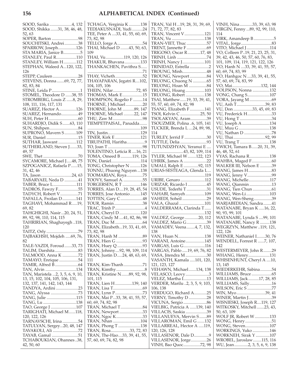SOOD, Sarika .....................4, 132 SOOD, Shikka .......31, 38, 46, 48, 52, 63 SOPER, Barton .........................98 SOUCHITSKI, Andrei.............38 SPARROW, Joseph.................126 STA MARIA, Janice B................5 STANLEY, Paul R...................110 STANLEY, William H............112 STEPHAN, Waleed A...120, 122, 126 STEPP, Cauleen ........................28 STEVENS, Donna .......69, 72, 77, 82, 83, 84 STINE, Leida P...........................1 STOMEL, Theodore D ......38, 55 STROMBERG, Louis Z ......8, 29, 108, 111, 116, 117, 131 SUAREZ, Hector A................126 SUAREZ, Hernando................49 SUH, Peter H............................60 SUHARDJO, Didik S.......63, 110 SUN, Shihpen...........................84 SUPRONO, Mavern S...........109 SUR, Daniel ..............................15 SUTHAR, Jaswant .................112 SUTHERLAND, Steven J.......33, 49, 57 SWE, Thet .................................70 SYCAMORE, Michael J.....48, 75 SZPOGANICZ, Rafaela P......15, 31, 42, 46 TA, Jason .............................24, 63 TABARYAEI, Neda D .............41 TABER, Bruce L......................111 TADROS, Fawzy F...................55 TADYCH, Robert V.................71 TAFALLA, Froilan D.............141 TAGHAVI, Mohammad R.....19, 69, 82 TAHGHIGHI, Nasir...20, 24, 51, 89, 92, 98, 110, 114, 115 TAHRIRIAN, Shaghayegh ..118, 120 TAITZ, Orly ..............................79 TAJBAKHSH, Mojdeh .....69, 76, 82 TALE-YAZDI, Foroud.......33, 73 TALIM, Darshita......................83 TALMOOD, Anna K ...............72 TAMAYO, Enrique ..................54 TAMIR, Alfred B......................64 TAN, Alvin .............................134 TAN, Maristela ...2, 3, 5, 6, 9, 10, 13, 15, 102, 104, 105, 106, 131, 132, 137, 141, 142, 143, 144 TANDYA, Ardini .....................23 TANG, Alyssa ..........................73 TANG, Julie ............................115 TANG, Lu ...............................138 TAO, George J ........................107 TARIGHATI, Michael M......118, 120, 122, 126 TARNAVSCHI, Irina ...............54 TATULYAN, Sergey...20, 48, 147 TAVAKOLI, Ali ........................72 TAYAB, Gamal .........................51 TCHABOUKIAN, Ohannes ..38, 42, 50, 60

TCHAGA, Verginia K ...........138 TEDJAKUSNADI, Yudi ..........24 TEE, Peter A ....33, 41, 55, 60, 69, 73, 82, 98 TELLO, Jorge A........................54 THAI, Michael D ........43, 50, 63, 109 THAI, Vu.................119, 120, 126 THAKUR, Bhavana...............133 THANKACHEN, Pavithra S...... ....................................................71 THAY, Vicheth..........................52 THAYAPARAN, Jegatri R....102, 104, 105, 106 THEIN, Nilar......................72, 85 THOMAS, Mark E...................15 THOMPSON, Rogelio F .........14 THORNE, J Michael................20 THORNE, John M ...........89, 147 THORNE, Michael ..........22, 147 THU, Zaw M ............................98 TIEMPETPAISAL, Panadda....... ..................................................109 TIN, Justin...............................129 TINER, Kirk E ........................121 TIRUPATHI, Haritha.................9 TO, Joan T .................................98 TOLENTINO, Leticia R ....16, 21 TOMA, Omeed B ...........119, 126 TON, Daniel............................114 TONG, Christopher N ..........126 TONNU, Phuong Nguyen ...138 TOOMARIAN, Roya...............75 TOOVY, Samuel A...................55 TORGERSEN, R T .................146 TORRES, Alan D....19, 28, 45, 54 TORRES, Jose Antonio..........145 TOTTEN, Gary C.....................48 TOUR, Ramin...........................38 TRAC, Trinh P............................4 TRAN, Cheryl D ....................120 TRAN, Cindy M ....41, 82, 86, 98 TRAN, Duc M ..........................64 TRAN, Elizabeth...19, 33, 41, 69, 73, 82, 98 TRAN, Hanh M .......................89 TRAN, Hien G .........................93 TRAN, Huey Q ........................93 TRAN, Johnny....92, 98, 109, 114 TRAN, Justin D.....24, 48, 63, 69, 111 TRAN, Kim-Thanh..................71 TRAN, Kimthy...........................8 TRAN, Kristine N.......89, 92, 98, 101, 115 TRAN, Lien H ................139, 140 TRAN, Lisa T............................69 TRAN, Lynn P..........................73 TRAN, Mai P...33, 38, 41, 55, 57, 60, 69, 74, 82, 98 TRAN, Michael T.....................84 TRAN, Newport ......................33 TRAN, Ngoc K.........................33 TRAN, Nhan ..........................104 TRAN, Phong T .....................138 TRAN, Rosa..................33, 72, 83 TRAN, The-Hao....33, 39, 41, 55, 57, 60, 69, 74, 82, 98

| TRAN, Val H19, 28, 31, 39, 69,<br>71, 72, 77, 82, 83 |
|------------------------------------------------------|
|                                                      |
| TRAN, Vu 138                                         |
| TRAN-VIET, Thuc 57                                   |
| TRENT, Jannette F 69                                 |
| TRIGOSO, Oscar R17, 48                               |
| TRINH, Linh 74                                       |
| TRINH, Nancy J101                                    |
| TRINIDAD, Estrella 2                                 |
| TROUNG, Minh48                                       |
| TROUNG, Newport84<br>TRUONG, Chuong N 65             |
| TRUONG, Hoan M 84                                    |
| TRUONG, Hoang103                                     |
| TRUONG, Robert 138                                   |
| TSAI, Matthew  19, 33, 39, 41,                       |
| 55, 57, 60, 69, 74, 82, 98                           |
| TSANG, Elizabeth F 141                               |
| TSOI, Kelvin C 25, 50                                |
| TSOLAKYAN, Aram39<br>TSOUZMER, Polina 6, 105, 141    |
| TUCKER, Brenda L 24, 89, 98,                         |
| 114                                                  |
| TURLEY, Jerrid F 30                                  |
| TUTTLE, Delia 93                                     |
| TUTUNDZHYAN, Yeranui E                               |
|                                                      |
| TYLER, Michael W 122, 123                            |
| UHRIK, James A 22                                    |
| UMALI, Ralph E 92, 115<br>URIAS-SESTEAGA, Glenda L   |
|                                                      |
| URIBE, Genaro 112                                    |
| URIZAR, Ricardo I 45                                 |
| USUDE, Tederhi T31                                   |
| VAHABI, Samyeh109                                    |
| VAHEDI, Soheil 29                                    |
| VALA, Ghazal 101<br>VALDERRAMA, Clarinda T           |
|                                                      |
|                                                      |
| VALDEZ, George 20, 112<br>VALDEZ, Mario G 39         |
| VAMADEV, Veena4, 7, 132,                             |
| 138                                                  |
| VAN, Huan N138                                       |
| VARANI, Antoine145                                   |
| VARGAS, Luis G116                                    |
| VARGAS, Pablo  19, 69, 76, 82<br>VASA, Jitendra M 30 |
| VASANTH, Kamala 101, 120,                            |
| 121, 123, 127                                        |
| VEHAWN, Michael134, 138                              |
| VELASCO, Leovy3                                      |
| VELEZ, Martha I13                                    |
| VERDER, Marilu 2, 3, 5, 9, 103,                      |
| 106, 138                                             |
| VERDUGO, Richard A25<br>VERNY, Timothy D 28          |
|                                                      |
| VIELBIG, Patricia A 139, 140                         |
| VILLACIS, Saskia 39                                  |
| VILLANUEVA, Mervin S 89                              |
| VILLAROMAN, Emil G 132                               |
| VILLARREAL, Hector A 119,                            |
| 120, 126, 128                                        |
| VILLASENOR, Dale D9<br>VILLASENOR, Jorge26           |
|                                                      |
| VINH, Bao Quoc72, 98                                 |

VINH, Nina............33, 39, 63, 98 VIRGIN, Fenny ...89, 92, 99, 110, 114 VIRK, Amandeep B ...................5 VITAL, Jorge.............................83 VITO, Michael J......................114 VO, Colleen P..19, 21, 23, 25, 31, 39, 42, 43, 46, 50, 57, 60, 76, 83, 101, 109, 114, 119, 121, 122, 126 VO, Hanh N ....33, 39, 41, 55, 57, 60, 69, 74, 83, 99 VO, Hanhgoc N ....33, 39, 41, 55, 57, 60, 69, 74, 83, 99 VO, Mai...........................132, 144 VOLFSON, Nonna ................132 VONG, Chang S.....................107 VORA, Jayang M .....................69 VU, Anh T...........................39, 83 VU, Don ..................33, 45, 69, 83 VU, Frederick H.......................33 VU, Hong T ..............................34 VU, Joseph A..........................134 VU, Muu G .............................138 VU, Nathan D ..........................78 VU, Thai..............................92, 99 VU, Trang T ............................138 VWICH, Tamara B......20, 31, 39, 46, 48, 52, 61 VYAS, Rachana R...................138 WAHBA, Maged F...................60 WALKER III, Nelson E ...........39 WANG, James H......................83 WANG, Jenny V.......................99 WANG, Michelle....................117 WANG, Qianmin .....................13 WANG, Tien Chun ..................61 WANG, Wen-Li......................103 WANG, Wen-Sheng.................39 WARJABEDIAN, Sandra........41 WATANABE, Bryan K .....16, 22, 90, 93, 99, 101 WATANABE, Lynda S ....99, 101 WATANABE, Nancy R .........138 WEGRZYN, Matthew ..119, 121, 122, 126 WEINER, Nathaniel I........30, 76 WENDELL, Forrest R ......7, 107, 142 WESTERMEYER, John R........29 WHANG, Henry....................131 WHISENHUNT, Cheryl A ....10, 13, 145 WIEDERKEHR, Sabina...........54 WILLIAMS, Bruce ...................65 WILLIAMS, Jack..........17, 28, 85 WILLIAMS, Sally.....................16 WILSON, Eric S .......................77 WIN, Myo...........................39, 41 WINER, Martin J......................39 WISNIESKI, Joseph R....119, 127 WITKOSKY, Mitchell .......23, 43, 50, 63, 109 WOLF JR, Robert W ..............133 WONG, Henry.........................51 WONG, Steven.......................107 WORKINGS, Yuko ................146 WORKNEH, Sirak Y .............107 WROBEL, Jaroslaw........115, 116 WU, Jean.............2, 3, 5, 6, 9, 138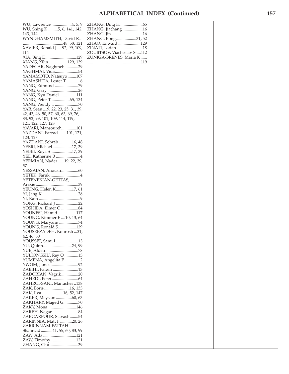| WU, Lawrence 4, 5, 9                     | ZHAN  |
|------------------------------------------|-------|
| WU, Shing K 5, 6, 141, 142,              | ZHAN  |
| 143, 144                                 | ZHAN  |
| WYNDHAMSMITH, David R                    | ZHAN  |
|                                          | ZHAO, |
| XAVIER, Ronald J  92, 99, 109,           | ZINAT |
| 114                                      | ZOUBI |
| XIA, Bing E 129<br>XIANG, Xilin129, 139  | ZUNIG |
| YADEGAR, Naghmeh 29                      | .     |
| YAGHMAI, Vida54                          |       |
| YAMAMOTO, Natsuyo 107                    |       |
| YAMASHITA, Lester T 6                    |       |
|                                          |       |
| YANG, Gary 26                            |       |
| YANG, Kyu Daniel 111                     |       |
| YANG, Peter T 65, 134                    |       |
| YANG, Wendy T70                          |       |
| YAR, Sean 19, 22, 23, 25, 31, 39,        |       |
| 42, 43, 46, 50, 57, 60, 63, 69, 76,      |       |
| 83, 92, 99, 101, 109, 114, 119,          |       |
| 121, 122, 127, 128                       |       |
| YAVARI, Mansoureh 101                    |       |
| YAZDANI, Farzad101, 121,                 |       |
| 123, 127                                 |       |
| YAZDANI, Sohrab 16, 48                   |       |
| YEBRI, Michael 17, 39                    |       |
| YEBRI, Roya S17, 39                      |       |
| YEE, Katherine B 4                       |       |
| YERMIAN, Nader 19, 22, 39,               |       |
| 57                                       |       |
| YESSAIAN, Anoush60                       |       |
| YETEK, Faruk4                            |       |
| YETENEKIAN-GETTAS,                       |       |
|                                          |       |
| YEUNG, Helen K17, 61                     |       |
|                                          |       |
|                                          |       |
| YONG, Richard J 22                       |       |
| YOSHIDA, Elmer O 84<br>YOUNESI, Hamid117 |       |
| YOUNG, Kimmer E  10, 13, 64              |       |
| YOUNG, Maryann 74                        |       |
| YOUNG, Ronald S129                       |       |
| YOUSEFZADEH, Kourosh 31,                 |       |
| 42, 46, 60                               |       |
| YOUSSEF, Sami I 13                       |       |
| YU, Quinn24, 99                          |       |
| YUE, Alden78                             |       |
| YULIONGSIU, Rey Q 13                     |       |
| YUMENA, Angelita F 2                     |       |
| YWOM, James92                            |       |
| ZABIHI, Farzin 13                        |       |
| ZADORIAN, Vagrik20                       |       |
|                                          |       |
| ZAHROI-SANI, Manucher138                 |       |
| ZAK, Boris 16, 133                       |       |
| ZAK, Ilya 16, 52, 147                    |       |
| ZAKER, Meysam60, 63                      |       |
| ZAKHARY, Maged G   70                    |       |
| ZAKY, Mona146                            |       |
|                                          |       |
| ZARGARPOUR, Siavash54                    |       |
| ZARINNIA, Matt F 20, 26                  |       |
| ZARRINNAM-FATTAHI,                       |       |
| Shahrzad 41, 55, 60, 83, 99              |       |
| ZAW, Ada 121                             |       |
| ZAW, Timothy121                          |       |
| ZHANG, Chu39                             |       |
|                                          |       |

| ZHANG, Ding H 65<br>ZHANG, Jiachang 16<br>ZHANG, Jin16<br>ZHANG, Rong31, 52<br>ZHAO, Edward 129<br>ZINATI, Ladan18<br>ZOUBTSOV, Viacheslav S112<br>ZUNIGA-BRENES, Maria K |  |
|---------------------------------------------------------------------------------------------------------------------------------------------------------------------------|--|
|                                                                                                                                                                           |  |
|                                                                                                                                                                           |  |
|                                                                                                                                                                           |  |
|                                                                                                                                                                           |  |
|                                                                                                                                                                           |  |
|                                                                                                                                                                           |  |